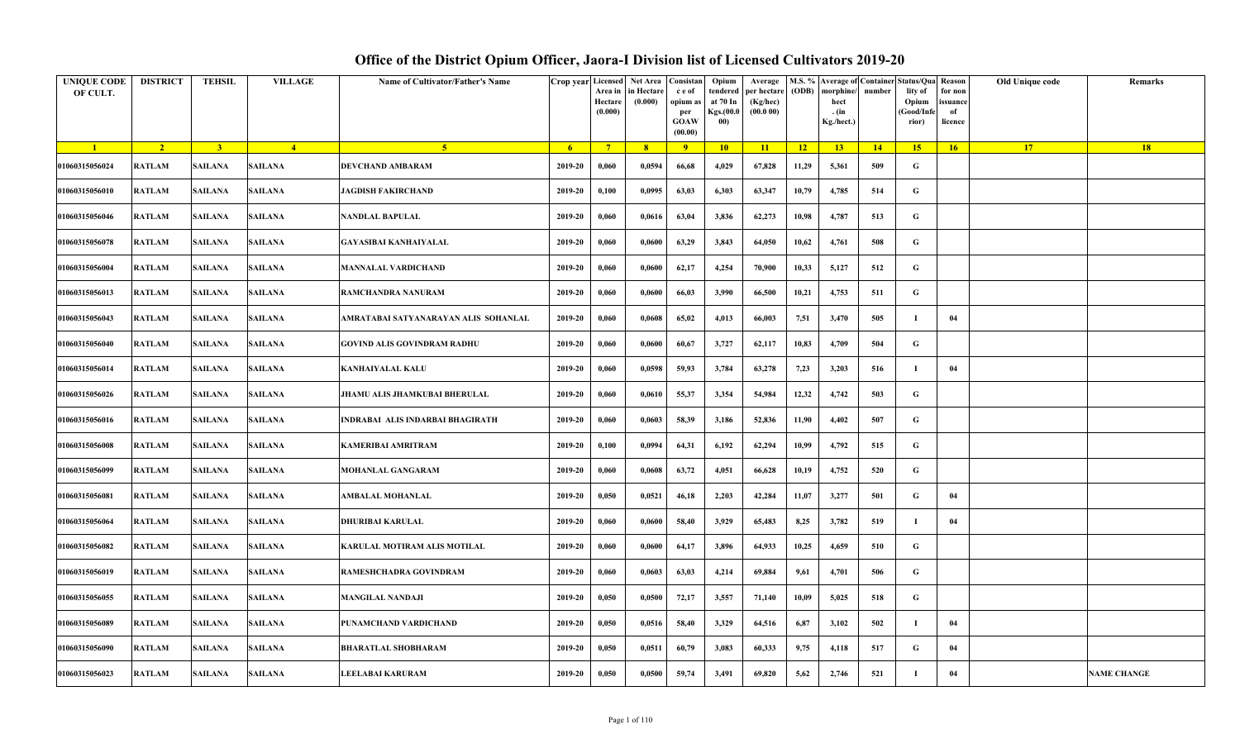| <b>UNIQUE CODE</b><br>OF CULT. | <b>DISTRICT</b> | <b>TEHSIL</b>           | <b>VILLAGE</b> | Name of Cultivator/Father's Name     | Crop year Licensed | Area in<br>Hectare<br>(0.000) | Net Area<br>in Hectare<br>(0.000) | Consistan<br>c e of<br>opium as<br>per<br><b>GOAW</b><br>(00.00) | Opium<br>tendered<br>at 70 In<br>Kgs.(00.0<br>00) | Average<br>per hectare<br>(Kg/hec)<br>(00.000) |       | M.S. % Average of Container Status/Qua Reason<br>(ODB) morphine/<br>hect<br>. (in<br>Kg./hect.) | number | lity of<br>Opium<br>(Good/Infe<br>rior) | for non<br>issuance<br>of<br>licence | Old Unique code | Remarks            |
|--------------------------------|-----------------|-------------------------|----------------|--------------------------------------|--------------------|-------------------------------|-----------------------------------|------------------------------------------------------------------|---------------------------------------------------|------------------------------------------------|-------|-------------------------------------------------------------------------------------------------|--------|-----------------------------------------|--------------------------------------|-----------------|--------------------|
| $\blacksquare$                 | $\overline{2}$  | $\overline{\mathbf{3}}$ | $\overline{4}$ | 5 <sup>1</sup>                       | -6                 | $\overline{7}$                | 8 <sup>°</sup>                    | $\overline{9}$                                                   | 10 <sup>7</sup>                                   | 11                                             | 12    | 13 <sup>7</sup>                                                                                 | 14     | 15 <sup>2</sup>                         | 16                                   | 17              | 18                 |
| 01060315056024                 | <b>RATLAM</b>   | <b>SAILANA</b>          | SAILANA        | <b>DEVCHAND AMBARAM</b>              | 2019-20            | 0,060                         | 0,0594                            | 66,68                                                            | 4,029                                             | 67,828                                         | 11,29 | 5,361                                                                                           | 509    | G                                       |                                      |                 |                    |
| 01060315056010                 | <b>RATLAM</b>   | <b>SAILANA</b>          | <b>SAILANA</b> | <b>JAGDISH FAKIRCHAND</b>            | 2019-20            | 0,100                         | 0,0995                            | 63,03                                                            | 6,303                                             | 63,347                                         | 10,79 | 4,785                                                                                           | 514    | G                                       |                                      |                 |                    |
| 01060315056046                 | <b>RATLAM</b>   | <b>SAILANA</b>          | SAILANA        | <b>NANDLAL BAPULAL</b>               | 2019-20            | 0,060                         | 0,0616                            | 63,04                                                            | 3,836                                             | 62,273                                         | 10,98 | 4,787                                                                                           | 513    | G                                       |                                      |                 |                    |
| 01060315056078                 | <b>RATLAM</b>   | <b>SAILANA</b>          | SAILANA        | <b>GAYASIBAI KANHAIYALAL</b>         | 2019-20            | 0,060                         | 0,0600                            | 63,29                                                            | 3,843                                             | 64,050                                         | 10,62 | 4,761                                                                                           | 508    | G                                       |                                      |                 |                    |
| 01060315056004                 | <b>RATLAM</b>   | <b>SAILANA</b>          | <b>SAILANA</b> | <b>MANNALAL VARDICHAND</b>           | 2019-20            | 0,060                         | 0,0600                            | 62,17                                                            | 4,254                                             | 70,900                                         | 10,33 | 5,127                                                                                           | 512    | G                                       |                                      |                 |                    |
| 01060315056013                 | <b>RATLAM</b>   | <b>SAILANA</b>          | <b>SAILANA</b> | RAMCHANDRA NANURAM                   | 2019-20            | 0,060                         | 0,0600                            | 66,03                                                            | 3,990                                             | 66,500                                         | 10,21 | 4,753                                                                                           | 511    | G                                       |                                      |                 |                    |
| 01060315056043                 | <b>RATLAM</b>   | <b>SAILANA</b>          | <b>SAILANA</b> | AMRATABAI SATYANARAYAN ALIS SOHANLAL | 2019-20            | 0,060                         | 0,0608                            | 65,02                                                            | 4,013                                             | 66,003                                         | 7,51  | 3,470                                                                                           | 505    |                                         | 04                                   |                 |                    |
| 01060315056040                 | <b>RATLAM</b>   | <b>SAILANA</b>          | <b>SAILANA</b> | <b>GOVIND ALIS GOVINDRAM RADHU</b>   | 2019-20            | 0,060                         | 0,0600                            | 60,67                                                            | 3,727                                             | 62,117                                         | 10,83 | 4,709                                                                                           | 504    | G                                       |                                      |                 |                    |
| 01060315056014                 | <b>RATLAM</b>   | <b>SAILANA</b>          | <b>SAILANA</b> | <b>KANHAIYALAL KALU</b>              | 2019-20            | 0,060                         | 0,0598                            | 59,93                                                            | 3,784                                             | 63,278                                         | 7,23  | 3,203                                                                                           | 516    |                                         | 04                                   |                 |                    |
| 01060315056026                 | <b>RATLAM</b>   | <b>SAILANA</b>          | SAILANA        | JHAMU ALIS JHAMKUBAI BHERULAL        | 2019-20            | 0,060                         | 0,0610                            | 55,37                                                            | 3,354                                             | 54,984                                         | 12,32 | 4,742                                                                                           | 503    | G                                       |                                      |                 |                    |
| 01060315056016                 | <b>RATLAM</b>   | SAILANA                 | SAILANA        | INDRABAI ALIS INDARBAI BHAGIRATH     | 2019-20            | 0,060                         | 0,0603                            | 58,39                                                            | 3,186                                             | 52,836                                         | 11,90 | 4,402                                                                                           | 507    | G                                       |                                      |                 |                    |
| 01060315056008                 | <b>RATLAM</b>   | <b>SAILANA</b>          | SAILANA        | <b>KAMERIBAI AMRITRAM</b>            | 2019-20            | 0,100                         | 0,0994                            | 64,31                                                            | 6,192                                             | 62,294                                         | 10,99 | 4,792                                                                                           | 515    | G                                       |                                      |                 |                    |
| 01060315056099                 | <b>RATLAM</b>   | <b>SAILANA</b>          | SAILANA        | <b>MOHANLAL GANGARAM</b>             | 2019-20            | 0,060                         | 0,0608                            | 63,72                                                            | 4,051                                             | 66,628                                         | 10,19 | 4,752                                                                                           | 520    | G                                       |                                      |                 |                    |
| 01060315056081                 | <b>RATLAM</b>   | <b>SAILANA</b>          | SAILANA        | <b>AMBALAL MOHANLAL</b>              | 2019-20            | 0,050                         | 0,0521                            | 46,18                                                            | 2,203                                             | 42,284                                         | 11,07 | 3,277                                                                                           | 501    | G                                       | 04                                   |                 |                    |
| 01060315056064                 | <b>RATLAM</b>   | <b>SAILANA</b>          | <b>SAILANA</b> | <b>DHURIBAI KARULAL</b>              | 2019-20            | 0,060                         | 0,0600                            | 58,40                                                            | 3,929                                             | 65,483                                         | 8,25  | 3,782                                                                                           | 519    |                                         | 04                                   |                 |                    |
| 01060315056082                 | <b>RATLAM</b>   | <b>SAILANA</b>          | SAILANA        | KARULAL MOTIRAM ALIS MOTILAL         | 2019-20            | 0,060                         | 0,0600                            | 64,17                                                            | 3,896                                             | 64,933                                         | 10,25 | 4,659                                                                                           | 510    | G                                       |                                      |                 |                    |
| 01060315056019                 | <b>RATLAM</b>   | <b>SAILANA</b>          | <b>SAILANA</b> | RAMESHCHADRA GOVINDRAM               | 2019-20            | 0,060                         | 0,0603                            | 63,03                                                            | 4,214                                             | 69,884                                         | 9,61  | 4,701                                                                                           | 506    | G                                       |                                      |                 |                    |
| 01060315056055                 | <b>RATLAM</b>   | <b>SAILANA</b>          | <b>SAILANA</b> | <b>MANGILAL NANDAJI</b>              | 2019-20            | 0,050                         | 0,0500                            | 72,17                                                            | 3,557                                             | 71,140                                         | 10,09 | 5,025                                                                                           | 518    | G                                       |                                      |                 |                    |
| 01060315056089                 | <b>RATLAM</b>   | <b>SAILANA</b>          | SAILANA        | PUNAMCHAND VARDICHAND                | 2019-20            | 0,050                         | 0,0516                            | 58,40                                                            | 3,329                                             | 64,516                                         | 6,87  | 3,102                                                                                           | 502    |                                         | 04                                   |                 |                    |
| 01060315056090                 | <b>RATLAM</b>   | <b>SAILANA</b>          | SAILANA        | <b>BHARATLAL SHOBHARAM</b>           | 2019-20            | 0,050                         | 0,0511                            | 60,79                                                            | 3,083                                             | 60,333                                         | 9,75  | 4,118                                                                                           | 517    | G                                       | 04                                   |                 |                    |
| 01060315056023                 | <b>RATLAM</b>   | <b>SAILANA</b>          | SAILANA        | <b>LEELABAI KARURAM</b>              | 2019-20            | 0,050                         | 0,0500                            | 59,74                                                            | 3,491                                             | 69,820                                         | 5,62  | 2,746                                                                                           | 521    | -1                                      | 04                                   |                 | <b>NAME CHANGE</b> |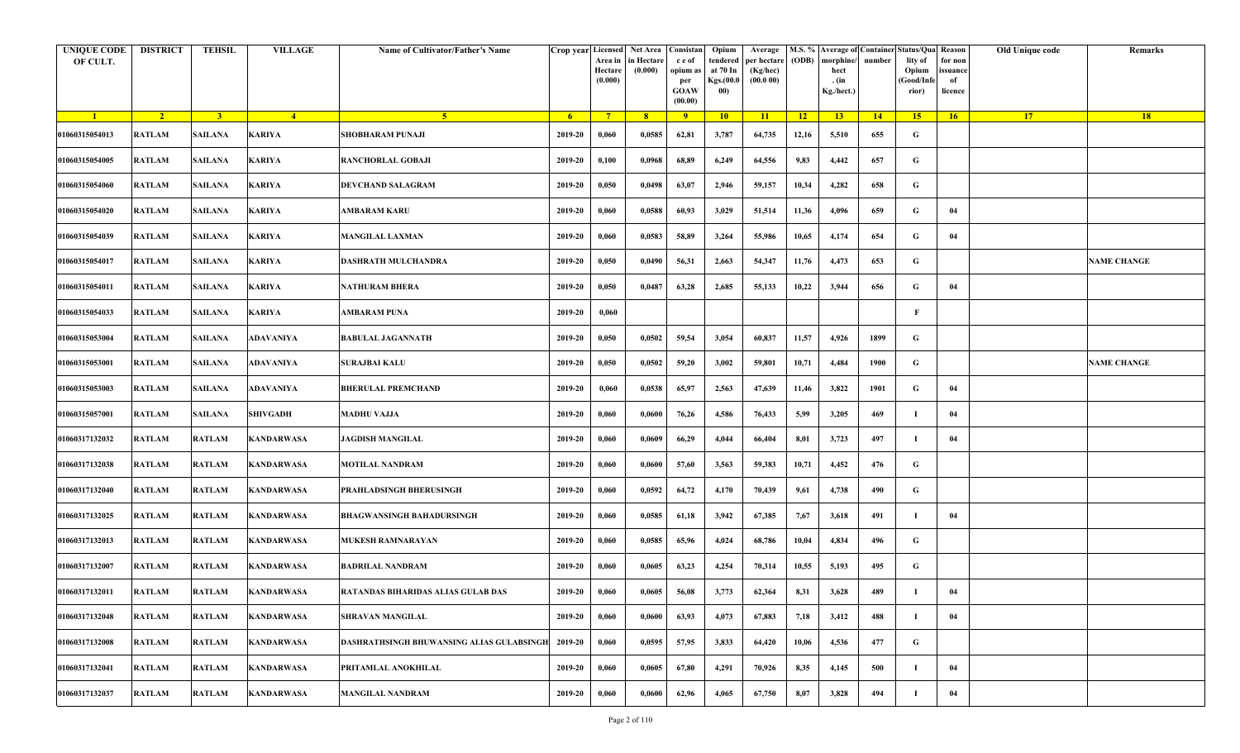| <b>UNIQUE CODE</b><br>OF CULT. | <b>DISTRICT</b> | <b>TEHSIL</b>  | <b>VILLAGE</b>    | Name of Cultivator/Father's Name                 |         | Area in<br>Hectare<br>(0.000) | Crop year Licensed Net Area Consistan<br>in Hectare<br>(0.000) | c e of<br>opium as<br>per<br><b>GOAW</b><br>(00.00) | Opium<br>tendered<br>at 70 In<br>Kgs.(00.0<br>00) | Average<br>per hectare<br>(Kg/hec)<br>(00.000) | (ODB) | M.S. % Average of Container Status/Qua Reason<br>morphine/<br>hect<br>. (in<br>Kg./hect.) | number | lity of<br>Opium<br>(Good/Infe<br>rior) | for non<br>ssuance<br>of<br>licence | Old Unique code | Remarks            |
|--------------------------------|-----------------|----------------|-------------------|--------------------------------------------------|---------|-------------------------------|----------------------------------------------------------------|-----------------------------------------------------|---------------------------------------------------|------------------------------------------------|-------|-------------------------------------------------------------------------------------------|--------|-----------------------------------------|-------------------------------------|-----------------|--------------------|
| $\blacksquare$                 | $\sqrt{2}$      | 3 <sup>1</sup> | $-4$              | $-5$                                             | $-6$    | $7^{\circ}$                   | 8 <sup>°</sup>                                                 | $\overline{9}$                                      | 10                                                | 11                                             | $-12$ | 13                                                                                        | 14     | 15                                      | 16                                  | <b>17</b>       | 18                 |
| 01060315054013                 | <b>RATLAM</b>   | <b>SAILANA</b> | <b>KARIYA</b>     | <b>SHOBHARAM PUNAJI</b>                          | 2019-20 | 0,060                         | 0,0585                                                         | 62,81                                               | 3,787                                             | 64,735                                         | 12,16 | 5,510                                                                                     | 655    | G                                       |                                     |                 |                    |
| 01060315054005                 | <b>RATLAM</b>   | <b>SAILANA</b> | <b>KARIYA</b>     | <b>RANCHORLAL GOBAJI</b>                         | 2019-20 | 0,100                         | 0,0968                                                         | 68,89                                               | 6,249                                             | 64,556                                         | 9,83  | 4,442                                                                                     | 657    | G                                       |                                     |                 |                    |
| 01060315054060                 | <b>RATLAM</b>   | <b>SAILANA</b> | KARIYA            | <b>DEVCHAND SALAGRAM</b>                         | 2019-20 | 0,050                         | 0,0498                                                         | 63,07                                               | 2,946                                             | 59,157                                         | 10,34 | 4,282                                                                                     | 658    | G                                       |                                     |                 |                    |
| 01060315054020                 | <b>RATLAM</b>   | <b>SAILANA</b> | <b>KARIYA</b>     | <b>AMBARAM KARU</b>                              | 2019-20 | 0,060                         | 0,0588                                                         | 60,93                                               | 3,029                                             | 51,514                                         | 11,36 | 4,096                                                                                     | 659    | G                                       | 04                                  |                 |                    |
| 01060315054039                 | RATLAM          | <b>SAILANA</b> | <b>KARIYA</b>     | <b>MANGILAL LAXMAN</b>                           | 2019-20 | 0,060                         | 0,0583                                                         | 58,89                                               | 3,264                                             | 55,986                                         | 10,65 | 4,174                                                                                     | 654    | G                                       | 04                                  |                 |                    |
| 01060315054017                 | <b>RATLAM</b>   | <b>SAILANA</b> | <b>KARIYA</b>     | DASHRATH MULCHANDRA                              | 2019-20 | 0,050                         | 0,0490                                                         | 56,31                                               | 2,663                                             | 54,347                                         | 11,76 | 4,473                                                                                     | 653    | G                                       |                                     |                 | <b>NAME CHANGE</b> |
| 01060315054011                 | <b>RATLAM</b>   | <b>SAILANA</b> | <b>KARIYA</b>     | <b>NATHURAM BHERA</b>                            | 2019-20 | 0,050                         | 0,0487                                                         | 63,28                                               | 2,685                                             | 55,133                                         | 10,22 | 3,944                                                                                     | 656    | G                                       | 04                                  |                 |                    |
| 01060315054033                 | <b>RATLAM</b>   | <b>SAILANA</b> | <b>KARIYA</b>     | <b>AMBARAM PUNA</b>                              | 2019-20 | 0,060                         |                                                                |                                                     |                                                   |                                                |       |                                                                                           |        | F                                       |                                     |                 |                    |
| 01060315053004                 | <b>RATLAM</b>   | <b>SAILANA</b> | ADAVANIYA         | <b>BABULAL JAGANNATH</b>                         | 2019-20 | 0,050                         | 0,0502                                                         | 59,54                                               | 3,054                                             | 60,837                                         | 11,57 | 4,926                                                                                     | 1899   | G                                       |                                     |                 |                    |
| 01060315053001                 | <b>RATLAM</b>   | <b>SAILANA</b> | <b>ADAVANIYA</b>  | <b>SURAJBAI KALU</b>                             | 2019-20 | 0,050                         | 0,0502                                                         | 59,20                                               | 3,002                                             | 59,801                                         | 10,71 | 4,484                                                                                     | 1900   | G                                       |                                     |                 | <b>NAME CHANGE</b> |
| 01060315053003                 | <b>RATLAM</b>   | <b>SAILANA</b> | ADAVANIYA         | <b>BHERULAL PREMCHAND</b>                        | 2019-20 | 0,060                         | 0,0538                                                         | 65,97                                               | 2,563                                             | 47,639                                         | 11,46 | 3,822                                                                                     | 1901   | G                                       | 04                                  |                 |                    |
| 01060315057001                 | <b>RATLAM</b>   | <b>SAILANA</b> | SHIVGADH          | <b>MADHU VAJJA</b>                               | 2019-20 | 0,060                         | 0,0600                                                         | 76,26                                               | 4,586                                             | 76,433                                         | 5,99  | 3,205                                                                                     | 469    | -1                                      | 04                                  |                 |                    |
| 01060317132032                 | <b>RATLAM</b>   | <b>RATLAM</b>  | <b>KANDARWASA</b> | <b>JAGDISH MANGILAL</b>                          | 2019-20 | 0,060                         | 0,0609                                                         | 66,29                                               | 4,044                                             | 66,404                                         | 8,01  | 3,723                                                                                     | 497    | - 1                                     | 04                                  |                 |                    |
| 01060317132038                 | RATLAM          | <b>RATLAM</b>  | <b>KANDARWASA</b> | MOTILAL NANDRAM                                  | 2019-20 | 0,060                         | 0,0600                                                         | 57,60                                               | 3,563                                             | 59,383                                         | 10,71 | 4,452                                                                                     | 476    | G                                       |                                     |                 |                    |
| 01060317132040                 | RATLAM          | <b>RATLAM</b>  | <b>KANDARWASA</b> | PRAHLADSINGH BHERUSINGH                          | 2019-20 | 0,060                         | 0,0592                                                         | 64,72                                               | 4,170                                             | 70,439                                         | 9,61  | 4,738                                                                                     | 490    | G                                       |                                     |                 |                    |
| 01060317132025                 | RATLAM          | <b>RATLAM</b>  | <b>KANDARWASA</b> | <b>BHAGWANSINGH BAHADURSINGH</b>                 | 2019-20 | 0,060                         | 0,0585                                                         | 61,18                                               | 3,942                                             | 67,385                                         | 7,67  | 3,618                                                                                     | 491    |                                         | 04                                  |                 |                    |
| 01060317132013                 | <b>RATLAM</b>   | <b>RATLAM</b>  | <b>KANDARWASA</b> | MUKESH RAMNARAYAN                                | 2019-20 | 0,060                         | 0,0585                                                         | 65,96                                               | 4,024                                             | 68,786                                         | 10,04 | 4,834                                                                                     | 496    | G                                       |                                     |                 |                    |
| 01060317132007                 | <b>RATLAM</b>   | <b>RATLAM</b>  | <b>KANDARWASA</b> | <b>BADRILAL NANDRAM</b>                          | 2019-20 | 0,060                         | 0,0605                                                         | 63,23                                               | 4,254                                             | 70,314                                         | 10,55 | 5,193                                                                                     | 495    | G                                       |                                     |                 |                    |
| 01060317132011                 | RATLAM          | <b>RATLAM</b>  | <b>KANDARWASA</b> | RATANDAS BIHARIDAS ALIAS GULAB DAS               | 2019-20 | 0,060                         | 0,0605                                                         | 56,08                                               | 3,773                                             | 62,364                                         | 8,31  | 3,628                                                                                     | 489    |                                         | 04                                  |                 |                    |
| 01060317132048                 | <b>RATLAM</b>   | <b>RATLAM</b>  | <b>KANDARWASA</b> | SHRAVAN MANGILAL                                 | 2019-20 | 0,060                         | 0,0600                                                         | 63,93                                               | 4,073                                             | 67,883                                         | 7,18  | 3,412                                                                                     | 488    | - 1                                     | 04                                  |                 |                    |
| 01060317132008                 | RATLAM          | <b>RATLAM</b>  | <b>KANDARWASA</b> | <b>DASHRATHSINGH BHUWANSING ALIAS GULABSINGE</b> | 2019-20 | 0,060                         | 0,0595                                                         | 57,95                                               | 3,833                                             | 64,420                                         | 10,06 | 4,536                                                                                     | 477    | G                                       |                                     |                 |                    |
| 01060317132041                 | RATLAM          | <b>RATLAM</b>  | <b>KANDARWASA</b> | PRITAMLAL ANOKHILAL                              | 2019-20 | 0,060                         | 0,0605                                                         | 67,80                                               | 4,291                                             | 70,926                                         | 8,35  | 4,145                                                                                     | 500    | -1                                      | 04                                  |                 |                    |
| 01060317132037                 | RATLAM          | <b>RATLAM</b>  | <b>KANDARWASA</b> | <b>MANGILAL NANDRAM</b>                          | 2019-20 | 0,060                         | 0,0600                                                         | 62,96                                               | 4,065                                             | 67,750                                         | 8,07  | 3,828                                                                                     | 494    |                                         | 04                                  |                 |                    |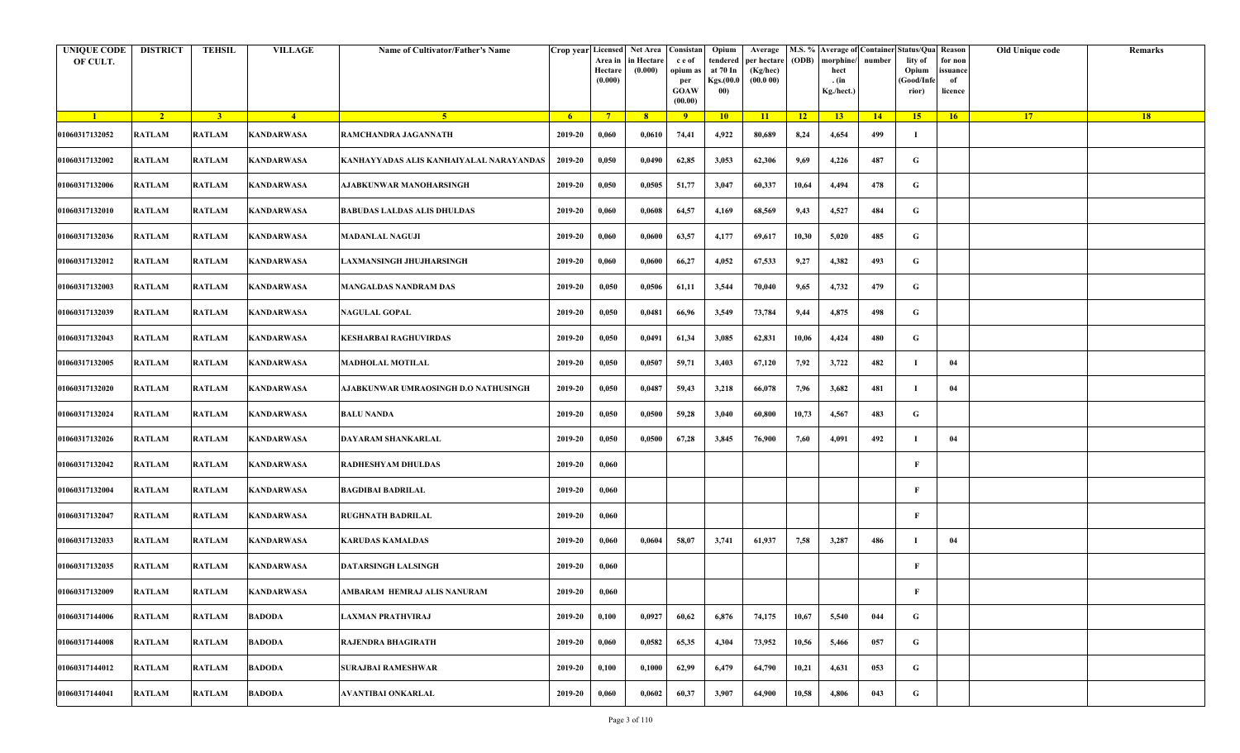| <b>UNIQUE CODE</b><br>OF CULT. | <b>DISTRICT</b> | <b>TEHSIL</b>  | <b>VILLAGE</b>    | Name of Cultivator/Father's Name        |                | Crop year Licensed Net Area Consistan<br>Area in<br>Hectare<br>(0.000) | in Hectare<br>(0.000) | c e of<br>opium as<br>per<br><b>GOAW</b><br>(00.00) | Opium<br>tendered<br>at 70 In<br>Kgs.(00.0<br>00) | Average<br>per hectare<br>(Kg/hec)<br>(00.000) | (ODB)           | M.S. % Average of Container Status/Qua Reason<br>morphine/<br>hect<br>. (in<br>Kg./hect.) | number | lity of<br>Opium<br>(Good/Infe<br>rior) | for non<br>ssuance<br>of<br>licence | Old Unique code | Remarks |
|--------------------------------|-----------------|----------------|-------------------|-----------------------------------------|----------------|------------------------------------------------------------------------|-----------------------|-----------------------------------------------------|---------------------------------------------------|------------------------------------------------|-----------------|-------------------------------------------------------------------------------------------|--------|-----------------------------------------|-------------------------------------|-----------------|---------|
| $\blacksquare$                 | $\sqrt{2}$      | $\overline{3}$ | $\sqrt{4}$        | 5 <sup>1</sup>                          | 6 <sup>6</sup> | $7^{\circ}$                                                            | 8                     | $\overline{9}$                                      | 10                                                | 11                                             | $\overline{12}$ | 13 <sup>7</sup>                                                                           | 14     | 15                                      | 16                                  | 17 <sup>2</sup> | 18      |
| 01060317132052                 | <b>RATLAM</b>   | <b>RATLAM</b>  | <b>KANDARWASA</b> | RAMCHANDRA JAGANNATH                    | 2019-20        | 0,060                                                                  | 0,0610                | 74,41                                               | 4,922                                             | 80,689                                         | 8,24            | 4,654                                                                                     | 499    | -1                                      |                                     |                 |         |
| 01060317132002                 | RATLAM          | <b>RATLAM</b>  | <b>KANDARWASA</b> | KANHAYYADAS ALIS KANHAIYALAL NARAYANDAS | 2019-20        | 0,050                                                                  | 0,0490                | 62,85                                               | 3,053                                             | 62,306                                         | 9,69            | 4,226                                                                                     | 487    | G                                       |                                     |                 |         |
| 01060317132006                 | <b>RATLAM</b>   | <b>RATLAM</b>  | <b>KANDARWASA</b> | AJABKUNWAR MANOHARSINGH                 | 2019-20        | 0,050                                                                  | 0,0505                | 51,77                                               | 3,047                                             | 60,337                                         | 10,64           | 4,494                                                                                     | 478    | G                                       |                                     |                 |         |
| 01060317132010                 | <b>RATLAM</b>   | <b>RATLAM</b>  | <b>KANDARWASA</b> | <b>BABUDAS LALDAS ALIS DHULDAS</b>      | 2019-20        | 0,060                                                                  | 0,0608                | 64,57                                               | 4,169                                             | 68,569                                         | 9,43            | 4,527                                                                                     | 484    | G                                       |                                     |                 |         |
| 01060317132036                 | RATLAM          | <b>RATLAM</b>  | <b>KANDARWASA</b> | <b>MADANLAL NAGUJI</b>                  | 2019-20        | 0,060                                                                  | 0,0600                | 63,57                                               | 4,177                                             | 69,617                                         | 10,30           | 5,020                                                                                     | 485    | G                                       |                                     |                 |         |
| 01060317132012                 | RATLAM          | <b>RATLAM</b>  | <b>KANDARWASA</b> | LAXMANSINGH JHUJHARSINGH                | 2019-20        | 0,060                                                                  | 0,0600                | 66,27                                               | 4,052                                             | 67,533                                         | 9,27            | 4,382                                                                                     | 493    | G                                       |                                     |                 |         |
| 01060317132003                 | RATLAM          | <b>RATLAM</b>  | <b>KANDARWASA</b> | <b>MANGALDAS NANDRAM DAS</b>            | 2019-20        | 0,050                                                                  | 0,0506                | 61,11                                               | 3,544                                             | 70,040                                         | 9,65            | 4,732                                                                                     | 479    | G                                       |                                     |                 |         |
| 01060317132039                 | RATLAM          | <b>RATLAM</b>  | <b>KANDARWASA</b> | <b>NAGULAL GOPAL</b>                    | 2019-20        | 0,050                                                                  | 0,0481                | 66,96                                               | 3,549                                             | 73,784                                         | 9,44            | 4,875                                                                                     | 498    | G                                       |                                     |                 |         |
| 01060317132043                 | RATLAM          | <b>RATLAM</b>  | <b>KANDARWASA</b> | <b>KESHARBAI RAGHUVIRDAS</b>            | 2019-20        | 0,050                                                                  | 0,0491                | 61,34                                               | 3,085                                             | 62,831                                         | 10,06           | 4,424                                                                                     | 480    | G                                       |                                     |                 |         |
| 01060317132005                 | <b>RATLAM</b>   | <b>RATLAM</b>  | <b>KANDARWASA</b> | <b>MADHOLAL MOTILAL</b>                 | 2019-20        | 0,050                                                                  | 0,0507                | 59,71                                               | 3,403                                             | 67,120                                         | 7,92            | 3,722                                                                                     | 482    |                                         | 04                                  |                 |         |
| 01060317132020                 | RATLAM          | <b>RATLAM</b>  | <b>KANDARWASA</b> | AJABKUNWAR UMRAOSINGH D.O NATHUSINGH    | 2019-20        | 0,050                                                                  | 0,0487                | 59,43                                               | 3,218                                             | 66,078                                         | 7,96            | 3,682                                                                                     | 481    | -1                                      | 04                                  |                 |         |
| 01060317132024                 | <b>RATLAM</b>   | <b>RATLAM</b>  | <b>KANDARWASA</b> | <b>BALU NANDA</b>                       | 2019-20        | 0,050                                                                  | 0,0500                | 59,28                                               | 3,040                                             | 60,800                                         | 10,73           | 4,567                                                                                     | 483    | G                                       |                                     |                 |         |
| 01060317132026                 | RATLAM          | <b>RATLAM</b>  | <b>KANDARWASA</b> | DAYARAM SHANKARLAL                      | 2019-20        | 0,050                                                                  | 0,0500                | 67,28                                               | 3,845                                             | 76,900                                         | 7,60            | 4,091                                                                                     | 492    | л                                       | 04                                  |                 |         |
| 01060317132042                 | RATLAM          | <b>RATLAM</b>  | <b>KANDARWASA</b> | RADHESHYAM DHULDAS                      | 2019-20        | 0,060                                                                  |                       |                                                     |                                                   |                                                |                 |                                                                                           |        | $\mathbf{F}$                            |                                     |                 |         |
| 01060317132004                 | RATLAM          | <b>RATLAM</b>  | <b>KANDARWASA</b> | <b>BAGDIBAI BADRILAL</b>                | 2019-20        | 0,060                                                                  |                       |                                                     |                                                   |                                                |                 |                                                                                           |        | F                                       |                                     |                 |         |
| 01060317132047                 | RATLAM          | <b>RATLAM</b>  | <b>KANDARWASA</b> | <b>RUGHNATH BADRILAL</b>                | 2019-20        | 0,060                                                                  |                       |                                                     |                                                   |                                                |                 |                                                                                           |        | F                                       |                                     |                 |         |
| 01060317132033                 | <b>RATLAM</b>   | <b>RATLAM</b>  | <b>KANDARWASA</b> | <b>KARUDAS KAMALDAS</b>                 | 2019-20        | 0,060                                                                  | 0,0604                | 58,07                                               | 3,741                                             | 61,937                                         | 7,58            | 3,287                                                                                     | 486    | п                                       | 04                                  |                 |         |
| 01060317132035                 | <b>RATLAM</b>   | <b>RATLAM</b>  | <b>KANDARWASA</b> | <b>DATARSINGH LALSINGH</b>              | 2019-20        | 0,060                                                                  |                       |                                                     |                                                   |                                                |                 |                                                                                           |        | F                                       |                                     |                 |         |
| 01060317132009                 | RATLAM          | <b>RATLAM</b>  | KANDARWASA        | AMBARAM HEMRAJ ALIS NANURAM             | 2019-20        | 0,060                                                                  |                       |                                                     |                                                   |                                                |                 |                                                                                           |        | F                                       |                                     |                 |         |
| 01060317144006                 | <b>RATLAM</b>   | <b>RATLAM</b>  | <b>BADODA</b>     | LAXMAN PRATHVIRAJ                       | 2019-20        | 0,100                                                                  | 0,0927                | 60,62                                               | 6,876                                             | 74,175                                         | 10,67           | 5,540                                                                                     | 044    | $\mathbf G$                             |                                     |                 |         |
| 01060317144008                 | <b>RATLAM</b>   | <b>RATLAM</b>  | <b>BADODA</b>     | <b>RAJENDRA BHAGIRATH</b>               | 2019-20        | 0,060                                                                  | 0,0582                | 65,35                                               | 4,304                                             | 73,952                                         | 10,56           | 5,466                                                                                     | 057    | G                                       |                                     |                 |         |
| 01060317144012                 | <b>RATLAM</b>   | <b>RATLAM</b>  | <b>BADODA</b>     | <b>SURAJBAI RAMESHWAR</b>               | 2019-20        | 0,100                                                                  | 0,1000                | 62,99                                               | 6,479                                             | 64,790                                         | 10,21           | 4,631                                                                                     | 053    | G                                       |                                     |                 |         |
| 01060317144041                 | RATLAM          | <b>RATLAM</b>  | <b>BADODA</b>     | AVANTIBAI ONKARLAL                      | 2019-20        | 0,060                                                                  | 0,0602                | 60,37                                               | 3,907                                             | 64,900                                         | 10,58           | 4,806                                                                                     | 043    | G                                       |                                     |                 |         |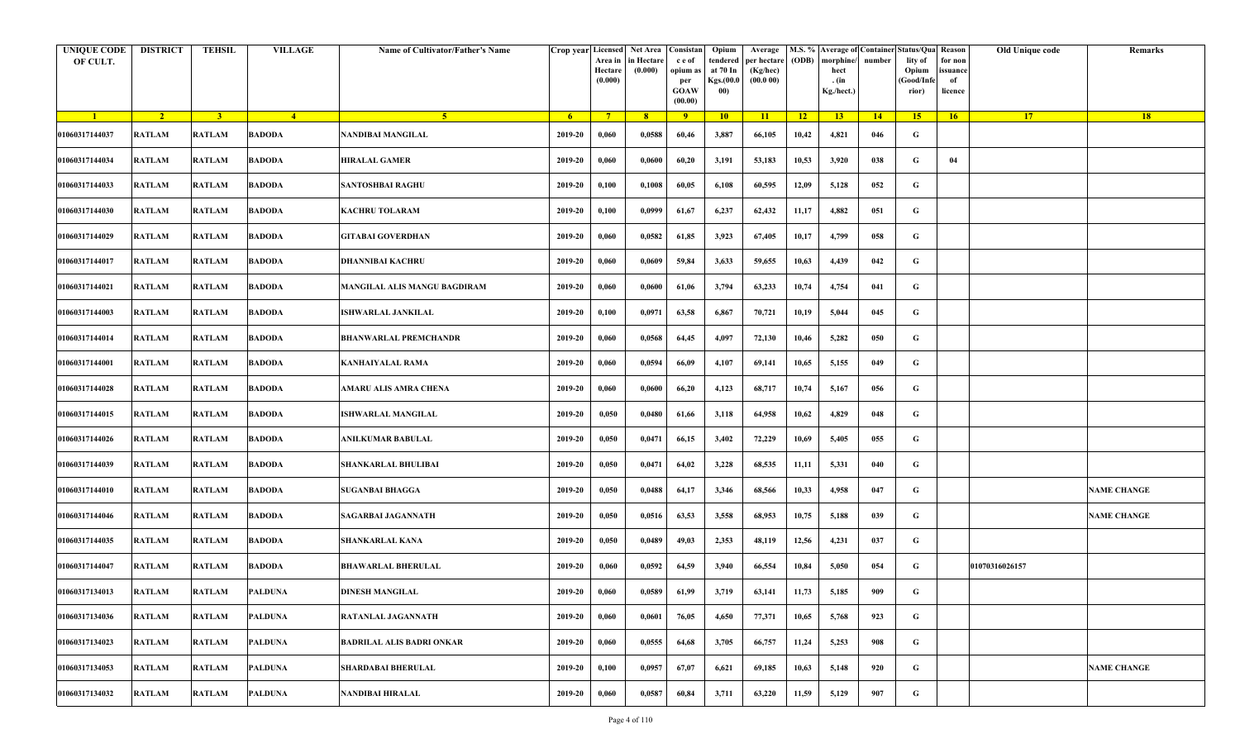| <b>UNIQUE CODE</b><br>OF CULT. | <b>DISTRICT</b> | <b>TEHSIL</b>  | <b>VILLAGE</b> | Name of Cultivator/Father's Name    | Crop year Licensed | Area in<br>Hectare<br>(0.000) | Net Area   Consistan<br>in Hectare<br>(0.000) | c e of<br>opium as<br>per<br><b>GOAW</b><br>(00.00) | Opium<br>tendered<br>at 70 In<br>Kgs.(00.0<br>00) | Average<br>per hectare<br>(Kg/hec)<br>(00.000) | (ODB) | M.S. % Average of Container Status/Qua Reason<br>morphine/<br>hect<br>. (in<br>Kg./hect.) | number      | lity of<br>Opium<br>(Good/Infe<br>rior) | Old Unique code<br>for non<br>ssuance<br>of<br>licence | Remarks            |
|--------------------------------|-----------------|----------------|----------------|-------------------------------------|--------------------|-------------------------------|-----------------------------------------------|-----------------------------------------------------|---------------------------------------------------|------------------------------------------------|-------|-------------------------------------------------------------------------------------------|-------------|-----------------------------------------|--------------------------------------------------------|--------------------|
| $\blacksquare$                 | $\sqrt{2}$      | 3 <sup>1</sup> | $-4$           | $\sqrt{5}$                          | - 6                | $7^{\circ}$                   | 8 <sup>°</sup>                                | $\overline{9}$                                      | 10                                                | 11                                             | $-12$ | 13                                                                                        | $\sqrt{14}$ | 15                                      | <b>17</b><br>16                                        | 18                 |
| 01060317144037                 | <b>RATLAM</b>   | <b>RATLAM</b>  | <b>BADODA</b>  | NANDIBAI MANGILAL                   | 2019-20            | 0,060                         | 0,0588                                        | 60,46                                               | 3,887                                             | 66,105                                         | 10,42 | 4,821                                                                                     | 046         | G                                       |                                                        |                    |
| 01060317144034                 | <b>RATLAM</b>   | <b>RATLAM</b>  | <b>BADODA</b>  | HIRALAL GAMER                       | 2019-20            | 0,060                         | 0,0600                                        | 60,20                                               | 3,191                                             | 53,183                                         | 10,53 | 3,920                                                                                     | 038         | G                                       | 04                                                     |                    |
| 01060317144033                 | RATLAM          | <b>RATLAM</b>  | <b>BADODA</b>  | <b>SANTOSHBAI RAGHU</b>             | 2019-20            | 0,100                         | 0,1008                                        | 60,05                                               | 6,108                                             | 60,595                                         | 12,09 | 5,128                                                                                     | 052         | G                                       |                                                        |                    |
| 01060317144030                 | <b>RATLAM</b>   | <b>RATLAM</b>  | <b>BADODA</b>  | <b>KACHRU TOLARAM</b>               | 2019-20            | 0,100                         | 0,0999                                        | 61,67                                               | 6,237                                             | 62,432                                         | 11,17 | 4,882                                                                                     | 051         | G                                       |                                                        |                    |
| 01060317144029                 | <b>RATLAM</b>   | <b>RATLAM</b>  | <b>BADODA</b>  | GITABAI GOVERDHAN                   | 2019-20            | 0,060                         | 0,0582                                        | 61,85                                               | 3,923                                             | 67,405                                         | 10,17 | 4,799                                                                                     | 058         | G                                       |                                                        |                    |
| 01060317144017                 | <b>RATLAM</b>   | <b>RATLAM</b>  | <b>BADODA</b>  | DHANNIBAI KACHRU                    | 2019-20            | 0,060                         | 0,0609                                        | 59,84                                               | 3,633                                             | 59,655                                         | 10,63 | 4,439                                                                                     | 042         | G                                       |                                                        |                    |
| 01060317144021                 | RATLAM          | <b>RATLAM</b>  | <b>BADODA</b>  | <b>MANGILAL ALIS MANGU BAGDIRAM</b> | 2019-20            | 0,060                         | 0,0600                                        | 61,06                                               | 3,794                                             | 63,233                                         | 10,74 | 4,754                                                                                     | 041         | G                                       |                                                        |                    |
| 01060317144003                 | RATLAM          | <b>RATLAM</b>  | <b>BADODA</b>  | ISHWARLAL JANKILAL                  | 2019-20            | 0,100                         | 0,0971                                        | 63,58                                               | 6,867                                             | 70,721                                         | 10,19 | 5,044                                                                                     | 045         | G                                       |                                                        |                    |
| 01060317144014                 | <b>RATLAM</b>   | <b>RATLAM</b>  | <b>BADODA</b>  | BHANWARLAL PREMCHANDR               | 2019-20            | 0,060                         | 0,0568                                        | 64,45                                               | 4,097                                             | 72,130                                         | 10,46 | 5,282                                                                                     | 050         | G                                       |                                                        |                    |
| 01060317144001                 | <b>RATLAM</b>   | <b>RATLAM</b>  | <b>BADODA</b>  | <b>KANHAIYALAL RAMA</b>             | 2019-20            | 0,060                         | 0,0594                                        | 66,09                                               | 4,107                                             | 69,141                                         | 10,65 | 5,155                                                                                     | 049         | G                                       |                                                        |                    |
| 01060317144028                 | <b>RATLAM</b>   | <b>RATLAM</b>  | <b>BADODA</b>  | AMARU ALIS AMRA CHENA               | 2019-20            | 0,060                         | 0,0600                                        | 66,20                                               | 4,123                                             | 68,717                                         | 10,74 | 5,167                                                                                     | 056         | G                                       |                                                        |                    |
| 01060317144015                 | RATLAM          | <b>RATLAM</b>  | <b>BADODA</b>  | <b>SHWARLAL MANGILAL</b>            | 2019-20            | 0,050                         | 0,0480                                        | 61,66                                               | 3,118                                             | 64,958                                         | 10,62 | 4,829                                                                                     | 048         | G                                       |                                                        |                    |
| 01060317144026                 | <b>RATLAM</b>   | <b>RATLAM</b>  | <b>BADODA</b>  | ANILKUMAR BABULAL                   | 2019-20            | 0,050                         | 0,0471                                        | 66,15                                               | 3,402                                             | 72,229                                         | 10,69 | 5,405                                                                                     | 055         | G                                       |                                                        |                    |
| 01060317144039                 | RATLAM          | <b>RATLAM</b>  | <b>BADODA</b>  | SHANKARLAL BHULIBAI                 | 2019-20            | 0,050                         | 0,0471                                        | 64,02                                               | 3,228                                             | 68,535                                         | 11,11 | 5,331                                                                                     | 040         | G                                       |                                                        |                    |
| 01060317144010                 | <b>RATLAM</b>   | <b>RATLAM</b>  | <b>BADODA</b>  | <b>SUGANBAI BHAGGA</b>              | 2019-20            | 0,050                         | 0,0488                                        | 64,17                                               | 3,346                                             | 68,566                                         | 10,33 | 4,958                                                                                     | 047         | G                                       |                                                        | <b>NAME CHANGE</b> |
| 01060317144046                 | <b>RATLAM</b>   | <b>RATLAM</b>  | <b>BADODA</b>  | SAGARBAI JAGANNATH                  | 2019-20            | 0,050                         | 0,0516                                        | 63,53                                               | 3,558                                             | 68,953                                         | 10,75 | 5,188                                                                                     | 039         | G                                       |                                                        | <b>NAME CHANGE</b> |
| 01060317144035                 | <b>RATLAM</b>   | <b>RATLAM</b>  | <b>BADODA</b>  | <b>SHANKARLAL KANA</b>              | 2019-20            | 0,050                         | 0,0489                                        | 49,03                                               | 2,353                                             | 48,119                                         | 12,56 | 4,231                                                                                     | 037         | G                                       |                                                        |                    |
| 01060317144047                 | <b>RATLAM</b>   | <b>RATLAM</b>  | <b>BADODA</b>  | <b>BHAWARLAL BHERULAL</b>           | 2019-20            | 0,060                         | 0,0592                                        | 64,59                                               | 3,940                                             | 66,554                                         | 10,84 | 5,050                                                                                     | 054         | G                                       | 01070316026157                                         |                    |
| 01060317134013                 | RATLAM          | <b>RATLAM</b>  | <b>PALDUNA</b> | DINESH MANGILAL                     | 2019-20            | 0,060                         | 0,0589                                        | 61,99                                               | 3,719                                             | 63,141                                         | 11,73 | 5,185                                                                                     | 909         | G                                       |                                                        |                    |
| 01060317134036                 | RATLAM          | <b>RATLAM</b>  | PALDUNA        | RATANLAL JAGANNATH                  | 2019-20            | 0,060                         | 0,0601                                        | 76,05                                               | 4,650                                             | 77,371                                         | 10,65 | 5,768                                                                                     | 923         | $\mathbf G$                             |                                                        |                    |
| 01060317134023                 | RATLAM          | <b>RATLAM</b>  | PALDUNA        | <b>BADRILAL ALIS BADRI ONKAR</b>    | 2019-20            | 0,060                         | 0,0555                                        | 64,68                                               | 3,705                                             | 66,757                                         | 11,24 | 5,253                                                                                     | 908         | $\mathbf G$                             |                                                        |                    |
| 01060317134053                 | <b>RATLAM</b>   | <b>RATLAM</b>  | <b>PALDUNA</b> | <b>SHARDABAI BHERULAL</b>           | 2019-20            | 0,100                         | 0,0957                                        | 67,07                                               | 6,621                                             | 69,185                                         | 10,63 | 5,148                                                                                     | 920         | G                                       |                                                        | <b>NAME CHANGE</b> |
| 01060317134032                 | <b>RATLAM</b>   | <b>RATLAM</b>  | PALDUNA        | NANDIBAI HIRALAL                    | 2019-20            | 0,060                         | 0,0587                                        | 60,84                                               | 3,711                                             | 63,220                                         | 11,59 | 5,129                                                                                     | 907         | G                                       |                                                        |                    |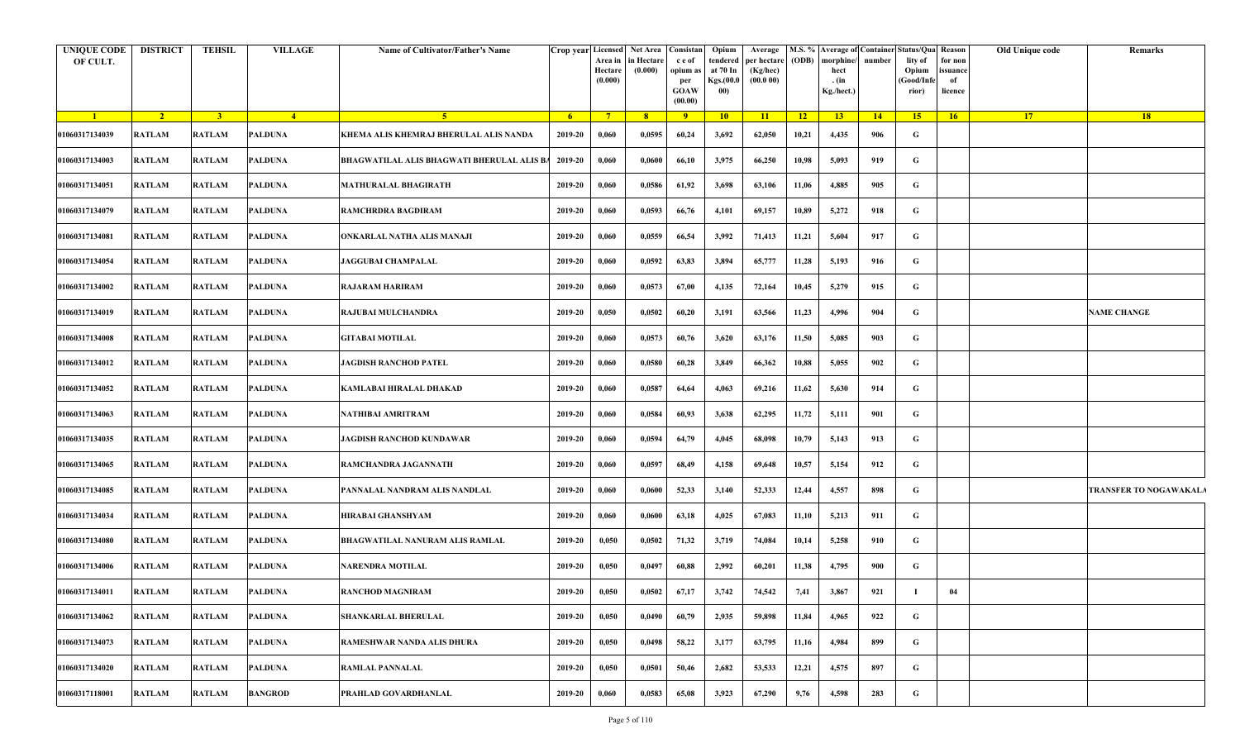| <b>UNIQUE CODE</b><br>OF CULT. | <b>DISTRICT</b> | TEHSIL         | <b>VILLAGE</b> | Name of Cultivator/Father's Name           | Crop year Licensed Net Area | Area in<br>Hectare<br>(0.000) | in Hectare<br>(0.000) | Consistan<br>c e of<br>opium as<br>per<br>GOAW<br>(00.00) | Opium<br>at 70 In<br>Kgs.(00.0)<br>00) | Average<br>tendered   per hectare   (ODB)   morphine/<br>(Kg/hec)<br>(00.000) |       | hect<br>. (in<br>Kg./hect.) | number | M.S. % Average of Container Status/Qua Reason<br>lity of<br>Opium<br>Good/Infe<br>rior) | for non<br>issuance<br>of<br>licence | Old Unique code | Remarks                       |
|--------------------------------|-----------------|----------------|----------------|--------------------------------------------|-----------------------------|-------------------------------|-----------------------|-----------------------------------------------------------|----------------------------------------|-------------------------------------------------------------------------------|-------|-----------------------------|--------|-----------------------------------------------------------------------------------------|--------------------------------------|-----------------|-------------------------------|
| $\blacksquare$                 | $\sqrt{2}$      | $\overline{3}$ | $-4$           | 5 <sup>1</sup>                             | $-6$                        | $7^{\circ}$                   | 8 <sup>1</sup>        | $-9$                                                      | $10-10$                                | 11                                                                            | $-12$ | 13                          | 14     | $15-15$                                                                                 | 16                                   | <b>17</b>       | 18                            |
| 01060317134039                 | <b>RATLAM</b>   | <b>RATLAM</b>  | PALDUNA        | KHEMA ALIS KHEMRAJ BHERULAL ALIS NANDA     | 2019-20                     | 0,060                         | 0,0595                | 60,24                                                     | 3,692                                  | 62,050                                                                        | 10,21 | 4,435                       | 906    | G                                                                                       |                                      |                 |                               |
| 01060317134003                 | <b>RATLAM</b>   | <b>RATLAM</b>  | PALDUNA        | BHAGWATILAL ALIS BHAGWATI BHERULAL ALIS BA | 2019-20                     | 0,060                         | 0,0600                | 66,10                                                     | 3,975                                  | 66,250                                                                        | 10,98 | 5,093                       | 919    | G                                                                                       |                                      |                 |                               |
| 01060317134051                 | <b>RATLAM</b>   | <b>RATLAM</b>  | <b>PALDUNA</b> | <b>MATHURALAL BHAGIRATH</b>                | 2019-20                     | 0,060                         | 0,0586                | 61,92                                                     | 3,698                                  | 63,106                                                                        | 11,06 | 4,885                       | 905    | G                                                                                       |                                      |                 |                               |
| 01060317134079                 | <b>RATLAM</b>   | <b>RATLAM</b>  | <b>PALDUNA</b> | RAMCHRDRA BAGDIRAM                         | 2019-20                     | 0,060                         | 0,0593                | 66,76                                                     | 4,101                                  | 69,157                                                                        | 10,89 | 5,272                       | 918    | G                                                                                       |                                      |                 |                               |
| 01060317134081                 | <b>RATLAM</b>   | <b>RATLAM</b>  | <b>PALDUNA</b> | ONKARLAL NATHA ALIS MANAJI                 | 2019-20                     | 0,060                         | 0,0559                | 66,54                                                     | 3,992                                  | 71,413                                                                        | 11,21 | 5,604                       | 917    | G                                                                                       |                                      |                 |                               |
| 01060317134054                 | <b>RATLAM</b>   | <b>RATLAM</b>  | <b>PALDUNA</b> | <b>JAGGUBAI CHAMPALAL</b>                  | 2019-20                     | 0,060                         | 0,0592                | 63,83                                                     | 3,894                                  | 65,777                                                                        | 11,28 | 5,193                       | 916    | G                                                                                       |                                      |                 |                               |
| 01060317134002                 | <b>RATLAM</b>   | <b>RATLAM</b>  | PALDUNA        | RAJARAM HARIRAM                            | 2019-20                     | 0,060                         | 0,0573                | 67,00                                                     | 4,135                                  | 72,164                                                                        | 10,45 | 5,279                       | 915    | G                                                                                       |                                      |                 |                               |
| 01060317134019                 | <b>RATLAM</b>   | <b>RATLAM</b>  | PALDUNA        | <b>RAJUBAI MULCHANDRA</b>                  | 2019-20                     | 0,050                         | 0,0502                | 60,20                                                     | 3,191                                  | 63,566                                                                        | 11,23 | 4,996                       | 904    | G                                                                                       |                                      |                 | <b>NAME CHANGE</b>            |
| 01060317134008                 | <b>RATLAM</b>   | <b>RATLAM</b>  | PALDUNA        | <b>GITABAI MOTILAL</b>                     | 2019-20                     | 0,060                         | 0,0573                | 60,76                                                     | 3,620                                  | 63,176                                                                        | 11,50 | 5,085                       | 903    | G                                                                                       |                                      |                 |                               |
| 01060317134012                 | <b>RATLAM</b>   | <b>RATLAM</b>  | <b>PALDUNA</b> | <b>JAGDISH RANCHOD PATEL</b>               | 2019-20                     | 0,060                         | 0,0580                | 60,28                                                     | 3,849                                  | 66,362                                                                        | 10,88 | 5,055                       | 902    | G                                                                                       |                                      |                 |                               |
| 01060317134052                 | <b>RATLAM</b>   | <b>RATLAM</b>  | <b>PALDUNA</b> | <b>KAMLABAI HIRALAL DHAKAD</b>             | 2019-20                     | 0,060                         | 0,0587                | 64,64                                                     | 4,063                                  | 69,216                                                                        | 11,62 | 5,630                       | 914    | G                                                                                       |                                      |                 |                               |
| 01060317134063                 | <b>RATLAM</b>   | <b>RATLAM</b>  | <b>PALDUNA</b> | NATHIBAI AMRITRAM                          | 2019-20                     | 0,060                         | 0,0584                | 60,93                                                     | 3,638                                  | 62,295                                                                        | 11,72 | 5,111                       | 901    | G                                                                                       |                                      |                 |                               |
| 01060317134035                 | <b>RATLAM</b>   | <b>RATLAM</b>  | <b>PALDUNA</b> | JAGDISH RANCHOD KUNDAWAR                   | 2019-20                     | 0,060                         | 0,0594                | 64,79                                                     | 4,045                                  | 68,098                                                                        | 10,79 | 5,143                       | 913    | G                                                                                       |                                      |                 |                               |
| 01060317134065                 | <b>RATLAM</b>   | <b>RATLAM</b>  | <b>PALDUNA</b> | RAMCHANDRA JAGANNATH                       | 2019-20                     | 0,060                         | 0,0597                | 68,49                                                     | 4,158                                  | 69,648                                                                        | 10,57 | 5,154                       | 912    | G                                                                                       |                                      |                 |                               |
| 01060317134085                 | <b>RATLAM</b>   | <b>RATLAM</b>  | <b>PALDUNA</b> | PANNALAL NANDRAM ALIS NANDLAL              | 2019-20                     | 0,060                         | 0,0600                | 52,33                                                     | 3,140                                  | 52,333                                                                        | 12,44 | 4,557                       | 898    | G                                                                                       |                                      |                 | <b>TRANSFER TO NOGAWAKALA</b> |
| 01060317134034                 | <b>RATLAM</b>   | <b>RATLAM</b>  | PALDUNA        | HIRABAI GHANSHYAM                          | 2019-20                     | 0,060                         | 0,0600                | 63,18                                                     | 4,025                                  | 67,083                                                                        | 11,10 | 5,213                       | 911    | G                                                                                       |                                      |                 |                               |
| 01060317134080                 | <b>RATLAM</b>   | <b>RATLAM</b>  | PALDUNA        | <b>BHAGWATILAL NANURAM ALIS RAMLAL</b>     | 2019-20                     | 0,050                         | 0,0502                | 71,32                                                     | 3,719                                  | 74,084                                                                        | 10,14 | 5,258                       | 910    | G                                                                                       |                                      |                 |                               |
| 01060317134006                 | <b>RATLAM</b>   | <b>RATLAM</b>  | <b>PALDUNA</b> | <b>NARENDRA MOTILAL</b>                    | 2019-20                     | 0,050                         | 0,0497                | 60,88                                                     | 2,992                                  | 60,201                                                                        | 11,38 | 4,795                       | 900    | G                                                                                       |                                      |                 |                               |
| 01060317134011                 | <b>RATLAM</b>   | <b>RATLAM</b>  | PALDUNA        | <b>RANCHOD MAGNIRAM</b>                    | $2019 - 20$                 | 0,050                         | 0,0502                | 67,17                                                     | 3,742                                  | 74,542                                                                        | 7,41  | 3,867                       | 921    |                                                                                         | 04                                   |                 |                               |
| 01060317134062                 | <b>RATLAM</b>   | <b>RATLAM</b>  | <b>PALDUNA</b> | <b>SHANKARLAL BHERULAL</b>                 | 2019-20                     | 0,050                         | 0,0490                | 60,79                                                     | 2,935                                  | 59,898                                                                        | 11,84 | 4,965                       | 922    | G                                                                                       |                                      |                 |                               |
| 01060317134073                 | <b>RATLAM</b>   | <b>RATLAM</b>  | <b>PALDUNA</b> | RAMESHWAR NANDA ALIS DHURA                 | 2019-20                     | 0,050                         | 0,0498                | 58,22                                                     | 3,177                                  | 63,795                                                                        | 11,16 | 4,984                       | 899    | $\mathbf G$                                                                             |                                      |                 |                               |
| 01060317134020                 | <b>RATLAM</b>   | <b>RATLAM</b>  | <b>PALDUNA</b> | <b>RAMLAL PANNALAL</b>                     | 2019-20                     | 0,050                         | 0,0501                | 50,46                                                     | 2,682                                  | 53,533                                                                        | 12,21 | 4,575                       | 897    | G                                                                                       |                                      |                 |                               |
| 01060317118001                 | <b>RATLAM</b>   | <b>RATLAM</b>  | <b>BANGROD</b> | PRAHLAD GOVARDHANLAL                       | 2019-20                     | 0,060                         | 0,0583                | 65,08                                                     | 3,923                                  | 67,290                                                                        | 9,76  | 4,598                       | 283    | G                                                                                       |                                      |                 |                               |
|                                |                 |                |                |                                            |                             |                               |                       |                                                           |                                        |                                                                               |       |                             |        |                                                                                         |                                      |                 |                               |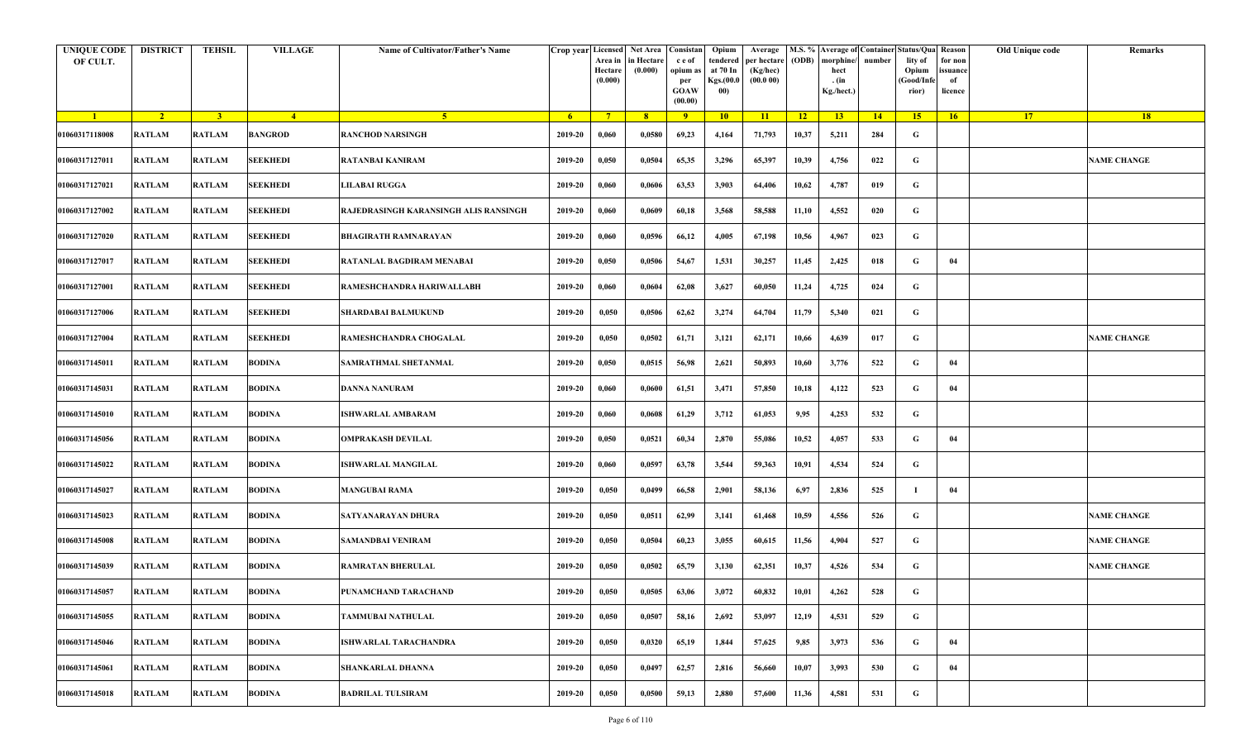| <b>UNIQUE CODE</b><br>OF CULT. | <b>DISTRICT</b> | TEHSIL         | <b>VILLAGE</b>  | Name of Cultivator/Father's Name      | Crop year Licensed | Area in<br>Hectare<br>(0.000) | Net Area   Consistan<br>n Hectare<br>(0.000) | c e of<br>opium as<br>per<br><b>GOAW</b><br>(00.00) | Opium<br>tendered<br>at 70 In<br>Kgs.(00.0<br>00) | Average<br>per hectare<br>(Kg/hec)<br>(00.000) | (ODB) | M.S. % Average of Container Status/Qua Reason<br>morphine/<br>hect<br>. (in<br>Kg./hect.) | number | lity of<br>Opium<br>(Good/Info<br>rior) | for non<br>ssuance<br>of<br>licence | Old Unique code | Remarks            |
|--------------------------------|-----------------|----------------|-----------------|---------------------------------------|--------------------|-------------------------------|----------------------------------------------|-----------------------------------------------------|---------------------------------------------------|------------------------------------------------|-------|-------------------------------------------------------------------------------------------|--------|-----------------------------------------|-------------------------------------|-----------------|--------------------|
| $\blacksquare$                 | $\sqrt{2}$      | $\overline{3}$ | $-4$            | 5 <sup>1</sup>                        | 6 <sup>1</sup>     | $7^{\circ}$                   | 8                                            | 9                                                   | 10                                                | 11                                             | $-12$ | 13 <sup>7</sup>                                                                           | 14     | 15                                      | 16                                  | 17 <sup>2</sup> | 18                 |
| 01060317118008                 | <b>RATLAM</b>   | <b>RATLAM</b>  | <b>BANGROD</b>  | <b>RANCHOD NARSINGH</b>               | 2019-20            | 0,060                         | 0,0580                                       | 69,23                                               | 4,164                                             | 71,793                                         | 10,37 | 5,211                                                                                     | 284    | G                                       |                                     |                 |                    |
| 01060317127011                 | <b>RATLAM</b>   | <b>RATLAM</b>  | <b>SEEKHEDI</b> | RATANBAI KANIRAM                      | 2019-20            | 0,050                         | 0,0504                                       | 65,35                                               | 3,296                                             | 65,397                                         | 10,39 | 4,756                                                                                     | 022    | G                                       |                                     |                 | <b>NAME CHANGE</b> |
| 01060317127021                 | <b>RATLAM</b>   | <b>RATLAM</b>  | <b>SEEKHEDI</b> | <b>LILABAI RUGGA</b>                  | 2019-20            | 0,060                         | 0,0606                                       | 63,53                                               | 3,903                                             | 64,406                                         | 10,62 | 4,787                                                                                     | 019    | G                                       |                                     |                 |                    |
| 01060317127002                 | <b>RATLAM</b>   | <b>RATLAM</b>  | <b>SEEKHEDI</b> | RAJEDRASINGH KARANSINGH ALIS RANSINGH | 2019-20            | 0,060                         | 0,0609                                       | 60,18                                               | 3,568                                             | 58,588                                         | 11,10 | 4,552                                                                                     | 020    | G                                       |                                     |                 |                    |
| 01060317127020                 | RATLAM          | <b>RATLAM</b>  | <b>SEEKHEDI</b> | <b>BHAGIRATH RAMNARAYAN</b>           | 2019-20            | 0,060                         | 0,0596                                       | 66,12                                               | 4,005                                             | 67,198                                         | 10,56 | 4,967                                                                                     | 023    | G                                       |                                     |                 |                    |
| 01060317127017                 | <b>RATLAM</b>   | <b>RATLAM</b>  | <b>SEEKHEDI</b> | RATANLAL BAGDIRAM MENABAI             | 2019-20            | 0,050                         | 0,0506                                       | 54,67                                               | 1,531                                             | 30,257                                         | 11,45 | 2,425                                                                                     | 018    | G                                       | 04                                  |                 |                    |
| 01060317127001                 | <b>RATLAM</b>   | <b>RATLAM</b>  | <b>SEEKHEDI</b> | RAMESHCHANDRA HARIWALLABH             | 2019-20            | 0,060                         | 0,0604                                       | 62,08                                               | 3,627                                             | 60,050                                         | 11,24 | 4,725                                                                                     | 024    | G                                       |                                     |                 |                    |
| 01060317127006                 | <b>RATLAM</b>   | <b>RATLAM</b>  | <b>SEEKHEDI</b> | <b>SHARDABAI BALMUKUND</b>            | 2019-20            | 0,050                         | 0,0506                                       | 62,62                                               | 3,274                                             | 64,704                                         | 11,79 | 5,340                                                                                     | 021    | G                                       |                                     |                 |                    |
| 01060317127004                 | <b>RATLAM</b>   | <b>RATLAM</b>  | <b>SEEKHEDI</b> | RAMESHCHANDRA CHOGALAL                | 2019-20            | 0,050                         | 0,0502                                       | 61,71                                               | 3,121                                             | 62,171                                         | 10,66 | 4,639                                                                                     | 017    | G                                       |                                     |                 | <b>NAME CHANGE</b> |
| 01060317145011                 | <b>RATLAM</b>   | <b>RATLAM</b>  | <b>BODINA</b>   | SAMRATHMAL SHETANMAL                  | 2019-20            | 0,050                         | 0,0515                                       | 56,98                                               | 2,621                                             | 50,893                                         | 10,60 | 3,776                                                                                     | 522    | G                                       | 04                                  |                 |                    |
| 01060317145031                 | <b>RATLAM</b>   | <b>RATLAM</b>  | <b>BODINA</b>   | DANNA NANURAM                         | 2019-20            | 0,060                         | 0,0600                                       | 61,51                                               | 3,471                                             | 57,850                                         | 10,18 | 4,122                                                                                     | 523    | G                                       | 04                                  |                 |                    |
| 01060317145010                 | <b>RATLAM</b>   | <b>RATLAM</b>  | <b>BODINA</b>   | ISHWARLAL AMBARAM                     | 2019-20            | 0,060                         | 0,0608                                       | 61,29                                               | 3,712                                             | 61,053                                         | 9,95  | 4,253                                                                                     | 532    | G                                       |                                     |                 |                    |
| 01060317145056                 | <b>RATLAM</b>   | <b>RATLAM</b>  | <b>BODINA</b>   | OMPRAKASH DEVILAL                     | 2019-20            | 0,050                         | 0,0521                                       | 60,34                                               | 2,870                                             | 55,086                                         | 10,52 | 4,057                                                                                     | 533    | G                                       | 04                                  |                 |                    |
| 01060317145022                 | RATLAM          | <b>RATLAM</b>  | <b>BODINA</b>   | ISHWARLAL MANGILAL                    | 2019-20            | 0,060                         | 0,0597                                       | 63,78                                               | 3,544                                             | 59,363                                         | 10,91 | 4,534                                                                                     | 524    | G                                       |                                     |                 |                    |
| 01060317145027                 | <b>RATLAM</b>   | <b>RATLAM</b>  | <b>BODINA</b>   | <b>MANGUBAI RAMA</b>                  | 2019-20            | 0,050                         | 0,0499                                       | 66,58                                               | 2,901                                             | 58,136                                         | 6,97  | 2,836                                                                                     | 525    | $\mathbf I$                             | 04                                  |                 |                    |
| 01060317145023                 | <b>RATLAM</b>   | <b>RATLAM</b>  | <b>BODINA</b>   | SATYANARAYAN DHURA                    | 2019-20            | 0,050                         | 0,0511                                       | 62,99                                               | 3,141                                             | 61,468                                         | 10,59 | 4,556                                                                                     | 526    | G                                       |                                     |                 | <b>NAME CHANGE</b> |
| 01060317145008                 | <b>RATLAM</b>   | <b>RATLAM</b>  | <b>BODINA</b>   | <b>SAMANDBAI VENIRAM</b>              | 2019-20            | 0,050                         | 0,0504                                       | 60,23                                               | 3,055                                             | 60,615                                         | 11,56 | 4,904                                                                                     | 527    | G                                       |                                     |                 | <b>NAME CHANGE</b> |
| 01060317145039                 | RATLAM          | <b>RATLAM</b>  | <b>BODINA</b>   | RAMRATAN BHERULAL                     | 2019-20            | 0,050                         | 0,0502                                       | 65,79                                               | 3,130                                             | 62,351                                         | 10,37 | 4,526                                                                                     | 534    | G                                       |                                     |                 | <b>NAME CHANGE</b> |
| 01060317145057                 | RATLAM          | <b>RATLAM</b>  | <b>BODINA</b>   | PUNAMCHAND TARACHAND                  | 2019-20            | 0,050                         | 0,0505                                       | 63,06                                               | 3,072                                             | 60,832                                         | 10,01 | 4,262                                                                                     | 528    | G                                       |                                     |                 |                    |
| 01060317145055                 | <b>RATLAM</b>   | <b>RATLAM</b>  | <b>BODINA</b>   | TAMMUBAI NATHULAL                     | 2019-20            | 0,050                         | 0,0507                                       | 58,16                                               | 2,692                                             | 53,097                                         | 12,19 | 4,531                                                                                     | 529    | $\mathbf G$                             |                                     |                 |                    |
| 01060317145046                 | <b>RATLAM</b>   | <b>RATLAM</b>  | <b>BODINA</b>   | ISHWARLAL TARACHANDRA                 | 2019-20            | 0,050                         | 0,0320                                       | 65,19                                               | 1,844                                             | 57,625                                         | 9,85  | 3,973                                                                                     | 536    | G                                       | 04                                  |                 |                    |
| 01060317145061                 | <b>RATLAM</b>   | <b>RATLAM</b>  | <b>BODINA</b>   | SHANKARLAL DHANNA                     | 2019-20            | 0,050                         | 0,0497                                       | 62,57                                               | 2,816                                             | 56,660                                         | 10,07 | 3,993                                                                                     | 530    | $\mathbf G$                             | 04                                  |                 |                    |
| 01060317145018                 | <b>RATLAM</b>   | <b>RATLAM</b>  | <b>BODINA</b>   | <b>BADRILAL TULSIRAM</b>              | 2019-20            | 0,050                         | 0,0500                                       | 59,13                                               | 2,880                                             | 57,600                                         | 11,36 | 4,581                                                                                     | 531    | G                                       |                                     |                 |                    |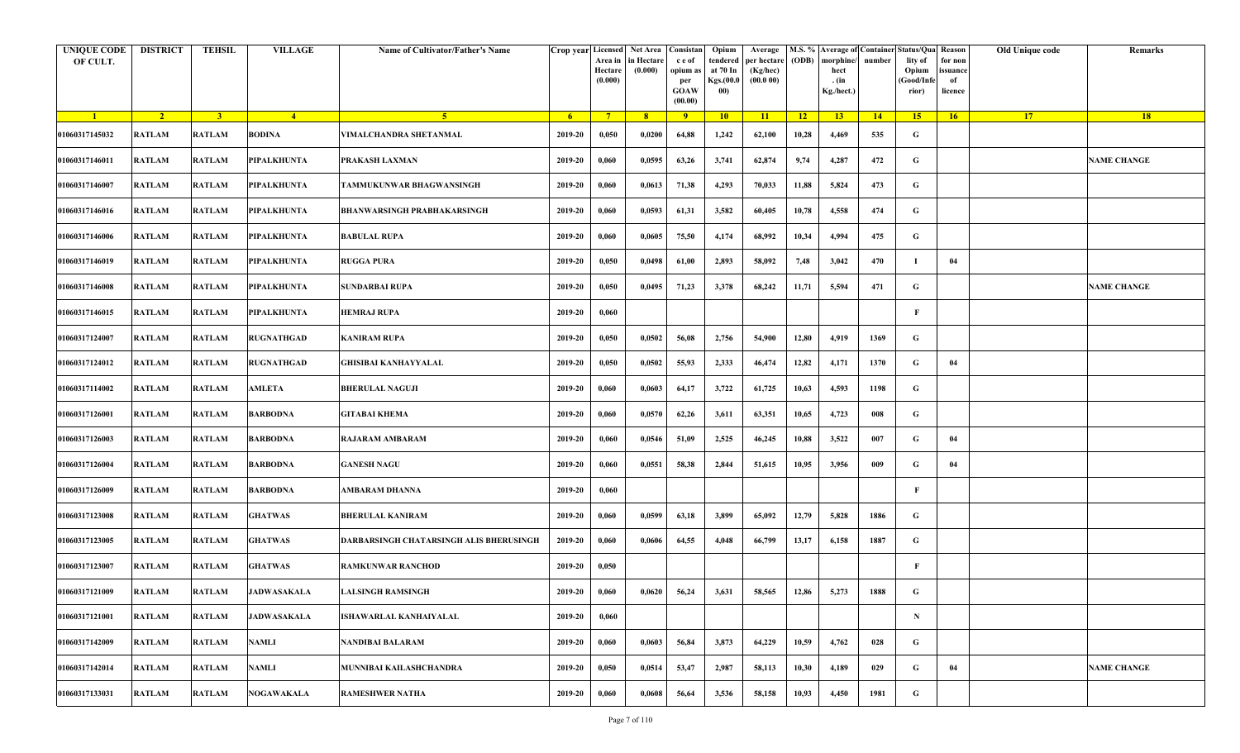| <b>UNIQUE CODE</b><br>OF CULT. | <b>DISTRICT</b> | TEHSIL         | <b>VILLAGE</b>     | Name of Cultivator/Father's Name        | Crop year Licensed | Area in<br>Hectare<br>(0.000) | Net Area   Consistan<br>n Hectare<br>(0.000) | c e of<br>opium as<br>per<br><b>GOAW</b><br>(00.00) | Opium<br>tendered<br>at 70 In<br>Kgs.(00.0<br>00) | Average<br>per hectare<br>(Kg/hec)<br>(00.000) | (ODB) | M.S. % Average of Container Status/Qua Reason<br>morphine/<br>hect<br>. (in<br>Kg./hect.) | number | lity of<br>Opium<br>(Good/Info<br>rior) | for non<br>ssuance<br>of<br>licence | Old Unique code | Remarks            |
|--------------------------------|-----------------|----------------|--------------------|-----------------------------------------|--------------------|-------------------------------|----------------------------------------------|-----------------------------------------------------|---------------------------------------------------|------------------------------------------------|-------|-------------------------------------------------------------------------------------------|--------|-----------------------------------------|-------------------------------------|-----------------|--------------------|
| $\blacksquare$                 | $\sqrt{2}$      | $\overline{3}$ | $-4$               | 5 <sup>1</sup>                          | 6 <sup>1</sup>     | $7^{\circ}$                   | 8 <sup>°</sup>                               | 9                                                   | 10                                                | 11                                             | $-12$ | 13 <sup>7</sup>                                                                           | 14     | 15                                      | 16                                  | 17 <sup>2</sup> | 18                 |
| 01060317145032                 | <b>RATLAM</b>   | <b>RATLAM</b>  | <b>BODINA</b>      | VIMALCHANDRA SHETANMAL                  | 2019-20            | 0,050                         | 0,0200                                       | 64,88                                               | 1,242                                             | 62,100                                         | 10,28 | 4,469                                                                                     | 535    | G                                       |                                     |                 |                    |
| 01060317146011                 | <b>RATLAM</b>   | <b>RATLAM</b>  | PIPALKHUNTA        | PRAKASH LAXMAN                          | 2019-20            | 0,060                         | 0,0595                                       | 63,26                                               | 3,741                                             | 62,874                                         | 9,74  | 4,287                                                                                     | 472    | G                                       |                                     |                 | <b>NAME CHANGE</b> |
| 01060317146007                 | <b>RATLAM</b>   | <b>RATLAM</b>  | PIPALKHUNTA        | TAMMUKUNWAR BHAGWANSINGH                | 2019-20            | 0,060                         | 0,0613                                       | 71,38                                               | 4,293                                             | 70,033                                         | 11,88 | 5,824                                                                                     | 473    | G                                       |                                     |                 |                    |
| 01060317146016                 | <b>RATLAM</b>   | <b>RATLAM</b>  | PIPALKHUNTA        | BHANWARSINGH PRABHAKARSINGH             | 2019-20            | 0,060                         | 0,0593                                       | 61,31                                               | 3,582                                             | 60,405                                         | 10,78 | 4,558                                                                                     | 474    | G                                       |                                     |                 |                    |
| 01060317146006                 | RATLAM          | <b>RATLAM</b>  | PIPALKHUNTA        | <b>BABULAL RUPA</b>                     | 2019-20            | 0,060                         | 0,0605                                       | 75,50                                               | 4,174                                             | 68,992                                         | 10,34 | 4,994                                                                                     | 475    | G                                       |                                     |                 |                    |
| 01060317146019                 | <b>RATLAM</b>   | <b>RATLAM</b>  | PIPALKHUNTA        | <b>RUGGA PURA</b>                       | 2019-20            | 0,050                         | 0,0498                                       | 61,00                                               | 2,893                                             | 58,092                                         | 7,48  | 3,042                                                                                     | 470    | - 1                                     | 04                                  |                 |                    |
| 01060317146008                 | <b>RATLAM</b>   | <b>RATLAM</b>  | PIPALKHUNTA        | <b>SUNDARBAI RUPA</b>                   | 2019-20            | 0,050                         | 0,0495                                       | 71,23                                               | 3,378                                             | 68,242                                         | 11,71 | 5,594                                                                                     | 471    | G                                       |                                     |                 | <b>NAME CHANGE</b> |
| 01060317146015                 | <b>RATLAM</b>   | <b>RATLAM</b>  | PIPALKHUNTA        | HEMRAJ RUPA                             | 2019-20            | 0,060                         |                                              |                                                     |                                                   |                                                |       |                                                                                           |        | F                                       |                                     |                 |                    |
| 01060317124007                 | <b>RATLAM</b>   | <b>RATLAM</b>  | RUGNATHGAD         | KANIRAM RUPA                            | 2019-20            | 0,050                         | 0,0502                                       | 56,08                                               | 2,756                                             | 54,900                                         | 12,80 | 4,919                                                                                     | 1369   | G                                       |                                     |                 |                    |
| 01060317124012                 | <b>RATLAM</b>   | <b>RATLAM</b>  | <b>RUGNATHGAD</b>  | GHISIBAI KANHAYYALAL                    | 2019-20            | 0,050                         | 0,0502                                       | 55,93                                               | 2,333                                             | 46,474                                         | 12,82 | 4,171                                                                                     | 1370   | G                                       | 04                                  |                 |                    |
| 01060317114002                 | <b>RATLAM</b>   | <b>RATLAM</b>  | AMLETA             | <b>BHERULAL NAGUJI</b>                  | 2019-20            | 0,060                         | 0,0603                                       | 64,17                                               | 3,722                                             | 61,725                                         | 10,63 | 4,593                                                                                     | 1198   | G                                       |                                     |                 |                    |
| 01060317126001                 | <b>RATLAM</b>   | <b>RATLAM</b>  | <b>BARBODNA</b>    | GITABAI KHEMA                           | 2019-20            | 0,060                         | 0,0570                                       | 62,26                                               | 3,611                                             | 63,351                                         | 10,65 | 4,723                                                                                     | 008    | G                                       |                                     |                 |                    |
| 01060317126003                 | <b>RATLAM</b>   | <b>RATLAM</b>  | <b>BARBODNA</b>    | RAJARAM AMBARAM                         | 2019-20            | 0,060                         | 0,0546                                       | 51,09                                               | 2,525                                             | 46,245                                         | 10,88 | 3,522                                                                                     | 007    | G                                       | 04                                  |                 |                    |
| 01060317126004                 | RATLAM          | <b>RATLAM</b>  | <b>BARBODNA</b>    | <b>GANESH NAGU</b>                      | 2019-20            | 0,060                         | 0,0551                                       | 58,38                                               | 2,844                                             | 51,615                                         | 10,95 | 3,956                                                                                     | 009    | G                                       | 04                                  |                 |                    |
| 01060317126009                 | <b>RATLAM</b>   | <b>RATLAM</b>  | <b>BARBODNA</b>    | AMBARAM DHANNA                          | 2019-20            | 0,060                         |                                              |                                                     |                                                   |                                                |       |                                                                                           |        | $\mathbf{F}$                            |                                     |                 |                    |
| 01060317123008                 | <b>RATLAM</b>   | <b>RATLAM</b>  | <b>GHATWAS</b>     | BHERULAL KANIRAM                        | 2019-20            | 0,060                         | 0,0599                                       | 63,18                                               | 3,899                                             | 65,092                                         | 12,79 | 5,828                                                                                     | 1886   | G                                       |                                     |                 |                    |
| 01060317123005                 | <b>RATLAM</b>   | <b>RATLAM</b>  | <b>GHATWAS</b>     | DARBARSINGH CHATARSINGH ALIS BHERUSINGH | 2019-20            | 0,060                         | 0,0606                                       | 64,55                                               | 4,048                                             | 66,799                                         | 13,17 | 6,158                                                                                     | 1887   | G                                       |                                     |                 |                    |
| 01060317123007                 | RATLAM          | <b>RATLAM</b>  | <b>GHATWAS</b>     | RAMKUNWAR RANCHOD                       | 2019-20            | 0,050                         |                                              |                                                     |                                                   |                                                |       |                                                                                           |        | F                                       |                                     |                 |                    |
| 01060317121009                 | RATLAM          | <b>RATLAM</b>  | <b>JADWASAKALA</b> | <b>LALSINGH RAMSINGH</b>                | 2019-20            | 0,060                         | 0,0620                                       | 56,24                                               | 3,631                                             | 58,565                                         | 12,86 | 5,273                                                                                     | 1888   | G                                       |                                     |                 |                    |
| 01060317121001                 | <b>RATLAM</b>   | <b>RATLAM</b>  | <b>JADWASAKALA</b> | ISHAWARLAL KANHAIYALAL                  | 2019-20            | 0,060                         |                                              |                                                     |                                                   |                                                |       |                                                                                           |        | $\mathbf N$                             |                                     |                 |                    |
| 01060317142009                 | RATLAM          | <b>RATLAM</b>  | <b>NAMLI</b>       | NANDIBAI BALARAM                        | 2019-20            | 0,060                         | 0,0603                                       | 56,84                                               | 3,873                                             | 64,229                                         | 10,59 | 4,762                                                                                     | 028    | $\mathbf G$                             |                                     |                 |                    |
| 01060317142014                 | <b>RATLAM</b>   | <b>RATLAM</b>  | <b>NAMLI</b>       | MUNNIBAI KAILASHCHANDRA                 | 2019-20            | 0,050                         | 0,0514                                       | 53,47                                               | 2,987                                             | 58,113                                         | 10,30 | 4,189                                                                                     | 029    | G                                       | 04                                  |                 | <b>NAME CHANGE</b> |
| 01060317133031                 | <b>RATLAM</b>   | <b>RATLAM</b>  | NOGAWAKALA         | <b>RAMESHWER NATHA</b>                  | 2019-20            | 0,060                         | 0,0608                                       | 56,64                                               | 3,536                                             | 58,158                                         | 10,93 | 4,450                                                                                     | 1981   | G                                       |                                     |                 |                    |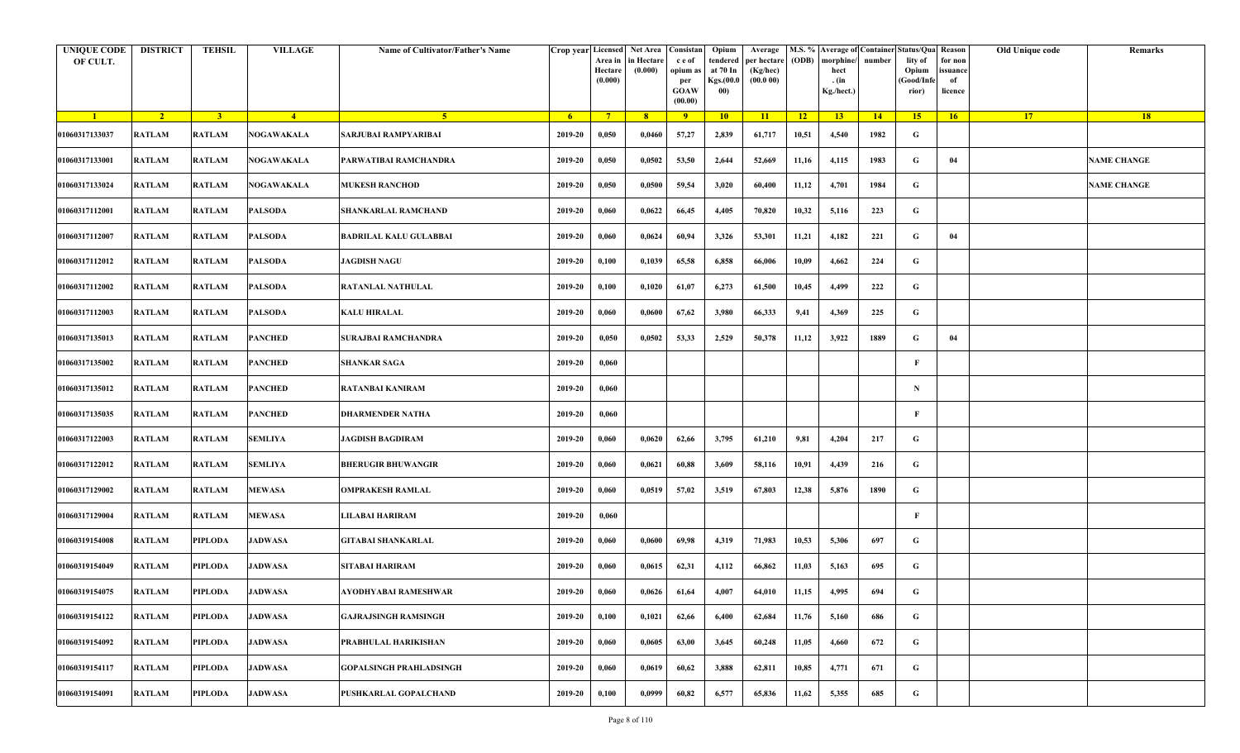| <b>UNIQUE CODE</b><br>OF CULT. | <b>DISTRICT</b> | <b>TEHSIL</b>  | <b>VILLAGE</b>    | Name of Cultivator/Father's Name |                | Crop year Licensed Net Area Consistan<br>Area in<br>Hectare<br>(0.000) | in Hectare<br>(0.000) | c e of<br>opium as<br>per<br>GOAW<br>(00.00) | Opium<br>tendered<br>at 70 In<br>Kgs.(00.0<br>00) | Average<br>per hectare<br>(Kg/hec)<br>(00.000) | (ODB)           | morphine/<br>hect<br>. (in<br>Kg./hect.) | number | M.S. % Average of Container Status/Qua Reason<br>lity of<br>Opium<br>(Good/Infe<br>rior) | for non<br>issuance<br>of<br>licence | Old Unique code | Remarks            |
|--------------------------------|-----------------|----------------|-------------------|----------------------------------|----------------|------------------------------------------------------------------------|-----------------------|----------------------------------------------|---------------------------------------------------|------------------------------------------------|-----------------|------------------------------------------|--------|------------------------------------------------------------------------------------------|--------------------------------------|-----------------|--------------------|
| $\blacksquare$ 1               | $\sqrt{2}$      | 3 <sup>1</sup> | $\frac{4}{ }$     | $-5$                             | 6 <sup>6</sup> | $7^{\circ}$                                                            | 8                     | $\overline{9}$                               | 10                                                | 11                                             | $\overline{12}$ | 13                                       | 14     | 15                                                                                       | 16                                   | 17 <sup>2</sup> | 18                 |
| 01060317133037                 | <b>RATLAM</b>   | <b>RATLAM</b>  | <b>NOGAWAKALA</b> | SARJUBAI RAMPYARIBAI             | 2019-20        | 0,050                                                                  | 0,0460                | 57,27                                        | 2,839                                             | 61,717                                         | 10,51           | 4,540                                    | 1982   | G                                                                                        |                                      |                 |                    |
| 01060317133001                 | <b>RATLAM</b>   | <b>RATLAM</b>  | NOGAWAKALA        | PARWATIBAI RAMCHANDRA            | 2019-20        | 0,050                                                                  | 0,0502                | 53,50                                        | 2,644                                             | 52,669                                         | 11,16           | 4,115                                    | 1983   | G                                                                                        | 04                                   |                 | <b>NAME CHANGE</b> |
| 01060317133024                 | <b>RATLAM</b>   | <b>RATLAM</b>  | NOGAWAKALA        | <b>MUKESH RANCHOD</b>            | 2019-20        | 0,050                                                                  | 0,0500                | 59,54                                        | 3,020                                             | 60,400                                         | 11,12           | 4,701                                    | 1984   | G                                                                                        |                                      |                 | <b>NAME CHANGE</b> |
| 01060317112001                 | <b>RATLAM</b>   | <b>RATLAM</b>  | PALSODA           | SHANKARLAL RAMCHAND              | 2019-20        | 0,060                                                                  | 0,0622                | 66,45                                        | 4,405                                             | 70,820                                         | 10,32           | 5,116                                    | 223    | G                                                                                        |                                      |                 |                    |
| 01060317112007                 | RATLAM          | <b>RATLAM</b>  | PALSODA           | <b>BADRILAL KALU GULABBAI</b>    | 2019-20        | 0,060                                                                  | 0,0624                | 60,94                                        | 3,326                                             | 53,301                                         | 11,21           | 4,182                                    | 221    | G                                                                                        | 04                                   |                 |                    |
| 01060317112012                 | <b>RATLAM</b>   | <b>RATLAM</b>  | PALSODA           | <b>JAGDISH NAGU</b>              | 2019-20        | 0,100                                                                  | 0,1039                | 65,58                                        | 6,858                                             | 66,006                                         | 10,09           | 4,662                                    | 224    | G                                                                                        |                                      |                 |                    |
| 01060317112002                 | <b>RATLAM</b>   | <b>RATLAM</b>  | PALSODA           | RATANLAL NATHULAL                | 2019-20        | 0,100                                                                  | 0,1020                | 61,07                                        | 6,273                                             | 61,500                                         | 10,45           | 4,499                                    | 222    | G                                                                                        |                                      |                 |                    |
| 01060317112003                 | <b>RATLAM</b>   | <b>RATLAM</b>  | PALSODA           | KALU HIRALAL                     | 2019-20        | 0,060                                                                  | 0,0600                | 67,62                                        | 3,980                                             | 66,333                                         | 9,41            | 4,369                                    | 225    | G                                                                                        |                                      |                 |                    |
| 01060317135013                 | <b>RATLAM</b>   | <b>RATLAM</b>  | PANCHED           | SURAJBAI RAMCHANDRA              | 2019-20        | 0,050                                                                  | 0,0502                | 53,33                                        | 2,529                                             | 50,378                                         | 11,12           | 3,922                                    | 1889   | G                                                                                        | 04                                   |                 |                    |
| 01060317135002                 | <b>RATLAM</b>   | <b>RATLAM</b>  | <b>PANCHED</b>    | <b>SHANKAR SAGA</b>              | 2019-20        | 0,060                                                                  |                       |                                              |                                                   |                                                |                 |                                          |        | F                                                                                        |                                      |                 |                    |
| 01060317135012                 | <b>RATLAM</b>   | <b>RATLAM</b>  | <b>PANCHED</b>    | RATANBAI KANIRAM                 | 2019-20        | 0,060                                                                  |                       |                                              |                                                   |                                                |                 |                                          |        | $\mathbf N$                                                                              |                                      |                 |                    |
| 01060317135035                 | <b>RATLAM</b>   | <b>RATLAM</b>  | <b>PANCHED</b>    | DHARMENDER NATHA                 | 2019-20        | 0,060                                                                  |                       |                                              |                                                   |                                                |                 |                                          |        | $\mathbf{F}$                                                                             |                                      |                 |                    |
| 01060317122003                 | <b>RATLAM</b>   | <b>RATLAM</b>  | <b>SEMLIYA</b>    | JAGDISH BAGDIRAM                 | 2019-20        | 0,060                                                                  | 0,0620                | 62,66                                        | 3,795                                             | 61,210                                         | 9,81            | 4,204                                    | 217    | G                                                                                        |                                      |                 |                    |
| 01060317122012                 | RATLAM          | <b>RATLAM</b>  | <b>SEMLIYA</b>    | <b>BHERUGIR BHUWANGIR</b>        | 2019-20        | 0,060                                                                  | 0,0621                | 60,88                                        | 3,609                                             | 58,116                                         | 10,91           | 4,439                                    | 216    | G                                                                                        |                                      |                 |                    |
| 01060317129002                 | <b>RATLAM</b>   | <b>RATLAM</b>  | <b>MEWASA</b>     | <b>OMPRAKESH RAMLAL</b>          | 2019-20        | 0,060                                                                  | 0,0519                | 57,02                                        | 3,519                                             | 67,803                                         | 12,38           | 5,876                                    | 1890   | G                                                                                        |                                      |                 |                    |
| 01060317129004                 | <b>RATLAM</b>   | <b>RATLAM</b>  | <b>MEWASA</b>     | LILABAI HARIRAM                  | 2019-20        | 0,060                                                                  |                       |                                              |                                                   |                                                |                 |                                          |        | F                                                                                        |                                      |                 |                    |
| 01060319154008                 | <b>RATLAM</b>   | <b>PIPLODA</b> | <b>JADWASA</b>    | <b>GITABAI SHANKARLAL</b>        | 2019-20        | 0,060                                                                  | 0,0600                | 69,98                                        | 4,319                                             | 71,983                                         | 10,53           | 5,306                                    | 697    | G                                                                                        |                                      |                 |                    |
| 01060319154049                 | RATLAM          | PIPLODA        | JADWASA           | SITABAI HARIRAM                  | 2019-20        | 0,060                                                                  | 0,0615                | 62,31                                        | 4,112                                             | 66,862                                         | 11,03           | 5,163                                    | 695    | G                                                                                        |                                      |                 |                    |
| 01060319154075                 | RATLAM          | PIPLODA        | <b>JADWASA</b>    | AYODHYABAI RAMESHWAR             | 2019-20        | 0,060                                                                  | 0,0626                | 61,64                                        | 4,007                                             | 64,010                                         | 11,15           | 4,995                                    | 694    | G                                                                                        |                                      |                 |                    |
| 01060319154122                 | <b>RATLAM</b>   | <b>PIPLODA</b> | <b>JADWASA</b>    | <b>GAJRAJSINGH RAMSINGH</b>      | 2019-20        | 0,100                                                                  | 0,1021                | 62,66                                        | 6,400                                             | 62,684                                         | 11,76           | 5,160                                    | 686    | G                                                                                        |                                      |                 |                    |
| 01060319154092                 | <b>RATLAM</b>   | <b>PIPLODA</b> | <b>JADWASA</b>    | PRABHULAL HARIKISHAN             | 2019-20        | 0,060                                                                  | 0,0605                | 63,00                                        | 3,645                                             | 60,248                                         | 11,05           | 4,660                                    | 672    | G                                                                                        |                                      |                 |                    |
| 01060319154117                 | <b>RATLAM</b>   | <b>PIPLODA</b> | <b>JADWASA</b>    | <b>GOPALSINGH PRAHLADSINGH</b>   | 2019-20        | 0,060                                                                  | 0,0619                | 60,62                                        | 3,888                                             | 62,811                                         | 10,85           | 4,771                                    | 671    | G                                                                                        |                                      |                 |                    |
| 01060319154091                 | <b>RATLAM</b>   | <b>PIPLODA</b> | <b>JADWASA</b>    | PUSHKARLAL GOPALCHAND            | 2019-20        | 0,100                                                                  | 0,0999                | 60,82                                        | 6,577                                             | 65,836                                         | 11,62           | 5,355                                    | 685    | G                                                                                        |                                      |                 |                    |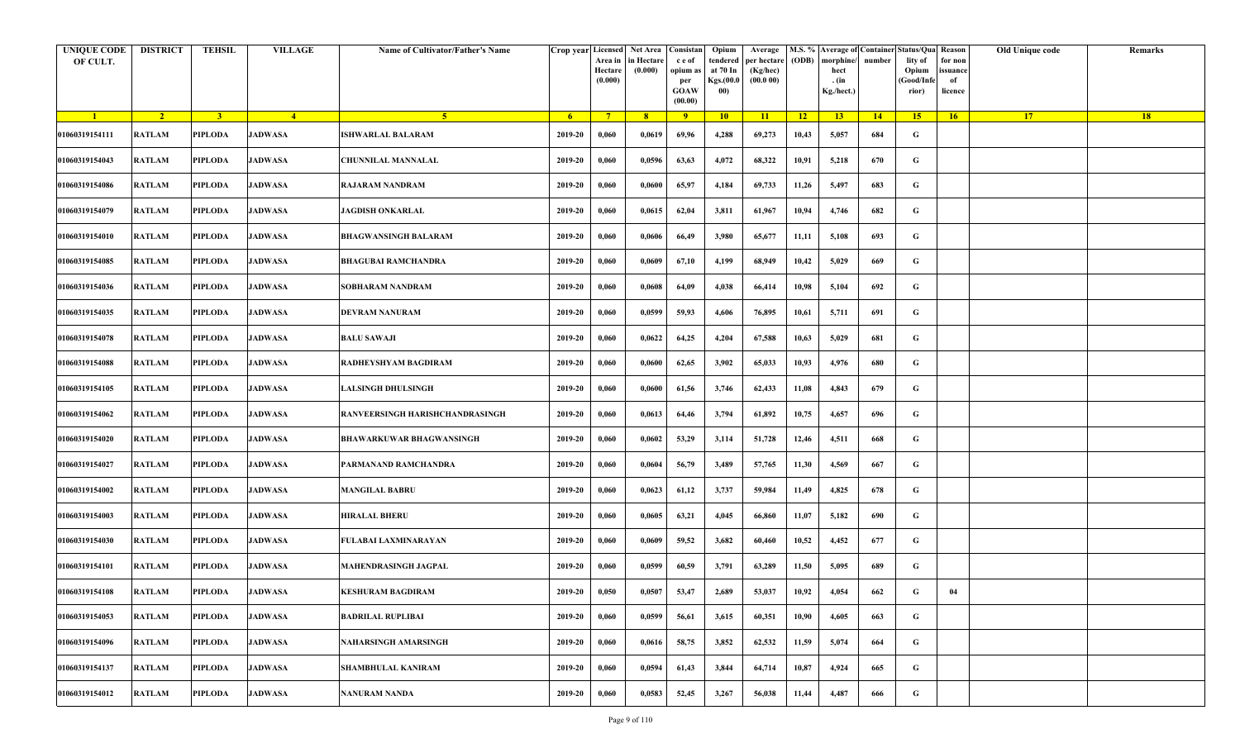| <b>UNIQUE CODE</b><br>OF CULT. | <b>DISTRICT</b> | TEHSIL         | <b>VILLAGE</b> | Name of Cultivator/Father's Name | Crop year Licensed | Area in<br>Hectare<br>(0.000) | Net Area   Consistan<br>n Hectare<br>(0.000) | c e of<br>opium as<br>per<br><b>GOAW</b><br>(00.00) | Opium<br>tendered<br>at 70 In<br>Kgs.(00.0<br>00) | Average<br>per hectare<br>(Kg/hec)<br>(00.000) | (ODB) | M.S. % Average of Container Status/Qua Reason<br>morphine/<br>hect<br>. (in<br>Kg./hect.) | number | lity of<br>Opium<br>(Good/Info<br>rior) | for non<br>ssuance<br>of<br>licence | Old Unique code | Remarks |
|--------------------------------|-----------------|----------------|----------------|----------------------------------|--------------------|-------------------------------|----------------------------------------------|-----------------------------------------------------|---------------------------------------------------|------------------------------------------------|-------|-------------------------------------------------------------------------------------------|--------|-----------------------------------------|-------------------------------------|-----------------|---------|
| $\blacksquare$                 | $\sqrt{2}$      | $\overline{3}$ | $\frac{4}{ }$  | $-5$                             | 6 <sup>1</sup>     | $7^{\circ}$                   | 8                                            | 9                                                   | 10                                                | 11                                             | $-12$ | 13 <sup>7</sup>                                                                           | 14     | 15                                      | 16                                  | 17 <sup>2</sup> | 18      |
| 01060319154111                 | <b>RATLAM</b>   | PIPLODA        | <b>JADWASA</b> | ISHWARLAL BALARAM                | 2019-20            | 0,060                         | 0,0619                                       | 69,96                                               | 4,288                                             | 69,273                                         | 10,43 | 5,057                                                                                     | 684    | G                                       |                                     |                 |         |
| 01060319154043                 | <b>RATLAM</b>   | PIPLODA        | <b>JADWASA</b> | CHUNNILAL MANNALAL               | 2019-20            | 0,060                         | 0,0596                                       | 63,63                                               | 4,072                                             | 68,322                                         | 10,91 | 5,218                                                                                     | 670    | G                                       |                                     |                 |         |
| 01060319154086                 | <b>RATLAM</b>   | PIPLODA        | <b>JADWASA</b> | <b>RAJARAM NANDRAM</b>           | 2019-20            | 0,060                         | 0,0600                                       | 65,97                                               | 4,184                                             | 69,733                                         | 11,26 | 5,497                                                                                     | 683    | G                                       |                                     |                 |         |
| 01060319154079                 | <b>RATLAM</b>   | PIPLODA        | <b>JADWASA</b> | <b>JAGDISH ONKARLAL</b>          | 2019-20            | 0,060                         | 0,0615                                       | 62,04                                               | 3,811                                             | 61,967                                         | 10,94 | 4,746                                                                                     | 682    | G                                       |                                     |                 |         |
| 01060319154010                 | RATLAM          | PIPLODA        | <b>JADWASA</b> | <b>BHAGWANSINGH BALARAM</b>      | 2019-20            | 0,060                         | 0,0606                                       | 66,49                                               | 3,980                                             | 65,677                                         | 11,11 | 5,108                                                                                     | 693    | G                                       |                                     |                 |         |
| 01060319154085                 | <b>RATLAM</b>   | <b>PIPLODA</b> | <b>JADWASA</b> | <b>BHAGUBAI RAMCHANDRA</b>       | 2019-20            | 0,060                         | 0,0609                                       | 67,10                                               | 4,199                                             | 68,949                                         | 10,42 | 5,029                                                                                     | 669    | G                                       |                                     |                 |         |
| 01060319154036                 | <b>RATLAM</b>   | PIPLODA        | <b>JADWASA</b> | SOBHARAM NANDRAM                 | 2019-20            | 0,060                         | 0,0608                                       | 64,09                                               | 4,038                                             | 66,414                                         | 10,98 | 5,104                                                                                     | 692    | G                                       |                                     |                 |         |
| 01060319154035                 | <b>RATLAM</b>   | <b>PIPLODA</b> | <b>JADWASA</b> | DEVRAM NANURAM                   | 2019-20            | 0,060                         | 0,0599                                       | 59,93                                               | 4,606                                             | 76,895                                         | 10,61 | 5,711                                                                                     | 691    | G                                       |                                     |                 |         |
| 01060319154078                 | <b>RATLAM</b>   | PIPLODA        | <b>JADWASA</b> | BALU SAWAJI                      | 2019-20            | 0,060                         | 0,0622                                       | 64,25                                               | 4,204                                             | 67,588                                         | 10,63 | 5,029                                                                                     | 681    | G                                       |                                     |                 |         |
| 01060319154088                 | <b>RATLAM</b>   | PIPLODA        | <b>JADWASA</b> | RADHEYSHYAM BAGDIRAM             | 2019-20            | 0,060                         | 0,0600                                       | 62,65                                               | 3,902                                             | 65,033                                         | 10,93 | 4,976                                                                                     | 680    | G                                       |                                     |                 |         |
| 01060319154105                 | <b>RATLAM</b>   | <b>PIPLODA</b> | <b>JADWASA</b> | ALSINGH DHULSINGH                | 2019-20            | 0,060                         | 0,0600                                       | 61,56                                               | 3,746                                             | 62,433                                         | 11,08 | 4,843                                                                                     | 679    | G                                       |                                     |                 |         |
| 01060319154062                 | <b>RATLAM</b>   | PIPLODA        | <b>JADWASA</b> | RANVEERSINGH HARISHCHANDRASINGH  | 2019-20            | 0,060                         | 0,0613                                       | 64,46                                               | 3,794                                             | 61,892                                         | 10,75 | 4,657                                                                                     | 696    | G                                       |                                     |                 |         |
| 01060319154020                 | <b>RATLAM</b>   | PIPLODA        | <b>JADWASA</b> | BHAWARKUWAR BHAGWANSINGH         | 2019-20            | 0,060                         | 0,0602                                       | 53,29                                               | 3,114                                             | 51,728                                         | 12,46 | 4,511                                                                                     | 668    | G                                       |                                     |                 |         |
| 01060319154027                 | RATLAM          | <b>PIPLODA</b> | <b>JADWASA</b> | PARMANAND RAMCHANDRA             | 2019-20            | 0,060                         | 0,0604                                       | 56,79                                               | 3,489                                             | 57,765                                         | 11,30 | 4,569                                                                                     | 667    | G                                       |                                     |                 |         |
| 01060319154002                 | <b>RATLAM</b>   | <b>PIPLODA</b> | <b>JADWASA</b> | <b>MANGILAL BABRU</b>            | 2019-20            | 0,060                         | 0,0623                                       | 61,12                                               | 3,737                                             | 59,984                                         | 11,49 | 4,825                                                                                     | 678    | G                                       |                                     |                 |         |
| 01060319154003                 | <b>RATLAM</b>   | PIPLODA        | <b>JADWASA</b> | HIRALAL BHERU                    | 2019-20            | 0,060                         | 0,0605                                       | 63,21                                               | 4,045                                             | 66,860                                         | 11,07 | 5,182                                                                                     | 690    | G                                       |                                     |                 |         |
| 01060319154030                 | <b>RATLAM</b>   | <b>PIPLODA</b> | <b>JADWASA</b> | FULABAI LAXMINARAYAN             | 2019-20            | 0,060                         | 0,0609                                       | 59,52                                               | 3,682                                             | 60,460                                         | 10,52 | 4,452                                                                                     | 677    | G                                       |                                     |                 |         |
| 01060319154101                 | RATLAM          | PIPLODA        | JADWASA        | <b>MAHENDRASINGH JAGPAL</b>      | 2019-20            | 0,060                         | 0,0599                                       | 60,59                                               | 3,791                                             | 63,289                                         | 11,50 | 5,095                                                                                     | 689    | G                                       |                                     |                 |         |
| 01060319154108                 | RATLAM          | PIPLODA        | <b>JADWASA</b> | KESHURAM BAGDIRAM                | 2019-20            | 0,050                         | 0,0507                                       | 53,47                                               | 2,689                                             | 53,037                                         | 10,92 | 4,054                                                                                     | 662    | G                                       | 04                                  |                 |         |
| 01060319154053                 | <b>RATLAM</b>   | <b>PIPLODA</b> | <b>JADWASA</b> | <b>BADRILAL RUPLIBAI</b>         | 2019-20            | 0,060                         | 0,0599                                       | 56,61                                               | 3,615                                             | 60,351                                         | 10,90 | 4,605                                                                                     | 663    | $\mathbf G$                             |                                     |                 |         |
| 01060319154096                 | RATLAM          | PIPLODA        | <b>JADWASA</b> | NAHARSINGH AMARSINGH             | 2019-20            | 0,060                         | 0,0616                                       | 58,75                                               | 3,852                                             | 62,532                                         | 11,59 | 5,074                                                                                     | 664    | $\mathbf G$                             |                                     |                 |         |
| 01060319154137                 | <b>RATLAM</b>   | <b>PIPLODA</b> | <b>JADWASA</b> | <b>SHAMBHULAL KANIRAM</b>        | 2019-20            | 0,060                         | 0,0594                                       | 61,43                                               | 3,844                                             | 64,714                                         | 10,87 | 4,924                                                                                     | 665    | G                                       |                                     |                 |         |
| 01060319154012                 | <b>RATLAM</b>   | <b>PIPLODA</b> | <b>JADWASA</b> | <b>NANURAM NANDA</b>             | 2019-20            | 0,060                         | 0,0583                                       | 52,45                                               | 3,267                                             | 56,038                                         | 11,44 | 4,487                                                                                     | 666    | G                                       |                                     |                 |         |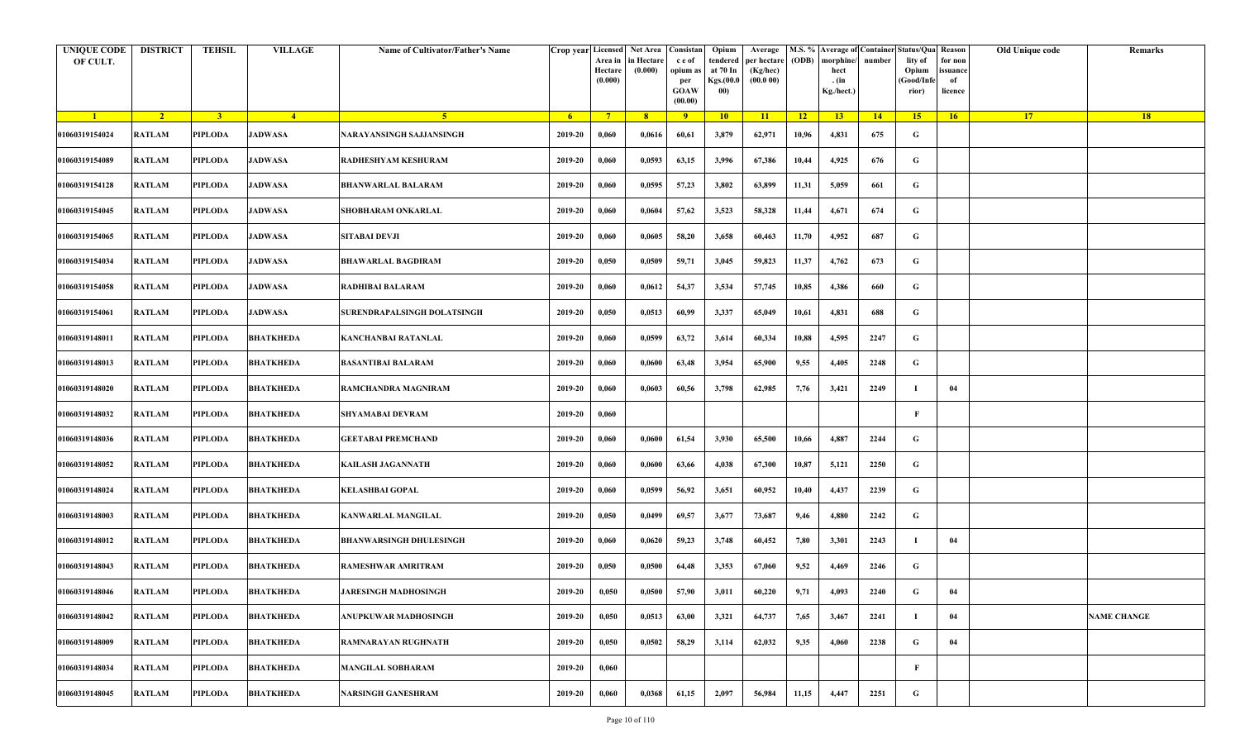| <b>UNIQUE CODE</b><br>OF CULT. | <b>DISTRICT</b> | <b>TEHSIL</b>  | <b>VILLAGE</b>   | Name of Cultivator/Father's Name | Crop year Licensed | Area in<br>Hectare<br>(0.000) | Net Area Consistan<br>in Hectare<br>(0.000) | c e of<br>opium as<br>per<br><b>GOAW</b><br>(00.00) | Opium<br>tendered<br>at 70 In<br>Kgs.(00.0<br>00) | Average<br>per hectare<br>(Kg/hec)<br>(00.000) | (ODB) | M.S. % Average of Container Status/Qua Reason<br>morphine/<br>hect<br>. (in<br>Kg./hect.) | number | lity of<br>Opium<br>(Good/Infe<br>rior) | for non<br>ssuance<br>of<br>licence | Old Unique code | Remarks            |
|--------------------------------|-----------------|----------------|------------------|----------------------------------|--------------------|-------------------------------|---------------------------------------------|-----------------------------------------------------|---------------------------------------------------|------------------------------------------------|-------|-------------------------------------------------------------------------------------------|--------|-----------------------------------------|-------------------------------------|-----------------|--------------------|
| $\blacksquare$                 | $\sqrt{2}$      | 3 <sup>1</sup> | $\sqrt{4}$       | $\sqrt{5}$                       | -6                 | $7^{\circ}$                   | 8 <sup>°</sup>                              | $\overline{9}$                                      | 10                                                | 11                                             | $-12$ | 13                                                                                        | 14     | 15                                      | 16                                  | <b>17</b>       | 18                 |
| 01060319154024                 | <b>RATLAM</b>   | PIPLODA        | <b>JADWASA</b>   | NARAYANSINGH SAJJANSINGH         | 2019-20            | 0,060                         | 0,0616                                      | 60,61                                               | 3,879                                             | 62,971                                         | 10,96 | 4,831                                                                                     | 675    | G                                       |                                     |                 |                    |
| 01060319154089                 | <b>RATLAM</b>   | PIPLODA        | <b>JADWASA</b>   | RADHESHYAM KESHURAM              | 2019-20            | 0,060                         | 0,0593                                      | 63,15                                               | 3,996                                             | 67,386                                         | 10,44 | 4,925                                                                                     | 676    | G                                       |                                     |                 |                    |
| 01060319154128                 | RATLAM          | PIPLODA        | <b>JADWASA</b>   | BHANWARLAL BALARAM               | 2019-20            | 0,060                         | 0,0595                                      | 57,23                                               | 3,802                                             | 63,899                                         | 11,31 | 5,059                                                                                     | 661    | G                                       |                                     |                 |                    |
| 01060319154045                 | <b>RATLAM</b>   | <b>PIPLODA</b> | <b>JADWASA</b>   | SHOBHARAM ONKARLAL               | 2019-20            | 0,060                         | 0,0604                                      | 57,62                                               | 3,523                                             | 58,328                                         | 11,44 | 4,671                                                                                     | 674    | G                                       |                                     |                 |                    |
| 01060319154065                 | RATLAM          | PIPLODA        | <b>JADWASA</b>   | SITABAI DEVJI                    | 2019-20            | 0,060                         | 0,0605                                      | 58,20                                               | 3,658                                             | 60,463                                         | 11,70 | 4,952                                                                                     | 687    | G                                       |                                     |                 |                    |
| 01060319154034                 | <b>RATLAM</b>   | <b>PIPLODA</b> | <b>JADWASA</b>   | <b>BHAWARLAL BAGDIRAM</b>        | 2019-20            | 0,050                         | 0,0509                                      | 59,71                                               | 3,045                                             | 59,823                                         | 11,37 | 4,762                                                                                     | 673    | G                                       |                                     |                 |                    |
| 01060319154058                 | <b>RATLAM</b>   | PIPLODA        | <b>JADWASA</b>   | RADHIBAI BALARAM                 | 2019-20            | 0,060                         | 0,0612                                      | 54,37                                               | 3,534                                             | 57,745                                         | 10,85 | 4,386                                                                                     | 660    | G                                       |                                     |                 |                    |
| 01060319154061                 | <b>RATLAM</b>   | PIPLODA        | <b>JADWASA</b>   | SURENDRAPALSINGH DOLATSINGH      | 2019-20            | 0,050                         | 0,0513                                      | 60,99                                               | 3,337                                             | 65,049                                         | 10,61 | 4,831                                                                                     | 688    | G                                       |                                     |                 |                    |
| 01060319148011                 | <b>RATLAM</b>   | PIPLODA        | <b>BHATKHEDA</b> | KANCHANBAI RATANLAL              | 2019-20            | 0,060                         | 0,0599                                      | 63,72                                               | 3,614                                             | 60,334                                         | 10,88 | 4,595                                                                                     | 2247   | G                                       |                                     |                 |                    |
| 01060319148013                 | <b>RATLAM</b>   | <b>PIPLODA</b> | <b>BHATKHEDA</b> | <b>BASANTIBAI BALARAM</b>        | 2019-20            | 0,060                         | 0,0600                                      | 63,48                                               | 3,954                                             | 65,900                                         | 9,55  | 4,405                                                                                     | 2248   | G                                       |                                     |                 |                    |
| 01060319148020                 | <b>RATLAM</b>   | PIPLODA        | <b>BHATKHEDA</b> | RAMCHANDRA MAGNIRAM              | 2019-20            | 0,060                         | 0,0603                                      | 60,56                                               | 3,798                                             | 62,985                                         | 7,76  | 3,421                                                                                     | 2249   |                                         | 04                                  |                 |                    |
| 01060319148032                 | RATLAM          | PIPLODA        | <b>BHATKHEDA</b> | SHYAMABAI DEVRAM                 | 2019-20            | 0,060                         |                                             |                                                     |                                                   |                                                |       |                                                                                           |        | F                                       |                                     |                 |                    |
| 01060319148036                 | <b>RATLAM</b>   | <b>PIPLODA</b> | <b>BHATKHEDA</b> | <b>GEETABAI PREMCHAND</b>        | 2019-20            | 0,060                         | 0,0600                                      | 61,54                                               | 3,930                                             | 65,500                                         | 10,66 | 4,887                                                                                     | 2244   | G                                       |                                     |                 |                    |
| 01060319148052                 | RATLAM          | PIPLODA        | <b>BHATKHEDA</b> | KAILASH JAGANNATH                | 2019-20            | 0,060                         | 0,0600                                      | 63,66                                               | 4,038                                             | 67,300                                         | 10,87 | 5,121                                                                                     | 2250   | G                                       |                                     |                 |                    |
| 01060319148024                 | <b>RATLAM</b>   | <b>PIPLODA</b> | <b>BHATKHEDA</b> | KELASHBAI GOPAL                  | 2019-20            | 0,060                         | 0,0599                                      | 56,92                                               | 3,651                                             | 60,952                                         | 10,40 | 4,437                                                                                     | 2239   | G                                       |                                     |                 |                    |
| 01060319148003                 | <b>RATLAM</b>   | PIPLODA        | <b>BHATKHEDA</b> | KANWARLAL MANGILAL               | 2019-20            | 0,050                         | 0,0499                                      | 69,57                                               | 3,677                                             | 73,687                                         | 9,46  | 4,880                                                                                     | 2242   | G                                       |                                     |                 |                    |
| 01060319148012                 | <b>RATLAM</b>   | <b>PIPLODA</b> | <b>BHATKHEDA</b> | <b>BHANWARSINGH DHULESINGH</b>   | 2019-20            | 0,060                         | 0,0620                                      | 59,23                                               | 3,748                                             | 60,452                                         | 7,80  | 3,301                                                                                     | 2243   | -1                                      | 04                                  |                 |                    |
| 01060319148043                 | <b>RATLAM</b>   | PIPLODA        | <b>BHATKHEDA</b> | RAMESHWAR AMRITRAM               | 2019-20            | 0,050                         | 0,0500                                      | 64,48                                               | 3,353                                             | 67,060                                         | 9,52  | 4,469                                                                                     | 2246   | G                                       |                                     |                 |                    |
| 01060319148046                 | RATLAM          | PIPLODA        | <b>BHATKHEDA</b> | <b>JARESINGH MADHOSINGH</b>      | 2019-20            | 0,050                         | 0,0500                                      | 57,90                                               | 3,011                                             | 60,220                                         | 9,71  | 4,093                                                                                     | 2240   | G                                       | 04                                  |                 |                    |
| 01060319148042                 | RATLAM          | <b>PIPLODA</b> | <b>BHATKHEDA</b> | ANUPKUWAR MADHOSINGH             | 2019-20            | 0,050                         | 0,0513                                      | 63,00                                               | 3,321                                             | 64,737                                         | 7,65  | 3,467                                                                                     | 2241   | - 1                                     | 04                                  |                 | <b>NAME CHANGE</b> |
| 01060319148009                 | RATLAM          | <b>PIPLODA</b> | <b>BHATKHEDA</b> | RAMNARAYAN RUGHNATH              | 2019-20            | 0,050                         | 0,0502                                      | 58,29                                               | 3,114                                             | 62,032                                         | 9,35  | 4,060                                                                                     | 2238   | G                                       | 04                                  |                 |                    |
| 01060319148034                 | <b>RATLAM</b>   | <b>PIPLODA</b> | <b>BHATKHEDA</b> | <b>MANGILAL SOBHARAM</b>         | 2019-20            | 0,060                         |                                             |                                                     |                                                   |                                                |       |                                                                                           |        | F                                       |                                     |                 |                    |
| 01060319148045                 | <b>RATLAM</b>   | <b>PIPLODA</b> | <b>BHATKHEDA</b> | NARSINGH GANESHRAM               | 2019-20            | 0,060                         | 0,0368                                      | 61,15                                               | 2,097                                             | 56,984                                         | 11,15 | 4,447                                                                                     | 2251   | G                                       |                                     |                 |                    |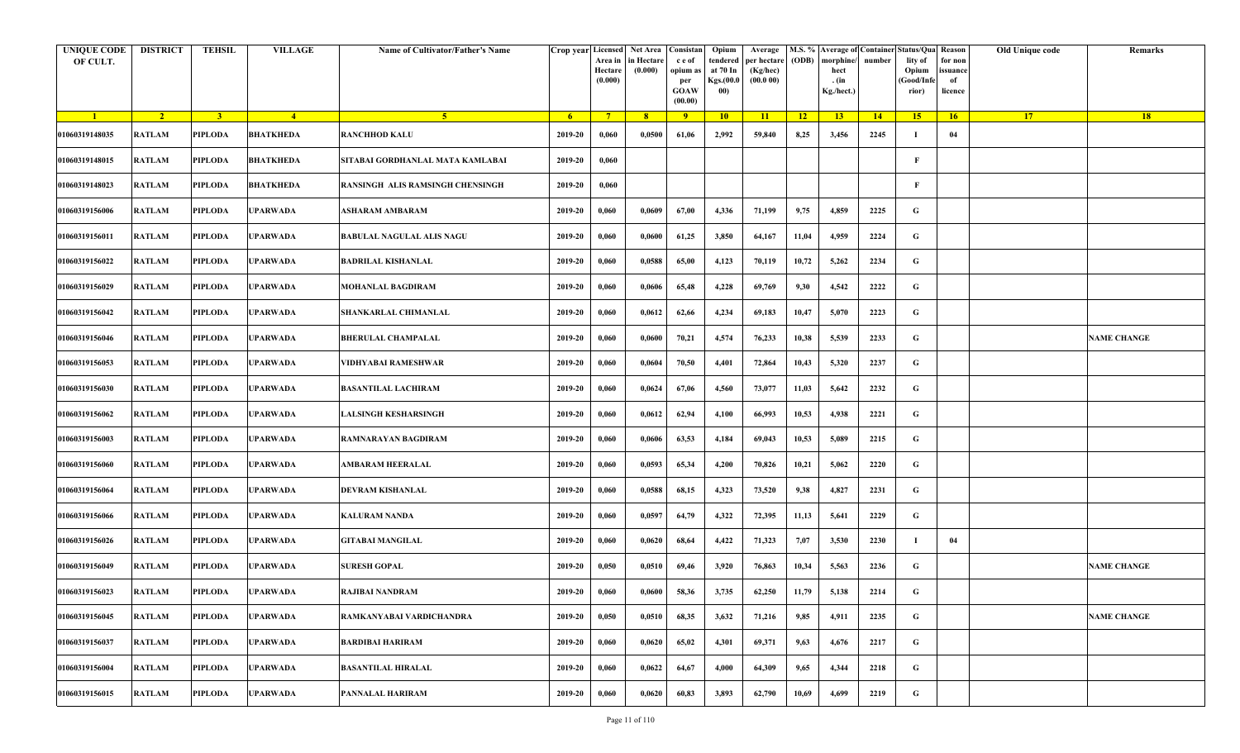| <b>UNIQUE CODE</b><br>OF CULT. | <b>DISTRICT</b> | <b>TEHSIL</b>  | <b>VILLAGE</b>   | Name of Cultivator/Father's Name | Crop year Licensed | Area in<br>Hectare<br>(0.000) | Net Area   Consistan<br>in Hectare<br>(0.000) | c e of<br>opium a<br>per<br><b>GOAW</b><br>(00.00) | Opium<br>tendered<br>at 70 In<br>Kgs.(00.0<br>00) | Average<br>per hectare<br>(Kg/hec)<br>(00.000) | (ODB) | M.S. % Average of Container Status/Qua Reason<br>morphine/<br>hect<br>. (in<br>Kg./hect.) | number | lity of<br>Opium<br>(Good/Infe<br>rior) | for non<br>ssuance<br>of<br>licence | Old Unique code | Remarks            |
|--------------------------------|-----------------|----------------|------------------|----------------------------------|--------------------|-------------------------------|-----------------------------------------------|----------------------------------------------------|---------------------------------------------------|------------------------------------------------|-------|-------------------------------------------------------------------------------------------|--------|-----------------------------------------|-------------------------------------|-----------------|--------------------|
| $\blacksquare$                 | $\overline{2}$  | 3 <sup>1</sup> | $-4$             | -5.                              | -6                 | $7^{\circ}$                   | 8 <sup>°</sup>                                | 9                                                  | 10                                                | $\overline{11}$                                | $-12$ | 13                                                                                        | 14     | 15 <sup>2</sup>                         | 16                                  | <b>17</b>       | <b>18</b>          |
| 01060319148035                 | <b>RATLAM</b>   | <b>PIPLODA</b> | <b>BHATKHEDA</b> | <b>RANCHHOD KALU</b>             | 2019-20            | 0,060                         | 0,0500                                        | 61,06                                              | 2,992                                             | 59,840                                         | 8,25  | 3,456                                                                                     | 2245   | -1                                      | 04                                  |                 |                    |
| 01060319148015                 | <b>RATLAM</b>   | <b>PIPLODA</b> | <b>BHATKHEDA</b> | SITABAI GORDHANLAL MATA KAMLABAI | 2019-20            | 0,060                         |                                               |                                                    |                                                   |                                                |       |                                                                                           |        | $\mathbf{F}$                            |                                     |                 |                    |
| 01060319148023                 | <b>RATLAM</b>   | PIPLODA        | <b>BHATKHEDA</b> | RANSINGH ALIS RAMSINGH CHENSINGH | 2019-20            | 0,060                         |                                               |                                                    |                                                   |                                                |       |                                                                                           |        | $\mathbf{F}$                            |                                     |                 |                    |
| 01060319156006                 | <b>RATLAM</b>   | <b>PIPLODA</b> | <b>UPARWADA</b>  | ASHARAM AMBARAM                  | 2019-20            | 0,060                         | 0,0609                                        | 67,00                                              | 4,336                                             | 71,199                                         | 9,75  | 4,859                                                                                     | 2225   | G                                       |                                     |                 |                    |
| 01060319156011                 | RATLAM          | <b>PIPLODA</b> | UPARWADA         | <b>BABULAL NAGULAL ALIS NAGU</b> | 2019-20            | 0,060                         | 0,0600                                        | 61,25                                              | 3,850                                             | 64,167                                         | 11,04 | 4,959                                                                                     | 2224   | G                                       |                                     |                 |                    |
| 01060319156022                 | RATLAM          | <b>PIPLODA</b> | <b>UPARWADA</b>  | <b>BADRILAL KISHANLAL</b>        | 2019-20            | 0,060                         | 0,0588                                        | 65,00                                              | 4,123                                             | 70,119                                         | 10,72 | 5,262                                                                                     | 2234   | G                                       |                                     |                 |                    |
| 01060319156029                 | <b>RATLAM</b>   | PIPLODA        | UPARWADA         | MOHANLAL BAGDIRAM                | 2019-20            | 0,060                         | 0,0606                                        | 65,48                                              | 4,228                                             | 69,769                                         | 9,30  | 4,542                                                                                     | 2222   | G                                       |                                     |                 |                    |
| 01060319156042                 | <b>RATLAM</b>   | <b>PIPLODA</b> | <b>UPARWADA</b>  | SHANKARLAL CHIMANLAL             | 2019-20            | 0,060                         | 0,0612                                        | 62,66                                              | 4,234                                             | 69,183                                         | 10,47 | 5,070                                                                                     | 2223   | G                                       |                                     |                 |                    |
| 01060319156046                 | <b>RATLAM</b>   | <b>PIPLODA</b> | <b>UPARWADA</b>  | <b>BHERULAL CHAMPALAL</b>        | 2019-20            | 0,060                         | 0,0600                                        | 70,21                                              | 4,574                                             | 76,233                                         | 10,38 | 5,539                                                                                     | 2233   | G                                       |                                     |                 | <b>NAME CHANGE</b> |
| 01060319156053                 | <b>RATLAM</b>   | <b>PIPLODA</b> | <b>UPARWADA</b>  | VIDHYABAI RAMESHWAR              | 2019-20            | 0,060                         | 0,0604                                        | 70,50                                              | 4,401                                             | 72,864                                         | 10,43 | 5,320                                                                                     | 2237   | G                                       |                                     |                 |                    |
| 01060319156030                 | <b>RATLAM</b>   | <b>PIPLODA</b> | <b>UPARWADA</b>  | <b>BASANTILAL LACHIRAM</b>       | 2019-20            | 0,060                         | 0,0624                                        | 67,06                                              | 4,560                                             | 73,077                                         | 11,03 | 5,642                                                                                     | 2232   | G                                       |                                     |                 |                    |
| 01060319156062                 | <b>RATLAM</b>   | PIPLODA        | <b>UPARWADA</b>  | LALSINGH KESHARSINGH             | 2019-20            | 0,060                         | 0,0612                                        | 62,94                                              | 4,100                                             | 66,993                                         | 10,53 | 4,938                                                                                     | 2221   | G                                       |                                     |                 |                    |
| 01060319156003                 | <b>RATLAM</b>   | <b>PIPLODA</b> | <b>UPARWADA</b>  | RAMNARAYAN BAGDIRAM              | 2019-20            | 0,060                         | 0,0606                                        | 63,53                                              | 4,184                                             | 69,043                                         | 10,53 | 5,089                                                                                     | 2215   | G                                       |                                     |                 |                    |
| 01060319156060                 | <b>RATLAM</b>   | PIPLODA        | UPARWADA         | AMBARAM HEERALAL                 | 2019-20            | 0,060                         | 0,0593                                        | 65,34                                              | 4,200                                             | 70,826                                         | 10,21 | 5,062                                                                                     | 2220   | G                                       |                                     |                 |                    |
| 01060319156064                 | RATLAM          | <b>PIPLODA</b> | <b>UPARWADA</b>  | DEVRAM KISHANLAL                 | 2019-20            | 0,060                         | 0,0588                                        | 68,15                                              | 4,323                                             | 73,520                                         | 9,38  | 4,827                                                                                     | 2231   | G                                       |                                     |                 |                    |
| 01060319156066                 | <b>RATLAM</b>   | PIPLODA        | UPARWADA         | KALURAM NANDA                    | 2019-20            | 0,060                         | 0,0597                                        | 64,79                                              | 4,322                                             | 72,395                                         | 11,13 | 5,641                                                                                     | 2229   | G                                       |                                     |                 |                    |
| 01060319156026                 | <b>RATLAM</b>   | <b>PIPLODA</b> | <b>UPARWADA</b>  | <b>GITABAI MANGILAL</b>          | 2019-20            | 0,060                         | 0,0620                                        | 68,64                                              | 4,422                                             | 71,323                                         | 7,07  | 3,530                                                                                     | 2230   | -1                                      | 04                                  |                 |                    |
| 01060319156049                 | <b>RATLAM</b>   | <b>PIPLODA</b> | <b>UPARWADA</b>  | <b>SURESH GOPAL</b>              | 2019-20            | 0,050                         | 0,0510                                        | 69,46                                              | 3,920                                             | 76,863                                         | 10,34 | 5,563                                                                                     | 2236   | G                                       |                                     |                 | <b>NAME CHANGE</b> |
| 01060319156023                 | RATLAM          | PIPLODA        | <b>UPARWADA</b>  | RAJIBAI NANDRAM                  | 2019-20            | 0,060                         | 0,0600                                        | 58,36                                              | 3,735                                             | 62,250                                         | 11,79 | 5,138                                                                                     | 2214   | G                                       |                                     |                 |                    |
| 01060319156045                 | <b>RATLAM</b>   | <b>PIPLODA</b> | <b>UPARWADA</b>  | RAMKANYABAI VARDICHANDRA         | 2019-20            | 0,050                         | 0,0510                                        | 68,35                                              | 3,632                                             | 71,216                                         | 9,85  | 4,911                                                                                     | 2235   | G                                       |                                     |                 | <b>NAME CHANGE</b> |
| 01060319156037                 | <b>RATLAM</b>   | PIPLODA        | <b>UPARWADA</b>  | <b>BARDIBAI HARIRAM</b>          | 2019-20            | 0,060                         | 0,0620                                        | 65,02                                              | 4,301                                             | 69,371                                         | 9,63  | 4,676                                                                                     | 2217   | G                                       |                                     |                 |                    |
| 01060319156004                 | RATLAM          | <b>PIPLODA</b> | <b>UPARWADA</b>  | <b>BASANTILAL HIRALAL</b>        | 2019-20            | 0,060                         | 0,0622                                        | 64,67                                              | 4,000                                             | 64,309                                         | 9,65  | 4,344                                                                                     | 2218   | G                                       |                                     |                 |                    |
| 01060319156015                 | <b>RATLAM</b>   | PIPLODA        | <b>UPARWADA</b>  | PANNALAL HARIRAM                 | 2019-20            | 0,060                         | 0,0620                                        | 60,83                                              | 3,893                                             | 62,790                                         | 10,69 | 4,699                                                                                     | 2219   | G                                       |                                     |                 |                    |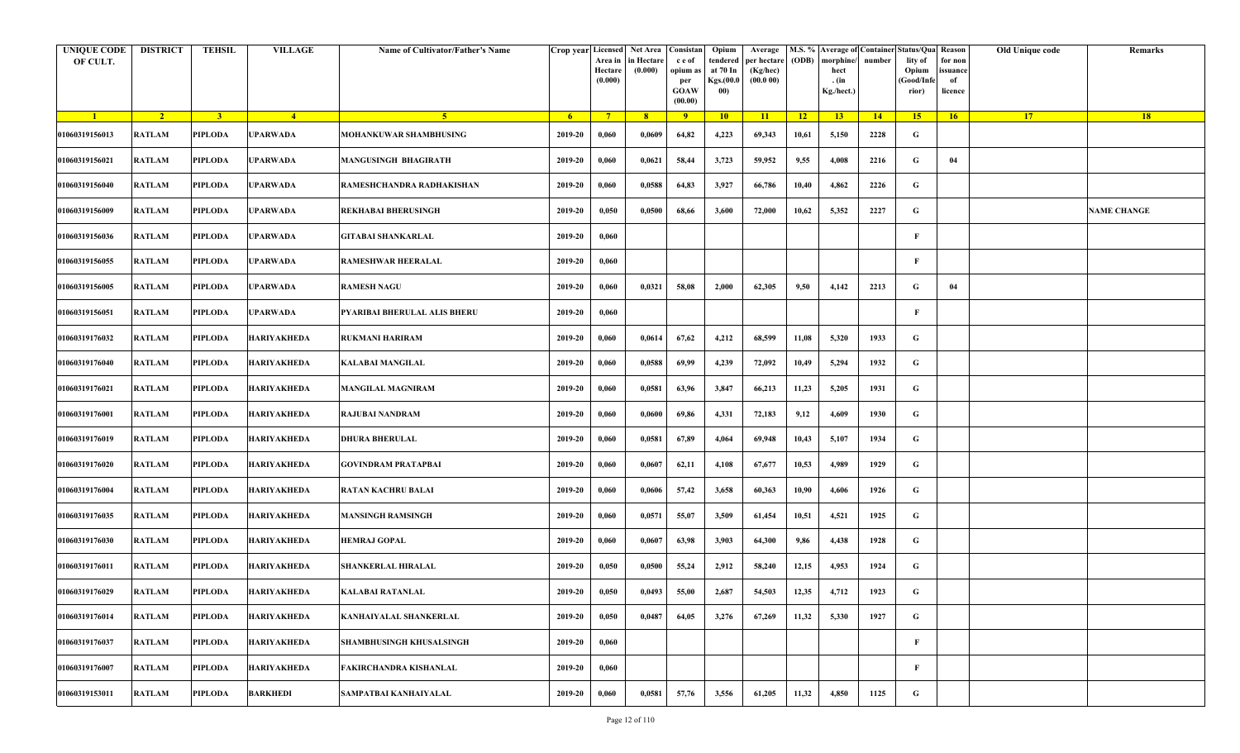| <b>UNIQUE CODE</b><br>OF CULT. | <b>DISTRICT</b> | TEHSIL         | <b>VILLAGE</b>     | Name of Cultivator/Father's Name |                | Crop year Licensed Net Area Consistan<br>Area in<br>Hectare<br>(0.000) | in Hectare<br>(0.000) | c e of<br>opium as<br>per<br><b>GOAW</b><br>(00.00) | Opium<br>tendered<br>at 70 In<br>Kgs.(00.0<br>00) | Average<br>per hectare<br>(Kg/hec)<br>(00.000) | (ODB)           | morphine/<br>hect<br>. (in<br>Kg./hect.) | number | M.S. % Average of Container Status/Qua Reason<br>lity of<br>Opium<br>(Good/Infe<br>rior) | for non<br>issuance<br>of<br>licence | Old Unique code | Remarks            |
|--------------------------------|-----------------|----------------|--------------------|----------------------------------|----------------|------------------------------------------------------------------------|-----------------------|-----------------------------------------------------|---------------------------------------------------|------------------------------------------------|-----------------|------------------------------------------|--------|------------------------------------------------------------------------------------------|--------------------------------------|-----------------|--------------------|
| $\blacksquare$                 | $\overline{2}$  | 3 <sup>1</sup> | $-4$               | 5 <sup>1</sup>                   | 6 <sup>6</sup> | $7^{\circ}$                                                            | 8                     | $\overline{9}$                                      | 10                                                | 11                                             | $\overline{12}$ | 13                                       | 14     | 15 <sup>2</sup>                                                                          | 16                                   | 17 <sup>2</sup> | 18                 |
| 01060319156013                 | <b>RATLAM</b>   | <b>PIPLODA</b> | UPARWADA           | MOHANKUWAR SHAMBHUSING           | 2019-20        | 0,060                                                                  | 0,0609                | 64,82                                               | 4,223                                             | 69,343                                         | 10,61           | 5,150                                    | 2228   | G                                                                                        |                                      |                 |                    |
| 01060319156021                 | <b>RATLAM</b>   | PIPLODA        | UPARWADA           | <b>MANGUSINGH BHAGIRATH</b>      | 2019-20        | 0,060                                                                  | 0,0621                | 58,44                                               | 3,723                                             | 59,952                                         | 9,55            | 4,008                                    | 2216   | G                                                                                        | 04                                   |                 |                    |
| 01060319156040                 | <b>RATLAM</b>   | PIPLODA        | UPARWADA           | RAMESHCHANDRA RADHAKISHAN        | 2019-20        | 0,060                                                                  | 0,0588                | 64,83                                               | 3,927                                             | 66,786                                         | 10,40           | 4,862                                    | 2226   | G                                                                                        |                                      |                 |                    |
| 01060319156009                 | <b>RATLAM</b>   | PIPLODA        | <b>JPARWADA</b>    | <b>REKHABAI BHERUSINGH</b>       | 2019-20        | 0,050                                                                  | 0,0500                | 68,66                                               | 3,600                                             | 72,000                                         | 10,62           | 5,352                                    | 2227   | G                                                                                        |                                      |                 | <b>NAME CHANGE</b> |
| 01060319156036                 | RATLAM          | <b>PIPLODA</b> | UPARWADA           | GITABAI SHANKARLAL               | 2019-20        | 0,060                                                                  |                       |                                                     |                                                   |                                                |                 |                                          |        | F                                                                                        |                                      |                 |                    |
| 01060319156055                 | <b>RATLAM</b>   | <b>PIPLODA</b> | UPARWADA           | <b>RAMESHWAR HEERALAL</b>        | 2019-20        | 0,060                                                                  |                       |                                                     |                                                   |                                                |                 |                                          |        | F                                                                                        |                                      |                 |                    |
| 01060319156005                 | <b>RATLAM</b>   | PIPLODA        | UPARWADA           | <b>RAMESH NAGU</b>               | 2019-20        | 0,060                                                                  | 0,0321                | 58,08                                               | 2,000                                             | 62,305                                         | 9,50            | 4,142                                    | 2213   | G                                                                                        | 04                                   |                 |                    |
| 01060319156051                 | <b>RATLAM</b>   | PIPLODA        | UPARWADA           | PYARIBAI BHERULAL ALIS BHERU     | 2019-20        | 0,060                                                                  |                       |                                                     |                                                   |                                                |                 |                                          |        | F                                                                                        |                                      |                 |                    |
| 01060319176032                 | <b>RATLAM</b>   | PIPLODA        | HARIYAKHEDA        | RUKMANI HARIRAM                  | 2019-20        | 0,060                                                                  | 0,0614                | 67,62                                               | 4,212                                             | 68,599                                         | 11,08           | 5,320                                    | 1933   | G                                                                                        |                                      |                 |                    |
| 01060319176040                 | <b>RATLAM</b>   | <b>PIPLODA</b> | <b>HARIYAKHEDA</b> | KALABAI MANGILAL                 | 2019-20        | 0,060                                                                  | 0,0588                | 69,99                                               | 4,239                                             | 72,092                                         | 10,49           | 5,294                                    | 1932   | G                                                                                        |                                      |                 |                    |
| 01060319176021                 | <b>RATLAM</b>   | <b>PIPLODA</b> | <b>HARIYAKHEDA</b> | <b>MANGILAL MAGNIRAM</b>         | 2019-20        | 0,060                                                                  | 0,0581                | 63,96                                               | 3,847                                             | 66,213                                         | 11,23           | 5,205                                    | 1931   | G                                                                                        |                                      |                 |                    |
| 01060319176001                 | <b>RATLAM</b>   | PIPLODA        | HARIYAKHEDA        | RAJUBAI NANDRAM                  | 2019-20        | 0,060                                                                  | 0,0600                | 69,86                                               | 4,331                                             | 72,183                                         | 9,12            | 4,609                                    | 1930   | G                                                                                        |                                      |                 |                    |
| 01060319176019                 | <b>RATLAM</b>   | PIPLODA        | HARIYAKHEDA        | DHURA BHERULAL                   | 2019-20        | 0,060                                                                  | 0,0581                | 67,89                                               | 4,064                                             | 69,948                                         | 10,43           | 5,107                                    | 1934   | G                                                                                        |                                      |                 |                    |
| 01060319176020                 | RATLAM          | <b>PIPLODA</b> | HARIYAKHEDA        | GOVINDRAM PRATAPBAI              | 2019-20        | 0,060                                                                  | 0,0607                | 62,11                                               | 4,108                                             | 67,677                                         | 10,53           | 4,989                                    | 1929   | G                                                                                        |                                      |                 |                    |
| 01060319176004                 | <b>RATLAM</b>   | <b>PIPLODA</b> | <b>HARIYAKHEDA</b> | <b>RATAN KACHRU BALAI</b>        | 2019-20        | 0,060                                                                  | 0,0606                | 57,42                                               | 3,658                                             | 60,363                                         | 10,90           | 4,606                                    | 1926   | G                                                                                        |                                      |                 |                    |
| 01060319176035                 | <b>RATLAM</b>   | PIPLODA        | HARIYAKHEDA        | <b>MANSINGH RAMSINGH</b>         | 2019-20        | 0,060                                                                  | 0,0571                | 55,07                                               | 3,509                                             | 61,454                                         | 10,51           | 4,521                                    | 1925   | G                                                                                        |                                      |                 |                    |
| 01060319176030                 | <b>RATLAM</b>   | <b>PIPLODA</b> | <b>HARIYAKHEDA</b> | HEMRAJ GOPAL                     | 2019-20        | 0,060                                                                  | 0,0607                | 63,98                                               | 3,903                                             | 64,300                                         | 9,86            | 4,438                                    | 1928   | G                                                                                        |                                      |                 |                    |
| 01060319176011                 | RATLAM          | PIPLODA        | HARIYAKHEDA        | <b>SHANKERLAL HIRALAL</b>        | 2019-20        | 0,050                                                                  | 0,0500                | 55,24                                               | 2,912                                             | 58,240                                         | 12,15           | 4,953                                    | 1924   | G                                                                                        |                                      |                 |                    |
| 01060319176029                 | RATLAM          | PIPLODA        | <b>HARIYAKHEDA</b> | KALABAI RATANLAL                 | 2019-20        | 0,050                                                                  | 0,0493                | 55,00                                               | 2,687                                             | 54,503                                         | 12,35           | 4,712                                    | 1923   | G                                                                                        |                                      |                 |                    |
| 01060319176014                 | <b>RATLAM</b>   | <b>PIPLODA</b> | <b>HARIYAKHEDA</b> | KANHAIYALAL SHANKERLAL           | 2019-20        | 0,050                                                                  | 0,0487                | 64,05                                               | 3,276                                             | 67,269                                         | 11,32           | 5,330                                    | 1927   | $\mathbf G$                                                                              |                                      |                 |                    |
| 01060319176037                 | RATLAM          | <b>PIPLODA</b> | HARIYAKHEDA        | <b>SHAMBHUSINGH KHUSALSINGH</b>  | 2019-20        | 0,060                                                                  |                       |                                                     |                                                   |                                                |                 |                                          |        | $\mathbf{F}$                                                                             |                                      |                 |                    |
| 01060319176007                 | <b>RATLAM</b>   | <b>PIPLODA</b> | <b>HARIYAKHEDA</b> | FAKIRCHANDRA KISHANLAL           | 2019-20        | 0,060                                                                  |                       |                                                     |                                                   |                                                |                 |                                          |        | $\mathbf{F}$                                                                             |                                      |                 |                    |
| 01060319153011                 | <b>RATLAM</b>   | <b>PIPLODA</b> | <b>BARKHEDI</b>    | SAMPATBAI KANHAIYALAL            | 2019-20        | 0,060                                                                  | 0,0581                | 57,76                                               | 3,556                                             | 61,205                                         | 11,32           | 4,850                                    | 1125   | G                                                                                        |                                      |                 |                    |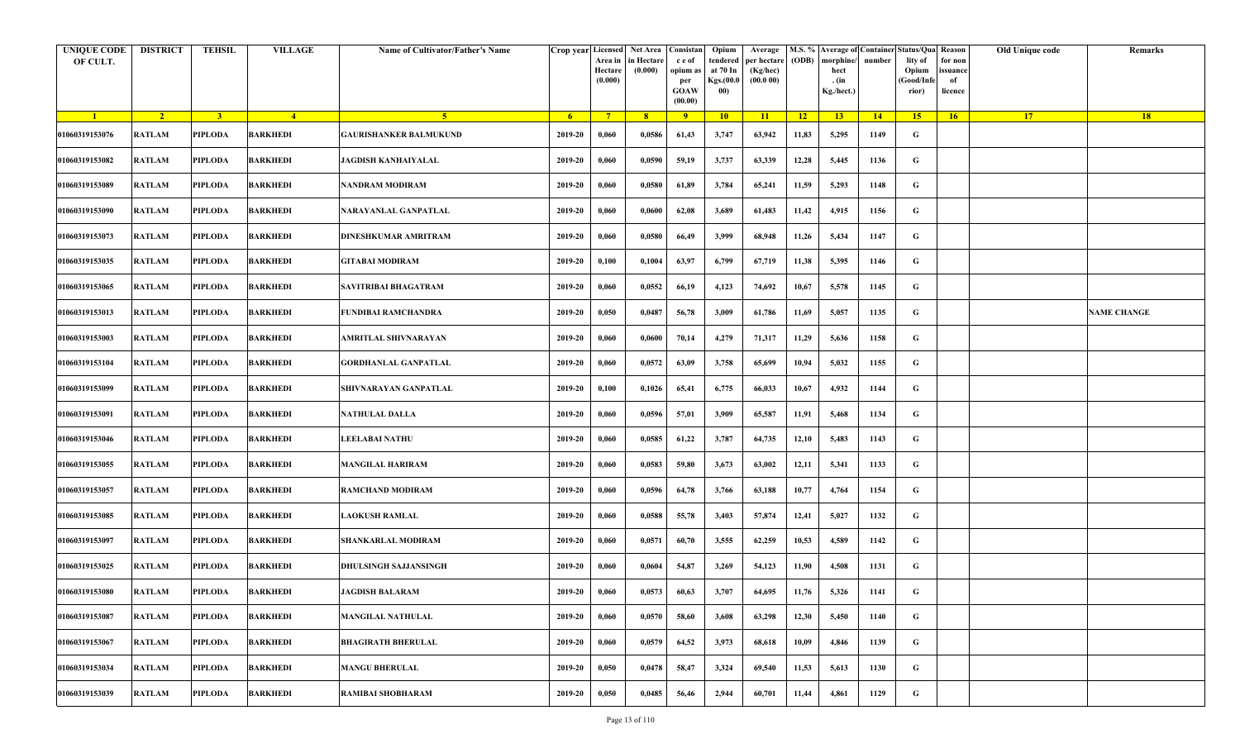| <b>UNIQUE CODE</b><br>OF CULT. | <b>DISTRICT</b> | <b>TEHSIL</b>  | <b>VILLAGE</b>  | Name of Cultivator/Father's Name | Crop year Licensed | Area in<br>Hectare<br>(0.000) | Net Area Consistan<br>in Hectare<br>(0.000) | c e of<br>opium as<br>per<br><b>GOAW</b><br>(00.00) | Opium<br>tendered<br>at 70 In<br>Kgs.(00.0<br>00) | Average<br>per hectare<br>(Kg/hec)<br>(00.000) | (ODB) | M.S. % Average of Container Status/Qua Reason<br>morphine/<br>hect<br>. (in<br>Kg./hect.) | number | lity of<br>Opium<br>(Good/Infe<br>rior) | for non<br>ssuance<br>of<br>licence | Old Unique code | Remarks            |
|--------------------------------|-----------------|----------------|-----------------|----------------------------------|--------------------|-------------------------------|---------------------------------------------|-----------------------------------------------------|---------------------------------------------------|------------------------------------------------|-------|-------------------------------------------------------------------------------------------|--------|-----------------------------------------|-------------------------------------|-----------------|--------------------|
| $\blacksquare$                 | $\sqrt{2}$      | 3 <sup>1</sup> | $-4$            | $\sqrt{5}$                       | - 6                | $7^{\circ}$                   | 8 <sup>°</sup>                              | $\overline{9}$                                      | 10                                                | 11                                             | $-12$ | 13                                                                                        | 14     | 15                                      | 16                                  | <b>17</b>       | <b>18</b>          |
| 01060319153076                 | <b>RATLAM</b>   | PIPLODA        | <b>BARKHEDI</b> | GAURISHANKER BALMUKUND           | 2019-20            | 0,060                         | 0,0586                                      | 61,43                                               | 3,747                                             | 63,942                                         | 11,83 | 5,295                                                                                     | 1149   | G                                       |                                     |                 |                    |
| 01060319153082                 | <b>RATLAM</b>   | PIPLODA        | <b>BARKHEDI</b> | <b>JAGDISH KANHAIYALAL</b>       | 2019-20            | 0,060                         | 0,0590                                      | 59,19                                               | 3,737                                             | 63,339                                         | 12,28 | 5,445                                                                                     | 1136   | G                                       |                                     |                 |                    |
| 01060319153089                 | RATLAM          | PIPLODA        | <b>BARKHEDI</b> | NANDRAM MODIRAM                  | 2019-20            | 0,060                         | 0,0580                                      | 61,89                                               | 3,784                                             | 65,241                                         | 11,59 | 5,293                                                                                     | 1148   | G                                       |                                     |                 |                    |
| 01060319153090                 | <b>RATLAM</b>   | <b>PIPLODA</b> | <b>BARKHEDI</b> | NARAYANLAL GANPATLAL             | 2019-20            | 0,060                         | 0,0600                                      | 62,08                                               | 3,689                                             | 61,483                                         | 11,42 | 4,915                                                                                     | 1156   | G                                       |                                     |                 |                    |
| 01060319153073                 | RATLAM          | PIPLODA        | <b>BARKHEDI</b> | DINESHKUMAR AMRITRAM             | 2019-20            | 0,060                         | 0,0580                                      | 66,49                                               | 3,999                                             | 68,948                                         | 11,26 | 5,434                                                                                     | 1147   | G                                       |                                     |                 |                    |
| 01060319153035                 | <b>RATLAM</b>   | <b>PIPLODA</b> | <b>BARKHEDI</b> | <b>GITABAI MODIRAM</b>           | 2019-20            | 0,100                         | 0,1004                                      | 63,97                                               | 6,799                                             | 67,719                                         | 11,38 | 5,395                                                                                     | 1146   | G                                       |                                     |                 |                    |
| 01060319153065                 | RATLAM          | PIPLODA        | BARKHEDI        | SAVITRIBAI BHAGATRAM             | 2019-20            | 0,060                         | 0,0552                                      | 66,19                                               | 4,123                                             | 74,692                                         | 10,67 | 5,578                                                                                     | 1145   | G                                       |                                     |                 |                    |
| 01060319153013                 | RATLAM          | PIPLODA        | <b>BARKHEDI</b> | FUNDIBAI RAMCHANDRA              | 2019-20            | 0,050                         | 0,0487                                      | 56,78                                               | 3,009                                             | 61,786                                         | 11,69 | 5,057                                                                                     | 1135   | G                                       |                                     |                 | <b>NAME CHANGE</b> |
| 01060319153003                 | <b>RATLAM</b>   | PIPLODA        | <b>BARKHEDI</b> | AMRITLAL SHIVNARAYAN             | 2019-20            | 0,060                         | 0,0600                                      | 70,14                                               | 4,279                                             | 71,317                                         | 11,29 | 5,636                                                                                     | 1158   | G                                       |                                     |                 |                    |
| 01060319153104                 | <b>RATLAM</b>   | <b>PIPLODA</b> | <b>BARKHEDI</b> | <b>GORDHANLAL GANPATLAL</b>      | 2019-20            | 0,060                         | 0,0572                                      | 63,09                                               | 3,758                                             | 65,699                                         | 10,94 | 5,032                                                                                     | 1155   | G                                       |                                     |                 |                    |
| 01060319153099                 | <b>RATLAM</b>   | PIPLODA        | <b>BARKHEDI</b> | SHIVNARAYAN GANPATLAL            | 2019-20            | 0,100                         | 0,1026                                      | 65,41                                               | 6,775                                             | 66,033                                         | 10,67 | 4,932                                                                                     | 1144   | G                                       |                                     |                 |                    |
| 01060319153091                 | RATLAM          | PIPLODA        | <b>BARKHEDI</b> | NATHULAL DALLA                   | 2019-20            | 0,060                         | 0,0596                                      | 57,01                                               | 3,909                                             | 65,587                                         | 11,91 | 5,468                                                                                     | 1134   | G                                       |                                     |                 |                    |
| 01060319153046                 | <b>RATLAM</b>   | <b>PIPLODA</b> | <b>BARKHEDI</b> | <b>LEELABAI NATHU</b>            | 2019-20            | 0,060                         | 0,0585                                      | 61,22                                               | 3,787                                             | 64,735                                         | 12,10 | 5,483                                                                                     | 1143   | G                                       |                                     |                 |                    |
| 01060319153055                 | RATLAM          | PIPLODA        | BARKHEDI        | <b>MANGILAL HARIRAM</b>          | 2019-20            | 0,060                         | 0,0583                                      | 59,80                                               | 3,673                                             | 63,002                                         | 12,11 | 5,341                                                                                     | 1133   | G                                       |                                     |                 |                    |
| 01060319153057                 | <b>RATLAM</b>   | <b>PIPLODA</b> | <b>BARKHEDI</b> | RAMCHAND MODIRAM                 | 2019-20            | 0,060                         | 0,0596                                      | 64,78                                               | 3,766                                             | 63,188                                         | 10,77 | 4,764                                                                                     | 1154   | G                                       |                                     |                 |                    |
| 01060319153085                 | <b>RATLAM</b>   | PIPLODA        | BARKHEDI        | <b>AOKUSH RAMLAL</b>             | 2019-20            | 0,060                         | 0,0588                                      | 55,78                                               | 3,403                                             | 57,874                                         | 12,41 | 5,027                                                                                     | 1132   | G                                       |                                     |                 |                    |
| 01060319153097                 | <b>RATLAM</b>   | <b>PIPLODA</b> | <b>BARKHEDI</b> | SHANKARLAL MODIRAM               | 2019-20            | 0,060                         | 0,0571                                      | 60,70                                               | 3,555                                             | 62,259                                         | 10,53 | 4,589                                                                                     | 1142   | G                                       |                                     |                 |                    |
| 01060319153025                 | <b>RATLAM</b>   | PIPLODA        | BARKHEDI        | DHULSINGH SAJJANSINGH            | 2019-20            | 0,060                         | 0,0604                                      | 54,87                                               | 3,269                                             | 54,123                                         | 11,90 | 4,508                                                                                     | 1131   | G                                       |                                     |                 |                    |
| 01060319153080                 | RATLAM          | PIPLODA        | <b>BARKHEDI</b> | JAGDISH BALARAM                  | 2019-20            | 0,060                         | 0,0573                                      | 60,63                                               | 3,707                                             | 64,695                                         | 11,76 | 5,326                                                                                     | 1141   | G                                       |                                     |                 |                    |
| 01060319153087                 | RATLAM          | <b>PIPLODA</b> | <b>BARKHEDI</b> | <b>MANGILAL NATHULAL</b>         | 2019-20            | 0,060                         | 0,0570                                      | 58,60                                               | 3,608                                             | 63,298                                         | 12,30 | 5,450                                                                                     | 1140   | $\mathbf G$                             |                                     |                 |                    |
| 01060319153067                 | RATLAM          | <b>PIPLODA</b> | <b>BARKHEDI</b> | <b>BHAGIRATH BHERULAL</b>        | 2019-20            | 0,060                         | 0,0579                                      | 64,52                                               | 3,973                                             | 68,618                                         | 10,09 | 4,846                                                                                     | 1139   | G                                       |                                     |                 |                    |
| 01060319153034                 | <b>RATLAM</b>   | <b>PIPLODA</b> | <b>BARKHEDI</b> | <b>MANGU BHERULAL</b>            | 2019-20            | 0,050                         | 0,0478                                      | 58,47                                               | 3,324                                             | 69,540                                         | 11,53 | 5,613                                                                                     | 1130   | G                                       |                                     |                 |                    |
| 01060319153039                 | <b>RATLAM</b>   | <b>PIPLODA</b> | <b>BARKHEDI</b> | RAMIBAI SHOBHARAM                | 2019-20            | 0,050                         | 0,0485                                      | 56,46                                               | 2,944                                             | 60,701                                         | 11,44 | 4,861                                                                                     | 1129   | G                                       |                                     |                 |                    |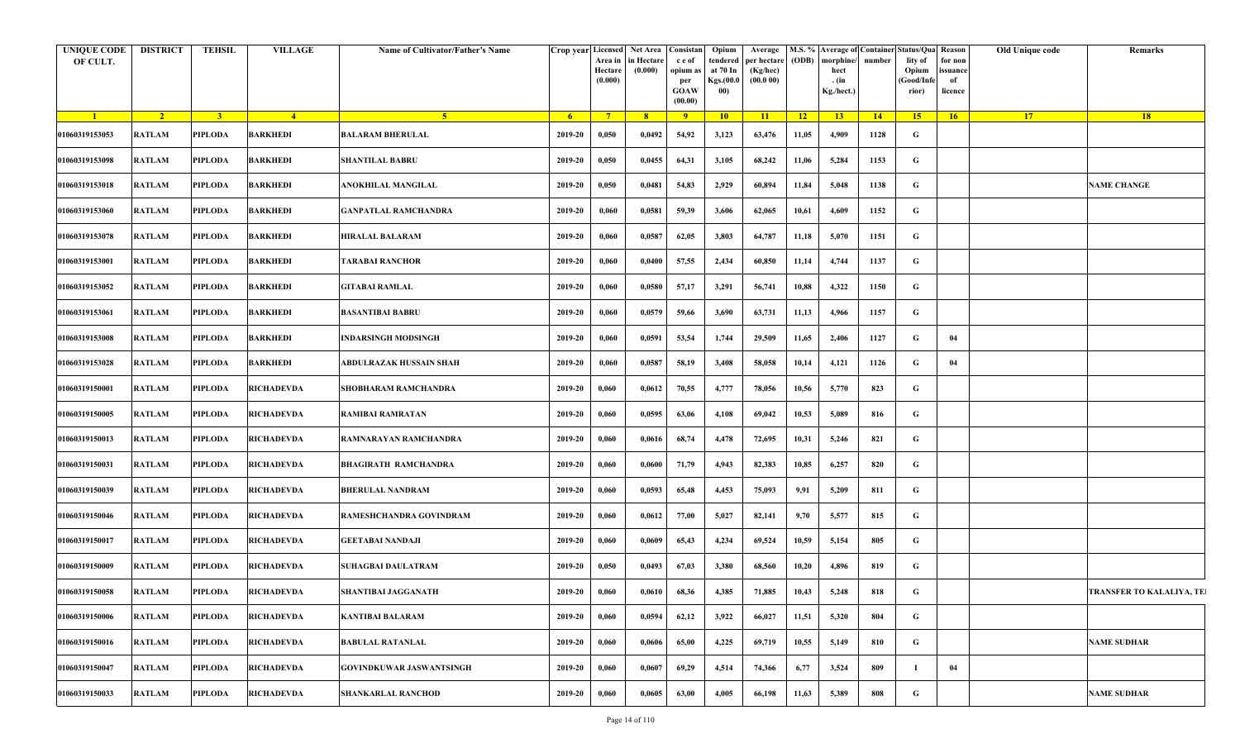| UNIQUE CODE<br>OF CULT. | <b>DISTRICT</b> | TEHSIL         | <b>VILLAGE</b>    | <b>Name of Cultivator/Father's Name</b> |         | Area in<br>Hectare<br>(0.000) | Crop year Licensed Net Area Consistan<br>in Hectare<br>(0.000) | c e of<br>opium as<br>per<br><b>GOAW</b><br>(00.00) | Opium<br>tendered<br>at 70 In<br><b>Kgs.</b> (00.0<br>00) | Average<br>per hectare<br>(Kg/hec)<br>(00.000) | <b>(ODB)</b> | morphine/<br>hect<br>. (in<br>Kg./hect.) | number | M.S. % Average of Container Status/Qua Reason<br>lity of<br>Opium<br>(Good/Infe<br>rior) | for non<br>issuance<br>of<br>licence | Old Unique code | Remarks                         |
|-------------------------|-----------------|----------------|-------------------|-----------------------------------------|---------|-------------------------------|----------------------------------------------------------------|-----------------------------------------------------|-----------------------------------------------------------|------------------------------------------------|--------------|------------------------------------------|--------|------------------------------------------------------------------------------------------|--------------------------------------|-----------------|---------------------------------|
| $\blacksquare$          | $\sqrt{2}$      | 3 <sup>1</sup> | $-4$              | $-5$                                    | -6      | $\overline{7}$                | 8 <sup>2</sup>                                                 | $-9$                                                | 10 <sup>°</sup>                                           | $\overline{11}$                                | $-12$        | 13 <sup>7</sup>                          | 14     | 15                                                                                       | 16                                   | 17 <sup>2</sup> | 18                              |
| 01060319153053          | <b>RATLAM</b>   | <b>PIPLODA</b> | <b>BARKHEDI</b>   | <b>BALARAM BHERULAL</b>                 | 2019-20 | 0,050                         | 0,0492                                                         | 54,92                                               | 3,123                                                     | 63,476                                         | 11,05        | 4,909                                    | 1128   | G                                                                                        |                                      |                 |                                 |
| 01060319153098          | <b>RATLAM</b>   | <b>PIPLODA</b> | <b>BARKHEDI</b>   | <b>SHANTILAL BABRU</b>                  | 2019-20 | 0,050                         | 0,0455                                                         | 64,31                                               | 3,105                                                     | 68,242                                         | 11,06        | 5,284                                    | 1153   | G                                                                                        |                                      |                 |                                 |
| 01060319153018          | <b>RATLAM</b>   | <b>PIPLODA</b> | <b>BARKHEDI</b>   | ANOKHILAL MANGILAL                      | 2019-20 | 0,050                         | 0,0481                                                         | 54,83                                               | 2,929                                                     | 60,894                                         | 11,84        | 5,048                                    | 1138   | G                                                                                        |                                      |                 | <b>NAME CHANGE</b>              |
| 01060319153060          | <b>RATLAM</b>   | <b>PIPLODA</b> | <b>BARKHEDI</b>   | <b>GANPATLAL RAMCHANDRA</b>             | 2019-20 | 0,060                         | 0,0581                                                         | 59,39                                               | 3,606                                                     | 62,065                                         | 10,61        | 4,609                                    | 1152   | G                                                                                        |                                      |                 |                                 |
| 01060319153078          | <b>RATLAM</b>   | <b>PIPLODA</b> | <b>BARKHEDI</b>   | <b>HIRALAL BALARAM</b>                  | 2019-20 | 0,060                         | 0,0587                                                         | 62,05                                               | 3,803                                                     | 64,787                                         | 11,18        | 5,070                                    | 1151   | G                                                                                        |                                      |                 |                                 |
| 01060319153001          | <b>RATLAM</b>   | PIPLODA        | <b>BARKHEDI</b>   | <b>TARABAI RANCHOR</b>                  | 2019-20 | 0,060                         | 0,0400                                                         | 57,55                                               | 2,434                                                     | 60,850                                         | 11,14        | 4,744                                    | 1137   | G                                                                                        |                                      |                 |                                 |
| 01060319153052          | <b>RATLAM</b>   | PIPLODA        | <b>BARKHEDI</b>   | <b>GITABAI RAMLAL</b>                   | 2019-20 | 0,060                         | 0,0580                                                         | 57,17                                               | 3,291                                                     | 56,741                                         | 10,88        | 4,322                                    | 1150   | G                                                                                        |                                      |                 |                                 |
| 01060319153061          | <b>RATLAM</b>   | <b>PIPLODA</b> | <b>BARKHEDI</b>   | <b>BASANTIBAI BABRU</b>                 | 2019-20 | 0,060                         | 0,0579                                                         | 59,66                                               | 3,690                                                     | 63,731                                         | 11,13        | 4,966                                    | 1157   | G                                                                                        |                                      |                 |                                 |
| 01060319153008          | <b>RATLAM</b>   | <b>PIPLODA</b> | <b>BARKHEDI</b>   | <b>INDARSINGH MODSINGH</b>              | 2019-20 | 0,060                         | 0,0591                                                         | 53,54                                               | 1,744                                                     | 29,509                                         | 11,65        | 2,406                                    | 1127   | G                                                                                        | 04                                   |                 |                                 |
| 01060319153028          | <b>RATLAM</b>   | <b>PIPLODA</b> | <b>BARKHEDI</b>   | ABDULRAZAK HUSSAIN SHAH                 | 2019-20 | 0,060                         | 0,0587                                                         | 58,19                                               | 3,408                                                     | 58,058                                         | 10,14        | 4,121                                    | 1126   | G                                                                                        | 04                                   |                 |                                 |
| 01060319150001          | <b>RATLAM</b>   | <b>PIPLODA</b> | <b>RICHADEVDA</b> | <b>SHOBHARAM RAMCHANDRA</b>             | 2019-20 | 0,060                         | 0,0612                                                         | 70,55                                               | 4,777                                                     | 78,056                                         | 10,56        | 5,770                                    | 823    | G                                                                                        |                                      |                 |                                 |
| 01060319150005          | <b>RATLAM</b>   | <b>PIPLODA</b> | <b>RICHADEVDA</b> | <b>RAMIBAI RAMRATAN</b>                 | 2019-20 | 0,060                         | 0,0595                                                         | 63,06                                               | 4,108                                                     | 69,042                                         | 10,53        | 5,089                                    | 816    | G                                                                                        |                                      |                 |                                 |
| 01060319150013          | <b>RATLAM</b>   | <b>PIPLODA</b> | <b>RICHADEVDA</b> | RAMNARAYAN RAMCHANDRA                   | 2019-20 | 0,060                         | 0,0616                                                         | 68,74                                               | 4,478                                                     | 72,695                                         | 10,31        | 5,246                                    | 821    | G                                                                                        |                                      |                 |                                 |
| 01060319150031          | <b>RATLAM</b>   | <b>PIPLODA</b> | <b>RICHADEVDA</b> | <b>BHAGIRATH RAMCHANDRA</b>             | 2019-20 | 0,060                         | 0,0600                                                         | 71,79                                               | 4,943                                                     | 82,383                                         | 10,85        | 6,257                                    | 820    | G                                                                                        |                                      |                 |                                 |
| 01060319150039          | <b>RATLAM</b>   | PIPLODA        | <b>RICHADEVDA</b> | <b>BHERULAL NANDRAM</b>                 | 2019-20 | 0,060                         | 0,0593                                                         | 65,48                                               | 4,453                                                     | 75,093                                         | 9,91         | 5,209                                    | 811    | G                                                                                        |                                      |                 |                                 |
| 01060319150046          | <b>RATLAM</b>   | PIPLODA        | <b>RICHADEVDA</b> | RAMESHCHANDRA GOVINDRAM                 | 2019-20 | 0,060                         | 0,0612                                                         | 77,00                                               | 5,027                                                     | 82,141                                         | 9,70         | 5,577                                    | 815    | G                                                                                        |                                      |                 |                                 |
| 01060319150017          | <b>RATLAM</b>   | <b>PIPLODA</b> | <b>RICHADEVDA</b> | <b>GEETABAI NANDAJI</b>                 | 2019-20 | 0,060                         | 0,0609                                                         | 65,43                                               | 4,234                                                     | 69,524                                         | 10,59        | 5,154                                    | 805    | G                                                                                        |                                      |                 |                                 |
| 01060319150009          | <b>RATLAM</b>   | <b>PIPLODA</b> | <b>RICHADEVDA</b> | <b>SUHAGBAI DAULATRAM</b>               | 2019-20 | 0,050                         | 0,0493                                                         | 67,03                                               | 3,380                                                     | 68,560                                         | 10,20        | 4,896                                    | 819    | G                                                                                        |                                      |                 |                                 |
| 01060319150058          | <b>RATLAM</b>   | PIPLODA        | <b>RICHADEVDA</b> | SHANTIBAI JAGGANATH                     | 2019-20 | 0,060                         | 0,0610                                                         | 68,36                                               | 4,385                                                     | 71,885                                         | 10,43        | 5,248                                    | 818    | G                                                                                        |                                      |                 | <b>TRANSFER TO KALALIYA, TE</b> |
| 01060319150006          | <b>RATLAM</b>   | <b>PIPLODA</b> | <b>RICHADEVDA</b> | <b>KANTIBAI BALARAM</b>                 | 2019-20 | 0,060                         | 0,0594                                                         | 62,12                                               | 3,922                                                     | 66,027                                         | 11,51        | 5,320                                    | 804    | G                                                                                        |                                      |                 |                                 |
| 01060319150016          | <b>RATLAM</b>   | <b>PIPLODA</b> | <b>RICHADEVDA</b> | <b>BABULAL RATANLAL</b>                 | 2019-20 | 0,060                         | 0,0606                                                         | 65,00                                               | 4,225                                                     | 69,719                                         | 10,55        | 5,149                                    | 810    | G                                                                                        |                                      |                 | <b>NAME SUDHAR</b>              |
| 01060319150047          | <b>RATLAM</b>   | <b>PIPLODA</b> | <b>RICHADEVDA</b> | <b>GOVINDKUWAR JASWANTSINGH</b>         | 2019-20 | 0,060                         | 0,0607                                                         | 69,29                                               | 4,514                                                     | 74,366                                         | 6,77         | 3,524                                    | 809    |                                                                                          | 04                                   |                 |                                 |
| 01060319150033          | <b>RATLAM</b>   | <b>PIPLODA</b> | RICHADEVDA        | <b>SHANKARLAL RANCHOD</b>               | 2019-20 | 0,060                         | 0,0605                                                         | 63,00                                               | 4,005                                                     | 66,198                                         | 11,63        | 5,389                                    | 808    | G                                                                                        |                                      |                 | NAME SUDHAR                     |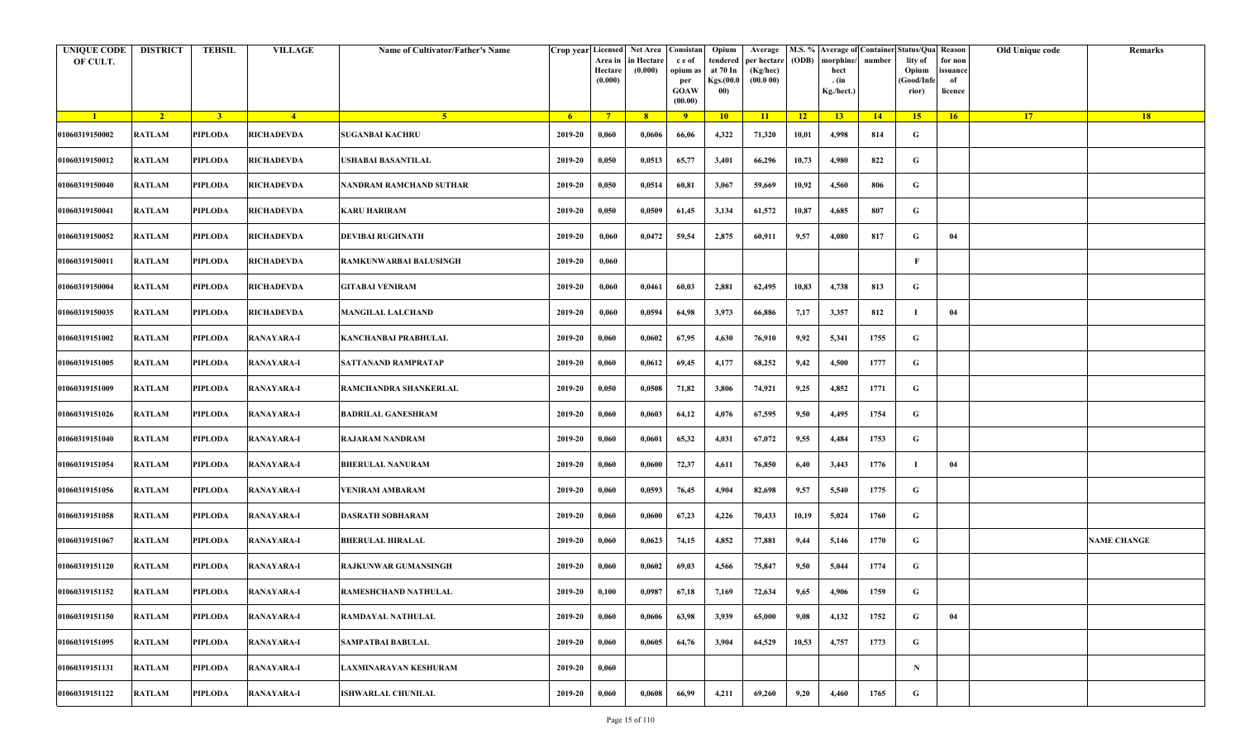| <b>UNIQUE CODE</b><br>OF CULT. | <b>DISTRICT</b> | <b>TEHSIL</b>  | <b>VILLAGE</b>    | Name of Cultivator/Father's Name |             | Crop year Licensed Net Area Consistan<br>Area in<br>Hectare<br>(0.000) | in Hectare<br>(0.000) | c e of<br>opium as<br>per<br><b>GOAW</b><br>(00.00) | Opium<br>tendered<br>at 70 In<br>Kgs.(00.0<br>00) | Average<br>per hectare<br>(Kg/hec)<br>(00.000) | (ODB) | M.S. % Average of Container Status/Qua Reason<br>morphine/<br>hect<br>. (in<br>Kg./hect.) | number | lity of<br>Opium<br>(Good/Infe<br>rior) | for non<br>ssuance<br>of<br>licence | Old Unique code | Remarks            |
|--------------------------------|-----------------|----------------|-------------------|----------------------------------|-------------|------------------------------------------------------------------------|-----------------------|-----------------------------------------------------|---------------------------------------------------|------------------------------------------------|-------|-------------------------------------------------------------------------------------------|--------|-----------------------------------------|-------------------------------------|-----------------|--------------------|
| $\blacksquare$                 | $\sqrt{2}$      | 3 <sup>1</sup> | $-4$              | -5 -                             | $-6$        | $7^{\circ}$                                                            | 8 <sup>°</sup>        | $\overline{9}$                                      | 10                                                | 11                                             | $-12$ | 13                                                                                        | 14     | 15                                      | 16                                  | <b>17</b>       | 18                 |
| 01060319150002                 | <b>RATLAM</b>   | <b>PIPLODA</b> | <b>RICHADEVDA</b> | <b>SUGANBAI KACHRU</b>           | 2019-20     | 0,060                                                                  | 0,0606                | 66,06                                               | 4,322                                             | 71,320                                         | 10,01 | 4,998                                                                                     | 814    | G                                       |                                     |                 |                    |
| 01060319150012                 | <b>RATLAM</b>   | <b>PIPLODA</b> | <b>RICHADEVDA</b> | USHABAI BASANTILAL               | 2019-20     | 0,050                                                                  | 0,0513                | 65,77                                               | 3,401                                             | 66,296                                         | 10,73 | 4,980                                                                                     | 822    | G                                       |                                     |                 |                    |
| 01060319150040                 | <b>RATLAM</b>   | PIPLODA        | <b>RICHADEVDA</b> | NANDRAM RAMCHAND SUTHAR          | 2019-20     | 0,050                                                                  | 0,0514                | 60,81                                               | 3,067                                             | 59,669                                         | 10,92 | 4,560                                                                                     | 806    | G                                       |                                     |                 |                    |
| 01060319150041                 | <b>RATLAM</b>   | <b>PIPLODA</b> | <b>RICHADEVDA</b> | <b>KARU HARIRAM</b>              | 2019-20     | 0,050                                                                  | 0,0509                | 61,45                                               | 3,134                                             | 61,572                                         | 10,87 | 4,685                                                                                     | 807    | G                                       |                                     |                 |                    |
| 01060319150052                 | RATLAM          | PIPLODA        | <b>RICHADEVDA</b> | DEVIBAI RUGHNATH                 | 2019-20     | 0,060                                                                  | 0,0472                | 59,54                                               | 2,875                                             | 60,911                                         | 9,57  | 4,080                                                                                     | 817    | G                                       | 04                                  |                 |                    |
| 01060319150011                 | <b>RATLAM</b>   | <b>PIPLODA</b> | <b>RICHADEVDA</b> | RAMKUNWARBAI BALUSINGH           | 2019-20     | 0,060                                                                  |                       |                                                     |                                                   |                                                |       |                                                                                           |        | F                                       |                                     |                 |                    |
| 01060319150004                 | <b>RATLAM</b>   | <b>PIPLODA</b> | <b>RICHADEVDA</b> | <b>GITABAI VENIRAM</b>           | 2019-20     | 0,060                                                                  | 0,0461                | 60,03                                               | 2,881                                             | 62,495                                         | 10,83 | 4,738                                                                                     | 813    | G                                       |                                     |                 |                    |
| 01060319150035                 | <b>RATLAM</b>   | <b>PIPLODA</b> | <b>RICHADEVDA</b> | <b>MANGILAL LALCHAND</b>         | 2019-20     | 0,060                                                                  | 0,0594                | 64,98                                               | 3,973                                             | 66,886                                         | 7,17  | 3,357                                                                                     | 812    | - 1                                     | 04                                  |                 |                    |
| 01060319151002                 | <b>RATLAM</b>   | <b>PIPLODA</b> | <b>RANAYARA-I</b> | KANCHANBAI PRABHULAL             | 2019-20     | 0,060                                                                  | 0,0602                | 67,95                                               | 4,630                                             | 76,910                                         | 9,92  | 5,341                                                                                     | 1755   | G                                       |                                     |                 |                    |
| 01060319151005                 | <b>RATLAM</b>   | <b>PIPLODA</b> | <b>RANAYARA-I</b> | SATTANAND RAMPRATAP              | 2019-20     | 0,060                                                                  | 0,0612                | 69,45                                               | 4,177                                             | 68,252                                         | 9,42  | 4,500                                                                                     | 1777   | G                                       |                                     |                 |                    |
| 01060319151009                 | <b>RATLAM</b>   | <b>PIPLODA</b> | <b>RANAYARA-I</b> | RAMCHANDRA SHANKERLAL            | 2019-20     | 0,050                                                                  | 0,0508                | 71,82                                               | 3,806                                             | 74,921                                         | 9,25  | 4,852                                                                                     | 1771   | G                                       |                                     |                 |                    |
| 01060319151026                 | <b>RATLAM</b>   | PIPLODA        | <b>RANAYARA-I</b> | <b>BADRILAL GANESHRAM</b>        | 2019-20     | 0,060                                                                  | 0,0603                | 64,12                                               | 4,076                                             | 67,595                                         | 9,50  | 4,495                                                                                     | 1754   | G                                       |                                     |                 |                    |
| 01060319151040                 | <b>RATLAM</b>   | <b>PIPLODA</b> | <b>RANAYARA-I</b> | <b>RAJARAM NANDRAM</b>           | 2019-20     | 0,060                                                                  | 0,0601                | 65,32                                               | 4,031                                             | 67,072                                         | 9,55  | 4,484                                                                                     | 1753   | G                                       |                                     |                 |                    |
| 01060319151054                 | RATLAM          | PIPLODA        | <b>RANAYARA-I</b> | <b>BHERULAL NANURAM</b>          | 2019-20     | 0,060                                                                  | 0,0600                | 72,37                                               | 4,611                                             | 76,850                                         | 6,40  | 3,443                                                                                     | 1776   | -1                                      | 04                                  |                 |                    |
| 01060319151056                 | RATLAM          | <b>PIPLODA</b> | <b>RANAYARA-I</b> | VENIRAM AMBARAM                  | 2019-20     | 0,060                                                                  | 0,0593                | 76,45                                               | 4,904                                             | 82,698                                         | 9,57  | 5,540                                                                                     | 1775   | G                                       |                                     |                 |                    |
| 01060319151058                 | RATLAM          | PIPLODA        | <b>RANAYARA-I</b> | <b>DASRATH SOBHARAM</b>          | 2019-20     | 0,060                                                                  | 0,0600                | 67,23                                               | 4,226                                             | 70,433                                         | 10,19 | 5,024                                                                                     | 1760   | G                                       |                                     |                 |                    |
| 01060319151067                 | <b>RATLAM</b>   | <b>PIPLODA</b> | <b>RANAYARA-I</b> | <b>BHERULAL HIRALAL</b>          | 2019-20     | 0,060                                                                  | 0,0623                | 74,15                                               | 4,852                                             | 77,881                                         | 9,44  | 5,146                                                                                     | 1770   | G                                       |                                     |                 | <b>NAME CHANGE</b> |
| 01060319151120                 | <b>RATLAM</b>   | PIPLODA        | <b>RANAYARA-I</b> | RAJKUNWAR GUMANSINGH             | 2019-20     | 0,060                                                                  | 0,0602                | 69,03                                               | 4,566                                             | 75,847                                         | 9,50  | 5,044                                                                                     | 1774   | G                                       |                                     |                 |                    |
| 01060319151152                 | RATLAM          | PIPLODA        | <b>RANAYARA-I</b> | RAMESHCHAND NATHULAL             | $2019 - 20$ | 0,100                                                                  | 0,0987                | 67,18                                               | 7,169                                             | 72,634                                         | 9,65  | 4,906                                                                                     | 1759   | G                                       |                                     |                 |                    |
| 01060319151150                 | <b>RATLAM</b>   | <b>PIPLODA</b> | <b>RANAYARA-I</b> | <b>RAMDAYAL NATHULAL</b>         | 2019-20     | 0,060                                                                  | 0,0606                | 63,98                                               | 3,939                                             | 65,000                                         | 9,08  | 4,132                                                                                     | 1752   | $\mathbf G$                             | 04                                  |                 |                    |
| 01060319151095                 | RATLAM          | <b>PIPLODA</b> | <b>RANAYARA-I</b> | <b>SAMPATBAI BABULAL</b>         | 2019-20     | 0,060                                                                  | 0,0605                | 64,76                                               | 3,904                                             | 64,529                                         | 10,53 | 4,757                                                                                     | 1773   | G                                       |                                     |                 |                    |
| 01060319151131                 | <b>RATLAM</b>   | <b>PIPLODA</b> | <b>RANAYARA-I</b> | LAXMINARAYAN KESHURAM            | 2019-20     | 0,060                                                                  |                       |                                                     |                                                   |                                                |       |                                                                                           |        | $\mathbf N$                             |                                     |                 |                    |
| 01060319151122                 | RATLAM          | <b>PIPLODA</b> | <b>RANAYARA-I</b> | <b>ISHWARLAL CHUNILAL</b>        | 2019-20     | 0,060                                                                  | 0,0608                | 66,99                                               | 4,211                                             | 69,260                                         | 9,20  | 4,460                                                                                     | 1765   | G                                       |                                     |                 |                    |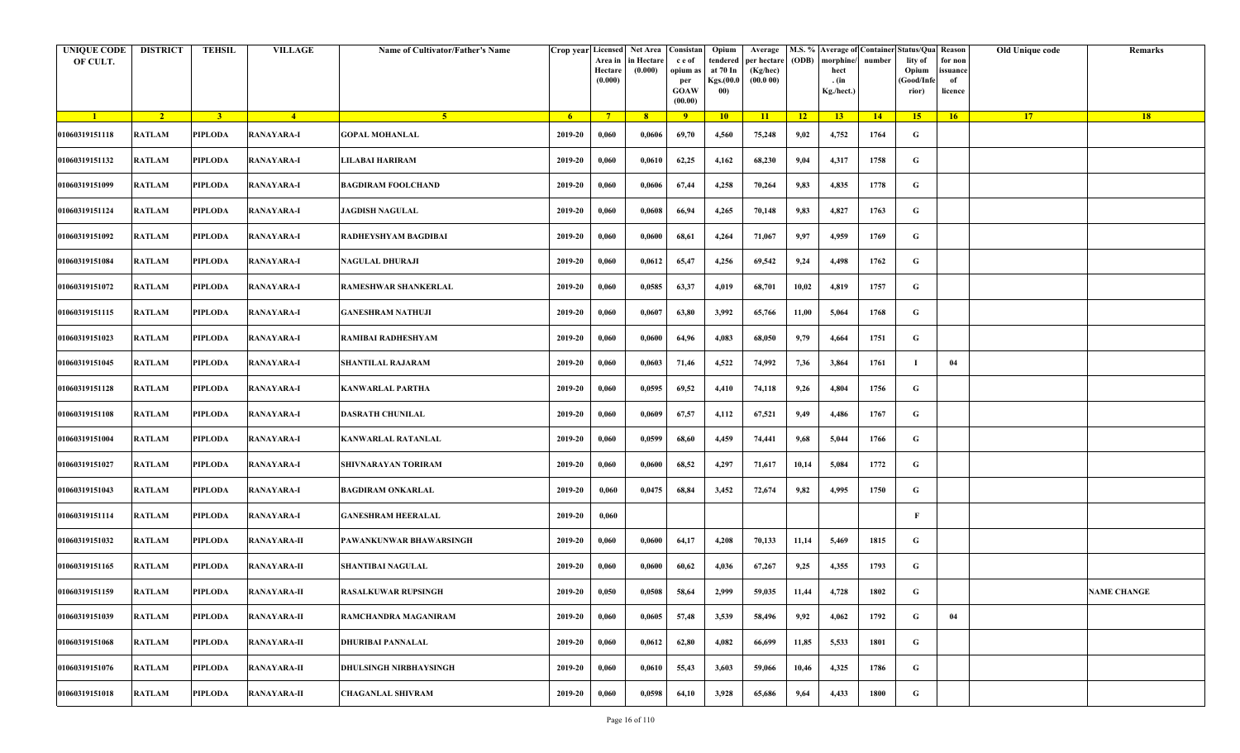| <b>UNIQUE CODE</b><br>OF CULT. | <b>DISTRICT</b> | <b>TEHSIL</b>  | <b>VILLAGE</b>     | Name of Cultivator/Father's Name |         | Area in<br>Hectare<br>(0.000) | Crop year Licensed Net Area Consistan<br>in Hectare<br>(0.000) | c e of<br>opium as<br>per<br><b>GOAW</b><br>(00.00) | Opium<br>tendered<br>at 70 In<br>Kgs.(00.0<br>00) | Average<br>per hectare<br>(Kg/hec)<br>(00.000) | (ODB) | M.S. % Average of Container Status/Qua Reason<br>morphine/<br>hect<br>. (in<br>Kg./hect.) | number | lity of<br>Opium<br>(Good/Infe<br>rior) | for non<br>ssuance<br>of<br>licence | Old Unique code | Remarks            |
|--------------------------------|-----------------|----------------|--------------------|----------------------------------|---------|-------------------------------|----------------------------------------------------------------|-----------------------------------------------------|---------------------------------------------------|------------------------------------------------|-------|-------------------------------------------------------------------------------------------|--------|-----------------------------------------|-------------------------------------|-----------------|--------------------|
| $\blacksquare$                 | $\sqrt{2}$      | 3 <sup>1</sup> | $-4$               | $5 -$                            | $-6$    | $7^{\circ}$                   | 8 <sup>°</sup>                                                 | $\overline{9}$                                      | 10                                                | 11                                             | $-12$ | 13                                                                                        | 14     | 15                                      | 16                                  | <b>17</b>       | 18                 |
| 01060319151118                 | <b>RATLAM</b>   | <b>PIPLODA</b> | <b>RANAYARA-I</b>  | <b>GOPAL MOHANLAL</b>            | 2019-20 | 0,060                         | 0,0606                                                         | 69,70                                               | 4,560                                             | 75,248                                         | 9,02  | 4,752                                                                                     | 1764   | G                                       |                                     |                 |                    |
| 01060319151132                 | <b>RATLAM</b>   | <b>PIPLODA</b> | <b>RANAYARA-I</b>  | LILABAI HARIRAM                  | 2019-20 | 0,060                         | 0,0610                                                         | 62,25                                               | 4,162                                             | 68,230                                         | 9,04  | 4,317                                                                                     | 1758   | G                                       |                                     |                 |                    |
| 01060319151099                 | <b>RATLAM</b>   | PIPLODA        | <b>RANAYARA-I</b>  | <b>BAGDIRAM FOOLCHAND</b>        | 2019-20 | 0,060                         | 0,0606                                                         | 67,44                                               | 4,258                                             | 70,264                                         | 9,83  | 4,835                                                                                     | 1778   | G                                       |                                     |                 |                    |
| 01060319151124                 | <b>RATLAM</b>   | <b>PIPLODA</b> | <b>RANAYARA-I</b>  | <b>JAGDISH NAGULAL</b>           | 2019-20 | 0,060                         | 0,0608                                                         | 66,94                                               | 4,265                                             | 70,148                                         | 9,83  | 4,827                                                                                     | 1763   | G                                       |                                     |                 |                    |
| 01060319151092                 | RATLAM          | PIPLODA        | <b>RANAYARA-I</b>  | RADHEYSHYAM BAGDIBAI             | 2019-20 | 0,060                         | 0,0600                                                         | 68,61                                               | 4,264                                             | 71,067                                         | 9,97  | 4,959                                                                                     | 1769   | G                                       |                                     |                 |                    |
| 01060319151084                 | <b>RATLAM</b>   | <b>PIPLODA</b> | <b>RANAYARA-I</b>  | <b>NAGULAL DHURAJI</b>           | 2019-20 | 0,060                         | 0,0612                                                         | 65,47                                               | 4,256                                             | 69,542                                         | 9,24  | 4,498                                                                                     | 1762   | G                                       |                                     |                 |                    |
| 01060319151072                 | <b>RATLAM</b>   | PIPLODA        | <b>RANAYARA-I</b>  | <b>RAMESHWAR SHANKERLAL</b>      | 2019-20 | 0,060                         | 0,0585                                                         | 63,37                                               | 4,019                                             | 68,701                                         | 10,02 | 4,819                                                                                     | 1757   | G                                       |                                     |                 |                    |
| 01060319151115                 | <b>RATLAM</b>   | <b>PIPLODA</b> | <b>RANAYARA-I</b>  | <b>GANESHRAM NATHUJI</b>         | 2019-20 | 0,060                         | 0,0607                                                         | 63,80                                               | 3,992                                             | 65,766                                         | 11,00 | 5,064                                                                                     | 1768   | G                                       |                                     |                 |                    |
| 01060319151023                 | <b>RATLAM</b>   | <b>PIPLODA</b> | <b>RANAYARA-I</b>  | RAMIBAI RADHESHYAM               | 2019-20 | 0,060                         | 0,0600                                                         | 64,96                                               | 4,083                                             | 68,050                                         | 9,79  | 4,664                                                                                     | 1751   | G                                       |                                     |                 |                    |
| 01060319151045                 | <b>RATLAM</b>   | <b>PIPLODA</b> | <b>RANAYARA-I</b>  | <b>SHANTILAL RAJARAM</b>         | 2019-20 | 0,060                         | 0,0603                                                         | 71,46                                               | 4,522                                             | 74,992                                         | 7,36  | 3,864                                                                                     | 1761   | -1                                      | 04                                  |                 |                    |
| 01060319151128                 | <b>RATLAM</b>   | <b>PIPLODA</b> | <b>RANAYARA-I</b>  | <b>KANWARLAL PARTHA</b>          | 2019-20 | 0,060                         | 0,0595                                                         | 69,52                                               | 4,410                                             | 74,118                                         | 9,26  | 4,804                                                                                     | 1756   | G                                       |                                     |                 |                    |
| 01060319151108                 | <b>RATLAM</b>   | PIPLODA        | <b>RANAYARA-I</b>  | <b>DASRATH CHUNILAL</b>          | 2019-20 | 0,060                         | 0,0609                                                         | 67,57                                               | 4,112                                             | 67,521                                         | 9,49  | 4,486                                                                                     | 1767   | G                                       |                                     |                 |                    |
| 01060319151004                 | <b>RATLAM</b>   | <b>PIPLODA</b> | <b>RANAYARA-I</b>  | <b>KANWARLAL RATANLAL</b>        | 2019-20 | 0,060                         | 0,0599                                                         | 68,60                                               | 4,459                                             | 74,441                                         | 9,68  | 5,044                                                                                     | 1766   | G                                       |                                     |                 |                    |
| 01060319151027                 | RATLAM          | PIPLODA        | <b>RANAYARA-I</b>  | SHIVNARAYAN TORIRAM              | 2019-20 | 0,060                         | 0,0600                                                         | 68,52                                               | 4,297                                             | 71,617                                         | 10,14 | 5,084                                                                                     | 1772   | G                                       |                                     |                 |                    |
| 01060319151043                 | RATLAM          | <b>PIPLODA</b> | <b>RANAYARA-I</b>  | <b>BAGDIRAM ONKARLAL</b>         | 2019-20 | 0,060                         | 0,0475                                                         | 68,84                                               | 3,452                                             | 72,674                                         | 9,82  | 4,995                                                                                     | 1750   | G                                       |                                     |                 |                    |
| 01060319151114                 | <b>RATLAM</b>   | PIPLODA        | <b>RANAYARA-I</b>  | <b>GANESHRAM HEERALAL</b>        | 2019-20 | 0,060                         |                                                                |                                                     |                                                   |                                                |       |                                                                                           |        | F                                       |                                     |                 |                    |
| 01060319151032                 | <b>RATLAM</b>   | <b>PIPLODA</b> | <b>RANAYARA-II</b> | PAWANKUNWAR BHAWARSINGH          | 2019-20 | 0,060                         | 0,0600                                                         | 64,17                                               | 4,208                                             | 70,133                                         | 11,14 | 5,469                                                                                     | 1815   | G                                       |                                     |                 |                    |
| 01060319151165                 | <b>RATLAM</b>   | PIPLODA        | <b>RANAYARA-II</b> | <b>SHANTIBAI NAGULAL</b>         | 2019-20 | 0,060                         | 0,0600                                                         | 60,62                                               | 4,036                                             | 67,267                                         | 9,25  | 4,355                                                                                     | 1793   | G                                       |                                     |                 |                    |
| 01060319151159                 | RATLAM          | PIPLODA        | <b>RANAYARA-II</b> | <b>RASALKUWAR RUPSINGH</b>       | 2019-20 | 0,050                         | 0,0508                                                         | 58,64                                               | 2,999                                             | 59,035                                         | 11,44 | 4,728                                                                                     | 1802   | G                                       |                                     |                 | <b>NAME CHANGE</b> |
| 01060319151039                 | <b>RATLAM</b>   | <b>PIPLODA</b> | <b>RANAYARA-II</b> | RAMCHANDRA MAGANIRAM             | 2019-20 | 0,060                         | 0,0605                                                         | 57,48                                               | 3,539                                             | 58,496                                         | 9,92  | 4,062                                                                                     | 1792   | $\mathbf G$                             | 04                                  |                 |                    |
| 01060319151068                 | RATLAM          | <b>PIPLODA</b> | <b>RANAYARA-II</b> | <b>DHURIBAI PANNALAL</b>         | 2019-20 | 0,060                         | 0,0612                                                         | 62,80                                               | 4,082                                             | 66,699                                         | 11,85 | 5,533                                                                                     | 1801   | G                                       |                                     |                 |                    |
| 01060319151076                 | RATLAM          | <b>PIPLODA</b> | <b>RANAYARA-II</b> | <b>DHULSINGH NIRBHAYSINGH</b>    | 2019-20 | 0,060                         | 0,0610                                                         | 55,43                                               | 3,603                                             | 59,066                                         | 10,46 | 4,325                                                                                     | 1786   | G                                       |                                     |                 |                    |
| 01060319151018                 | RATLAM          | <b>PIPLODA</b> | <b>RANAYARA-II</b> | <b>CHAGANLAL SHIVRAM</b>         | 2019-20 | 0,060                         | 0,0598                                                         | 64,10                                               | 3,928                                             | 65,686                                         | 9,64  | 4,433                                                                                     | 1800   | G                                       |                                     |                 |                    |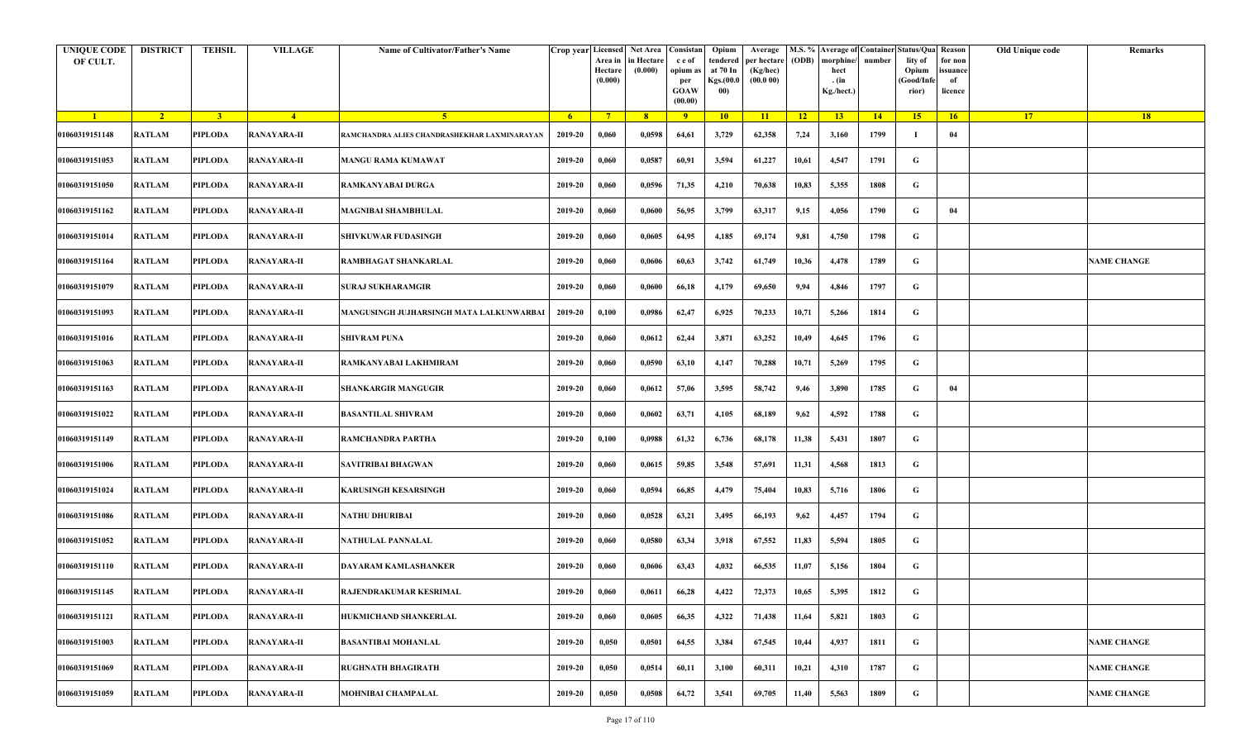| <b>UNIQUE CODE</b><br>OF CULT. | <b>DISTRICT</b> | <b>TEHSIL</b>  | <b>VILLAGE</b>     | Name of Cultivator/Father's Name             |         | Crop year Licensed Net Area Consistan<br>Area in<br>Hectare<br>(0.000) | in Hectare<br>(0.000) | c e of<br>opium as<br>per<br><b>GOAW</b><br>(00.00) | Opium<br>tendered<br>at 70 In<br>Kgs.(00.0<br>00) | Average<br>per hectare<br>(Kg/hec)<br>(00.000) | (ODB) | M.S. % Average of Container Status/Qua Reason<br>morphine/<br>hect<br>. (in<br>Kg./hect.) | number | lity of<br>Opium<br>(Good/Infe<br>rior) | for non<br>ssuance<br>of<br>licence | Old Unique code | Remarks            |
|--------------------------------|-----------------|----------------|--------------------|----------------------------------------------|---------|------------------------------------------------------------------------|-----------------------|-----------------------------------------------------|---------------------------------------------------|------------------------------------------------|-------|-------------------------------------------------------------------------------------------|--------|-----------------------------------------|-------------------------------------|-----------------|--------------------|
| $\blacksquare$                 | $\sqrt{2}$      | 3 <sup>1</sup> | $-4$               | 5 <sup>1</sup>                               | $-6$    | $7^{\circ}$                                                            | 8 <sup>°</sup>        | $\overline{9}$                                      | 10                                                | 11                                             | $-12$ | 13                                                                                        | 14     | 15                                      | 16                                  | <b>17</b>       | 18                 |
| 01060319151148                 | <b>RATLAM</b>   | <b>PIPLODA</b> | <b>RANAYARA-II</b> | RAMCHANDRA ALIES CHANDRASHEKHAR LAXMINARAYAN | 2019-20 | 0,060                                                                  | 0,0598                | 64,61                                               | 3,729                                             | 62,358                                         | 7,24  | 3,160                                                                                     | 1799   | -1                                      | 04                                  |                 |                    |
| 01060319151053                 | <b>RATLAM</b>   | <b>PIPLODA</b> | <b>RANAYARA-II</b> | <b>MANGU RAMA KUMAWAT</b>                    | 2019-20 | 0,060                                                                  | 0,0587                | 60,91                                               | 3,594                                             | 61,227                                         | 10,61 | 4,547                                                                                     | 1791   | G                                       |                                     |                 |                    |
| 01060319151050                 | <b>RATLAM</b>   | PIPLODA        | <b>RANAYARA-II</b> | RAMKANYABAI DURGA                            | 2019-20 | 0,060                                                                  | 0,0596                | 71,35                                               | 4,210                                             | 70,638                                         | 10,83 | 5,355                                                                                     | 1808   | G                                       |                                     |                 |                    |
| 01060319151162                 | <b>RATLAM</b>   | <b>PIPLODA</b> | <b>RANAYARA-II</b> | <b>MAGNIBAI SHAMBHULAL</b>                   | 2019-20 | 0,060                                                                  | 0,0600                | 56,95                                               | 3,799                                             | 63,317                                         | 9,15  | 4,056                                                                                     | 1790   | G                                       | 04                                  |                 |                    |
| 01060319151014                 | RATLAM          | PIPLODA        | <b>RANAYARA-II</b> | <b>SHIVKUWAR FUDASINGH</b>                   | 2019-20 | 0,060                                                                  | 0,0605                | 64,95                                               | 4,185                                             | 69,174                                         | 9,81  | 4,750                                                                                     | 1798   | G                                       |                                     |                 |                    |
| 01060319151164                 | <b>RATLAM</b>   | <b>PIPLODA</b> | <b>RANAYARA-II</b> | RAMBHAGAT SHANKARLAL                         | 2019-20 | 0,060                                                                  | 0,0606                | 60,63                                               | 3,742                                             | 61,749                                         | 10,36 | 4,478                                                                                     | 1789   | G                                       |                                     |                 | <b>NAME CHANGE</b> |
| 01060319151079                 | <b>RATLAM</b>   | PIPLODA        | <b>RANAYARA-II</b> | <b>SURAJ SUKHARAMGIR</b>                     | 2019-20 | 0,060                                                                  | 0,0600                | 66,18                                               | 4,179                                             | 69,650                                         | 9,94  | 4,846                                                                                     | 1797   | G                                       |                                     |                 |                    |
| 01060319151093                 | <b>RATLAM</b>   | <b>PIPLODA</b> | <b>RANAYARA-II</b> | MANGUSINGH JUJHARSINGH MATA LALKUNWARBAI     | 2019-20 | 0,100                                                                  | 0,0986                | 62,47                                               | 6,925                                             | 70,233                                         | 10,71 | 5,266                                                                                     | 1814   | G                                       |                                     |                 |                    |
| 01060319151016                 | <b>RATLAM</b>   | <b>PIPLODA</b> | <b>RANAYARA-II</b> | <b>SHIVRAM PUNA</b>                          | 2019-20 | 0,060                                                                  | 0,0612                | 62,44                                               | 3,871                                             | 63,252                                         | 10,49 | 4,645                                                                                     | 1796   | G                                       |                                     |                 |                    |
| 01060319151063                 | <b>RATLAM</b>   | PIPLODA        | <b>RANAYARA-II</b> | RAMKANYABAI LAKHMIRAM                        | 2019-20 | 0,060                                                                  | 0,0590                | 63,10                                               | 4,147                                             | 70,288                                         | 10,71 | 5,269                                                                                     | 1795   | G                                       |                                     |                 |                    |
| 01060319151163                 | <b>RATLAM</b>   | <b>PIPLODA</b> | <b>RANAYARA-II</b> | <b>SHANKARGIR MANGUGIR</b>                   | 2019-20 | 0,060                                                                  | 0,0612                | 57,06                                               | 3,595                                             | 58,742                                         | 9,46  | 3,890                                                                                     | 1785   | G                                       | 04                                  |                 |                    |
| 01060319151022                 | <b>RATLAM</b>   | PIPLODA        | <b>RANAYARA-II</b> | <b>BASANTILAL SHIVRAM</b>                    | 2019-20 | 0,060                                                                  | 0,0602                | 63,71                                               | 4,105                                             | 68,189                                         | 9,62  | 4,592                                                                                     | 1788   | G                                       |                                     |                 |                    |
| 01060319151149                 | <b>RATLAM</b>   | <b>PIPLODA</b> | <b>RANAYARA-II</b> | RAMCHANDRA PARTHA                            | 2019-20 | 0,100                                                                  | 0,0988                | 61,32                                               | 6,736                                             | 68,178                                         | 11,38 | 5,431                                                                                     | 1807   | G                                       |                                     |                 |                    |
| 01060319151006                 | RATLAM          | PIPLODA        | <b>RANAYARA-II</b> | SAVITRIBAI BHAGWAN                           | 2019-20 | 0,060                                                                  | 0,0615                | 59,85                                               | 3,548                                             | 57,691                                         | 11,31 | 4,568                                                                                     | 1813   | G                                       |                                     |                 |                    |
| 01060319151024                 | <b>RATLAM</b>   | <b>PIPLODA</b> | <b>RANAYARA-II</b> | <b>KARUSINGH KESARSINGH</b>                  | 2019-20 | 0,060                                                                  | 0,0594                | 66,85                                               | 4,479                                             | 75,404                                         | 10,83 | 5,716                                                                                     | 1806   | G                                       |                                     |                 |                    |
| 01060319151086                 | <b>RATLAM</b>   | PIPLODA        | <b>RANAYARA-II</b> | NATHU DHURIBAI                               | 2019-20 | 0,060                                                                  | 0,0528                | 63,21                                               | 3,495                                             | 66,193                                         | 9,62  | 4,457                                                                                     | 1794   | G                                       |                                     |                 |                    |
| 01060319151052                 | <b>RATLAM</b>   | <b>PIPLODA</b> | <b>RANAYARA-II</b> | NATHULAL PANNALAL                            | 2019-20 | 0,060                                                                  | 0,0580                | 63,34                                               | 3,918                                             | 67,552                                         | 11,83 | 5,594                                                                                     | 1805   | G                                       |                                     |                 |                    |
| 01060319151110                 | <b>RATLAM</b>   | PIPLODA        | <b>RANAYARA-II</b> | DAYARAM KAMLASHANKER                         | 2019-20 | 0,060                                                                  | 0,0606                | 63,43                                               | 4,032                                             | 66,535                                         | 11,07 | 5,156                                                                                     | 1804   | G                                       |                                     |                 |                    |
| 01060319151145                 | RATLAM          | PIPLODA        | <b>RANAYARA-II</b> | RAJENDRAKUMAR KESRIMAL                       | 2019-20 | 0,060                                                                  | 0,0611                | 66,28                                               | 4,422                                             | 72,373                                         | 10,65 | 5,395                                                                                     | 1812   | G                                       |                                     |                 |                    |
| 01060319151121                 | <b>RATLAM</b>   | <b>PIPLODA</b> | <b>RANAYARA-II</b> | HUKMICHAND SHANKERLAL                        | 2019-20 | 0,060                                                                  | 0,0605                | 66,35                                               | 4,322                                             | 71,438                                         | 11,64 | 5,821                                                                                     | 1803   | $\mathbf G$                             |                                     |                 |                    |
| 01060319151003                 | <b>RATLAM</b>   | <b>PIPLODA</b> | <b>RANAYARA-II</b> | <b>BASANTIBAI MOHANLAL</b>                   | 2019-20 | 0,050                                                                  | 0,0501                | 64,55                                               | 3,384                                             | 67,545                                         | 10,44 | 4,937                                                                                     | 1811   | G                                       |                                     |                 | <b>NAME CHANGE</b> |
| 01060319151069                 | RATLAM          | <b>PIPLODA</b> | <b>RANAYARA-II</b> | <b>RUGHNATH BHAGIRATH</b>                    | 2019-20 | 0,050                                                                  | 0,0514                | 60,11                                               | 3,100                                             | 60,311                                         | 10,21 | 4,310                                                                                     | 1787   | G                                       |                                     |                 | <b>NAME CHANGE</b> |
| 01060319151059                 | RATLAM          | <b>PIPLODA</b> | <b>RANAYARA-II</b> | <b>MOHNIBAI CHAMPALAL</b>                    | 2019-20 | 0,050                                                                  | 0,0508                | 64,72                                               | 3,541                                             | 69,705                                         | 11,40 | 5,563                                                                                     | 1809   | G                                       |                                     |                 | <b>NAME CHANGE</b> |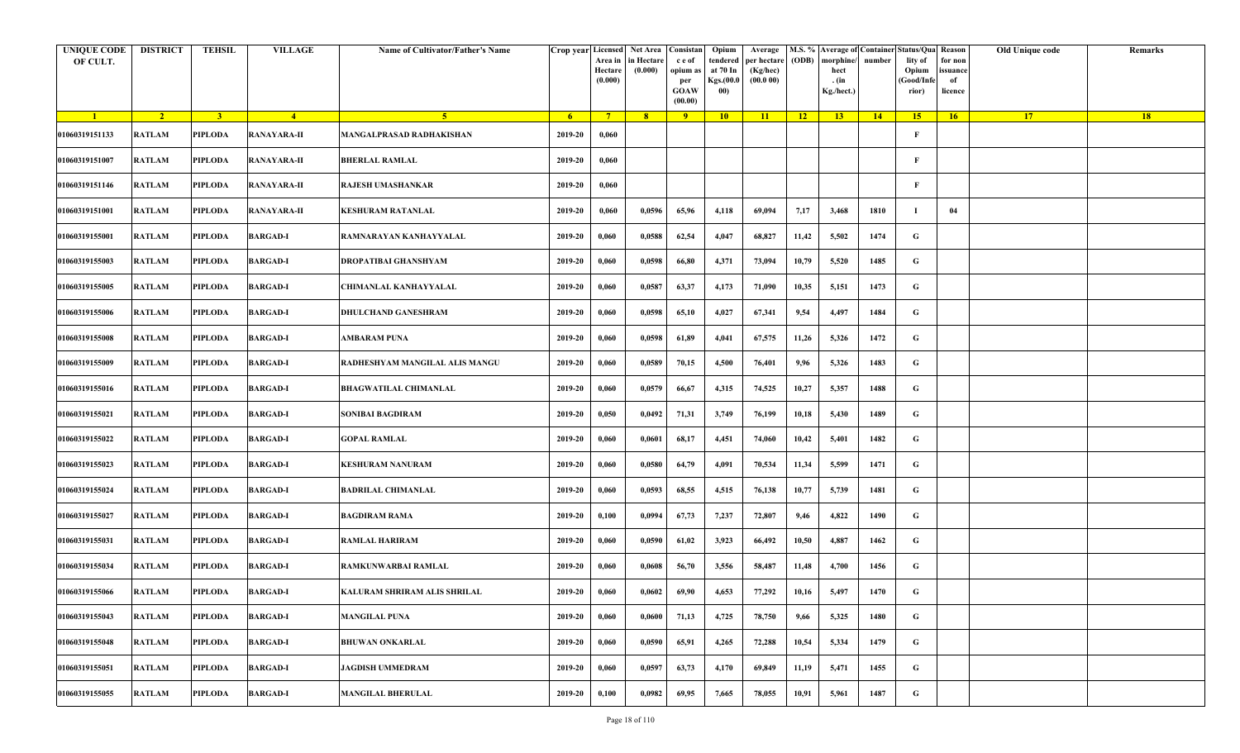| <b>UNIQUE CODE</b><br>OF CULT. | <b>DISTRICT</b> | <b>TEHSIL</b>  | <b>VILLAGE</b>     | Name of Cultivator/Father's Name |         | Area in<br>Hectare<br>(0.000) | Crop year Licensed Net Area Consistan<br>in Hectare<br>(0.000) | c e of<br>opium a<br>per<br><b>GOAW</b><br>(00.00) | Opium<br>tendered<br>at 70 In<br>Kgs.(00.0<br>00) | Average<br>per hectare<br>(Kg/hec)<br>(00.000) | (ODB) | M.S. % Average of Container Status/Qua Reason<br>morphine/<br>hect<br>. (in<br>Kg./hect.) | number | lity of<br>Opium<br>(Good/Infe<br>rior) | for non<br>ssuance<br>of<br>licence | Old Unique code | Remarks |
|--------------------------------|-----------------|----------------|--------------------|----------------------------------|---------|-------------------------------|----------------------------------------------------------------|----------------------------------------------------|---------------------------------------------------|------------------------------------------------|-------|-------------------------------------------------------------------------------------------|--------|-----------------------------------------|-------------------------------------|-----------------|---------|
| $\blacksquare$                 | $\sqrt{2}$      | 3 <sup>1</sup> | $-4$               | 5 <sup>1</sup>                   | $-6$    | $7^{\circ}$                   | 8 <sup>°</sup>                                                 | $\overline{9}$                                     | 10                                                | 11                                             | $-12$ | 13                                                                                        | 14     | 15                                      | 16                                  | <b>17</b>       | 18      |
| 01060319151133                 | <b>RATLAM</b>   | <b>PIPLODA</b> | <b>RANAYARA-II</b> | MANGALPRASAD RADHAKISHAN         | 2019-20 | 0,060                         |                                                                |                                                    |                                                   |                                                |       |                                                                                           |        | F                                       |                                     |                 |         |
| 01060319151007                 | RATLAM          | <b>PIPLODA</b> | <b>RANAYARA-II</b> | <b>BHERLAL RAMLAL</b>            | 2019-20 | 0,060                         |                                                                |                                                    |                                                   |                                                |       |                                                                                           |        | F                                       |                                     |                 |         |
| 01060319151146                 | <b>RATLAM</b>   | PIPLODA        | <b>RANAYARA-II</b> | RAJESH UMASHANKAR                | 2019-20 | 0,060                         |                                                                |                                                    |                                                   |                                                |       |                                                                                           |        | F                                       |                                     |                 |         |
| 01060319151001                 | <b>RATLAM</b>   | <b>PIPLODA</b> | <b>RANAYARA-II</b> | <b>KESHURAM RATANLAL</b>         | 2019-20 | 0,060                         | 0,0596                                                         | 65,96                                              | 4,118                                             | 69,094                                         | 7,17  | 3,468                                                                                     | 1810   | -1                                      | 04                                  |                 |         |
| 01060319155001                 | RATLAM          | PIPLODA        | <b>BARGAD-I</b>    | RAMNARAYAN KANHAYYALAL           | 2019-20 | 0,060                         | 0,0588                                                         | 62,54                                              | 4,047                                             | 68,827                                         | 11,42 | 5,502                                                                                     | 1474   | G                                       |                                     |                 |         |
| 01060319155003                 | RATLAM          | <b>PIPLODA</b> | <b>BARGAD-I</b>    | DROPATIBAI GHANSHYAM             | 2019-20 | 0,060                         | 0,0598                                                         | 66,80                                              | 4,371                                             | 73,094                                         | 10,79 | 5,520                                                                                     | 1485   | G                                       |                                     |                 |         |
| 01060319155005                 | <b>RATLAM</b>   | <b>PIPLODA</b> | <b>BARGAD-I</b>    | CHIMANLAL KANHAYYALAL            | 2019-20 | 0,060                         | 0,0587                                                         | 63,37                                              | 4,173                                             | 71,090                                         | 10,35 | 5,151                                                                                     | 1473   | G                                       |                                     |                 |         |
| 01060319155006                 | <b>RATLAM</b>   | <b>PIPLODA</b> | <b>BARGAD-I</b>    | DHULCHAND GANESHRAM              | 2019-20 | 0,060                         | 0,0598                                                         | 65,10                                              | 4,027                                             | 67,341                                         | 9,54  | 4,497                                                                                     | 1484   | G                                       |                                     |                 |         |
| 01060319155008                 | <b>RATLAM</b>   | <b>PIPLODA</b> | <b>BARGAD-I</b>    | AMBARAM PUNA                     | 2019-20 | 0,060                         | 0,0598                                                         | 61,89                                              | 4,041                                             | 67,575                                         | 11,26 | 5,326                                                                                     | 1472   | G                                       |                                     |                 |         |
| 01060319155009                 | <b>RATLAM</b>   | <b>PIPLODA</b> | <b>BARGAD-I</b>    | RADHESHYAM MANGILAL ALIS MANGU   | 2019-20 | 0,060                         | 0,0589                                                         | 70,15                                              | 4,500                                             | 76,401                                         | 9,96  | 5,326                                                                                     | 1483   | G                                       |                                     |                 |         |
| 01060319155016                 | <b>RATLAM</b>   | <b>PIPLODA</b> | <b>BARGAD-I</b>    | <b>BHAGWATILAL CHIMANLAL</b>     | 2019-20 | 0,060                         | 0,0579                                                         | 66,67                                              | 4,315                                             | 74,525                                         | 10,27 | 5,357                                                                                     | 1488   | G                                       |                                     |                 |         |
| 01060319155021                 | <b>RATLAM</b>   | PIPLODA        | <b>BARGAD-I</b>    | SONIBAI BAGDIRAM                 | 2019-20 | 0,050                         | 0,0492                                                         | 71,31                                              | 3,749                                             | 76,199                                         | 10,18 | 5,430                                                                                     | 1489   | G                                       |                                     |                 |         |
| 01060319155022                 | <b>RATLAM</b>   | <b>PIPLODA</b> | <b>BARGAD-I</b>    | <b>GOPAL RAMLAL</b>              | 2019-20 | 0,060                         | 0,0601                                                         | 68,17                                              | 4,451                                             | 74,060                                         | 10,42 | 5,401                                                                                     | 1482   | G                                       |                                     |                 |         |
| 01060319155023                 | RATLAM          | PIPLODA        | <b>BARGAD-I</b>    | <b>KESHURAM NANURAM</b>          | 2019-20 | 0,060                         | 0,0580                                                         | 64,79                                              | 4,091                                             | 70,534                                         | 11,34 | 5,599                                                                                     | 1471   | G                                       |                                     |                 |         |
| 01060319155024                 | RATLAM          | <b>PIPLODA</b> | <b>BARGAD-I</b>    | <b>BADRILAL CHIMANLAL</b>        | 2019-20 | 0,060                         | 0,0593                                                         | 68,55                                              | 4,515                                             | 76,138                                         | 10,77 | 5,739                                                                                     | 1481   | G                                       |                                     |                 |         |
| 01060319155027                 | RATLAM          | PIPLODA        | <b>BARGAD-I</b>    | <b>BAGDIRAM RAMA</b>             | 2019-20 | 0,100                         | 0,0994                                                         | 67,73                                              | 7,237                                             | 72,807                                         | 9,46  | 4,822                                                                                     | 1490   | G                                       |                                     |                 |         |
| 01060319155031                 | <b>RATLAM</b>   | <b>PIPLODA</b> | <b>BARGAD-I</b>    | <b>RAMLAL HARIRAM</b>            | 2019-20 | 0,060                         | 0,0590                                                         | 61,02                                              | 3,923                                             | 66,492                                         | 10,50 | 4,887                                                                                     | 1462   | G                                       |                                     |                 |         |
| 01060319155034                 | <b>RATLAM</b>   | PIPLODA        | <b>BARGAD-I</b>    | RAMKUNWARBAI RAMLAL              | 2019-20 | 0,060                         | 0,0608                                                         | 56,70                                              | 3,556                                             | 58,487                                         | 11,48 | 4,700                                                                                     | 1456   | G                                       |                                     |                 |         |
| 01060319155066                 | RATLAM          | PIPLODA        | <b>BARGAD-I</b>    | KALURAM SHRIRAM ALIS SHRILAL     | 2019-20 | 0,060                         | 0,0602                                                         | 69,90                                              | 4,653                                             | 77,292                                         | 10,16 | 5,497                                                                                     | 1470   | G                                       |                                     |                 |         |
| 01060319155043                 | <b>RATLAM</b>   | <b>PIPLODA</b> | <b>BARGAD-I</b>    | <b>MANGILAL PUNA</b>             | 2019-20 | 0,060                         | 0,0600                                                         | 71,13                                              | 4,725                                             | 78,750                                         | 9,66  | 5,325                                                                                     | 1480   | $\mathbf G$                             |                                     |                 |         |
| 01060319155048                 | RATLAM          | <b>PIPLODA</b> | <b>BARGAD-I</b>    | <b>BHUWAN ONKARLAL</b>           | 2019-20 | 0,060                         | 0,0590                                                         | 65,91                                              | 4,265                                             | 72,288                                         | 10,54 | 5,334                                                                                     | 1479   | G                                       |                                     |                 |         |
| 01060319155051                 | RATLAM          | <b>PIPLODA</b> | <b>BARGAD-I</b>    | <b>JAGDISH UMMEDRAM</b>          | 2019-20 | 0,060                         | 0,0597                                                         | 63,73                                              | 4,170                                             | 69,849                                         | 11,19 | 5,471                                                                                     | 1455   | G                                       |                                     |                 |         |
| 01060319155055                 | RATLAM          | <b>PIPLODA</b> | <b>BARGAD-I</b>    | <b>MANGILAL BHERULAL</b>         | 2019-20 | 0,100                         | 0,0982                                                         | 69,95                                              | 7,665                                             | 78,055                                         | 10,91 | 5,961                                                                                     | 1487   | G                                       |                                     |                 |         |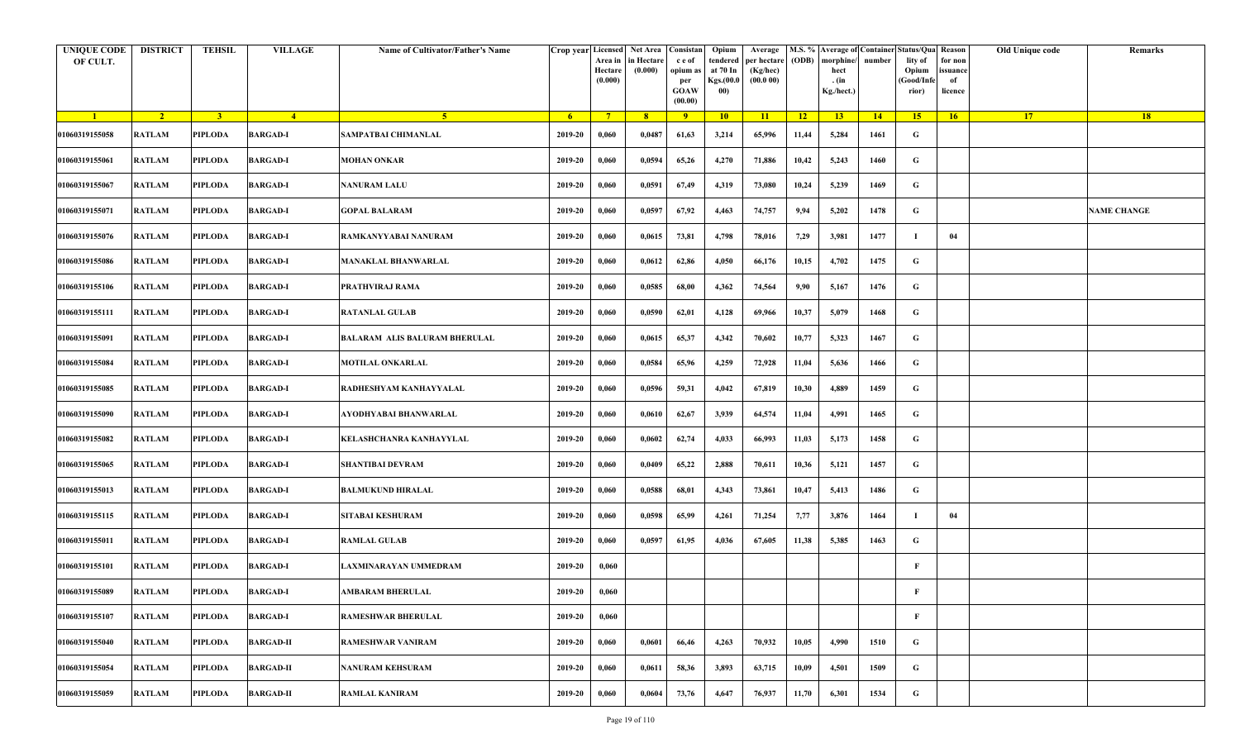| <b>UNIQUE CODE</b><br>OF CULT. | <b>DISTRICT</b> | TEHSIL         | <b>VILLAGE</b>   | Name of Cultivator/Father's Name | Crop year Licensed | Area in<br>Hectare<br>(0.000) | Net Area   Consistan<br>n Hectare<br>(0.000) | c e of<br>opium as<br>per<br><b>GOAW</b><br>(00.00) | Opium<br>tendered<br>at 70 In<br>Kgs.(00.0<br>00) | Average<br>per hectare<br>(Kg/hec)<br>(00.000) | (ODB) | M.S. % Average of Container Status/Qua Reason<br>morphine/<br>hect<br>. (in<br>Kg./hect.) | number      | lity of<br>Opium<br>(Good/Info<br>rior) | for non<br>ssuance<br>of<br>licence | Old Unique code | Remarks            |
|--------------------------------|-----------------|----------------|------------------|----------------------------------|--------------------|-------------------------------|----------------------------------------------|-----------------------------------------------------|---------------------------------------------------|------------------------------------------------|-------|-------------------------------------------------------------------------------------------|-------------|-----------------------------------------|-------------------------------------|-----------------|--------------------|
| $\blacksquare$                 | $\sqrt{2}$      | $\overline{3}$ | $-4$             | $-5$                             | 6 <sup>1</sup>     | $7^{\circ}$                   | 8 <sup>2</sup>                               | 9                                                   | 10                                                | 11                                             | $-12$ | 13 <sup>7</sup>                                                                           | $\sqrt{14}$ | 15                                      | 16                                  | 17 <sup>2</sup> | 18                 |
| 01060319155058                 | <b>RATLAM</b>   | PIPLODA        | <b>BARGAD-I</b>  | SAMPATBAI CHIMANLAL              | 2019-20            | 0,060                         | 0,0487                                       | 61,63                                               | 3,214                                             | 65,996                                         | 11,44 | 5,284                                                                                     | 1461        | G                                       |                                     |                 |                    |
| 01060319155061                 | <b>RATLAM</b>   | PIPLODA        | <b>BARGAD-I</b>  | <b>MOHAN ONKAR</b>               | 2019-20            | 0,060                         | 0,0594                                       | 65,26                                               | 4,270                                             | 71,886                                         | 10,42 | 5,243                                                                                     | 1460        | G                                       |                                     |                 |                    |
| 01060319155067                 | <b>RATLAM</b>   | PIPLODA        | <b>BARGAD-I</b>  | <b>NANURAM LALU</b>              | 2019-20            | 0,060                         | 0,0591                                       | 67,49                                               | 4,319                                             | 73,080                                         | 10,24 | 5,239                                                                                     | 1469        | G                                       |                                     |                 |                    |
| 01060319155071                 | <b>RATLAM</b>   | PIPLODA        | <b>BARGAD-I</b>  | GOPAL BALARAM                    | 2019-20            | 0,060                         | 0,0597                                       | 67,92                                               | 4,463                                             | 74,757                                         | 9,94  | 5,202                                                                                     | 1478        | G                                       |                                     |                 | <b>NAME CHANGE</b> |
| 01060319155076                 | RATLAM          | <b>PIPLODA</b> | <b>BARGAD-I</b>  | RAMKANYYABAI NANURAM             | 2019-20            | 0,060                         | 0,0615                                       | 73,81                                               | 4,798                                             | 78,016                                         | 7,29  | 3,981                                                                                     | 1477        | - 1                                     | 04                                  |                 |                    |
| 01060319155086                 | <b>RATLAM</b>   | <b>PIPLODA</b> | <b>BARGAD-I</b>  | <b>MANAKLAL BHANWARLAL</b>       | 2019-20            | 0,060                         | 0,0612                                       | 62,86                                               | 4,050                                             | 66,176                                         | 10,15 | 4,702                                                                                     | 1475        | G                                       |                                     |                 |                    |
| 01060319155106                 | <b>RATLAM</b>   | PIPLODA        | <b>BARGAD-I</b>  | PRATHVIRAJ RAMA                  | 2019-20            | 0,060                         | 0,0585                                       | 68,00                                               | 4,362                                             | 74,564                                         | 9,90  | 5,167                                                                                     | 1476        | G                                       |                                     |                 |                    |
| 01060319155111                 | <b>RATLAM</b>   | <b>PIPLODA</b> | <b>BARGAD-I</b>  | <b>RATANLAL GULAB</b>            | 2019-20            | 0,060                         | 0,0590                                       | 62,01                                               | 4,128                                             | 69,966                                         | 10,37 | 5,079                                                                                     | 1468        | G                                       |                                     |                 |                    |
| 01060319155091                 | <b>RATLAM</b>   | PIPLODA        | <b>BARGAD-I</b>  | BALARAM-ALIS BALURAM BHERULAL    | 2019-20            | 0,060                         | 0,0615                                       | 65,37                                               | 4,342                                             | 70,602                                         | 10,77 | 5,323                                                                                     | 1467        | G                                       |                                     |                 |                    |
| 01060319155084                 | <b>RATLAM</b>   | <b>PIPLODA</b> | <b>BARGAD-I</b>  | MOTILAL ONKARLAL                 | 2019-20            | 0,060                         | 0,0584                                       | 65,96                                               | 4,259                                             | 72,928                                         | 11,04 | 5,636                                                                                     | 1466        | G                                       |                                     |                 |                    |
| 01060319155085                 | <b>RATLAM</b>   | <b>PIPLODA</b> | <b>BARGAD-I</b>  | RADHESHYAM KANHAYYALAL           | 2019-20            | 0,060                         | 0,0596                                       | 59,31                                               | 4,042                                             | 67,819                                         | 10,30 | 4,889                                                                                     | 1459        | G                                       |                                     |                 |                    |
| 01060319155090                 | <b>RATLAM</b>   | PIPLODA        | <b>BARGAD-I</b>  | AYODHYABAI BHANWARLAL            | 2019-20            | 0,060                         | 0,0610                                       | 62,67                                               | 3,939                                             | 64,574                                         | 11,04 | 4,991                                                                                     | 1465        | G                                       |                                     |                 |                    |
| 01060319155082                 | <b>RATLAM</b>   | PIPLODA        | <b>BARGAD-I</b>  | KELASHCHANRA KANHAYYLAL          | 2019-20            | 0,060                         | 0,0602                                       | 62,74                                               | 4,033                                             | 66,993                                         | 11,03 | 5,173                                                                                     | 1458        | G                                       |                                     |                 |                    |
| 01060319155065                 | RATLAM          | <b>PIPLODA</b> | <b>BARGAD-I</b>  | <b>SHANTIBAI DEVRAM</b>          | 2019-20            | 0,060                         | 0,0409                                       | 65,22                                               | 2,888                                             | 70,611                                         | 10,36 | 5,121                                                                                     | 1457        | G                                       |                                     |                 |                    |
| 01060319155013                 | <b>RATLAM</b>   | <b>PIPLODA</b> | <b>BARGAD-I</b>  | <b>BALMUKUND HIRALAL</b>         | 2019-20            | 0,060                         | 0,0588                                       | 68,01                                               | 4,343                                             | 73,861                                         | 10,47 | 5,413                                                                                     | 1486        | G                                       |                                     |                 |                    |
| 01060319155115                 | <b>RATLAM</b>   | PIPLODA        | <b>BARGAD-I</b>  | <b>SITABAI KESHURAM</b>          | 2019-20            | 0,060                         | 0,0598                                       | 65,99                                               | 4,261                                             | 71,254                                         | 7,77  | 3,876                                                                                     | 1464        |                                         | 04                                  |                 |                    |
| 01060319155011                 | <b>RATLAM</b>   | <b>PIPLODA</b> | <b>BARGAD-I</b>  | <b>RAMLAL GULAB</b>              | 2019-20            | 0,060                         | 0,0597                                       | 61,95                                               | 4,036                                             | 67,605                                         | 11,38 | 5,385                                                                                     | 1463        | G                                       |                                     |                 |                    |
| 01060319155101                 | RATLAM          | PIPLODA        | <b>BARGAD-I</b>  | AXMINARAYAN UMMEDRAM             | 2019-20            | 0,060                         |                                              |                                                     |                                                   |                                                |       |                                                                                           |             | F                                       |                                     |                 |                    |
| 01060319155089                 | RATLAM          | PIPLODA        | <b>BARGAD-I</b>  | <b>AMBARAM BHERULAL</b>          | 2019-20            | 0,060                         |                                              |                                                     |                                                   |                                                |       |                                                                                           |             | F                                       |                                     |                 |                    |
| 01060319155107                 | <b>RATLAM</b>   | <b>PIPLODA</b> | <b>BARGAD-I</b>  | <b>RAMESHWAR BHERULAL</b>        | 2019-20            | 0,060                         |                                              |                                                     |                                                   |                                                |       |                                                                                           |             | $\mathbf{F}$                            |                                     |                 |                    |
| 01060319155040                 | RATLAM          | <b>PIPLODA</b> | <b>BARGAD-II</b> | <b>RAMESHWAR VANIRAM</b>         | 2019-20            | 0,060                         | 0,0601                                       | 66,46                                               | 4,263                                             | 70,932                                         | 10,05 | 4,990                                                                                     | 1510        | $\mathbf G$                             |                                     |                 |                    |
| 01060319155054                 | <b>RATLAM</b>   | <b>PIPLODA</b> | <b>BARGAD-II</b> | <b>NANURAM KEHSURAM</b>          | 2019-20            | 0,060                         | 0,0611                                       | 58,36                                               | 3,893                                             | 63,715                                         | 10,09 | 4,501                                                                                     | 1509        | $\mathbf G$                             |                                     |                 |                    |
| 01060319155059                 | <b>RATLAM</b>   | <b>PIPLODA</b> | <b>BARGAD-II</b> | <b>RAMLAL KANIRAM</b>            | 2019-20            | 0,060                         | 0,0604                                       | 73,76                                               | 4,647                                             | 76,937                                         | 11,70 | 6,301                                                                                     | 1534        | G                                       |                                     |                 |                    |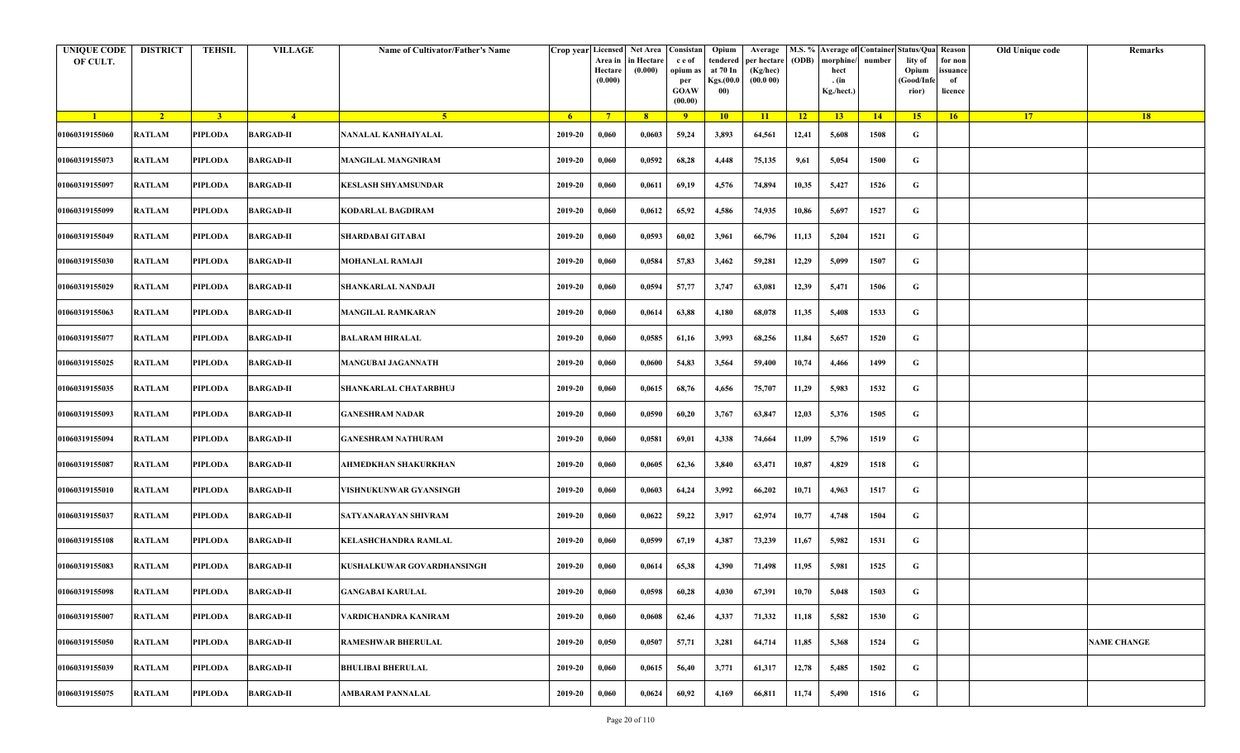| <b>UNIQUE CODE</b><br>OF CULT. | <b>DISTRICT</b> | <b>TEHSIL</b>  | <b>VILLAGE</b>   | Name of Cultivator/Father's Name |         | Crop year Licensed Net Area Consistan<br>Area in<br>Hectare<br>(0.000) | in Hectare<br>(0.000) | c e of<br>opium as<br>per<br><b>GOAW</b><br>(00.00) | Opium<br>tendered<br>at 70 In<br>Kgs.(00.0<br>00) | Average<br>per hectare<br>(Kg/hec)<br>(00.000) | (ODB) | M.S. % Average of Container Status/Qua Reason<br>morphine/<br>hect<br>. (in<br>Kg./hect.) | number | lity of<br>Opium<br>(Good/Infe<br>rior) | for non<br>ssuance<br>of<br>licence | Old Unique code | Remarks            |
|--------------------------------|-----------------|----------------|------------------|----------------------------------|---------|------------------------------------------------------------------------|-----------------------|-----------------------------------------------------|---------------------------------------------------|------------------------------------------------|-------|-------------------------------------------------------------------------------------------|--------|-----------------------------------------|-------------------------------------|-----------------|--------------------|
| $\blacksquare$                 | $\sqrt{2}$      | 3 <sup>1</sup> | $\frac{4}{ }$    | 5 <sup>1</sup>                   | $-6$    | $7^{\circ}$                                                            | 8 <sup>°</sup>        | $\overline{9}$                                      | 10                                                | 11                                             | $-12$ | 13                                                                                        | 14     | 15                                      | 16                                  | <b>17</b>       | 18                 |
| 01060319155060                 | <b>RATLAM</b>   | <b>PIPLODA</b> | <b>BARGAD-II</b> | NANALAL KANHAIYALAL              | 2019-20 | 0,060                                                                  | 0,0603                | 59,24                                               | 3,893                                             | 64,561                                         | 12,41 | 5,608                                                                                     | 1508   | G                                       |                                     |                 |                    |
| 01060319155073                 | RATLAM          | PIPLODA        | <b>BARGAD-II</b> | <b>MANGILAL MANGNIRAM</b>        | 2019-20 | 0,060                                                                  | 0,0592                | 68,28                                               | 4,448                                             | 75,135                                         | 9,61  | 5,054                                                                                     | 1500   | G                                       |                                     |                 |                    |
| 01060319155097                 | <b>RATLAM</b>   | PIPLODA        | <b>BARGAD-II</b> | <b>KESLASH SHYAMSUNDAR</b>       | 2019-20 | 0,060                                                                  | 0,0611                | 69,19                                               | 4,576                                             | 74,894                                         | 10,35 | 5,427                                                                                     | 1526   | G                                       |                                     |                 |                    |
| 01060319155099                 | RATLAM          | <b>PIPLODA</b> | <b>BARGAD-II</b> | <b>KODARLAL BAGDIRAM</b>         | 2019-20 | 0,060                                                                  | 0,0612                | 65,92                                               | 4,586                                             | 74,935                                         | 10,86 | 5,697                                                                                     | 1527   | G                                       |                                     |                 |                    |
| 01060319155049                 | RATLAM          | PIPLODA        | <b>BARGAD-II</b> | SHARDABAI GITABAI                | 2019-20 | 0,060                                                                  | 0,0593                | 60,02                                               | 3,961                                             | 66,796                                         | 11,13 | 5,204                                                                                     | 1521   | G                                       |                                     |                 |                    |
| 01060319155030                 | RATLAM          | <b>PIPLODA</b> | <b>BARGAD-II</b> | <b>MOHANLAL RAMAJI</b>           | 2019-20 | 0,060                                                                  | 0,0584                | 57,83                                               | 3,462                                             | 59,281                                         | 12,29 | 5,099                                                                                     | 1507   | G                                       |                                     |                 |                    |
| 01060319155029                 | <b>RATLAM</b>   | <b>PIPLODA</b> | <b>BARGAD-II</b> | SHANKARLAL NANDAJI               | 2019-20 | 0,060                                                                  | 0,0594                | 57,77                                               | 3,747                                             | 63,081                                         | 12,39 | 5,471                                                                                     | 1506   | G                                       |                                     |                 |                    |
| 01060319155063                 | <b>RATLAM</b>   | <b>PIPLODA</b> | <b>BARGAD-II</b> | <b>MANGILAL RAMKARAN</b>         | 2019-20 | 0,060                                                                  | 0,0614                | 63,88                                               | 4,180                                             | 68,078                                         | 11,35 | 5,408                                                                                     | 1533   | G                                       |                                     |                 |                    |
| 01060319155077                 | RATLAM          | <b>PIPLODA</b> | <b>BARGAD-II</b> | <b>BALARAM HIRALAL</b>           | 2019-20 | 0,060                                                                  | 0,0585                | 61,16                                               | 3,993                                             | 68,256                                         | 11,84 | 5,657                                                                                     | 1520   | G                                       |                                     |                 |                    |
| 01060319155025                 | <b>RATLAM</b>   | <b>PIPLODA</b> | <b>BARGAD-II</b> | <b>MANGUBAI JAGANNATH</b>        | 2019-20 | 0,060                                                                  | 0,0600                | 54,83                                               | 3,564                                             | 59,400                                         | 10,74 | 4,466                                                                                     | 1499   | G                                       |                                     |                 |                    |
| 01060319155035                 | <b>RATLAM</b>   | <b>PIPLODA</b> | <b>BARGAD-II</b> | <b>SHANKARLAL CHATARBHUJ</b>     | 2019-20 | 0,060                                                                  | 0,0615                | 68,76                                               | 4,656                                             | 75,707                                         | 11,29 | 5,983                                                                                     | 1532   | G                                       |                                     |                 |                    |
| 01060319155093                 | <b>RATLAM</b>   | PIPLODA        | <b>BARGAD-II</b> | <b>GANESHRAM NADAR</b>           | 2019-20 | 0,060                                                                  | 0,0590                | 60,20                                               | 3,767                                             | 63,847                                         | 12,03 | 5,376                                                                                     | 1505   | G                                       |                                     |                 |                    |
| 01060319155094                 | <b>RATLAM</b>   | <b>PIPLODA</b> | <b>BARGAD-II</b> | <b>GANESHRAM NATHURAM</b>        | 2019-20 | 0,060                                                                  | 0,0581                | 69,01                                               | 4,338                                             | 74,664                                         | 11,09 | 5,796                                                                                     | 1519   | G                                       |                                     |                 |                    |
| 01060319155087                 | RATLAM          | PIPLODA        | <b>BARGAD-II</b> | AHMEDKHAN SHAKURKHAN             | 2019-20 | 0,060                                                                  | 0,0605                | 62,36                                               | 3,840                                             | 63,471                                         | 10,87 | 4,829                                                                                     | 1518   | G                                       |                                     |                 |                    |
| 01060319155010                 | RATLAM          | <b>PIPLODA</b> | <b>BARGAD-II</b> | VISHNUKUNWAR GYANSINGH           | 2019-20 | 0,060                                                                  | 0,0603                | 64,24                                               | 3,992                                             | 66,202                                         | 10,71 | 4,963                                                                                     | 1517   | G                                       |                                     |                 |                    |
| 01060319155037                 | RATLAM          | PIPLODA        | <b>BARGAD-II</b> | SATYANARAYAN SHIVRAM             | 2019-20 | 0,060                                                                  | 0,0622                | 59,22                                               | 3,917                                             | 62,974                                         | 10,77 | 4,748                                                                                     | 1504   | G                                       |                                     |                 |                    |
| 01060319155108                 | <b>RATLAM</b>   | <b>PIPLODA</b> | <b>BARGAD-II</b> | KELASHCHANDRA RAMLAL             | 2019-20 | 0,060                                                                  | 0,0599                | 67,19                                               | 4,387                                             | 73,239                                         | 11,67 | 5,982                                                                                     | 1531   | G                                       |                                     |                 |                    |
| 01060319155083                 | <b>RATLAM</b>   | PIPLODA        | <b>BARGAD-II</b> | KUSHALKUWAR GOVARDHANSINGH       | 2019-20 | 0,060                                                                  | 0,0614                | 65,38                                               | 4,390                                             | 71,498                                         | 11,95 | 5,981                                                                                     | 1525   | G                                       |                                     |                 |                    |
| 01060319155098                 | RATLAM          | PIPLODA        | <b>BARGAD-II</b> | <b>GANGABAI KARULAL</b>          | 2019-20 | 0,060                                                                  | 0,0598                | 60,28                                               | 4,030                                             | 67,391                                         | 10,70 | 5,048                                                                                     | 1503   | G                                       |                                     |                 |                    |
| 01060319155007                 | <b>RATLAM</b>   | <b>PIPLODA</b> | <b>BARGAD-II</b> | VARDICHANDRA KANIRAM             | 2019-20 | 0,060                                                                  | 0,0608                | 62,46                                               | 4,337                                             | 71,332                                         | 11,18 | 5,582                                                                                     | 1530   | $\mathbf G$                             |                                     |                 |                    |
| 01060319155050                 | <b>RATLAM</b>   | <b>PIPLODA</b> | <b>BARGAD-II</b> | <b>RAMESHWAR BHERULAL</b>        | 2019-20 | 0,050                                                                  | 0,0507                | 57,71                                               | 3,281                                             | 64,714                                         | 11,85 | 5,368                                                                                     | 1524   | G                                       |                                     |                 | <b>NAME CHANGE</b> |
| 01060319155039                 | RATLAM          | <b>PIPLODA</b> | <b>BARGAD-II</b> | <b>BHULIBAI BHERULAL</b>         | 2019-20 | 0,060                                                                  | 0,0615                | 56,40                                               | 3,771                                             | 61,317                                         | 12,78 | 5,485                                                                                     | 1502   | G                                       |                                     |                 |                    |
| 01060319155075                 | RATLAM          | <b>PIPLODA</b> | <b>BARGAD-II</b> | <b>AMBARAM PANNALAL</b>          | 2019-20 | 0,060                                                                  | 0,0624                | 60,92                                               | 4,169                                             | 66,811                                         | 11,74 | 5,490                                                                                     | 1516   | G                                       |                                     |                 |                    |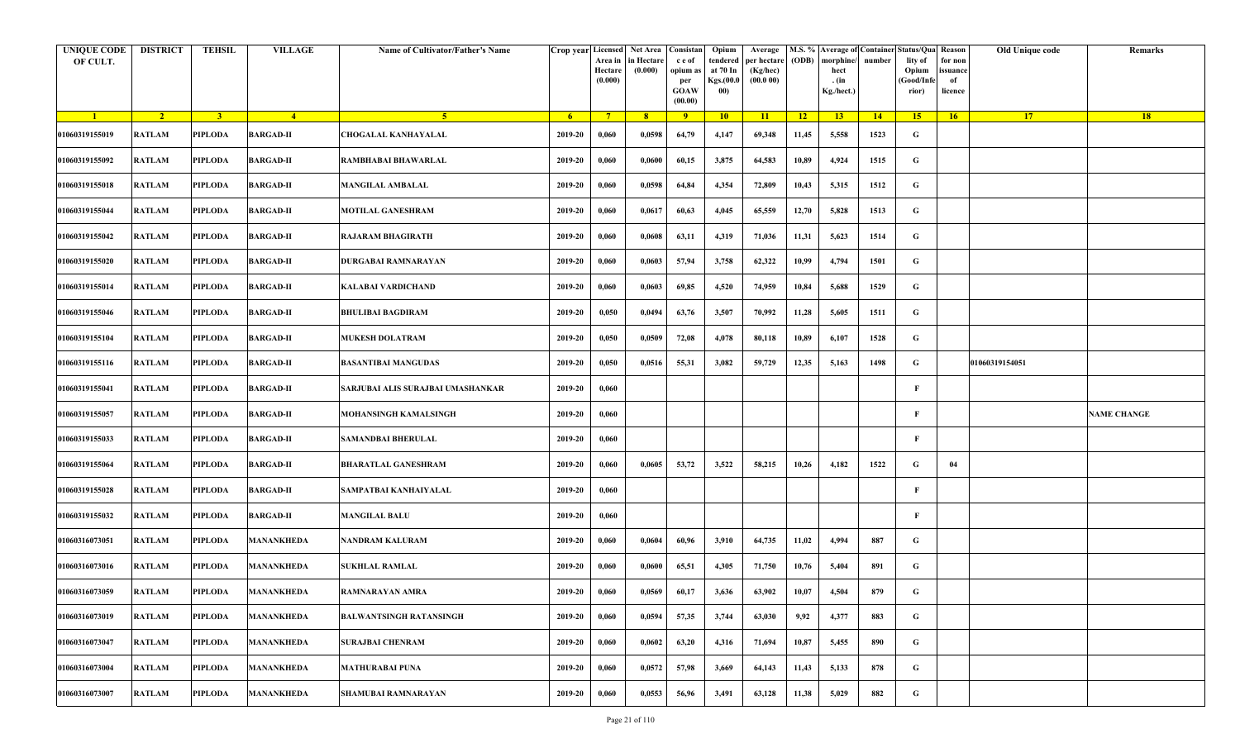| <b>UNIQUE CODE</b><br>OF CULT. | <b>DISTRICT</b> | <b>TEHSIL</b>  | <b>VILLAGE</b>    | Name of Cultivator/Father's Name  | Crop year Licensed | Area in<br>Hectare<br>(0.000) | Net Area Consistan<br>in Hectare<br>(0.000) | c e of<br>opium as<br>per<br><b>GOAW</b><br>(00.00) | Opium<br>tendered<br>at 70 In<br>Kgs.(00.0<br>00) | Average<br>per hectare<br>(Kg/hec)<br>(00.000) | (ODB) | M.S. % Average of Container Status/Qua Reason<br>morphine/<br>hect<br>. (in<br>Kg./hect.) | number | lity of<br>Opium<br>(Good/Infe<br>rior) | for non<br>ssuance<br>of<br>licence | Old Unique code | Remarks            |
|--------------------------------|-----------------|----------------|-------------------|-----------------------------------|--------------------|-------------------------------|---------------------------------------------|-----------------------------------------------------|---------------------------------------------------|------------------------------------------------|-------|-------------------------------------------------------------------------------------------|--------|-----------------------------------------|-------------------------------------|-----------------|--------------------|
| $\blacksquare$                 | $\sqrt{2}$      | 3 <sup>1</sup> | $-4$              | $\sqrt{5}$                        | - 6                | $7^{\circ}$                   | 8 <sup>°</sup>                              | $\overline{9}$                                      | 10                                                | 11                                             | $-12$ | 13                                                                                        | 14     | 15                                      | 16                                  | <b>17</b>       | 18                 |
| 01060319155019                 | <b>RATLAM</b>   | PIPLODA        | <b>BARGAD-II</b>  | <b>CHOGALAL KANHAYALAL</b>        | 2019-20            | 0,060                         | 0,0598                                      | 64,79                                               | 4,147                                             | 69,348                                         | 11,45 | 5,558                                                                                     | 1523   | G                                       |                                     |                 |                    |
| 01060319155092                 | <b>RATLAM</b>   | PIPLODA        | <b>BARGAD-II</b>  | RAMBHABAI BHAWARLAL               | 2019-20            | 0,060                         | 0,0600                                      | 60,15                                               | 3,875                                             | 64,583                                         | 10,89 | 4,924                                                                                     | 1515   | G                                       |                                     |                 |                    |
| 01060319155018                 | RATLAM          | PIPLODA        | <b>BARGAD-II</b>  | <b>MANGILAL AMBALAL</b>           | 2019-20            | 0,060                         | 0,0598                                      | 64,84                                               | 4,354                                             | 72,809                                         | 10,43 | 5,315                                                                                     | 1512   | G                                       |                                     |                 |                    |
| 01060319155044                 | <b>RATLAM</b>   | <b>PIPLODA</b> | <b>BARGAD-II</b>  | MOTILAL GANESHRAM                 | 2019-20            | 0,060                         | 0,0617                                      | 60,63                                               | 4,045                                             | 65,559                                         | 12,70 | 5,828                                                                                     | 1513   | G                                       |                                     |                 |                    |
| 01060319155042                 | RATLAM          | PIPLODA        | <b>BARGAD-II</b>  | RAJARAM BHAGIRATH                 | 2019-20            | 0,060                         | 0,0608                                      | 63,11                                               | 4,319                                             | 71,036                                         | 11,31 | 5,623                                                                                     | 1514   | G                                       |                                     |                 |                    |
| 01060319155020                 | <b>RATLAM</b>   | <b>PIPLODA</b> | <b>BARGAD-II</b>  | DURGABAI RAMNARAYAN               | 2019-20            | 0,060                         | 0,0603                                      | 57,94                                               | 3,758                                             | 62,322                                         | 10,99 | 4,794                                                                                     | 1501   | G                                       |                                     |                 |                    |
| 01060319155014                 | <b>RATLAM</b>   | PIPLODA        | <b>BARGAD-II</b>  | KALABAI VARDICHAND                | 2019-20            | 0,060                         | 0,0603                                      | 69,85                                               | 4,520                                             | 74,959                                         | 10,84 | 5,688                                                                                     | 1529   | G                                       |                                     |                 |                    |
| 01060319155046                 | RATLAM          | PIPLODA        | <b>BARGAD-II</b>  | BHULIBAI BAGDIRAM                 | 2019-20            | 0,050                         | 0,0494                                      | 63,76                                               | 3,507                                             | 70,992                                         | 11,28 | 5,605                                                                                     | 1511   | G                                       |                                     |                 |                    |
| 01060319155104                 | <b>RATLAM</b>   | PIPLODA        | <b>BARGAD-II</b>  | <b>MUKESH DOLATRAM</b>            | 2019-20            | 0,050                         | 0,0509                                      | 72,08                                               | 4,078                                             | 80,118                                         | 10,89 | 6,107                                                                                     | 1528   | G                                       |                                     |                 |                    |
| 01060319155116                 | <b>RATLAM</b>   | <b>PIPLODA</b> | <b>BARGAD-II</b>  | <b>BASANTIBAI MANGUDAS</b>        | 2019-20            | 0,050                         | 0,0516                                      | 55,31                                               | 3,082                                             | 59,729                                         | 12,35 | 5,163                                                                                     | 1498   | G                                       |                                     | 01060319154051  |                    |
| 01060319155041                 | <b>RATLAM</b>   | <b>PIPLODA</b> | <b>BARGAD-II</b>  | SARJUBAI ALIS SURAJBAI UMASHANKAR | 2019-20            | 0,060                         |                                             |                                                     |                                                   |                                                |       |                                                                                           |        | F                                       |                                     |                 |                    |
| 01060319155057                 | RATLAM          | PIPLODA        | <b>BARGAD-II</b>  | MOHANSINGH KAMALSINGH             | 2019-20            | 0,060                         |                                             |                                                     |                                                   |                                                |       |                                                                                           |        | F                                       |                                     |                 | <b>NAME CHANGE</b> |
| 01060319155033                 | <b>RATLAM</b>   | <b>PIPLODA</b> | <b>BARGAD-II</b>  | <b>SAMANDBAI BHERULAL</b>         | 2019-20            | 0,060                         |                                             |                                                     |                                                   |                                                |       |                                                                                           |        | F                                       |                                     |                 |                    |
| 01060319155064                 | RATLAM          | PIPLODA        | <b>BARGAD-II</b>  | <b>BHARATLAL GANESHRAM</b>        | 2019-20            | 0,060                         | 0,0605                                      | 53,72                                               | 3,522                                             | 58,215                                         | 10,26 | 4,182                                                                                     | 1522   | G                                       | 04                                  |                 |                    |
| 01060319155028                 | <b>RATLAM</b>   | <b>PIPLODA</b> | <b>BARGAD-II</b>  | SAMPATBAI KANHAIYALAL             | 2019-20            | 0,060                         |                                             |                                                     |                                                   |                                                |       |                                                                                           |        | F                                       |                                     |                 |                    |
| 01060319155032                 | <b>RATLAM</b>   | PIPLODA        | <b>BARGAD-II</b>  | <b>MANGILAL BALU</b>              | 2019-20            | 0,060                         |                                             |                                                     |                                                   |                                                |       |                                                                                           |        | F                                       |                                     |                 |                    |
| 01060316073051                 | <b>RATLAM</b>   | <b>PIPLODA</b> | <b>MANANKHEDA</b> | NANDRAM KALURAM                   | 2019-20            | 0,060                         | 0,0604                                      | 60,96                                               | 3,910                                             | 64,735                                         | 11,02 | 4,994                                                                                     | 887    | G                                       |                                     |                 |                    |
| 01060316073016                 | <b>RATLAM</b>   | PIPLODA        | <b>MANANKHEDA</b> | <b>SUKHLAL RAMLAL</b>             | 2019-20            | 0,060                         | 0,0600                                      | 65,51                                               | 4,305                                             | 71,750                                         | 10,76 | 5,404                                                                                     | 891    | G                                       |                                     |                 |                    |
| 01060316073059                 | RATLAM          | PIPLODA        | <b>MANANKHEDA</b> | RAMNARAYAN AMRA                   | 2019-20            | 0,060                         | 0,0569                                      | 60,17                                               | 3,636                                             | 63,902                                         | 10,07 | 4,504                                                                                     | 879    | G                                       |                                     |                 |                    |
| 01060316073019                 | RATLAM          | <b>PIPLODA</b> | <b>MANANKHEDA</b> | <b>BALWANTSINGH RATANSINGH</b>    | 2019-20            | 0,060                         | 0,0594                                      | 57,35                                               | 3,744                                             | 63,030                                         | 9,92  | 4,377                                                                                     | 883    | $\mathbf G$                             |                                     |                 |                    |
| 01060316073047                 | RATLAM          | <b>PIPLODA</b> | <b>MANANKHEDA</b> | <b>SURAJBAI CHENRAM</b>           | 2019-20            | 0,060                         | 0,0602                                      | 63,20                                               | 4,316                                             | 71,694                                         | 10,87 | 5,455                                                                                     | 890    | G                                       |                                     |                 |                    |
| 01060316073004                 | <b>RATLAM</b>   | <b>PIPLODA</b> | <b>MANANKHEDA</b> | <b>MATHURABAI PUNA</b>            | 2019-20            | 0,060                         | 0,0572                                      | 57,98                                               | 3,669                                             | 64,143                                         | 11,43 | 5,133                                                                                     | 878    | G                                       |                                     |                 |                    |
| 01060316073007                 | <b>RATLAM</b>   | <b>PIPLODA</b> | <b>MANANKHEDA</b> | SHAMUBAI RAMNARAYAN               | 2019-20            | 0,060                         | 0,0553                                      | 56,96                                               | 3,491                                             | 63,128                                         | 11,38 | 5,029                                                                                     | 882    | G                                       |                                     |                 |                    |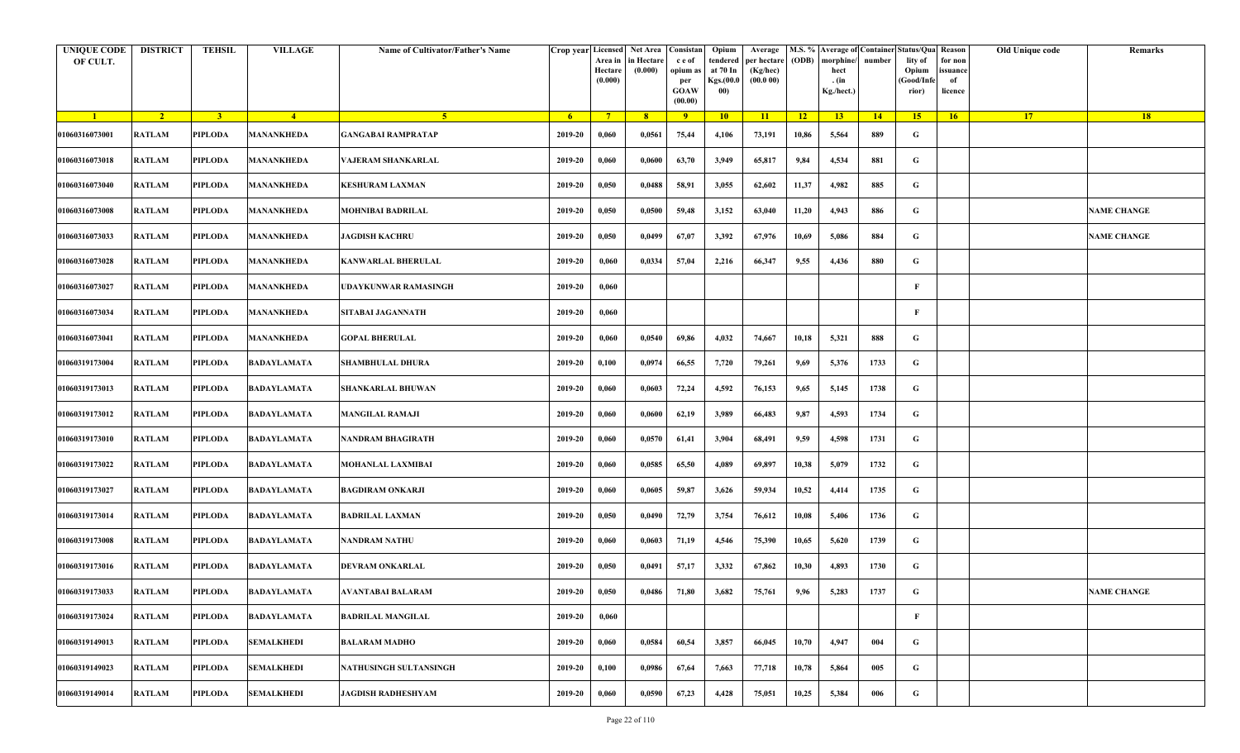| <b>UNIQUE CODE</b><br>OF CULT. | <b>DISTRICT</b> | <b>TEHSIL</b>  | <b>VILLAGE</b>     | Name of Cultivator/Father's Name | Crop year Licensed Net Area | Area in<br>Hectare<br>(0.000) | in Hectare<br>(0.000) | Consistan<br>c e of<br>opium a<br>per<br><b>GOAW</b><br>(00.00) | Opium<br>tendered<br>at 70 In<br>Kgs.(00.0<br>00) | Average<br>per hectare<br>(Kg/hec)<br>(00.000) | (ODB)           | morphine/<br>hect<br>. (in<br>Kg./hect.) | number | M.S. % Average of Container Status/Qua<br>lity of<br>Opium<br>Good/Infe<br>rior) | Reason<br>for non<br>issuance<br>of<br>licence | Old Unique code | Remarks            |
|--------------------------------|-----------------|----------------|--------------------|----------------------------------|-----------------------------|-------------------------------|-----------------------|-----------------------------------------------------------------|---------------------------------------------------|------------------------------------------------|-----------------|------------------------------------------|--------|----------------------------------------------------------------------------------|------------------------------------------------|-----------------|--------------------|
| $\blacksquare$                 | $\sqrt{2}$      | 3 <sup>1</sup> | $-4$               | -5.                              | 6 <sup>6</sup>              | $7^{\circ}$                   | 8 <sup>2</sup>        | $\overline{9}$                                                  | 10                                                | 11                                             | $\overline{12}$ | 13                                       | $-14$  | 15 <sup>2</sup>                                                                  | 16                                             | 17              | <b>18</b>          |
| 01060316073001                 | <b>RATLAM</b>   | <b>PIPLODA</b> | MANANKHEDA         | <b>GANGABAI RAMPRATAP</b>        | 2019-20                     | 0,060                         | 0,0561                | 75,44                                                           | 4,106                                             | 73,191                                         | 10,86           | 5,564                                    | 889    | G                                                                                |                                                |                 |                    |
| 01060316073018                 | <b>RATLAM</b>   | <b>PIPLODA</b> | MANANKHEDA         | VAJERAM SHANKARLAL               | 2019-20                     | 0,060                         | 0,0600                | 63,70                                                           | 3,949                                             | 65,817                                         | 9,84            | 4,534                                    | 881    | G                                                                                |                                                |                 |                    |
| 01060316073040                 | <b>RATLAM</b>   | PIPLODA        | MANANKHEDA         | KESHURAM LAXMAN                  | 2019-20                     | 0,050                         | 0,0488                | 58,91                                                           | 3,055                                             | 62,602                                         | 11,37           | 4,982                                    | 885    | G                                                                                |                                                |                 |                    |
| 01060316073008                 | <b>RATLAM</b>   | <b>PIPLODA</b> | MANANKHEDA         | <b>MOHNIBAI BADRILAL</b>         | 2019-20                     | 0,050                         | 0,0500                | 59,48                                                           | 3,152                                             | 63,040                                         | 11,20           | 4,943                                    | 886    | G                                                                                |                                                |                 | <b>NAME CHANGE</b> |
| 01060316073033                 | <b>RATLAM</b>   | <b>PIPLODA</b> | MANANKHEDA         | <b>JAGDISH KACHRU</b>            | 2019-20                     | 0,050                         | 0,0499                | 67,07                                                           | 3,392                                             | 67,976                                         | 10,69           | 5,086                                    | 884    | G                                                                                |                                                |                 | <b>NAME CHANGE</b> |
| 01060316073028                 | <b>RATLAM</b>   | <b>PIPLODA</b> | MANANKHEDA         | <b>KANWARLAL BHERULAL</b>        | 2019-20                     | 0,060                         | 0,0334                | 57,04                                                           | 2,216                                             | 66,347                                         | 9,55            | 4,436                                    | 880    | G                                                                                |                                                |                 |                    |
| 01060316073027                 | <b>RATLAM</b>   | <b>PIPLODA</b> | MANANKHEDA         | UDAYKUNWAR RAMASINGH             | 2019-20                     | 0,060                         |                       |                                                                 |                                                   |                                                |                 |                                          |        | F                                                                                |                                                |                 |                    |
| 01060316073034                 | <b>RATLAM</b>   | <b>PIPLODA</b> | MANANKHEDA         | <b>SITABAI JAGANNATH</b>         | 2019-20                     | 0,060                         |                       |                                                                 |                                                   |                                                |                 |                                          |        | F                                                                                |                                                |                 |                    |
| 01060316073041                 | <b>RATLAM</b>   | <b>PIPLODA</b> | MANANKHEDA         | <b>GOPAL BHERULAL</b>            | 2019-20                     | 0,060                         | 0,0540                | 69,86                                                           | 4,032                                             | 74,667                                         | 10,18           | 5,321                                    | 888    | G                                                                                |                                                |                 |                    |
| 01060319173004                 | <b>RATLAM</b>   | <b>PIPLODA</b> | <b>BADAYLAMATA</b> | <b>SHAMBHULAL DHURA</b>          | 2019-20                     | 0,100                         | 0,0974                | 66,55                                                           | 7,720                                             | 79,261                                         | 9,69            | 5,376                                    | 1733   | G                                                                                |                                                |                 |                    |
| 01060319173013                 | <b>RATLAM</b>   | PIPLODA        | BADAYLAMATA        | <b>SHANKARLAL BHUWAN</b>         | 2019-20                     | 0,060                         | 0,0603                | 72,24                                                           | 4,592                                             | 76,153                                         | 9,65            | 5,145                                    | 1738   | G                                                                                |                                                |                 |                    |
| 01060319173012                 | <b>RATLAM</b>   | PIPLODA        | <b>BADAYLAMATA</b> | MANGILAL RAMAJI                  | 2019-20                     | 0,060                         | 0,0600                | 62,19                                                           | 3,989                                             | 66,483                                         | 9,87            | 4,593                                    | 1734   | G                                                                                |                                                |                 |                    |
| 01060319173010                 | <b>RATLAM</b>   | <b>PIPLODA</b> | <b>BADAYLAMATA</b> | NANDRAM BHAGIRATH                | 2019-20                     | 0,060                         | 0,0570                | 61,41                                                           | 3,904                                             | 68,491                                         | 9,59            | 4,598                                    | 1731   | G                                                                                |                                                |                 |                    |
| 01060319173022                 | <b>RATLAM</b>   | PIPLODA        | BADAYLAMATA        | MOHANLAL LAXMIBAI                | 2019-20                     | 0,060                         | 0,0585                | 65,50                                                           | 4,089                                             | 69,897                                         | 10,38           | 5,079                                    | 1732   | G                                                                                |                                                |                 |                    |
| 01060319173027                 | <b>RATLAM</b>   | <b>PIPLODA</b> | <b>BADAYLAMATA</b> | <b>BAGDIRAM ONKARJI</b>          | 2019-20                     | 0,060                         | 0,0605                | 59,87                                                           | 3,626                                             | 59,934                                         | 10,52           | 4,414                                    | 1735   | G                                                                                |                                                |                 |                    |
| 01060319173014                 | <b>RATLAM</b>   | PIPLODA        | BADAYLAMATA        | BADRILAL LAXMAN                  | 2019-20                     | 0,050                         | 0,0490                | 72,79                                                           | 3,754                                             | 76,612                                         | 10,08           | 5,406                                    | 1736   | G                                                                                |                                                |                 |                    |
| 01060319173008                 | <b>RATLAM</b>   | <b>PIPLODA</b> | <b>BADAYLAMATA</b> | NANDRAM NATHU                    | 2019-20                     | 0,060                         | 0,0603                | 71,19                                                           | 4,546                                             | 75,390                                         | 10,65           | 5,620                                    | 1739   | G                                                                                |                                                |                 |                    |
| 01060319173016                 | <b>RATLAM</b>   | <b>PIPLODA</b> | <b>BADAYLAMATA</b> | DEVRAM ONKARLAL                  | 2019-20                     | 0,050                         | 0,0491                | 57,17                                                           | 3,332                                             | 67,862                                         | 10,30           | 4,893                                    | 1730   | G                                                                                |                                                |                 |                    |
| 01060319173033                 | RATLAM          | PIPLODA        | BADAYLAMATA        | AVANTABAI BALARAM                | 2019-20                     | 0,050                         | 0,0486                | 71,80                                                           | 3,682                                             | 75,761                                         | 9,96            | 5,283                                    | 1737   | G                                                                                |                                                |                 | <b>NAME CHANGE</b> |
| 01060319173024                 | <b>RATLAM</b>   | <b>PIPLODA</b> | <b>BADAYLAMATA</b> | <b>BADRILAL MANGILAL</b>         | 2019-20                     | 0,060                         |                       |                                                                 |                                                   |                                                |                 |                                          |        | F                                                                                |                                                |                 |                    |
| 01060319149013                 | <b>RATLAM</b>   | <b>PIPLODA</b> | <b>SEMALKHEDI</b>  | <b>BALARAM MADHO</b>             | 2019-20                     | 0,060                         | 0,0584                | 60,54                                                           | 3,857                                             | 66,045                                         | 10,70           | 4,947                                    | 004    | G                                                                                |                                                |                 |                    |
| 01060319149023                 | <b>RATLAM</b>   | <b>PIPLODA</b> | <b>SEMALKHEDI</b>  | NATHUSINGH SULTANSINGH           | 2019-20                     | 0,100                         | 0,0986                | 67,64                                                           | 7,663                                             | 77,718                                         | 10,78           | 5,864                                    | 005    | G                                                                                |                                                |                 |                    |
| 01060319149014                 | <b>RATLAM</b>   | PIPLODA        | <b>SEMALKHEDI</b>  | JAGDISH RADHESHYAM               | 2019-20                     | 0,060                         | 0,0590                | 67,23                                                           | 4,428                                             | 75,051                                         | 10,25           | 5,384                                    | 006    | G                                                                                |                                                |                 |                    |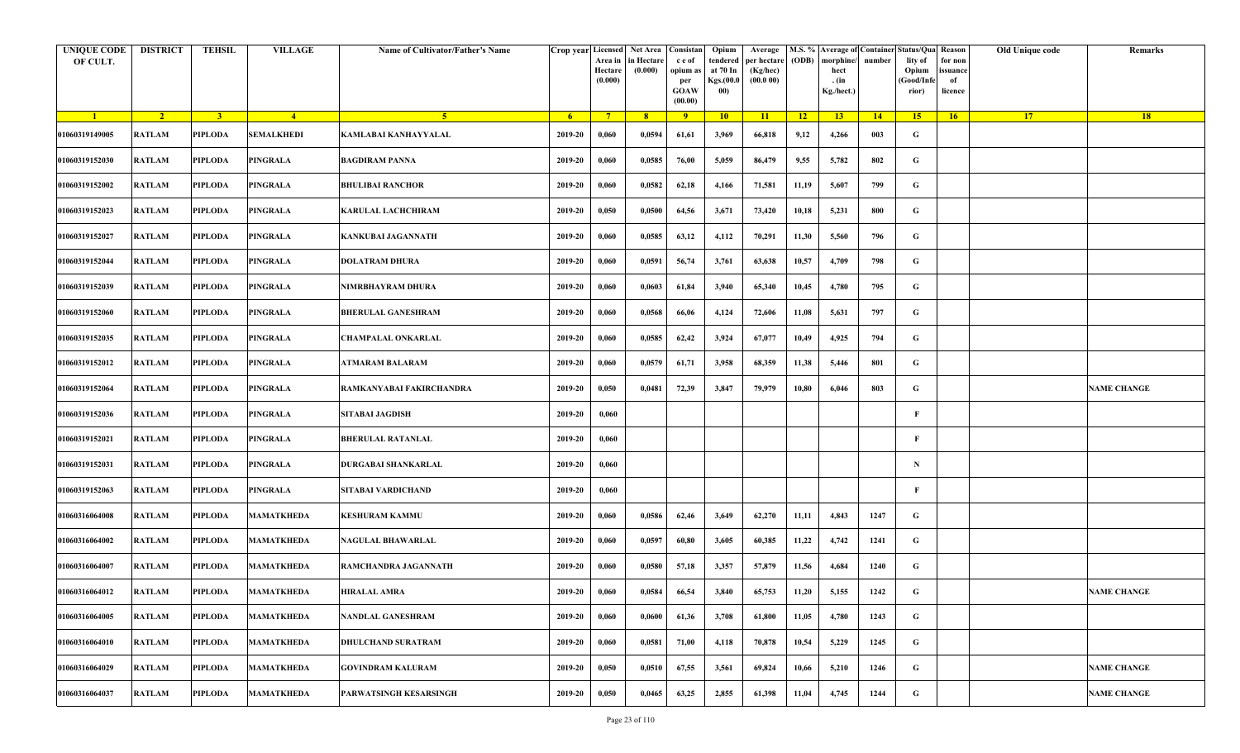| <b>UNIQUE CODE</b><br>OF CULT. | <b>DISTRICT</b> | <b>TEHSIL</b>  | <b>VILLAGE</b>    | Name of Cultivator/Father's Name |                | Area in<br>Hectare<br>(0.000) | Crop year Licensed Net Area Consistan<br>in Hectare<br>(0.000) | c e of<br>opium as<br>per<br><b>GOAW</b><br>(00.00) | Opium<br>tendered<br>at 70 In<br>Kgs.(00.0<br>00) | Average<br>per hectare<br>(Kg/hec)<br>(00.000) | (ODB)           | M.S. % Average of Container Status/Qua Reason<br>morphine/<br>hect<br>. (in<br>Kg./hect.) | number | lity of<br>Opium<br>(Good/Infe<br>rior) | for non<br>ssuance<br>of<br>licence | Old Unique code | Remarks            |
|--------------------------------|-----------------|----------------|-------------------|----------------------------------|----------------|-------------------------------|----------------------------------------------------------------|-----------------------------------------------------|---------------------------------------------------|------------------------------------------------|-----------------|-------------------------------------------------------------------------------------------|--------|-----------------------------------------|-------------------------------------|-----------------|--------------------|
| $\blacksquare$                 | $\sqrt{2}$      | 3 <sup>1</sup> | $-4$              | 5 <sup>1</sup>                   | 6 <sup>6</sup> | $7^{\circ}$                   | 8                                                              | $\overline{9}$                                      | 10                                                | 11                                             | $\overline{12}$ | 13 <sup>7</sup>                                                                           | 14     | 15                                      | 16                                  | 17 <sup>2</sup> | 18                 |
| 01060319149005                 | <b>RATLAM</b>   | <b>PIPLODA</b> | <b>SEMALKHEDI</b> | KAMLABAI KANHAYYALAL             | 2019-20        | 0,060                         | 0,0594                                                         | 61,61                                               | 3,969                                             | 66,818                                         | 9,12            | 4,266                                                                                     | 003    | G                                       |                                     |                 |                    |
| 01060319152030                 | RATLAM          | <b>PIPLODA</b> | <b>PINGRALA</b>   | <b>BAGDIRAM PANNA</b>            | 2019-20        | 0,060                         | 0,0585                                                         | 76,00                                               | 5,059                                             | 86,479                                         | 9,55            | 5,782                                                                                     | 802    | G                                       |                                     |                 |                    |
| 01060319152002                 | <b>RATLAM</b>   | PIPLODA        | <b>PINGRALA</b>   | <b>BHULIBAI RANCHOR</b>          | 2019-20        | 0,060                         | 0,0582                                                         | 62,18                                               | 4,166                                             | 71,581                                         | 11,19           | 5,607                                                                                     | 799    | G                                       |                                     |                 |                    |
| 01060319152023                 | <b>RATLAM</b>   | PIPLODA        | <b>PINGRALA</b>   | <b>KARULAL LACHCHIRAM</b>        | 2019-20        | 0,050                         | 0,0500                                                         | 64,56                                               | 3,671                                             | 73,420                                         | 10,18           | 5,231                                                                                     | 800    | G                                       |                                     |                 |                    |
| 01060319152027                 | RATLAM          | PIPLODA        | <b>PINGRALA</b>   | KANKUBAI JAGANNATH               | 2019-20        | 0,060                         | 0,0585                                                         | 63,12                                               | 4,112                                             | 70,291                                         | 11,30           | 5,560                                                                                     | 796    | G                                       |                                     |                 |                    |
| 01060319152044                 | RATLAM          | <b>PIPLODA</b> | <b>PINGRALA</b>   | <b>DOLATRAM DHURA</b>            | 2019-20        | 0,060                         | 0,0591                                                         | 56,74                                               | 3,761                                             | 63,638                                         | 10,57           | 4,709                                                                                     | 798    | G                                       |                                     |                 |                    |
| 01060319152039                 | RATLAM          | PIPLODA        | <b>PINGRALA</b>   | NIMRBHAYRAM DHURA                | 2019-20        | 0,060                         | 0,0603                                                         | 61,84                                               | 3,940                                             | 65,340                                         | 10,45           | 4,780                                                                                     | 795    | G                                       |                                     |                 |                    |
| 01060319152060                 | RATLAM          | <b>PIPLODA</b> | <b>PINGRALA</b>   | <b>BHERULAL GANESHRAM</b>        | 2019-20        | 0,060                         | 0,0568                                                         | 66,06                                               | 4,124                                             | 72,606                                         | 11,08           | 5,631                                                                                     | 797    | G                                       |                                     |                 |                    |
| 01060319152035                 | <b>RATLAM</b>   | <b>PIPLODA</b> | <b>PINGRALA</b>   | CHAMPALAL ONKARLAL               | 2019-20        | 0,060                         | 0,0585                                                         | 62,42                                               | 3,924                                             | 67,077                                         | 10,49           | 4,925                                                                                     | 794    | G                                       |                                     |                 |                    |
| 01060319152012                 | <b>RATLAM</b>   | <b>PIPLODA</b> | <b>PINGRALA</b>   | <b>ATMARAM BALARAM</b>           | 2019-20        | 0,060                         | 0,0579                                                         | 61,71                                               | 3,958                                             | 68,359                                         | 11,38           | 5,446                                                                                     | 801    | G                                       |                                     |                 |                    |
| 01060319152064                 | <b>RATLAM</b>   | <b>PIPLODA</b> | <b>PINGRALA</b>   | RAMKANYABAI FAKIRCHANDRA         | 2019-20        | 0,050                         | 0,0481                                                         | 72,39                                               | 3,847                                             | 79,979                                         | 10,80           | 6,046                                                                                     | 803    | G                                       |                                     |                 | <b>NAME CHANGE</b> |
| 01060319152036                 | <b>RATLAM</b>   | PIPLODA        | <b>PINGRALA</b>   | <b>SITABAI JAGDISH</b>           | 2019-20        | 0,060                         |                                                                |                                                     |                                                   |                                                |                 |                                                                                           |        | F                                       |                                     |                 |                    |
| 01060319152021                 | RATLAM          | PIPLODA        | <b>PINGRALA</b>   | <b>BHERULAL RATANLAL</b>         | 2019-20        | 0,060                         |                                                                |                                                     |                                                   |                                                |                 |                                                                                           |        | F                                       |                                     |                 |                    |
| 01060319152031                 | RATLAM          | PIPLODA        | <b>PINGRALA</b>   | DURGABAI SHANKARLAL              | 2019-20        | 0,060                         |                                                                |                                                     |                                                   |                                                |                 |                                                                                           |        | $\mathbf N$                             |                                     |                 |                    |
| 01060319152063                 | RATLAM          | <b>PIPLODA</b> | <b>PINGRALA</b>   | SITABAI VARDICHAND               | 2019-20        | 0,060                         |                                                                |                                                     |                                                   |                                                |                 |                                                                                           |        | $\mathbf{F}$                            |                                     |                 |                    |
| 01060316064008                 | RATLAM          | PIPLODA        | <b>MAMATKHEDA</b> | <b>KESHURAM KAMMU</b>            | 2019-20        | 0,060                         | 0,0586                                                         | 62,46                                               | 3,649                                             | 62,270                                         | 11,11           | 4,843                                                                                     | 1247   | G                                       |                                     |                 |                    |
| 01060316064002                 | <b>RATLAM</b>   | <b>PIPLODA</b> | <b>MAMATKHEDA</b> | NAGULAL BHAWARLAL                | 2019-20        | 0,060                         | 0,0597                                                         | 60,80                                               | 3,605                                             | 60,385                                         | 11,22           | 4,742                                                                                     | 1241   | G                                       |                                     |                 |                    |
| 01060316064007                 | <b>RATLAM</b>   | <b>PIPLODA</b> | MAMATKHEDA        | RAMCHANDRA JAGANNATH             | 2019-20        | 0,060                         | 0,0580                                                         | 57,18                                               | 3,357                                             | 57,879                                         | 11,56           | 4,684                                                                                     | 1240   | G                                       |                                     |                 |                    |
| 01060316064012                 | RATLAM          | PIPLODA        | <b>MAMATKHEDA</b> | <b>HIRALAL AMRA</b>              | 2019-20        | 0,060                         | 0,0584                                                         | 66,54                                               | 3,840                                             | 65,753                                         | 11,20           | 5,155                                                                                     | 1242   | G                                       |                                     |                 | <b>NAME CHANGE</b> |
| 01060316064005                 | <b>RATLAM</b>   | <b>PIPLODA</b> | <b>MAMATKHEDA</b> | NANDLAL GANESHRAM                | 2019-20        | 0,060                         | 0,0600                                                         | 61,36                                               | 3,708                                             | 61,800                                         | 11,05           | 4,780                                                                                     | 1243   | $\mathbf G$                             |                                     |                 |                    |
| 01060316064010                 | <b>RATLAM</b>   | PIPLODA        | <b>MAMATKHEDA</b> | <b>DHULCHAND SURATRAM</b>        | 2019-20        | 0,060                         | 0,0581                                                         | 71,00                                               | 4,118                                             | 70,878                                         | 10,54           | 5,229                                                                                     | 1245   | G                                       |                                     |                 |                    |
| 01060316064029                 | <b>RATLAM</b>   | <b>PIPLODA</b> | <b>MAMATKHEDA</b> | <b>GOVINDRAM KALURAM</b>         | 2019-20        | 0,050                         | 0,0510                                                         | 67,55                                               | 3,561                                             | 69,824                                         | 10,66           | 5,210                                                                                     | 1246   | G                                       |                                     |                 | <b>NAME CHANGE</b> |
| 01060316064037                 | RATLAM          | <b>PIPLODA</b> | <b>MAMATKHEDA</b> | PARWATSINGH KESARSINGH           | 2019-20        | 0,050                         | 0,0465                                                         | 63,25                                               | 2,855                                             | 61,398                                         | 11,04           | 4,745                                                                                     | 1244   | G                                       |                                     |                 | <b>NAME CHANGE</b> |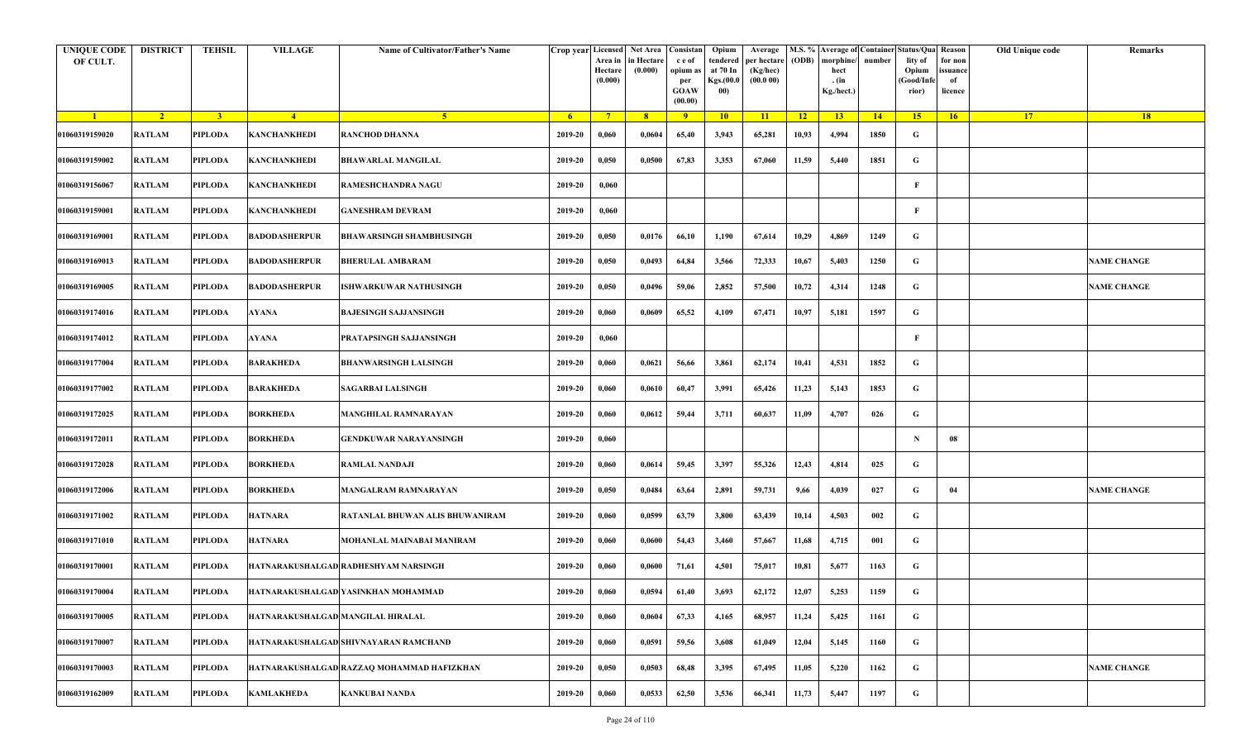| <b>UNIQUE CODE</b><br>OF CULT. | <b>DISTRICT</b> | <b>TEHSIL</b>  | <b>VILLAGE</b>                    | Name of Cultivator/Father's Name           |         | Area in<br>Hectare<br>(0.000) | Crop year Licensed Net Area Consistan<br>in Hectare<br>(0.000) | c e of<br>opium as<br>per<br><b>GOAW</b><br>(00.00) | Opium<br>tendered<br>at 70 In<br>Kgs.(00.0<br>00) | Average<br>per hectare<br>(Kg/hec)<br>(00.000) | (ODB) | M.S. % Average of Container Status/Qua Reason<br>morphine/<br>hect<br>. (in<br>Kg./hect.) | number | lity of<br>Opium<br>(Good/Infe<br>rior) | for non<br>ssuance<br>of<br>licence | Old Unique code | Remarks            |
|--------------------------------|-----------------|----------------|-----------------------------------|--------------------------------------------|---------|-------------------------------|----------------------------------------------------------------|-----------------------------------------------------|---------------------------------------------------|------------------------------------------------|-------|-------------------------------------------------------------------------------------------|--------|-----------------------------------------|-------------------------------------|-----------------|--------------------|
| $\blacksquare$                 | $\sqrt{2}$      | 3 <sup>1</sup> | $-4$                              | 5 <sup>1</sup>                             | $-6$    | $7^{\circ}$                   | 8 <sup>°</sup>                                                 | $\overline{9}$                                      | 10                                                | 11                                             | $-12$ | 13                                                                                        | 14     | 15                                      | 16                                  | <b>17</b>       | 18                 |
| 01060319159020                 | <b>RATLAM</b>   | <b>PIPLODA</b> | <b>KANCHANKHEDI</b>               | <b>RANCHOD DHANNA</b>                      | 2019-20 | 0,060                         | 0,0604                                                         | 65,40                                               | 3,943                                             | 65,281                                         | 10,93 | 4,994                                                                                     | 1850   | G                                       |                                     |                 |                    |
| 01060319159002                 | <b>RATLAM</b>   | <b>PIPLODA</b> | <b>KANCHANKHEDI</b>               | <b>BHAWARLAL MANGILAL</b>                  | 2019-20 | 0,050                         | 0,0500                                                         | 67,83                                               | 3,353                                             | 67,060                                         | 11,59 | 5,440                                                                                     | 1851   | G                                       |                                     |                 |                    |
| 01060319156067                 | <b>RATLAM</b>   | PIPLODA        | <b>KANCHANKHEDI</b>               | RAMESHCHANDRA NAGU                         | 2019-20 | 0,060                         |                                                                |                                                     |                                                   |                                                |       |                                                                                           |        | $\mathbf{F}$                            |                                     |                 |                    |
| 01060319159001                 | <b>RATLAM</b>   | <b>PIPLODA</b> | <b>KANCHANKHEDI</b>               | <b>GANESHRAM DEVRAM</b>                    | 2019-20 | 0,060                         |                                                                |                                                     |                                                   |                                                |       |                                                                                           |        | F                                       |                                     |                 |                    |
| 01060319169001                 | RATLAM          | PIPLODA        | <b>BADODASHERPUR</b>              | <b>BHAWARSINGH SHAMBHUSINGH</b>            | 2019-20 | 0,050                         | 0,0176                                                         | 66,10                                               | 1,190                                             | 67,614                                         | 10,29 | 4,869                                                                                     | 1249   | G                                       |                                     |                 |                    |
| 01060319169013                 | <b>RATLAM</b>   | <b>PIPLODA</b> | <b>BADODASHERPUR</b>              | <b>BHERULAL AMBARAM</b>                    | 2019-20 | 0,050                         | 0,0493                                                         | 64,84                                               | 3,566                                             | 72,333                                         | 10,67 | 5,403                                                                                     | 1250   | G                                       |                                     |                 | <b>NAME CHANGE</b> |
| 01060319169005                 | <b>RATLAM</b>   | <b>PIPLODA</b> | <b>BADODASHERPUR</b>              | <b>ISHWARKUWAR NATHUSINGH</b>              | 2019-20 | 0,050                         | 0,0496                                                         | 59,06                                               | 2,852                                             | 57,500                                         | 10,72 | 4,314                                                                                     | 1248   | G                                       |                                     |                 | <b>NAME CHANGE</b> |
| 01060319174016                 | <b>RATLAM</b>   | <b>PIPLODA</b> | <b>AYANA</b>                      | <b>BAJESINGH SAJJANSINGH</b>               | 2019-20 | 0,060                         | 0,0609                                                         | 65,52                                               | 4,109                                             | 67,471                                         | 10,97 | 5,181                                                                                     | 1597   | G                                       |                                     |                 |                    |
| 01060319174012                 | <b>RATLAM</b>   | <b>PIPLODA</b> | <b>AYANA</b>                      | PRATAPSINGH SAJJANSINGH                    | 2019-20 | 0,060                         |                                                                |                                                     |                                                   |                                                |       |                                                                                           |        | F                                       |                                     |                 |                    |
| 01060319177004                 | <b>RATLAM</b>   | PIPLODA        | <b>BARAKHEDA</b>                  | <b>BHANWARSINGH LALSINGH</b>               | 2019-20 | 0,060                         | 0,0621                                                         | 56,66                                               | 3,861                                             | 62,174                                         | 10,41 | 4,531                                                                                     | 1852   | G                                       |                                     |                 |                    |
| 01060319177002                 | <b>RATLAM</b>   | <b>PIPLODA</b> | <b>BARAKHEDA</b>                  | <b>SAGARBAI LALSINGH</b>                   | 2019-20 | 0,060                         | 0,0610                                                         | 60,47                                               | 3,991                                             | 65,426                                         | 11,23 | 5,143                                                                                     | 1853   | G                                       |                                     |                 |                    |
| 01060319172025                 | <b>RATLAM</b>   | PIPLODA        | <b>BORKHEDA</b>                   | <b>MANGHILAL RAMNARAYAN</b>                | 2019-20 | 0,060                         | 0,0612                                                         | 59,44                                               | 3,711                                             | 60,637                                         | 11,09 | 4,707                                                                                     | 026    | G                                       |                                     |                 |                    |
| 01060319172011                 | <b>RATLAM</b>   | <b>PIPLODA</b> | <b>BORKHEDA</b>                   | <b>GENDKUWAR NARAYANSINGH</b>              | 2019-20 | 0,060                         |                                                                |                                                     |                                                   |                                                |       |                                                                                           |        | $\mathbf N$                             | 08                                  |                 |                    |
| 01060319172028                 | RATLAM          | PIPLODA        | <b>BORKHEDA</b>                   | <b>RAMLAL NANDAJI</b>                      | 2019-20 | 0,060                         | 0,0614                                                         | 59,45                                               | 3,397                                             | 55,326                                         | 12,43 | 4,814                                                                                     | 025    | G                                       |                                     |                 |                    |
| 01060319172006                 | RATLAM          | <b>PIPLODA</b> | <b>BORKHEDA</b>                   | <b>MANGALRAM RAMNARAYAN</b>                | 2019-20 | 0,050                         | 0,0484                                                         | 63,64                                               | 2,891                                             | 59,731                                         | 9,66  | 4,039                                                                                     | 027    | G                                       | 04                                  |                 | <b>NAME CHANGE</b> |
| 01060319171002                 | <b>RATLAM</b>   | PIPLODA        | <b>HATNARA</b>                    | RATANLAL BHUWAN ALIS BHUWANIRAM            | 2019-20 | 0,060                         | 0,0599                                                         | 63,79                                               | 3,800                                             | 63,439                                         | 10,14 | 4,503                                                                                     | 002    | G                                       |                                     |                 |                    |
| 01060319171010                 | <b>RATLAM</b>   | <b>PIPLODA</b> | <b>HATNARA</b>                    | MOHANLAL MAINABAI MANIRAM                  | 2019-20 | 0,060                         | 0,0600                                                         | 54,43                                               | 3,460                                             | 57,667                                         | 11,68 | 4,715                                                                                     | 001    | G                                       |                                     |                 |                    |
| 01060319170001                 | <b>RATLAM</b>   | <b>PIPLODA</b> |                                   | HATNARAKUSHALGAD RADHESHYAM NARSINGH       | 2019-20 | 0,060                         | 0,0600                                                         | 71,61                                               | 4,501                                             | 75,017                                         | 10,81 | 5,677                                                                                     | 1163   | G                                       |                                     |                 |                    |
| 01060319170004                 | RATLAM          | PIPLODA        |                                   | HATNARAKUSHALGAD YASINKHAN MOHAMMAD        | 2019-20 | 0,060                         | 0,0594                                                         | 61,40                                               | 3,693                                             | 62,172                                         | 12,07 | 5,253                                                                                     | 1159   | G                                       |                                     |                 |                    |
| 01060319170005                 | <b>RATLAM</b>   | <b>PIPLODA</b> | HATNARAKUSHALGAD MANGILAL HIRALAL |                                            | 2019-20 | 0,060                         | 0,0604                                                         | 67,33                                               | 4,165                                             | 68,957                                         | 11,24 | 5,425                                                                                     | 1161   | $\mathbf G$                             |                                     |                 |                    |
| 01060319170007                 | RATLAM          | <b>PIPLODA</b> |                                   | HATNARAKUSHALGAD SHIVNAYARAN RAMCHAND      | 2019-20 | 0,060                         | 0,0591                                                         | 59,56                                               | 3,608                                             | 61,049                                         | 12,04 | 5,145                                                                                     | 1160   | G                                       |                                     |                 |                    |
| 01060319170003                 | RATLAM          | <b>PIPLODA</b> |                                   | HATNARAKUSHALGAD RAZZAQ MOHAMMAD HAFIZKHAN | 2019-20 | 0,050                         | 0,0503                                                         | 68,48                                               | 3,395                                             | 67,495                                         | 11,05 | 5,220                                                                                     | 1162   | G                                       |                                     |                 | <b>NAME CHANGE</b> |
| 01060319162009                 | RATLAM          | <b>PIPLODA</b> | <b>KAMLAKHEDA</b>                 | <b>KANKUBAI NANDA</b>                      | 2019-20 | 0,060                         | 0,0533                                                         | 62,50                                               | 3,536                                             | 66,341                                         | 11,73 | 5,447                                                                                     | 1197   | G                                       |                                     |                 |                    |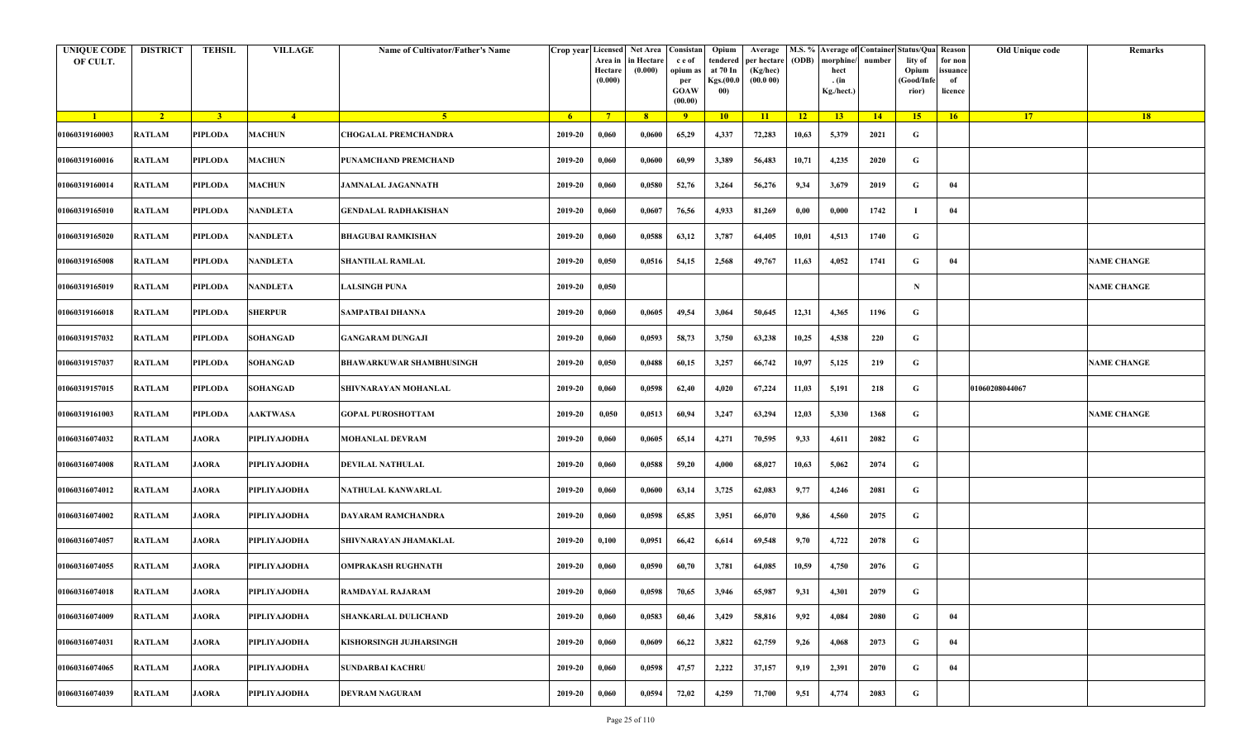| <b>UNIQUE CODE</b><br>OF CULT. | <b>DISTRICT</b> | <b>TEHSIL</b>  | <b>VILLAGE</b>  | Name of Cultivator/Father's Name |         | Crop year Licensed<br>Area in<br>Hectare<br>(0.000) | Net Area   Consistan<br>in Hectare<br>(0.000) | c e of<br>opium as<br>per<br><b>GOAW</b><br>(00.00) | Opium<br>tendered<br>at 70 In<br>Kgs.(00.0<br>00) | Average<br>per hectare<br>(Kg/hec)<br>(00.000) | (ODB)    | M.S. % Average of Container Status/Qua Reason<br>morphine/<br>hect<br>. (in<br>Kg./hect.) | number | lity of<br>Opium<br>(Good/Infe<br>rior) | for non<br>ssuance<br>of<br>licence | Old Unique code | Remarks            |
|--------------------------------|-----------------|----------------|-----------------|----------------------------------|---------|-----------------------------------------------------|-----------------------------------------------|-----------------------------------------------------|---------------------------------------------------|------------------------------------------------|----------|-------------------------------------------------------------------------------------------|--------|-----------------------------------------|-------------------------------------|-----------------|--------------------|
| $\blacksquare$                 | $\sqrt{2}$      | 3 <sup>1</sup> | $-4$            | 5 <sup>1</sup>                   | $-6$    | $7^{\circ}$                                         | 8 <sup>°</sup>                                | $\overline{9}$                                      | 10                                                | 11                                             | $-12$    | 13                                                                                        | 14     | 15                                      | 16                                  | <b>17</b>       | <b>18</b>          |
| 01060319160003                 | <b>RATLAM</b>   | <b>PIPLODA</b> | <b>MACHUN</b>   | <b>CHOGALAL PREMCHANDRA</b>      | 2019-20 | 0,060                                               | 0,0600                                        | 65,29                                               | 4,337                                             | 72,283                                         | 10,63    | 5,379                                                                                     | 2021   | G                                       |                                     |                 |                    |
| 01060319160016                 | <b>RATLAM</b>   | <b>PIPLODA</b> | <b>MACHUN</b>   | PUNAMCHAND PREMCHAND             | 2019-20 | 0,060                                               | 0,0600                                        | 60,99                                               | 3,389                                             | 56,483                                         | 10,71    | 4,235                                                                                     | 2020   | G                                       |                                     |                 |                    |
| 01060319160014                 | <b>RATLAM</b>   | PIPLODA        | <b>MACHUN</b>   | <b>JAMNALAL JAGANNATH</b>        | 2019-20 | 0,060                                               | 0,0580                                        | 52,76                                               | 3,264                                             | 56,276                                         | 9,34     | 3,679                                                                                     | 2019   | G                                       | 04                                  |                 |                    |
| 01060319165010                 | <b>RATLAM</b>   | <b>PIPLODA</b> | <b>NANDLETA</b> | GENDALAL RADHAKISHAN             | 2019-20 | 0,060                                               | 0,0607                                        | 76,56                                               | 4,933                                             | 81,269                                         | $0,\!00$ | 0,000                                                                                     | 1742   | -1                                      | 04                                  |                 |                    |
| 01060319165020                 | RATLAM          | PIPLODA        | <b>NANDLETA</b> | <b>BHAGUBAI RAMKISHAN</b>        | 2019-20 | 0,060                                               | 0,0588                                        | 63,12                                               | 3,787                                             | 64,405                                         | 10,01    | 4,513                                                                                     | 1740   | G                                       |                                     |                 |                    |
| 01060319165008                 | <b>RATLAM</b>   | <b>PIPLODA</b> | <b>NANDLETA</b> | <b>SHANTILAL RAMLAL</b>          | 2019-20 | 0,050                                               | 0,0516                                        | 54,15                                               | 2,568                                             | 49,767                                         | 11,63    | 4,052                                                                                     | 1741   | G                                       | 04                                  |                 | <b>NAME CHANGE</b> |
| 01060319165019                 | <b>RATLAM</b>   | PIPLODA        | <b>NANDLETA</b> | <b>LALSINGH PUNA</b>             | 2019-20 | 0,050                                               |                                               |                                                     |                                                   |                                                |          |                                                                                           |        | $\mathbf N$                             |                                     |                 | <b>NAME CHANGE</b> |
| 01060319166018                 | <b>RATLAM</b>   | <b>PIPLODA</b> | <b>SHERPUR</b>  | SAMPATBAI DHANNA                 | 2019-20 | 0,060                                               | 0,0605                                        | 49,54                                               | 3,064                                             | 50,645                                         | 12,31    | 4,365                                                                                     | 1196   | G                                       |                                     |                 |                    |
| 01060319157032                 | <b>RATLAM</b>   | <b>PIPLODA</b> | <b>SOHANGAD</b> | <b>GANGARAM DUNGAJI</b>          | 2019-20 | 0,060                                               | 0,0593                                        | 58,73                                               | 3,750                                             | 63,238                                         | 10,25    | 4,538                                                                                     | 220    | G                                       |                                     |                 |                    |
| 01060319157037                 | <b>RATLAM</b>   | PIPLODA        | <b>SOHANGAD</b> | <b>BHAWARKUWAR SHAMBHUSINGH</b>  | 2019-20 | 0,050                                               | 0,0488                                        | 60,15                                               | 3,257                                             | 66,742                                         | 10,97    | 5,125                                                                                     | 219    | G                                       |                                     |                 | <b>NAME CHANGE</b> |
| 01060319157015                 | <b>RATLAM</b>   | <b>PIPLODA</b> | <b>SOHANGAD</b> | SHIVNARAYAN MOHANLAL             | 2019-20 | 0,060                                               | 0,0598                                        | 62,40                                               | 4,020                                             | 67,224                                         | 11,03    | 5,191                                                                                     | 218    | G                                       |                                     | 01060208044067  |                    |
| 01060319161003                 | <b>RATLAM</b>   | PIPLODA        | <b>AAKTWASA</b> | <b>GOPAL PUROSHOTTAM</b>         | 2019-20 | 0,050                                               | 0,0513                                        | 60,94                                               | 3,247                                             | 63,294                                         | 12,03    | 5,330                                                                                     | 1368   | G                                       |                                     |                 | <b>NAME CHANGE</b> |
| 01060316074032                 | <b>RATLAM</b>   | <b>JAORA</b>   | PIPLIYAJODHA    | <b>MOHANLAL DEVRAM</b>           | 2019-20 | 0,060                                               | 0,0605                                        | 65,14                                               | 4,271                                             | 70,595                                         | 9,33     | 4,611                                                                                     | 2082   | G                                       |                                     |                 |                    |
| 01060316074008                 | RATLAM          | <b>JAORA</b>   | PIPLIYAJODHA    | DEVILAL NATHULAL                 | 2019-20 | 0,060                                               | 0,0588                                        | 59,20                                               | 4,000                                             | 68,027                                         | 10,63    | 5,062                                                                                     | 2074   | G                                       |                                     |                 |                    |
| 01060316074012                 | RATLAM          | <b>JAORA</b>   | PIPLIYAJODHA    | NATHULAL KANWARLAL               | 2019-20 | 0,060                                               | 0,0600                                        | 63,14                                               | 3,725                                             | 62,083                                         | 9,77     | 4,246                                                                                     | 2081   | G                                       |                                     |                 |                    |
| 01060316074002                 | RATLAM          | <b>JAORA</b>   | PIPLIYAJODHA    | DAYARAM RAMCHANDRA               | 2019-20 | 0,060                                               | 0,0598                                        | 65,85                                               | 3,951                                             | 66,070                                         | 9,86     | 4,560                                                                                     | 2075   | G                                       |                                     |                 |                    |
| 01060316074057                 | <b>RATLAM</b>   | <b>JAORA</b>   | PIPLIYAJODHA    | SHIVNARAYAN JHAMAKLAL            | 2019-20 | 0,100                                               | 0,0951                                        | 66,42                                               | 6,614                                             | 69,548                                         | 9,70     | 4,722                                                                                     | 2078   | G                                       |                                     |                 |                    |
| 01060316074055                 | <b>RATLAM</b>   | <b>JAORA</b>   | PIPLIYAJODHA    | <b>OMPRAKASH RUGHNATH</b>        | 2019-20 | 0,060                                               | 0,0590                                        | 60,70                                               | 3,781                                             | 64,085                                         | 10,59    | 4,750                                                                                     | 2076   | G                                       |                                     |                 |                    |
| 01060316074018                 | RATLAM          | <b>JAORA</b>   | PIPLIYAJODHA    | <b>RAMDAYAL RAJARAM</b>          | 2019-20 | 0,060                                               | 0,0598                                        | 70,65                                               | 3,946                                             | 65,987                                         | 9,31     | 4,301                                                                                     | 2079   | G                                       |                                     |                 |                    |
| 01060316074009                 | <b>RATLAM</b>   | <b>JAORA</b>   | PIPLIYAJODHA    | SHANKARLAL DULICHAND             | 2019-20 | 0,060                                               | 0,0583                                        | 60,46                                               | 3,429                                             | 58,816                                         | 9,92     | 4,084                                                                                     | 2080   | $\mathbf G$                             | 04                                  |                 |                    |
| 01060316074031                 | <b>RATLAM</b>   | <b>JAORA</b>   | PIPLIYAJODHA    | KISHORSINGH JUJHARSINGH          | 2019-20 | 0,060                                               | 0,0609                                        | 66,22                                               | 3,822                                             | 62,759                                         | 9,26     | 4,068                                                                                     | 2073   | G                                       | 04                                  |                 |                    |
| 01060316074065                 | RATLAM          | <b>JAORA</b>   | PIPLIYAJODHA    | <b>SUNDARBAI KACHRU</b>          | 2019-20 | 0,060                                               | 0,0598                                        | 47,57                                               | 2,222                                             | 37,157                                         | 9,19     | 2,391                                                                                     | 2070   | G                                       | 04                                  |                 |                    |
| 01060316074039                 | RATLAM          | <b>JAORA</b>   | PIPLIYAJODHA    | <b>DEVRAM NAGURAM</b>            | 2019-20 | 0,060                                               | 0,0594                                        | 72,02                                               | 4,259                                             | 71,700                                         | 9,51     | 4,774                                                                                     | 2083   | G                                       |                                     |                 |                    |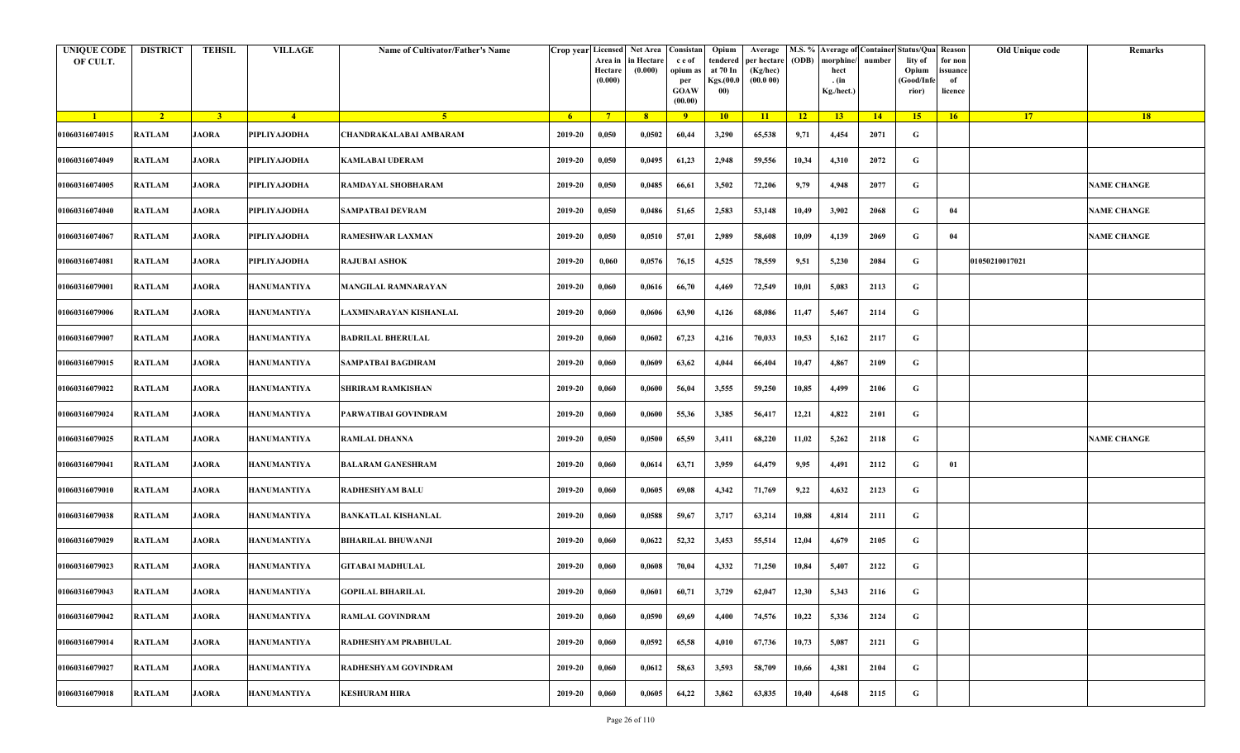| <b>UNIQUE CODE</b><br>OF CULT. | <b>DISTRICT</b> | <b>TEHSIL</b>           | <b>VILLAGE</b>     | Name of Cultivator/Father's Name | Crop year Licensed | Area in<br>Hectare<br>(0.000) | <b>Net Area</b><br>in Hectare<br>(0.000) | Consistan<br>c e of<br>opium as<br>per<br><b>GOAW</b><br>(00.00) | Opium<br>tendered<br>at 70 In<br>Kgs.(00.0<br>00) | Average<br>per hectare<br>(Kg/hec)<br>(00.000) | M.S. %<br>(ODB) | morphine<br>hect<br>. (in<br>Kg./hect.) | number | <b>Average of Container Status/Qua</b><br>lity of<br>Opium<br>Good/Infe<br>rior) | Reason<br>for non<br>issuance<br>of<br>licence | Old Unique code | Remarks            |
|--------------------------------|-----------------|-------------------------|--------------------|----------------------------------|--------------------|-------------------------------|------------------------------------------|------------------------------------------------------------------|---------------------------------------------------|------------------------------------------------|-----------------|-----------------------------------------|--------|----------------------------------------------------------------------------------|------------------------------------------------|-----------------|--------------------|
| $\blacksquare$                 | $\sqrt{2}$      | $\overline{\mathbf{3}}$ | $-4$               | 5 <sup>1</sup>                   | 6 <sup>6</sup>     | $7^{\circ}$                   | 8                                        | $\overline{9}$                                                   | 10                                                | 11                                             | 12              | 13                                      | 14     | 15 <sup>2</sup>                                                                  | 16                                             | 17              | 18                 |
| 01060316074015                 | <b>RATLAM</b>   | <b>JAORA</b>            | PIPLIYAJODHA       | CHANDRAKALABAI AMBARAM           | 2019-20            | 0,050                         | 0,0502                                   | 60,44                                                            | 3,290                                             | 65,538                                         | 9,71            | 4,454                                   | 2071   | G                                                                                |                                                |                 |                    |
| 01060316074049                 | <b>RATLAM</b>   | <b>JAORA</b>            | PIPLIYAJODHA       | <b>KAMLABAI UDERAM</b>           | 2019-20            | 0,050                         | 0,0495                                   | 61,23                                                            | 2,948                                             | 59,556                                         | 10,34           | 4,310                                   | 2072   | G                                                                                |                                                |                 |                    |
| 01060316074005                 | <b>RATLAM</b>   | <b>JAORA</b>            | PIPLIYAJODHA       | RAMDAYAL SHOBHARAM               | 2019-20            | 0,050                         | 0,0485                                   | 66,61                                                            | 3,502                                             | 72,206                                         | 9,79            | 4,948                                   | 2077   | G                                                                                |                                                |                 | <b>NAME CHANGE</b> |
| 01060316074040                 | <b>RATLAM</b>   | <b>JAORA</b>            | PIPLIYAJODHA       | <b>SAMPATBAI DEVRAM</b>          | 2019-20            | 0,050                         | 0,0486                                   | 51,65                                                            | 2,583                                             | 53,148                                         | 10,49           | 3,902                                   | 2068   | G                                                                                | 04                                             |                 | <b>NAME CHANGE</b> |
| 01060316074067                 | <b>RATLAM</b>   | <b>JAORA</b>            | PIPLIYAJODHA       | RAMESHWAR LAXMAN                 | 2019-20            | 0,050                         | 0,0510                                   | 57,01                                                            | 2,989                                             | 58,608                                         | 10,09           | 4,139                                   | 2069   | G                                                                                | 04                                             |                 | <b>NAME CHANGE</b> |
| 01060316074081                 | <b>RATLAM</b>   | <b>JAORA</b>            | PIPLIYAJODHA       | <b>RAJUBAI ASHOK</b>             | 2019-20            | 0,060                         | 0,0576                                   | 76,15                                                            | 4,525                                             | 78,559                                         | 9,51            | 5,230                                   | 2084   | $\mathbf G$                                                                      |                                                | 01050210017021  |                    |
| 01060316079001                 | RATLAM          | <b>JAORA</b>            | HANUMANTIYA        | MANGILAL RAMNARAYAN              | 2019-20            | 0,060                         | 0,0616                                   | 66,70                                                            | 4,469                                             | 72,549                                         | 10,01           | 5,083                                   | 2113   | G                                                                                |                                                |                 |                    |
| 01060316079006                 | <b>RATLAM</b>   | <b>JAORA</b>            | <b>HANUMANTIYA</b> | LAXMINARAYAN KISHANLAL           | 2019-20            | 0,060                         | 0,0606                                   | 63,90                                                            | 4,126                                             | 68,086                                         | 11,47           | 5,467                                   | 2114   | G                                                                                |                                                |                 |                    |
| 01060316079007                 | <b>RATLAM</b>   | <b>JAORA</b>            | HANUMANTIYA        | <b>BADRILAL BHERULAL</b>         | 2019-20            | 0,060                         | 0,0602                                   | 67,23                                                            | 4,216                                             | 70,033                                         | 10,53           | 5,162                                   | 2117   | G                                                                                |                                                |                 |                    |
| 01060316079015                 | <b>RATLAM</b>   | <b>JAORA</b>            | <b>HANUMANTIYA</b> | SAMPATBAI BAGDIRAM               | 2019-20            | 0,060                         | 0,0609                                   | 63,62                                                            | 4,044                                             | 66,404                                         | 10,47           | 4,867                                   | 2109   | G                                                                                |                                                |                 |                    |
| 01060316079022                 | <b>RATLAM</b>   | <b>JAORA</b>            | <b>HANUMANTIYA</b> | SHRIRAM RAMKISHAN                | 2019-20            | 0,060                         | 0,0600                                   | 56,04                                                            | 3,555                                             | 59,250                                         | 10,85           | 4,499                                   | 2106   | G                                                                                |                                                |                 |                    |
| 01060316079024                 | <b>RATLAM</b>   | <b>JAORA</b>            | <b>HANUMANTIYA</b> | PARWATIBAI GOVINDRAM             | 2019-20            | 0,060                         | 0,0600                                   | 55,36                                                            | 3,385                                             | 56,417                                         | 12,21           | 4,822                                   | 2101   | G                                                                                |                                                |                 |                    |
| 01060316079025                 | <b>RATLAM</b>   | <b>JAORA</b>            | <b>HANUMANTIYA</b> | <b>RAMLAL DHANNA</b>             | 2019-20            | 0,050                         | 0,0500                                   | 65,59                                                            | 3,411                                             | 68,220                                         | 11,02           | 5,262                                   | 2118   | G                                                                                |                                                |                 | <b>NAME CHANGE</b> |
| 01060316079041                 | <b>RATLAM</b>   | <b>JAORA</b>            | <b>HANUMANTIYA</b> | <b>BALARAM GANESHRAM</b>         | 2019-20            | 0,060                         | 0,0614                                   | 63,71                                                            | 3,959                                             | 64,479                                         | 9,95            | 4,491                                   | 2112   | G                                                                                | 01                                             |                 |                    |
| 01060316079010                 | <b>RATLAM</b>   | <b>JAORA</b>            | <b>HANUMANTIYA</b> | <b>RADHESHYAM BALU</b>           | 2019-20            | 0,060                         | 0,0605                                   | 69,08                                                            | 4,342                                             | 71,769                                         | 9,22            | 4,632                                   | 2123   | G                                                                                |                                                |                 |                    |
| 01060316079038                 | <b>RATLAM</b>   | <b>JAORA</b>            | HANUMANTIYA        | <b>BANKATLAL KISHANLAL</b>       | 2019-20            | 0,060                         | 0,0588                                   | 59,67                                                            | 3,717                                             | 63,214                                         | 10,88           | 4,814                                   | 2111   | G                                                                                |                                                |                 |                    |
| 01060316079029                 | <b>RATLAM</b>   | <b>JAORA</b>            | <b>HANUMANTIYA</b> | <b>BIHARILAL BHUWANJI</b>        | 2019-20            | 0,060                         | 0,0622                                   | 52,32                                                            | 3,453                                             | 55,514                                         | 12,04           | 4,679                                   | 2105   | G                                                                                |                                                |                 |                    |
| 01060316079023                 | <b>RATLAM</b>   | <b>JAORA</b>            | <b>HANUMANTIYA</b> | <b>GITABAI MADHULAL</b>          | 2019-20            | 0,060                         | 0,0608                                   | 70,04                                                            | 4,332                                             | 71,250                                         | 10,84           | 5,407                                   | 2122   | G                                                                                |                                                |                 |                    |
| 01060316079043                 | <b>RATLAM</b>   | <b>JAORA</b>            | <b>HANUMANTIYA</b> | <b>GOPILAL BIHARILAL</b>         | 2019-20            | 0,060                         | 0,0601                                   | 60,71                                                            | 3,729                                             | 62,047                                         | 12,30           | 5,343                                   | 2116   | G                                                                                |                                                |                 |                    |
| 01060316079042                 | <b>RATLAM</b>   | <b>JAORA</b>            | <b>HANUMANTIYA</b> | <b>RAMLAL GOVINDRAM</b>          | 2019-20            | 0,060                         | 0,0590                                   | 69,69                                                            | 4,400                                             | 74,576                                         | 10,22           | 5,336                                   | 2124   | $\mathbf G$                                                                      |                                                |                 |                    |
| 01060316079014                 | <b>RATLAM</b>   | <b>JAORA</b>            | <b>HANUMANTIYA</b> | RADHESHYAM PRABHULAL             | 2019-20            | 0,060                         | 0,0592                                   | 65,58                                                            | 4,010                                             | 67,736                                         | 10,73           | 5,087                                   | 2121   | G                                                                                |                                                |                 |                    |
| 01060316079027                 | <b>RATLAM</b>   | <b>JAORA</b>            | <b>HANUMANTIYA</b> | <b>RADHESHYAM GOVINDRAM</b>      | 2019-20            | 0,060                         | 0,0612                                   | 58,63                                                            | 3,593                                             | 58,709                                         | 10,66           | 4,381                                   | 2104   | G                                                                                |                                                |                 |                    |
| 01060316079018                 | <b>RATLAM</b>   | <b>JAORA</b>            | <b>HANUMANTIYA</b> | <b>KESHURAM HIRA</b>             | 2019-20            | 0,060                         | 0,0605                                   | 64,22                                                            | 3,862                                             | 63,835                                         | 10,40           | 4,648                                   | 2115   | G                                                                                |                                                |                 |                    |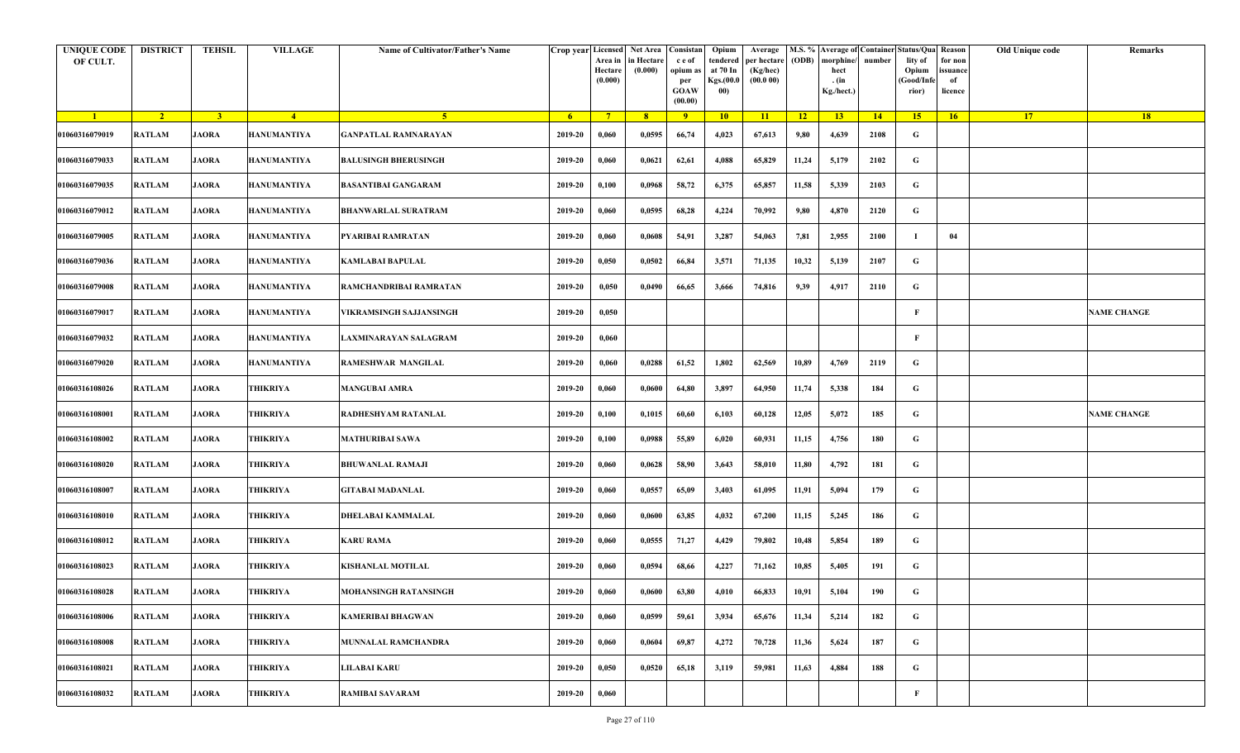| <b>UNIQUE CODE</b><br>OF CULT. | <b>DISTRICT</b> | <b>TEHSIL</b>  | <b>VILLAGE</b>     | Name of Cultivator/Father's Name |         | Crop year Licensed Net Area Consistan<br>Area in<br>Hectare<br>(0.000) | in Hectare<br>(0.000) | c e of<br>opium as<br>per<br><b>GOAW</b><br>(00.00) | Opium<br>tendered<br>at 70 In<br>Kgs.(00.0<br>00) | Average<br>per hectare<br>(Kg/hec)<br>(00.000) | (ODB) | M.S. % Average of Container Status/Qua Reason<br>morphine/<br>hect<br>. (in<br>Kg./hect.) | number | lity of<br>Opium<br>(Good/Infe<br>rior) | for non<br>ssuance<br>of<br>licence | Old Unique code | Remarks            |
|--------------------------------|-----------------|----------------|--------------------|----------------------------------|---------|------------------------------------------------------------------------|-----------------------|-----------------------------------------------------|---------------------------------------------------|------------------------------------------------|-------|-------------------------------------------------------------------------------------------|--------|-----------------------------------------|-------------------------------------|-----------------|--------------------|
| $\blacksquare$                 | $\sqrt{2}$      | 3 <sup>1</sup> | $-4$               | $-5$                             | $-6$    | $7^{\circ}$                                                            | 8 <sup>°</sup>        | 9                                                   | 10                                                | 11                                             | $-12$ | 13                                                                                        | 14     | 15                                      | 16                                  | <b>17</b>       | 18                 |
| 01060316079019                 | <b>RATLAM</b>   | <b>JAORA</b>   | <b>HANUMANTIYA</b> | <b>GANPATLAL RAMNARAYAN</b>      | 2019-20 | 0,060                                                                  | 0,0595                | 66,74                                               | 4,023                                             | 67,613                                         | 9,80  | 4,639                                                                                     | 2108   | G                                       |                                     |                 |                    |
| 01060316079033                 | RATLAM          | <b>JAORA</b>   | <b>HANUMANTIYA</b> | <b>BALUSINGH BHERUSINGH</b>      | 2019-20 | 0,060                                                                  | 0,0621                | 62,61                                               | 4,088                                             | 65,829                                         | 11,24 | 5,179                                                                                     | 2102   | G                                       |                                     |                 |                    |
| 01060316079035                 | <b>RATLAM</b>   | <b>JAORA</b>   | <b>HANUMANTIYA</b> | <b>BASANTIBAI GANGARAM</b>       | 2019-20 | 0,100                                                                  | 0,0968                | 58,72                                               | 6,375                                             | 65,857                                         | 11,58 | 5,339                                                                                     | 2103   | G                                       |                                     |                 |                    |
| 01060316079012                 | <b>RATLAM</b>   | <b>JAORA</b>   | <b>HANUMANTIYA</b> | <b>BHANWARLAL SURATRAM</b>       | 2019-20 | 0,060                                                                  | 0,0595                | 68,28                                               | 4,224                                             | 70,992                                         | 9,80  | 4,870                                                                                     | 2120   | G                                       |                                     |                 |                    |
| 01060316079005                 | RATLAM          | <b>JAORA</b>   | <b>HANUMANTIYA</b> | PYARIBAI RAMRATAN                | 2019-20 | 0,060                                                                  | 0,0608                | 54,91                                               | 3,287                                             | 54,063                                         | 7,81  | 2,955                                                                                     | 2100   |                                         | 04                                  |                 |                    |
| 01060316079036                 | <b>RATLAM</b>   | <b>JAORA</b>   | <b>HANUMANTIYA</b> | <b>KAMLABAI BAPULAL</b>          | 2019-20 | 0,050                                                                  | 0,0502                | 66,84                                               | 3,571                                             | 71,135                                         | 10,32 | 5,139                                                                                     | 2107   | G                                       |                                     |                 |                    |
| 01060316079008                 | <b>RATLAM</b>   | <b>JAORA</b>   | <b>HANUMANTIYA</b> | RAMCHANDRIBAI RAMRATAN           | 2019-20 | 0,050                                                                  | 0,0490                | 66,65                                               | 3,666                                             | 74,816                                         | 9,39  | 4,917                                                                                     | 2110   | G                                       |                                     |                 |                    |
| 01060316079017                 | <b>RATLAM</b>   | <b>JAORA</b>   | <b>HANUMANTIYA</b> | VIKRAMSINGH SAJJANSINGH          | 2019-20 | 0,050                                                                  |                       |                                                     |                                                   |                                                |       |                                                                                           |        | F                                       |                                     |                 | <b>NAME CHANGE</b> |
| 01060316079032                 | <b>RATLAM</b>   | <b>JAORA</b>   | <b>HANUMANTIYA</b> | LAXMINARAYAN SALAGRAM            | 2019-20 | 0,060                                                                  |                       |                                                     |                                                   |                                                |       |                                                                                           |        | F                                       |                                     |                 |                    |
| 01060316079020                 | <b>RATLAM</b>   | <b>JAORA</b>   | <b>HANUMANTIYA</b> | RAMESHWAR MANGILAL               | 2019-20 | 0,060                                                                  | 0,0288                | 61,52                                               | 1,802                                             | 62,569                                         | 10,89 | 4,769                                                                                     | 2119   | G                                       |                                     |                 |                    |
| 01060316108026                 | <b>RATLAM</b>   | <b>JAORA</b>   | THIKRIYA           | <b>MANGUBAI AMRA</b>             | 2019-20 | 0,060                                                                  | 0,0600                | 64,80                                               | 3,897                                             | 64,950                                         | 11,74 | 5,338                                                                                     | 184    | G                                       |                                     |                 |                    |
| 01060316108001                 | <b>RATLAM</b>   | <b>JAORA</b>   | THIKRIYA           | RADHESHYAM RATANLAL              | 2019-20 | 0,100                                                                  | 0,1015                | 60,60                                               | 6,103                                             | 60,128                                         | 12,05 | 5,072                                                                                     | 185    | G                                       |                                     |                 | <b>NAME CHANGE</b> |
| 01060316108002                 | <b>RATLAM</b>   | <b>JAORA</b>   | THIKRIYA           | <b>MATHURIBAI SAWA</b>           | 2019-20 | 0,100                                                                  | 0,0988                | 55,89                                               | 6,020                                             | 60,931                                         | 11,15 | 4,756                                                                                     | 180    | G                                       |                                     |                 |                    |
| 01060316108020                 | RATLAM          | <b>JAORA</b>   | THIKRIYA           | <b>BHUWANLAL RAMAJI</b>          | 2019-20 | 0,060                                                                  | 0,0628                | 58,90                                               | 3,643                                             | 58,010                                         | 11,80 | 4,792                                                                                     | 181    | G                                       |                                     |                 |                    |
| 01060316108007                 | RATLAM          | <b>JAORA</b>   | THIKRIYA           | <b>GITABAI MADANLAL</b>          | 2019-20 | 0,060                                                                  | 0,0557                | 65,09                                               | 3,403                                             | 61,095                                         | 11,91 | 5,094                                                                                     | 179    | G                                       |                                     |                 |                    |
| 01060316108010                 | RATLAM          | <b>JAORA</b>   | THIKRIYA           | DHELABAI KAMMALAL                | 2019-20 | 0,060                                                                  | 0,0600                | 63,85                                               | 4,032                                             | 67,200                                         | 11,15 | 5,245                                                                                     | 186    | G                                       |                                     |                 |                    |
| 01060316108012                 | <b>RATLAM</b>   | <b>JAORA</b>   | THIKRIYA           | <b>KARU RAMA</b>                 | 2019-20 | 0,060                                                                  | 0,0555                | 71,27                                               | 4,429                                             | 79,802                                         | 10,48 | 5,854                                                                                     | 189    | G                                       |                                     |                 |                    |
| 01060316108023                 | <b>RATLAM</b>   | <b>JAORA</b>   | THIKRIYA           | KISHANLAL MOTILAL                | 2019-20 | 0,060                                                                  | 0,0594                | 68,66                                               | 4,227                                             | 71,162                                         | 10,85 | 5,405                                                                                     | 191    | G                                       |                                     |                 |                    |
| 01060316108028                 | RATLAM          | <b>JAORA</b>   | THIKRIYA           | <b>MOHANSINGH RATANSINGH</b>     | 2019-20 | 0,060                                                                  | 0,0600                | 63,80                                               | 4,010                                             | 66,833                                         | 10,91 | 5,104                                                                                     | 190    | G                                       |                                     |                 |                    |
| 01060316108006                 | <b>RATLAM</b>   | <b>JAORA</b>   | <b>THIKRIYA</b>    | <b>KAMERIBAI BHAGWAN</b>         | 2019-20 | 0,060                                                                  | 0,0599                | 59,61                                               | 3,934                                             | 65,676                                         | 11,34 | 5,214                                                                                     | 182    | $\mathbf G$                             |                                     |                 |                    |
| 01060316108008                 | <b>RATLAM</b>   | <b>JAORA</b>   | THIKRIYA           | <b>MUNNALAL RAMCHANDRA</b>       | 2019-20 | 0,060                                                                  | 0,0604                | 69,87                                               | 4,272                                             | 70,728                                         | 11,36 | 5,624                                                                                     | 187    | G                                       |                                     |                 |                    |
| 01060316108021                 | <b>RATLAM</b>   | <b>JAORA</b>   | THIKRIYA           | <b>LILABAI KARU</b>              | 2019-20 | 0,050                                                                  | 0,0520                | 65,18                                               | 3,119                                             | 59,981                                         | 11,63 | 4,884                                                                                     | 188    | G                                       |                                     |                 |                    |
| 01060316108032                 | RATLAM          | <b>JAORA</b>   | THIKRIYA           | <b>RAMIBAI SAVARAM</b>           | 2019-20 | 0,060                                                                  |                       |                                                     |                                                   |                                                |       |                                                                                           |        | F                                       |                                     |                 |                    |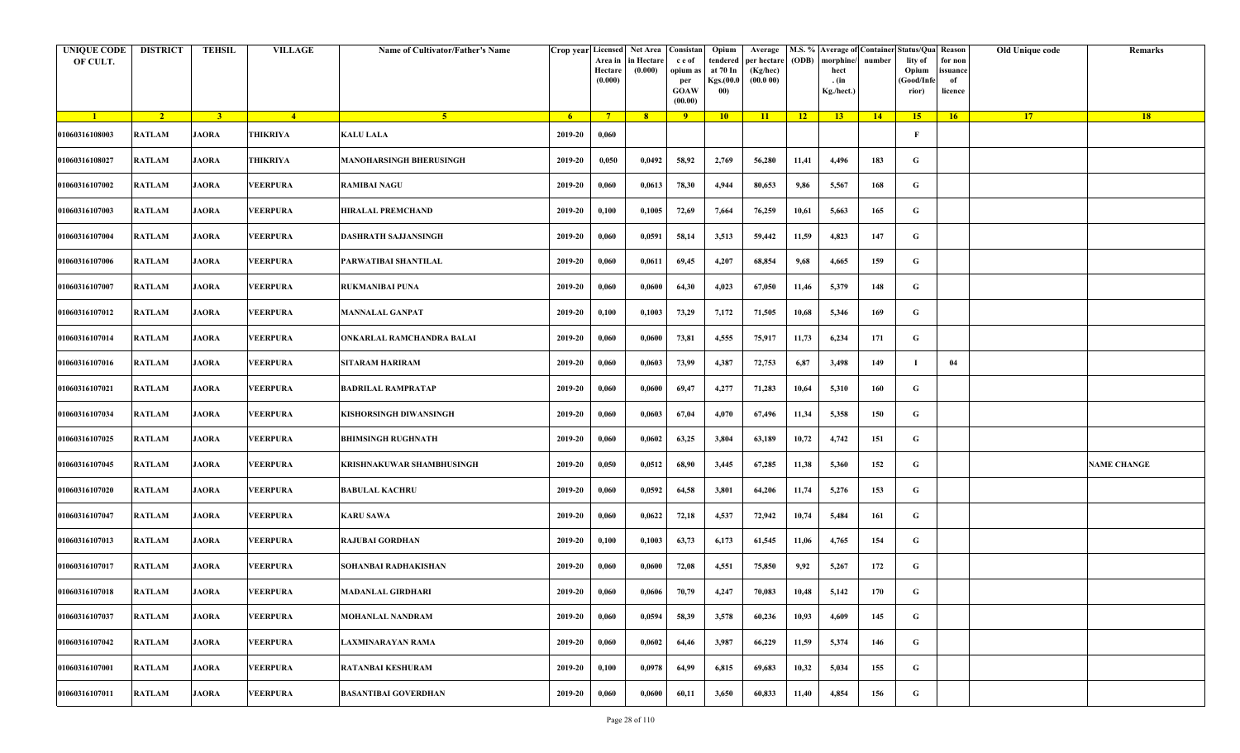| <b>UNIQUE CODE</b><br>OF CULT. | <b>DISTRICT</b> | <b>TEHSIL</b>           | <b>VILLAGE</b>  | Name of Cultivator/Father's Name | Crop year Licensed | Area in<br>Hectare<br>(0.000) | Net Area   Consistan<br>in Hectare<br>(0.000) | c e of<br>opium as<br>per<br><b>GOAW</b><br>(00.00) | Opium<br>tendered<br>at 70 In<br>Kgs.(00.0<br>00) | Average<br>per hectare<br>(Kg/hec)<br>(00.000) | (ODB) | M.S. % Average of Container Status/Qua Reason<br>morphine/<br>hect<br>. (in<br>Kg./hect.) | number | lity of<br>Opium<br>(Good/Infe<br>rior) | for non<br>issuance<br>of<br>licence | Old Unique code | Remarks            |
|--------------------------------|-----------------|-------------------------|-----------------|----------------------------------|--------------------|-------------------------------|-----------------------------------------------|-----------------------------------------------------|---------------------------------------------------|------------------------------------------------|-------|-------------------------------------------------------------------------------------------|--------|-----------------------------------------|--------------------------------------|-----------------|--------------------|
| $\blacksquare$                 | $\sqrt{2}$      | $\overline{\mathbf{3}}$ | $-4$            | $-5$                             | $6^{\circ}$        | $7^{\circ}$                   | 8 <sup>°</sup>                                | 9                                                   | 10                                                | 11                                             | $-12$ | 13                                                                                        | 14     | 15                                      | 16                                   | <b>17</b>       | <b>18</b>          |
| 01060316108003                 | <b>RATLAM</b>   | <b>JAORA</b>            | THIKRIYA        | <b>KALU LALA</b>                 | 2019-20            | 0,060                         |                                               |                                                     |                                                   |                                                |       |                                                                                           |        | F                                       |                                      |                 |                    |
| 01060316108027                 | <b>RATLAM</b>   | <b>JAORA</b>            | THIKRIYA        | <b>MANOHARSINGH BHERUSINGH</b>   | 2019-20            | 0,050                         | 0,0492                                        | 58,92                                               | 2,769                                             | 56,280                                         | 11,41 | 4,496                                                                                     | 183    | G                                       |                                      |                 |                    |
| 01060316107002                 | <b>RATLAM</b>   | <b>JAORA</b>            | VEERPURA        | <b>RAMIBAI NAGU</b>              | 2019-20            | 0,060                         | 0,0613                                        | 78,30                                               | 4,944                                             | 80,653                                         | 9,86  | 5,567                                                                                     | 168    | G                                       |                                      |                 |                    |
| 01060316107003                 | <b>RATLAM</b>   | <b>JAORA</b>            | <b>VEERPURA</b> | <b>HIRALAL PREMCHAND</b>         | 2019-20            | 0,100                         | 0,1005                                        | 72,69                                               | 7,664                                             | 76,259                                         | 10,61 | 5,663                                                                                     | 165    | G                                       |                                      |                 |                    |
| 01060316107004                 | <b>RATLAM</b>   | <b>JAORA</b>            | VEERPURA        | DASHRATH SAJJANSINGH             | 2019-20            | 0,060                         | 0,0591                                        | 58,14                                               | 3,513                                             | 59,442                                         | 11,59 | 4,823                                                                                     | 147    | G                                       |                                      |                 |                    |
| 01060316107006                 | RATLAM          | <b>JAORA</b>            | <b>VEERPURA</b> | PARWATIBAI SHANTILAL             | 2019-20            | 0,060                         | 0,0611                                        | 69,45                                               | 4,207                                             | 68,854                                         | 9,68  | 4,665                                                                                     | 159    | G                                       |                                      |                 |                    |
| 01060316107007                 | <b>RATLAM</b>   | <b>JAORA</b>            | VEERPURA        | RUKMANIBAI PUNA                  | 2019-20            | 0,060                         | 0,0600                                        | 64,30                                               | 4,023                                             | 67,050                                         | 11,46 | 5,379                                                                                     | 148    | G                                       |                                      |                 |                    |
| 01060316107012                 | <b>RATLAM</b>   | <b>JAORA</b>            | VEERPURA        | <b>MANNALAL GANPAT</b>           | 2019-20            | 0,100                         | 0,1003                                        | 73,29                                               | 7,172                                             | 71,505                                         | 10,68 | 5,346                                                                                     | 169    | G                                       |                                      |                 |                    |
| 01060316107014                 | <b>RATLAM</b>   | <b>JAORA</b>            | VEERPURA        | ONKARLAL RAMCHANDRA BALAI        | 2019-20            | 0,060                         | 0,0600                                        | 73,81                                               | 4,555                                             | 75,917                                         | 11,73 | 6,234                                                                                     | 171    | G                                       |                                      |                 |                    |
| 01060316107016                 | <b>RATLAM</b>   | <b>JAORA</b>            | VEERPURA        | <b>SITARAM HARIRAM</b>           | 2019-20            | 0,060                         | 0,0603                                        | 73,99                                               | 4,387                                             | 72,753                                         | 6,87  | 3,498                                                                                     | 149    | 1                                       | 04                                   |                 |                    |
| 01060316107021                 | <b>RATLAM</b>   | <b>JAORA</b>            | VEERPURA        | BADRILAL RAMPRATAP               | 2019-20            | 0,060                         | 0,0600                                        | 69,47                                               | 4,277                                             | 71,283                                         | 10,64 | 5,310                                                                                     | 160    | G                                       |                                      |                 |                    |
| 01060316107034                 | <b>RATLAM</b>   | <b>JAORA</b>            | VEERPURA        | KISHORSINGH DIWANSINGH           | 2019-20            | 0,060                         | 0,0603                                        | 67,04                                               | 4,070                                             | 67,496                                         | 11,34 | 5,358                                                                                     | 150    | G                                       |                                      |                 |                    |
| 01060316107025                 | <b>RATLAM</b>   | <b>JAORA</b>            | <b>VEERPURA</b> | <b>BHIMSINGH RUGHNATH</b>        | 2019-20            | 0,060                         | 0,0602                                        | 63,25                                               | 3,804                                             | 63,189                                         | 10,72 | 4,742                                                                                     | 151    | G                                       |                                      |                 |                    |
| 01060316107045                 | RATLAM          | <b>JAORA</b>            | VEERPURA        | KRISHNAKUWAR SHAMBHUSINGH        | 2019-20            | 0,050                         | 0,0512                                        | 68,90                                               | 3,445                                             | 67,285                                         | 11,38 | 5,360                                                                                     | 152    | G                                       |                                      |                 | <b>NAME CHANGE</b> |
| 01060316107020                 | RATLAM          | <b>JAORA</b>            | VEERPURA        | <b>BABULAL KACHRU</b>            | 2019-20            | 0,060                         | 0,0592                                        | 64,58                                               | 3,801                                             | 64,206                                         | 11,74 | 5,276                                                                                     | 153    | G                                       |                                      |                 |                    |
| 01060316107047                 | <b>RATLAM</b>   | <b>JAORA</b>            | VEERPURA        | <b>KARU SAWA</b>                 | 2019-20            | 0,060                         | 0,0622                                        | 72,18                                               | 4,537                                             | 72,942                                         | 10,74 | 5,484                                                                                     | 161    | G                                       |                                      |                 |                    |
| 01060316107013                 | <b>RATLAM</b>   | <b>JAORA</b>            | VEERPURA        | <b>RAJUBAI GORDHAN</b>           | 2019-20            | 0,100                         | 0,1003                                        | 63,73                                               | 6,173                                             | 61,545                                         | 11,06 | 4,765                                                                                     | 154    | G                                       |                                      |                 |                    |
| 01060316107017                 | <b>RATLAM</b>   | <b>JAORA</b>            | VEERPURA        | SOHANBAI RADHAKISHAN             | 2019-20            | 0,060                         | 0,0600                                        | 72,08                                               | 4,551                                             | 75,850                                         | 9,92  | 5,267                                                                                     | 172    | G                                       |                                      |                 |                    |
| 01060316107018                 | RATLAM          | <b>JAORA</b>            | <b>VEERPURA</b> | MADANLAL GIRDHARI                | 2019-20            | 0,060                         | 0,0606                                        | 70,79                                               | 4,247                                             | 70,083                                         | 10,48 | 5,142                                                                                     | 170    | G                                       |                                      |                 |                    |
| 01060316107037                 | <b>RATLAM</b>   | <b>JAORA</b>            | VEERPURA        | MOHANLAL NANDRAM                 | 2019-20            | 0,060                         | 0,0594                                        | 58,39                                               | 3,578                                             | 60,236                                         | 10,93 | 4,609                                                                                     | 145    | G                                       |                                      |                 |                    |
| 01060316107042                 | <b>RATLAM</b>   | <b>JAORA</b>            | <b>VEERPURA</b> | LAXMINARAYAN RAMA                | 2019-20            | 0,060                         | 0,0602                                        | 64,46                                               | 3,987                                             | 66,229                                         | 11,59 | 5,374                                                                                     | 146    | G                                       |                                      |                 |                    |
| 01060316107001                 | RATLAM          | <b>JAORA</b>            | <b>VEERPURA</b> | RATANBAI KESHURAM                | 2019-20            | 0,100                         | 0,0978                                        | 64,99                                               | 6,815                                             | 69,683                                         | 10,32 | 5,034                                                                                     | 155    | G                                       |                                      |                 |                    |
| 01060316107011                 | <b>RATLAM</b>   | <b>JAORA</b>            | VEERPURA        | <b>BASANTIBAI GOVERDHAN</b>      | 2019-20            | 0,060                         | 0,0600                                        | 60,11                                               | 3,650                                             | 60,833                                         | 11,40 | 4,854                                                                                     | 156    | G                                       |                                      |                 |                    |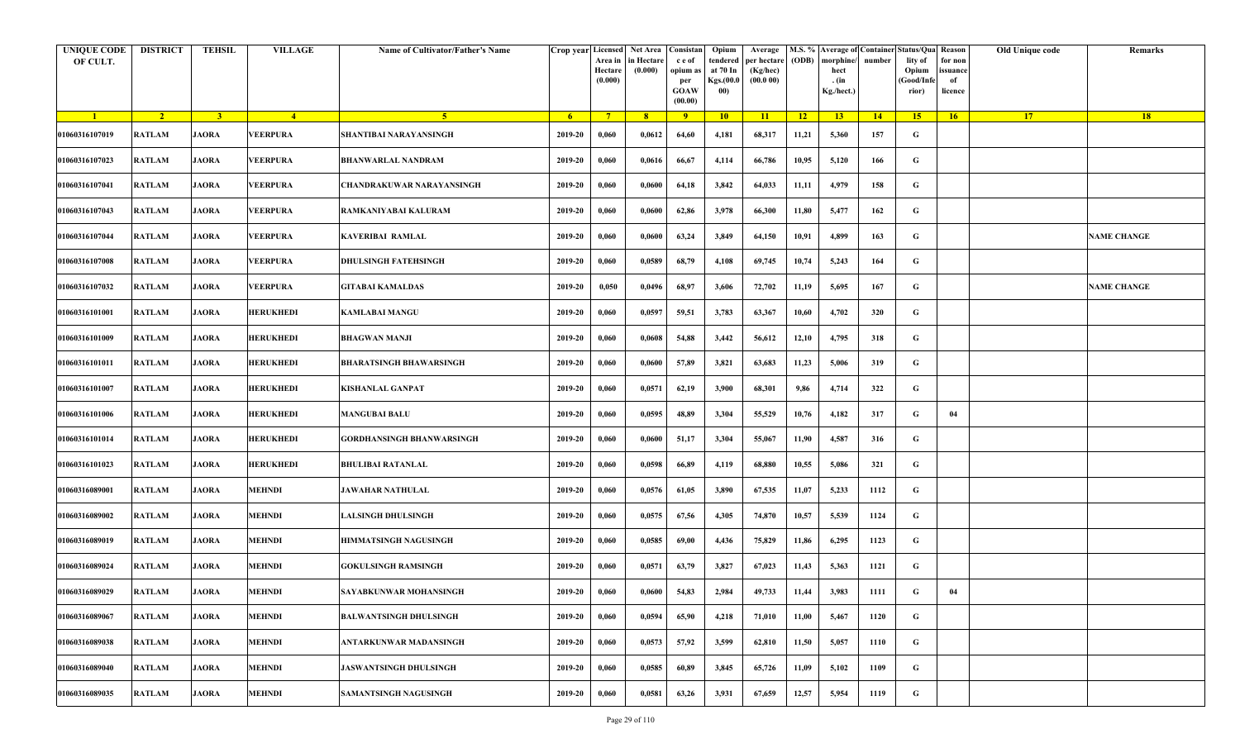| <b>UNIQUE CODE</b><br>OF CULT. | <b>DISTRICT</b> | <b>TEHSIL</b>  | <b>VILLAGE</b>   | Name of Cultivator/Father's Name | Crop year Licensed | Area in<br>Hectare<br>(0.000) | Net Area Consistan<br>in Hectare<br>(0.000) | c e of<br>opium as<br>per<br><b>GOAW</b><br>(00.00) | Opium<br>tendered<br>at 70 In<br>Kgs.(00.0<br>00) | Average<br>per hectare<br>(Kg/hec)<br>(00.000) | (ODB) | M.S. % Average of Container Status/Qua Reason<br>morphine/<br>hect<br>. (in<br>Kg./hect.) | number | lity of<br>Opium<br>(Good/Infe<br>rior) | for non<br>ssuance<br>of<br>licence | Old Unique code | Remarks            |
|--------------------------------|-----------------|----------------|------------------|----------------------------------|--------------------|-------------------------------|---------------------------------------------|-----------------------------------------------------|---------------------------------------------------|------------------------------------------------|-------|-------------------------------------------------------------------------------------------|--------|-----------------------------------------|-------------------------------------|-----------------|--------------------|
| $\blacksquare$                 | $\sqrt{2}$      | 3 <sup>1</sup> | $\sqrt{4}$       | $\sqrt{5}$                       | - 6                | $7^{\circ}$                   | 8 <sup>°</sup>                              | $\overline{9}$                                      | 10                                                | 11                                             | $-12$ | 13                                                                                        | 14     | 15                                      | 16                                  | <b>17</b>       | <b>18</b>          |
| 01060316107019                 | <b>RATLAM</b>   | <b>JAORA</b>   | <b>VEERPURA</b>  | SHANTIBAI NARAYANSINGH           | 2019-20            | 0,060                         | 0,0612                                      | 64,60                                               | 4,181                                             | 68,317                                         | 11,21 | 5,360                                                                                     | 157    | G                                       |                                     |                 |                    |
| 01060316107023                 | <b>RATLAM</b>   | <b>JAORA</b>   | VEERPURA         | BHANWARLAL NANDRAM               | 2019-20            | 0,060                         | 0,0616                                      | 66,67                                               | 4,114                                             | 66,786                                         | 10,95 | 5,120                                                                                     | 166    | G                                       |                                     |                 |                    |
| 01060316107041                 | RATLAM          | <b>JAORA</b>   | VEERPURA         | CHANDRAKUWAR NARAYANSINGH        | 2019-20            | 0,060                         | 0,0600                                      | 64,18                                               | 3,842                                             | 64,033                                         | 11,11 | 4,979                                                                                     | 158    | G                                       |                                     |                 |                    |
| 01060316107043                 | <b>RATLAM</b>   | <b>JAORA</b>   | VEERPURA         | RAMKANIYABAI KALURAM             | 2019-20            | 0,060                         | 0,0600                                      | 62,86                                               | 3,978                                             | 66,300                                         | 11,80 | 5,477                                                                                     | 162    | G                                       |                                     |                 |                    |
| 01060316107044                 | RATLAM          | <b>JAORA</b>   | VEERPURA         | KAVERIBAI RAMLAL                 | 2019-20            | 0,060                         | 0,0600                                      | 63,24                                               | 3,849                                             | 64,150                                         | 10,91 | 4,899                                                                                     | 163    | G                                       |                                     |                 | <b>NAME CHANGE</b> |
| 01060316107008                 | <b>RATLAM</b>   | <b>JAORA</b>   | VEERPURA         | DHULSINGH FATEHSINGH             | 2019-20            | 0,060                         | 0,0589                                      | 68,79                                               | 4,108                                             | 69,745                                         | 10,74 | 5,243                                                                                     | 164    | G                                       |                                     |                 |                    |
| 01060316107032                 | <b>RATLAM</b>   | <b>JAORA</b>   | VEERPURA         | <b>GITABAI KAMALDAS</b>          | 2019-20            | 0,050                         | 0,0496                                      | 68,97                                               | 3,606                                             | 72,702                                         | 11,19 | 5,695                                                                                     | 167    | G                                       |                                     |                 | <b>NAME CHANGE</b> |
| 01060316101001                 | <b>RATLAM</b>   | <b>JAORA</b>   | <b>HERUKHEDI</b> | KAMLABAI MANGU                   | 2019-20            | 0,060                         | 0,0597                                      | 59,51                                               | 3,783                                             | 63,367                                         | 10,60 | 4,702                                                                                     | 320    | G                                       |                                     |                 |                    |
| 01060316101009                 | <b>RATLAM</b>   | <b>JAORA</b>   | <b>HERUKHEDI</b> | BHAGWAN MANJI                    | 2019-20            | 0,060                         | 0,0608                                      | 54,88                                               | 3,442                                             | 56,612                                         | 12,10 | 4,795                                                                                     | 318    | G                                       |                                     |                 |                    |
| 01060316101011                 | <b>RATLAM</b>   | <b>JAORA</b>   | <b>HERUKHEDI</b> | <b>BHARATSINGH BHAWARSINGH</b>   | 2019-20            | 0,060                         | 0,0600                                      | 57,89                                               | 3,821                                             | 63,683                                         | 11,23 | 5,006                                                                                     | 319    | G                                       |                                     |                 |                    |
| 01060316101007                 | <b>RATLAM</b>   | <b>JAORA</b>   | <b>HERUKHEDI</b> | KISHANLAL GANPAT                 | 2019-20            | 0,060                         | 0,0571                                      | 62,19                                               | 3,900                                             | 68,301                                         | 9,86  | 4,714                                                                                     | 322    | G                                       |                                     |                 |                    |
| 01060316101006                 | RATLAM          | <b>JAORA</b>   | <b>HERUKHEDI</b> | <b>MANGUBAI BALU</b>             | 2019-20            | 0,060                         | 0,0595                                      | 48,89                                               | 3,304                                             | 55,529                                         | 10,76 | 4,182                                                                                     | 317    | G                                       | 04                                  |                 |                    |
| 01060316101014                 | <b>RATLAM</b>   | <b>JAORA</b>   | <b>HERUKHEDI</b> | GORDHANSINGH BHANWARSINGH        | 2019-20            | 0,060                         | 0,0600                                      | 51,17                                               | 3,304                                             | 55,067                                         | 11,90 | 4,587                                                                                     | 316    | G                                       |                                     |                 |                    |
| 01060316101023                 | RATLAM          | <b>JAORA</b>   | <b>HERUKHEDI</b> | <b>BHULIBAI RATANLAL</b>         | 2019-20            | 0,060                         | 0,0598                                      | 66,89                                               | 4,119                                             | 68,880                                         | 10,55 | 5,086                                                                                     | 321    | G                                       |                                     |                 |                    |
| 01060316089001                 | <b>RATLAM</b>   | <b>JAORA</b>   | <b>MEHNDI</b>    | <b>JAWAHAR NATHULAL</b>          | 2019-20            | 0,060                         | 0,0576                                      | 61,05                                               | 3,890                                             | 67,535                                         | 11,07 | 5,233                                                                                     | 1112   | G                                       |                                     |                 |                    |
| 01060316089002                 | <b>RATLAM</b>   | <b>JAORA</b>   | MEHNDI           | ALSINGH DHULSINGH                | 2019-20            | 0,060                         | 0,0575                                      | 67,56                                               | 4,305                                             | 74,870                                         | 10,57 | 5,539                                                                                     | 1124   | G                                       |                                     |                 |                    |
| 01060316089019                 | <b>RATLAM</b>   | <b>JAORA</b>   | <b>MEHNDI</b>    | HIMMATSINGH NAGUSINGH            | 2019-20            | 0,060                         | 0,0585                                      | 69,00                                               | 4,436                                             | 75,829                                         | 11,86 | 6,295                                                                                     | 1123   | G                                       |                                     |                 |                    |
| 01060316089024                 | <b>RATLAM</b>   | <b>JAORA</b>   | <b>MEHNDI</b>    | <b>GOKULSINGH RAMSINGH</b>       | 2019-20            | 0,060                         | 0,0571                                      | 63,79                                               | 3,827                                             | 67,023                                         | 11,43 | 5,363                                                                                     | 1121   | G                                       |                                     |                 |                    |
| 01060316089029                 | RATLAM          | <b>JAORA</b>   | <b>MEHNDI</b>    | SAYABKUNWAR MOHANSINGH           | 2019-20            | 0,060                         | 0,0600                                      | 54,83                                               | 2,984                                             | 49,733                                         | 11,44 | 3,983                                                                                     | 1111   | G                                       | 04                                  |                 |                    |
| 01060316089067                 | <b>RATLAM</b>   | <b>JAORA</b>   | <b>MEHNDI</b>    | <b>BALWANTSINGH DHULSINGH</b>    | 2019-20            | 0,060                         | 0,0594                                      | 65,90                                               | 4,218                                             | 71,010                                         | 11,00 | 5,467                                                                                     | 1120   | $\mathbf G$                             |                                     |                 |                    |
| 01060316089038                 | <b>RATLAM</b>   | <b>JAORA</b>   | <b>MEHNDI</b>    | ANTARKUNWAR MADANSINGH           | 2019-20            | 0,060                         | 0,0573                                      | 57,92                                               | 3,599                                             | 62,810                                         | 11,50 | 5,057                                                                                     | 1110   | G                                       |                                     |                 |                    |
| 01060316089040                 | <b>RATLAM</b>   | <b>JAORA</b>   | <b>MEHNDI</b>    | <b>JASWANTSINGH DHULSINGH</b>    | 2019-20            | 0,060                         | 0,0585                                      | 60,89                                               | 3,845                                             | 65,726                                         | 11,09 | 5,102                                                                                     | 1109   | G                                       |                                     |                 |                    |
| 01060316089035                 | <b>RATLAM</b>   | <b>JAORA</b>   | <b>MEHNDI</b>    | <b>SAMANTSINGH NAGUSINGH</b>     | 2019-20            | 0,060                         | 0,0581                                      | 63,26                                               | 3,931                                             | 67,659                                         | 12,57 | 5,954                                                                                     | 1119   | G                                       |                                     |                 |                    |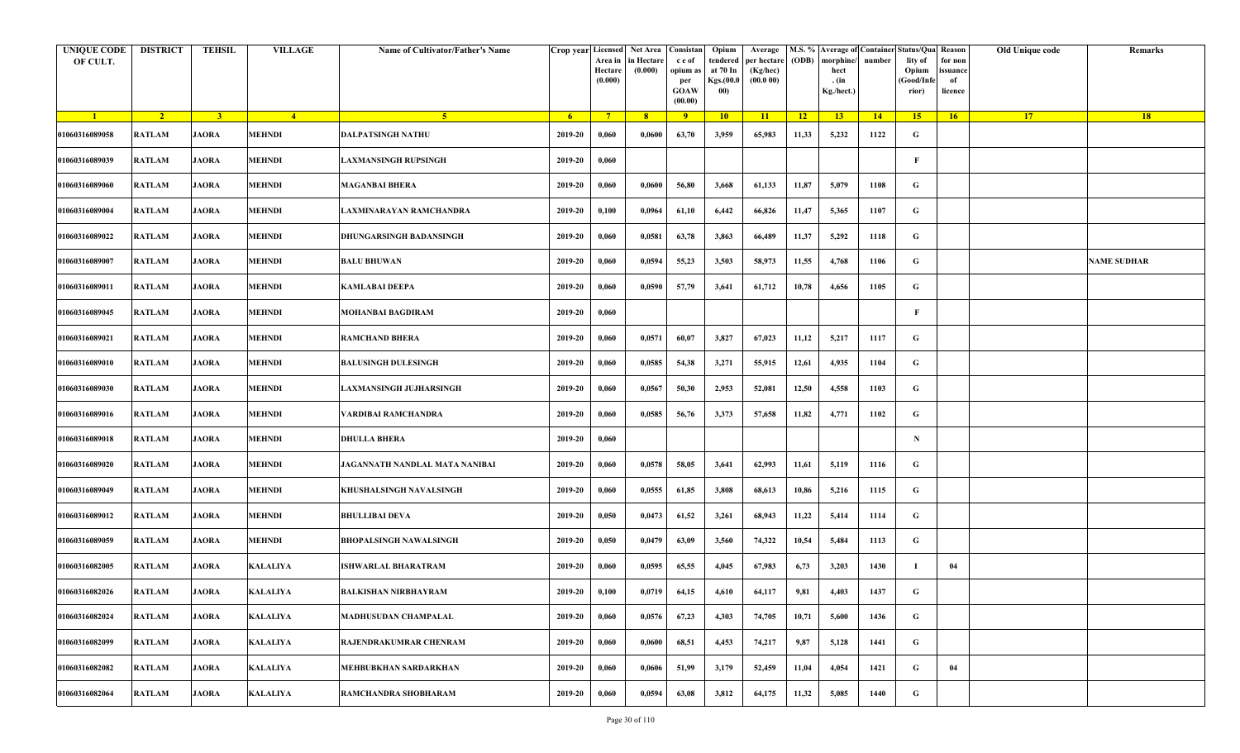| <b>UNIQUE CODE</b><br>OF CULT. | <b>DISTRICT</b> | <b>TEHSIL</b>  | <b>VILLAGE</b>  | Name of Cultivator/Father's Name |         | Area in<br>Hectare<br>(0.000) | Crop year Licensed Net Area Consistan<br>in Hectare<br>(0.000) | c e of<br>opium as<br>per<br><b>GOAW</b><br>(00.00) | Opium<br>tendered<br>at 70 In<br>Kgs.(00.0<br>00) | Average<br>per hectare<br>(Kg/hec)<br>(00.000) | (ODB) | M.S. % Average of Container Status/Qua Reason<br>morphine/<br>hect<br>. (in<br>Kg./hect.) | number | lity of<br>Opium<br>(Good/Infe<br>rior) | for non<br>ssuance<br>of<br>licence | Old Unique code | Remarks            |
|--------------------------------|-----------------|----------------|-----------------|----------------------------------|---------|-------------------------------|----------------------------------------------------------------|-----------------------------------------------------|---------------------------------------------------|------------------------------------------------|-------|-------------------------------------------------------------------------------------------|--------|-----------------------------------------|-------------------------------------|-----------------|--------------------|
| $\blacksquare$                 | $\sqrt{2}$      | 3 <sup>1</sup> | $-4$            | $-5$                             | $-6$    | $7^{\circ}$                   | 8 <sup>°</sup>                                                 | $\overline{9}$                                      | 10                                                | 11                                             | $-12$ | 13                                                                                        | 14     | 15 <sup>2</sup>                         | 16                                  | <b>17</b>       | <b>18</b>          |
| 01060316089058                 | <b>RATLAM</b>   | <b>JAORA</b>   | <b>MEHNDI</b>   | <b>DALPATSINGH NATHU</b>         | 2019-20 | 0,060                         | 0,0600                                                         | 63,70                                               | 3,959                                             | 65,983                                         | 11,33 | 5,232                                                                                     | 1122   | G                                       |                                     |                 |                    |
| 01060316089039                 | RATLAM          | <b>JAORA</b>   | <b>MEHNDI</b>   | LAXMANSINGH RUPSINGH             | 2019-20 | 0,060                         |                                                                |                                                     |                                                   |                                                |       |                                                                                           |        | $\mathbf{F}$                            |                                     |                 |                    |
| 01060316089060                 | <b>RATLAM</b>   | <b>JAORA</b>   | <b>MEHNDI</b>   | <b>MAGANBAI BHERA</b>            | 2019-20 | 0,060                         | 0,0600                                                         | 56,80                                               | 3,668                                             | 61,133                                         | 11,87 | 5,079                                                                                     | 1108   | G                                       |                                     |                 |                    |
| 01060316089004                 | RATLAM          | <b>JAORA</b>   | <b>MEHNDI</b>   | LAXMINARAYAN RAMCHANDRA          | 2019-20 | 0,100                         | 0,0964                                                         | 61,10                                               | 6,442                                             | 66,826                                         | 11,47 | 5,365                                                                                     | 1107   | G                                       |                                     |                 |                    |
| 01060316089022                 | RATLAM          | <b>JAORA</b>   | <b>MEHNDI</b>   | DHUNGARSINGH BADANSINGH          | 2019-20 | 0,060                         | 0,0581                                                         | 63,78                                               | 3,863                                             | 66,489                                         | 11,37 | 5,292                                                                                     | 1118   | G                                       |                                     |                 |                    |
| 01060316089007                 | RATLAM          | <b>JAORA</b>   | <b>MEHNDI</b>   | <b>BALU BHUWAN</b>               | 2019-20 | 0,060                         | 0,0594                                                         | 55,23                                               | 3,503                                             | 58,973                                         | 11,55 | 4,768                                                                                     | 1106   | G                                       |                                     |                 | <b>NAME SUDHAR</b> |
| 01060316089011                 | <b>RATLAM</b>   | <b>JAORA</b>   | <b>MEHNDI</b>   | <b>KAMLABAI DEEPA</b>            | 2019-20 | 0,060                         | 0,0590                                                         | 57,79                                               | 3,641                                             | 61,712                                         | 10,78 | 4,656                                                                                     | 1105   | G                                       |                                     |                 |                    |
| 01060316089045                 | <b>RATLAM</b>   | <b>JAORA</b>   | <b>MEHNDI</b>   | <b>MOHANBAI BAGDIRAM</b>         | 2019-20 | 0,060                         |                                                                |                                                     |                                                   |                                                |       |                                                                                           |        | F                                       |                                     |                 |                    |
| 01060316089021                 | RATLAM          | <b>JAORA</b>   | <b>MEHNDI</b>   | <b>RAMCHAND BHERA</b>            | 2019-20 | 0,060                         | 0,0571                                                         | 60,07                                               | 3,827                                             | 67,023                                         | 11,12 | 5,217                                                                                     | 1117   | G                                       |                                     |                 |                    |
| 01060316089010                 | <b>RATLAM</b>   | <b>JAORA</b>   | <b>MEHNDI</b>   | <b>BALUSINGH DULESINGH</b>       | 2019-20 | 0,060                         | 0,0585                                                         | 54,38                                               | 3,271                                             | 55,915                                         | 12,61 | 4,935                                                                                     | 1104   | G                                       |                                     |                 |                    |
| 01060316089030                 | <b>RATLAM</b>   | <b>JAORA</b>   | <b>MEHNDI</b>   | LAXMANSINGH JUJHARSINGH          | 2019-20 | 0,060                         | 0,0567                                                         | 50,30                                               | 2,953                                             | 52,081                                         | 12,50 | 4,558                                                                                     | 1103   | G                                       |                                     |                 |                    |
| 01060316089016                 | <b>RATLAM</b>   | <b>JAORA</b>   | <b>MEHNDI</b>   | VARDIBAI RAMCHANDRA              | 2019-20 | 0,060                         | 0,0585                                                         | 56,76                                               | 3,373                                             | 57,658                                         | 11,82 | 4,771                                                                                     | 1102   | G                                       |                                     |                 |                    |
| 01060316089018                 | <b>RATLAM</b>   | <b>JAORA</b>   | <b>MEHNDI</b>   | <b>DHULLA BHERA</b>              | 2019-20 | 0,060                         |                                                                |                                                     |                                                   |                                                |       |                                                                                           |        | $\mathbf N$                             |                                     |                 |                    |
| 01060316089020                 | RATLAM          | <b>JAORA</b>   | <b>MEHNDI</b>   | JAGANNATH NANDLAL MATA NANIBAI   | 2019-20 | 0,060                         | 0,0578                                                         | 58,05                                               | 3,641                                             | 62,993                                         | 11,61 | 5,119                                                                                     | 1116   | G                                       |                                     |                 |                    |
| 01060316089049                 | RATLAM          | <b>JAORA</b>   | <b>MEHNDI</b>   | KHUSHALSINGH NAVALSINGH          | 2019-20 | 0,060                         | 0,0555                                                         | 61,85                                               | 3,808                                             | 68,613                                         | 10,86 | 5,216                                                                                     | 1115   | G                                       |                                     |                 |                    |
| 01060316089012                 | RATLAM          | <b>JAORA</b>   | MEHNDI          | <b>BHULLIBAI DEVA</b>            | 2019-20 | 0,050                         | 0,0473                                                         | 61,52                                               | 3,261                                             | 68,943                                         | 11,22 | 5,414                                                                                     | 1114   | G                                       |                                     |                 |                    |
| 01060316089059                 | RATLAM          | <b>JAORA</b>   | <b>MEHNDI</b>   | <b>BHOPALSINGH NAWALSINGH</b>    | 2019-20 | 0,050                         | 0,0479                                                         | 63,09                                               | 3,560                                             | 74,322                                         | 10,54 | 5,484                                                                                     | 1113   | G                                       |                                     |                 |                    |
| 01060316082005                 | <b>RATLAM</b>   | <b>JAORA</b>   | <b>KALALIYA</b> | <b>ISHWARLAL BHARATRAM</b>       | 2019-20 | 0,060                         | 0,0595                                                         | 65,55                                               | 4,045                                             | 67,983                                         | 6,73  | 3,203                                                                                     | 1430   |                                         | 04                                  |                 |                    |
| 01060316082026                 | RATLAM          | <b>JAORA</b>   | <b>KALALIYA</b> | BALKISHAN NIRBHAYRAM             | 2019-20 | 0,100                         | 0,0719                                                         | 64,15                                               | 4,610                                             | 64,117                                         | 9,81  | 4,403                                                                                     | 1437   | G                                       |                                     |                 |                    |
| 01060316082024                 | <b>RATLAM</b>   | <b>JAORA</b>   | <b>KALALIYA</b> | <b>MADHUSUDAN CHAMPALAL</b>      | 2019-20 | 0,060                         | 0,0576                                                         | 67,23                                               | 4,303                                             | 74,705                                         | 10,71 | 5,600                                                                                     | 1436   | $\mathbf G$                             |                                     |                 |                    |
| 01060316082099                 | RATLAM          | <b>JAORA</b>   | <b>KALALIYA</b> | RAJENDRAKUMRAR CHENRAM           | 2019-20 | 0,060                         | 0,0600                                                         | 68,51                                               | 4,453                                             | 74,217                                         | 9,87  | 5,128                                                                                     | 1441   | G                                       |                                     |                 |                    |
| 01060316082082                 | RATLAM          | <b>JAORA</b>   | <b>KALALIYA</b> | MEHBUBKHAN SARDARKHAN            | 2019-20 | 0,060                         | 0,0606                                                         | 51,99                                               | 3,179                                             | 52,459                                         | 11,04 | 4,054                                                                                     | 1421   | G                                       | 04                                  |                 |                    |
| 01060316082064                 | RATLAM          | <b>JAORA</b>   | KALALIYA        | RAMCHANDRA SHOBHARAM             | 2019-20 | 0,060                         | 0,0594                                                         | 63,08                                               | 3,812                                             | 64,175                                         | 11,32 | 5,085                                                                                     | 1440   | G                                       |                                     |                 |                    |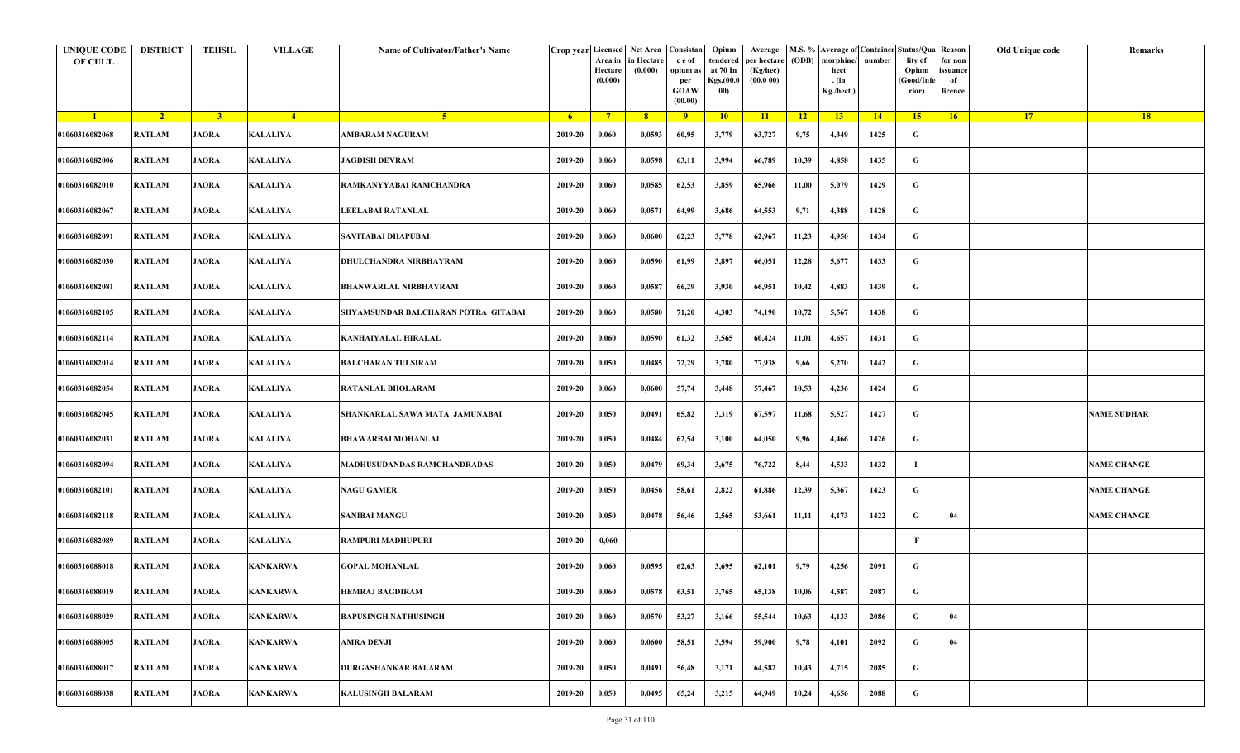| <b>UNIQUE CODE</b><br>OF CULT. | <b>DISTRICT</b> | <b>TEHSIL</b>  | <b>VILLAGE</b>  | Name of Cultivator/Father's Name    |         | Crop year Licensed<br>Area in<br>Hectare<br>(0.000) | Net Area   Consistan<br>in Hectare<br>(0.000) | c e of<br>opium a<br>per<br><b>GOAW</b><br>(00.00) | Opium<br>tendered<br>at 70 In<br>Kgs.(00.0<br>00) | Average<br>per hectare<br>(Kg/hec)<br>(00.000) | (ODB) | M.S. % Average of Container Status/Qua Reason<br>morphine/<br>hect<br>. (in<br>Kg./hect.) | number | lity of<br>Opium<br>(Good/Infe<br>rior) | for non<br>ssuance<br>of<br>licence | Old Unique code | Remarks            |
|--------------------------------|-----------------|----------------|-----------------|-------------------------------------|---------|-----------------------------------------------------|-----------------------------------------------|----------------------------------------------------|---------------------------------------------------|------------------------------------------------|-------|-------------------------------------------------------------------------------------------|--------|-----------------------------------------|-------------------------------------|-----------------|--------------------|
| $\blacksquare$                 | $\sqrt{2}$      | 3 <sup>1</sup> | $-4$            | $-5$                                | $-6$    | $7^{\circ}$                                         | 8 <sup>°</sup>                                | $\overline{9}$                                     | 10                                                | 11                                             | $-12$ | 13                                                                                        | 14     | 15 <sup>2</sup>                         | 16                                  | <b>17</b>       | 18                 |
| 01060316082068                 | <b>RATLAM</b>   | <b>JAORA</b>   | <b>KALALIYA</b> | AMBARAM NAGURAM                     | 2019-20 | 0,060                                               | 0,0593                                        | 60,95                                              | 3,779                                             | 63,727                                         | 9,75  | 4,349                                                                                     | 1425   | G                                       |                                     |                 |                    |
| 01060316082006                 | RATLAM          | <b>JAORA</b>   | <b>KALALIYA</b> | <b>JAGDISH DEVRAM</b>               | 2019-20 | 0,060                                               | 0,0598                                        | 63,11                                              | 3,994                                             | 66,789                                         | 10,39 | 4,858                                                                                     | 1435   | G                                       |                                     |                 |                    |
| 01060316082010                 | <b>RATLAM</b>   | <b>JAORA</b>   | <b>KALALIYA</b> | RAMKANYYABAI RAMCHANDRA             | 2019-20 | 0,060                                               | 0,0585                                        | 62,53                                              | 3,859                                             | 65,966                                         | 11,00 | 5,079                                                                                     | 1429   | G                                       |                                     |                 |                    |
| 01060316082067                 | RATLAM          | <b>JAORA</b>   | <b>KALALIYA</b> | LEELABAI RATANLAL                   | 2019-20 | 0,060                                               | 0,0571                                        | 64,99                                              | 3,686                                             | 64,553                                         | 9,71  | 4,388                                                                                     | 1428   | G                                       |                                     |                 |                    |
| 01060316082091                 | RATLAM          | <b>JAORA</b>   | <b>KALALIYA</b> | SAVITABAI DHAPUBAI                  | 2019-20 | 0,060                                               | 0,0600                                        | 62,23                                              | 3,778                                             | 62,967                                         | 11,23 | 4,950                                                                                     | 1434   | G                                       |                                     |                 |                    |
| 01060316082030                 | RATLAM          | <b>JAORA</b>   | <b>KALALIYA</b> | DHULCHANDRA NIRBHAYRAM              | 2019-20 | 0,060                                               | 0,0590                                        | 61,99                                              | 3,897                                             | 66,051                                         | 12,28 | 5,677                                                                                     | 1433   | G                                       |                                     |                 |                    |
| 01060316082081                 | <b>RATLAM</b>   | <b>JAORA</b>   | <b>KALALIYA</b> | BHANWARLAL NIRBHAYRAM               | 2019-20 | 0,060                                               | 0,0587                                        | 66,29                                              | 3,930                                             | 66,951                                         | 10,42 | 4,883                                                                                     | 1439   | G                                       |                                     |                 |                    |
| 01060316082105                 | <b>RATLAM</b>   | <b>JAORA</b>   | <b>KALALIYA</b> | SHYAMSUNDAR BALCHARAN POTRA GITABAI | 2019-20 | 0,060                                               | 0,0580                                        | 71,20                                              | 4,303                                             | 74,190                                         | 10,72 | 5,567                                                                                     | 1438   | G                                       |                                     |                 |                    |
| 01060316082114                 | RATLAM          | <b>JAORA</b>   | KALALIYA        | KANHAIYALAL HIRALAL                 | 2019-20 | 0,060                                               | 0,0590                                        | 61,32                                              | 3,565                                             | 60,424                                         | 11,01 | 4,657                                                                                     | 1431   | G                                       |                                     |                 |                    |
| 01060316082014                 | RATLAM          | <b>JAORA</b>   | <b>KALALIYA</b> | <b>BALCHARAN TULSIRAM</b>           | 2019-20 | 0,050                                               | 0,0485                                        | 72,29                                              | 3,780                                             | 77,938                                         | 9,66  | 5,270                                                                                     | 1442   | G                                       |                                     |                 |                    |
| 01060316082054                 | <b>RATLAM</b>   | <b>JAORA</b>   | <b>KALALIYA</b> | <b>RATANLAL BHOLARAM</b>            | 2019-20 | 0,060                                               | 0,0600                                        | 57,74                                              | 3,448                                             | 57,467                                         | 10,53 | 4,236                                                                                     | 1424   | G                                       |                                     |                 |                    |
| 01060316082045                 | <b>RATLAM</b>   | <b>JAORA</b>   | <b>KALALIYA</b> | SHANKARLAL SAWA MATA JAMUNABAI      | 2019-20 | 0,050                                               | 0,0491                                        | 65,82                                              | 3,319                                             | 67,597                                         | 11,68 | 5,527                                                                                     | 1427   | G                                       |                                     |                 | NAME SUDHAR        |
| 01060316082031                 | <b>RATLAM</b>   | <b>JAORA</b>   | <b>KALALIYA</b> | <b>BHAWARBAI MOHANLAL</b>           | 2019-20 | 0,050                                               | 0,0484                                        | 62,54                                              | 3,100                                             | 64,050                                         | 9,96  | 4,466                                                                                     | 1426   | G                                       |                                     |                 |                    |
| 01060316082094                 | RATLAM          | <b>JAORA</b>   | <b>KALALIYA</b> | <b>MADHUSUDANDAS RAMCHANDRADAS</b>  | 2019-20 | 0,050                                               | 0,0479                                        | 69,34                                              | 3,675                                             | 76,722                                         | 8,44  | 4,533                                                                                     | 1432   | -1                                      |                                     |                 | <b>NAME CHANGE</b> |
| 01060316082101                 | RATLAM          | <b>JAORA</b>   | <b>KALALIYA</b> | <b>NAGU GAMER</b>                   | 2019-20 | 0,050                                               | 0,0456                                        | 58,61                                              | 2,822                                             | 61,886                                         | 12,39 | 5,367                                                                                     | 1423   | G                                       |                                     |                 | <b>NAME CHANGE</b> |
| 01060316082118                 | RATLAM          | <b>JAORA</b>   | <b>KALALIYA</b> | <b>SANIBAI MANGU</b>                | 2019-20 | 0,050                                               | 0,0478                                        | 56,46                                              | 2,565                                             | 53,661                                         | 11,11 | 4,173                                                                                     | 1422   | G                                       | 04                                  |                 | <b>NAME CHANGE</b> |
| 01060316082089                 | RATLAM          | <b>JAORA</b>   | <b>KALALIYA</b> | RAMPURI MADHUPURI                   | 2019-20 | 0,060                                               |                                               |                                                    |                                                   |                                                |       |                                                                                           |        | F                                       |                                     |                 |                    |
| 01060316088018                 | <b>RATLAM</b>   | <b>JAORA</b>   | <b>KANKARWA</b> | <b>GOPAL MOHANLAL</b>               | 2019-20 | 0,060                                               | 0,0595                                        | 62,63                                              | 3,695                                             | 62,101                                         | 9,79  | 4,256                                                                                     | 2091   | G                                       |                                     |                 |                    |
| 01060316088019                 | RATLAM          | <b>JAORA</b>   | <b>KANKARWA</b> | <b>HEMRAJ BAGDIRAM</b>              | 2019-20 | 0,060                                               | 0,0578                                        | 63,51                                              | 3,765                                             | 65,138                                         | 10,06 | 4,587                                                                                     | 2087   | G                                       |                                     |                 |                    |
| 01060316088029                 | <b>RATLAM</b>   | <b>JAORA</b>   | <b>KANKARWA</b> | <b>BAPUSINGH NATHUSINGH</b>         | 2019-20 | 0,060                                               | 0,0570                                        | 53,27                                              | 3,166                                             | 55,544                                         | 10,63 | 4,133                                                                                     | 2086   | $\mathbf G$                             | 04                                  |                 |                    |
| 01060316088005                 | <b>RATLAM</b>   | <b>JAORA</b>   | <b>KANKARWA</b> | AMRA DEVJI                          | 2019-20 | 0,060                                               | 0,0600                                        | 58,51                                              | 3,594                                             | 59,900                                         | 9,78  | 4,101                                                                                     | 2092   | G                                       | 04                                  |                 |                    |
| 01060316088017                 | RATLAM          | <b>JAORA</b>   | <b>KANKARWA</b> | DURGASHANKAR BALARAM                | 2019-20 | 0,050                                               | 0,0491                                        | 56,48                                              | 3,171                                             | 64,582                                         | 10,43 | 4,715                                                                                     | 2085   | G                                       |                                     |                 |                    |
| 01060316088038                 | RATLAM          | <b>JAORA</b>   | <b>KANKARWA</b> | <b>KALUSINGH BALARAM</b>            | 2019-20 | 0,050                                               | 0,0495                                        | 65,24                                              | 3,215                                             | 64,949                                         | 10,24 | 4,656                                                                                     | 2088   | G                                       |                                     |                 |                    |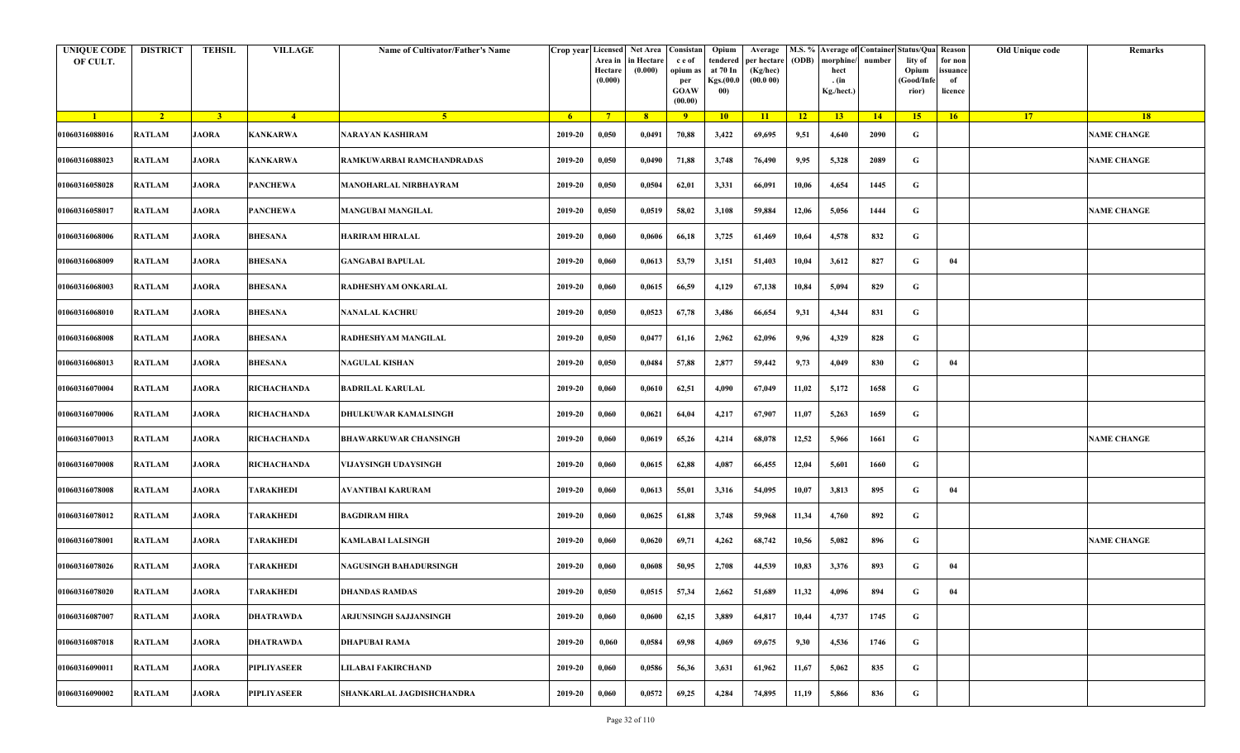| <b>UNIQUE CODE</b><br>OF CULT. | <b>DISTRICT</b> | <b>TEHSIL</b>  | <b>VILLAGE</b>          | Name of Cultivator/Father's Name |         | Crop year Licensed<br>Area in<br>Hectare<br>(0.000) | Net Area   Consistan<br>in Hectare<br>(0.000) | c e of<br>opium a<br>per<br><b>GOAW</b><br>(00.00) | Opium<br>tendered<br>at 70 In<br>Kgs.(00.0<br>00) | Average<br>per hectare<br>(Kg/hec)<br>(00.000) | (ODB) | M.S. % Average of Container Status/Qua Reason<br>morphine/<br>hect<br>. (in<br>Kg./hect.) | number | lity of<br>Opium<br>(Good/Infe<br>rior) | for non<br>ssuance<br>of<br>licence | Old Unique code | Remarks            |
|--------------------------------|-----------------|----------------|-------------------------|----------------------------------|---------|-----------------------------------------------------|-----------------------------------------------|----------------------------------------------------|---------------------------------------------------|------------------------------------------------|-------|-------------------------------------------------------------------------------------------|--------|-----------------------------------------|-------------------------------------|-----------------|--------------------|
| $\blacksquare$                 | $\sqrt{2}$      | 3 <sup>1</sup> | $-4$                    | $-5$                             | $-6$    | $7^{\circ}$                                         | 8 <sup>°</sup>                                | $\overline{9}$                                     | 10                                                | 11                                             | $-12$ | 13                                                                                        | 14     | 15                                      | 16                                  | <b>17</b>       | <b>18</b>          |
| 01060316088016                 | <b>RATLAM</b>   | <b>JAORA</b>   | <b>KANKARWA</b>         | NARAYAN KASHIRAM                 | 2019-20 | 0,050                                               | 0,0491                                        | 70,88                                              | 3,422                                             | 69,695                                         | 9,51  | 4,640                                                                                     | 2090   | G                                       |                                     |                 | <b>NAME CHANGE</b> |
| 01060316088023                 | RATLAM          | <b>JAORA</b>   | <b>KANKARWA</b>         | RAMKUWARBAI RAMCHANDRADAS        | 2019-20 | 0,050                                               | 0,0490                                        | 71,88                                              | 3,748                                             | 76,490                                         | 9,95  | 5,328                                                                                     | 2089   | G                                       |                                     |                 | <b>NAME CHANGE</b> |
| 01060316058028                 | <b>RATLAM</b>   | <b>JAORA</b>   | <b>PANCHEWA</b>         | MANOHARLAL NIRBHAYRAM            | 2019-20 | 0,050                                               | 0,0504                                        | 62,01                                              | 3,331                                             | 66,091                                         | 10,06 | 4,654                                                                                     | 1445   | G                                       |                                     |                 |                    |
| 01060316058017                 | <b>RATLAM</b>   | <b>JAORA</b>   | <b>PANCHEWA</b>         | <b>MANGUBAI MANGILAL</b>         | 2019-20 | 0,050                                               | 0,0519                                        | 58,02                                              | 3,108                                             | 59,884                                         | 12,06 | 5,056                                                                                     | 1444   | G                                       |                                     |                 | <b>NAME CHANGE</b> |
| 01060316068006                 | RATLAM          | <b>JAORA</b>   | <b>BHESANA</b>          | <b>HARIRAM HIRALAL</b>           | 2019-20 | 0,060                                               | 0,0606                                        | 66,18                                              | 3,725                                             | 61,469                                         | 10,64 | 4,578                                                                                     | 832    | G                                       |                                     |                 |                    |
| 01060316068009                 | <b>RATLAM</b>   | <b>JAORA</b>   | <b>BHESANA</b>          | <b>GANGABAI BAPULAL</b>          | 2019-20 | 0,060                                               | 0,0613                                        | 53,79                                              | 3,151                                             | 51,403                                         | 10,04 | 3,612                                                                                     | 827    | G                                       | 04                                  |                 |                    |
| 01060316068003                 | <b>RATLAM</b>   | <b>JAORA</b>   | <b>BHESANA</b>          | RADHESHYAM ONKARLAL              | 2019-20 | 0,060                                               | 0,0615                                        | 66,59                                              | 4,129                                             | 67,138                                         | 10,84 | 5,094                                                                                     | 829    | G                                       |                                     |                 |                    |
| 01060316068010                 | <b>RATLAM</b>   | <b>JAORA</b>   | <b>BHESANA</b>          | <b>NANALAL KACHRU</b>            | 2019-20 | 0,050                                               | 0,0523                                        | 67,78                                              | 3,486                                             | 66,654                                         | 9,31  | 4,344                                                                                     | 831    | G                                       |                                     |                 |                    |
| 01060316068008                 | <b>RATLAM</b>   | <b>JAORA</b>   | BHESANA                 | RADHESHYAM MANGILAL              | 2019-20 | 0,050                                               | 0,0477                                        | 61,16                                              | 2,962                                             | 62,096                                         | 9,96  | 4,329                                                                                     | 828    | G                                       |                                     |                 |                    |
| 01060316068013                 | <b>RATLAM</b>   | <b>JAORA</b>   | <b>BHESANA</b>          | <b>NAGULAL KISHAN</b>            | 2019-20 | 0,050                                               | 0,0484                                        | 57,88                                              | 2,877                                             | 59,442                                         | 9,73  | 4,049                                                                                     | 830    | G                                       | 04                                  |                 |                    |
| 01060316070004                 | <b>RATLAM</b>   | <b>JAORA</b>   | RICHACHANDA             | <b>BADRILAL KARULAL</b>          | 2019-20 | 0,060                                               | 0,0610                                        | 62,51                                              | 4,090                                             | 67,049                                         | 11,02 | 5,172                                                                                     | 1658   | G                                       |                                     |                 |                    |
| 01060316070006                 | <b>RATLAM</b>   | <b>JAORA</b>   | <b>RICHACHANDA</b>      | DHULKUWAR KAMALSINGH             | 2019-20 | 0,060                                               | 0,0621                                        | 64,04                                              | 4,217                                             | 67,907                                         | 11,07 | 5,263                                                                                     | 1659   | G                                       |                                     |                 |                    |
| 01060316070013                 | <b>RATLAM</b>   | <b>JAORA</b>   | <b>RICHACHANDA</b>      | <b>BHAWARKUWAR CHANSINGH</b>     | 2019-20 | 0,060                                               | 0,0619                                        | 65,26                                              | 4,214                                             | 68,078                                         | 12,52 | 5,966                                                                                     | 1661   | G                                       |                                     |                 | <b>NAME CHANGE</b> |
| 01060316070008                 | RATLAM          | <b>JAORA</b>   | <b>RICHACHANDA</b>      | VIJAYSINGH UDAYSINGH             | 2019-20 | 0,060                                               | 0,0615                                        | 62,88                                              | 4,087                                             | 66,455                                         | 12,04 | 5,601                                                                                     | 1660   | G                                       |                                     |                 |                    |
| 01060316078008                 | RATLAM          | <b>JAORA</b>   | TARAKHEDI               | <b>AVANTIBAI KARURAM</b>         | 2019-20 | 0,060                                               | 0,0613                                        | 55,01                                              | 3,316                                             | 54,095                                         | 10,07 | 3,813                                                                                     | 895    | G                                       | 04                                  |                 |                    |
| 01060316078012                 | RATLAM          | <b>JAORA</b>   | <b><i>FARAKHEDI</i></b> | <b>BAGDIRAM HIRA</b>             | 2019-20 | 0,060                                               | 0,0625                                        | 61,88                                              | 3,748                                             | 59,968                                         | 11,34 | 4,760                                                                                     | 892    | G                                       |                                     |                 |                    |
| 01060316078001                 | <b>RATLAM</b>   | <b>JAORA</b>   | TARAKHEDI               | <b>KAMLABAI LALSINGH</b>         | 2019-20 | 0,060                                               | 0,0620                                        | 69,71                                              | 4,262                                             | 68,742                                         | 10,56 | 5,082                                                                                     | 896    | G                                       |                                     |                 | <b>NAME CHANGE</b> |
| 01060316078026                 | <b>RATLAM</b>   | <b>JAORA</b>   | TARAKHEDI               | <b>NAGUSINGH BAHADURSINGH</b>    | 2019-20 | 0,060                                               | 0,0608                                        | 50,95                                              | 2,708                                             | 44,539                                         | 10,83 | 3,376                                                                                     | 893    | G                                       | 04                                  |                 |                    |
| 01060316078020                 | RATLAM          | <b>JAORA</b>   | <b>TARAKHEDI</b>        | <b>DHANDAS RAMDAS</b>            | 2019-20 | 0,050                                               | 0,0515                                        | 57,34                                              | 2,662                                             | 51,689                                         | 11,32 | 4,096                                                                                     | 894    | G                                       | 04                                  |                 |                    |
| 01060316087007                 | <b>RATLAM</b>   | <b>JAORA</b>   | <b>DHATRAWDA</b>        | ARJUNSINGH SAJJANSINGH           | 2019-20 | 0,060                                               | 0,0600                                        | 62,15                                              | 3,889                                             | 64,817                                         | 10,44 | 4,737                                                                                     | 1745   | $\mathbf G$                             |                                     |                 |                    |
| 01060316087018                 | <b>RATLAM</b>   | <b>JAORA</b>   | <b>DHATRAWDA</b>        | <b>DHAPUBAI RAMA</b>             | 2019-20 | 0,060                                               | 0,0584                                        | 69,98                                              | 4,069                                             | 69,675                                         | 9,30  | 4,536                                                                                     | 1746   | G                                       |                                     |                 |                    |
| 01060316090011                 | RATLAM          | <b>JAORA</b>   | <b>PIPLIYASEER</b>      | <b>LILABAI FAKIRCHAND</b>        | 2019-20 | 0,060                                               | 0,0586                                        | 56,36                                              | 3,631                                             | 61,962                                         | 11,67 | 5,062                                                                                     | 835    | G                                       |                                     |                 |                    |
| 01060316090002                 | RATLAM          | <b>JAORA</b>   | <b>PIPLIYASEER</b>      | SHANKARLAL JAGDISHCHANDRA        | 2019-20 | 0,060                                               | 0,0572                                        | 69,25                                              | 4,284                                             | 74,895                                         | 11,19 | 5,866                                                                                     | 836    | G                                       |                                     |                 |                    |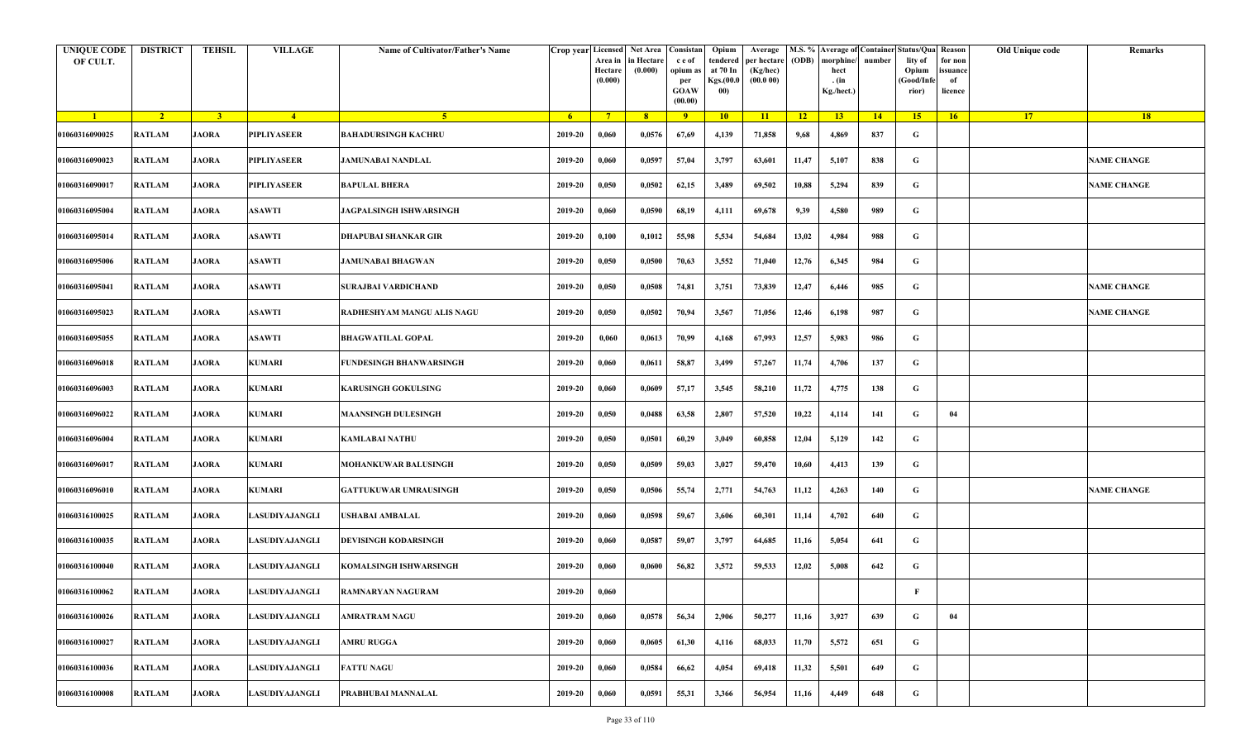| <b>UNIQUE CODE</b><br>OF CULT. | <b>DISTRICT</b> | <b>TEHSIL</b>  | <b>VILLAGE</b> | Name of Cultivator/Father's Name  | Crop year Licensed | Area in<br>Hectare<br>(0.000) | Net Area Consistan<br>in Hectare<br>(0.000) | c e of<br>opium as<br>per<br><b>GOAW</b><br>(00.00) | Opium<br>tendered<br>at 70 In<br>Kgs.(00.0<br>00) | Average<br>per hectare<br>(Kg/hec)<br>(00.000) | (ODB) | M.S. % Average of Container Status/Qua Reason<br>morphine/<br>hect<br>. (in<br>Kg./hect.) | number | lity of<br>Opium<br>(Good/Infe<br>rior) | for non<br>ssuance<br>of<br>licence | Old Unique code | Remarks            |
|--------------------------------|-----------------|----------------|----------------|-----------------------------------|--------------------|-------------------------------|---------------------------------------------|-----------------------------------------------------|---------------------------------------------------|------------------------------------------------|-------|-------------------------------------------------------------------------------------------|--------|-----------------------------------------|-------------------------------------|-----------------|--------------------|
| $\blacksquare$                 | $\sqrt{2}$      | 3 <sup>1</sup> | $-4$           | $\sqrt{5}$                        | 6 <sup>6</sup>     | $7^{\circ}$                   | 8 <sup>°</sup>                              | $\overline{9}$                                      | 10                                                | 11                                             | $-12$ | 13                                                                                        | $-14$  | 15 <sup>7</sup>                         | 16                                  | <b>17</b>       | <b>18</b>          |
| 01060316090025                 | <b>RATLAM</b>   | <b>JAORA</b>   | PIPLIYASEER    | BAHADURSINGH KACHRU               | 2019-20            | 0,060                         | 0,0576                                      | 67,69                                               | 4,139                                             | 71,858                                         | 9,68  | 4,869                                                                                     | 837    | G                                       |                                     |                 |                    |
| 01060316090023                 | <b>RATLAM</b>   | <b>JAORA</b>   | PIPLIYASEER    | <b>JAMUNABAI NANDLAL</b>          | 2019-20            | 0,060                         | 0,0597                                      | 57,04                                               | 3,797                                             | 63,601                                         | 11,47 | 5,107                                                                                     | 838    | G                                       |                                     |                 | <b>NAME CHANGE</b> |
| 01060316090017                 | RATLAM          | <b>JAORA</b>   | PIPLIYASEER    | <b>BAPULAL BHERA</b>              | 2019-20            | 0,050                         | 0,0502                                      | 62,15                                               | 3,489                                             | 69,502                                         | 10,88 | 5,294                                                                                     | 839    | $\mathbf G$                             |                                     |                 | <b>NAME CHANGE</b> |
| 01060316095004                 | <b>RATLAM</b>   | <b>JAORA</b>   | <b>ASAWTI</b>  | <b>JAGPALSINGH ISHWARSINGH</b>    | 2019-20            | 0,060                         | 0,0590                                      | 68,19                                               | 4,111                                             | 69,678                                         | 9,39  | 4,580                                                                                     | 989    | G                                       |                                     |                 |                    |
| 01060316095014                 | RATLAM          | <b>JAORA</b>   | <b>ASAWTI</b>  | DHAPUBAI SHANKAR GIR              | 2019-20            | 0,100                         | 0,1012                                      | 55,98                                               | 5,534                                             | 54,684                                         | 13,02 | 4,984                                                                                     | 988    | G                                       |                                     |                 |                    |
| 01060316095006                 | <b>RATLAM</b>   | <b>JAORA</b>   | <b>ASAWTI</b>  | <b>JAMUNABAI BHAGWAN</b>          | 2019-20            | 0,050                         | 0,0500                                      | 70,63                                               | 3,552                                             | 71,040                                         | 12,76 | 6,345                                                                                     | 984    | G                                       |                                     |                 |                    |
| 01060316095041                 | <b>RATLAM</b>   | <b>JAORA</b>   | ASAWTI         | SURAJBAI VARDICHAND               | 2019-20            | 0,050                         | 0,0508                                      | 74,81                                               | 3,751                                             | 73,839                                         | 12,47 | 6,446                                                                                     | 985    | G                                       |                                     |                 | <b>NAME CHANGE</b> |
| 01060316095023                 | RATLAM          | <b>JAORA</b>   | <b>ASAWTI</b>  | <b>RADHESHYAM MANGU ALIS NAGU</b> | 2019-20            | 0,050                         | 0,0502                                      | 70,94                                               | 3,567                                             | 71,056                                         | 12,46 | 6,198                                                                                     | 987    | G                                       |                                     |                 | <b>NAME CHANGE</b> |
| 01060316095055                 | <b>RATLAM</b>   | <b>JAORA</b>   | <b>ASAWTI</b>  | <b>BHAGWATILAL GOPAL</b>          | 2019-20            | 0,060                         | 0,0613                                      | 70,99                                               | 4,168                                             | 67,993                                         | 12,57 | 5,983                                                                                     | 986    | G                                       |                                     |                 |                    |
| 01060316096018                 | <b>RATLAM</b>   | <b>JAORA</b>   | <b>KUMARI</b>  | FUNDESINGH BHANWARSINGH           | 2019-20            | 0,060                         | 0,0611                                      | 58,87                                               | 3,499                                             | 57,267                                         | 11,74 | 4,706                                                                                     | 137    | G                                       |                                     |                 |                    |
| 01060316096003                 | <b>RATLAM</b>   | <b>JAORA</b>   | <b>KUMARI</b>  | KARUSINGH GOKULSING               | 2019-20            | 0,060                         | 0,0609                                      | 57,17                                               | 3,545                                             | 58,210                                         | 11,72 | 4,775                                                                                     | 138    | G                                       |                                     |                 |                    |
| 01060316096022                 | RATLAM          | <b>JAORA</b>   | <b>KUMARI</b>  | <b>MAANSINGH DULESINGH</b>        | 2019-20            | 0,050                         | 0,0488                                      | 63,58                                               | 2,807                                             | 57,520                                         | 10,22 | 4,114                                                                                     | 141    | G                                       | 04                                  |                 |                    |
| 01060316096004                 | <b>RATLAM</b>   | <b>JAORA</b>   | <b>KUMARI</b>  | KAMLABAI NATHU                    | 2019-20            | 0,050                         | 0,0501                                      | 60,29                                               | 3,049                                             | 60,858                                         | 12,04 | 5,129                                                                                     | 142    | G                                       |                                     |                 |                    |
| 01060316096017                 | RATLAM          | <b>JAORA</b>   | <b>KUMARI</b>  | MOHANKUWAR BALUSINGH              | 2019-20            | 0,050                         | 0,0509                                      | 59,03                                               | 3,027                                             | 59,470                                         | 10,60 | 4,413                                                                                     | 139    | G                                       |                                     |                 |                    |
| 01060316096010                 | <b>RATLAM</b>   | <b>JAORA</b>   | <b>KUMARI</b>  | <b>GATTUKUWAR UMRAUSINGH</b>      | 2019-20            | 0,050                         | 0,0506                                      | 55,74                                               | 2,771                                             | 54,763                                         | 11,12 | 4,263                                                                                     | 140    | G                                       |                                     |                 | <b>NAME CHANGE</b> |
| 01060316100025                 | <b>RATLAM</b>   | <b>JAORA</b>   | ASUDIYAJANGLI  | USHABAI AMBALAL                   | 2019-20            | 0,060                         | 0,0598                                      | 59,67                                               | 3,606                                             | 60,301                                         | 11,14 | 4,702                                                                                     | 640    | G                                       |                                     |                 |                    |
| 01060316100035                 | <b>RATLAM</b>   | <b>JAORA</b>   | LASUDIYAJANGLI | DEVISINGH KODARSINGH              | 2019-20            | 0,060                         | 0,0587                                      | 59,07                                               | 3,797                                             | 64,685                                         | 11,16 | 5,054                                                                                     | 641    | G                                       |                                     |                 |                    |
| 01060316100040                 | <b>RATLAM</b>   | <b>JAORA</b>   | ASUDIYAJANGLI  | KOMALSINGH ISHWARSINGH            | 2019-20            | 0,060                         | 0,0600                                      | 56,82                                               | 3,572                                             | 59,533                                         | 12,02 | 5,008                                                                                     | 642    | G                                       |                                     |                 |                    |
| 01060316100062                 | RATLAM          | <b>JAORA</b>   | LASUDIYAJANGLI | <b>RAMNARYAN NAGURAM</b>          | 2019-20            | 0,060                         |                                             |                                                     |                                                   |                                                |       |                                                                                           |        | F                                       |                                     |                 |                    |
| 01060316100026                 | RATLAM          | <b>JAORA</b>   | LASUDIYAJANGLI | AMRATRAM NAGU                     | 2019-20            | 0,060                         | 0,0578                                      | 56,34                                               | 2,906                                             | 50,277                                         | 11,16 | 3,927                                                                                     | 639    | $\mathbf G$                             | 04                                  |                 |                    |
| 01060316100027                 | RATLAM          | <b>JAORA</b>   | LASUDIYAJANGLI | AMRU RUGGA                        | 2019-20            | 0,060                         | 0,0605                                      | 61,30                                               | 4,116                                             | 68,033                                         | 11,70 | 5,572                                                                                     | 651    | G                                       |                                     |                 |                    |
| 01060316100036                 | <b>RATLAM</b>   | <b>JAORA</b>   | LASUDIYAJANGLI | <b>FATTU NAGU</b>                 | 2019-20            | 0,060                         | 0,0584                                      | 66,62                                               | 4,054                                             | 69,418                                         | 11,32 | 5,501                                                                                     | 649    | G                                       |                                     |                 |                    |
| 01060316100008                 | <b>RATLAM</b>   | <b>JAORA</b>   | LASUDIYAJANGLI | PRABHUBAI MANNALAL                | 2019-20            | 0,060                         | 0,0591                                      | 55,31                                               | 3,366                                             | 56,954                                         | 11,16 | 4,449                                                                                     | 648    | G                                       |                                     |                 |                    |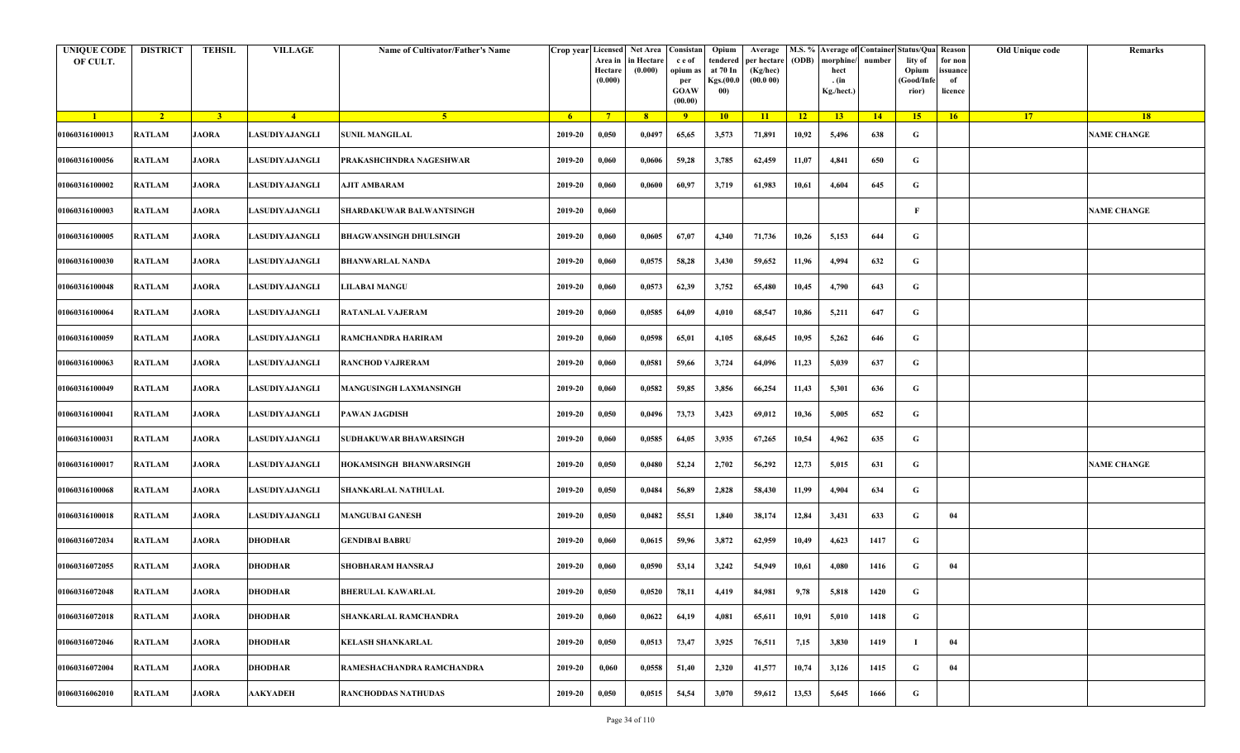| <b>UNIQUE CODE</b><br>OF CULT. | <b>DISTRICT</b> | <b>TEHSIL</b>  | <b>VILLAGE</b>       | Name of Cultivator/Father's Name |             | Crop year Licensed Net Area Consistan<br>Area in<br>Hectare<br>(0.000) | in Hectare<br>(0.000) | c e of<br>opium as<br>per<br><b>GOAW</b><br>(00.00) | Opium<br>tendered<br>at 70 In<br>Kgs.(00.0<br>00) | Average<br>per hectare<br>(Kg/hec)<br>(00.000) | (ODB) | M.S. % Average of Container Status/Qua Reason<br>morphine/<br>hect<br>. (in<br>Kg./hect.) | number | lity of<br>Opium<br>(Good/Infe<br>rior) | for non<br>ssuance<br>of<br>licence | Old Unique code | Remarks            |
|--------------------------------|-----------------|----------------|----------------------|----------------------------------|-------------|------------------------------------------------------------------------|-----------------------|-----------------------------------------------------|---------------------------------------------------|------------------------------------------------|-------|-------------------------------------------------------------------------------------------|--------|-----------------------------------------|-------------------------------------|-----------------|--------------------|
| $\blacksquare$                 | $\sqrt{2}$      | 3 <sup>1</sup> | $-4$                 | -5 -                             | $-6$        | $7^{\circ}$                                                            | 8 <sup>°</sup>        | $\overline{9}$                                      | 10                                                | 11                                             | $-12$ | 13                                                                                        | 14     | 15                                      | 16                                  | <b>17</b>       | <b>18</b>          |
| 01060316100013                 | <b>RATLAM</b>   | <b>JAORA</b>   | LASUDIYAJANGLI       | <b>SUNIL MANGILAL</b>            | 2019-20     | 0,050                                                                  | 0,0497                | 65,65                                               | 3,573                                             | 71,891                                         | 10,92 | 5,496                                                                                     | 638    | G                                       |                                     |                 | <b>NAME CHANGE</b> |
| 01060316100056                 | RATLAM          | <b>JAORA</b>   | LASUDIYAJANGLI       | PRAKASHCHNDRA NAGESHWAR          | 2019-20     | 0,060                                                                  | 0,0606                | 59,28                                               | 3,785                                             | 62,459                                         | 11,07 | 4,841                                                                                     | 650    | G                                       |                                     |                 |                    |
| 01060316100002                 | <b>RATLAM</b>   | <b>JAORA</b>   | LASUDIYAJANGLI       | AJIT AMBARAM                     | 2019-20     | 0,060                                                                  | 0,0600                | 60,97                                               | 3,719                                             | 61,983                                         | 10,61 | 4,604                                                                                     | 645    | G                                       |                                     |                 |                    |
| 01060316100003                 | <b>RATLAM</b>   | <b>JAORA</b>   | LASUDIYAJANGLI       | SHARDAKUWAR BALWANTSINGH         | 2019-20     | 0,060                                                                  |                       |                                                     |                                                   |                                                |       |                                                                                           |        | F                                       |                                     |                 | <b>NAME CHANGE</b> |
| 01060316100005                 | RATLAM          | <b>JAORA</b>   | <b>ASUDIYAJANGLI</b> | <b>BHAGWANSINGH DHULSINGH</b>    | 2019-20     | 0,060                                                                  | 0,0605                | 67,07                                               | 4,340                                             | 71,736                                         | 10,26 | 5,153                                                                                     | 644    | G                                       |                                     |                 |                    |
| 01060316100030                 | <b>RATLAM</b>   | <b>JAORA</b>   | LASUDIYAJANGLI       | <b>BHANWARLAL NANDA</b>          | 2019-20     | 0,060                                                                  | 0,0575                | 58,28                                               | 3,430                                             | 59,652                                         | 11,96 | 4,994                                                                                     | 632    | G                                       |                                     |                 |                    |
| 01060316100048                 | <b>RATLAM</b>   | <b>JAORA</b>   | <b>ASUDIYAJANGLI</b> | <b>LILABAI MANGU</b>             | 2019-20     | 0,060                                                                  | 0,0573                | 62,39                                               | 3,752                                             | 65,480                                         | 10,45 | 4,790                                                                                     | 643    | G                                       |                                     |                 |                    |
| 01060316100064                 | <b>RATLAM</b>   | <b>JAORA</b>   | LASUDIYAJANGLI       | <b>RATANLAL VAJERAM</b>          | 2019-20     | 0,060                                                                  | 0,0585                | 64,09                                               | 4,010                                             | 68,547                                         | 10,86 | 5,211                                                                                     | 647    | G                                       |                                     |                 |                    |
| 01060316100059                 | <b>RATLAM</b>   | <b>JAORA</b>   | ASUDIYAJANGLI        | RAMCHANDRA HARIRAM               | 2019-20     | 0,060                                                                  | 0,0598                | 65,01                                               | 4,105                                             | 68,645                                         | 10,95 | 5,262                                                                                     | 646    | G                                       |                                     |                 |                    |
| 01060316100063                 | <b>RATLAM</b>   | <b>JAORA</b>   | LASUDIYAJANGLI       | <b>RANCHOD VAJRERAM</b>          | 2019-20     | 0,060                                                                  | 0,0581                | 59,66                                               | 3,724                                             | 64,096                                         | 11,23 | 5,039                                                                                     | 637    | G                                       |                                     |                 |                    |
| 01060316100049                 | <b>RATLAM</b>   | <b>JAORA</b>   | LASUDIYAJANGLI       | <b>MANGUSINGH LAXMANSINGH</b>    | 2019-20     | 0,060                                                                  | 0,0582                | 59,85                                               | 3,856                                             | 66,254                                         | 11,43 | 5,301                                                                                     | 636    | G                                       |                                     |                 |                    |
| 01060316100041                 | <b>RATLAM</b>   | <b>JAORA</b>   | LASUDIYAJANGLI       | PAWAN JAGDISH                    | 2019-20     | 0,050                                                                  | 0,0496                | 73,73                                               | 3,423                                             | 69,012                                         | 10,36 | 5,005                                                                                     | 652    | G                                       |                                     |                 |                    |
| 01060316100031                 | <b>RATLAM</b>   | <b>JAORA</b>   | LASUDIYAJANGLI       | SUDHAKUWAR BHAWARSINGH           | 2019-20     | 0,060                                                                  | 0,0585                | 64,05                                               | 3,935                                             | 67,265                                         | 10,54 | 4,962                                                                                     | 635    | G                                       |                                     |                 |                    |
| 01060316100017                 | RATLAM          | <b>JAORA</b>   | <b>ASUDIYAJANGLI</b> | HOKAMSINGH BHANWARSINGH          | 2019-20     | 0,050                                                                  | 0,0480                | 52,24                                               | 2,702                                             | 56,292                                         | 12,73 | 5,015                                                                                     | 631    | G                                       |                                     |                 | <b>NAME CHANGE</b> |
| 01060316100068                 | RATLAM          | <b>JAORA</b>   | LASUDIYAJANGLI       | SHANKARLAL NATHULAL              | 2019-20     | 0,050                                                                  | 0,0484                | 56,89                                               | 2,828                                             | 58,430                                         | 11,99 | 4,904                                                                                     | 634    | G                                       |                                     |                 |                    |
| 01060316100018                 | RATLAM          | <b>JAORA</b>   | <b>ASUDIYAJANGLI</b> | <b>MANGUBAI GANESH</b>           | 2019-20     | 0,050                                                                  | 0,0482                | 55,51                                               | 1,840                                             | 38,174                                         | 12,84 | 3,431                                                                                     | 633    | G                                       | 04                                  |                 |                    |
| 01060316072034                 | <b>RATLAM</b>   | <b>JAORA</b>   | <b>DHODHAR</b>       | <b>GENDIBAI BABRU</b>            | 2019-20     | 0,060                                                                  | 0,0615                | 59,96                                               | 3,872                                             | 62,959                                         | 10,49 | 4,623                                                                                     | 1417   | G                                       |                                     |                 |                    |
| 01060316072055                 | <b>RATLAM</b>   | <b>JAORA</b>   | <b>DHODHAR</b>       | <b>SHOBHARAM HANSRAJ</b>         | 2019-20     | 0,060                                                                  | 0,0590                | 53,14                                               | 3,242                                             | 54,949                                         | 10,61 | 4,080                                                                                     | 1416   | G                                       | 04                                  |                 |                    |
| 01060316072048                 | RATLAM          | <b>JAORA</b>   | <b>DHODHAR</b>       | <b>BHERULAL KAWARLAL</b>         | $2019 - 20$ | 0,050                                                                  | 0,0520                | 78,11                                               | 4,419                                             | 84,981                                         | 9,78  | 5,818                                                                                     | 1420   | G                                       |                                     |                 |                    |
| 01060316072018                 | <b>RATLAM</b>   | <b>JAORA</b>   | <b>DHODHAR</b>       | <b>SHANKARLAL RAMCHANDRA</b>     | 2019-20     | 0,060                                                                  | 0,0622                | 64,19                                               | 4,081                                             | 65,611                                         | 10,91 | 5,010                                                                                     | 1418   | $\mathbf G$                             |                                     |                 |                    |
| 01060316072046                 | <b>RATLAM</b>   | <b>JAORA</b>   | <b>DHODHAR</b>       | <b>KELASH SHANKARLAL</b>         | 2019-20     | 0,050                                                                  | 0,0513                | 73,47                                               | 3,925                                             | 76,511                                         | 7,15  | 3,830                                                                                     | 1419   |                                         | 04                                  |                 |                    |
| 01060316072004                 | RATLAM          | <b>JAORA</b>   | <b>DHODHAR</b>       | RAMESHACHANDRA RAMCHANDRA        | 2019-20     | 0,060                                                                  | 0,0558                | 51,40                                               | 2,320                                             | 41,577                                         | 10,74 | 3,126                                                                                     | 1415   | G                                       | 04                                  |                 |                    |
| 01060316062010                 | RATLAM          | <b>JAORA</b>   | <b>AAKYADEH</b>      | <b>RANCHODDAS NATHUDAS</b>       | 2019-20     | 0,050                                                                  | 0,0515                | 54,54                                               | 3,070                                             | 59,612                                         | 13,53 | 5,645                                                                                     | 1666   | G                                       |                                     |                 |                    |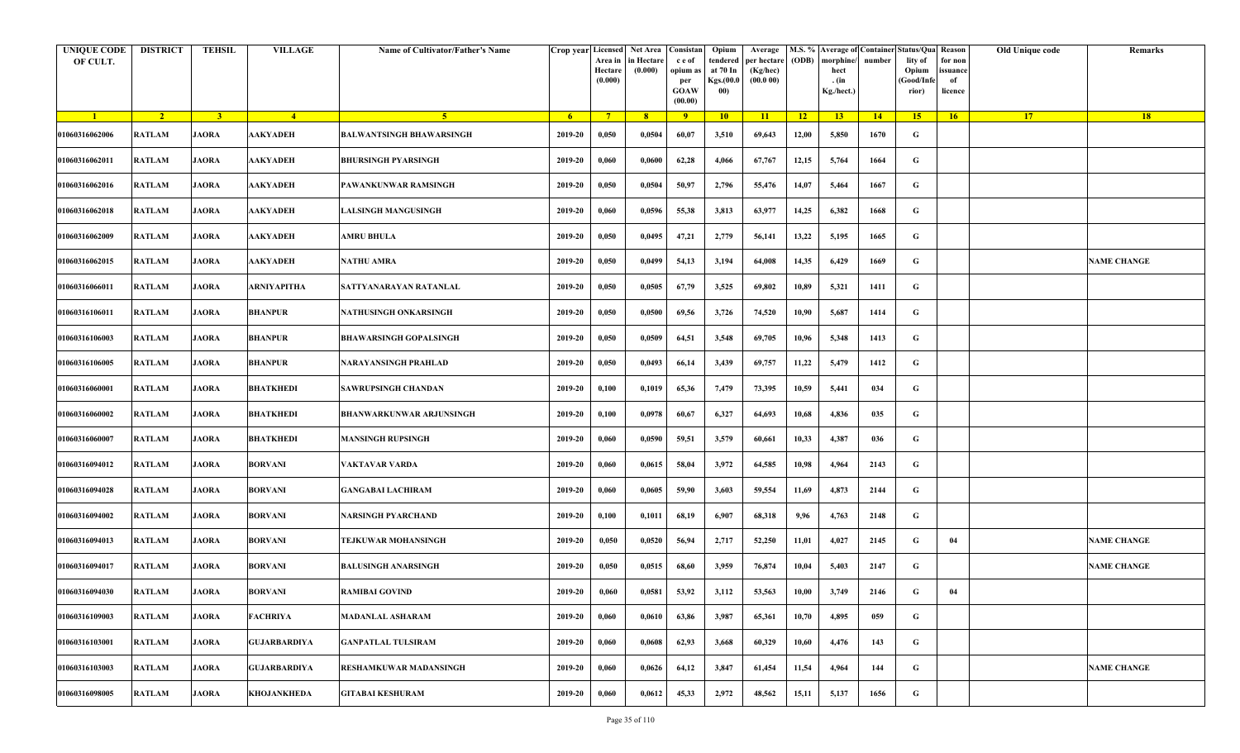| <b>UNIQUE CODE</b><br>OF CULT. | <b>DISTRICT</b> | <b>TEHSIL</b>  | <b>VILLAGE</b>      | Name of Cultivator/Father's Name |                | Crop year Licensed<br>Area in<br>Hectare<br>(0.000) | Net Area   Consistan  <br>in Hectare<br>(0.000) | c e of<br>opium as<br>per<br><b>GOAW</b><br>(00.00) | Opium<br>tendered<br>at 70 In<br>Kgs.(00.0<br>00) | Average<br>per hectare<br>(Kg/hec)<br>(00.000) | (ODB)           | M.S. % Average of Container Status/Qua Reason<br>morphine/<br>hect<br>. (in<br>Kg./hect.) | number | lity of<br>Opium<br>(Good/Info<br>rior) | for non<br>ssuance<br>of<br>licence | Old Unique code | Remarks            |
|--------------------------------|-----------------|----------------|---------------------|----------------------------------|----------------|-----------------------------------------------------|-------------------------------------------------|-----------------------------------------------------|---------------------------------------------------|------------------------------------------------|-----------------|-------------------------------------------------------------------------------------------|--------|-----------------------------------------|-------------------------------------|-----------------|--------------------|
| $\blacksquare$                 | $\sqrt{2}$      | $\overline{3}$ | $-4$                | 5 <sup>1</sup>                   | 6 <sup>6</sup> | $7^{\circ}$                                         | 8                                               | 9 <sup>°</sup>                                      | 10                                                | 11                                             | $\overline{12}$ | 13                                                                                        | 14     | 15                                      | 16                                  | 17 <sup>2</sup> | 18                 |
| 01060316062006                 | <b>RATLAM</b>   | <b>JAORA</b>   | <b>AAKYADEH</b>     | <b>BALWANTSINGH BHAWARSINGH</b>  | 2019-20        | 0,050                                               | 0,0504                                          | 60,07                                               | 3,510                                             | 69,643                                         | 12,00           | 5,850                                                                                     | 1670   | G                                       |                                     |                 |                    |
| 01060316062011                 | RATLAM          | <b>JAORA</b>   | AAKYADEH            | <b>BHURSINGH PYARSINGH</b>       | 2019-20        | 0,060                                               | 0,0600                                          | 62,28                                               | 4,066                                             | 67,767                                         | 12,15           | 5,764                                                                                     | 1664   | G                                       |                                     |                 |                    |
| 01060316062016                 | <b>RATLAM</b>   | <b>JAORA</b>   | AAKYADEH            | PAWANKUNWAR RAMSINGH             | 2019-20        | 0,050                                               | 0,0504                                          | 50,97                                               | 2,796                                             | 55,476                                         | 14,07           | 5,464                                                                                     | 1667   | G                                       |                                     |                 |                    |
| 01060316062018                 | <b>RATLAM</b>   | <b>JAORA</b>   | AAKYADEH            | <b>LALSINGH MANGUSINGH</b>       | 2019-20        | 0,060                                               | 0,0596                                          | 55,38                                               | 3,813                                             | 63,977                                         | 14,25           | 6,382                                                                                     | 1668   | G                                       |                                     |                 |                    |
| 01060316062009                 | RATLAM          | <b>JAORA</b>   | <b>AAKYADEH</b>     | AMRU BHULA                       | 2019-20        | 0,050                                               | 0,0495                                          | 47,21                                               | 2,779                                             | 56,141                                         | 13,22           | 5,195                                                                                     | 1665   | G                                       |                                     |                 |                    |
| 01060316062015                 | RATLAM          | <b>JAORA</b>   | <b>AAKYADEH</b>     | <b>NATHU AMRA</b>                | 2019-20        | 0,050                                               | 0,0499                                          | 54,13                                               | 3,194                                             | 64,008                                         | 14,35           | 6,429                                                                                     | 1669   | G                                       |                                     |                 | <b>NAME CHANGE</b> |
| 01060316066011                 | RATLAM          | <b>JAORA</b>   | ARNIYAPITHA         | SATTYANARAYAN RATANLAL           | 2019-20        | 0,050                                               | 0,0505                                          | 67,79                                               | 3,525                                             | 69,802                                         | 10,89           | 5,321                                                                                     | 1411   | G                                       |                                     |                 |                    |
| 01060316106011                 | RATLAM          | <b>JAORA</b>   | <b>BHANPUR</b>      | NATHUSINGH ONKARSINGH            | 2019-20        | 0,050                                               | 0,0500                                          | 69,56                                               | 3,726                                             | 74,520                                         | 10,90           | 5,687                                                                                     | 1414   | G                                       |                                     |                 |                    |
| 01060316106003                 | RATLAM          | <b>JAORA</b>   | <b>BHANPUR</b>      | <b>BHAWARSINGH GOPALSINGH</b>    | 2019-20        | 0,050                                               | 0,0509                                          | 64,51                                               | 3,548                                             | 69,705                                         | 10,96           | 5,348                                                                                     | 1413   | G                                       |                                     |                 |                    |
| 01060316106005                 | <b>RATLAM</b>   | <b>JAORA</b>   | <b>BHANPUR</b>      | <b>NARAYANSINGH PRAHLAD</b>      | 2019-20        | 0,050                                               | 0,0493                                          | 66,14                                               | 3,439                                             | 69,757                                         | 11,22           | 5,479                                                                                     | 1412   | G                                       |                                     |                 |                    |
| 01060316060001                 | RATLAM          | <b>JAORA</b>   | <b>BHATKHEDI</b>    | <b>SAWRUPSINGH CHANDAN</b>       | 2019-20        | 0,100                                               | 0,1019                                          | 65,36                                               | 7,479                                             | 73,395                                         | 10,59           | 5,441                                                                                     | 034    | G                                       |                                     |                 |                    |
| 01060316060002                 | <b>RATLAM</b>   | <b>JAORA</b>   | <b>BHATKHEDI</b>    | <b>BHANWARKUNWAR ARJUNSINGH</b>  | 2019-20        | 0,100                                               | 0,0978                                          | 60,67                                               | 6,327                                             | 64,693                                         | 10,68           | 4,836                                                                                     | 035    | G                                       |                                     |                 |                    |
| 01060316060007                 | RATLAM          | <b>JAORA</b>   | <b>BHATKHEDI</b>    | <b>MANSINGH RUPSINGH</b>         | 2019-20        | 0,060                                               | 0,0590                                          | 59,51                                               | 3,579                                             | 60,661                                         | 10,33           | 4,387                                                                                     | 036    | G                                       |                                     |                 |                    |
| 01060316094012                 | RATLAM          | <b>JAORA</b>   | <b>BORVANI</b>      | VAKTAVAR VARDA                   | 2019-20        | 0,060                                               | 0,0615                                          | 58,04                                               | 3,972                                             | 64,585                                         | 10,98           | 4,964                                                                                     | 2143   | G                                       |                                     |                 |                    |
| 01060316094028                 | RATLAM          | <b>JAORA</b>   | <b>BORVANI</b>      | <b>GANGABAI LACHIRAM</b>         | 2019-20        | 0,060                                               | 0,0605                                          | 59,90                                               | 3,603                                             | 59,554                                         | 11,69           | 4,873                                                                                     | 2144   | G                                       |                                     |                 |                    |
| 01060316094002                 | RATLAM          | <b>JAORA</b>   | <b>BORVANI</b>      | NARSINGH PYARCHAND               | 2019-20        | 0,100                                               | 0,1011                                          | 68,19                                               | 6,907                                             | 68,318                                         | 9,96            | 4,763                                                                                     | 2148   | G                                       |                                     |                 |                    |
| 01060316094013                 | <b>RATLAM</b>   | <b>JAORA</b>   | <b>BORVANI</b>      | TEJKUWAR MOHANSINGH              | 2019-20        | 0,050                                               | 0,0520                                          | 56,94                                               | 2,717                                             | 52,250                                         | 11,01           | 4,027                                                                                     | 2145   | G                                       | 04                                  |                 | <b>NAME CHANGE</b> |
| 01060316094017                 | RATLAM          | <b>JAORA</b>   | <b>BORVANI</b>      | <b>BALUSINGH ANARSINGH</b>       | 2019-20        | 0,050                                               | 0,0515                                          | 68,60                                               | 3,959                                             | 76,874                                         | 10,04           | 5,403                                                                                     | 2147   | G                                       |                                     |                 | <b>NAME CHANGE</b> |
| 01060316094030                 | RATLAM          | JAORA          | <b>BORVANI</b>      | <b>RAMIBAI GOVIND</b>            | 2019-20        | 0,060                                               | 0,0581                                          | 53,92                                               | 3,112                                             | 53,563                                         | 10,00           | 3,749                                                                                     | 2146   | G                                       | 04                                  |                 |                    |
| 01060316109003                 | <b>RATLAM</b>   | <b>JAORA</b>   | FACHRIYA            | <b>MADANLAL ASHARAM</b>          | 2019-20        | 0,060                                               | 0,0610                                          | 63,86                                               | 3,987                                             | 65,361                                         | 10,70           | 4,895                                                                                     | 059    | $\mathbf G$                             |                                     |                 |                    |
| 01060316103001                 | <b>RATLAM</b>   | <b>JAORA</b>   | <b>GUJARBARDIYA</b> | <b>GANPATLAL TULSIRAM</b>        | 2019-20        | 0,060                                               | 0,0608                                          | 62,93                                               | 3,668                                             | 60,329                                         | 10,60           | 4,476                                                                                     | 143    | G                                       |                                     |                 |                    |
| 01060316103003                 | <b>RATLAM</b>   | <b>JAORA</b>   | <b>GUJARBARDIYA</b> | RESHAMKUWAR MADANSINGH           | 2019-20        | 0,060                                               | 0,0626                                          | 64,12                                               | 3,847                                             | 61,454                                         | 11,54           | 4,964                                                                                     | 144    | G                                       |                                     |                 | <b>NAME CHANGE</b> |
| 01060316098005                 | RATLAM          | <b>JAORA</b>   | KHOJANKHEDA         | <b>GITABAI KESHURAM</b>          | 2019-20        | 0,060                                               | 0,0612                                          | 45,33                                               | 2,972                                             | 48,562                                         | 15,11           | 5,137                                                                                     | 1656   | G                                       |                                     |                 |                    |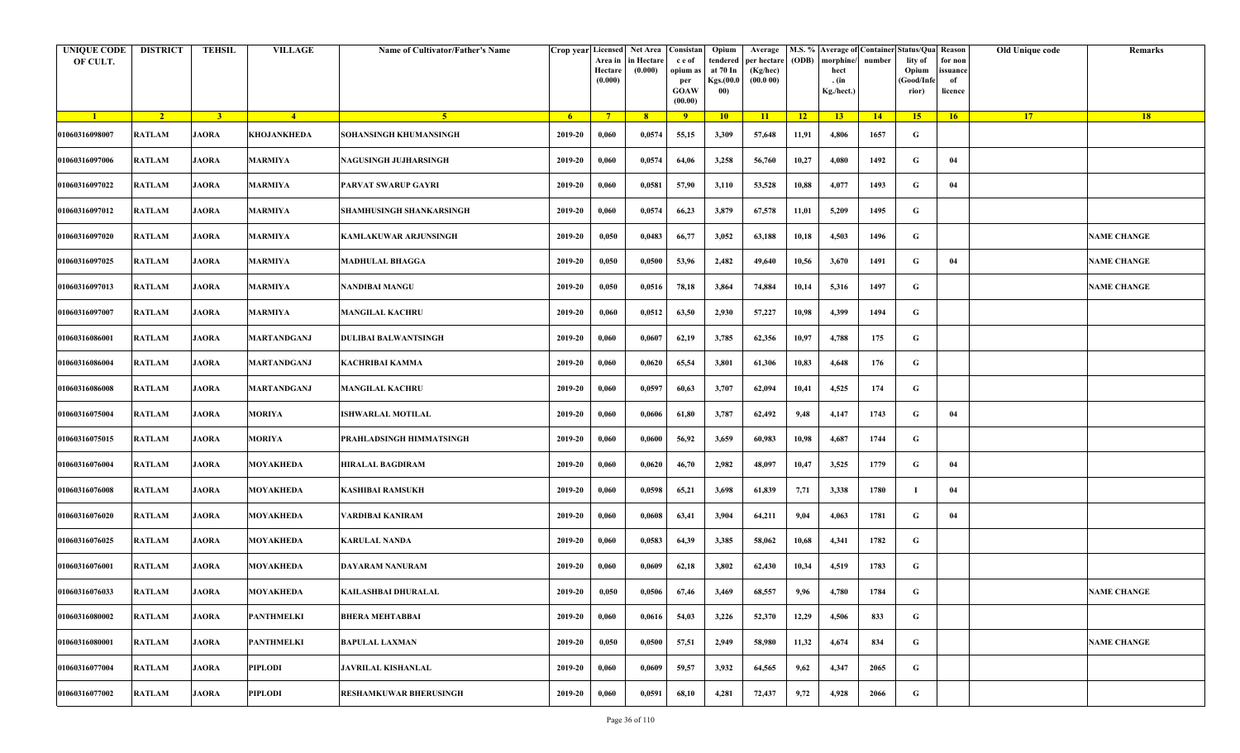| <b>UNIQUE CODE</b><br>OF CULT. | <b>DISTRICT</b> | <b>TEHSIL</b>  | <b>VILLAGE</b>   | Name of Cultivator/Father's Name | Crop year Licensed | Area in<br>Hectare<br>(0.000) | Net Area   Consistan<br>n Hectare<br>(0.000) | c e of<br>opium as<br>per<br><b>GOAW</b><br>(00.00) | Opium<br>tendered<br>at 70 In<br>Kgs.(00.0<br>00) | Average<br>per hectare<br>(Kg/hec)<br>(00.000) | (ODB) | M.S. % Average of Container Status/Qua Reason<br>morphine/<br>hect<br>. (in<br>Kg./hect.) | number      | lity of<br>Opium<br>(Good/Info<br>rior) | for non<br>ssuance<br>of<br>licence | Old Unique code | Remarks            |
|--------------------------------|-----------------|----------------|------------------|----------------------------------|--------------------|-------------------------------|----------------------------------------------|-----------------------------------------------------|---------------------------------------------------|------------------------------------------------|-------|-------------------------------------------------------------------------------------------|-------------|-----------------------------------------|-------------------------------------|-----------------|--------------------|
| $\blacksquare$                 | $\sqrt{2}$      | $\overline{3}$ | $\frac{4}{ }$    | $-5$                             | 6 <sup>1</sup>     | $7^{\circ}$                   | 8 <sup>2</sup>                               | 9                                                   | 10                                                | 11                                             | $-12$ | 13 <sup>7</sup>                                                                           | $\sqrt{14}$ | 15                                      | 16                                  | 17 <sup>2</sup> | 18                 |
| 01060316098007                 | <b>RATLAM</b>   | <b>JAORA</b>   | KHOJANKHEDA      | SOHANSINGH KHUMANSINGH           | 2019-20            | 0,060                         | 0,0574                                       | 55,15                                               | 3,309                                             | 57,648                                         | 11,91 | 4,806                                                                                     | 1657        | G                                       |                                     |                 |                    |
| 01060316097006                 | <b>RATLAM</b>   | <b>JAORA</b>   | <b>MARMIYA</b>   | NAGUSINGH JUJHARSINGH            | 2019-20            | 0,060                         | 0,0574                                       | 64,06                                               | 3,258                                             | 56,760                                         | 10,27 | 4,080                                                                                     | 1492        | G                                       | 04                                  |                 |                    |
| 01060316097022                 | <b>RATLAM</b>   | <b>JAORA</b>   | <b>MARMIYA</b>   | PARVAT SWARUP GAYRI              | 2019-20            | 0,060                         | 0,0581                                       | 57,90                                               | 3,110                                             | 53,528                                         | 10,88 | 4,077                                                                                     | 1493        | G                                       | 04                                  |                 |                    |
| 01060316097012                 | <b>RATLAM</b>   | <b>JAORA</b>   | <b>MARMIYA</b>   | SHAMHUSINGH SHANKARSINGH         | 2019-20            | 0,060                         | 0,0574                                       | 66,23                                               | 3,879                                             | 67,578                                         | 11,01 | 5,209                                                                                     | 1495        | G                                       |                                     |                 |                    |
| 01060316097020                 | RATLAM          | <b>JAORA</b>   | <b>MARMIYA</b>   | KAMLAKUWAR ARJUNSINGH            | 2019-20            | 0,050                         | 0,0483                                       | 66,77                                               | 3,052                                             | 63,188                                         | 10,18 | 4,503                                                                                     | 1496        | G                                       |                                     |                 | <b>NAME CHANGE</b> |
| 01060316097025                 | <b>RATLAM</b>   | <b>JAORA</b>   | <b>MARMIYA</b>   | <b>MADHULAL BHAGGA</b>           | 2019-20            | 0,050                         | 0,0500                                       | 53,96                                               | 2,482                                             | 49,640                                         | 10,56 | 3,670                                                                                     | 1491        | G                                       | 04                                  |                 | <b>NAME CHANGE</b> |
| 01060316097013                 | <b>RATLAM</b>   | <b>JAORA</b>   | <b>MARMIYA</b>   | NANDIBAI MANGU                   | 2019-20            | 0,050                         | 0,0516                                       | 78,18                                               | 3,864                                             | 74,884                                         | 10,14 | 5,316                                                                                     | 1497        | G                                       |                                     |                 | <b>NAME CHANGE</b> |
| 01060316097007                 | <b>RATLAM</b>   | <b>JAORA</b>   | <b>MARMIYA</b>   | <b>MANGILAL KACHRU</b>           | 2019-20            | 0,060                         | 0,0512                                       | 63,50                                               | 2,930                                             | 57,227                                         | 10,98 | 4,399                                                                                     | 1494        | G                                       |                                     |                 |                    |
| 01060316086001                 | <b>RATLAM</b>   | <b>JAORA</b>   | MARTANDGANJ      | DULIBAI BALWANTSINGH             | 2019-20            | 0,060                         | 0,0607                                       | 62,19                                               | 3,785                                             | 62,356                                         | 10,97 | 4,788                                                                                     | 175         | G                                       |                                     |                 |                    |
| 01060316086004                 | <b>RATLAM</b>   | <b>JAORA</b>   | MARTANDGANJ      | KACHRIBAI KAMMA                  | 2019-20            | 0,060                         | 0,0620                                       | 65,54                                               | 3,801                                             | 61,306                                         | 10,83 | 4,648                                                                                     | 176         | G                                       |                                     |                 |                    |
| 01060316086008                 | <b>RATLAM</b>   | <b>JAORA</b>   | MARTANDGANJ      | <b>MANGILAL KACHRU</b>           | 2019-20            | 0,060                         | 0,0597                                       | 60,63                                               | 3,707                                             | 62,094                                         | 10,41 | 4,525                                                                                     | 174         | G                                       |                                     |                 |                    |
| 01060316075004                 | <b>RATLAM</b>   | <b>JAORA</b>   | <b>MORIYA</b>    | <b>SHWARLAL MOTILAL</b>          | 2019-20            | 0,060                         | 0,0606                                       | 61,80                                               | 3,787                                             | 62,492                                         | 9,48  | 4,147                                                                                     | 1743        | G                                       | 04                                  |                 |                    |
| 01060316075015                 | <b>RATLAM</b>   | <b>JAORA</b>   | <b>MORIYA</b>    | PRAHLADSINGH HIMMATSINGH         | 2019-20            | 0,060                         | 0,0600                                       | 56,92                                               | 3,659                                             | 60,983                                         | 10,98 | 4,687                                                                                     | 1744        | G                                       |                                     |                 |                    |
| 01060316076004                 | RATLAM          | <b>JAORA</b>   | <b>MOYAKHEDA</b> | HIRALAL BAGDIRAM                 | 2019-20            | 0,060                         | 0,0620                                       | 46,70                                               | 2,982                                             | 48,097                                         | 10,47 | 3,525                                                                                     | 1779        | G                                       | 04                                  |                 |                    |
| 01060316076008                 | <b>RATLAM</b>   | <b>JAORA</b>   | <b>MOYAKHEDA</b> | KASHIBAI RAMSUKH                 | 2019-20            | 0,060                         | 0,0598                                       | 65,21                                               | 3,698                                             | 61,839                                         | 7,71  | 3,338                                                                                     | 1780        | $\mathbf I$                             | 04                                  |                 |                    |
| 01060316076020                 | <b>RATLAM</b>   | <b>JAORA</b>   | MOYAKHEDA        | VARDIBAI KANIRAM                 | 2019-20            | 0,060                         | 0,0608                                       | 63,41                                               | 3,904                                             | 64,211                                         | 9,04  | 4,063                                                                                     | 1781        | G                                       | 04                                  |                 |                    |
| 01060316076025                 | <b>RATLAM</b>   | <b>JAORA</b>   | <b>MOYAKHEDA</b> | KARULAL NANDA                    | 2019-20            | 0,060                         | 0,0583                                       | 64,39                                               | 3,385                                             | 58,062                                         | 10,68 | 4,341                                                                                     | 1782        | G                                       |                                     |                 |                    |
| 01060316076001                 | RATLAM          | <b>JAORA</b>   | MOYAKHEDA        | DAYARAM NANURAM                  | 2019-20            | 0,060                         | 0,0609                                       | 62,18                                               | 3,802                                             | 62,430                                         | 10,34 | 4,519                                                                                     | 1783        | G                                       |                                     |                 |                    |
| 01060316076033                 | RATLAM          | <b>JAORA</b>   | <b>MOYAKHEDA</b> | KAILASHBAI DHURALAL              | 2019-20            | 0,050                         | 0,0506                                       | 67,46                                               | 3,469                                             | 68,557                                         | 9,96  | 4,780                                                                                     | 1784        | G                                       |                                     |                 | <b>NAME CHANGE</b> |
| 01060316080002                 | <b>RATLAM</b>   | <b>JAORA</b>   | PANTHMELKI       | <b>BHERA MEHTABBAI</b>           | 2019-20            | 0,060                         | 0,0616                                       | 54,03                                               | 3,226                                             | 52,370                                         | 12,29 | 4.506                                                                                     | 833         | $\mathbf G$                             |                                     |                 |                    |
| 01060316080001                 | RATLAM          | <b>JAORA</b>   | PANTHMELKI       | <b>BAPULAL LAXMAN</b>            | 2019-20            | 0,050                         | 0,0500                                       | 57,51                                               | 2,949                                             | 58,980                                         | 11,32 | 4,674                                                                                     | 834         | $\mathbf G$                             |                                     |                 | <b>NAME CHANGE</b> |
| 01060316077004                 | <b>RATLAM</b>   | <b>JAORA</b>   | <b>PIPLODI</b>   | <b>JAVRILAL KISHANLAL</b>        | 2019-20            | 0,060                         | 0,0609                                       | 59,57                                               | 3,932                                             | 64,565                                         | 9,62  | 4,347                                                                                     | 2065        | G                                       |                                     |                 |                    |
| 01060316077002                 | <b>RATLAM</b>   | <b>JAORA</b>   | PIPLODI          | <b>RESHAMKUWAR BHERUSINGH</b>    | 2019-20            | 0,060                         | 0,0591                                       | 68,10                                               | 4,281                                             | 72,437                                         | 9,72  | 4,928                                                                                     | 2066        | G                                       |                                     |                 |                    |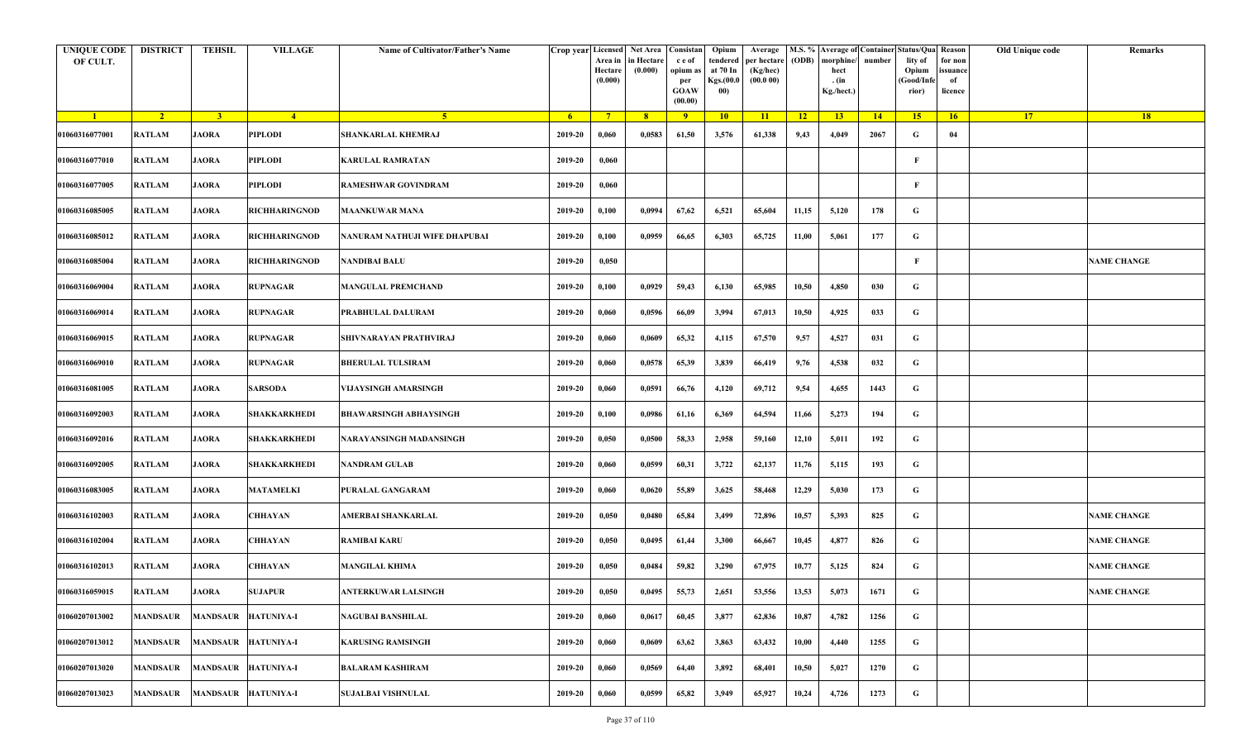| <b>UNIQUE CODE</b><br>OF CULT. | <b>DISTRICT</b> | <b>TEHSIL</b>   | <b>VILLAGE</b>       | Name of Cultivator/Father's Name |         | Area in<br>Hectare<br>(0.000) | Crop year Licensed Net Area Consistan<br>in Hectare<br>(0.000) | c e of<br>opium as<br>per<br><b>GOAW</b><br>(00.00) | Opium<br>tendered<br>at 70 In<br>Kgs.(00.0<br>00) | Average<br>per hectare<br>(Kg/hec)<br>(00.000) | (ODB) | M.S. % Average of Container Status/Qua Reason<br>morphine/<br>hect<br>. (in<br>Kg./hect.) | number | lity of<br>Opium<br>(Good/Infe<br>rior) | for non<br>ssuance<br>of<br>licence | Old Unique code | Remarks            |
|--------------------------------|-----------------|-----------------|----------------------|----------------------------------|---------|-------------------------------|----------------------------------------------------------------|-----------------------------------------------------|---------------------------------------------------|------------------------------------------------|-------|-------------------------------------------------------------------------------------------|--------|-----------------------------------------|-------------------------------------|-----------------|--------------------|
| $\blacksquare$                 | $\sqrt{2}$      | 3 <sup>1</sup>  | $-4$                 | 5 <sup>1</sup>                   | $-6$    | $7^{\circ}$                   | 8 <sup>°</sup>                                                 | $\overline{9}$                                      | 10                                                | 11                                             | $-12$ | 13                                                                                        | 14     | 15                                      | 16                                  | <b>17</b>       | <b>18</b>          |
| 01060316077001                 | <b>RATLAM</b>   | <b>JAORA</b>    | PIPLODI              | <b>SHANKARLAL KHEMRAJ</b>        | 2019-20 | 0,060                         | 0,0583                                                         | 61,50                                               | 3,576                                             | 61,338                                         | 9,43  | 4,049                                                                                     | 2067   | G                                       | 04                                  |                 |                    |
| 01060316077010                 | RATLAM          | <b>JAORA</b>    | PIPLODI              | <b>KARULAL RAMRATAN</b>          | 2019-20 | 0,060                         |                                                                |                                                     |                                                   |                                                |       |                                                                                           |        | $\mathbf{F}$                            |                                     |                 |                    |
| 01060316077005                 | <b>RATLAM</b>   | <b>JAORA</b>    | PIPLODI              | <b>RAMESHWAR GOVINDRAM</b>       | 2019-20 | 0,060                         |                                                                |                                                     |                                                   |                                                |       |                                                                                           |        | F                                       |                                     |                 |                    |
| 01060316085005                 | RATLAM          | <b>JAORA</b>    | <b>RICHHARINGNOD</b> | <b>MAANKUWAR MANA</b>            | 2019-20 | 0,100                         | 0,0994                                                         | 67,62                                               | 6,521                                             | 65,604                                         | 11,15 | 5,120                                                                                     | 178    | G                                       |                                     |                 |                    |
| 01060316085012                 | RATLAM          | <b>JAORA</b>    | <b>RICHHARINGNOD</b> | NANURAM NATHUJI WIFE DHAPUBAI    | 2019-20 | 0,100                         | 0,0959                                                         | 66,65                                               | 6,303                                             | 65,725                                         | 11,00 | 5,061                                                                                     | 177    | G                                       |                                     |                 |                    |
| 01060316085004                 | RATLAM          | <b>JAORA</b>    | <b>RICHHARINGNOD</b> | <b>NANDIBAI BALU</b>             | 2019-20 | 0,050                         |                                                                |                                                     |                                                   |                                                |       |                                                                                           |        | F                                       |                                     |                 | <b>NAME CHANGE</b> |
| 01060316069004                 | <b>RATLAM</b>   | <b>JAORA</b>    | <b>RUPNAGAR</b>      | <b>MANGULAL PREMCHAND</b>        | 2019-20 | 0,100                         | 0,0929                                                         | 59,43                                               | 6,130                                             | 65,985                                         | 10,50 | 4,850                                                                                     | 030    | G                                       |                                     |                 |                    |
| 01060316069014                 | <b>RATLAM</b>   | <b>JAORA</b>    | <b>RUPNAGAR</b>      | PRABHULAL DALURAM                | 2019-20 | 0,060                         | 0,0596                                                         | 66,09                                               | 3,994                                             | 67,013                                         | 10,50 | 4,925                                                                                     | 033    | G                                       |                                     |                 |                    |
| 01060316069015                 | <b>RATLAM</b>   | <b>JAORA</b>    | <b>RUPNAGAR</b>      | SHIVNARAYAN PRATHVIRAJ           | 2019-20 | 0,060                         | 0,0609                                                         | 65,32                                               | 4,115                                             | 67,570                                         | 9,57  | 4,527                                                                                     | 031    | G                                       |                                     |                 |                    |
| 01060316069010                 | <b>RATLAM</b>   | <b>JAORA</b>    | <b>RUPNAGAR</b>      | <b>BHERULAL TULSIRAM</b>         | 2019-20 | 0,060                         | 0,0578                                                         | 65,39                                               | 3,839                                             | 66,419                                         | 9,76  | 4,538                                                                                     | 032    | G                                       |                                     |                 |                    |
| 01060316081005                 | <b>RATLAM</b>   | <b>JAORA</b>    | <b>SARSODA</b>       | VIJAYSINGH AMARSINGH             | 2019-20 | 0,060                         | 0,0591                                                         | 66,76                                               | 4,120                                             | 69,712                                         | 9,54  | 4,655                                                                                     | 1443   | G                                       |                                     |                 |                    |
| 01060316092003                 | <b>RATLAM</b>   | <b>JAORA</b>    | SHAKKARKHEDI         | <b>BHAWARSINGH ABHAYSINGH</b>    | 2019-20 | 0,100                         | 0,0986                                                         | 61,16                                               | 6,369                                             | 64,594                                         | 11,66 | 5,273                                                                                     | 194    | G                                       |                                     |                 |                    |
| 01060316092016                 | <b>RATLAM</b>   | <b>JAORA</b>    | SHAKKARKHEDI         | NARAYANSINGH MADANSINGH          | 2019-20 | 0,050                         | 0,0500                                                         | 58,33                                               | 2,958                                             | 59,160                                         | 12,10 | 5,011                                                                                     | 192    | G                                       |                                     |                 |                    |
| 01060316092005                 | RATLAM          | <b>JAORA</b>    | <b>SHAKKARKHEDI</b>  | <b>NANDRAM GULAB</b>             | 2019-20 | 0,060                         | 0,0599                                                         | 60,31                                               | 3,722                                             | 62,137                                         | 11,76 | 5,115                                                                                     | 193    | G                                       |                                     |                 |                    |
| 01060316083005                 | RATLAM          | <b>JAORA</b>    | <b>MATAMELKI</b>     | PURALAL GANGARAM                 | 2019-20 | 0,060                         | 0,0620                                                         | 55,89                                               | 3,625                                             | 58,468                                         | 12,29 | 5,030                                                                                     | 173    | G                                       |                                     |                 |                    |
| 01060316102003                 | RATLAM          | <b>JAORA</b>    | CHHAYAN              | AMERBAI SHANKARLAL               | 2019-20 | 0,050                         | 0,0480                                                         | 65,84                                               | 3,499                                             | 72,896                                         | 10,57 | 5,393                                                                                     | 825    | G                                       |                                     |                 | <b>NAME CHANGE</b> |
| 01060316102004                 | <b>RATLAM</b>   | <b>JAORA</b>    | CHHAYAN              | <b>RAMIBAI KARU</b>              | 2019-20 | 0,050                         | 0,0495                                                         | 61,44                                               | 3,300                                             | 66,667                                         | 10,45 | 4,877                                                                                     | 826    | G                                       |                                     |                 | <b>NAME CHANGE</b> |
| 01060316102013                 | <b>RATLAM</b>   | <b>JAORA</b>    | CHHAYAN              | <b>MANGILAL KHIMA</b>            | 2019-20 | 0,050                         | 0,0484                                                         | 59,82                                               | 3,290                                             | 67,975                                         | 10,77 | 5,125                                                                                     | 824    | G                                       |                                     |                 | <b>NAME CHANGE</b> |
| 01060316059015                 | RATLAM          | <b>JAORA</b>    | <b>SUJAPUR</b>       | ANTERKUWAR LALSINGH              | 2019-20 | 0,050                         | 0,0495                                                         | 55,73                                               | 2,651                                             | 53,556                                         | 13,53 | 5,073                                                                                     | 1671   | G                                       |                                     |                 | <b>NAME CHANGE</b> |
| 01060207013002                 | <b>MANDSAUR</b> | <b>MANDSAUR</b> | <b>HATUNIYA-I</b>    | NAGUBAI BANSHILAL                | 2019-20 | 0,060                         | 0,0617                                                         | 60,45                                               | 3,877                                             | 62,836                                         | 10,87 | 4,782                                                                                     | 1256   | $\mathbf G$                             |                                     |                 |                    |
| 01060207013012                 | <b>MANDSAUR</b> | <b>MANDSAUR</b> | <b>HATUNIYA-I</b>    | <b>KARUSING RAMSINGH</b>         | 2019-20 | 0,060                         | 0,0609                                                         | 63,62                                               | 3,863                                             | 63,432                                         | 10,00 | 4,440                                                                                     | 1255   | G                                       |                                     |                 |                    |
| 01060207013020                 | <b>MANDSAUR</b> |                 | MANDSAUR HATUNIYA-I  | <b>BALARAM KASHIRAM</b>          | 2019-20 | 0,060                         | 0,0569                                                         | 64,40                                               | 3,892                                             | 68,401                                         | 10,50 | 5,027                                                                                     | 1270   | G                                       |                                     |                 |                    |
| 01060207013023                 | <b>MANDSAUR</b> |                 | MANDSAUR HATUNIYA-I  | <b>SUJALBAI VISHNULAL</b>        | 2019-20 | 0,060                         | 0,0599                                                         | 65,82                                               | 3,949                                             | 65,927                                         | 10,24 | 4,726                                                                                     | 1273   | G                                       |                                     |                 |                    |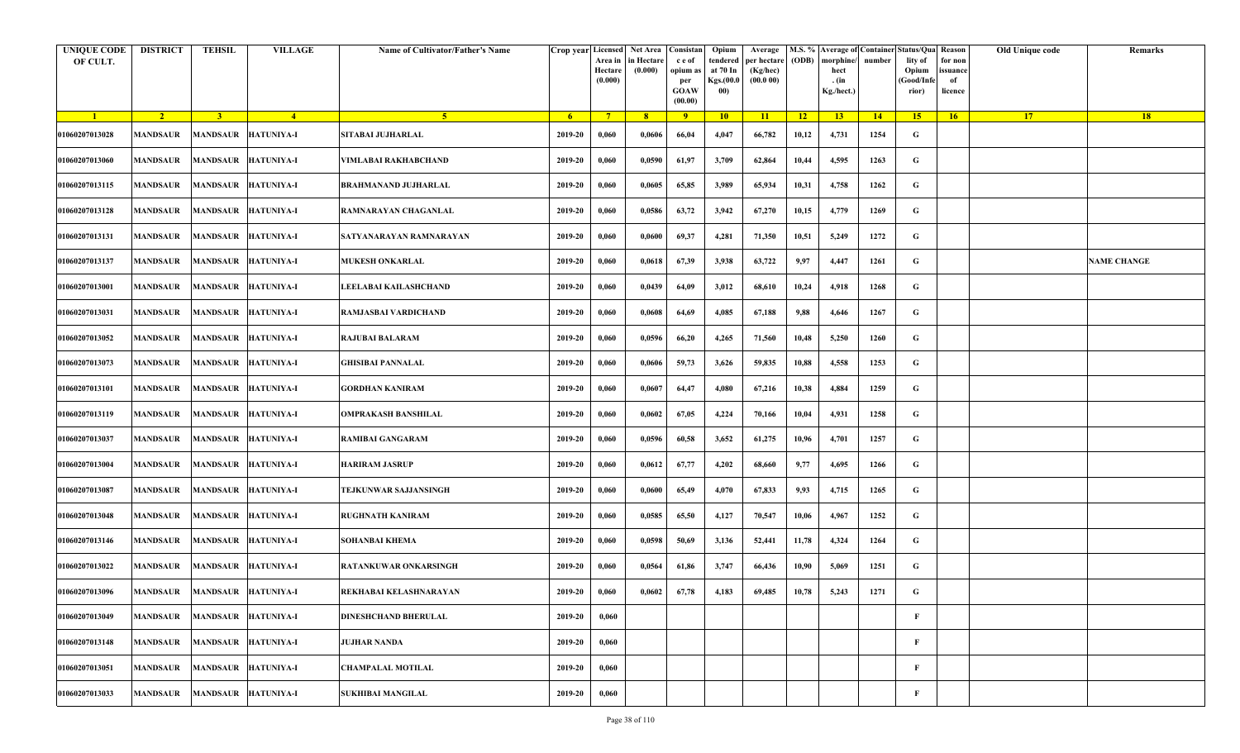| <b>UNIQUE CODE</b><br>OF CULT. | <b>DISTRICT</b> | TEHSIL                       | <b>VILLAGE</b>    | Name of Cultivator/Father's Name | Crop year Licensed | Area in<br>Hectare<br>(0.000) | Net Area   Consistan<br>n Hectare<br>(0.000) | c e of<br>opium as<br>per<br><b>GOAW</b><br>(00.00) | Opium<br>tendered<br>at 70 In<br>Kgs.(00.0<br>00) | Average<br>per hectare<br>(Kg/hec)<br>(00.000) | (ODB) | M.S. % Average of Container Status/Qua Reason<br>morphine/<br>hect<br>. (in<br>Kg./hect.) | number      | lity of<br>Opium<br>(Good/Info<br>rior) | for non<br>ssuance<br>of<br>licence | Old Unique code | Remarks            |
|--------------------------------|-----------------|------------------------------|-------------------|----------------------------------|--------------------|-------------------------------|----------------------------------------------|-----------------------------------------------------|---------------------------------------------------|------------------------------------------------|-------|-------------------------------------------------------------------------------------------|-------------|-----------------------------------------|-------------------------------------|-----------------|--------------------|
| $\blacksquare$                 | $\overline{2}$  | $\overline{3}$               | $\frac{4}{ }$     | $-5$                             | 6 <sup>1</sup>     | $7^{\circ}$                   | 8                                            | 9                                                   | 10                                                | 11                                             | 12    | 13 <sup>7</sup>                                                                           | $\sqrt{14}$ | 15                                      | 16                                  | 17 <sup>2</sup> | 18                 |
| 01060207013028                 | MANDSAUR        | <b>MANDSAUR</b>              | <b>HATUNIYA-I</b> | <b>SITABAI JUJHARLAL</b>         | 2019-20            | 0,060                         | 0,0606                                       | 66,04                                               | 4,047                                             | 66,782                                         | 10,12 | 4,731                                                                                     | 1254        | G                                       |                                     |                 |                    |
| 01060207013060                 | MANDSAUR        | <b>MANDSAUR</b>              | <b>HATUNIYA-I</b> | VIMLABAI RAKHABCHAND             | 2019-20            | 0,060                         | 0,0590                                       | 61,97                                               | 3,709                                             | 62,864                                         | 10,44 | 4,595                                                                                     | 1263        | G                                       |                                     |                 |                    |
| 01060207013115                 | MANDSAUR        | <b>MANDSAUR</b>              | <b>HATUNIYA-I</b> | <b>BRAHMANAND JUJHARLAL</b>      | 2019-20            | 0,060                         | 0,0605                                       | 65,85                                               | 3,989                                             | 65,934                                         | 10,31 | 4,758                                                                                     | 1262        | G                                       |                                     |                 |                    |
| 01060207013128                 | MANDSAUR        | <b>MANDSAUR</b>              | <b>HATUNIYA-I</b> | RAMNARAYAN CHAGANLAL             | 2019-20            | 0,060                         | 0,0586                                       | 63,72                                               | 3,942                                             | 67,270                                         | 10,15 | 4,779                                                                                     | 1269        | G                                       |                                     |                 |                    |
| 01060207013131                 | MANDSAUR        | <b>MANDSAUR</b>              | <b>HATUNIYA-I</b> | SATYANARAYAN RAMNARAYAN          | 2019-20            | 0,060                         | 0,0600                                       | 69,37                                               | 4,281                                             | 71,350                                         | 10,51 | 5,249                                                                                     | 1272        | G                                       |                                     |                 |                    |
| 01060207013137                 | MANDSAUR        | <b>MANDSAUR</b>              | <b>HATUNIYA-I</b> | <b>MUKESH ONKARLAL</b>           | 2019-20            | 0,060                         | 0,0618                                       | 67,39                                               | 3,938                                             | 63,722                                         | 9,97  | 4,447                                                                                     | 1261        | G                                       |                                     |                 | <b>NAME CHANGE</b> |
| 01060207013001                 | MANDSAUR        | <b>MANDSAUR</b>              | <b>HATUNIYA-I</b> | LEELABAI KAILASHCHAND            | 2019-20            | 0,060                         | 0,0439                                       | 64,09                                               | 3,012                                             | 68,610                                         | 10,24 | 4,918                                                                                     | 1268        | G                                       |                                     |                 |                    |
| 01060207013031                 | <b>MANDSAUR</b> | <b>MANDSAUR</b>              | <b>HATUNIYA-I</b> | RAMJASBAI VARDICHAND             | 2019-20            | 0,060                         | 0,0608                                       | 64,69                                               | 4,085                                             | 67,188                                         | 9,88  | 4,646                                                                                     | 1267        | G                                       |                                     |                 |                    |
| 01060207013052                 | MANDSAUR        | <b>MANDSAUR</b>              | <b>HATUNIYA-I</b> | RAJUBAI BALARAM                  | 2019-20            | 0,060                         | 0,0596                                       | 66,20                                               | 4,265                                             | 71,560                                         | 10,48 | 5,250                                                                                     | 1260        | G                                       |                                     |                 |                    |
| 01060207013073                 | <b>MANDSAUR</b> | <b>MANDSAUR</b>              | <b>HATUNIYA-I</b> | <b>GHISIBAI PANNALAL</b>         | 2019-20            | 0,060                         | 0,0606                                       | 59,73                                               | 3,626                                             | 59,835                                         | 10,88 | 4,558                                                                                     | 1253        | G                                       |                                     |                 |                    |
| 01060207013101                 | MANDSAUR        | <b>MANDSAUR</b>              | <b>HATUNIYA-I</b> | GORDHAN KANIRAM                  | 2019-20            | 0,060                         | 0,0607                                       | 64,47                                               | 4,080                                             | 67,216                                         | 10,38 | 4,884                                                                                     | 1259        | G                                       |                                     |                 |                    |
| 01060207013119                 | MANDSAUR        | <b>MANDSAUR</b>              | <b>HATUNIYA-I</b> | <b>OMPRAKASH BANSHILAL</b>       | 2019-20            | 0,060                         | 0,0602                                       | 67,05                                               | 4,224                                             | 70,166                                         | 10,04 | 4,931                                                                                     | 1258        | G                                       |                                     |                 |                    |
| 01060207013037                 | MANDSAUR        | <b>MANDSAUR</b>              | <b>HATUNIYA-I</b> | RAMIBAI GANGARAM                 | 2019-20            | 0,060                         | 0,0596                                       | 60,58                                               | 3,652                                             | 61,275                                         | 10,96 | 4,701                                                                                     | 1257        | G                                       |                                     |                 |                    |
| 01060207013004                 | MANDSAUR        | <b>MANDSAUR</b>              | <b>HATUNIYA-I</b> | HARIRAM JASRUP                   | 2019-20            | 0,060                         | 0,0612                                       | 67,77                                               | 4,202                                             | 68,660                                         | 9,77  | 4,695                                                                                     | 1266        | G                                       |                                     |                 |                    |
| 01060207013087                 | MANDSAUR        | <b>MANDSAUR</b>              | <b>HATUNIYA-I</b> | TEJKUNWAR SAJJANSINGH            | 2019-20            | 0,060                         | 0,0600                                       | 65,49                                               | 4,070                                             | 67,833                                         | 9,93  | 4,715                                                                                     | 1265        | G                                       |                                     |                 |                    |
| 01060207013048                 | MANDSAUR        | <b>MANDSAUR</b>              | <b>HATUNIYA-I</b> | <b>RUGHNATH KANIRAM</b>          | 2019-20            | 0,060                         | 0,0585                                       | 65,50                                               | 4,127                                             | 70,547                                         | 10,06 | 4,967                                                                                     | 1252        | G                                       |                                     |                 |                    |
| 01060207013146                 | MANDSAUR        | <b>MANDSAUR</b>              | <b>HATUNIYA-I</b> | SOHANBAI KHEMA                   | 2019-20            | 0,060                         | 0,0598                                       | 50,69                                               | 3,136                                             | 52,441                                         | 11,78 | 4,324                                                                                     | 1264        | G                                       |                                     |                 |                    |
| 01060207013022                 | MANDSAUR        | <b>MANDSAUR</b>              | <b>HATUNIYA-I</b> | RATANKUWAR ONKARSINGH            | 2019-20            | 0,060                         | 0,0564                                       | 61,86                                               | 3,747                                             | 66,436                                         | 10,90 | 5,069                                                                                     | 1251        | G                                       |                                     |                 |                    |
| 01060207013096                 |                 | MANDSAUR MANDSAUR HATUNIYA-I |                   | REKHABAI KELASHNARAYAN           | 2019-20            | 0,060                         | 0,0602                                       | 67,78                                               | 4,183                                             | 69,485                                         | 10,78 | 5,243                                                                                     | 1271        | G                                       |                                     |                 |                    |
| 01060207013049                 | MANDSAUR        | <b>MANDSAUR</b>              | <b>HATUNIYA-I</b> | DINESHCHAND BHERULAL             | 2019-20            | 0,060                         |                                              |                                                     |                                                   |                                                |       |                                                                                           |             | $\mathbf F$                             |                                     |                 |                    |
| 01060207013148                 | <b>MANDSAUR</b> | <b>MANDSAUR</b>              | <b>HATUNIYA-I</b> | <b>JUJHAR NANDA</b>              | 2019-20            | 0,060                         |                                              |                                                     |                                                   |                                                |       |                                                                                           |             | F                                       |                                     |                 |                    |
| 01060207013051                 | <b>MANDSAUR</b> | <b>MANDSAUR</b>              | <b>HATUNIYA-I</b> | <b>CHAMPALAL MOTILAL</b>         | 2019-20            | 0,060                         |                                              |                                                     |                                                   |                                                |       |                                                                                           |             | $\mathbf{F}$                            |                                     |                 |                    |
| 01060207013033                 | MANDSAUR        | <b>MANDSAUR</b>              | <b>HATUNIYA-I</b> | <b>SUKHIBAI MANGILAL</b>         | 2019-20            | 0,060                         |                                              |                                                     |                                                   |                                                |       |                                                                                           |             | F                                       |                                     |                 |                    |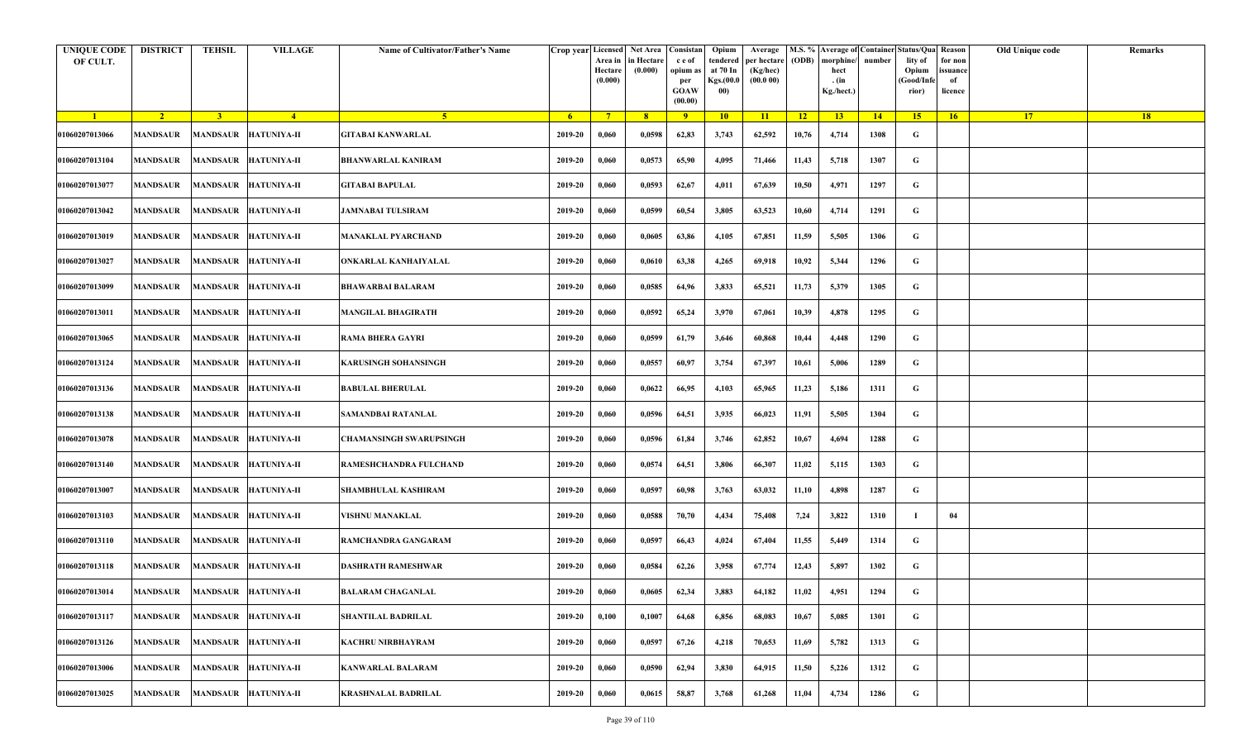| <b>UNIQUE CODE</b><br>OF CULT. | <b>DISTRICT</b> | <b>TEHSIL</b>   | <b>VILLAGE</b>                | Name of Cultivator/Father's Name |         | Area in<br>Hectare<br>(0.000) | Crop year Licensed Net Area Consistan<br>in Hectare<br>(0.000) | c e of<br>opium as<br>per<br><b>GOAW</b><br>(00.00) | Opium<br>tendered<br>at 70 In<br>Kgs.(00.0<br>00) | Average<br>per hectare<br>(Kg/hec)<br>(00.000) | (ODB) | M.S. % Average of Container Status/Qua Reason<br>morphine/<br>hect<br>. (in<br>Kg./hect.) | number | lity of<br>Opium<br>(Good/Infe<br>rior) | for non<br>ssuance<br>of<br>licence | Old Unique code | Remarks |
|--------------------------------|-----------------|-----------------|-------------------------------|----------------------------------|---------|-------------------------------|----------------------------------------------------------------|-----------------------------------------------------|---------------------------------------------------|------------------------------------------------|-------|-------------------------------------------------------------------------------------------|--------|-----------------------------------------|-------------------------------------|-----------------|---------|
| $\blacksquare$                 | $\sqrt{2}$      | 3 <sup>1</sup>  | $\sqrt{4}$                    | 5 <sup>1</sup>                   | - 6     | $7^{\circ}$                   | 8 <sup>°</sup>                                                 | $\overline{9}$                                      | 10                                                | 11                                             | $-12$ | 13                                                                                        | 14     | 15                                      | 16                                  | <b>17</b>       | 18      |
| 01060207013066                 | <b>MANDSAUR</b> |                 | MANDSAUR HATUNIYA-II          | <b>GITABAI KANWARLAL</b>         | 2019-20 | 0,060                         | 0,0598                                                         | 62,83                                               | 3,743                                             | 62,592                                         | 10,76 | 4,714                                                                                     | 1308   | G                                       |                                     |                 |         |
| 01060207013104                 | <b>MANDSAUR</b> |                 | MANDSAUR HATUNIYA-II          | <b>BHANWARLAL KANIRAM</b>        | 2019-20 | 0,060                         | 0,0573                                                         | 65,90                                               | 4,095                                             | 71,466                                         | 11,43 | 5,718                                                                                     | 1307   | G                                       |                                     |                 |         |
| 01060207013077                 | <b>MANDSAUR</b> | <b>MANDSAUR</b> | <b>HATUNIYA-II</b>            | <b>GITABAI BAPULAL</b>           | 2019-20 | 0,060                         | 0,0593                                                         | 62,67                                               | 4,011                                             | 67,639                                         | 10,50 | 4,971                                                                                     | 1297   | G                                       |                                     |                 |         |
| 01060207013042                 | MANDSAUR        |                 | MANDSAUR HATUNIYA-II          | <b>JAMNABAI TULSIRAM</b>         | 2019-20 | 0,060                         | 0,0599                                                         | 60,54                                               | 3,805                                             | 63,523                                         | 10,60 | 4,714                                                                                     | 1291   | G                                       |                                     |                 |         |
| 01060207013019                 | <b>MANDSAUR</b> |                 | MANDSAUR HATUNIYA-II          | <b>MANAKLAL PYARCHAND</b>        | 2019-20 | 0,060                         | 0,0605                                                         | 63,86                                               | 4,105                                             | 67,851                                         | 11,59 | 5,505                                                                                     | 1306   | G                                       |                                     |                 |         |
| 01060207013027                 | MANDSAUR        |                 | MANDSAUR HATUNIYA-II          | ONKARLAL KANHAIYALAL             | 2019-20 | 0,060                         | 0,0610                                                         | 63,38                                               | 4,265                                             | 69,918                                         | 10,92 | 5,344                                                                                     | 1296   | G                                       |                                     |                 |         |
| 01060207013099                 | MANDSAUR        |                 | <b>MANDSAUR HATUNIYA-II</b>   | <b>BHAWARBAI BALARAM</b>         | 2019-20 | 0,060                         | 0,0585                                                         | 64,96                                               | 3,833                                             | 65,521                                         | 11,73 | 5,379                                                                                     | 1305   | G                                       |                                     |                 |         |
| 01060207013011                 | <b>MANDSAUR</b> |                 | MANDSAUR HATUNIYA-II          | <b>MANGILAL BHAGIRATH</b>        | 2019-20 | 0,060                         | 0,0592                                                         | 65,24                                               | 3,970                                             | 67,061                                         | 10,39 | 4,878                                                                                     | 1295   | G                                       |                                     |                 |         |
| 01060207013065                 | <b>MANDSAUR</b> |                 | MANDSAUR HATUNIYA-II          | <b>RAMA BHERA GAYRI</b>          | 2019-20 | 0,060                         | 0,0599                                                         | 61,79                                               | 3,646                                             | 60,868                                         | 10,44 | 4,448                                                                                     | 1290   | G                                       |                                     |                 |         |
| 01060207013124                 | <b>MANDSAUR</b> |                 | MANDSAUR HATUNIYA-II          | <b>KARUSINGH SOHANSINGH</b>      | 2019-20 | 0,060                         | 0,0557                                                         | 60,97                                               | 3,754                                             | 67,397                                         | 10,61 | 5,006                                                                                     | 1289   | G                                       |                                     |                 |         |
| 01060207013136                 | MANDSAUR        |                 | MANDSAUR HATUNIYA-II          | <b>BABULAL BHERULAL</b>          | 2019-20 | 0,060                         | 0,0622                                                         | 66,95                                               | 4,103                                             | 65,965                                         | 11,23 | 5,186                                                                                     | 1311   | G                                       |                                     |                 |         |
| 01060207013138                 | <b>MANDSAUR</b> |                 | MANDSAUR HATUNIYA-II          | SAMANDBAI RATANLAL               | 2019-20 | 0,060                         | 0,0596                                                         | 64,51                                               | 3,935                                             | 66,023                                         | 11,91 | 5,505                                                                                     | 1304   | G                                       |                                     |                 |         |
| 01060207013078                 | <b>MANDSAUR</b> |                 | MANDSAUR HATUNIYA-II          | CHAMANSINGH SWARUPSINGH          | 2019-20 | 0,060                         | 0,0596                                                         | 61,84                                               | 3,746                                             | 62,852                                         | 10,67 | 4,694                                                                                     | 1288   | G                                       |                                     |                 |         |
| 01060207013140                 | <b>MANDSAUR</b> |                 | MANDSAUR HATUNIYA-II          | RAMESHCHANDRA FULCHAND           | 2019-20 | 0,060                         | 0,0574                                                         | 64,51                                               | 3,806                                             | 66,307                                         | 11,02 | 5,115                                                                                     | 1303   | G                                       |                                     |                 |         |
| 01060207013007                 | MANDSAUR        |                 | MANDSAUR HATUNIYA-II          | <b>SHAMBHULAL KASHIRAM</b>       | 2019-20 | 0,060                         | 0,0597                                                         | 60,98                                               | 3,763                                             | 63,032                                         | 11,10 | 4,898                                                                                     | 1287   | G                                       |                                     |                 |         |
| 01060207013103                 | MANDSAUR        |                 | MANDSAUR HATUNIYA-II          | VISHNU MANAKLAL                  | 2019-20 | 0,060                         | 0,0588                                                         | 70,70                                               | 4,434                                             | 75,408                                         | 7,24  | 3,822                                                                                     | 1310   |                                         | 04                                  |                 |         |
| 01060207013110                 | <b>MANDSAUR</b> |                 | MANDSAUR HATUNIYA-II          | <b>RAMCHANDRA GANGARAM</b>       | 2019-20 | 0,060                         | 0,0597                                                         | 66,43                                               | 4,024                                             | 67,404                                         | 11,55 | 5,449                                                                                     | 1314   | G                                       |                                     |                 |         |
| 01060207013118                 | MANDSAUR        |                 | MANDSAUR HATUNIYA-II          | <b>DASHRATH RAMESHWAR</b>        | 2019-20 | 0,060                         | 0,0584                                                         | 62,26                                               | 3,958                                             | 67,774                                         | 12,43 | 5,897                                                                                     | 1302   | G                                       |                                     |                 |         |
| 01060207013014                 |                 |                 | MANDSAUR MANDSAUR HATUNIYA-II | <b>BALARAM CHAGANLAL</b>         | 2019-20 | 0,060                         | 0,0605                                                         | 62,34                                               | 3,883                                             | 64,182                                         | 11,02 | 4,951                                                                                     | 1294   | G                                       |                                     |                 |         |
| 01060207013117                 | <b>MANDSAUR</b> | <b>MANDSAUR</b> | <b>HATUNIYA-II</b>            | <b>SHANTILAL BADRILAL</b>        | 2019-20 | 0,100                         | 0,1007                                                         | 64,68                                               | 6,856                                             | 68,083                                         | 10,67 | 5,085                                                                                     | 1301   | $\mathbf G$                             |                                     |                 |         |
| 01060207013126                 | <b>MANDSAUR</b> | <b>MANDSAUR</b> | <b>HATUNIYA-II</b>            | KACHRU NIRBHAYRAM                | 2019-20 | 0,060                         | 0,0597                                                         | 67,26                                               | 4,218                                             | 70,653                                         | 11,69 | 5,782                                                                                     | 1313   | G                                       |                                     |                 |         |
| 01060207013006                 | <b>MANDSAUR</b> |                 | MANDSAUR HATUNIYA-II          | <b>KANWARLAL BALARAM</b>         | 2019-20 | 0,060                         | 0,0590                                                         | 62,94                                               | 3,830                                             | 64,915                                         | 11,50 | 5,226                                                                                     | 1312   | G                                       |                                     |                 |         |
| 01060207013025                 | <b>MANDSAUR</b> |                 | MANDSAUR HATUNIYA-II          | <b>KRASHNALAL BADRILAL</b>       | 2019-20 | 0,060                         | 0,0615                                                         | 58,87                                               | 3,768                                             | 61,268                                         | 11,04 | 4,734                                                                                     | 1286   | G                                       |                                     |                 |         |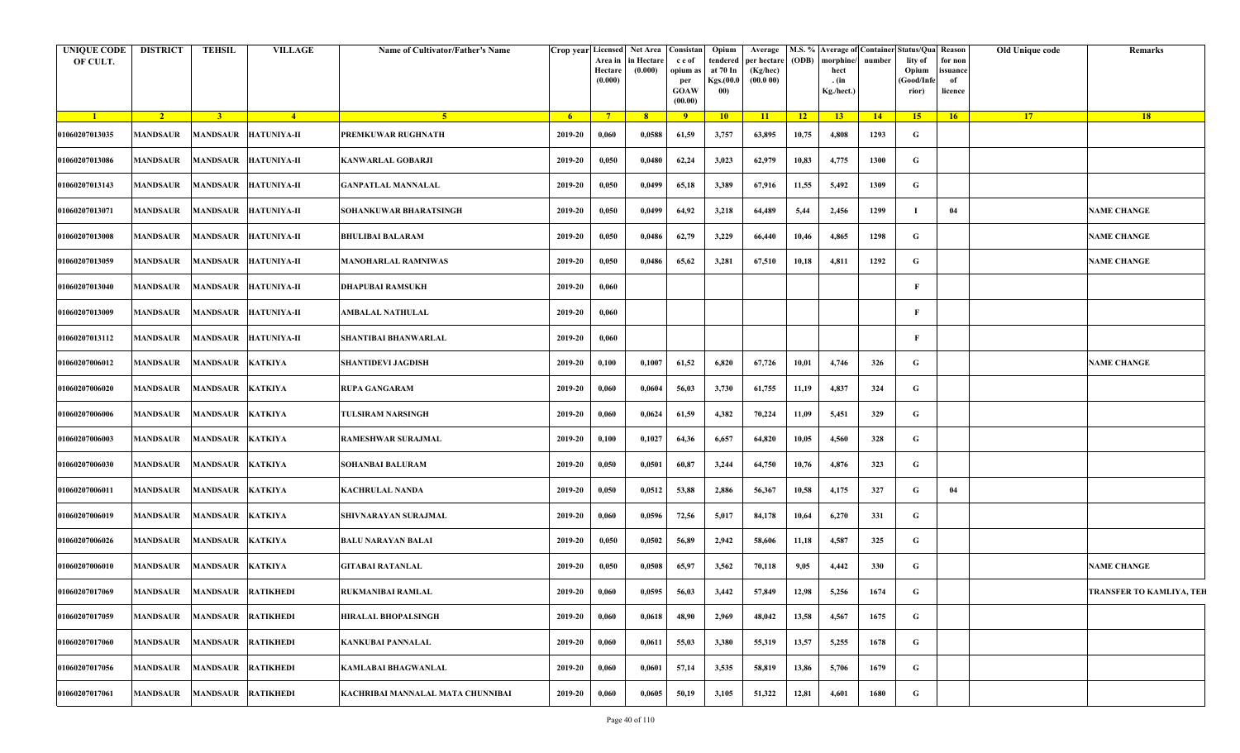| <b>UNIQUE CODE</b><br>OF CULT. | <b>DISTRICT</b>             | TEHSIL                    | <b>VILLAGE</b>              | Name of Cultivator/Father's Name  | Crop year Licensed Net Area | Area in<br>Hectare<br>(0.000) | in Hectare<br>(0.000) | Consistan<br>c e of<br>opium a<br>per<br>GOAW<br>(00.00) | Opium<br>tendered<br>at 70 In<br><b>Kgs.</b> (00.0<br>00) | Average<br>per hectare<br>(Kg/hec)<br>(00.000) | (ODB)           | morphine/<br>hect<br>. (in<br>Kg./hect.) | number | M.S. % Average of Container Status/Qua Reason<br>lity of<br>Opium<br>(Good/Infe<br>rior) | for non<br>issuance<br>of<br>licence | Old Unique code | Remarks                         |
|--------------------------------|-----------------------------|---------------------------|-----------------------------|-----------------------------------|-----------------------------|-------------------------------|-----------------------|----------------------------------------------------------|-----------------------------------------------------------|------------------------------------------------|-----------------|------------------------------------------|--------|------------------------------------------------------------------------------------------|--------------------------------------|-----------------|---------------------------------|
| $\blacksquare$                 | $\sqrt{2}$                  | 3 <sup>1</sup>            | $-4$                        | $-5$                              | - 6                         | $\overline{7}$                | 8 <sup>1</sup>        | $\overline{9}$                                           | 10 <sup>1</sup>                                           | 11                                             | $\overline{12}$ | 13                                       | 14     | 15                                                                                       | 16 <sup>2</sup>                      | <b>17</b>       | 18                              |
| 01060207013035                 | MANDSAUR                    |                           | MANDSAUR HATUNIYA-II        | PREMKUWAR RUGHNATH                | 2019-20                     | 0,060                         | 0,0588                | 61,59                                                    | 3,757                                                     | 63,895                                         | 10,75           | 4,808                                    | 1293   | G                                                                                        |                                      |                 |                                 |
| 01060207013086                 | MANDSAUR                    |                           | MANDSAUR HATUNIYA-II        | <b>KANWARLAL GOBARJI</b>          | 2019-20                     | 0,050                         | 0,0480                | 62,24                                                    | 3,023                                                     | 62,979                                         | 10,83           | 4,775                                    | 1300   | G                                                                                        |                                      |                 |                                 |
| 01060207013143                 | MANDSAUR                    |                           | MANDSAUR HATUNIYA-II        | GANPATLAL MANNALAL                | 2019-20                     | 0,050                         | 0,0499                | 65,18                                                    | 3,389                                                     | 67,916                                         | 11,55           | 5,492                                    | 1309   | G                                                                                        |                                      |                 |                                 |
| 01060207013071                 | MANDSAUR                    |                           | MANDSAUR HATUNIYA-II        | SOHANKUWAR BHARATSINGH            | 2019-20                     | 0,050                         | 0,0499                | 64,92                                                    | 3,218                                                     | 64,489                                         | 5,44            | 2,456                                    | 1299   |                                                                                          | 04                                   |                 | <b>NAME CHANGE</b>              |
| 01060207013008                 | MANDSAUR                    |                           | MANDSAUR  HATUNIYA-II       | <b>BHULIBAI BALARAM</b>           | 2019-20                     | 0,050                         | 0,0486                | 62,79                                                    | 3,229                                                     | 66,440                                         | 10,46           | 4,865                                    | 1298   | G                                                                                        |                                      |                 | <b>NAME CHANGE</b>              |
| 01060207013059                 | MANDSAUR                    |                           | MANDSAUR HATUNIYA-II        | <b>MANOHARLAL RAMNIWAS</b>        | 2019-20                     | 0,050                         | 0,0486                | 65,62                                                    | 3,281                                                     | 67,510                                         | 10,18           | 4,811                                    | 1292   | G                                                                                        |                                      |                 | <b>NAME CHANGE</b>              |
| 01060207013040                 | <b>MANDSAUR</b>             |                           | MANDSAUR HATUNIYA-II        | DHAPUBAI RAMSUKH                  | 2019-20                     | 0,060                         |                       |                                                          |                                                           |                                                |                 |                                          |        | -F                                                                                       |                                      |                 |                                 |
| 01060207013009                 | MANDSAUR                    |                           | MANDSAUR HATUNIYA-II        | AMBALAL NATHULAL                  | 2019-20                     | 0,060                         |                       |                                                          |                                                           |                                                |                 |                                          |        | F                                                                                        |                                      |                 |                                 |
| 01060207013112                 | MANDSAUR                    |                           | <b>MANDSAUR HATUNIYA-II</b> | SHANTIBAI BHANWARLAL              | 2019-20                     | 0,060                         |                       |                                                          |                                                           |                                                |                 |                                          |        | -F                                                                                       |                                      |                 |                                 |
| 01060207006012                 | MANDSAUR                    | MANDSAUR KATKIYA          |                             | <b>SHANTIDEVI JAGDISH</b>         | 2019-20                     | 0,100                         | 0,1007                | 61,52                                                    | 6,820                                                     | 67,726                                         | 10,01           | 4,746                                    | 326    | G                                                                                        |                                      |                 | <b>NAME CHANGE</b>              |
| 01060207006020                 | MANDSAUR                    | MANDSAUR KATKIYA          |                             | <b>RUPA GANGARAM</b>              | 2019-20                     | 0,060                         | 0,0604                | 56,03                                                    | 3,730                                                     | 61,755                                         | 11,19           | 4,837                                    | 324    | G                                                                                        |                                      |                 |                                 |
| 01060207006006                 | MANDSAUR                    | MANDSAUR KATKIYA          |                             | <b>TULSIRAM NARSINGH</b>          | 2019-20                     | 0,060                         | 0,0624                | 61,59                                                    | 4,382                                                     | 70,224                                         | 11,09           | 5,451                                    | 329    | G                                                                                        |                                      |                 |                                 |
| 01060207006003                 | <b>MANDSAUR</b>             | MANDSAUR KATKIYA          |                             | RAMESHWAR SURAJMAL                | 2019-20                     | 0,100                         | 0,1027                | 64,36                                                    | 6,657                                                     | 64,820                                         | 10,05           | 4,560                                    | 328    | G                                                                                        |                                      |                 |                                 |
| 01060207006030                 | MANDSAUR                    | MANDSAUR KATKIYA          |                             | SOHANBAI BALURAM                  | 2019-20                     | 0,050                         | 0,0501                | 60,87                                                    | 3,244                                                     | 64,750                                         | 10,76           | 4,876                                    | 323    | G                                                                                        |                                      |                 |                                 |
| 01060207006011                 | MANDSAUR                    | MANDSAUR KATKIYA          |                             | <b>KACHRULAL NANDA</b>            | 2019-20                     | 0,050                         | 0,0512                | 53,88                                                    | 2,886                                                     | 56,367                                         | 10,58           | 4,175                                    | 327    | G                                                                                        | 04                                   |                 |                                 |
| 01060207006019                 | MANDSAUR                    | MANDSAUR KATKIYA          |                             | SHIVNARAYAN SURAJMAL              | 2019-20                     | 0,060                         | 0,0596                | 72,56                                                    | 5,017                                                     | 84,178                                         | 10,64           | 6,270                                    | 331    | G                                                                                        |                                      |                 |                                 |
| 01060207006026                 | MANDSAUR                    | MANDSAUR KATKIYA          |                             | <b>BALU NARAYAN BALAI</b>         | 2019-20                     | 0,050                         | 0,0502                | 56,89                                                    | 2,942                                                     | 58,606                                         | 11,18           | 4,587                                    | 325    | G                                                                                        |                                      |                 |                                 |
| 01060207006010                 | MANDSAUR                    | MANDSAUR KATKIYA          |                             | <b>GITABAI RATANLAL</b>           | 2019-20                     | 0,050                         | 0,0508                | 65,97                                                    | 3,562                                                     | 70,118                                         | 9,05            | 4,442                                    | 330    | G                                                                                        |                                      |                 | <b>NAME CHANGE</b>              |
| 01060207017069                 | MANDSAUR MANDSAUR RATIKHEDI |                           |                             | RUKMANIBAI RAMLAL                 | 2019-20                     | 0,060                         | 0,0595                | 56,03                                                    | 3,442                                                     | 57,849                                         | 12,98           | 5,256                                    | 1674   | G                                                                                        |                                      |                 | <b>TRANSFER TO KAMLIYA, TEH</b> |
| 01060207017059                 | MANDSAUR                    | <b>MANDSAUR RATIKHEDI</b> |                             | <b>HIRALAL BHOPALSINGH</b>        | 2019-20                     | 0,060                         | 0,0618                | 48,90                                                    | 2,969                                                     | 48,042                                         | 13,58           | 4,567                                    | 1675   | G                                                                                        |                                      |                 |                                 |
| 01060207017060                 | <b>MANDSAUR</b>             | MANDSAUR RATIKHEDI        |                             | <b>KANKUBAI PANNALAL</b>          | 2019-20                     | 0,060                         | 0,0611                | 55,03                                                    | 3,380                                                     | 55,319                                         | 13,57           | 5,255                                    | 1678   | G                                                                                        |                                      |                 |                                 |
| 01060207017056                 | <b>MANDSAUR</b>             | <b>MANDSAUR RATIKHEDI</b> |                             | <b>KAMLABAI BHAGWANLAL</b>        | 2019-20                     | 0,060                         | 0,0601                | 57,14                                                    | 3,535                                                     | 58,819                                         | 13,86           | 5,706                                    | 1679   | G                                                                                        |                                      |                 |                                 |
| 01060207017061                 | MANDSAUR                    | <b>MANDSAUR RATIKHEDI</b> |                             | KACHRIBAI MANNALAL MATA CHUNNIBAI | 2019-20                     | 0,060                         | 0,0605                | 50,19                                                    | 3,105                                                     | 51,322                                         | 12,81           | 4,601                                    | 1680   | G                                                                                        |                                      |                 |                                 |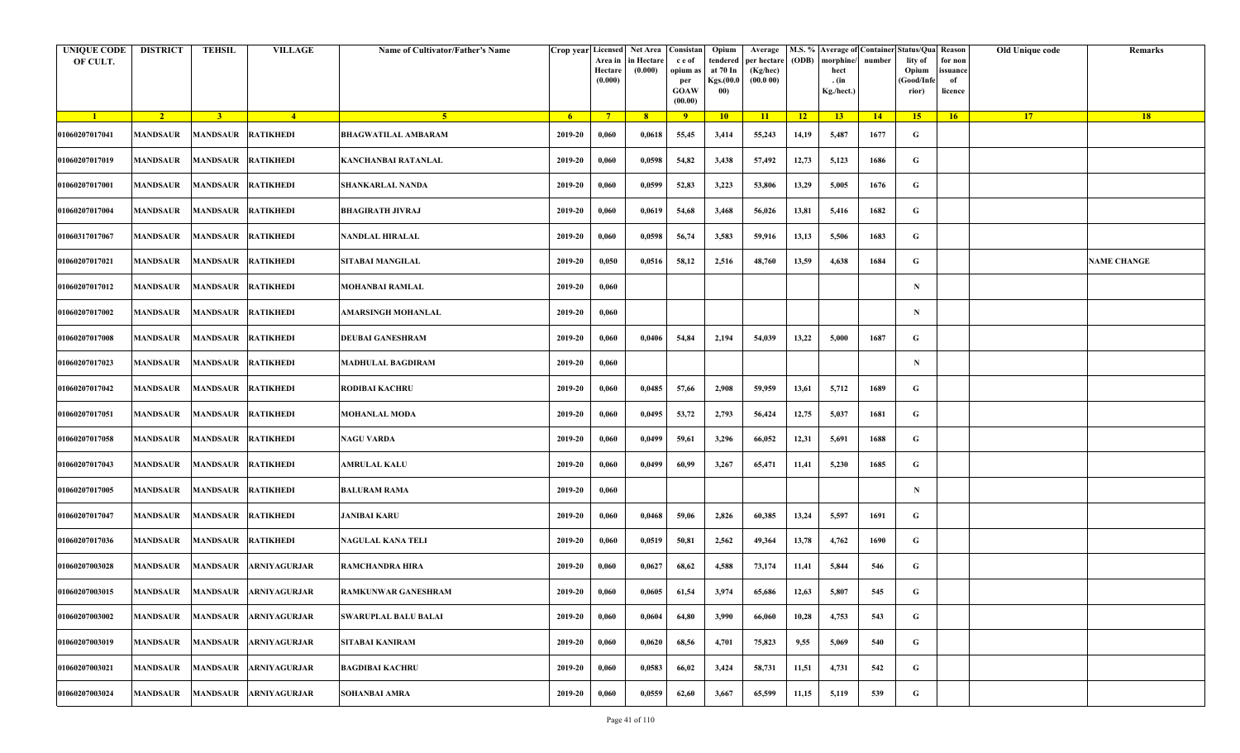| <b>UNIQUE CODE</b><br>OF CULT. | <b>DISTRICT</b> | <b>TEHSIL</b>             | <b>VILLAGE</b>                 | Name of Cultivator/Father's Name |         | Crop year Licensed Net Area Consistan<br>Area in<br>Hectare<br>(0.000) | in Hectare<br>(0.000) | c e of<br>opium as<br>per<br><b>GOAW</b><br>(00.00) | Opium<br>tendered<br>at 70 In<br>Kgs.(00.0<br>00) | Average<br>per hectare<br>(Kg/hec)<br>(00.000) | (ODB) | M.S. % Average of Container Status/Qua Reason<br>morphine/<br>hect<br>. (in<br>Kg./hect.) | number | lity of<br>Opium<br>(Good/Infe<br>rior) | for non<br>ssuance<br>of<br>licence | Old Unique code | Remarks            |
|--------------------------------|-----------------|---------------------------|--------------------------------|----------------------------------|---------|------------------------------------------------------------------------|-----------------------|-----------------------------------------------------|---------------------------------------------------|------------------------------------------------|-------|-------------------------------------------------------------------------------------------|--------|-----------------------------------------|-------------------------------------|-----------------|--------------------|
| $\blacksquare$                 | $\sqrt{2}$      | 3 <sup>1</sup>            | $-4$                           | 5 <sup>1</sup>                   | $-6$    | $7^{\circ}$                                                            | 8 <sup>°</sup>        | 9                                                   | 10                                                | 11                                             | $-12$ | 13                                                                                        | 14     | 15                                      | 16                                  | <b>17</b>       | 18                 |
| 01060207017041                 | <b>MANDSAUR</b> | <b>MANDSAUR RATIKHEDI</b> |                                | <b>BHAGWATILAL AMBARAM</b>       | 2019-20 | 0,060                                                                  | 0,0618                | 55,45                                               | 3,414                                             | 55,243                                         | 14,19 | 5,487                                                                                     | 1677   | G                                       |                                     |                 |                    |
| 01060207017019                 | MANDSAUR        | MANDSAUR RATIKHEDI        |                                | KANCHANBAI RATANLAL              | 2019-20 | 0,060                                                                  | 0,0598                | 54,82                                               | 3,438                                             | 57,492                                         | 12,73 | 5,123                                                                                     | 1686   | G                                       |                                     |                 |                    |
| 01060207017001                 | <b>MANDSAUR</b> | <b>MANDSAUR RATIKHEDI</b> |                                | <b>SHANKARLAL NANDA</b>          | 2019-20 | 0,060                                                                  | 0,0599                | 52,83                                               | 3,223                                             | 53,806                                         | 13,29 | 5,005                                                                                     | 1676   | G                                       |                                     |                 |                    |
| 01060207017004                 | MANDSAUR        | MANDSAUR RATIKHEDI        |                                | <b>BHAGIRATH JIVRAJ</b>          | 2019-20 | 0,060                                                                  | 0,0619                | 54,68                                               | 3,468                                             | 56,026                                         | 13,81 | 5,416                                                                                     | 1682   | G                                       |                                     |                 |                    |
| 01060317017067                 | <b>MANDSAUR</b> | <b>MANDSAUR RATIKHEDI</b> |                                | NANDLAL HIRALAL                  | 2019-20 | 0,060                                                                  | 0,0598                | 56,74                                               | 3,583                                             | 59,916                                         | 13,13 | 5,506                                                                                     | 1683   | G                                       |                                     |                 |                    |
| 01060207017021                 | MANDSAUR        | MANDSAUR RATIKHEDI        |                                | SITABAI MANGILAL                 | 2019-20 | 0,050                                                                  | 0,0516                | 58,12                                               | 2,516                                             | 48,760                                         | 13,59 | 4,638                                                                                     | 1684   | G                                       |                                     |                 | <b>NAME CHANGE</b> |
| 01060207017012                 | MANDSAUR        | <b>MANDSAUR RATIKHEDI</b> |                                | MOHANBAI RAMLAL                  | 2019-20 | 0,060                                                                  |                       |                                                     |                                                   |                                                |       |                                                                                           |        | $\mathbf N$                             |                                     |                 |                    |
| 01060207017002                 | <b>MANDSAUR</b> | MANDSAUR RATIKHEDI        |                                | AMARSINGH MOHANLAL               | 2019-20 | 0,060                                                                  |                       |                                                     |                                                   |                                                |       |                                                                                           |        | $\mathbf N$                             |                                     |                 |                    |
| 01060207017008                 | <b>MANDSAUR</b> | <b>MANDSAUR RATIKHEDI</b> |                                | <b>DEUBAI GANESHRAM</b>          | 2019-20 | 0,060                                                                  | 0,0406                | 54,84                                               | 2,194                                             | 54,039                                         | 13,22 | 5,000                                                                                     | 1687   | G                                       |                                     |                 |                    |
| 01060207017023                 | <b>MANDSAUR</b> | <b>MANDSAUR RATIKHEDI</b> |                                | <b>MADHULAL BAGDIRAM</b>         | 2019-20 | 0,060                                                                  |                       |                                                     |                                                   |                                                |       |                                                                                           |        | $\mathbf N$                             |                                     |                 |                    |
| 01060207017042                 | MANDSAUR        | MANDSAUR RATIKHEDI        |                                | <b>RODIBAI KACHRU</b>            | 2019-20 | 0,060                                                                  | 0,0485                | 57,66                                               | 2,908                                             | 59,959                                         | 13,61 | 5,712                                                                                     | 1689   | G                                       |                                     |                 |                    |
| 01060207017051                 | <b>MANDSAUR</b> | <b>MANDSAUR RATIKHEDI</b> |                                | <b>MOHANLAL MODA</b>             | 2019-20 | 0,060                                                                  | 0,0495                | 53,72                                               | 2,793                                             | 56,424                                         | 12,75 | 5,037                                                                                     | 1681   | G                                       |                                     |                 |                    |
| 01060207017058                 | <b>MANDSAUR</b> | MANDSAUR RATIKHEDI        |                                | <b>NAGU VARDA</b>                | 2019-20 | 0,060                                                                  | 0,0499                | 59,61                                               | 3,296                                             | 66,052                                         | 12,31 | 5,691                                                                                     | 1688   | G                                       |                                     |                 |                    |
| 01060207017043                 | <b>MANDSAUR</b> | MANDSAUR RATIKHEDI        |                                | AMRULAL KALU                     | 2019-20 | 0,060                                                                  | 0,0499                | 60,99                                               | 3,267                                             | 65,471                                         | 11,41 | 5,230                                                                                     | 1685   | G                                       |                                     |                 |                    |
| 01060207017005                 | MANDSAUR        | MANDSAUR RATIKHEDI        |                                | <b>BALURAM RAMA</b>              | 2019-20 | 0,060                                                                  |                       |                                                     |                                                   |                                                |       |                                                                                           |        | $\mathbf N$                             |                                     |                 |                    |
| 01060207017047                 | <b>MANDSAUR</b> | <b>MANDSAUR RATIKHEDI</b> |                                | JANIBAI KARU                     | 2019-20 | 0,060                                                                  | 0,0468                | 59,06                                               | 2,826                                             | 60,385                                         | 13,24 | 5,597                                                                                     | 1691   | G                                       |                                     |                 |                    |
| 01060207017036                 | <b>MANDSAUR</b> | MANDSAUR RATIKHEDI        |                                | NAGULAL KANA TELI                | 2019-20 | 0,060                                                                  | 0,0519                | 50,81                                               | 2,562                                             | 49,364                                         | 13,78 | 4,762                                                                                     | 1690   | G                                       |                                     |                 |                    |
| 01060207003028                 | MANDSAUR        |                           | MANDSAUR ARNIYAGURJAR          | <b>RAMCHANDRA HIRA</b>           | 2019-20 | 0,060                                                                  | 0,0627                | 68,62                                               | 4,588                                             | 73,174                                         | 11,41 | 5,844                                                                                     | 546    | G                                       |                                     |                 |                    |
| 01060207003015                 |                 |                           | MANDSAUR MANDSAUR ARNIYAGURJAR | <b>RAMKUNWAR GANESHRAM</b>       | 2019-20 | 0,060                                                                  | 0,0605                | 61,54                                               | 3,974                                             | 65,686                                         | 12,63 | 5,807                                                                                     | 545    | G                                       |                                     |                 |                    |
| 01060207003002                 | <b>MANDSAUR</b> | <b>MANDSAUR</b>           | <b>ARNIYAGURJAR</b>            | <b>SWARUPLAL BALU BALAI</b>      | 2019-20 | 0,060                                                                  | 0,0604                | 64,80                                               | 3,990                                             | 66,060                                         | 10,28 | 4,753                                                                                     | 543    | $\mathbf G$                             |                                     |                 |                    |
| 01060207003019                 | <b>MANDSAUR</b> | <b>MANDSAUR</b>           | <b>ARNIYAGURJAR</b>            | SITABAI KANIRAM                  | 2019-20 | 0,060                                                                  | 0,0620                | 68,56                                               | 4,701                                             | 75,823                                         | 9,55  | 5,069                                                                                     | 540    | G                                       |                                     |                 |                    |
| 01060207003021                 | <b>MANDSAUR</b> | <b>MANDSAUR</b>           | <b>ARNIYAGURJAR</b>            | <b>BAGDIBAI KACHRU</b>           | 2019-20 | 0,060                                                                  | 0,0583                | 66,02                                               | 3,424                                             | 58,731                                         | 11,51 | 4,731                                                                                     | 542    | G                                       |                                     |                 |                    |
| 01060207003024                 | MANDSAUR        |                           | MANDSAUR ARNIYAGURJAR          | <b>SOHANBAI AMRA</b>             | 2019-20 | 0,060                                                                  | 0,0559                | 62,60                                               | 3,667                                             | 65,599                                         | 11,15 | 5,119                                                                                     | 539    | G                                       |                                     |                 |                    |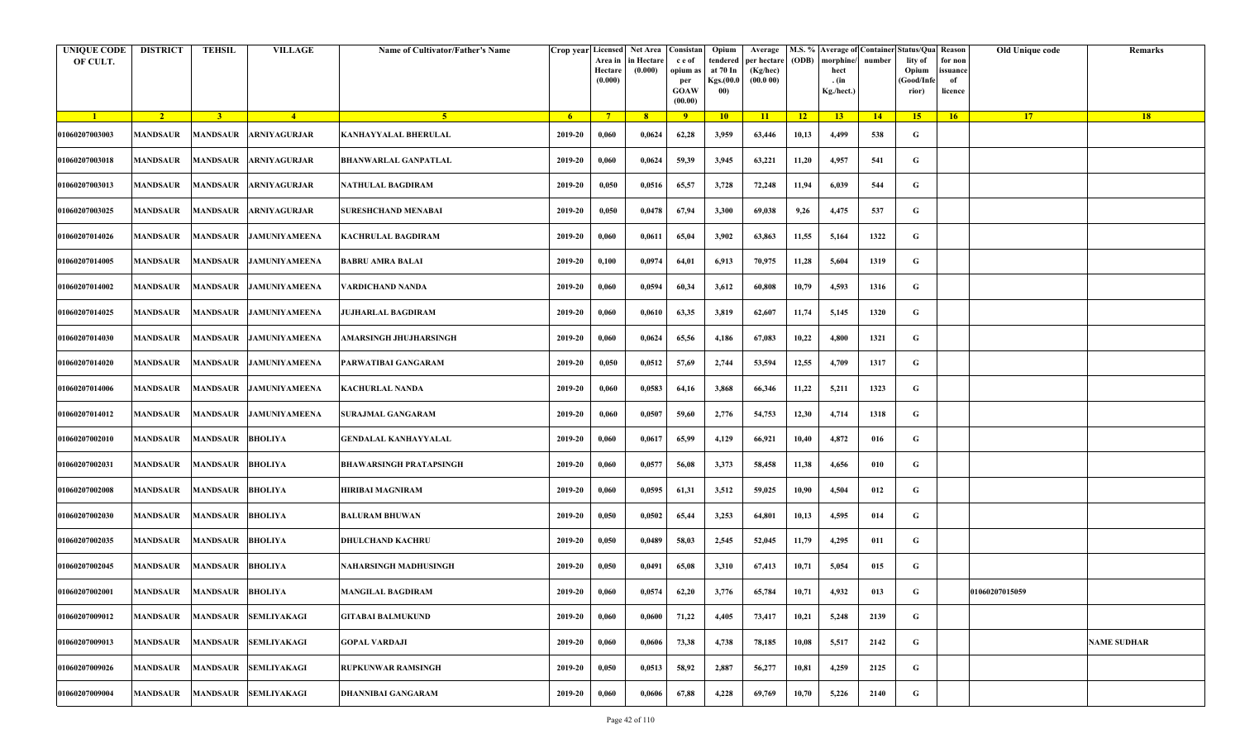| <b>UNIQUE CODE</b><br>OF CULT. | <b>DISTRICT</b> | <b>TEHSIL</b>             | <b>VILLAGE</b>         | Name of Cultivator/Father's Name | Crop year Licensed | Area in<br>Hectare<br>(0.000) | Net Area   Consistan<br>in Hectare<br>(0.000) | c e of<br>opium as<br>per<br><b>GOAW</b><br>(00.00) | Opium<br>tendered<br>at 70 In<br>Kgs.(00.0<br>00) | Average<br>per hectare<br>(Kg/hec)<br>(00.000) | (ODB) | M.S. % Average of Container Status/Qua Reason<br>morphine/<br>hect<br>. (in<br>Kg./hect.) | number      | lity of<br>Opium<br>(Good/Infe<br>rior) | for non<br>ssuance<br>of<br>licence | Old Unique code | Remarks            |
|--------------------------------|-----------------|---------------------------|------------------------|----------------------------------|--------------------|-------------------------------|-----------------------------------------------|-----------------------------------------------------|---------------------------------------------------|------------------------------------------------|-------|-------------------------------------------------------------------------------------------|-------------|-----------------------------------------|-------------------------------------|-----------------|--------------------|
| $\blacksquare$                 | $\sqrt{2}$      | $\overline{\mathbf{3}}$   | $\sqrt{4}$             | -5.                              | -6                 | $7^{\circ}$                   | 8 <sup>°</sup>                                | $\overline{9}$                                      | 10                                                | 11                                             | $-12$ | 13                                                                                        | $\sqrt{14}$ | 15                                      | 16                                  | <b>17</b>       | 18                 |
| 01060207003003                 | <b>MANDSAUR</b> | <b>MANDSAUR</b>           | <b>ARNIYAGURJAR</b>    | KANHAYYALAL BHERULAL             | 2019-20            | 0,060                         | 0,0624                                        | 62,28                                               | 3,959                                             | 63,446                                         | 10,13 | 4,499                                                                                     | 538         | G                                       |                                     |                 |                    |
| 01060207003018                 | MANDSAUR        | <b>MANDSAUR</b>           | <b>ARNIYAGURJAR</b>    | BHANWARLAL GANPATLAL             | 2019-20            | 0,060                         | 0,0624                                        | 59,39                                               | 3,945                                             | 63,221                                         | 11,20 | 4,957                                                                                     | 541         | G                                       |                                     |                 |                    |
| 01060207003013                 | MANDSAUR        | MANDSAUR                  | <b>ARNIYAGURJAR</b>    | NATHULAL BAGDIRAM                | 2019-20            | 0,050                         | 0,0516                                        | 65,57                                               | 3,728                                             | 72,248                                         | 11,94 | 6,039                                                                                     | 544         | G                                       |                                     |                 |                    |
| 01060207003025                 | MANDSAUR        | MANDSAUR                  | <b>ARNIYAGURJAR</b>    | <b>SURESHCHAND MENABAI</b>       | 2019-20            | 0,050                         | 0,0478                                        | 67,94                                               | 3,300                                             | 69,038                                         | 9,26  | 4,475                                                                                     | 537         | G                                       |                                     |                 |                    |
| 01060207014026                 | MANDSAUR        | <b>MANDSAUR</b>           | <b>JAMUNIYAMEENA</b>   | KACHRULAL BAGDIRAM               | 2019-20            | 0,060                         | 0,0611                                        | 65,04                                               | 3,902                                             | 63,863                                         | 11,55 | 5,164                                                                                     | 1322        | G                                       |                                     |                 |                    |
| 01060207014005                 | <b>MANDSAUR</b> |                           | MANDSAUR JAMUNIYAMEENA | <b>BABRU AMRA BALAI</b>          | 2019-20            | 0,100                         | 0,0974                                        | 64,01                                               | 6,913                                             | 70,975                                         | 11,28 | 5,604                                                                                     | 1319        | G                                       |                                     |                 |                    |
| 01060207014002                 | MANDSAUR        |                           | MANDSAUR JAMUNIYAMEENA | VARDICHAND NANDA                 | 2019-20            | 0,060                         | 0,0594                                        | 60,34                                               | 3,612                                             | 60,808                                         | 10,79 | 4,593                                                                                     | 1316        | G                                       |                                     |                 |                    |
| 01060207014025                 | MANDSAUR        |                           | MANDSAUR JAMUNIYAMEENA | <b>JUJHARLAL BAGDIRAM</b>        | 2019-20            | 0,060                         | 0,0610                                        | 63,35                                               | 3,819                                             | 62,607                                         | 11,74 | 5,145                                                                                     | 1320        | G                                       |                                     |                 |                    |
| 01060207014030                 | <b>MANDSAUR</b> |                           | MANDSAUR JAMUNIYAMEENA | AMARSINGH JHUJHARSINGH           | 2019-20            | 0,060                         | 0,0624                                        | 65,56                                               | 4,186                                             | 67,083                                         | 10,22 | 4,800                                                                                     | 1321        | G                                       |                                     |                 |                    |
| 01060207014020                 | MANDSAUR        |                           | MANDSAUR JAMUNIYAMEENA | PARWATIBAI GANGARAM              | 2019-20            | 0,050                         | 0,0512                                        | 57,69                                               | 2,744                                             | 53,594                                         | 12,55 | 4,709                                                                                     | 1317        | G                                       |                                     |                 |                    |
| 01060207014006                 | MANDSAUR        |                           | MANDSAUR JAMUNIYAMEENA | KACHURLAL NANDA                  | 2019-20            | 0,060                         | 0,0583                                        | 64,16                                               | 3,868                                             | 66,346                                         | 11,22 | 5,211                                                                                     | 1323        | G                                       |                                     |                 |                    |
| 01060207014012                 | MANDSAUR        | <b>MANDSAUR</b>           | <b>JAMUNIYAMEENA</b>   | <b>SURAJMAL GANGARAM</b>         | 2019-20            | 0,060                         | 0,0507                                        | 59,60                                               | 2,776                                             | 54,753                                         | 12,30 | 4,714                                                                                     | 1318        | G                                       |                                     |                 |                    |
| 01060207002010                 | <b>MANDSAUR</b> | <b>MANDSAUR</b>           | <b>BHOLIYA</b>         | GENDALAL KANHAYYALAL             | 2019-20            | 0,060                         | 0,0617                                        | 65,99                                               | 4,129                                             | 66,921                                         | 10,40 | 4,872                                                                                     | 016         | G                                       |                                     |                 |                    |
| 01060207002031                 | MANDSAUR        | <b>MANDSAUR</b>           | <b>BHOLIYA</b>         | <b>BHAWARSINGH PRATAPSINGH</b>   | 2019-20            | 0,060                         | 0,0577                                        | 56,08                                               | 3,373                                             | 58,458                                         | 11,38 | 4,656                                                                                     | 010         | G                                       |                                     |                 |                    |
| 01060207002008                 | <b>MANDSAUR</b> | <b>MANDSAUR</b>           | <b>BHOLIYA</b>         | HIRIBAI MAGNIRAM                 | 2019-20            | 0,060                         | 0,0595                                        | 61,31                                               | 3,512                                             | 59,025                                         | 10,90 | 4,504                                                                                     | 012         | G                                       |                                     |                 |                    |
| 01060207002030                 | MANDSAUR        | <b>MANDSAUR</b>           | <b>BHOLIYA</b>         | BALURAM BHUWAN                   | 2019-20            | 0,050                         | 0,0502                                        | 65,44                                               | 3,253                                             | 64,801                                         | 10,13 | 4,595                                                                                     | 014         | G                                       |                                     |                 |                    |
| 01060207002035                 | <b>MANDSAUR</b> | <b>MANDSAUR</b>           | <b>BHOLIYA</b>         | <b>DHULCHAND KACHRU</b>          | 2019-20            | 0,050                         | 0,0489                                        | 58,03                                               | 2,545                                             | 52,045                                         | 11,79 | 4,295                                                                                     | 011         | G                                       |                                     |                 |                    |
| 01060207002045                 | MANDSAUR        | <b>MANDSAUR</b>           | <b>BHOLIYA</b>         | NAHARSINGH MADHUSINGH            | 2019-20            | 0,050                         | 0,0491                                        | 65,08                                               | 3,310                                             | 67,413                                         | 10,71 | 5,054                                                                                     | 015         | G                                       |                                     |                 |                    |
| 01060207002001                 |                 | MANDSAUR MANDSAUR BHOLIYA |                        | <b>MANGILAL BAGDIRAM</b>         | 2019-20            | 0,060                         | 0,0574                                        | 62,20                                               | 3,776                                             | 65,784                                         | 10,71 | 4,932                                                                                     | 013         | G                                       |                                     | 01060207015059  |                    |
| 01060207009012                 | MANDSAUR        | <b>MANDSAUR</b>           | <b>SEMLIYAKAGI</b>     | <b>GITABAI BALMUKUND</b>         | 2019-20            | 0,060                         | 0,0600                                        | 71,22                                               | 4,405                                             | 73,417                                         | 10,21 | 5,248                                                                                     | 2139        | $\mathbf G$                             |                                     |                 |                    |
| 01060207009013                 | <b>MANDSAUR</b> | <b>MANDSAUR</b>           | <b>SEMLIYAKAGI</b>     | GOPAL VARDAJI                    | 2019-20            | 0,060                         | 0,0606                                        | 73,38                                               | 4,738                                             | 78,185                                         | 10,08 | 5,517                                                                                     | 2142        | G                                       |                                     |                 | <b>NAME SUDHAR</b> |
| 01060207009026                 | MANDSAUR        | <b>MANDSAUR</b>           | SEMLIYAKAGI            | <b>RUPKUNWAR RAMSINGH</b>        | 2019-20            | 0,050                         | 0,0513                                        | 58,92                                               | 2,887                                             | 56,277                                         | 10,81 | 4,259                                                                                     | 2125        | G                                       |                                     |                 |                    |
| 01060207009004                 | MANDSAUR        |                           | MANDSAUR SEMLIYAKAGI   | <b>DHANNIBAI GANGARAM</b>        | 2019-20            | 0,060                         | 0,0606                                        | 67,88                                               | 4,228                                             | 69,769                                         | 10,70 | 5,226                                                                                     | 2140        | G                                       |                                     |                 |                    |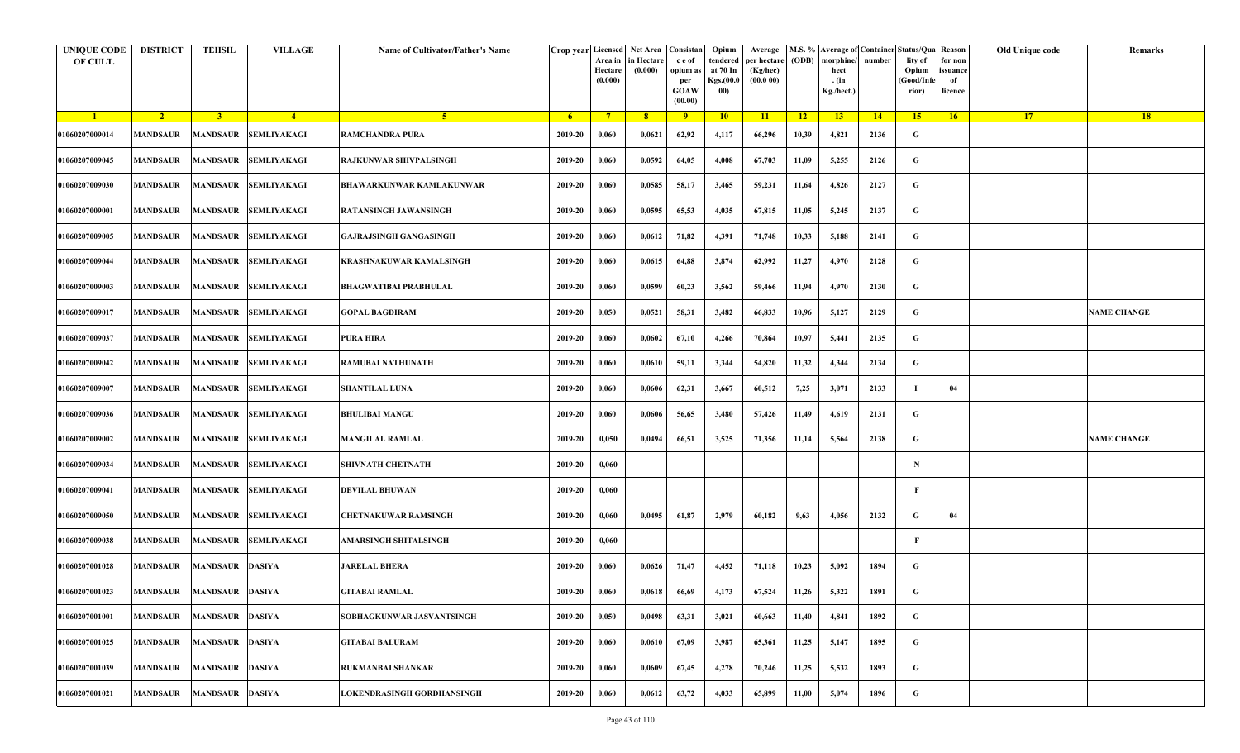| <b>UNIQUE CODE</b><br>OF CULT. | <b>DISTRICT</b>          | <b>TEHSIL</b>          | <b>VILLAGE</b>              | Name of Cultivator/Father's Name |         | Crop year Licensed Net Area Consistan<br>Area in<br>Hectare<br>(0.000) | in Hectare<br>(0.000) | c e of<br>opium a<br>per<br><b>GOAW</b><br>(00.00) | Opium<br>tendered<br>at 70 In<br>Kgs.(00.0<br>00) | Average<br>per hectare<br>(Kg/hec)<br>(00.000) | (ODB) | M.S. % Average of Container Status/Qua Reason<br>morphine/<br>hect<br>. (in<br>Kg./hect.) | number | lity of<br>Opium<br>(Good/Infe<br>rior) | for non<br>ssuance<br>of<br>licence | Old Unique code | Remarks            |
|--------------------------------|--------------------------|------------------------|-----------------------------|----------------------------------|---------|------------------------------------------------------------------------|-----------------------|----------------------------------------------------|---------------------------------------------------|------------------------------------------------|-------|-------------------------------------------------------------------------------------------|--------|-----------------------------------------|-------------------------------------|-----------------|--------------------|
| $\blacksquare$                 | $\sqrt{2}$               | 3 <sup>1</sup>         | $\sqrt{4}$                  | -5.                              | - 6 -   | $7^{\circ}$                                                            | 8 <sup>°</sup>        | $\overline{9}$                                     | 10                                                | 11                                             | $-12$ | 13                                                                                        | 14     | 15                                      | 16                                  | <b>17</b>       | 18                 |
| 01060207009014                 | <b>MANDSAUR</b>          |                        | MANDSAUR SEMLIYAKAGI        | <b>RAMCHANDRA PURA</b>           | 2019-20 | 0,060                                                                  | 0,0621                | 62,92                                              | 4,117                                             | 66,296                                         | 10,39 | 4,821                                                                                     | 2136   | G                                       |                                     |                 |                    |
| 01060207009045                 | <b>MANDSAUR</b>          |                        | MANDSAUR SEMLIYAKAGI        | <b>RAJKUNWAR SHIVPALSINGH</b>    | 2019-20 | 0,060                                                                  | 0,0592                | 64,05                                              | 4,008                                             | 67,703                                         | 11,09 | 5,255                                                                                     | 2126   | G                                       |                                     |                 |                    |
| 01060207009030                 | <b>MANDSAUR</b>          |                        | <b>MANDSAUR SEMLIYAKAGI</b> | BHAWARKUNWAR KAMLAKUNWAR         | 2019-20 | 0,060                                                                  | 0,0585                | 58,17                                              | 3,465                                             | 59,231                                         | 11,64 | 4,826                                                                                     | 2127   | G                                       |                                     |                 |                    |
| 01060207009001                 | MANDSAUR                 |                        | MANDSAUR SEMLIYAKAGI        | RATANSINGH JAWANSINGH            | 2019-20 | 0,060                                                                  | 0,0595                | 65,53                                              | 4,035                                             | 67,815                                         | 11,05 | 5,245                                                                                     | 2137   | G                                       |                                     |                 |                    |
| 01060207009005                 | <b>MANDSAUR</b>          |                        | MANDSAUR SEMLIYAKAGI        | <b>GAJRAJSINGH GANGASINGH</b>    | 2019-20 | 0,060                                                                  | 0,0612                | 71,82                                              | 4,391                                             | 71,748                                         | 10,33 | 5,188                                                                                     | 2141   | G                                       |                                     |                 |                    |
| 01060207009044                 | MANDSAUR                 |                        | MANDSAUR SEMLIYAKAGI        | KRASHNAKUWAR KAMALSINGH          | 2019-20 | 0,060                                                                  | 0,0615                | 64,88                                              | 3,874                                             | 62,992                                         | 11,27 | 4,970                                                                                     | 2128   | G                                       |                                     |                 |                    |
| 01060207009003                 | MANDSAUR                 |                        | MANDSAUR SEMLIYAKAGI        | <b>BHAGWATIBAI PRABHULAL</b>     | 2019-20 | 0,060                                                                  | 0,0599                | 60,23                                              | 3,562                                             | 59,466                                         | 11,94 | 4,970                                                                                     | 2130   | G                                       |                                     |                 |                    |
| 01060207009017                 | <b>MANDSAUR</b>          |                        | MANDSAUR SEMLIYAKAGI        | <b>GOPAL BAGDIRAM</b>            | 2019-20 | 0,050                                                                  | 0,0521                | 58,31                                              | 3,482                                             | 66,833                                         | 10,96 | 5,127                                                                                     | 2129   | G                                       |                                     |                 | <b>NAME CHANGE</b> |
| 01060207009037                 | MANDSAUR                 |                        | MANDSAUR SEMLIYAKAGI        | <b>PURA HIRA</b>                 | 2019-20 | 0,060                                                                  | 0,0602                | 67,10                                              | 4,266                                             | 70,864                                         | 10,97 | 5,441                                                                                     | 2135   | G                                       |                                     |                 |                    |
| 01060207009042                 | <b>MANDSAUR</b>          |                        | MANDSAUR SEMLIYAKAGI        | <b>RAMUBAI NATHUNATH</b>         | 2019-20 | 0,060                                                                  | 0,0610                | 59,11                                              | 3,344                                             | 54,820                                         | 11,32 | 4,344                                                                                     | 2134   | G                                       |                                     |                 |                    |
| 01060207009007                 | <b>MANDSAUR</b>          |                        | MANDSAUR SEMLIYAKAGI        | <b>SHANTILAL LUNA</b>            | 2019-20 | 0,060                                                                  | 0,0606                | 62,31                                              | 3,667                                             | 60,512                                         | 7,25  | 3,071                                                                                     | 2133   |                                         | 04                                  |                 |                    |
| 01060207009036                 | <b>MANDSAUR</b>          |                        | <b>MANDSAUR SEMLIYAKAGI</b> | <b>BHULIBAI MANGU</b>            | 2019-20 | 0,060                                                                  | 0,0606                | 56,65                                              | 3,480                                             | 57,426                                         | 11,49 | 4,619                                                                                     | 2131   | G                                       |                                     |                 |                    |
| 01060207009002                 | <b>MANDSAUR</b>          |                        | MANDSAUR SEMLIYAKAGI        | <b>MANGILAL RAMLAL</b>           | 2019-20 | 0,050                                                                  | 0,0494                | 66,51                                              | 3,525                                             | 71,356                                         | 11,14 | 5,564                                                                                     | 2138   | G                                       |                                     |                 | <b>NAME CHANGE</b> |
| 01060207009034                 | <b>MANDSAUR</b>          |                        | MANDSAUR SEMLIYAKAGI        | <b>SHIVNATH CHETNATH</b>         | 2019-20 | 0,060                                                                  |                       |                                                    |                                                   |                                                |       |                                                                                           |        | $\mathbf N$                             |                                     |                 |                    |
| 01060207009041                 | MANDSAUR                 |                        | MANDSAUR SEMLIYAKAGI        | <b>DEVILAL BHUWAN</b>            | 2019-20 | 0,060                                                                  |                       |                                                    |                                                   |                                                |       |                                                                                           |        | F                                       |                                     |                 |                    |
| 01060207009050                 | MANDSAUR                 |                        | MANDSAUR SEMLIYAKAGI        | CHETNAKUWAR RAMSINGH             | 2019-20 | 0,060                                                                  | 0,0495                | 61,87                                              | 2,979                                             | 60,182                                         | 9,63  | 4,056                                                                                     | 2132   | G                                       | 04                                  |                 |                    |
| 01060207009038                 | <b>MANDSAUR</b>          |                        | MANDSAUR SEMLIYAKAGI        | AMARSINGH SHITALSINGH            | 2019-20 | 0,060                                                                  |                       |                                                    |                                                   |                                                |       |                                                                                           |        | F                                       |                                     |                 |                    |
| 01060207001028                 | MANDSAUR                 | <b>MANDSAUR DASIYA</b> |                             | <b>JARELAL BHERA</b>             | 2019-20 | 0,060                                                                  | 0,0626                | 71,47                                              | 4,452                                             | 71,118                                         | 10,23 | 5,092                                                                                     | 1894   | G                                       |                                     |                 |                    |
| 01060207001023                 | MANDSAUR MANDSAUR DASIYA |                        |                             | <b>GITABAI RAMLAL</b>            | 2019-20 | 0,060                                                                  | 0,0618                | 66,69                                              | 4,173                                             | 67,524                                         | 11,26 | 5,322                                                                                     | 1891   | G                                       |                                     |                 |                    |
| 01060207001001                 | <b>MANDSAUR</b>          | <b>MANDSAUR</b>        | <b>DASIYA</b>               | SOBHAGKUNWAR JASVANTSINGH        | 2019-20 | 0,050                                                                  | 0,0498                | 63,31                                              | 3,021                                             | 60,663                                         | 11,40 | 4,841                                                                                     | 1892   | $\mathbf G$                             |                                     |                 |                    |
| 01060207001025                 | <b>MANDSAUR</b>          | <b>MANDSAUR DASIYA</b> |                             | <b>GITABAI BALURAM</b>           | 2019-20 | 0,060                                                                  | 0,0610                | 67,09                                              | 3,987                                             | 65,361                                         | 11,25 | 5,147                                                                                     | 1895   | G                                       |                                     |                 |                    |
| 01060207001039                 | MANDSAUR                 | <b>MANDSAUR DASIYA</b> |                             | <b>RUKMANBAI SHANKAR</b>         | 2019-20 | 0,060                                                                  | 0,0609                | 67,45                                              | 4,278                                             | 70,246                                         | 11,25 | 5,532                                                                                     | 1893   | G                                       |                                     |                 |                    |
| 01060207001021                 | <b>MANDSAUR</b>          | <b>MANDSAUR DASIYA</b> |                             | LOKENDRASINGH GORDHANSINGH       | 2019-20 | 0,060                                                                  | 0,0612                | 63,72                                              | 4,033                                             | 65,899                                         | 11,00 | 5,074                                                                                     | 1896   | G                                       |                                     |                 |                    |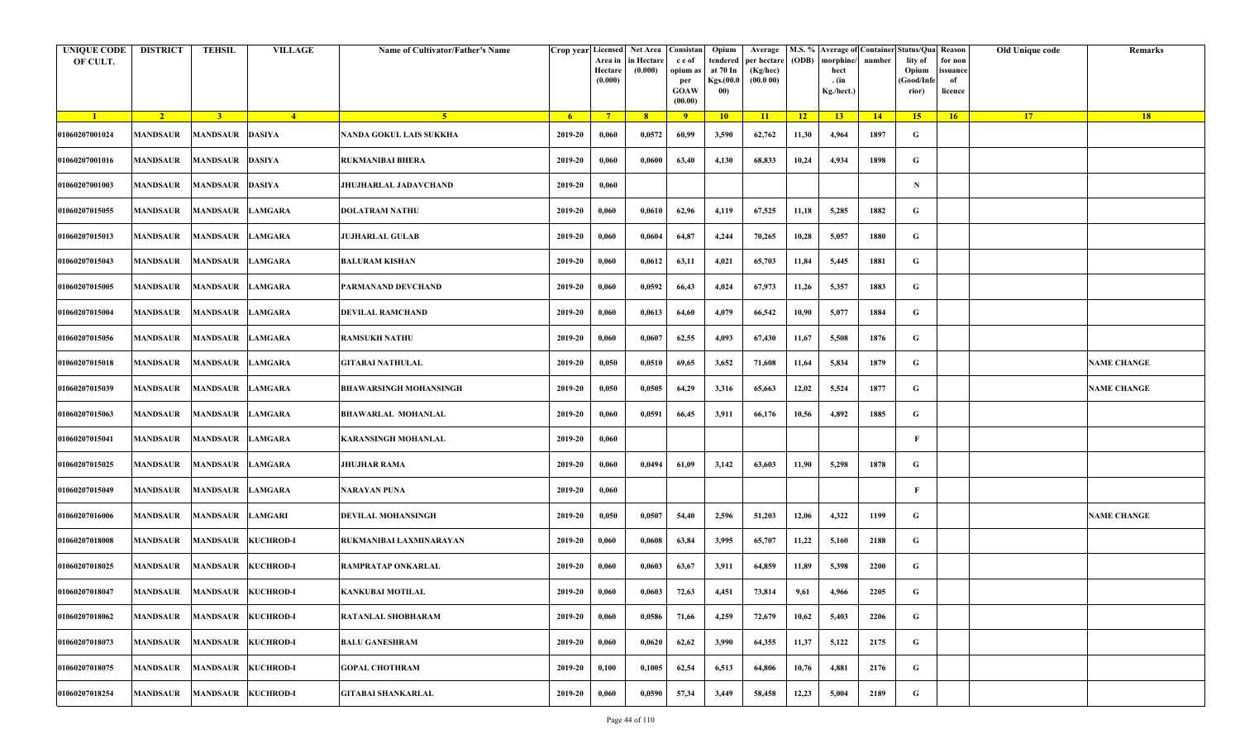| <b>UNIQUE CODE</b><br>OF CULT. | <b>DISTRICT</b>             | <b>TEHSIL</b>           | <b>VILLAGE</b>     | Name of Cultivator/Father's Name | Crop year Licensed Net Area Consistan | Area in<br>Hectare<br>(0.000) | in Hectare<br>(0.000) | c e of<br>opium as<br>per<br><b>GOAW</b><br>(00.00) | Opium<br>tendered<br>at 70 In<br>Kgs.(00.0<br>00) | Average<br>per hectare<br>(Kg/hec)<br>(00.000) | (ODB) | M.S. % Average of Container Status/Qua Reason<br>morphine/<br>hect<br>. (in<br>Kg./hect.) | number | lity of<br>Opium<br>(Good/Infe<br>rior) | for non<br>ssuance<br>of<br>licence | Old Unique code | Remarks            |
|--------------------------------|-----------------------------|-------------------------|--------------------|----------------------------------|---------------------------------------|-------------------------------|-----------------------|-----------------------------------------------------|---------------------------------------------------|------------------------------------------------|-------|-------------------------------------------------------------------------------------------|--------|-----------------------------------------|-------------------------------------|-----------------|--------------------|
| $\blacksquare$                 | $\sqrt{2}$                  | 3 <sup>1</sup>          | $-4$               | 5 <sup>1</sup>                   | $-6$                                  | $7^{\circ}$                   | 8 <sup>°</sup>        | $\overline{9}$                                      | 10                                                | 11                                             | $-12$ | 13                                                                                        | 14     | 15                                      | 16                                  | <b>17</b>       | 18                 |
| 01060207001024                 | <b>MANDSAUR</b>             | <b>MANDSAUR DASIYA</b>  |                    | NANDA GOKUL LAIS SUKKHA          | 2019-20                               | 0,060                         | 0,0572                | 60,99                                               | 3,590                                             | 62,762                                         | 11,30 | 4,964                                                                                     | 1897   | G                                       |                                     |                 |                    |
| 01060207001016                 | MANDSAUR                    | <b>MANDSAUR DASIYA</b>  |                    | <b>RUKMANIBAI BHERA</b>          | 2019-20                               | 0,060                         | 0,0600                | 63,40                                               | 4,130                                             | 68,833                                         | 10,24 | 4,934                                                                                     | 1898   | G                                       |                                     |                 |                    |
| 01060207001003                 | <b>MANDSAUR</b>             | <b>MANDSAUR DASIYA</b>  |                    | <b>JHUJHARLAL JADAVCHAND</b>     | 2019-20                               | 0,060                         |                       |                                                     |                                                   |                                                |       |                                                                                           |        | $\mathbf N$                             |                                     |                 |                    |
| 01060207015055                 | MANDSAUR                    | MANDSAUR LAMGARA        |                    | <b>DOLATRAM NATHU</b>            | 2019-20                               | 0,060                         | 0,0610                | 62,96                                               | 4,119                                             | 67,525                                         | 11,18 | 5,285                                                                                     | 1882   | G                                       |                                     |                 |                    |
| 01060207015013                 | <b>MANDSAUR</b>             | <b>MANDSAUR</b>         | <b>LAMGARA</b>     | JUJHARLAL GULAB                  | 2019-20                               | 0,060                         | 0,0604                | 64,87                                               | 4,244                                             | 70,265                                         | 10,28 | 5,057                                                                                     | 1880   | G                                       |                                     |                 |                    |
| 01060207015043                 | MANDSAUR                    | MANDSAUR LAMGARA        |                    | <b>BALURAM KISHAN</b>            | 2019-20                               | 0,060                         | 0,0612                | 63,11                                               | 4,021                                             | 65,703                                         | 11,84 | 5,445                                                                                     | 1881   | G                                       |                                     |                 |                    |
| 01060207015005                 | MANDSAUR                    | <b>MANDSAUR LAMGARA</b> |                    | PARMANAND DEVCHAND               | 2019-20                               | 0,060                         | 0,0592                | 66,43                                               | 4,024                                             | 67,973                                         | 11,26 | 5,357                                                                                     | 1883   | G                                       |                                     |                 |                    |
| 01060207015004                 | <b>MANDSAUR</b>             | <b>MANDSAUR LAMGARA</b> |                    | DEVILAL RAMCHAND                 | 2019-20                               | 0,060                         | 0,0613                | 64,60                                               | 4,079                                             | 66,542                                         | 10,90 | 5,077                                                                                     | 1884   | G                                       |                                     |                 |                    |
| 01060207015056                 | MANDSAUR                    | <b>MANDSAUR LAMGARA</b> |                    | <b>RAMSUKH NATHU</b>             | 2019-20                               | 0,060                         | 0,0607                | 62,55                                               | 4,093                                             | 67,430                                         | 11,67 | 5,508                                                                                     | 1876   | G                                       |                                     |                 |                    |
| 01060207015018                 | <b>MANDSAUR</b>             | <b>MANDSAUR</b>         | <b>LAMGARA</b>     | <b>GITABAI NATHULAL</b>          | 2019-20                               | 0,050                         | 0,0510                | 69,65                                               | 3,652                                             | 71,608                                         | 11,64 | 5,834                                                                                     | 1879   | G                                       |                                     |                 | <b>NAME CHANGE</b> |
| 01060207015039                 | MANDSAUR                    | MANDSAUR LAMGARA        |                    | <b>BHAWARSINGH MOHANSINGH</b>    | 2019-20                               | 0,050                         | 0,0505                | 64,29                                               | 3,316                                             | 65,663                                         | 12,02 | 5,524                                                                                     | 1877   | G                                       |                                     |                 | <b>NAME CHANGE</b> |
| 01060207015063                 | <b>MANDSAUR</b>             | <b>MANDSAUR</b>         | <b>LAMGARA</b>     | <b>BHAWARLAL MOHANLAL</b>        | 2019-20                               | 0,060                         | 0,0591                | 66,45                                               | 3,911                                             | 66,176                                         | 10,56 | 4,892                                                                                     | 1885   | G                                       |                                     |                 |                    |
| 01060207015041                 | <b>MANDSAUR</b>             | <b>MANDSAUR</b>         | <b>LAMGARA</b>     | <b>KARANSINGH MOHANLAL</b>       | 2019-20                               | 0,060                         |                       |                                                     |                                                   |                                                |       |                                                                                           |        | F                                       |                                     |                 |                    |
| 01060207015025                 | <b>MANDSAUR</b>             | <b>MANDSAUR</b>         | <b>LAMGARA</b>     | JHUJHAR RAMA                     | 2019-20                               | 0,060                         | 0,0494                | 61,09                                               | 3,142                                             | 63,603                                         | 11,90 | 5,298                                                                                     | 1878   | G                                       |                                     |                 |                    |
| 01060207015049                 | MANDSAUR                    | MANDSAUR LAMGARA        |                    | <b>NARAYAN PUNA</b>              | 2019-20                               | 0,060                         |                       |                                                     |                                                   |                                                |       |                                                                                           |        | F                                       |                                     |                 |                    |
| 01060207016006                 | <b>MANDSAUR</b>             | MANDSAUR LAMGARI        |                    | DEVILAL MOHANSINGH               | 2019-20                               | 0,050                         | 0,0507                | 54,40                                               | 2,596                                             | 51,203                                         | 12,06 | 4,322                                                                                     | 1199   | G                                       |                                     |                 | <b>NAME CHANGE</b> |
| 01060207018008                 | <b>MANDSAUR</b>             |                         | MANDSAUR KUCHROD-I | RUKMANIBAI LAXMINARAYAN          | 2019-20                               | 0,060                         | 0,0608                | 63,84                                               | 3,995                                             | 65,707                                         | 11,22 | 5,160                                                                                     | 2188   | G                                       |                                     |                 |                    |
| 01060207018025                 | MANDSAUR                    |                         | MANDSAUR KUCHROD-I | RAMPRATAP ONKARLAL               | 2019-20                               | 0,060                         | 0,0603                | 63,67                                               | 3,911                                             | 64,859                                         | 11,89 | 5,398                                                                                     | 2200   | G                                       |                                     |                 |                    |
| 01060207018047                 | MANDSAUR MANDSAUR KUCHROD-I |                         |                    | <b>KANKUBAI MOTILAL</b>          | 2019-20                               | 0,060                         | 0,0603                | 72,63                                               | 4,451                                             | 73,814                                         | 9,61  | 4,966                                                                                     | 2205   | G                                       |                                     |                 |                    |
| 01060207018062                 | <b>MANDSAUR</b>             | <b>MANDSAUR</b>         | <b>KUCHROD-I</b>   | RATANLAL SHOBHARAM               | 2019-20                               | 0,060                         | 0,0586                | 71,66                                               | 4,259                                             | 72,679                                         | 10,62 | 5,403                                                                                     | 2206   | $\mathbf G$                             |                                     |                 |                    |
| 01060207018073                 | <b>MANDSAUR</b>             | <b>MANDSAUR</b>         | <b>KUCHROD-I</b>   | <b>BALU GANESHRAM</b>            | 2019-20                               | 0,060                         | 0,0620                | 62,62                                               | 3,990                                             | 64,355                                         | 11,37 | 5,122                                                                                     | 2175   | G                                       |                                     |                 |                    |
| 01060207018075                 | <b>MANDSAUR</b>             |                         | MANDSAUR KUCHROD-I | <b>GOPAL CHOTHRAM</b>            | 2019-20                               | 0,100                         | 0,1005                | 62,54                                               | 6,513                                             | 64,806                                         | 10,76 | 4,881                                                                                     | 2176   | G                                       |                                     |                 |                    |
| 01060207018254                 | <b>MANDSAUR</b>             |                         | MANDSAUR KUCHROD-I | <b>GITABAI SHANKARLAL</b>        | 2019-20                               | 0,060                         | 0,0590                | 57,34                                               | 3,449                                             | 58,458                                         | 12,23 | 5,004                                                                                     | 2189   | G                                       |                                     |                 |                    |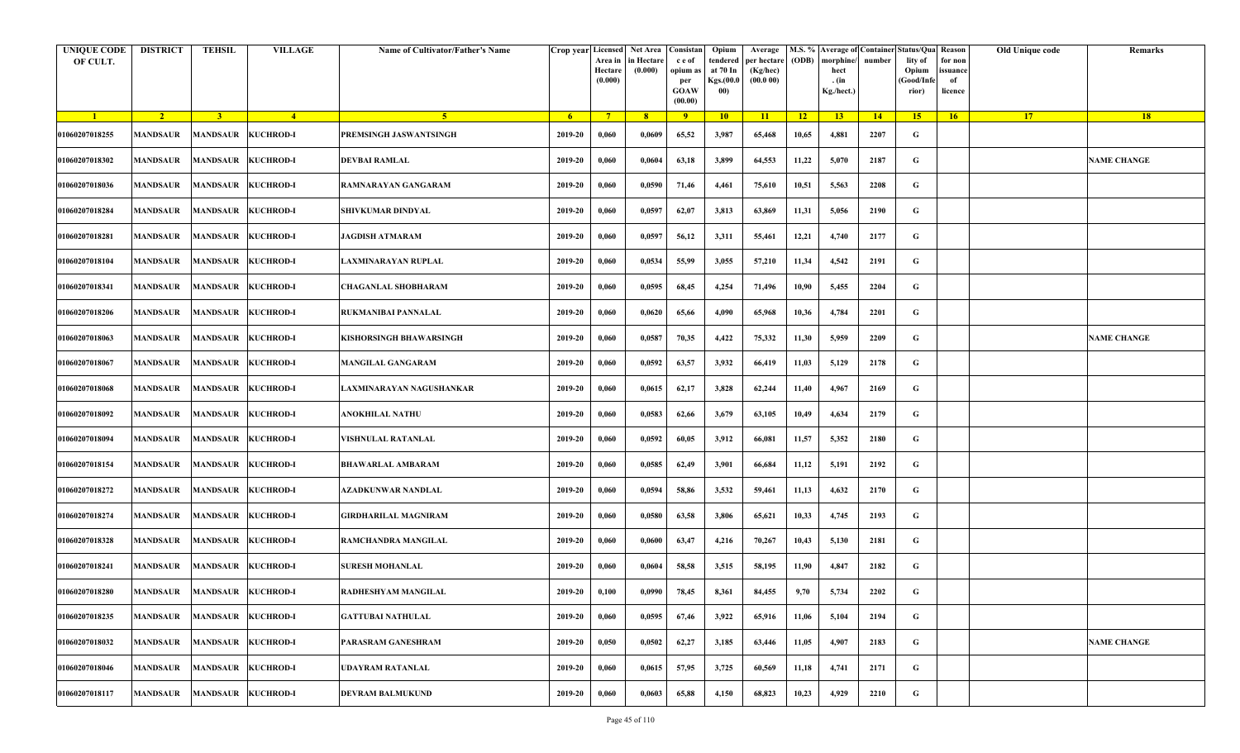| <b>UNIQUE CODE</b><br>OF CULT. | <b>DISTRICT</b>             | <b>TEHSIL</b>             | <b>VILLAGE</b>            | Name of Cultivator/Father's Name | Crop year Licensed | Area in<br>Hectare<br>(0.000) | Net Area<br>in Hectare<br>(0.000) | Consistan<br>c e of<br>opium as<br>per<br><b>GOAW</b><br>(00.00) | Opium<br>tendered<br>at 70 In<br>Kgs.(00.0<br>00) | Average<br>per hectare<br>(Kg/hec)<br>(00.000) | (ODB) | morphine<br>hect<br>. $(in$<br>Kg./hect.) | number | M.S. % Average of Container Status/Qua Reason<br>lity of<br>Opium<br>(Good/Infe<br>rior) | for non<br>issuance<br>of<br>licence | Old Unique code | Remarks            |
|--------------------------------|-----------------------------|---------------------------|---------------------------|----------------------------------|--------------------|-------------------------------|-----------------------------------|------------------------------------------------------------------|---------------------------------------------------|------------------------------------------------|-------|-------------------------------------------|--------|------------------------------------------------------------------------------------------|--------------------------------------|-----------------|--------------------|
| $\blacksquare$                 | $\sqrt{2}$                  | $\overline{3}$            | $-4$                      | -5 -                             | 6 <sup>1</sup>     | $7^{\circ}$                   | 8 <sup>2</sup>                    | 9                                                                | 10                                                | 11                                             | 12    | 13                                        | 14     | 15 <sup>2</sup>                                                                          | 16                                   | 17 <sup>2</sup> | <b>18</b>          |
| 01060207018255                 | <b>MANDSAUR</b>             | MANDSAUR                  | <b>KUCHROD-I</b>          | PREMSINGH JASWANTSINGH           | 2019-20            | 0,060                         | 0,0609                            | 65,52                                                            | 3,987                                             | 65,468                                         | 10,65 | 4,881                                     | 2207   | G                                                                                        |                                      |                 |                    |
| 01060207018302                 | <b>MANDSAUR</b>             | <b>MANDSAUR KUCHROD-I</b> |                           | <b>DEVBAI RAMLAL</b>             | 2019-20            | 0,060                         | 0,0604                            | 63,18                                                            | 3,899                                             | 64,553                                         | 11,22 | 5,070                                     | 2187   | G                                                                                        |                                      |                 | <b>NAME CHANGE</b> |
| 01060207018036                 | <b>MANDSAUR</b>             | MANDSAUR KUCHROD-I        |                           | RAMNARAYAN GANGARAM              | 2019-20            | 0,060                         | 0,0590                            | 71,46                                                            | 4,461                                             | 75,610                                         | 10,51 | 5,563                                     | 2208   | G                                                                                        |                                      |                 |                    |
| 01060207018284                 | <b>MANDSAUR</b>             | MANDSAUR KUCHROD-I        |                           | SHIVKUMAR DINDYAL                | 2019-20            | 0,060                         | 0,0597                            | 62,07                                                            | 3,813                                             | 63,869                                         | 11,31 | 5,056                                     | 2190   | G                                                                                        |                                      |                 |                    |
| 01060207018281                 | <b>MANDSAUR</b>             | <b>MANDSAUR KUCHROD-I</b> |                           | JAGDISH ATMARAM                  | 2019-20            | 0,060                         | 0,0597                            | 56,12                                                            | 3,311                                             | 55,461                                         | 12,21 | 4,740                                     | 2177   | G                                                                                        |                                      |                 |                    |
| 01060207018104                 | <b>MANDSAUR</b>             | MANDSAUR KUCHROD-I        |                           | LAXMINARAYAN RUPLAL              | 2019-20            | 0,060                         | 0,0534                            | 55,99                                                            | 3,055                                             | 57,210                                         | 11,34 | 4,542                                     | 2191   | G                                                                                        |                                      |                 |                    |
| 01060207018341                 | <b>MANDSAUR</b>             | <b>MANDSAUR KUCHROD-I</b> |                           | <b>CHAGANLAL SHOBHARAM</b>       | 2019-20            | 0,060                         | 0,0595                            | 68,45                                                            | 4,254                                             | 71,496                                         | 10,90 | 5,455                                     | 2204   | G                                                                                        |                                      |                 |                    |
| 01060207018206                 | <b>MANDSAUR</b>             | MANDSAUR KUCHROD-I        |                           | RUKMANIBAI PANNALAL              | 2019-20            | 0,060                         | 0,0620                            | 65,66                                                            | 4,090                                             | 65,968                                         | 10,36 | 4,784                                     | 2201   | G                                                                                        |                                      |                 |                    |
| 01060207018063                 | MANDSAUR                    |                           | <b>MANDSAUR KUCHROD-I</b> | KISHORSINGH BHAWARSINGH          | 2019-20            | 0,060                         | 0,0587                            | 70,35                                                            | 4,422                                             | 75,332                                         | 11,30 | 5,959                                     | 2209   | G                                                                                        |                                      |                 | <b>NAME CHANGE</b> |
| 01060207018067                 | <b>MANDSAUR</b>             | <b>MANDSAUR KUCHROD-I</b> |                           | <b>MANGILAL GANGARAM</b>         | 2019-20            | 0,060                         | 0,0592                            | 63,57                                                            | 3,932                                             | 66,419                                         | 11,03 | 5,129                                     | 2178   | G                                                                                        |                                      |                 |                    |
| 01060207018068                 | MANDSAUR                    | MANDSAUR KUCHROD-I        |                           | LAXMINARAYAN NAGUSHANKAR         | 2019-20            | 0,060                         | 0,0615                            | 62,17                                                            | 3,828                                             | 62,244                                         | 11,40 | 4,967                                     | 2169   | G                                                                                        |                                      |                 |                    |
| 01060207018092                 | <b>MANDSAUR</b>             | <b>MANDSAUR KUCHROD-I</b> |                           | ANOKHILAL NATHU                  | 2019-20            | 0,060                         | 0,0583                            | 62,66                                                            | 3,679                                             | 63,105                                         | 10,49 | 4,634                                     | 2179   | G                                                                                        |                                      |                 |                    |
| 01060207018094                 | <b>MANDSAUR</b>             | MANDSAUR KUCHROD-I        |                           | VISHNULAL RATANLAL               | 2019-20            | 0,060                         | 0,0592                            | 60,05                                                            | 3,912                                             | 66,081                                         | 11,57 | 5,352                                     | 2180   | G                                                                                        |                                      |                 |                    |
| 01060207018154                 | <b>MANDSAUR</b>             | <b>MANDSAUR KUCHROD-I</b> |                           | <b>BHAWARLAL AMBARAM</b>         | 2019-20            | 0,060                         | 0,0585                            | 62,49                                                            | 3,901                                             | 66,684                                         | 11,12 | 5,191                                     | 2192   | G                                                                                        |                                      |                 |                    |
| 01060207018272                 | <b>MANDSAUR</b>             | MANDSAUR KUCHROD-I        |                           | AZADKUNWAR NANDLAL               | 2019-20            | 0,060                         | 0,0594                            | 58,86                                                            | 3,532                                             | 59,461                                         | 11,13 | 4,632                                     | 2170   | G                                                                                        |                                      |                 |                    |
| 01060207018274                 | <b>MANDSAUR</b>             |                           | <b>MANDSAUR KUCHROD-I</b> | <b>GIRDHARILAL MAGNIRAM</b>      | 2019-20            | 0,060                         | 0,0580                            | 63,58                                                            | 3,806                                             | 65,621                                         | 10,33 | 4,745                                     | 2193   | G                                                                                        |                                      |                 |                    |
| 01060207018328                 | <b>MANDSAUR</b>             | <b>MANDSAUR KUCHROD-I</b> |                           | RAMCHANDRA MANGILAL              | 2019-20            | 0,060                         | 0,0600                            | 63,47                                                            | 4,216                                             | 70,267                                         | 10,43 | 5,130                                     | 2181   | G                                                                                        |                                      |                 |                    |
| 01060207018241                 | MANDSAUR                    | MANDSAUR KUCHROD-I        |                           | <b>SURESH MOHANLAL</b>           | 2019-20            | 0,060                         | 0,0604                            | 58,58                                                            | 3,515                                             | 58,195                                         | 11,90 | 4,847                                     | 2182   | G                                                                                        |                                      |                 |                    |
| 01060207018280                 | MANDSAUR MANDSAUR KUCHROD-I |                           |                           | <b>RADHESHYAM MANGILAL</b>       | 2019-20            | 0,100                         | 0,0990                            | 78,45                                                            | 8,361                                             | 84,455                                         | 9,70  | 5,734                                     | 2202   | G                                                                                        |                                      |                 |                    |
| 01060207018235                 | <b>MANDSAUR</b>             | MANDSAUR KUCHROD-I        |                           | <b>GATTUBAI NATHULAL</b>         | 2019-20            | 0,060                         | 0,0595                            | 67,46                                                            | 3,922                                             | 65,916                                         | 11,06 | 5,104                                     | 2194   | G                                                                                        |                                      |                 |                    |
| 01060207018032                 | <b>MANDSAUR</b>             |                           | MANDSAUR KUCHROD-I        | PARASRAM GANESHRAM               | 2019-20            | 0,050                         | 0,0502                            | 62,27                                                            | 3,185                                             | 63,446                                         | 11,05 | 4,907                                     | 2183   | G                                                                                        |                                      |                 | <b>NAME CHANGE</b> |
| 01060207018046                 | <b>MANDSAUR</b>             | MANDSAUR KUCHROD-I        |                           | <b>UDAYRAM RATANLAL</b>          | 2019-20            | 0,060                         | 0,0615                            | 57,95                                                            | 3,725                                             | 60,569                                         | 11,18 | 4,741                                     | 2171   | G                                                                                        |                                      |                 |                    |
| 01060207018117                 | <b>MANDSAUR</b>             |                           | <b>MANDSAUR KUCHROD-I</b> | <b>DEVRAM BALMUKUND</b>          | 2019-20            | 0,060                         | 0,0603                            | 65,88                                                            | 4,150                                             | 68,823                                         | 10,23 | 4,929                                     | 2210   | G                                                                                        |                                      |                 |                    |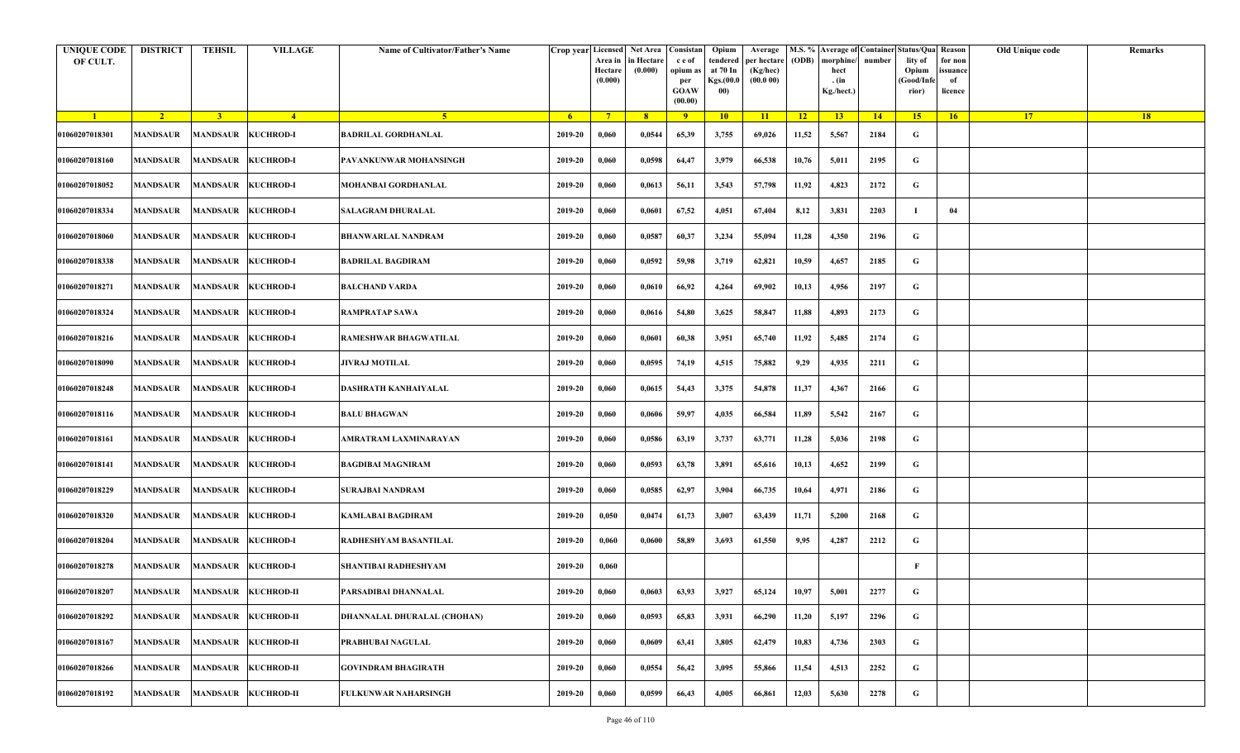| <b>UNIQUE CODE</b><br>OF CULT. | <b>DISTRICT</b> | <b>TEHSIL</b>   | <b>VILLAGE</b>               | Name of Cultivator/Father's Name |                | Crop year Licensed<br>Area in<br>Hectare<br>(0.000) | Net Area   Consistan  <br>in Hectare<br>(0.000) | c e of<br>opium as<br>per<br><b>GOAW</b><br>(00.00) | Opium<br>tendered<br>at 70 In<br>Kgs.(00.0<br>00) | Average<br>per hectare<br>(Kg/hec)<br>(00.000) | (ODB)           | M.S. % Average of Container Status/Qua Reason<br>morphine/<br>hect<br>. (in<br>Kg./hect.) | number | lity of<br>Opium<br>(Good/Info<br>rior) | for non<br>ssuance<br>of<br>licence | Old Unique code | Remarks |
|--------------------------------|-----------------|-----------------|------------------------------|----------------------------------|----------------|-----------------------------------------------------|-------------------------------------------------|-----------------------------------------------------|---------------------------------------------------|------------------------------------------------|-----------------|-------------------------------------------------------------------------------------------|--------|-----------------------------------------|-------------------------------------|-----------------|---------|
| $\blacksquare$                 | $\sqrt{2}$      | 3 <sup>1</sup>  | $\frac{4}{ }$                | -5 -                             | 6 <sup>6</sup> | $7^{\circ}$                                         | 8                                               | $\overline{9}$                                      | 10                                                | 11                                             | $\overline{12}$ | 13                                                                                        | 14     | 15                                      | 16                                  | 17 <sup>2</sup> | 18      |
| 01060207018301                 | <b>MANDSAUR</b> |                 | MANDSAUR KUCHROD-I           | <b>BADRILAL GORDHANLAL</b>       | 2019-20        | 0,060                                               | 0,0544                                          | 65,39                                               | 3,755                                             | 69,026                                         | 11,52           | 5,567                                                                                     | 2184   | G                                       |                                     |                 |         |
| 01060207018160                 | <b>MANDSAUR</b> |                 | MANDSAUR KUCHROD-I           | PAVANKUNWAR MOHANSINGH           | 2019-20        | 0,060                                               | 0,0598                                          | 64,47                                               | 3,979                                             | 66,538                                         | 10,76           | 5,011                                                                                     | 2195   | G                                       |                                     |                 |         |
| 01060207018052                 | <b>MANDSAUR</b> |                 | MANDSAUR KUCHROD-I           | MOHANBAI GORDHANLAL              | 2019-20        | 0,060                                               | 0,0613                                          | 56,11                                               | 3,543                                             | 57,798                                         | 11,92           | 4,823                                                                                     | 2172   | G                                       |                                     |                 |         |
| 01060207018334                 | MANDSAUR        |                 | MANDSAUR KUCHROD-I           | <b>SALAGRAM DHURALAL</b>         | 2019-20        | 0,060                                               | 0,0601                                          | 67,52                                               | 4,051                                             | 67,404                                         | 8,12            | 3,831                                                                                     | 2203   | -1                                      | 04                                  |                 |         |
| 01060207018060                 | <b>MANDSAUR</b> | <b>MANDSAUR</b> | <b>KUCHROD-I</b>             | <b>BHANWARLAL NANDRAM</b>        | 2019-20        | 0,060                                               | 0,0587                                          | 60,37                                               | 3,234                                             | 55,094                                         | 11,28           | 4,350                                                                                     | 2196   | G                                       |                                     |                 |         |
| 01060207018338                 | MANDSAUR        |                 | MANDSAUR KUCHROD-I           | <b>BADRILAL BAGDIRAM</b>         | 2019-20        | 0,060                                               | 0,0592                                          | 59,98                                               | 3,719                                             | 62,821                                         | 10,59           | 4,657                                                                                     | 2185   | G                                       |                                     |                 |         |
| 01060207018271                 | <b>MANDSAUR</b> |                 | MANDSAUR KUCHROD-I           | <b>BALCHAND VARDA</b>            | 2019-20        | 0,060                                               | 0,0610                                          | 66,92                                               | 4,264                                             | 69,902                                         | 10,13           | 4,956                                                                                     | 2197   | G                                       |                                     |                 |         |
| 01060207018324                 | <b>MANDSAUR</b> |                 | MANDSAUR KUCHROD-I           | <b>RAMPRATAP SAWA</b>            | 2019-20        | 0,060                                               | 0,0616                                          | 54,80                                               | 3,625                                             | 58,847                                         | 11,88           | 4,893                                                                                     | 2173   | G                                       |                                     |                 |         |
| 01060207018216                 | MANDSAUR        |                 | MANDSAUR KUCHROD-I           | <b>RAMESHWAR BHAGWATILAL</b>     | 2019-20        | 0,060                                               | 0,0601                                          | 60,38                                               | 3,951                                             | 65,740                                         | 11,92           | 5,485                                                                                     | 2174   | G                                       |                                     |                 |         |
| 01060207018090                 | <b>MANDSAUR</b> |                 | MANDSAUR KUCHROD-I           | <b>JIVRAJ MOTILAL</b>            | 2019-20        | 0,060                                               | 0,0595                                          | 74,19                                               | 4,515                                             | 75,882                                         | 9,29            | 4,935                                                                                     | 2211   | G                                       |                                     |                 |         |
| 01060207018248                 | <b>MANDSAUR</b> |                 | MANDSAUR KUCHROD-I           | DASHRATH KANHAIYALAL             | 2019-20        | 0,060                                               | 0,0615                                          | 54,43                                               | 3,375                                             | 54,878                                         | 11,37           | 4,367                                                                                     | 2166   | G                                       |                                     |                 |         |
| 01060207018116                 | <b>MANDSAUR</b> |                 | MANDSAUR KUCHROD-I           | <b>BALU BHAGWAN</b>              | 2019-20        | 0,060                                               | 0,0606                                          | 59,97                                               | 4,035                                             | 66,584                                         | 11,89           | 5,542                                                                                     | 2167   | G                                       |                                     |                 |         |
| 01060207018161                 | <b>MANDSAUR</b> |                 | MANDSAUR KUCHROD-I           | AMRATRAM LAXMINARAYAN            | 2019-20        | 0,060                                               | 0,0586                                          | 63,19                                               | 3,737                                             | 63,771                                         | 11,28           | 5,036                                                                                     | 2198   | G                                       |                                     |                 |         |
| 01060207018141                 | <b>MANDSAUR</b> |                 | MANDSAUR KUCHROD-I           | <b>BAGDIBAI MAGNIRAM</b>         | 2019-20        | 0,060                                               | 0,0593                                          | 63,78                                               | 3,891                                             | 65,616                                         | 10,13           | 4,652                                                                                     | 2199   | G                                       |                                     |                 |         |
| 01060207018229                 | MANDSAUR        |                 | MANDSAUR KUCHROD-I           | <b>SURAJBAI NANDRAM</b>          | 2019-20        | 0,060                                               | 0,0585                                          | 62,97                                               | 3,904                                             | 66,735                                         | 10,64           | 4,971                                                                                     | 2186   | G                                       |                                     |                 |         |
| 01060207018320                 | <b>MANDSAUR</b> |                 | MANDSAUR KUCHROD-I           | <b>KAMLABAI BAGDIRAM</b>         | 2019-20        | 0,050                                               | 0,0474                                          | 61,73                                               | 3,007                                             | 63,439                                         | 11,71           | 5,200                                                                                     | 2168   | G                                       |                                     |                 |         |
| 01060207018204                 | MANDSAUR        |                 | MANDSAUR KUCHROD-I           | <b>RADHESHYAM BASANTILAL</b>     | 2019-20        | 0,060                                               | 0,0600                                          | 58,89                                               | 3,693                                             | 61,550                                         | 9,95            | 4,287                                                                                     | 2212   | G                                       |                                     |                 |         |
| 01060207018278                 | MANDSAUR        |                 | MANDSAUR KUCHROD-I           | SHANTIBAI RADHESHYAM             | 2019-20        | 0,060                                               |                                                 |                                                     |                                                   |                                                |                 |                                                                                           |        | F                                       |                                     |                 |         |
| 01060207018207                 |                 |                 | MANDSAUR MANDSAUR KUCHROD-II | PARSADIBAI DHANNALAL             | 2019-20        | 0,060                                               | 0,0603                                          | 63,93                                               | 3,927                                             | 65,124                                         | 10,97           | 5,001                                                                                     | 2277   | G                                       |                                     |                 |         |
| 01060207018292                 | <b>MANDSAUR</b> |                 | MANDSAUR KUCHROD-II          | DHANNALAL DHURALAL (CHOHAN)      | 2019-20        | 0,060                                               | 0,0593                                          | 65,83                                               | 3,931                                             | 66,290                                         | 11,20           | 5,197                                                                                     | 2296   | $\mathbf G$                             |                                     |                 |         |
| 01060207018167                 | <b>MANDSAUR</b> | <b>MANDSAUR</b> | <b>KUCHROD-II</b>            | PRABHUBAI NAGULAL                | 2019-20        | 0,060                                               | 0,0609                                          | 63,41                                               | 3,805                                             | 62,479                                         | 10,83           | 4,736                                                                                     | 2303   | $\mathbf G$                             |                                     |                 |         |
| 01060207018266                 | <b>MANDSAUR</b> |                 | MANDSAUR KUCHROD-II          | <b>GOVINDRAM BHAGIRATH</b>       | 2019-20        | 0,060                                               | 0,0554                                          | 56,42                                               | 3,095                                             | 55,866                                         | 11,54           | 4,513                                                                                     | 2252   | G                                       |                                     |                 |         |
| 01060207018192                 | <b>MANDSAUR</b> |                 | MANDSAUR KUCHROD-II          | <b>FULKUNWAR NAHARSINGH</b>      | 2019-20        | 0,060                                               | 0,0599                                          | 66,43                                               | 4,005                                             | 66,861                                         | 12,03           | 5,630                                                                                     | 2278   | G                                       |                                     |                 |         |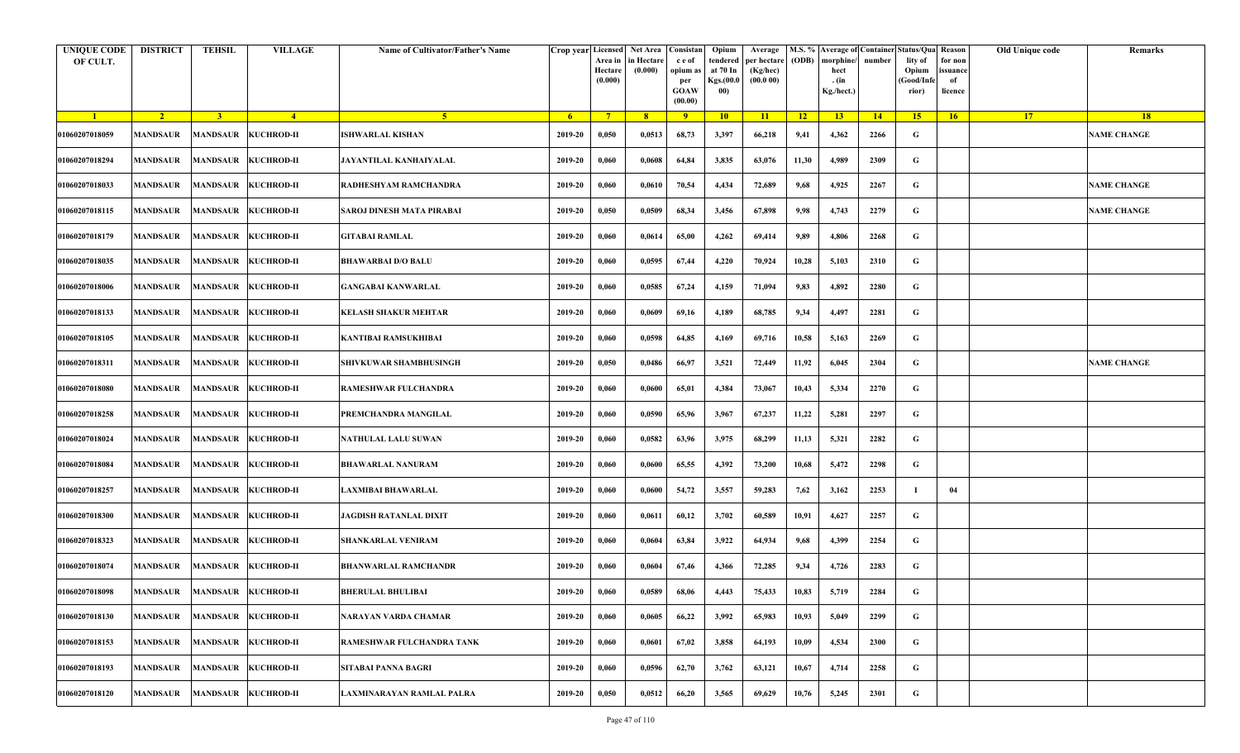| <b>UNIQUE CODE</b><br>OF CULT. | <b>DISTRICT</b>              | <b>TEHSIL</b>       | <b>VILLAGE</b>             | Name of Cultivator/Father's Name | Crop year Licensed | Area in<br>Hectare<br>(0.000) | Net Area   Consistan<br>in Hectare<br>(0.000) | c e of<br>opium a<br>per<br><b>GOAW</b><br>(00.00) | Opium<br>tendered<br>at 70 In<br>Kgs.(00.0<br>00) | Average<br>per hectare<br>(Kg/hec)<br>(00.000) | (ODB) | M.S. % Average of Container Status/Qua Reason<br>morphine/<br>hect<br>. (in<br>Kg./hect.) | number | lity of<br>Opium<br>(Good/Infe<br>rior) | for non<br>ssuance<br>of<br>licence | Old Unique code | Remarks            |
|--------------------------------|------------------------------|---------------------|----------------------------|----------------------------------|--------------------|-------------------------------|-----------------------------------------------|----------------------------------------------------|---------------------------------------------------|------------------------------------------------|-------|-------------------------------------------------------------------------------------------|--------|-----------------------------------------|-------------------------------------|-----------------|--------------------|
| $\blacksquare$                 | $\sqrt{2}$                   | 3 <sup>1</sup>      | $\sqrt{4}$                 | 5 <sup>1</sup>                   | $-6$               | $7^{\circ}$                   | 8 <sup>°</sup>                                | $\overline{9}$                                     | 10                                                | 11                                             | $-12$ | 13                                                                                        | 14     | 15                                      | 16                                  | <b>17</b>       | 18                 |
| 01060207018059                 | <b>MANDSAUR</b>              |                     | MANDSAUR KUCHROD-II        | <b>ISHWARLAL KISHAN</b>          | 2019-20            | 0,050                         | 0,0513                                        | 68,73                                              | 3,397                                             | 66,218                                         | 9,41  | 4,362                                                                                     | 2266   | G                                       |                                     |                 | <b>NAME CHANGE</b> |
| 01060207018294                 | <b>MANDSAUR</b>              | MANDSAUR KUCHROD-II |                            | JAYANTILAL KANHAIYALAL           | 2019-20            | 0,060                         | 0,0608                                        | 64,84                                              | 3,835                                             | 63,076                                         | 11,30 | 4,989                                                                                     | 2309   | G                                       |                                     |                 |                    |
| 01060207018033                 | <b>MANDSAUR</b>              | <b>MANDSAUR</b>     | <b>KUCHROD-II</b>          | RADHESHYAM RAMCHANDRA            | 2019-20            | 0,060                         | 0,0610                                        | 70,54                                              | 4,434                                             | 72,689                                         | 9,68  | 4,925                                                                                     | 2267   | G                                       |                                     |                 | <b>NAME CHANGE</b> |
| 01060207018115                 | <b>MANDSAUR</b>              | MANDSAUR KUCHROD-II |                            | SAROJ DINESH MATA PIRABAI        | 2019-20            | 0,050                         | 0,0509                                        | 68,34                                              | 3,456                                             | 67,898                                         | 9,98  | 4,743                                                                                     | 2279   | G                                       |                                     |                 | <b>NAME CHANGE</b> |
| 01060207018179                 | <b>MANDSAUR</b>              |                     | MANDSAUR KUCHROD-II        | GITABAI RAMLAL                   | 2019-20            | 0,060                         | 0,0614                                        | 65,00                                              | 4,262                                             | 69,414                                         | 9,89  | 4,806                                                                                     | 2268   | G                                       |                                     |                 |                    |
| 01060207018035                 | MANDSAUR                     | MANDSAUR KUCHROD-II |                            | <b>BHAWARBAI D/O BALU</b>        | 2019-20            | 0,060                         | 0,0595                                        | 67,44                                              | 4,220                                             | 70,924                                         | 10,28 | 5,103                                                                                     | 2310   | G                                       |                                     |                 |                    |
| 01060207018006                 | MANDSAUR                     |                     | <b>MANDSAUR KUCHROD-II</b> | <b>GANGABAI KANWARLAL</b>        | 2019-20            | 0,060                         | 0,0585                                        | 67,24                                              | 4,159                                             | 71,094                                         | 9,83  | 4,892                                                                                     | 2280   | G                                       |                                     |                 |                    |
| 01060207018133                 | <b>MANDSAUR</b>              |                     | <b>MANDSAUR KUCHROD-II</b> | <b>KELASH SHAKUR MEHTAR</b>      | 2019-20            | 0,060                         | 0,0609                                        | 69,16                                              | 4,189                                             | 68,785                                         | 9,34  | 4,497                                                                                     | 2281   | G                                       |                                     |                 |                    |
| 01060207018105                 | MANDSAUR                     |                     | MANDSAUR KUCHROD-II        | KANTIBAI RAMSUKHIBAI             | 2019-20            | 0,060                         | 0,0598                                        | 64,85                                              | 4,169                                             | 69,716                                         | 10,58 | 5,163                                                                                     | 2269   | G                                       |                                     |                 |                    |
| 01060207018311                 | <b>MANDSAUR</b>              |                     | MANDSAUR KUCHROD-II        | SHIVKUWAR SHAMBHUSINGH           | 2019-20            | 0,050                         | 0,0486                                        | 66,97                                              | 3,521                                             | 72,449                                         | 11,92 | 6,045                                                                                     | 2304   | G                                       |                                     |                 | <b>NAME CHANGE</b> |
| 01060207018080                 | <b>MANDSAUR</b>              | MANDSAUR KUCHROD-II |                            | RAMESHWAR FULCHANDRA             | 2019-20            | 0,060                         | 0,0600                                        | 65,01                                              | 4,384                                             | 73,067                                         | 10,43 | 5,334                                                                                     | 2270   | G                                       |                                     |                 |                    |
| 01060207018258                 | <b>MANDSAUR</b>              |                     | <b>MANDSAUR KUCHROD-II</b> | PREMCHANDRA MANGILAL             | 2019-20            | 0,060                         | 0,0590                                        | 65,96                                              | 3,967                                             | 67,237                                         | 11,22 | 5,281                                                                                     | 2297   | G                                       |                                     |                 |                    |
| 01060207018024                 | <b>MANDSAUR</b>              | MANDSAUR KUCHROD-II |                            | NATHULAL LALU SUWAN              | 2019-20            | 0,060                         | 0,0582                                        | 63,96                                              | 3,975                                             | 68,299                                         | 11,13 | 5,321                                                                                     | 2282   | G                                       |                                     |                 |                    |
| 01060207018084                 | <b>MANDSAUR</b>              |                     | MANDSAUR KUCHROD-II        | <b>BHAWARLAL NANURAM</b>         | 2019-20            | 0,060                         | 0,0600                                        | 65,55                                              | 4,392                                             | 73,200                                         | 10,68 | 5,472                                                                                     | 2298   | G                                       |                                     |                 |                    |
| 01060207018257                 | MANDSAUR                     | MANDSAUR KUCHROD-II |                            | LAXMIBAI BHAWARLAL               | 2019-20            | 0,060                         | 0,0600                                        | 54,72                                              | 3,557                                             | 59,283                                         | 7,62  | 3,162                                                                                     | 2253   | - 1                                     | 04                                  |                 |                    |
| 01060207018300                 | MANDSAUR                     |                     | MANDSAUR KUCHROD-II        | JAGDISH RATANLAL DIXIT           | 2019-20            | 0,060                         | 0,0611                                        | 60,12                                              | 3,702                                             | 60,589                                         | 10,91 | 4,627                                                                                     | 2257   | G                                       |                                     |                 |                    |
| 01060207018323                 | <b>MANDSAUR</b>              | MANDSAUR KUCHROD-II |                            | <b>SHANKARLAL VENIRAM</b>        | 2019-20            | 0,060                         | 0,0604                                        | 63,84                                              | 3,922                                             | 64,934                                         | 9,68  | 4,399                                                                                     | 2254   | G                                       |                                     |                 |                    |
| 01060207018074                 | <b>MANDSAUR</b>              | MANDSAUR KUCHROD-II |                            | <b>BHANWARLAL RAMCHANDR</b>      | 2019-20            | 0,060                         | 0,0604                                        | 67,46                                              | 4,366                                             | 72,285                                         | 9,34  | 4,726                                                                                     | 2283   | G                                       |                                     |                 |                    |
| 01060207018098                 | MANDSAUR MANDSAUR KUCHROD-II |                     |                            | <b>BHERULAL BHULIBAI</b>         | 2019-20            | 0,060                         | 0,0589                                        | 68,06                                              | 4,443                                             | 75,433                                         | 10,83 | 5,719                                                                                     | 2284   | G                                       |                                     |                 |                    |
| 01060207018130                 | <b>MANDSAUR</b>              | MANDSAUR            | <b>KUCHROD-II</b>          | NARAYAN VARDA CHAMAR             | 2019-20            | 0,060                         | 0,0605                                        | 66,22                                              | 3,992                                             | 65,983                                         | 10,93 | 5,049                                                                                     | 2299   | $\mathbf G$                             |                                     |                 |                    |
| 01060207018153                 | <b>MANDSAUR</b>              | MANDSAUR            | <b>KUCHROD-II</b>          | RAMESHWAR FULCHANDRA TANK        | 2019-20            | 0,060                         | 0,0601                                        | 67,02                                              | 3,858                                             | 64,193                                         | 10,09 | 4,534                                                                                     | 2300   | G                                       |                                     |                 |                    |
| 01060207018193                 | <b>MANDSAUR</b>              | MANDSAUR KUCHROD-II |                            | <b>SITABAI PANNA BAGRI</b>       | 2019-20            | 0,060                         | 0,0596                                        | 62,70                                              | 3,762                                             | 63,121                                         | 10,67 | 4,714                                                                                     | 2258   | G                                       |                                     |                 |                    |
| 01060207018120                 | <b>MANDSAUR</b>              | MANDSAUR KUCHROD-II |                            | LAXMINARAYAN RAMLAL PALRA        | 2019-20            | 0,050                         | 0,0512                                        | 66,20                                              | 3,565                                             | 69,629                                         | 10,76 | 5,245                                                                                     | 2301   | G                                       |                                     |                 |                    |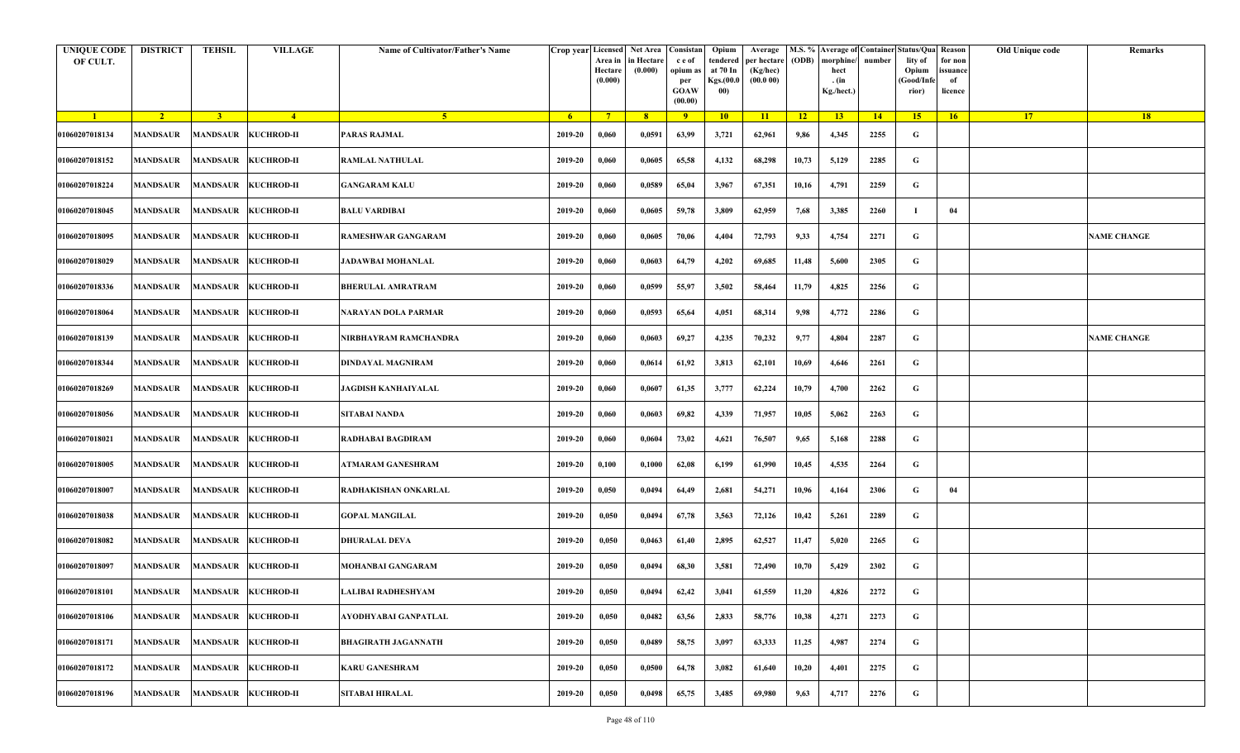| <b>UNIQUE CODE</b><br>OF CULT. | <b>DISTRICT</b>              | <b>TEHSIL</b>   | <b>VILLAGE</b>             | Name of Cultivator/Father's Name |         | Crop year Licensed Net Area Consistan<br>Area in<br>Hectare<br>(0.000) | in Hectare<br>(0.000) | c e of<br>opium as<br>per<br><b>GOAW</b><br>(00.00) | Opium<br>tendered<br>at 70 In<br>Kgs.(00.0<br>00) | Average<br>per hectare<br>(Kg/hec)<br>(00.000) | (ODB) | M.S. % Average of Container Status/Qua Reason<br>morphine/<br>hect<br>. (in<br>Kg./hect.) | number | lity of<br>Opium<br>(Good/Infe<br>rior) | for non<br>ssuance<br>of<br>licence | Old Unique code | Remarks            |
|--------------------------------|------------------------------|-----------------|----------------------------|----------------------------------|---------|------------------------------------------------------------------------|-----------------------|-----------------------------------------------------|---------------------------------------------------|------------------------------------------------|-------|-------------------------------------------------------------------------------------------|--------|-----------------------------------------|-------------------------------------|-----------------|--------------------|
| $\blacksquare$                 | $\sqrt{2}$                   | 3 <sup>1</sup>  | $\sqrt{4}$                 | 5 <sup>1</sup>                   | $-6$    | $7^{\circ}$                                                            | 8 <sup>°</sup>        | $\overline{9}$                                      | 10                                                | $\overline{11}$                                | $-12$ | 13                                                                                        | 14     | 15                                      | 16                                  | <b>17</b>       | 18                 |
| 01060207018134                 | <b>MANDSAUR</b>              |                 | MANDSAUR KUCHROD-II        | <b>PARAS RAJMAL</b>              | 2019-20 | 0,060                                                                  | 0,0591                | 63,99                                               | 3,721                                             | 62,961                                         | 9,86  | 4,345                                                                                     | 2255   | G                                       |                                     |                 |                    |
| 01060207018152                 | <b>MANDSAUR</b>              |                 | MANDSAUR KUCHROD-II        | <b>RAMLAL NATHULAL</b>           | 2019-20 | 0,060                                                                  | 0,0605                | 65,58                                               | 4,132                                             | 68,298                                         | 10,73 | 5,129                                                                                     | 2285   | G                                       |                                     |                 |                    |
| 01060207018224                 | <b>MANDSAUR</b>              | <b>MANDSAUR</b> | <b>KUCHROD-II</b>          | <b>GANGARAM KALU</b>             | 2019-20 | 0,060                                                                  | 0,0589                | 65,04                                               | 3,967                                             | 67,351                                         | 10,16 | 4,791                                                                                     | 2259   | G                                       |                                     |                 |                    |
| 01060207018045                 | <b>MANDSAUR</b>              |                 | MANDSAUR KUCHROD-II        | <b>BALU VARDIBAI</b>             | 2019-20 | 0,060                                                                  | 0,0605                | 59,78                                               | 3,809                                             | 62,959                                         | 7,68  | 3,385                                                                                     | 2260   | -1                                      | 04                                  |                 |                    |
| 01060207018095                 | <b>MANDSAUR</b>              |                 | MANDSAUR KUCHROD-II        | RAMESHWAR GANGARAM               | 2019-20 | 0,060                                                                  | 0,0605                | 70,06                                               | 4,404                                             | 72,793                                         | 9,33  | 4,754                                                                                     | 2271   | G                                       |                                     |                 | <b>NAME CHANGE</b> |
| 01060207018029                 | MANDSAUR                     |                 | MANDSAUR KUCHROD-II        | <b>JADAWBAI MOHANLAL</b>         | 2019-20 | 0,060                                                                  | 0,0603                | 64,79                                               | 4,202                                             | 69,685                                         | 11,48 | 5,600                                                                                     | 2305   | G                                       |                                     |                 |                    |
| 01060207018336                 | MANDSAUR                     |                 | MANDSAUR KUCHROD-II        | <b>BHERULAL AMRATRAM</b>         | 2019-20 | 0,060                                                                  | 0,0599                | 55,97                                               | 3,502                                             | 58,464                                         | 11,79 | 4,825                                                                                     | 2256   | G                                       |                                     |                 |                    |
| 01060207018064                 | <b>MANDSAUR</b>              |                 | MANDSAUR KUCHROD-II        | NARAYAN DOLA PARMAR              | 2019-20 | 0,060                                                                  | 0,0593                | 65,64                                               | 4,051                                             | 68,314                                         | 9,98  | 4,772                                                                                     | 2286   | G                                       |                                     |                 |                    |
| 01060207018139                 | MANDSAUR                     |                 | MANDSAUR KUCHROD-II        | NIRBHAYRAM RAMCHANDRA            | 2019-20 | 0,060                                                                  | 0,0603                | 69,27                                               | 4,235                                             | 70,232                                         | 9,77  | 4,804                                                                                     | 2287   | G                                       |                                     |                 | <b>NAME CHANGE</b> |
| 01060207018344                 | <b>MANDSAUR</b>              |                 | MANDSAUR KUCHROD-II        | DINDAYAL MAGNIRAM                | 2019-20 | 0,060                                                                  | 0,0614                | 61,92                                               | 3,813                                             | 62,101                                         | 10,69 | 4,646                                                                                     | 2261   | G                                       |                                     |                 |                    |
| 01060207018269                 | <b>MANDSAUR</b>              |                 | MANDSAUR KUCHROD-II        | <b>JAGDISH KANHAIYALAL</b>       | 2019-20 | 0,060                                                                  | 0,0607                | 61,35                                               | 3,777                                             | 62,224                                         | 10,79 | 4,700                                                                                     | 2262   | G                                       |                                     |                 |                    |
| 01060207018056                 | <b>MANDSAUR</b>              |                 | <b>MANDSAUR KUCHROD-II</b> | SITABAI NANDA                    | 2019-20 | 0,060                                                                  | 0,0603                | 69,82                                               | 4,339                                             | 71,957                                         | 10,05 | 5,062                                                                                     | 2263   | G                                       |                                     |                 |                    |
| 01060207018021                 | <b>MANDSAUR</b>              |                 | MANDSAUR KUCHROD-II        | <b>RADHABAI BAGDIRAM</b>         | 2019-20 | 0,060                                                                  | 0,0604                | 73,02                                               | 4,621                                             | 76,507                                         | 9,65  | 5,168                                                                                     | 2288   | G                                       |                                     |                 |                    |
| 01060207018005                 | <b>MANDSAUR</b>              |                 | MANDSAUR KUCHROD-II        | ATMARAM GANESHRAM                | 2019-20 | 0,100                                                                  | 0,1000                | 62,08                                               | 6,199                                             | 61,990                                         | 10,45 | 4,535                                                                                     | 2264   | G                                       |                                     |                 |                    |
| 01060207018007                 | MANDSAUR                     |                 | MANDSAUR KUCHROD-II        | RADHAKISHAN ONKARLAL             | 2019-20 | 0,050                                                                  | 0,0494                | 64,49                                               | 2,681                                             | 54,271                                         | 10,96 | 4,164                                                                                     | 2306   | G                                       | 04                                  |                 |                    |
| 01060207018038                 | <b>MANDSAUR</b>              |                 | MANDSAUR KUCHROD-II        | <b>GOPAL MANGILAL</b>            | 2019-20 | 0,050                                                                  | 0,0494                | 67,78                                               | 3,563                                             | 72,126                                         | 10,42 | 5,261                                                                                     | 2289   | G                                       |                                     |                 |                    |
| 01060207018082                 | <b>MANDSAUR</b>              |                 | MANDSAUR KUCHROD-II        | <b>DHURALAL DEVA</b>             | 2019-20 | 0,050                                                                  | 0,0463                | 61,40                                               | 2,895                                             | 62,527                                         | 11,47 | 5,020                                                                                     | 2265   | G                                       |                                     |                 |                    |
| 01060207018097                 | MANDSAUR                     |                 | MANDSAUR KUCHROD-II        | MOHANBAI GANGARAM                | 2019-20 | 0,050                                                                  | 0,0494                | 68,30                                               | 3,581                                             | 72,490                                         | 10,70 | 5,429                                                                                     | 2302   | G                                       |                                     |                 |                    |
| 01060207018101                 | MANDSAUR MANDSAUR KUCHROD-II |                 |                            | LALIBAI RADHESHYAM               | 2019-20 | 0,050                                                                  | 0,0494                | 62,42                                               | 3,041                                             | 61,559                                         | 11,20 | 4,826                                                                                     | 2272   | G                                       |                                     |                 |                    |
| 01060207018106                 | <b>MANDSAUR</b>              | <b>MANDSAUR</b> | <b>KUCHROD-II</b>          | AYODHYABAI GANPATLAL             | 2019-20 | 0,050                                                                  | 0,0482                | 63,56                                               | 2,833                                             | 58,776                                         | 10,38 | 4,271                                                                                     | 2273   | $\mathbf G$                             |                                     |                 |                    |
| 01060207018171                 | <b>MANDSAUR</b>              | <b>MANDSAUR</b> | <b>KUCHROD-II</b>          | <b>BHAGIRATH JAGANNATH</b>       | 2019-20 | 0,050                                                                  | 0,0489                | 58,75                                               | 3,097                                             | 63,333                                         | 11,25 | 4,987                                                                                     | 2274   | G                                       |                                     |                 |                    |
| 01060207018172                 | <b>MANDSAUR</b>              |                 | MANDSAUR KUCHROD-II        | <b>KARU GANESHRAM</b>            | 2019-20 | 0,050                                                                  | 0,0500                | 64,78                                               | 3,082                                             | 61,640                                         | 10,20 | 4,401                                                                                     | 2275   | G                                       |                                     |                 |                    |
| 01060207018196                 | <b>MANDSAUR</b>              |                 | MANDSAUR KUCHROD-II        | <b>SITABAI HIRALAL</b>           | 2019-20 | 0,050                                                                  | 0,0498                | 65,75                                               | 3,485                                             | 69,980                                         | 9,63  | 4,717                                                                                     | 2276   | G                                       |                                     |                 |                    |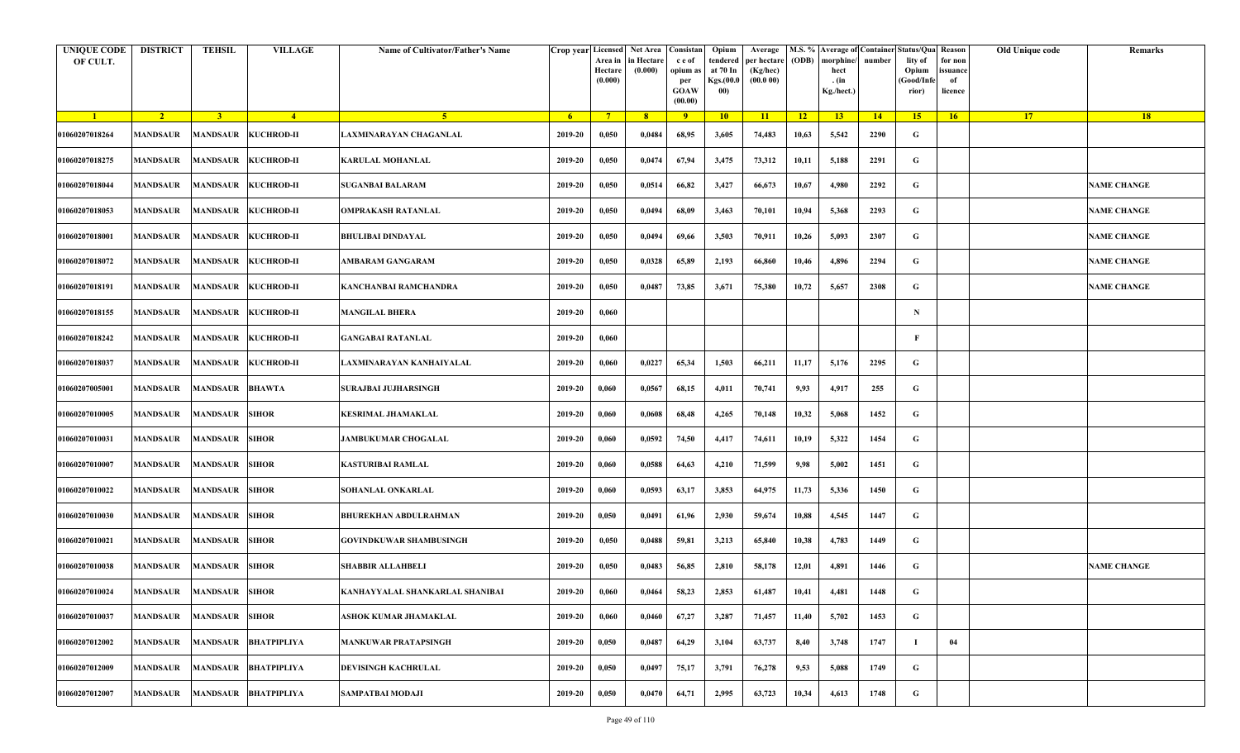| <b>UNIQUE CODE</b><br>OF CULT. | <b>DISTRICT</b>         | <b>TEHSIL</b>          | <b>VILLAGE</b>             | Name of Cultivator/Father's Name | Crop year Licensed | Area in<br>Hectare<br>(0.000) | Net Area<br>in Hectare<br>(0.000) | Consistar<br>c e of<br>opium a<br>per<br><b>GOAW</b><br>(00.00) | Opium<br>tendered<br>at 70 In<br>Kgs.(00.0<br>00) | Average<br>per hectare<br>(Kg/hec)<br>(00.000) | (ODB)           | morphine<br>hect<br>. (in<br>Kg./hect.) | number | M.S. % Average of Container Status/Qua<br>lity of<br>Opium<br>Good/Infe<br>rior) | Reason<br>for non<br>issuance<br>of<br>licence | Old Unique code | Remarks            |
|--------------------------------|-------------------------|------------------------|----------------------------|----------------------------------|--------------------|-------------------------------|-----------------------------------|-----------------------------------------------------------------|---------------------------------------------------|------------------------------------------------|-----------------|-----------------------------------------|--------|----------------------------------------------------------------------------------|------------------------------------------------|-----------------|--------------------|
| $\blacksquare$                 | $\sqrt{2}$              | 3 <sup>1</sup>         | $-4$                       | -5.                              | $6^{\circ}$        | $7^{\circ}$                   | 8 <sup>°</sup>                    | $-9$                                                            | 10                                                | 11                                             | $\overline{12}$ | 13                                      | 14     | 15 <sup>2</sup>                                                                  | 16                                             | 17              | <b>18</b>          |
| 01060207018264                 | <b>MANDSAUR</b>         |                        | <b>MANDSAUR KUCHROD-II</b> | LAXMINARAYAN CHAGANLAL           | 2019-20            | 0,050                         | 0,0484                            | 68,95                                                           | 3,605                                             | 74,483                                         | 10,63           | 5,542                                   | 2290   | G                                                                                |                                                |                 |                    |
| 01060207018275                 | <b>MANDSAUR</b>         |                        | MANDSAUR KUCHROD-II        | <b>KARULAL MOHANLAL</b>          | 2019-20            | 0,050                         | 0,0474                            | 67,94                                                           | 3,475                                             | 73,312                                         | 10,11           | 5,188                                   | 2291   | G                                                                                |                                                |                 |                    |
| 01060207018044                 | <b>MANDSAUR</b>         | MANDSAUR               | <b>KUCHROD-II</b>          | <b>SUGANBAI BALARAM</b>          | 2019-20            | 0,050                         | 0,0514                            | 66,82                                                           | 3,427                                             | 66,673                                         | 10,67           | 4,980                                   | 2292   | G                                                                                |                                                |                 | <b>NAME CHANGE</b> |
| 01060207018053                 | <b>MANDSAUR</b>         |                        | MANDSAUR KUCHROD-II        | <b>OMPRAKASH RATANLAL</b>        | 2019-20            | 0,050                         | 0,0494                            | 68,09                                                           | 3,463                                             | 70,101                                         | 10,94           | 5,368                                   | 2293   | G                                                                                |                                                |                 | <b>NAME CHANGE</b> |
| 01060207018001                 | <b>MANDSAUR</b>         |                        | <b>MANDSAUR KUCHROD-II</b> | BHULIBAI DINDAYAL                | 2019-20            | 0,050                         | 0,0494                            | 69,66                                                           | 3,503                                             | 70,911                                         | 10,26           | 5,093                                   | 2307   | G                                                                                |                                                |                 | <b>NAME CHANGE</b> |
| 01060207018072                 | <b>MANDSAUR</b>         |                        | MANDSAUR KUCHROD-II        | AMBARAM GANGARAM                 | 2019-20            | 0,050                         | 0,0328                            | 65,89                                                           | 2,193                                             | 66,860                                         | 10,46           | 4,896                                   | 2294   | G                                                                                |                                                |                 | <b>NAME CHANGE</b> |
| 01060207018191                 | MANDSAUR                |                        | <b>MANDSAUR KUCHROD-II</b> | KANCHANBAI RAMCHANDRA            | 2019-20            | 0,050                         | 0,0487                            | 73,85                                                           | 3,671                                             | 75,380                                         | 10,72           | 5,657                                   | 2308   | G                                                                                |                                                |                 | <b>NAME CHANGE</b> |
| 01060207018155                 | <b>MANDSAUR</b>         |                        | <b>MANDSAUR KUCHROD-II</b> | <b>MANGILAL BHERA</b>            | 2019-20            | 0,060                         |                                   |                                                                 |                                                   |                                                |                 |                                         |        | N                                                                                |                                                |                 |                    |
| 01060207018242                 | MANDSAUR                |                        | <b>MANDSAUR KUCHROD-II</b> | GANGABAI RATANLAL                | 2019-20            | 0,060                         |                                   |                                                                 |                                                   |                                                |                 |                                         |        | F                                                                                |                                                |                 |                    |
| 01060207018037                 | <b>MANDSAUR</b>         |                        | <b>MANDSAUR KUCHROD-II</b> | LAXMINARAYAN KANHAIYALAL         | 2019-20            | 0,060                         | 0,0227                            | 65,34                                                           | 1,503                                             | 66,211                                         | 11,17           | 5,176                                   | 2295   | G                                                                                |                                                |                 |                    |
| 01060207005001                 | <b>MANDSAUR</b>         | <b>MANDSAUR BHAWTA</b> |                            | <b>SURAJBAI JUJHARSINGH</b>      | 2019-20            | 0,060                         | 0,0567                            | 68,15                                                           | 4,011                                             | 70,741                                         | 9,93            | 4,917                                   | 255    | G                                                                                |                                                |                 |                    |
| 01060207010005                 | <b>MANDSAUR</b>         | MANDSAUR               | <b>SIHOR</b>               | <b>KESRIMAL JHAMAKLAL</b>        | 2019-20            | 0,060                         | 0,0608                            | 68,48                                                           | 4,265                                             | 70,148                                         | 10,32           | 5,068                                   | 1452   | G                                                                                |                                                |                 |                    |
| 01060207010031                 | <b>MANDSAUR</b>         | <b>MANDSAUR SIHOR</b>  |                            | <b>JAMBUKUMAR CHOGALAL</b>       | 2019-20            | 0,060                         | 0,0592                            | 74,50                                                           | 4,417                                             | 74,611                                         | 10,19           | 5,322                                   | 1454   | G                                                                                |                                                |                 |                    |
| 01060207010007                 | <b>MANDSAUR</b>         | <b>MANDSAUR SIHOR</b>  |                            | KASTURIBAI RAMLAL                | 2019-20            | 0,060                         | 0,0588                            | 64,63                                                           | 4,210                                             | 71,599                                         | 9,98            | 5,002                                   | 1451   | G                                                                                |                                                |                 |                    |
| 01060207010022                 | MANDSAUR                | <b>MANDSAUR SIHOR</b>  |                            | SOHANLAL ONKARLAL                | 2019-20            | 0,060                         | 0,0593                            | 63,17                                                           | 3,853                                             | 64,975                                         | 11,73           | 5,336                                   | 1450   | G                                                                                |                                                |                 |                    |
| 01060207010030                 | MANDSAUR                | <b>MANDSAUR SIHOR</b>  |                            | BHUREKHAN ABDULRAHMAN            | 2019-20            | 0,050                         | 0,0491                            | 61,96                                                           | 2,930                                             | 59,674                                         | 10,88           | 4,545                                   | 1447   | G                                                                                |                                                |                 |                    |
| 01060207010021                 | <b>MANDSAUR</b>         | <b>MANDSAUR SIHOR</b>  |                            | <b>GOVINDKUWAR SHAMBUSINGH</b>   | 2019-20            | 0,050                         | 0,0488                            | 59,81                                                           | 3,213                                             | 65,840                                         | 10,38           | 4,783                                   | 1449   | G                                                                                |                                                |                 |                    |
| 01060207010038                 | <b>MANDSAUR</b>         | <b>MANDSAUR SIHOR</b>  |                            | <b>SHABBIR ALLAHBELI</b>         | 2019-20            | 0,050                         | 0,0483                            | 56,85                                                           | 2,810                                             | 58,178                                         | 12,01           | 4,891                                   | 1446   | G                                                                                |                                                |                 | <b>NAME CHANGE</b> |
| 01060207010024                 | MANDSAUR MANDSAUR SIHOR |                        |                            | KANHAYYALAL SHANKARLAL SHANIBAI  | 2019-20            | 0,060                         | 0,0464                            | 58,23                                                           | 2,853                                             | 61,487                                         | 10,41           | 4,481                                   | 1448   | G                                                                                |                                                |                 |                    |
| 01060207010037                 | <b>MANDSAUR</b>         | MANDSAUR               | <b>SIHOR</b>               | ASHOK KUMAR JHAMAKLAL            | 2019-20            | 0,060                         | 0,0460                            | 67,27                                                           | 3,287                                             | 71,457                                         | 11,40           | 5,702                                   | 1453   | G                                                                                |                                                |                 |                    |
| 01060207012002                 | <b>MANDSAUR</b>         | MANDSAUR               | <b>BHATPIPLIYA</b>         | <b>MANKUWAR PRATAPSINGH</b>      | 2019-20            | 0,050                         | 0,0487                            | 64,29                                                           | 3,104                                             | 63,737                                         | 8,40            | 3,748                                   | 1747   |                                                                                  | 04                                             |                 |                    |
| 01060207012009                 | <b>MANDSAUR</b>         |                        | MANDSAUR BHATPIPLIYA       | DEVISINGH KACHRULAL              | 2019-20            | 0,050                         | 0,0497                            | 75,17                                                           | 3,791                                             | 76,278                                         | 9,53            | 5,088                                   | 1749   | G                                                                                |                                                |                 |                    |
| 01060207012007                 | <b>MANDSAUR</b>         |                        | MANDSAUR BHATPIPLIYA       | SAMPATBAI MODAJI                 | 2019-20            | 0,050                         | 0,0470                            | 64,71                                                           | 2,995                                             | 63,723                                         | 10,34           | 4,613                                   | 1748   | G                                                                                |                                                |                 |                    |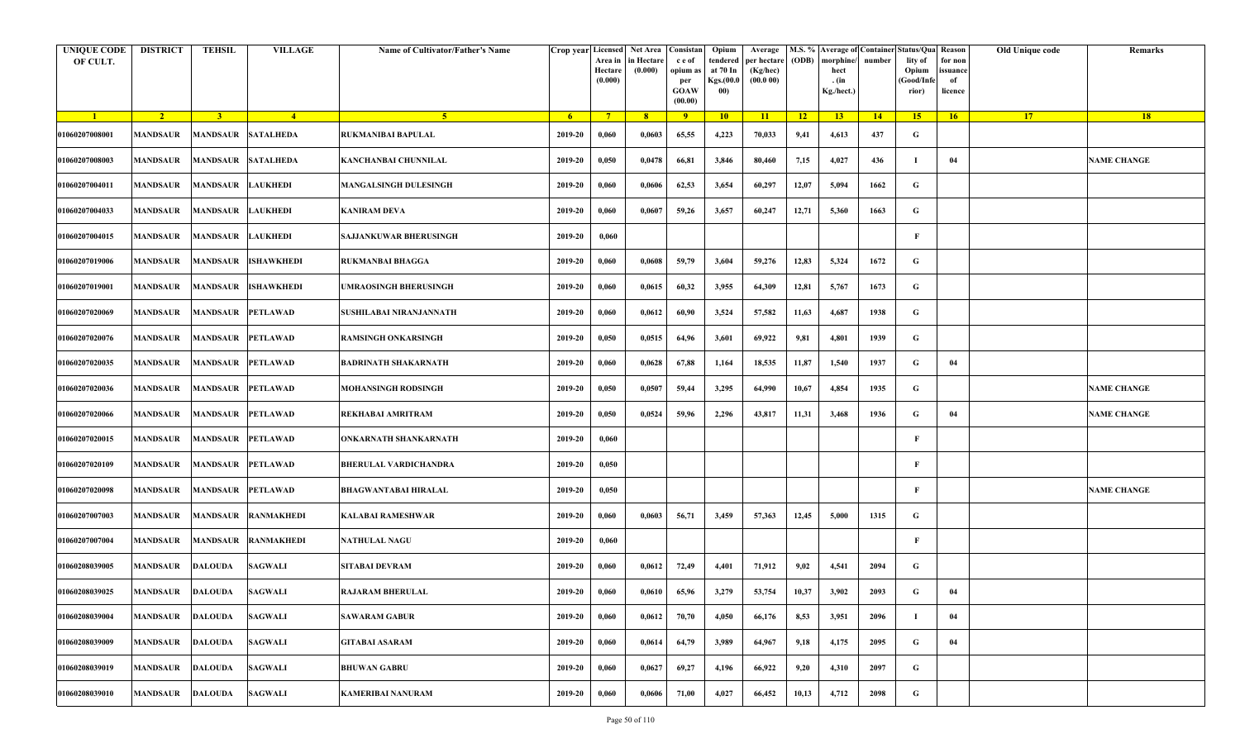| <b>UNIQUE CODE</b><br>OF CULT. | <b>DISTRICT</b>         | TEHSIL                    | <b>VILLAGE</b>    | Name of Cultivator/Father's Name | Crop year Licensed | Area in<br>Hectare<br>(0.000) | Net Area   Consistan<br>n Hectare<br>(0.000) | c e of<br>opium as<br>per<br><b>GOAW</b><br>(00.00) | Opium<br>tendered<br>at 70 In<br>Kgs.(00.0<br>00) | Average<br>per hectare<br>(Kg/hec)<br>(00.000) | (ODB) | M.S. % Average of Container Status/Qua Reason<br>morphine/<br>hect<br>. (in<br>Kg./hect.) | number      | lity of<br>Opium<br>(Good/Info<br>rior) | for non<br>ssuance<br>of<br>licence | Old Unique code | Remarks            |
|--------------------------------|-------------------------|---------------------------|-------------------|----------------------------------|--------------------|-------------------------------|----------------------------------------------|-----------------------------------------------------|---------------------------------------------------|------------------------------------------------|-------|-------------------------------------------------------------------------------------------|-------------|-----------------------------------------|-------------------------------------|-----------------|--------------------|
| $\blacksquare$                 | $\sqrt{2}$              | $\overline{3}$            | $\frac{4}{ }$     | -5.                              | 6 <sup>1</sup>     | $7^{\circ}$                   | 8 <sup>2</sup>                               | 9                                                   | 10                                                | 11                                             | 12    | 13 <sup>7</sup>                                                                           | $\sqrt{14}$ | 15                                      | 16                                  | 17 <sup>2</sup> | 18                 |
| 01060207008001                 | <b>MANDSAUR</b>         | <b>MANDSAUR SATALHEDA</b> |                   | RUKMANIBAI BAPULAL               | 2019-20            | 0,060                         | 0,0603                                       | 65,55                                               | 4,223                                             | 70,033                                         | 9,41  | 4,613                                                                                     | 437         | G                                       |                                     |                 |                    |
| 01060207008003                 | MANDSAUR                | MANDSAUR SATALHEDA        |                   | KANCHANBAI CHUNNILAL             | 2019-20            | 0,050                         | 0,0478                                       | 66,81                                               | 3,846                                             | 80,460                                         | 7,15  | 4,027                                                                                     | 436         | - 1                                     | 04                                  |                 | <b>NAME CHANGE</b> |
| 01060207004011                 | MANDSAUR                | <b>MANDSAUR</b>           | <b>LAUKHEDI</b>   | <b>MANGALSINGH DULESINGH</b>     | 2019-20            | 0,060                         | 0,0606                                       | 62,53                                               | 3,654                                             | 60,297                                         | 12,07 | 5,094                                                                                     | 1662        | G                                       |                                     |                 |                    |
| 01060207004033                 | MANDSAUR                | <b>MANDSAUR</b>           | <b>LAUKHEDI</b>   | KANIRAM DEVA                     | 2019-20            | 0,060                         | 0,0607                                       | 59,26                                               | 3,657                                             | 60,247                                         | 12,71 | 5,360                                                                                     | 1663        | G                                       |                                     |                 |                    |
| 01060207004015                 | MANDSAUR                | <b>MANDSAUR</b>           | <b>LAUKHEDI</b>   | SAJJANKUWAR BHERUSINGH           | 2019-20            | 0,060                         |                                              |                                                     |                                                   |                                                |       |                                                                                           |             | F                                       |                                     |                 |                    |
| 01060207019006                 | MANDSAUR                | <b>MANDSAUR</b>           | <b>ISHAWKHEDI</b> | <b>RUKMANBAI BHAGGA</b>          | 2019-20            | 0,060                         | 0,0608                                       | 59,79                                               | 3,604                                             | 59,276                                         | 12,83 | 5,324                                                                                     | 1672        | G                                       |                                     |                 |                    |
| 01060207019001                 | MANDSAUR                | <b>MANDSAUR</b>           | <b>ISHAWKHEDI</b> | <b>JMRAOSINGH BHERUSINGH</b>     | 2019-20            | 0,060                         | 0,0615                                       | 60,32                                               | 3,955                                             | 64,309                                         | 12,81 | 5,767                                                                                     | 1673        | G                                       |                                     |                 |                    |
| 01060207020069                 | <b>MANDSAUR</b>         | <b>MANDSAUR</b>           | <b>PETLAWAD</b>   | SUSHILABAI NIRANJANNATH          | 2019-20            | 0,060                         | 0,0612                                       | 60,90                                               | 3,524                                             | 57,582                                         | 11,63 | 4,687                                                                                     | 1938        | G                                       |                                     |                 |                    |
| 01060207020076                 | MANDSAUR                | <b>MANDSAUR</b>           | <b>PETLAWAD</b>   | RAMSINGH ONKARSINGH              | 2019-20            | 0,050                         | 0,0515                                       | 64,96                                               | 3,601                                             | 69,922                                         | 9,81  | 4,801                                                                                     | 1939        | G                                       |                                     |                 |                    |
| 01060207020035                 | <b>MANDSAUR</b>         | <b>MANDSAUR</b>           | <b>PETLAWAD</b>   | <b>BADRINATH SHAKARNATH</b>      | 2019-20            | 0,060                         | 0,0628                                       | 67,88                                               | 1,164                                             | 18,535                                         | 11,87 | 1,540                                                                                     | 1937        | G                                       | 04                                  |                 |                    |
| 01060207020036                 | MANDSAUR                | MANDSAUR                  | <b>PETLAWAD</b>   | MOHANSINGH RODSINGH              | 2019-20            | 0,050                         | 0,0507                                       | 59,44                                               | 3,295                                             | 64,990                                         | 10,67 | 4,854                                                                                     | 1935        | G                                       |                                     |                 | <b>NAME CHANGE</b> |
| 01060207020066                 | MANDSAUR                | <b>MANDSAUR</b>           | <b>PETLAWAD</b>   | REKHABAI AMRITRAM                | 2019-20            | 0,050                         | 0,0524                                       | 59,96                                               | 2,296                                             | 43,817                                         | 11,31 | 3,468                                                                                     | 1936        | G                                       | 04                                  |                 | <b>NAME CHANGE</b> |
| 01060207020015                 | MANDSAUR                | <b>MANDSAUR</b>           | <b>PETLAWAD</b>   | ONKARNATH SHANKARNATH            | 2019-20            | 0,060                         |                                              |                                                     |                                                   |                                                |       |                                                                                           |             | F                                       |                                     |                 |                    |
| 01060207020109                 | MANDSAUR                | <b>MANDSAUR</b>           | <b>PETLAWAD</b>   | <b>BHERULAL VARDICHANDRA</b>     | 2019-20            | 0,050                         |                                              |                                                     |                                                   |                                                |       |                                                                                           |             | F                                       |                                     |                 |                    |
| 01060207020098                 | MANDSAUR                | <b>MANDSAUR</b>           | <b>PETLAWAD</b>   | <b>BHAGWANTABAI HIRALAL</b>      | 2019-20            | 0,050                         |                                              |                                                     |                                                   |                                                |       |                                                                                           |             | F                                       |                                     |                 | <b>NAME CHANGE</b> |
| 01060207007003                 | MANDSAUR                | <b>MANDSAUR</b>           | <b>RANMAKHEDI</b> | KALABAI RAMESHWAR                | 2019-20            | 0,060                         | 0,0603                                       | 56,71                                               | 3,459                                             | 57,363                                         | 12,45 | 5,000                                                                                     | 1315        | G                                       |                                     |                 |                    |
| 01060207007004                 | MANDSAUR                | <b>MANDSAUR</b>           | <b>RANMAKHEDI</b> | <b>NATHULAL NAGU</b>             | 2019-20            | 0,060                         |                                              |                                                     |                                                   |                                                |       |                                                                                           |             | F                                       |                                     |                 |                    |
| 01060208039005                 | MANDSAUR                | DALOUDA                   | <b>SAGWALI</b>    | SITABAI DEVRAM                   | 2019-20            | 0,060                         | 0,0612                                       | 72,49                                               | 4,401                                             | 71,912                                         | 9,02  | 4,541                                                                                     | 2094        | G                                       |                                     |                 |                    |
| 01060208039025                 | <b>MANDSAUR DALOUDA</b> |                           | SAGWALI           | <b>RAJARAM BHERULAL</b>          | 2019-20            | 0,060                         | 0,0610                                       | 65,96                                               | 3,279                                             | 53,754                                         | 10,37 | 3,902                                                                                     | 2093        | G                                       | 04                                  |                 |                    |
| 01060208039004                 | <b>MANDSAUR</b>         | <b>DALOUDA</b>            | <b>SAGWALI</b>    | <b>SAWARAM GABUR</b>             | 2019-20            | 0,060                         | 0,0612                                       | 70,70                                               | 4,050                                             | 66,176                                         | 8,53  | 3,951                                                                                     | 2096        | п                                       | 04                                  |                 |                    |
| 01060208039009                 | MANDSAUR                | <b>DALOUDA</b>            | <b>SAGWALI</b>    | <b>GITABAI ASARAM</b>            | 2019-20            | 0,060                         | 0,0614                                       | 64,79                                               | 3,989                                             | 64,967                                         | 9,18  | 4,175                                                                                     | 2095        | G                                       | 04                                  |                 |                    |
| 01060208039019                 | <b>MANDSAUR</b>         | <b>DALOUDA</b>            | <b>SAGWALI</b>    | <b>BHUWAN GABRU</b>              | 2019-20            | 0,060                         | 0,0627                                       | 69,27                                               | 4,196                                             | 66,922                                         | 9,20  | 4,310                                                                                     | 2097        | G                                       |                                     |                 |                    |
| 01060208039010                 | <b>MANDSAUR</b>         | <b>DALOUDA</b>            | <b>SAGWALI</b>    | KAMERIBAI NANURAM                | 2019-20            | 0,060                         | 0,0606                                       | 71,00                                               | 4,027                                             | 66,452                                         | 10,13 | 4,712                                                                                     | 2098        | G                                       |                                     |                 |                    |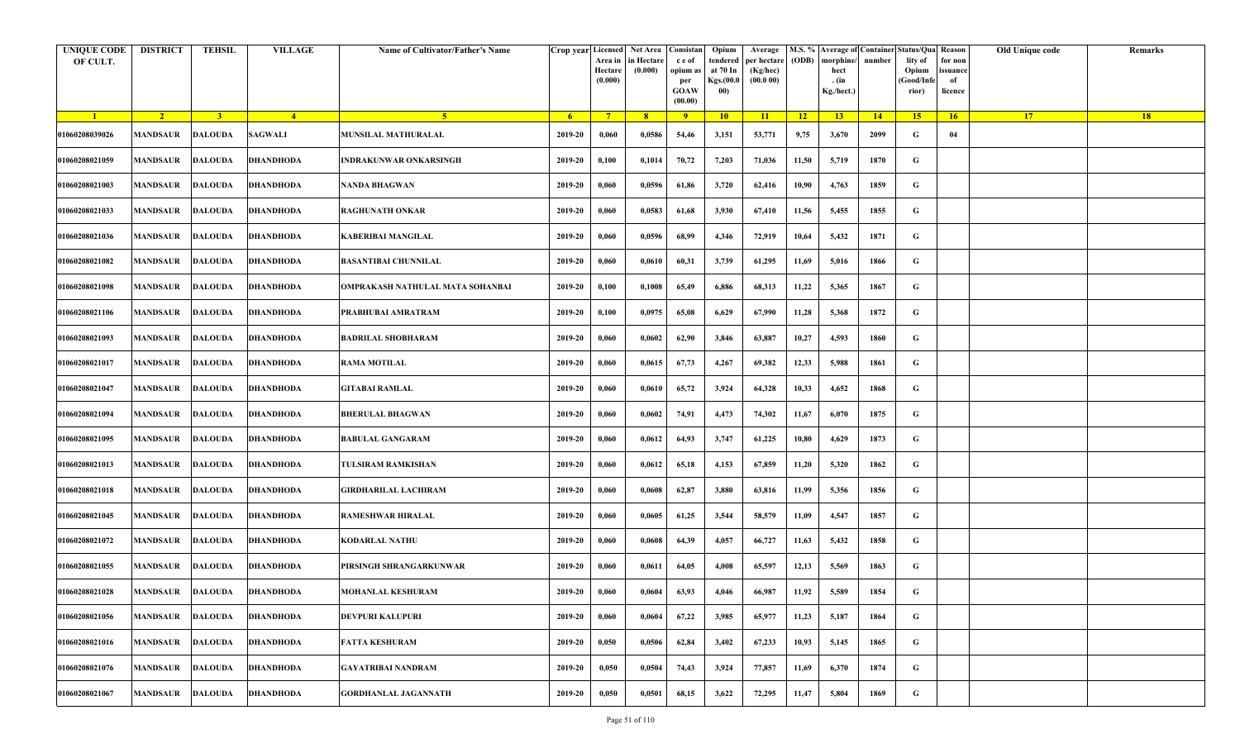| <b>UNIQUE CODE</b><br>OF CULT. | <b>DISTRICT</b> | <b>TEHSIL</b>  | <b>VILLAGE</b>             | Name of Cultivator/Father's Name | Crop year Licensed | Area in<br>Hectare<br>(0.000) | Net Area   Consistan<br>in Hectare<br>(0.000) | c e of<br>opium a<br>per<br><b>GOAW</b><br>(00.00) | Opium<br>tendered<br>at 70 In<br>Kgs.(00.0<br>00) | Average<br>per hectare<br>(Kg/hec)<br>(00.000) | (ODB) | morphine/<br>hect<br>. (in<br>Kg./hect.) | number | M.S. % Average of Container Status/Qua Reason<br>lity of<br>Opium<br>(Good/Infe<br>rior) | for non<br>ssuance<br>of<br>licence | Old Unique code | Remarks |
|--------------------------------|-----------------|----------------|----------------------------|----------------------------------|--------------------|-------------------------------|-----------------------------------------------|----------------------------------------------------|---------------------------------------------------|------------------------------------------------|-------|------------------------------------------|--------|------------------------------------------------------------------------------------------|-------------------------------------|-----------------|---------|
| $\blacksquare$                 | $\overline{2}$  | 3 <sup>1</sup> | $-4$                       | -5.                              | -6                 | $7^{\circ}$                   | 8 <sup>°</sup>                                | 9                                                  | 10                                                | 11                                             | $-12$ | 13                                       | 14     | 15 <sup>2</sup>                                                                          | 16                                  | <b>17</b>       | 18      |
| 01060208039026                 | <b>MANDSAUR</b> | <b>DALOUDA</b> | <b>SAGWALI</b>             | <b>MUNSILAL MATHURALAL</b>       | 2019-20            | 0,060                         | 0,0586                                        | 54,46                                              | 3,151                                             | 53,771                                         | 9,75  | 3,670                                    | 2099   | G                                                                                        | 04                                  |                 |         |
| 01060208021059                 | <b>MANDSAUR</b> | <b>DALOUDA</b> | <b>DHANDHODA</b>           | INDRAKUNWAR ONKARSINGH           | 2019-20            | 0,100                         | 0,1014                                        | 70,72                                              | 7,203                                             | 71,036                                         | 11,50 | 5,719                                    | 1870   | G                                                                                        |                                     |                 |         |
| 01060208021003                 | MANDSAUR        | <b>DALOUDA</b> | <b>DHANDHODA</b>           | NANDA BHAGWAN                    | 2019-20            | 0,060                         | 0,0596                                        | 61,86                                              | 3,720                                             | 62,416                                         | 10,90 | 4,763                                    | 1859   | G                                                                                        |                                     |                 |         |
| 01060208021033                 | <b>MANDSAUR</b> | <b>DALOUDA</b> | <b>DHANDHODA</b>           | <b>RAGHUNATH ONKAR</b>           | 2019-20            | 0,060                         | 0,0583                                        | 61,68                                              | 3,930                                             | 67,410                                         | 11,56 | 5,455                                    | 1855   | G                                                                                        |                                     |                 |         |
| 01060208021036                 | <b>MANDSAUR</b> | <b>DALOUDA</b> | <b>DHANDHODA</b>           | KABERIBAI MANGILAL               | 2019-20            | 0,060                         | 0,0596                                        | 68,99                                              | 4,346                                             | 72,919                                         | 10,64 | 5,432                                    | 1871   | G                                                                                        |                                     |                 |         |
| 01060208021082                 | MANDSAUR        | <b>DALOUDA</b> | <b>DHANDHODA</b>           | <b>BASANTIBAI CHUNNILAL</b>      | 2019-20            | 0,060                         | 0,0610                                        | 60,31                                              | 3,739                                             | 61,295                                         | 11,69 | 5,016                                    | 1866   | G                                                                                        |                                     |                 |         |
| 01060208021098                 | MANDSAUR        | DALOUDA        | <b>DHANDHODA</b>           | OMPRAKASH NATHULAL MATA SOHANBAI | 2019-20            | 0,100                         | 0,1008                                        | 65,49                                              | 6,886                                             | 68,313                                         | 11,22 | 5,365                                    | 1867   | G                                                                                        |                                     |                 |         |
| 01060208021106                 | <b>MANDSAUR</b> | <b>DALOUDA</b> | <b>DHANDHODA</b>           | PRABHUBAI AMRATRAM               | 2019-20            | 0,100                         | 0,0975                                        | 65,08                                              | 6,629                                             | 67,990                                         | 11,28 | 5,368                                    | 1872   | G                                                                                        |                                     |                 |         |
| 01060208021093                 | MANDSAUR        | <b>DALOUDA</b> | <b>DHANDHODA</b>           | <b>BADRILAL SHOBHARAM</b>        | 2019-20            | 0,060                         | 0,0602                                        | 62,90                                              | 3,846                                             | 63,887                                         | 10,27 | 4,593                                    | 1860   | G                                                                                        |                                     |                 |         |
| 01060208021017                 | <b>MANDSAUR</b> | <b>DALOUDA</b> | <b>DHANDHODA</b>           | <b>RAMA MOTILAL</b>              | 2019-20            | 0,060                         | 0,0615                                        | 67,73                                              | 4,267                                             | 69,382                                         | 12,33 | 5,988                                    | 1861   | G                                                                                        |                                     |                 |         |
| 01060208021047                 | <b>MANDSAUR</b> | <b>DALOUDA</b> | <b>DHANDHODA</b>           | <b>GITABAI RAMLAL</b>            | 2019-20            | 0,060                         | 0,0610                                        | 65,72                                              | 3,924                                             | 64,328                                         | 10,33 | 4,652                                    | 1868   | G                                                                                        |                                     |                 |         |
| 01060208021094                 | <b>MANDSAUR</b> | <b>DALOUDA</b> | <b>DHANDHODA</b>           | <b>BHERULAL BHAGWAN</b>          | 2019-20            | 0,060                         | 0,0602                                        | 74,91                                              | 4,473                                             | 74,302                                         | 11,67 | 6,070                                    | 1875   | G                                                                                        |                                     |                 |         |
| 01060208021095                 | MANDSAUR        | <b>DALOUDA</b> | <b>DHANDHODA</b>           | <b>BABULAL GANGARAM</b>          | 2019-20            | 0,060                         | 0,0612                                        | 64,93                                              | 3,747                                             | 61,225                                         | 10,80 | 4,629                                    | 1873   | G                                                                                        |                                     |                 |         |
| 01060208021013                 | <b>MANDSAUR</b> | <b>DALOUDA</b> | <b>DHANDHODA</b>           | TULSIRAM RAMKISHAN               | 2019-20            | 0,060                         | 0,0612                                        | 65,18                                              | 4,153                                             | 67,859                                         | 11,20 | 5,320                                    | 1862   | G                                                                                        |                                     |                 |         |
| 01060208021018                 | MANDSAUR        | <b>DALOUDA</b> | <b>DHANDHODA</b>           | <b>GIRDHARILAL LACHIRAM</b>      | 2019-20            | 0,060                         | 0,0608                                        | 62,87                                              | 3,880                                             | 63,816                                         | 11,99 | 5,356                                    | 1856   | G                                                                                        |                                     |                 |         |
| 01060208021045                 | <b>MANDSAUR</b> | <b>DALOUDA</b> | <b>DHANDHODA</b>           | <b>RAMESHWAR HIRALAL</b>         | 2019-20            | 0,060                         | 0,0605                                        | 61,25                                              | 3,544                                             | 58,579                                         | 11,09 | 4,547                                    | 1857   | G                                                                                        |                                     |                 |         |
| 01060208021072                 | <b>MANDSAUR</b> | <b>DALOUDA</b> | <b>DHANDHODA</b>           | <b>KODARLAL NATHU</b>            | 2019-20            | 0,060                         | 0,0608                                        | 64,39                                              | 4,057                                             | 66,727                                         | 11,63 | 5,432                                    | 1858   | G                                                                                        |                                     |                 |         |
| 01060208021055                 | MANDSAUR        | <b>DALOUDA</b> | <b>DHANDHODA</b>           | PIRSINGH SHRANGARKUNWAR          | 2019-20            | 0,060                         | 0,0611                                        | 64,05                                              | 4,008                                             | 65,597                                         | 12,13 | 5,569                                    | 1863   | G                                                                                        |                                     |                 |         |
| 01060208021028                 |                 |                | MANDSAUR DALOUDA DHANDHODA | <b>MOHANLAL KESHURAM</b>         | 2019-20            | 0,060                         | 0,0604                                        | 63,93                                              | 4,046                                             | 66,987                                         | 11,92 | 5,589                                    | 1854   | G                                                                                        |                                     |                 |         |
| 01060208021056                 | <b>MANDSAUR</b> | <b>DALOUDA</b> | <b>DHANDHODA</b>           | <b>DEVPURI KALUPURI</b>          | 2019-20            | 0,060                         | 0,0604                                        | 67,22                                              | 3,985                                             | 65,977                                         | 11,23 | 5,187                                    | 1864   | G                                                                                        |                                     |                 |         |
| 01060208021016                 | <b>MANDSAUR</b> | <b>DALOUDA</b> | <b>DHANDHODA</b>           | <b>FATTA KESHURAM</b>            | 2019-20            | 0,050                         | 0,0506                                        | 62,84                                              | 3,402                                             | 67,233                                         | 10,93 | 5,145                                    | 1865   | G                                                                                        |                                     |                 |         |
| 01060208021076                 | MANDSAUR        | <b>DALOUDA</b> | <b>DHANDHODA</b>           | <b>GAYATRIBAI NANDRAM</b>        | 2019-20            | 0,050                         | 0,0504                                        | 74,43                                              | 3,924                                             | 77,857                                         | 11,69 | 6,370                                    | 1874   | G                                                                                        |                                     |                 |         |
| 01060208021067                 | MANDSAUR        | <b>DALOUDA</b> | <b>DHANDHODA</b>           | <b>GORDHANLAL JAGANNATH</b>      | 2019-20            | 0,050                         | 0,0501                                        | 68,15                                              | 3,622                                             | 72,295                                         | 11,47 | 5,804                                    | 1869   | G                                                                                        |                                     |                 |         |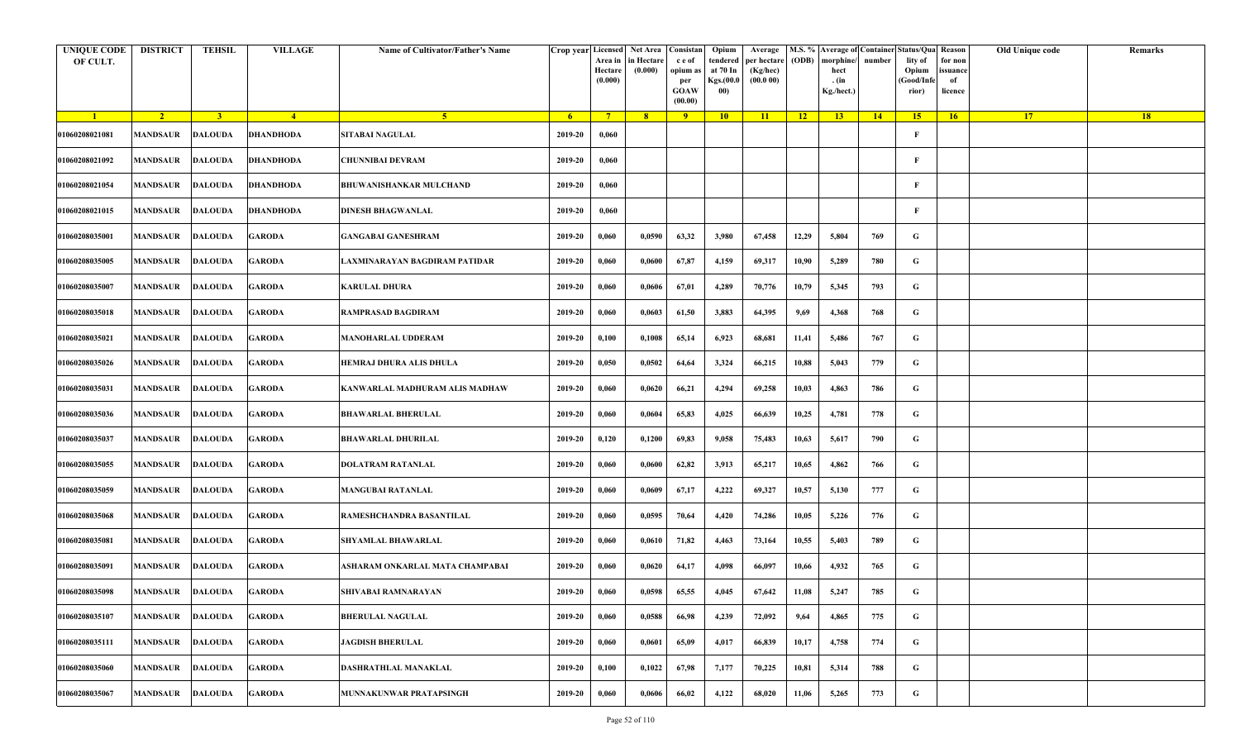| <b>UNIQUE CODE</b><br>OF CULT. | <b>DISTRICT</b>         | <b>TEHSIL</b>  | <b>VILLAGE</b>   | Name of Cultivator/Father's Name |         | Crop year Licensed Net Area Consistan<br>Area in<br>Hectare<br>(0.000) | in Hectare<br>(0.000) | c e of<br>opium as<br>per<br><b>GOAW</b><br>(00.00) | Opium<br>tendered<br>at 70 In<br>Kgs.(00.0<br>00) | Average<br>per hectare<br>(Kg/hec)<br>(00.000) | (ODB) | morphine/<br>hect<br>. (in<br>Kg./hect.) | number | M.S. % Average of Container Status/Qua Reason<br>lity of<br>Opium<br>(Good/Infe<br>rior) | for non<br>ssuance<br>of<br>licence | Old Unique code | Remarks |
|--------------------------------|-------------------------|----------------|------------------|----------------------------------|---------|------------------------------------------------------------------------|-----------------------|-----------------------------------------------------|---------------------------------------------------|------------------------------------------------|-------|------------------------------------------|--------|------------------------------------------------------------------------------------------|-------------------------------------|-----------------|---------|
| $\blacksquare$                 | $\sqrt{2}$              | 3 <sup>1</sup> | $\sqrt{4}$       | 5 <sup>1</sup>                   | $-6$    | $7^{\circ}$                                                            | 8 <sup>°</sup>        | $\overline{9}$                                      | 10                                                | 11                                             | $-12$ | 13                                       | 14     | 15                                                                                       | 16                                  | <b>17</b>       | 18      |
| 01060208021081                 | <b>MANDSAUR</b>         | <b>DALOUDA</b> | <b>DHANDHODA</b> | <b>SITABAI NAGULAL</b>           | 2019-20 | 0,060                                                                  |                       |                                                     |                                                   |                                                |       |                                          |        | F                                                                                        |                                     |                 |         |
| 01060208021092                 | MANDSAUR                | <b>DALOUDA</b> | <b>DHANDHODA</b> | <b>CHUNNIBAI DEVRAM</b>          | 2019-20 | 0,060                                                                  |                       |                                                     |                                                   |                                                |       |                                          |        | F                                                                                        |                                     |                 |         |
| 01060208021054                 | <b>MANDSAUR</b>         | <b>DALOUDA</b> | <b>DHANDHODA</b> | <b>BHUWANISHANKAR MULCHAND</b>   | 2019-20 | 0,060                                                                  |                       |                                                     |                                                   |                                                |       |                                          |        | $\mathbf{F}$                                                                             |                                     |                 |         |
| 01060208021015                 | MANDSAUR                | <b>DALOUDA</b> | <b>DHANDHODA</b> | <b>DINESH BHAGWANLAL</b>         | 2019-20 | 0,060                                                                  |                       |                                                     |                                                   |                                                |       |                                          |        | F                                                                                        |                                     |                 |         |
| 01060208035001                 | <b>MANDSAUR</b>         | <b>DALOUDA</b> | <b>GARODA</b>    | <b>GANGABAI GANESHRAM</b>        | 2019-20 | 0,060                                                                  | 0,0590                | 63,32                                               | 3,980                                             | 67,458                                         | 12,29 | 5,804                                    | 769    | G                                                                                        |                                     |                 |         |
| 01060208035005                 | MANDSAUR                | <b>DALOUDA</b> | <b>GARODA</b>    | LAXMINARAYAN BAGDIRAM PATIDAR    | 2019-20 | 0,060                                                                  | 0,0600                | 67,87                                               | 4,159                                             | 69,317                                         | 10,90 | 5,289                                    | 780    | G                                                                                        |                                     |                 |         |
| 01060208035007                 | MANDSAUR                | <b>DALOUDA</b> | <b>GARODA</b>    | <b>KARULAL DHURA</b>             | 2019-20 | 0,060                                                                  | 0,0606                | 67,01                                               | 4,289                                             | 70,776                                         | 10,79 | 5,345                                    | 793    | G                                                                                        |                                     |                 |         |
| 01060208035018                 | MANDSAUR                | <b>DALOUDA</b> | <b>GARODA</b>    | <b>RAMPRASAD BAGDIRAM</b>        | 2019-20 | 0,060                                                                  | 0,0603                | 61,50                                               | 3,883                                             | 64,395                                         | 9,69  | 4,368                                    | 768    | G                                                                                        |                                     |                 |         |
| 01060208035021                 | <b>MANDSAUR</b>         | <b>DALOUDA</b> | <b>GARODA</b>    | <b>MANOHARLAL UDDERAM</b>        | 2019-20 | 0,100                                                                  | 0,1008                | 65,14                                               | 6,923                                             | 68,681                                         | 11,41 | 5,486                                    | 767    | G                                                                                        |                                     |                 |         |
| 01060208035026                 | <b>MANDSAUR</b>         | <b>DALOUDA</b> | <b>GARODA</b>    | HEMRAJ DHURA ALIS DHULA          | 2019-20 | 0,050                                                                  | 0,0502                | 64,64                                               | 3,324                                             | 66,215                                         | 10,88 | 5,043                                    | 779    | G                                                                                        |                                     |                 |         |
| 01060208035031                 | MANDSAUR                | <b>DALOUDA</b> | <b>GARODA</b>    | KANWARLAL MADHURAM ALIS MADHAW   | 2019-20 | 0,060                                                                  | 0,0620                | 66,21                                               | 4,294                                             | 69,258                                         | 10,03 | 4,863                                    | 786    | G                                                                                        |                                     |                 |         |
| 01060208035036                 | <b>MANDSAUR</b>         | <b>DALOUDA</b> | <b>GARODA</b>    | <b>BHAWARLAL BHERULAL</b>        | 2019-20 | 0,060                                                                  | 0,0604                | 65,83                                               | 4,025                                             | 66,639                                         | 10,25 | 4,781                                    | 778    | G                                                                                        |                                     |                 |         |
| 01060208035037                 | MANDSAUR                | <b>DALOUDA</b> | <b>GARODA</b>    | <b>BHAWARLAL DHURILAL</b>        | 2019-20 | 0,120                                                                  | 0,1200                | 69,83                                               | 9,058                                             | 75,483                                         | 10,63 | 5,617                                    | 790    | G                                                                                        |                                     |                 |         |
| 01060208035055                 | <b>MANDSAUR</b>         | <b>DALOUDA</b> | <b>GARODA</b>    | DOLATRAM RATANLAL                | 2019-20 | 0,060                                                                  | 0,0600                | 62,82                                               | 3,913                                             | 65,217                                         | 10,65 | 4,862                                    | 766    | G                                                                                        |                                     |                 |         |
| 01060208035059                 | MANDSAUR                | <b>DALOUDA</b> | <b>GARODA</b>    | <b>MANGUBAI RATANLAL</b>         | 2019-20 | 0,060                                                                  | 0,0609                | 67,17                                               | 4,222                                             | 69,327                                         | 10,57 | 5,130                                    | 777    | G                                                                                        |                                     |                 |         |
| 01060208035068                 | <b>MANDSAUR</b>         | <b>DALOUDA</b> | <b>GARODA</b>    | RAMESHCHANDRA BASANTILAL         | 2019-20 | 0,060                                                                  | 0,0595                | 70,64                                               | 4,420                                             | 74,286                                         | 10,05 | 5,226                                    | 776    | G                                                                                        |                                     |                 |         |
| 01060208035081                 | MANDSAUR                | <b>DALOUDA</b> | <b>GARODA</b>    | <b>SHYAMLAL BHAWARLAL</b>        | 2019-20 | 0,060                                                                  | 0,0610                | 71,82                                               | 4,463                                             | 73,164                                         | 10,55 | 5,403                                    | 789    | G                                                                                        |                                     |                 |         |
| 01060208035091                 | MANDSAUR                | <b>DALOUDA</b> | <b>GARODA</b>    | ASHARAM ONKARLAL MATA CHAMPABAI  | 2019-20 | 0,060                                                                  | 0,0620                | 64,17                                               | 4,098                                             | 66,097                                         | 10,66 | 4,932                                    | 765    | G                                                                                        |                                     |                 |         |
| 01060208035098                 | <b>MANDSAUR DALOUDA</b> |                | <b>GARODA</b>    | SHIVABAI RAMNARAYAN              | 2019-20 | 0,060                                                                  | 0,0598                | 65,55                                               | 4,045                                             | 67,642                                         | 11,08 | 5,247                                    | 785    | G                                                                                        |                                     |                 |         |
| 01060208035107                 | <b>MANDSAUR</b>         | <b>DALOUDA</b> | <b>GARODA</b>    | <b>BHERULAL NAGULAL</b>          | 2019-20 | 0,060                                                                  | 0,0588                | 66,98                                               | 4,239                                             | 72,092                                         | 9,64  | 4,865                                    | 775    | $\mathbf G$                                                                              |                                     |                 |         |
| 01060208035111                 | <b>MANDSAUR</b>         | <b>DALOUDA</b> | <b>GARODA</b>    | <b>JAGDISH BHERULAL</b>          | 2019-20 | 0,060                                                                  | 0,0601                | 65,09                                               | 4,017                                             | 66,839                                         | 10,17 | 4,758                                    | 774    | G                                                                                        |                                     |                 |         |
| 01060208035060                 | MANDSAUR                | <b>DALOUDA</b> | <b>GARODA</b>    | DASHRATHLAL MANAKLAL             | 2019-20 | 0,100                                                                  | 0,1022                | 67,98                                               | 7,177                                             | 70,225                                         | 10,81 | 5,314                                    | 788    | G                                                                                        |                                     |                 |         |
| 01060208035067                 | MANDSAUR                | <b>DALOUDA</b> | <b>GARODA</b>    | MUNNAKUNWAR PRATAPSINGH          | 2019-20 | 0,060                                                                  | 0,0606                | 66,02                                               | 4,122                                             | 68,020                                         | 11,06 | 5,265                                    | 773    | G                                                                                        |                                     |                 |         |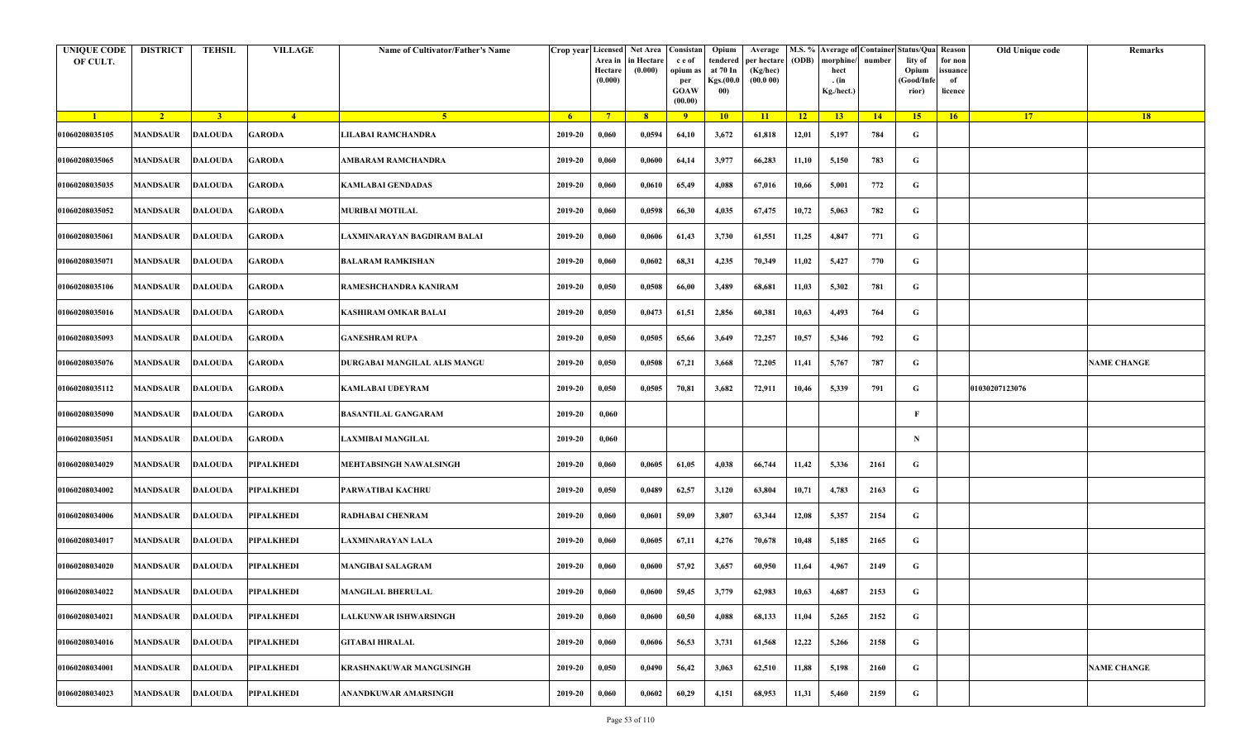| <b>UNIQUE CODE</b><br>OF CULT. | <b>DISTRICT</b>         | <b>TEHSIL</b>           | <b>VILLAGE</b>    | Name of Cultivator/Father's Name | Crop year Licensed | Area in<br>Hectare<br>(0.000) | Net Area   Consistan<br>in Hectare<br>(0.000) | c e of<br>opium as<br>per<br><b>GOAW</b><br>(00.00) | Opium<br>tendered<br>at 70 In<br>Kgs.(00.0<br>00) | Average<br>per hectare<br>(Kg/hec)<br>(00.000) | (ODB) | M.S. % Average of Container Status/Qua Reason<br>morphine/<br>hect<br>. (in<br>Kg./hect.) | number      | lity of<br>Opium<br>(Good/Infe<br>rior) | for non<br>ssuance<br>of<br>licence | Old Unique code | Remarks            |
|--------------------------------|-------------------------|-------------------------|-------------------|----------------------------------|--------------------|-------------------------------|-----------------------------------------------|-----------------------------------------------------|---------------------------------------------------|------------------------------------------------|-------|-------------------------------------------------------------------------------------------|-------------|-----------------------------------------|-------------------------------------|-----------------|--------------------|
| $\blacksquare$                 | $\sqrt{2}$              | $\overline{\mathbf{3}}$ | $\sqrt{4}$        | $\sqrt{5}$                       | -6                 | $7^{\circ}$                   | 8 <sup>°</sup>                                | $\overline{9}$                                      | 10                                                | 11                                             | $-12$ | 13                                                                                        | $\sqrt{14}$ | 15 <sup>2</sup>                         | 16                                  | <b>17</b>       | <b>18</b>          |
| 01060208035105                 | <b>MANDSAUR</b>         | <b>DALOUDA</b>          | <b>GARODA</b>     | JLABAI RAMCHANDRA                | 2019-20            | 0,060                         | 0,0594                                        | 64,10                                               | 3,672                                             | 61,818                                         | 12,01 | 5,197                                                                                     | 784         | G                                       |                                     |                 |                    |
| 01060208035065                 | MANDSAUR                | <b>DALOUDA</b>          | <b>GARODA</b>     | AMBARAM RAMCHANDRA               | 2019-20            | 0,060                         | 0,0600                                        | 64,14                                               | 3,977                                             | 66,283                                         | 11,10 | 5,150                                                                                     | 783         | G                                       |                                     |                 |                    |
| 01060208035035                 | MANDSAUR                | <b>DALOUDA</b>          | <b>GARODA</b>     | KAMLABAI GENDADAS                | 2019-20            | 0,060                         | 0,0610                                        | 65,49                                               | 4,088                                             | 67,016                                         | 10,66 | 5,001                                                                                     | 772         | G                                       |                                     |                 |                    |
| 01060208035052                 | MANDSAUR                | <b>DALOUDA</b>          | <b>GARODA</b>     | <b>MURIBAI MOTILAL</b>           | 2019-20            | 0,060                         | 0,0598                                        | 66,30                                               | 4,035                                             | 67,475                                         | 10,72 | 5,063                                                                                     | 782         | G                                       |                                     |                 |                    |
| 01060208035061                 | MANDSAUR                | <b>DALOUDA</b>          | <b>GARODA</b>     | AXMINARAYAN BAGDIRAM BALAI       | 2019-20            | 0,060                         | 0,0606                                        | 61,43                                               | 3,730                                             | 61,551                                         | 11,25 | 4,847                                                                                     | 771         | G                                       |                                     |                 |                    |
| 01060208035071                 | <b>MANDSAUR</b>         | <b>DALOUDA</b>          | <b>GARODA</b>     | <b>BALARAM RAMKISHAN</b>         | 2019-20            | 0,060                         | 0,0602                                        | 68,31                                               | 4,235                                             | 70,349                                         | 11,02 | 5,427                                                                                     | 770         | G                                       |                                     |                 |                    |
| 01060208035106                 | MANDSAUR                | <b>DALOUDA</b>          | <b>GARODA</b>     | RAMESHCHANDRA KANIRAM            | 2019-20            | 0,050                         | 0,0508                                        | 66,00                                               | 3,489                                             | 68,681                                         | 11,03 | 5,302                                                                                     | 781         | G                                       |                                     |                 |                    |
| 01060208035016                 | MANDSAUR                | <b>DALOUDA</b>          | <b>GARODA</b>     | KASHIRAM OMKAR BALAI             | 2019-20            | 0,050                         | 0,0473                                        | 61,51                                               | 2,856                                             | 60,381                                         | 10,63 | 4,493                                                                                     | 764         | G                                       |                                     |                 |                    |
| 01060208035093                 | <b>MANDSAUR</b>         | <b>DALOUDA</b>          | <b>GARODA</b>     | <b>GANESHRAM RUPA</b>            | 2019-20            | 0,050                         | 0,0505                                        | 65,66                                               | 3,649                                             | 72,257                                         | 10,57 | 5,346                                                                                     | 792         | G                                       |                                     |                 |                    |
| 01060208035076                 | <b>MANDSAUR</b>         | <b>DALOUDA</b>          | <b>GARODA</b>     | DURGABAI MANGILAL ALIS MANGU     | 2019-20            | 0,050                         | 0,0508                                        | 67,21                                               | 3,668                                             | 72,205                                         | 11,41 | 5,767                                                                                     | 787         | G                                       |                                     |                 | <b>NAME CHANGE</b> |
| 01060208035112                 | MANDSAUR                | <b>DALOUDA</b>          | <b>GARODA</b>     | KAMLABAI UDEYRAM                 | 2019-20            | 0,050                         | 0,0505                                        | 70,81                                               | 3,682                                             | 72,911                                         | 10,46 | 5,339                                                                                     | 791         | G                                       |                                     | 01030207123076  |                    |
| 01060208035090                 | <b>MANDSAUR</b>         | <b>DALOUDA</b>          | <b>GARODA</b>     | <b>BASANTILAL GANGARAM</b>       | 2019-20            | 0,060                         |                                               |                                                     |                                                   |                                                |       |                                                                                           |             | F                                       |                                     |                 |                    |
| 01060208035051                 | MANDSAUR                | <b>DALOUDA</b>          | <b>GARODA</b>     | AXMIBAI MANGILAL                 | 2019-20            | 0,060                         |                                               |                                                     |                                                   |                                                |       |                                                                                           |             | $\mathbf N$                             |                                     |                 |                    |
| 01060208034029                 | MANDSAUR                | <b>DALOUDA</b>          | <b>PIPALKHEDI</b> | <b>MEHTABSINGH NAWALSINGH</b>    | 2019-20            | 0,060                         | 0,0605                                        | 61,05                                               | 4,038                                             | 66,744                                         | 11,42 | 5,336                                                                                     | 2161        | G                                       |                                     |                 |                    |
| 01060208034002                 | <b>MANDSAUR</b>         | <b>DALOUDA</b>          | <b>PIPALKHEDI</b> | PARWATIBAI KACHRU                | 2019-20            | 0,050                         | 0,0489                                        | 62,57                                               | 3,120                                             | 63,804                                         | 10,71 | 4,783                                                                                     | 2163        | G                                       |                                     |                 |                    |
| 01060208034006                 | MANDSAUR                | <b>DALOUDA</b>          | PIPALKHEDI        | RADHABAI CHENRAM                 | 2019-20            | 0,060                         | 0,0601                                        | 59,09                                               | 3,807                                             | 63,344                                         | 12,08 | 5,357                                                                                     | 2154        | G                                       |                                     |                 |                    |
| 01060208034017                 | MANDSAUR                | <b>DALOUDA</b>          | <b>PIPALKHEDI</b> | <b>AXMINARAYAN LALA</b>          | 2019-20            | 0,060                         | 0,0605                                        | 67,11                                               | 4,276                                             | 70,678                                         | 10,48 | 5,185                                                                                     | 2165        | G                                       |                                     |                 |                    |
| 01060208034020                 | MANDSAUR                | <b>DALOUDA</b>          | <b>PIPALKHEDI</b> | <b>MANGIBAI SALAGRAM</b>         | 2019-20            | 0,060                         | 0,0600                                        | 57,92                                               | 3,657                                             | 60,950                                         | 11,64 | 4,967                                                                                     | 2149        | G                                       |                                     |                 |                    |
| 01060208034022                 | <b>MANDSAUR DALOUDA</b> |                         | <b>PIPALKHEDI</b> | <b>MANGILAL BHERULAL</b>         | 2019-20            | 0,060                         | 0,0600                                        | 59,45                                               | 3,779                                             | 62,983                                         | 10,63 | 4,687                                                                                     | 2153        | G                                       |                                     |                 |                    |
| 01060208034021                 | MANDSAUR                | <b>DALOUDA</b>          | <b>PIPALKHEDI</b> | ALKUNWAR ISHWARSINGH             | 2019-20            | 0,060                         | 0,0600                                        | 60,50                                               | 4,088                                             | 68,133                                         | 11,04 | 5,265                                                                                     | 2152        | $\mathbf G$                             |                                     |                 |                    |
| 01060208034016                 | MANDSAUR                | <b>DALOUDA</b>          | <b>PIPALKHEDI</b> | <b>GITABAI HIRALAL</b>           | 2019-20            | 0,060                         | 0,0606                                        | 56,53                                               | 3,731                                             | 61,568                                         | 12,22 | 5,266                                                                                     | 2158        | G                                       |                                     |                 |                    |
| 01060208034001                 | <b>MANDSAUR</b>         | <b>DALOUDA</b>          | <b>PIPALKHEDI</b> | <b>KRASHNAKUWAR MANGUSINGH</b>   | 2019-20            | 0,050                         | 0,0490                                        | 56,42                                               | 3,063                                             | 62,510                                         | 11,88 | 5,198                                                                                     | 2160        | G                                       |                                     |                 | <b>NAME CHANGE</b> |
| 01060208034023                 | MANDSAUR                | <b>DALOUDA</b>          | PIPALKHEDI        | ANANDKUWAR AMARSINGH             | 2019-20            | 0,060                         | 0,0602                                        | 60,29                                               | 4,151                                             | 68,953                                         | 11,31 | 5,460                                                                                     | 2159        | G                                       |                                     |                 |                    |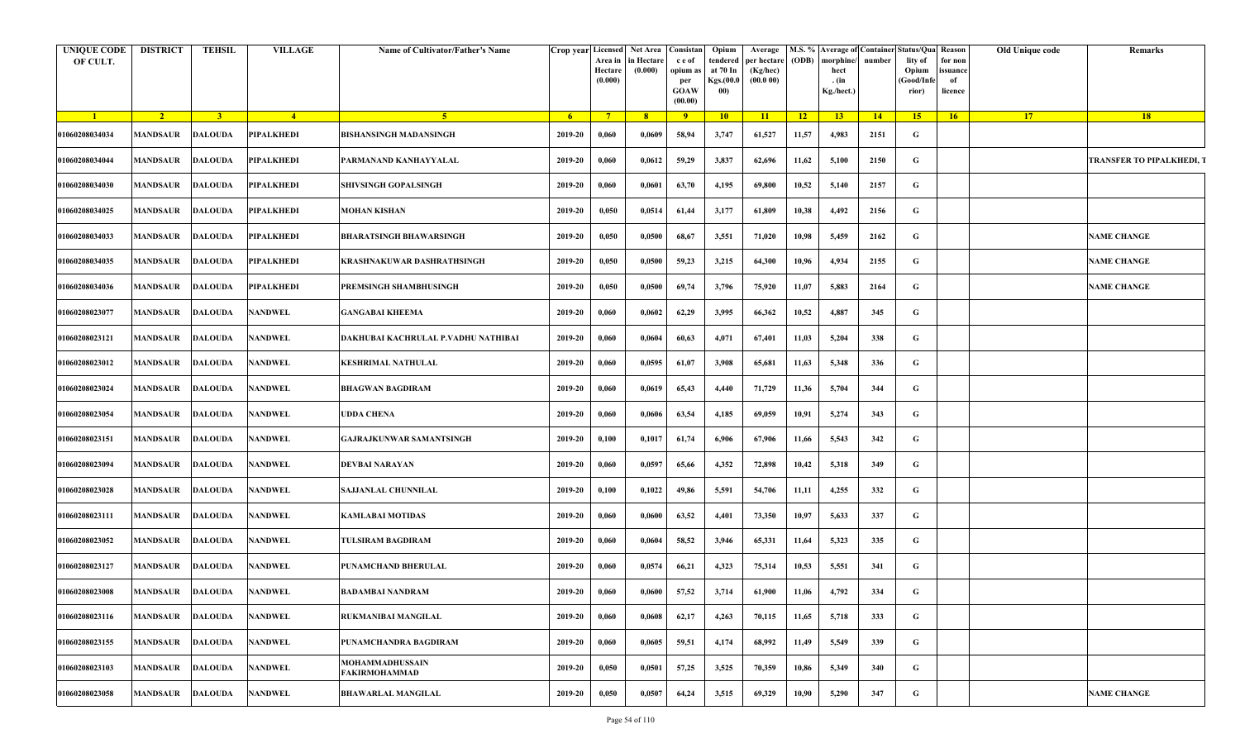| <b>UNIQUE CODE</b><br>OF CULT. | <b>DISTRICT</b>          | TEHSIL         | <b>VILLAGE</b>    | Name of Cultivator/Father's Name    | Crop year Licensed Net Area Consistan | Area in<br>Hectare<br>(0.000) | in Hectare<br>(0.000) | c e of<br>opium as<br>per<br><b>GOAW</b><br>(00.00) | Opium<br>tendered<br>at 70 In<br><b>Kgs.</b> (00.0<br>00) | Average<br>per hectare<br>(Kg/hec)<br>(00.000) | (ODB) | morphine/<br>hect<br>. (in<br>Kg./hect.) | number | M.S. % Average of Container Status/Qua Reason<br>lity of<br>Opium<br>(Good/Infe<br>rior) | for non<br>issuance<br>of<br>licence | <b>Old Unique code</b> | Remarks                          |
|--------------------------------|--------------------------|----------------|-------------------|-------------------------------------|---------------------------------------|-------------------------------|-----------------------|-----------------------------------------------------|-----------------------------------------------------------|------------------------------------------------|-------|------------------------------------------|--------|------------------------------------------------------------------------------------------|--------------------------------------|------------------------|----------------------------------|
| $\blacksquare$                 | $\overline{2}$           | 3 <sup>1</sup> | $-4$              | 5 <sup>1</sup>                      | - 6                                   | $7^{\circ}$                   | $-8$                  | $\overline{9}$                                      | 10                                                        | $\vert$ 11                                     | 12    | 13                                       | 14     | 15                                                                                       | 16                                   | <b>17</b>              | 18                               |
| 01060208034034                 | MANDSAUR                 | <b>DALOUDA</b> | <b>PIPALKHEDI</b> | <b>BISHANSINGH MADANSINGH</b>       | 2019-20                               | 0,060                         | 0,0609                | 58,94                                               | 3,747                                                     | 61,527                                         | 11,57 | 4,983                                    | 2151   | G                                                                                        |                                      |                        |                                  |
| 01060208034044                 | MANDSAUR                 | <b>DALOUDA</b> | <b>PIPALKHEDI</b> | PARMANAND KANHAYYALAL               | 2019-20                               | 0,060                         | 0,0612                | 59,29                                               | 3,837                                                     | 62,696                                         | 11,62 | 5,100                                    | 2150   | G                                                                                        |                                      |                        | <b>TRANSFER TO PIPALKHEDI, T</b> |
| 01060208034030                 | MANDSAUR                 | <b>DALOUDA</b> | <b>PIPALKHEDI</b> | <b>SHIVSINGH GOPALSINGH</b>         | 2019-20                               | 0,060                         | 0,0601                | 63,70                                               | 4,195                                                     | 69,800                                         | 10,52 | 5,140                                    | 2157   | G                                                                                        |                                      |                        |                                  |
| 01060208034025                 | <b>MANDSAUR</b>          | <b>DALOUDA</b> | <b>PIPALKHEDI</b> | <b>MOHAN KISHAN</b>                 | 2019-20                               | 0,050                         | 0,0514                | 61,44                                               | 3,177                                                     | 61,809                                         | 10,38 | 4,492                                    | 2156   | G                                                                                        |                                      |                        |                                  |
| 01060208034033                 | MANDSAUR                 | <b>DALOUDA</b> | <b>PIPALKHEDI</b> | <b>BHARATSINGH BHAWARSINGH</b>      | 2019-20                               | 0,050                         | 0,0500                | 68,67                                               | 3,551                                                     | 71,020                                         | 10,98 | 5,459                                    | 2162   | G                                                                                        |                                      |                        | <b>NAME CHANGE</b>               |
| 01060208034035                 | MANDSAUR                 | <b>DALOUDA</b> | <b>PIPALKHEDI</b> | KRASHNAKUWAR DASHRATHSINGH          | 2019-20                               | 0,050                         | 0,0500                | 59,23                                               | 3,215                                                     | 64,300                                         | 10,96 | 4,934                                    | 2155   | G                                                                                        |                                      |                        | <b>NAME CHANGE</b>               |
| 01060208034036                 | MANDSAUR                 | <b>DALOUDA</b> | <b>PIPALKHEDI</b> | PREMSINGH SHAMBHUSINGH              | 2019-20                               | 0,050                         | 0,0500                | 69,74                                               | 3,796                                                     | 75,920                                         | 11,07 | 5,883                                    | 2164   | G                                                                                        |                                      |                        | <b>NAME CHANGE</b>               |
| 01060208023077                 | MANDSAUR                 | <b>DALOUDA</b> | <b>NANDWEL</b>    | <b>GANGABAI KHEEMA</b>              | 2019-20                               | 0,060                         | 0,0602                | 62,29                                               | 3,995                                                     | 66,362                                         | 10,52 | 4,887                                    | 345    | G                                                                                        |                                      |                        |                                  |
| 01060208023121                 | <b>MANDSAUR</b>          | <b>DALOUDA</b> | <b>NANDWEL</b>    | DAKHUBAI KACHRULAL P.VADHU NATHIBAI | 2019-20                               | 0,060                         | 0,0604                | 60,63                                               | 4,071                                                     | 67,401                                         | 11,03 | 5,204                                    | 338    | G                                                                                        |                                      |                        |                                  |
| 01060208023012                 | MANDSAUR                 | <b>DALOUDA</b> | <b>NANDWEL</b>    | <b>KESHRIMAL NATHULAL</b>           | 2019-20                               | 0,060                         | 0,0595                | 61,07                                               | 3,908                                                     | 65,681                                         | 11,63 | 5,348                                    | 336    | G                                                                                        |                                      |                        |                                  |
| 01060208023024                 | MANDSAUR                 | <b>DALOUDA</b> | <b>NANDWEL</b>    | <b>BHAGWAN BAGDIRAM</b>             | 2019-20                               | 0,060                         | 0,0619                | 65,43                                               | 4,440                                                     | 71,729                                         | 11,36 | 5,704                                    | 344    | G                                                                                        |                                      |                        |                                  |
| 01060208023054                 | MANDSAUR                 | <b>DALOUDA</b> | <b>NANDWEL</b>    | UDDA CHENA                          | 2019-20                               | 0,060                         | 0,0606                | 63,54                                               | 4,185                                                     | 69,059                                         | 10,91 | 5,274                                    | 343    | G                                                                                        |                                      |                        |                                  |
| 01060208023151                 | MANDSAUR                 | <b>DALOUDA</b> | <b>NANDWEL</b>    | <b>GAJRAJKUNWAR SAMANTSINGH</b>     | 2019-20                               | 0,100                         | 0,1017                | 61,74                                               | 6,906                                                     | 67,906                                         | 11,66 | 5,543                                    | 342    | G                                                                                        |                                      |                        |                                  |
| 01060208023094                 | MANDSAUR                 | <b>DALOUDA</b> | <b>NANDWEL</b>    | DEVBAI NARAYAN                      | 2019-20                               | 0,060                         | 0,0597                | 65,66                                               | 4,352                                                     | 72,898                                         | 10,42 | 5,318                                    | 349    | G                                                                                        |                                      |                        |                                  |
| 01060208023028                 | MANDSAUR                 | <b>DALOUDA</b> | <b>NANDWEL</b>    | <b>SAJJANLAL CHUNNILAL</b>          | 2019-20                               | 0,100                         | 0,1022                | 49,86                                               | 5,591                                                     | 54,706                                         | 11,11 | 4,255                                    | 332    | G                                                                                        |                                      |                        |                                  |
| 01060208023111                 | MANDSAUR                 | <b>DALOUDA</b> | <b>NANDWEL</b>    | KAMLABAI MOTIDAS                    | 2019-20                               | 0,060                         | 0,0600                | 63,52                                               | 4,401                                                     | 73,350                                         | 10,97 | 5,633                                    | 337    | G                                                                                        |                                      |                        |                                  |
| 01060208023052                 | MANDSAUR                 | <b>DALOUDA</b> | <b>NANDWEL</b>    | TULSIRAM BAGDIRAM                   | 2019-20                               | 0,060                         | 0,0604                | 58,52                                               | 3,946                                                     | 65,331                                         | 11,64 | 5,323                                    | 335    | G                                                                                        |                                      |                        |                                  |
| 01060208023127                 | MANDSAUR                 | <b>DALOUDA</b> | <b>NANDWEL</b>    | PUNAMCHAND BHERULAL                 | 2019-20                               | 0,060                         | 0,0574                | 66,21                                               | 4,323                                                     | 75,314                                         | 10,53 | 5,551                                    | 341    | G                                                                                        |                                      |                        |                                  |
| 01060208023008                 | MANDSAUR DALOUDA NANDWEL |                |                   | BADAMBAI NANDRAM                    | 2019-20                               | 0,060                         | 0,0600                | 57,52                                               | 3,714                                                     | 61,900                                         | 11,06 | 4,792                                    | 334    | G                                                                                        |                                      |                        |                                  |
| 01060208023116                 | MANDSAUR                 | <b>DALOUDA</b> | <b>NANDWEL</b>    | RUKMANIBAI MANGILAL                 | 2019-20                               | 0,060                         | 0,0608                | 62,17                                               | 4,263                                                     | 70,115                                         | 11,65 | 5,718                                    | 333    | G                                                                                        |                                      |                        |                                  |
| 01060208023155                 | MANDSAUR                 | <b>DALOUDA</b> | <b>NANDWEL</b>    | PUNAMCHANDRA BAGDIRAM               | 2019-20                               | 0,060                         | 0,0605                | 59,51                                               | 4,174                                                     | 68,992                                         | 11,49 | 5,549                                    | 339    | G                                                                                        |                                      |                        |                                  |
| 01060208023103                 | MANDSAUR                 | <b>DALOUDA</b> | <b>NANDWEL</b>    | MOHAMMADHUSSAIN<br>FAKIRMOHAMMAD    | 2019-20                               | 0,050                         | 0,0501                | 57,25                                               | 3,525                                                     | 70,359                                         | 10,86 | 5,349                                    | 340    | G                                                                                        |                                      |                        |                                  |
| 01060208023058                 | MANDSAUR                 | <b>DALOUDA</b> | <b>NANDWEL</b>    | <b>BHAWARLAL MANGILAL</b>           | 2019-20                               | 0,050                         | 0,0507                | 64,24                                               | 3,515                                                     | 69,329                                         | 10,90 | 5,290                                    | 347    | G                                                                                        |                                      |                        | <b>NAME CHANGE</b>               |
|                                |                          |                |                   |                                     |                                       |                               |                       |                                                     |                                                           |                                                |       |                                          |        |                                                                                          |                                      |                        |                                  |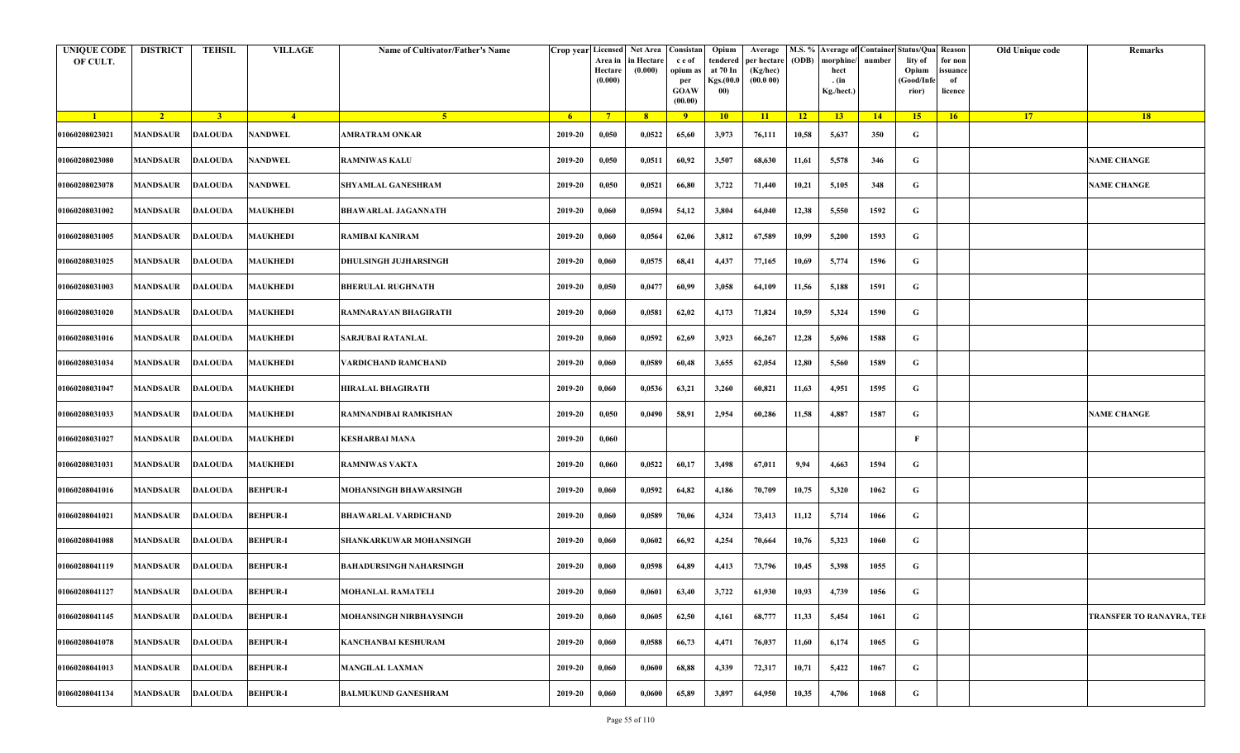| <b>UNIQUE CODE</b><br>OF CULT. | <b>DISTRICT</b>           | <b>TEHSIL</b>  | <b>VILLAGE</b>  | <b>Name of Cultivator/Father's Name</b> | Crop year Licensed Net Area Consistan | Area in<br>Hectare<br>(0.000) | in Hectare<br>(0.000) | c e of<br>opium as<br>per<br><b>GOAW</b><br>(00.00) | Opium<br>tendered<br>at 70 In<br><b>Kgs.(00.0</b><br>00) | Average<br>per hectare<br>(Kg/hec)<br>(00.000) | (ODB)           | M.S. % Average of Container<br>morphine/<br>hect<br>. (in<br>Kg./hect.) | number | Status/Qua Reason<br>lity of<br>Opium<br>(Good/Infe<br>rior) | for non<br>issuance<br>of<br>licence | Old Unique code | Remarks                         |
|--------------------------------|---------------------------|----------------|-----------------|-----------------------------------------|---------------------------------------|-------------------------------|-----------------------|-----------------------------------------------------|----------------------------------------------------------|------------------------------------------------|-----------------|-------------------------------------------------------------------------|--------|--------------------------------------------------------------|--------------------------------------|-----------------|---------------------------------|
| $\blacksquare$                 | $2^{\circ}$               | $\overline{3}$ | $\overline{4}$  | $-5$                                    | -6                                    | $7^{\circ}$                   | $-8$                  | 9 <sup>°</sup>                                      | $\overline{10}$                                          | $\overline{11}$                                | $\overline{12}$ | 13                                                                      | 14     | 15 <sup>2</sup>                                              | $-16$                                | 17 <sup>2</sup> | <b>18</b>                       |
| 01060208023021                 | <b>MANDSAUR</b>           | <b>DALOUDA</b> | <b>NANDWEL</b>  | AMRATRAM ONKAR                          | 2019-20                               | 0,050                         | 0,0522                | 65,60                                               | 3,973                                                    | 76,111                                         | 10,58           | 5,637                                                                   | 350    | G                                                            |                                      |                 |                                 |
| 01060208023080                 | <b>MANDSAUR</b>           | <b>DALOUDA</b> | <b>NANDWEL</b>  | <b>RAMNIWAS KALU</b>                    | 2019-20                               | 0,050                         | 0,0511                | 60,92                                               | 3,507                                                    | 68,630                                         | 11,61           | 5,578                                                                   | 346    | G                                                            |                                      |                 | <b>NAME CHANGE</b>              |
| 01060208023078                 | <b>MANDSAUR</b>           | <b>DALOUDA</b> | <b>NANDWEL</b>  | SHYAMLAL GANESHRAM                      | 2019-20                               | 0,050                         | 0,0521                | 66,80                                               | 3,722                                                    | 71,440                                         | 10,21           | 5,105                                                                   | 348    | G                                                            |                                      |                 | <b>NAME CHANGE</b>              |
| 01060208031002                 | <b>MANDSAUR</b>           | <b>DALOUDA</b> | <b>MAUKHEDI</b> | <b>BHAWARLAL JAGANNATH</b>              | 2019-20                               | 0,060                         | 0,0594                | 54,12                                               | 3,804                                                    | 64,040                                         | 12,38           | 5,550                                                                   | 1592   | G                                                            |                                      |                 |                                 |
| 01060208031005                 | <b>MANDSAUR</b>           | <b>DALOUDA</b> | <b>MAUKHEDI</b> | RAMIBAI KANIRAM                         | 2019-20                               | 0,060                         | 0,0564                | 62,06                                               | 3,812                                                    | 67,589                                         | 10,99           | 5,200                                                                   | 1593   | G                                                            |                                      |                 |                                 |
| 01060208031025                 | <b>MANDSAUR</b>           | <b>DALOUDA</b> | <b>MAUKHEDI</b> | DHULSINGH JUJHARSINGH                   | 2019-20                               | 0,060                         | 0,0575                | 68,41                                               | 4,437                                                    | 77,165                                         | 10,69           | 5,774                                                                   | 1596   | G                                                            |                                      |                 |                                 |
| 01060208031003                 | MANDSAUR                  | <b>DALOUDA</b> | <b>MAUKHEDI</b> | <b>BHERULAL RUGHNATH</b>                | 2019-20                               | 0,050                         | 0,0477                | 60,99                                               | 3,058                                                    | 64,109                                         | 11,56           | 5,188                                                                   | 1591   | G                                                            |                                      |                 |                                 |
| 01060208031020                 | <b>MANDSAUR</b>           | <b>DALOUDA</b> | <b>MAUKHEDI</b> | RAMNARAYAN BHAGIRATH                    | 2019-20                               | 0,060                         | 0,0581                | 62,02                                               | 4,173                                                    | 71,824                                         | 10,59           | 5,324                                                                   | 1590   | G                                                            |                                      |                 |                                 |
| 01060208031016                 | <b>MANDSAUR</b>           | <b>DALOUDA</b> | <b>MAUKHEDI</b> | SARJUBAI RATANLAL                       | 2019-20                               | 0,060                         | 0,0592                | 62,69                                               | 3,923                                                    | 66,267                                         | 12,28           | 5,696                                                                   | 1588   | G                                                            |                                      |                 |                                 |
| 01060208031034                 | <b>MANDSAUR</b>           | <b>DALOUDA</b> | <b>MAUKHEDI</b> | VARDICHAND RAMCHAND                     | 2019-20                               | 0,060                         | 0,0589                | 60,48                                               | 3,655                                                    | 62,054                                         | 12,80           | 5,560                                                                   | 1589   | G                                                            |                                      |                 |                                 |
| 01060208031047                 | MANDSAUR                  | <b>DALOUDA</b> | <b>MAUKHEDI</b> | HIRALAL BHAGIRATH                       | 2019-20                               | 0,060                         | 0,0536                | 63,21                                               | 3,260                                                    | 60,821                                         | 11,63           | 4,951                                                                   | 1595   | G                                                            |                                      |                 |                                 |
| 01060208031033                 | <b>MANDSAUR</b>           | <b>DALOUDA</b> | <b>MAUKHEDI</b> | RAMNANDIBAI RAMKISHAN                   | 2019-20                               | 0,050                         | 0,0490                | 58,91                                               | 2,954                                                    | 60,286                                         | 11,58           | 4,887                                                                   | 1587   | G                                                            |                                      |                 | <b>NAME CHANGE</b>              |
| 01060208031027                 | <b>MANDSAUR</b>           | <b>DALOUDA</b> | <b>MAUKHEDI</b> | <b>KESHARBAI MANA</b>                   | 2019-20                               | 0,060                         |                       |                                                     |                                                          |                                                |                 |                                                                         |        | F                                                            |                                      |                 |                                 |
| 01060208031031                 | MANDSAUR                  | <b>DALOUDA</b> | <b>MAUKHEDI</b> | RAMNIWAS VAKTA                          | 2019-20                               | 0,060                         | 0,0522                | 60,17                                               | 3,498                                                    | 67,011                                         | 9,94            | 4,663                                                                   | 1594   | G                                                            |                                      |                 |                                 |
| 01060208041016                 | MANDSAUR                  | <b>DALOUDA</b> | <b>BEHPUR-I</b> | MOHANSINGH BHAWARSINGH                  | 2019-20                               | 0,060                         | 0,0592                | 64,82                                               | 4,186                                                    | 70,709                                         | 10,75           | 5,320                                                                   | 1062   | G                                                            |                                      |                 |                                 |
| 01060208041021                 | <b>MANDSAUR</b>           | <b>DALOUDA</b> | <b>BEHPUR-I</b> | BHAWARLAL VARDICHAND                    | 2019-20                               | 0,060                         | 0,0589                | 70,06                                               | 4,324                                                    | 73,413                                         | 11,12           | 5,714                                                                   | 1066   | G                                                            |                                      |                 |                                 |
| 01060208041088                 | MANDSAUR                  | <b>DALOUDA</b> | <b>BEHPUR-I</b> | SHANKARKUWAR MOHANSINGH                 | 2019-20                               | 0,060                         | 0,0602                | 66,92                                               | 4,254                                                    | 70,664                                         | 10,76           | 5,323                                                                   | 1060   | G                                                            |                                      |                 |                                 |
| 01060208041119                 | MANDSAUR                  | <b>DALOUDA</b> | <b>BEHPUR-I</b> | BAHADURSINGH NAHARSINGH                 | 2019-20                               | 0,060                         | 0,0598                | 64,89                                               | 4,413                                                    | 73,796                                         | 10,45           | 5,398                                                                   | 1055   | G                                                            |                                      |                 |                                 |
| 01060208041127                 | MANDSAUR DALOUDA BEHPUR-I |                |                 | <b>MOHANLAL RAMATELI</b>                | 2019-20                               | 0,060                         | 0,0601                | 63,40                                               | 3,722                                                    | 61,930                                         | 10,93           | 4,739                                                                   | 1056   | G                                                            |                                      |                 |                                 |
| 01060208041145                 | <b>MANDSAUR</b>           | DALOUDA        | <b>BEHPUR-I</b> | MOHANSINGH NIRBHAYSINGH                 | 2019-20                               | 0,060                         | 0,0605                | 62,50                                               | 4,161                                                    | 68,777                                         | 11,33           | 5,454                                                                   | 1061   | G                                                            |                                      |                 | <b>TRANSFER TO RANAYRA, TEH</b> |
| 01060208041078                 | <b>MANDSAUR</b>           | <b>DALOUDA</b> | <b>BEHPUR-I</b> | KANCHANBAI KESHURAM                     | 2019-20                               | 0,060                         | 0,0588                | 66,73                                               | 4,471                                                    | 76,037                                         | 11,60           | 6,174                                                                   | 1065   | G                                                            |                                      |                 |                                 |
| 01060208041013                 | <b>MANDSAUR</b>           | <b>DALOUDA</b> | <b>BEHPUR-I</b> | <b>MANGILAL LAXMAN</b>                  | 2019-20                               | 0,060                         | 0,0600                | 68,88                                               | 4,339                                                    | 72,317                                         | 10,71           | 5,422                                                                   | 1067   | G                                                            |                                      |                 |                                 |
| 01060208041134                 | MANDSAUR                  | <b>DALOUDA</b> | <b>BEHPUR-I</b> | <b>BALMUKUND GANESHRAM</b>              | 2019-20                               | 0,060                         | 0,0600                | 65,89                                               | 3,897                                                    | 64,950                                         | 10,35           | 4,706                                                                   | 1068   | G                                                            |                                      |                 |                                 |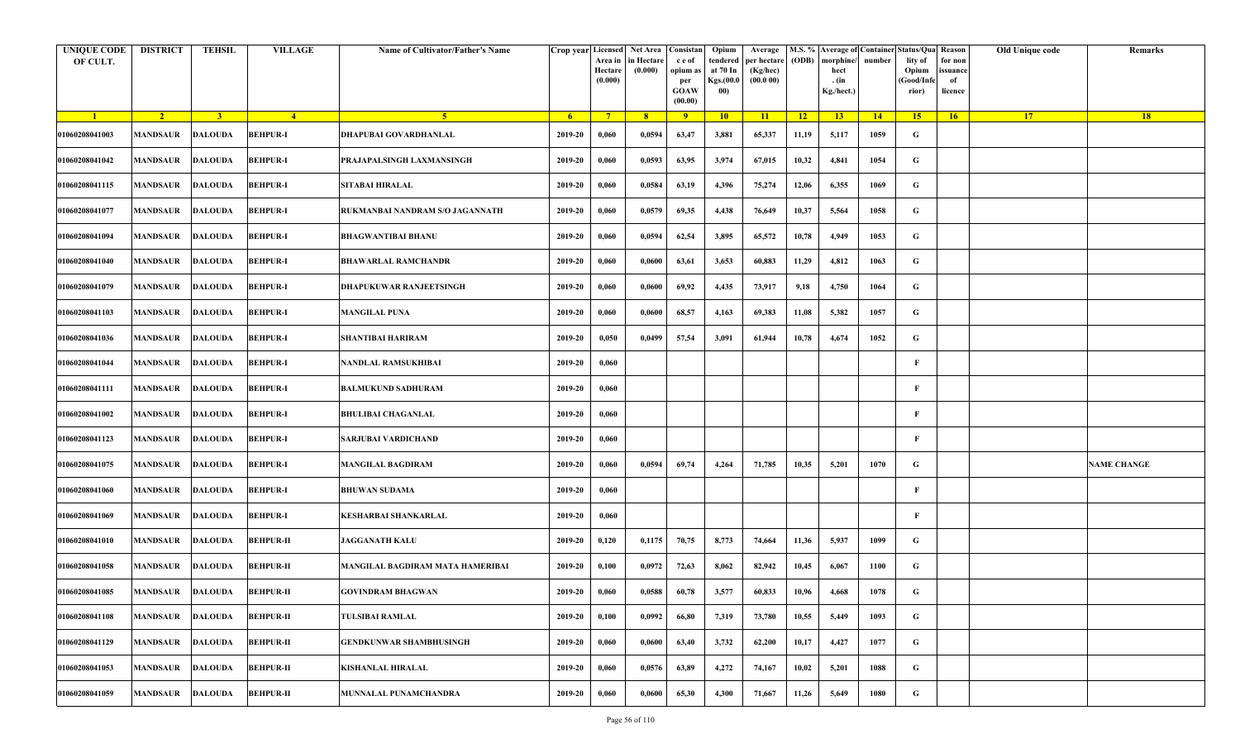| <b>UNIQUE CODE</b><br>OF CULT. | <b>DISTRICT</b>         | <b>TEHSIL</b>  | <b>VILLAGE</b>   | Name of Cultivator/Father's Name |         | Crop year Licensed Net Area Consistan<br>Area in<br>Hectare<br>(0.000) | in Hectare<br>(0.000) | c e of<br>opium as<br>per<br><b>GOAW</b><br>(00.00) | Opium<br>tendered<br>at 70 In<br>Kgs.(00.0<br>00) | Average<br>per hectare<br>(Kg/hec)<br>(00.000) | (ODB) | M.S. % Average of Container Status/Qua Reason<br>morphine/<br>hect<br>. (in<br>Kg./hect.) | number | lity of<br>Opium<br>(Good/Infe<br>rior) | for non<br>ssuance<br>of<br>licence | Old Unique code | Remarks            |
|--------------------------------|-------------------------|----------------|------------------|----------------------------------|---------|------------------------------------------------------------------------|-----------------------|-----------------------------------------------------|---------------------------------------------------|------------------------------------------------|-------|-------------------------------------------------------------------------------------------|--------|-----------------------------------------|-------------------------------------|-----------------|--------------------|
| $\blacksquare$                 | $\sqrt{2}$              | 3 <sup>1</sup> | $\frac{4}{ }$    | 5 <sup>1</sup>                   | $-6$    | $7^{\circ}$                                                            | 8 <sup>°</sup>        | $\overline{9}$                                      | 10                                                | 11                                             | $-12$ | 13                                                                                        | 14     | 15 <sup>2</sup>                         | 16                                  | <b>17</b>       | 18                 |
| 01060208041003                 | <b>MANDSAUR</b>         | <b>DALOUDA</b> | <b>BEHPUR-I</b>  | DHAPUBAI GOVARDHANLAL            | 2019-20 | 0,060                                                                  | 0,0594                | 63,47                                               | 3,881                                             | 65,337                                         | 11,19 | 5,117                                                                                     | 1059   | G                                       |                                     |                 |                    |
| 01060208041042                 | MANDSAUR                | <b>DALOUDA</b> | <b>BEHPUR-I</b>  | PRAJAPALSINGH LAXMANSINGH        | 2019-20 | 0,060                                                                  | 0,0593                | 63,95                                               | 3,974                                             | 67,015                                         | 10,32 | 4,841                                                                                     | 1054   | G                                       |                                     |                 |                    |
| 01060208041115                 | <b>MANDSAUR</b>         | <b>DALOUDA</b> | <b>BEHPUR-I</b>  | <b>SITABAI HIRALAL</b>           | 2019-20 | 0,060                                                                  | 0,0584                | 63,19                                               | 4,396                                             | 75,274                                         | 12,06 | 6,355                                                                                     | 1069   | G                                       |                                     |                 |                    |
| 01060208041077                 | MANDSAUR                | <b>DALOUDA</b> | <b>BEHPUR-I</b>  | RUKMANBAI NANDRAM S/O JAGANNATH  | 2019-20 | 0,060                                                                  | 0,0579                | 69,35                                               | 4,438                                             | 76,649                                         | 10,37 | 5,564                                                                                     | 1058   | G                                       |                                     |                 |                    |
| 01060208041094                 | <b>MANDSAUR</b>         | <b>DALOUDA</b> | <b>BEHPUR-I</b>  | <b>BHAGWANTIBAI BHANU</b>        | 2019-20 | 0,060                                                                  | 0,0594                | 62,54                                               | 3,895                                             | 65,572                                         | 10,78 | 4,949                                                                                     | 1053   | G                                       |                                     |                 |                    |
| 01060208041040                 | MANDSAUR                | <b>DALOUDA</b> | <b>BEHPUR-I</b>  | <b>BHAWARLAL RAMCHANDR</b>       | 2019-20 | 0,060                                                                  | 0,0600                | 63,61                                               | 3,653                                             | 60,883                                         | 11,29 | 4,812                                                                                     | 1063   | G                                       |                                     |                 |                    |
| 01060208041079                 | MANDSAUR                | <b>DALOUDA</b> | <b>BEHPUR-I</b>  | DHAPUKUWAR RANJEETSINGH          | 2019-20 | 0,060                                                                  | 0,0600                | 69,92                                               | 4,435                                             | 73,917                                         | 9,18  | 4,750                                                                                     | 1064   | G                                       |                                     |                 |                    |
| 01060208041103                 | MANDSAUR                | <b>DALOUDA</b> | <b>BEHPUR-I</b>  | <b>MANGILAL PUNA</b>             | 2019-20 | 0,060                                                                  | 0,0600                | 68,57                                               | 4,163                                             | 69,383                                         | 11,08 | 5,382                                                                                     | 1057   | G                                       |                                     |                 |                    |
| 01060208041036                 | <b>MANDSAUR</b>         | <b>DALOUDA</b> | <b>BEHPUR-I</b>  | SHANTIBAI HARIRAM                | 2019-20 | 0,050                                                                  | 0,0499                | 57,54                                               | 3,091                                             | 61,944                                         | 10,78 | 4,674                                                                                     | 1052   | G                                       |                                     |                 |                    |
| 01060208041044                 | <b>MANDSAUR</b>         | <b>DALOUDA</b> | <b>BEHPUR-I</b>  | NANDLAL RAMSUKHIBAI              | 2019-20 | 0,060                                                                  |                       |                                                     |                                                   |                                                |       |                                                                                           |        | F                                       |                                     |                 |                    |
| 01060208041111                 | MANDSAUR                | <b>DALOUDA</b> | <b>BEHPUR-I</b>  | <b>BALMUKUND SADHURAM</b>        | 2019-20 | 0,060                                                                  |                       |                                                     |                                                   |                                                |       |                                                                                           |        | F                                       |                                     |                 |                    |
| 01060208041002                 | <b>MANDSAUR</b>         | <b>DALOUDA</b> | <b>BEHPUR-I</b>  | <b>BHULIBAI CHAGANLAL</b>        | 2019-20 | 0,060                                                                  |                       |                                                     |                                                   |                                                |       |                                                                                           |        | F                                       |                                     |                 |                    |
| 01060208041123                 | MANDSAUR                | <b>DALOUDA</b> | <b>BEHPUR-I</b>  | SARJUBAI VARDICHAND              | 2019-20 | 0,060                                                                  |                       |                                                     |                                                   |                                                |       |                                                                                           |        | $\mathbf{F}$                            |                                     |                 |                    |
| 01060208041075                 | <b>MANDSAUR</b>         | <b>DALOUDA</b> | <b>BEHPUR-I</b>  | <b>MANGILAL BAGDIRAM</b>         | 2019-20 | 0,060                                                                  | 0,0594                | 69,74                                               | 4,264                                             | 71,785                                         | 10,35 | 5,201                                                                                     | 1070   | G                                       |                                     |                 | <b>NAME CHANGE</b> |
| 01060208041060                 | MANDSAUR                | <b>DALOUDA</b> | <b>BEHPUR-I</b>  | <b>BHUWAN SUDAMA</b>             | 2019-20 | 0,060                                                                  |                       |                                                     |                                                   |                                                |       |                                                                                           |        | F                                       |                                     |                 |                    |
| 01060208041069                 | <b>MANDSAUR</b>         | <b>DALOUDA</b> | <b>BEHPUR-I</b>  | KESHARBAI SHANKARLAL             | 2019-20 | 0,060                                                                  |                       |                                                     |                                                   |                                                |       |                                                                                           |        | F                                       |                                     |                 |                    |
| 01060208041010                 | MANDSAUR                | <b>DALOUDA</b> | <b>BEHPUR-II</b> | <b>JAGGANATH KALU</b>            | 2019-20 | 0,120                                                                  | 0,1175                | 70,75                                               | 8,773                                             | 74,664                                         | 11,36 | 5,937                                                                                     | 1099   | G                                       |                                     |                 |                    |
| 01060208041058                 | MANDSAUR                | <b>DALOUDA</b> | <b>BEHPUR-II</b> | MANGILAL BAGDIRAM MATA HAMERIBAI | 2019-20 | 0,100                                                                  | 0,0972                | 72,63                                               | 8,062                                             | 82,942                                         | 10,45 | 6,067                                                                                     | 1100   | G                                       |                                     |                 |                    |
| 01060208041085                 | <b>MANDSAUR DALOUDA</b> |                | <b>BEHPUR-II</b> | <b>GOVINDRAM BHAGWAN</b>         | 2019-20 | 0,060                                                                  | 0,0588                | 60,78                                               | 3,577                                             | 60,833                                         | 10,96 | 4,668                                                                                     | 1078   | G                                       |                                     |                 |                    |
| 01060208041108                 | <b>MANDSAUR</b>         | <b>DALOUDA</b> | <b>BEHPUR-II</b> | <b>TULSIBAI RAMLAL</b>           | 2019-20 | 0,100                                                                  | 0,0992                | 66,80                                               | 7,319                                             | 73,780                                         | 10,55 | 5,449                                                                                     | 1093   | $\mathbf G$                             |                                     |                 |                    |
| 01060208041129                 | <b>MANDSAUR</b>         | <b>DALOUDA</b> | <b>BEHPUR-II</b> | <b>GENDKUNWAR SHAMBHUSINGH</b>   | 2019-20 | 0,060                                                                  | 0,0600                | 63,40                                               | 3,732                                             | 62,200                                         | 10,17 | 4,427                                                                                     | 1077   | G                                       |                                     |                 |                    |
| 01060208041053                 | MANDSAUR                | <b>DALOUDA</b> | <b>BEHPUR-II</b> | <b>KISHANLAL HIRALAL</b>         | 2019-20 | 0,060                                                                  | 0,0576                | 63,89                                               | 4,272                                             | 74,167                                         | 10,02 | 5,201                                                                                     | 1088   | G                                       |                                     |                 |                    |
| 01060208041059                 | MANDSAUR                | <b>DALOUDA</b> | <b>BEHPUR-II</b> | MUNNALAL PUNAMCHANDRA            | 2019-20 | 0,060                                                                  | 0,0600                | 65,30                                               | 4,300                                             | 71,667                                         | 11,26 | 5,649                                                                                     | 1080   | G                                       |                                     |                 |                    |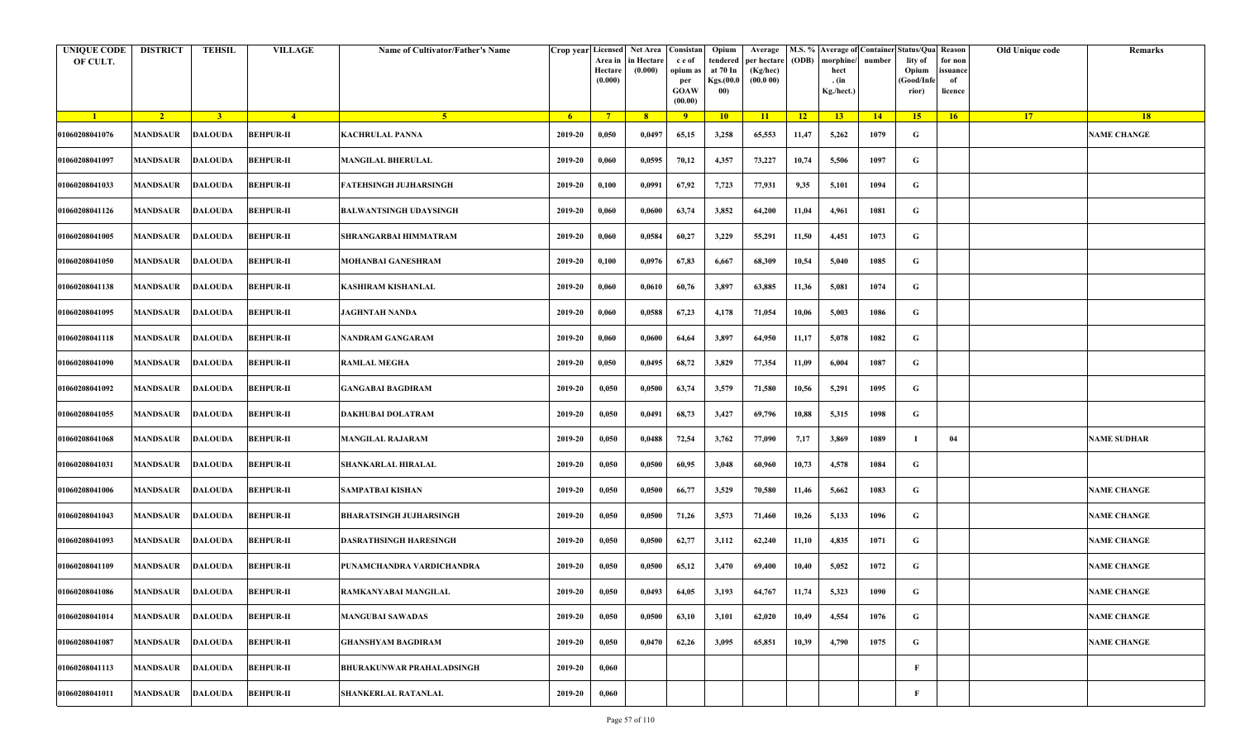| <b>UNIQUE CODE</b><br>OF CULT. | <b>DISTRICT</b>         | TEHSIL         | <b>VILLAGE</b>   | Name of Cultivator/Father's Name | Crop year Licensed | Area in<br>Hectare<br>(0.000) | Net Area   Consistan<br>n Hectare<br>(0.000) | c e of<br>opium as<br>per<br><b>GOAW</b><br>(00.00) | Opium<br>tendered<br>at 70 In<br>Kgs.(00.0<br>00) | Average<br>per hectare<br>(Kg/hec)<br>(00.000) | (ODB) | M.S. % Average of Container Status/Qua Reason<br>morphine/<br>hect<br>. (in<br>Kg./hect.) | number | lity of<br>Opium<br>(Good/Info<br>rior) | for non<br>ssuance<br>of<br>licence | Old Unique code | Remarks            |
|--------------------------------|-------------------------|----------------|------------------|----------------------------------|--------------------|-------------------------------|----------------------------------------------|-----------------------------------------------------|---------------------------------------------------|------------------------------------------------|-------|-------------------------------------------------------------------------------------------|--------|-----------------------------------------|-------------------------------------|-----------------|--------------------|
| $\blacksquare$                 | $\sqrt{2}$              | 3 <sup>1</sup> | $\frac{4}{ }$    | 5 <sup>1</sup>                   | -6                 | $7^{\circ}$                   | 8                                            | 9                                                   | 10                                                | 11                                             | 12    | 13 <sup>7</sup>                                                                           | 14     | 15                                      | 16                                  | 17 <sup>2</sup> | 18                 |
| 01060208041076                 | <b>MANDSAUR</b>         | <b>DALOUDA</b> | <b>BEHPUR-II</b> | <b>KACHRULAL PANNA</b>           | 2019-20            | 0,050                         | 0,0497                                       | 65,15                                               | 3,258                                             | 65,553                                         | 11,47 | 5,262                                                                                     | 1079   | G                                       |                                     |                 | <b>NAME CHANGE</b> |
| 01060208041097                 | MANDSAUR                | <b>DALOUDA</b> | <b>BEHPUR-II</b> | <b>MANGILAL BHERULAL</b>         | 2019-20            | 0,060                         | 0,0595                                       | 70,12                                               | 4,357                                             | 73,227                                         | 10,74 | 5,506                                                                                     | 1097   | G                                       |                                     |                 |                    |
| 01060208041033                 | MANDSAUR                | <b>DALOUDA</b> | <b>BEHPUR-II</b> | FATEHSINGH JUJHARSINGH           | 2019-20            | 0,100                         | 0,0991                                       | 67,92                                               | 7,723                                             | 77,931                                         | 9,35  | 5,101                                                                                     | 1094   | G                                       |                                     |                 |                    |
| 01060208041126                 | <b>MANDSAUR</b>         | <b>DALOUDA</b> | <b>BEHPUR-II</b> | BALWANTSINGH UDAYSINGH           | 2019-20            | 0,060                         | 0,0600                                       | 63,74                                               | 3,852                                             | 64,200                                         | 11,04 | 4,961                                                                                     | 1081   | G                                       |                                     |                 |                    |
| 01060208041005                 | MANDSAUR                | <b>DALOUDA</b> | <b>BEHPUR-II</b> | SHRANGARBAI HIMMATRAM            | 2019-20            | 0,060                         | 0,0584                                       | 60,27                                               | 3,229                                             | 55,291                                         | 11,50 | 4,451                                                                                     | 1073   | G                                       |                                     |                 |                    |
| 01060208041050                 | <b>MANDSAUR</b>         | <b>DALOUDA</b> | <b>BEHPUR-II</b> | MOHANBAI GANESHRAM               | 2019-20            | 0,100                         | 0,0976                                       | 67,83                                               | 6,667                                             | 68,309                                         | 10,54 | 5,040                                                                                     | 1085   | G                                       |                                     |                 |                    |
| 01060208041138                 | MANDSAUR                | <b>DALOUDA</b> | <b>BEHPUR-II</b> | KASHIRAM KISHANLAL               | 2019-20            | 0,060                         | 0,0610                                       | 60,76                                               | 3,897                                             | 63,885                                         | 11,36 | 5,081                                                                                     | 1074   | G                                       |                                     |                 |                    |
| 01060208041095                 | <b>MANDSAUR</b>         | <b>DALOUDA</b> | <b>BEHPUR-II</b> | <b>JAGHNTAH NANDA</b>            | 2019-20            | 0,060                         | 0,0588                                       | 67,23                                               | 4,178                                             | 71,054                                         | 10,06 | 5,003                                                                                     | 1086   | G                                       |                                     |                 |                    |
| 01060208041118                 | MANDSAUR                | <b>DALOUDA</b> | <b>BEHPUR-II</b> | NANDRAM GANGARAM                 | 2019-20            | 0,060                         | 0,0600                                       | 64,64                                               | 3,897                                             | 64,950                                         | 11,17 | 5,078                                                                                     | 1082   | G                                       |                                     |                 |                    |
| 01060208041090                 | MANDSAUR                | <b>DALOUDA</b> | <b>BEHPUR-II</b> | <b>RAMLAL MEGHA</b>              | 2019-20            | 0,050                         | 0,0495                                       | 68,72                                               | 3,829                                             | 77,354                                         | 11,09 | 6,004                                                                                     | 1087   | G                                       |                                     |                 |                    |
| 01060208041092                 | MANDSAUR                | <b>DALOUDA</b> | <b>BEHPUR-II</b> | <b>GANGABAI BAGDIRAM</b>         | 2019-20            | 0,050                         | 0,0500                                       | 63,74                                               | 3,579                                             | 71,580                                         | 10,56 | 5,291                                                                                     | 1095   | G                                       |                                     |                 |                    |
| 01060208041055                 | <b>MANDSAUR</b>         | <b>DALOUDA</b> | <b>BEHPUR-II</b> | DAKHUBAI DOLATRAM                | 2019-20            | 0,050                         | 0,0491                                       | 68,73                                               | 3,427                                             | 69,796                                         | 10,88 | 5,315                                                                                     | 1098   | G                                       |                                     |                 |                    |
| 01060208041068                 | MANDSAUR                | <b>DALOUDA</b> | <b>BEHPUR-II</b> | <b>MANGILAL RAJARAM</b>          | 2019-20            | 0,050                         | 0,0488                                       | 72,54                                               | 3,762                                             | 77,090                                         | 7,17  | 3,869                                                                                     | 1089   |                                         | 04                                  |                 | <b>NAME SUDHAR</b> |
| 01060208041031                 | MANDSAUR                | <b>DALOUDA</b> | <b>BEHPUR-II</b> | SHANKARLAL HIRALAL               | 2019-20            | 0,050                         | 0,0500                                       | 60,95                                               | 3,048                                             | 60,960                                         | 10,73 | 4,578                                                                                     | 1084   | G                                       |                                     |                 |                    |
| 01060208041006                 | MANDSAUR                | <b>DALOUDA</b> | <b>BEHPUR-II</b> | SAMPATBAI KISHAN                 | 2019-20            | 0,050                         | 0,0500                                       | 66,77                                               | 3,529                                             | 70,580                                         | 11,46 | 5,662                                                                                     | 1083   | G                                       |                                     |                 | <b>NAME CHANGE</b> |
| 01060208041043                 | MANDSAUR                | <b>DALOUDA</b> | <b>BEHPUR-II</b> | BHARATSINGH JUJHARSINGH          | 2019-20            | 0,050                         | 0,0500                                       | 71,26                                               | 3,573                                             | 71,460                                         | 10,26 | 5,133                                                                                     | 1096   | G                                       |                                     |                 | <b>NAME CHANGE</b> |
| 01060208041093                 | MANDSAUR                | <b>DALOUDA</b> | <b>BEHPUR-II</b> | DASRATHSINGH HARESINGH           | 2019-20            | 0,050                         | 0,0500                                       | 62,77                                               | 3,112                                             | 62,240                                         | 11,10 | 4,835                                                                                     | 1071   | G                                       |                                     |                 | <b>NAME CHANGE</b> |
| 01060208041109                 | MANDSAUR                | <b>DALOUDA</b> | <b>BEHPUR-II</b> | PUNAMCHANDRA VARDICHANDRA        | 2019-20            | 0,050                         | 0,0500                                       | 65,12                                               | 3,470                                             | 69,400                                         | 10,40 | 5,052                                                                                     | 1072   | G                                       |                                     |                 | <b>NAME CHANGE</b> |
| 01060208041086                 | <b>MANDSAUR DALOUDA</b> |                | <b>BEHPUR-II</b> | RAMKANYABAI MANGILAL             | 2019-20            | 0,050                         | 0,0493                                       | 64,05                                               | 3,193                                             | 64,767                                         | 11,74 | 5,323                                                                                     | 1090   | G                                       |                                     |                 | <b>NAME CHANGE</b> |
| 01060208041014                 | MANDSAUR                | <b>DALOUDA</b> | <b>BEHPUR-II</b> | <b>MANGUBAI SAWADAS</b>          | 2019-20            | 0,050                         | 0,0500                                       | 63,10                                               | 3,101                                             | 62,020                                         | 10,49 | 4,554                                                                                     | 1076   | $\mathbf G$                             |                                     |                 | <b>NAME CHANGE</b> |
| 01060208041087                 | MANDSAUR                | <b>DALOUDA</b> | <b>BEHPUR-II</b> | GHANSHYAM BAGDIRAM               | 2019-20            | 0,050                         | 0,0470                                       | 62,26                                               | 3,095                                             | 65,851                                         | 10,39 | 4,790                                                                                     | 1075   | $\mathbf G$                             |                                     |                 | <b>NAME CHANGE</b> |
| 01060208041113                 | <b>MANDSAUR</b>         | <b>DALOUDA</b> | <b>BEHPUR-II</b> | <b>BHURAKUNWAR PRAHALADSINGH</b> | 2019-20            | 0,060                         |                                              |                                                     |                                                   |                                                |       |                                                                                           |        | $\mathbf{F}$                            |                                     |                 |                    |
| 01060208041011                 | <b>MANDSAUR</b>         | <b>DALOUDA</b> | <b>BEHPUR-II</b> | <b>SHANKERLAL RATANLAL</b>       | 2019-20            | 0,060                         |                                              |                                                     |                                                   |                                                |       |                                                                                           |        | F                                       |                                     |                 |                    |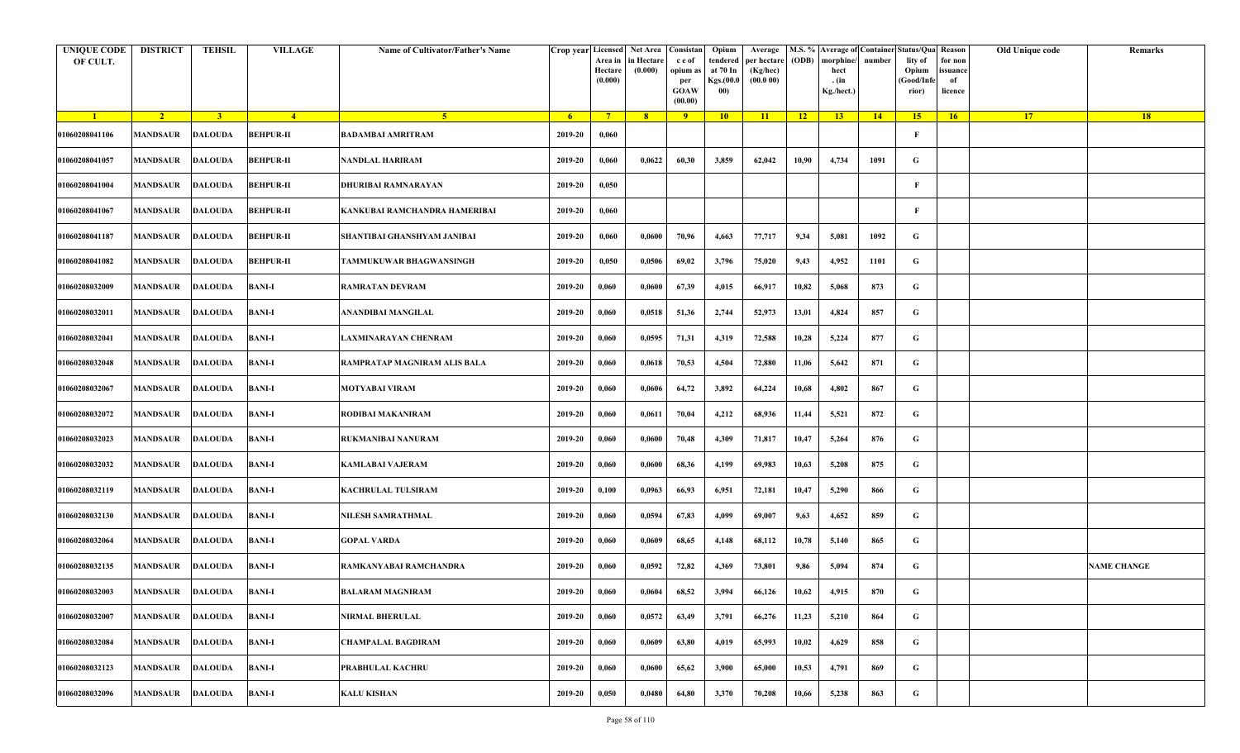| <b>UNIQUE CODE</b><br>OF CULT. | <b>DISTRICT</b>         | <b>TEHSIL</b>  | <b>VILLAGE</b>   | Name of Cultivator/Father's Name |         | Area in<br>Hectare<br>(0.000) | Crop year Licensed Net Area Consistan<br>in Hectare<br>(0.000) | c e of<br>opium as<br>per<br><b>GOAW</b><br>(00.00) | Opium<br>tendered<br>at 70 In<br>Kgs.(00.0<br>00) | Average<br>per hectare<br>(Kg/hec)<br>(00.000) | (ODB) | M.S. % Average of Container Status/Qua Reason<br>morphine/<br>hect<br>. (in<br>Kg./hect.) | number | lity of<br>Opium<br>(Good/Infe<br>rior) | for non<br>ssuance<br>of<br>licence | Old Unique code | Remarks            |
|--------------------------------|-------------------------|----------------|------------------|----------------------------------|---------|-------------------------------|----------------------------------------------------------------|-----------------------------------------------------|---------------------------------------------------|------------------------------------------------|-------|-------------------------------------------------------------------------------------------|--------|-----------------------------------------|-------------------------------------|-----------------|--------------------|
| $\blacksquare$                 | $\sqrt{2}$              | 3 <sup>1</sup> | $\frac{4}{ }$    | $-5$                             | $-6$    | $7^{\circ}$                   | 8 <sup>°</sup>                                                 | $\overline{9}$                                      | 10                                                | 11                                             | $-12$ | 13                                                                                        | 14     | 15 <sup>2</sup>                         | 16                                  | <b>17</b>       | <b>18</b>          |
| 01060208041106                 | <b>MANDSAUR</b>         | <b>DALOUDA</b> | <b>BEHPUR-II</b> | <b>BADAMBAI AMRITRAM</b>         | 2019-20 | 0,060                         |                                                                |                                                     |                                                   |                                                |       |                                                                                           |        | F                                       |                                     |                 |                    |
| 01060208041057                 | MANDSAUR                | <b>DALOUDA</b> | <b>BEHPUR-II</b> | <b>NANDLAL HARIRAM</b>           | 2019-20 | 0,060                         | 0,0622                                                         | 60,30                                               | 3,859                                             | 62,042                                         | 10,90 | 4,734                                                                                     | 1091   | G                                       |                                     |                 |                    |
| 01060208041004                 | <b>MANDSAUR</b>         | <b>DALOUDA</b> | <b>BEHPUR-II</b> | DHURIBAI RAMNARAYAN              | 2019-20 | 0,050                         |                                                                |                                                     |                                                   |                                                |       |                                                                                           |        | $\mathbf{F}$                            |                                     |                 |                    |
| 01060208041067                 | MANDSAUR                | <b>DALOUDA</b> | <b>BEHPUR-II</b> | KANKUBAI RAMCHANDRA HAMERIBAI    | 2019-20 | 0,060                         |                                                                |                                                     |                                                   |                                                |       |                                                                                           |        | F                                       |                                     |                 |                    |
| 01060208041187                 | <b>MANDSAUR</b>         | <b>DALOUDA</b> | <b>BEHPUR-II</b> | SHANTIBAI GHANSHYAM JANIBAI      | 2019-20 | 0,060                         | 0,0600                                                         | 70,96                                               | 4,663                                             | 77,717                                         | 9,34  | 5,081                                                                                     | 1092   | G                                       |                                     |                 |                    |
| 01060208041082                 | MANDSAUR                | <b>DALOUDA</b> | <b>BEHPUR-II</b> | TAMMUKUWAR BHAGWANSINGH          | 2019-20 | 0,050                         | 0,0506                                                         | 69,02                                               | 3,796                                             | 75,020                                         | 9,43  | 4,952                                                                                     | 1101   | G                                       |                                     |                 |                    |
| 01060208032009                 | MANDSAUR                | <b>DALOUDA</b> | <b>BANI-I</b>    | <b>RAMRATAN DEVRAM</b>           | 2019-20 | 0,060                         | 0,0600                                                         | 67,39                                               | 4,015                                             | 66,917                                         | 10,82 | 5,068                                                                                     | 873    | G                                       |                                     |                 |                    |
| 01060208032011                 | MANDSAUR                | <b>DALOUDA</b> | <b>BANI-I</b>    | ANANDIBAI MANGILAL               | 2019-20 | 0,060                         | 0,0518                                                         | 51,36                                               | 2,744                                             | 52,973                                         | 13,01 | 4,824                                                                                     | 857    | G                                       |                                     |                 |                    |
| 01060208032041                 | <b>MANDSAUR</b>         | <b>DALOUDA</b> | <b>BANI-I</b>    | LAXMINARAYAN CHENRAM             | 2019-20 | 0,060                         | 0,0595                                                         | 71,31                                               | 4,319                                             | 72,588                                         | 10,28 | 5,224                                                                                     | 877    | G                                       |                                     |                 |                    |
| 01060208032048                 | <b>MANDSAUR</b>         | <b>DALOUDA</b> | <b>BANI-I</b>    | RAMPRATAP MAGNIRAM ALIS BALA     | 2019-20 | 0,060                         | 0,0618                                                         | 70,53                                               | 4,504                                             | 72,880                                         | 11,06 | 5,642                                                                                     | 871    | G                                       |                                     |                 |                    |
| 01060208032067                 | MANDSAUR                | <b>DALOUDA</b> | <b>BANI-I</b>    | <b>MOTYABAI VIRAM</b>            | 2019-20 | 0,060                         | 0,0606                                                         | 64,72                                               | 3,892                                             | 64,224                                         | 10,68 | 4,802                                                                                     | 867    | G                                       |                                     |                 |                    |
| 01060208032072                 | <b>MANDSAUR</b>         | <b>DALOUDA</b> | <b>BANI-I</b>    | RODIBAI MAKANIRAM                | 2019-20 | 0,060                         | 0,0611                                                         | 70,04                                               | 4,212                                             | 68,936                                         | 11,44 | 5,521                                                                                     | 872    | G                                       |                                     |                 |                    |
| 01060208032023                 | MANDSAUR                | <b>DALOUDA</b> | <b>BANI-I</b>    | RUKMANIBAI NANURAM               | 2019-20 | 0,060                         | 0,0600                                                         | 70,48                                               | 4,309                                             | 71,817                                         | 10,47 | 5,264                                                                                     | 876    | G                                       |                                     |                 |                    |
| 01060208032032                 | MANDSAUR                | <b>DALOUDA</b> | <b>BANI-I</b>    | <b>KAMLABAI VAJERAM</b>          | 2019-20 | 0,060                         | 0,0600                                                         | 68,36                                               | 4,199                                             | 69,983                                         | 10,63 | 5,208                                                                                     | 875    | G                                       |                                     |                 |                    |
| 01060208032119                 | <b>MANDSAUR</b>         | DALOUDA        | <b>BANI-I</b>    | <b>KACHRULAL TULSIRAM</b>        | 2019-20 | 0,100                         | 0,0963                                                         | 66,93                                               | 6,951                                             | 72,181                                         | 10,47 | 5,290                                                                                     | 866    | G                                       |                                     |                 |                    |
| 01060208032130                 | MANDSAUR                | <b>DALOUDA</b> | <b>BANI-I</b>    | NILESH SAMRATHMAL                | 2019-20 | 0,060                         | 0,0594                                                         | 67,83                                               | 4,099                                             | 69,007                                         | 9,63  | 4,652                                                                                     | 859    | G                                       |                                     |                 |                    |
| 01060208032064                 | MANDSAUR                | <b>DALOUDA</b> | <b>BANI-I</b>    | <b>GOPAL VARDA</b>               | 2019-20 | 0,060                         | 0,0609                                                         | 68,65                                               | 4,148                                             | 68,112                                         | 10,78 | 5,140                                                                                     | 865    | G                                       |                                     |                 |                    |
| 01060208032135                 | MANDSAUR                | <b>DALOUDA</b> | <b>BANI-I</b>    | RAMKANYABAI RAMCHANDRA           | 2019-20 | 0,060                         | 0,0592                                                         | 72,82                                               | 4,369                                             | 73,801                                         | 9,86  | 5,094                                                                                     | 874    | G                                       |                                     |                 | <b>NAME CHANGE</b> |
| 01060208032003                 | MANDSAUR DALOUDA BANI-I |                |                  | <b>BALARAM MAGNIRAM</b>          | 2019-20 | 0,060                         | 0,0604                                                         | 68,52                                               | 3,994                                             | 66,126                                         | 10,62 | 4,915                                                                                     | 870    | G                                       |                                     |                 |                    |
| 01060208032007                 | <b>MANDSAUR</b>         | <b>DALOUDA</b> | <b>BANI-I</b>    | <b>NIRMAL BHERULAL</b>           | 2019-20 | 0,060                         | 0,0572                                                         | 63,49                                               | 3,791                                             | 66,276                                         | 11,23 | 5,210                                                                                     | 864    | $\mathbf G$                             |                                     |                 |                    |
| 01060208032084                 | <b>MANDSAUR</b>         | <b>DALOUDA</b> | <b>BANI-I</b>    | CHAMPALAL BAGDIRAM               | 2019-20 | 0,060                         | 0,0609                                                         | 63,80                                               | 4,019                                             | 65,993                                         | 10,02 | 4,629                                                                                     | 858    | G                                       |                                     |                 |                    |
| 01060208032123                 | MANDSAUR                | <b>DALOUDA</b> | <b>BANI-I</b>    | PRABHULAL KACHRU                 | 2019-20 | 0,060                         | 0,0600                                                         | 65,62                                               | 3,900                                             | 65,000                                         | 10,53 | 4,791                                                                                     | 869    | G                                       |                                     |                 |                    |
| 01060208032096                 | MANDSAUR                | <b>DALOUDA</b> | <b>BANI-I</b>    | <b>KALU KISHAN</b>               | 2019-20 | 0,050                         | 0,0480                                                         | 64,80                                               | 3,370                                             | 70,208                                         | 10,66 | 5,238                                                                                     | 863    | G                                       |                                     |                 |                    |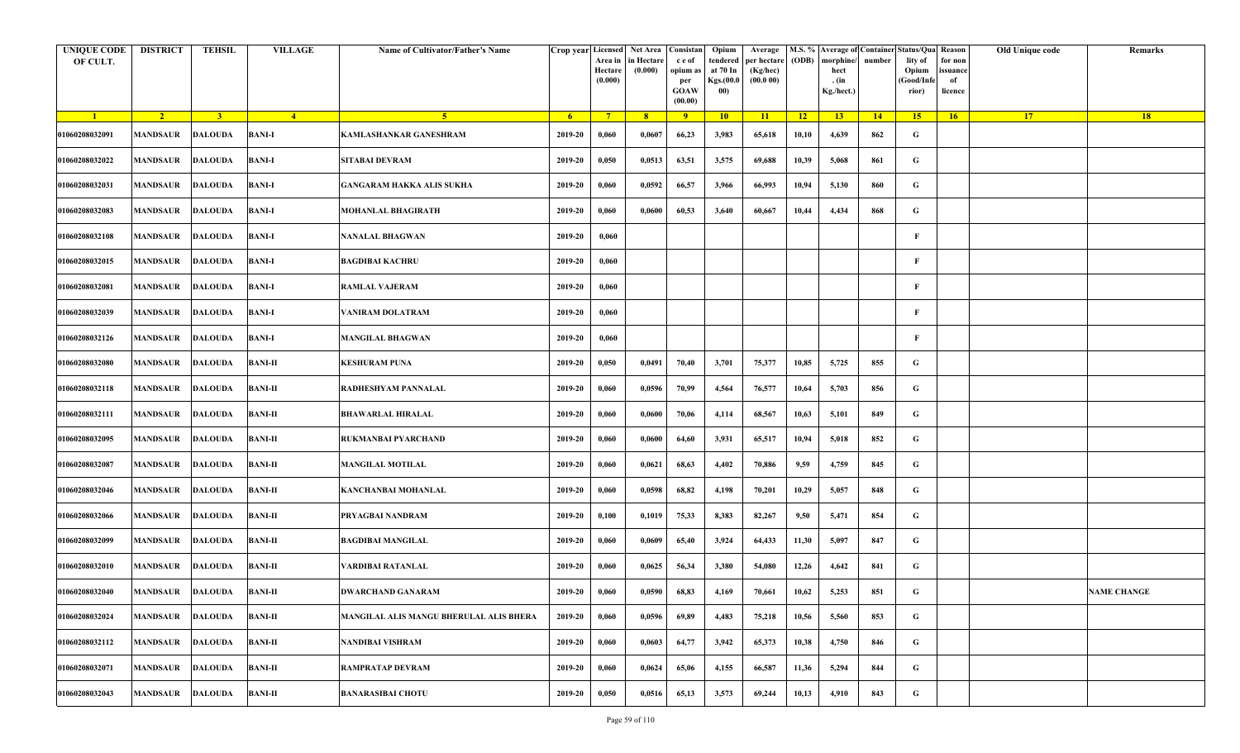| <b>UNIQUE CODE</b><br>OF CULT. | <b>DISTRICT</b>         | <b>TEHSIL</b>  | <b>VILLAGE</b> | Name of Cultivator/Father's Name        |         | Area in<br>Hectare<br>(0.000) | Crop year Licensed Net Area Consistan<br>in Hectare<br>(0.000) | c e of<br>opium as<br>per<br><b>GOAW</b><br>(00.00) | Opium<br>tendered<br>at 70 In<br>Kgs.(00.0<br>00) | Average<br>per hectare<br>(Kg/hec)<br>(00.000) | (ODB) | M.S. % Average of Container Status/Qua Reason<br>morphine/<br>hect<br>. (in<br>Kg./hect.) | number | lity of<br>Opium<br>(Good/Infe<br>rior) | for non<br>issuance<br>of<br>licence | Old Unique code | Remarks            |
|--------------------------------|-------------------------|----------------|----------------|-----------------------------------------|---------|-------------------------------|----------------------------------------------------------------|-----------------------------------------------------|---------------------------------------------------|------------------------------------------------|-------|-------------------------------------------------------------------------------------------|--------|-----------------------------------------|--------------------------------------|-----------------|--------------------|
| $\blacksquare$                 | $\sqrt{2}$              | 3 <sup>1</sup> | $-4$           | $\sqrt{5}$                              | - 6     | $7^{\circ}$                   | 8 <sup>°</sup>                                                 | $\overline{9}$                                      | 10                                                | 11                                             | $-12$ | 13                                                                                        | 14     | 15                                      | 16                                   | <b>17</b>       | <b>18</b>          |
| 01060208032091                 | <b>MANDSAUR</b>         | <b>DALOUDA</b> | <b>BANI-I</b>  | KAMLASHANKAR GANESHRAM                  | 2019-20 | 0,060                         | 0,0607                                                         | 66,23                                               | 3,983                                             | 65,618                                         | 10,10 | 4,639                                                                                     | 862    | G                                       |                                      |                 |                    |
| 01060208032022                 | MANDSAUR                | <b>DALOUDA</b> | <b>BANI-I</b>  | <b>SITABAI DEVRAM</b>                   | 2019-20 | 0,050                         | 0,0513                                                         | 63,51                                               | 3,575                                             | 69,688                                         | 10,39 | 5,068                                                                                     | 861    | G                                       |                                      |                 |                    |
| 01060208032031                 | <b>MANDSAUR</b>         | <b>DALOUDA</b> | <b>BANI-I</b>  | <b>GANGARAM HAKKA ALIS SUKHA</b>        | 2019-20 | 0,060                         | 0,0592                                                         | 66,57                                               | 3,966                                             | 66,993                                         | 10,94 | 5,130                                                                                     | 860    | G                                       |                                      |                 |                    |
| 01060208032083                 | <b>MANDSAUR</b>         | <b>DALOUDA</b> | <b>BANI-I</b>  | MOHANLAL BHAGIRATH                      | 2019-20 | 0,060                         | 0,0600                                                         | 60,53                                               | 3,640                                             | 60,667                                         | 10,44 | 4,434                                                                                     | 868    | G                                       |                                      |                 |                    |
| 01060208032108                 | MANDSAUR                | <b>DALOUDA</b> | <b>BANI-I</b>  | NANALAL BHAGWAN                         | 2019-20 | 0,060                         |                                                                |                                                     |                                                   |                                                |       |                                                                                           |        | F                                       |                                      |                 |                    |
| 01060208032015                 | <b>MANDSAUR</b>         | <b>DALOUDA</b> | <b>BANI-I</b>  | <b>BAGDIBAI KACHRU</b>                  | 2019-20 | 0,060                         |                                                                |                                                     |                                                   |                                                |       |                                                                                           |        | F                                       |                                      |                 |                    |
| 01060208032081                 | MANDSAUR                | <b>DALOUDA</b> | <b>BANI-I</b>  | <b>RAMLAL VAJERAM</b>                   | 2019-20 | 0,060                         |                                                                |                                                     |                                                   |                                                |       |                                                                                           |        | F                                       |                                      |                 |                    |
| 01060208032039                 | MANDSAUR                | <b>DALOUDA</b> | <b>BANI-I</b>  | VANIRAM DOLATRAM                        | 2019-20 | 0,060                         |                                                                |                                                     |                                                   |                                                |       |                                                                                           |        | F                                       |                                      |                 |                    |
| 01060208032126                 | MANDSAUR                | <b>DALOUDA</b> | <b>BANI-I</b>  | <b>MANGILAL BHAGWAN</b>                 | 2019-20 | 0,060                         |                                                                |                                                     |                                                   |                                                |       |                                                                                           |        | F                                       |                                      |                 |                    |
| 01060208032080                 | MANDSAUR                | <b>DALOUDA</b> | <b>BANI-II</b> | <b>KESHURAM PUNA</b>                    | 2019-20 | 0,050                         | 0,0491                                                         | 70,40                                               | 3,701                                             | 75,377                                         | 10,85 | 5,725                                                                                     | 855    | G                                       |                                      |                 |                    |
| 01060208032118                 | <b>MANDSAUR</b>         | <b>DALOUDA</b> | <b>BANI-II</b> | RADHESHYAM PANNALAL                     | 2019-20 | 0,060                         | 0,0596                                                         | 70,99                                               | 4,564                                             | 76,577                                         | 10,64 | 5,703                                                                                     | 856    | G                                       |                                      |                 |                    |
| 01060208032111                 | <b>MANDSAUR</b>         | <b>DALOUDA</b> | <b>BANI-II</b> | BHAWARLAL HIRALAL                       | 2019-20 | 0,060                         | 0,0600                                                         | 70,06                                               | 4,114                                             | 68,567                                         | 10,63 | 5,101                                                                                     | 849    | G                                       |                                      |                 |                    |
| 01060208032095                 | MANDSAUR                | <b>DALOUDA</b> | <b>BANI-II</b> | RUKMANBAI PYARCHAND                     | 2019-20 | 0,060                         | 0,0600                                                         | 64,60                                               | 3,931                                             | 65,517                                         | 10,94 | 5,018                                                                                     | 852    | G                                       |                                      |                 |                    |
| 01060208032087                 | MANDSAUR                | <b>DALOUDA</b> | <b>BANI-II</b> | <b>MANGILAL MOTILAL</b>                 | 2019-20 | 0,060                         | 0,0621                                                         | 68,63                                               | 4,402                                             | 70,886                                         | 9,59  | 4,759                                                                                     | 845    | G                                       |                                      |                 |                    |
| 01060208032046                 | <b>MANDSAUR</b>         | <b>DALOUDA</b> | <b>BANI-II</b> | KANCHANBAI MOHANLAL                     | 2019-20 | 0,060                         | 0,0598                                                         | 68,82                                               | 4,198                                             | 70,201                                         | 10,29 | 5,057                                                                                     | 848    | G                                       |                                      |                 |                    |
| 01060208032066                 | MANDSAUR                | <b>DALOUDA</b> | <b>BANI-II</b> | PRYAGBAI NANDRAM                        | 2019-20 | 0,100                         | 0,1019                                                         | 75,33                                               | 8,383                                             | 82,267                                         | 9,50  | 5,471                                                                                     | 854    | G                                       |                                      |                 |                    |
| 01060208032099                 | MANDSAUR                | <b>DALOUDA</b> | <b>BANI-II</b> | <b>BAGDIBAI MANGILAL</b>                | 2019-20 | 0,060                         | 0,0609                                                         | 65,40                                               | 3,924                                             | 64,433                                         | 11,30 | 5,097                                                                                     | 847    | G                                       |                                      |                 |                    |
| 01060208032010                 | MANDSAUR                | <b>DALOUDA</b> | <b>BANI-II</b> | VARDIBAI RATANLAL                       | 2019-20 | 0,060                         | 0,0625                                                         | 56,34                                               | 3,380                                             | 54,080                                         | 12,26 | 4,642                                                                                     | 841    | G                                       |                                      |                 |                    |
| 01060208032040                 | <b>MANDSAUR DALOUDA</b> |                | <b>BANI-II</b> | <b>DWARCHAND GANARAM</b>                | 2019-20 | 0,060                         | 0,0590                                                         | 68,83                                               | 4,169                                             | 70,661                                         | 10,62 | 5,253                                                                                     | 851    | G                                       |                                      |                 | <b>NAME CHANGE</b> |
| 01060208032024                 | <b>MANDSAUR</b>         | <b>DALOUDA</b> | <b>BANI-II</b> | MANGILAL ALIS MANGU BHERULAL ALIS BHERA | 2019-20 | 0,060                         | 0,0596                                                         | 69,89                                               | 4,483                                             | 75,218                                         | 10,56 | 5,560                                                                                     | 853    | $\mathbf G$                             |                                      |                 |                    |
| 01060208032112                 | <b>MANDSAUR</b>         | <b>DALOUDA</b> | <b>BANI-II</b> | NANDIBAI VISHRAM                        | 2019-20 | 0,060                         | 0,0603                                                         | 64,77                                               | 3,942                                             | 65,373                                         | 10,38 | 4,750                                                                                     | 846    | $\mathbf G$                             |                                      |                 |                    |
| 01060208032071                 | <b>MANDSAUR</b>         | <b>DALOUDA</b> | <b>BANI-II</b> | <b>RAMPRATAP DEVRAM</b>                 | 2019-20 | 0,060                         | 0,0624                                                         | 65,06                                               | 4,155                                             | 66,587                                         | 11,36 | 5,294                                                                                     | 844    | G                                       |                                      |                 |                    |
| 01060208032043                 | <b>MANDSAUR</b>         | <b>DALOUDA</b> | <b>BANI-II</b> | <b>BANARASIBAI CHOTU</b>                | 2019-20 | 0,050                         | 0,0516                                                         | 65,13                                               | 3,573                                             | 69,244                                         | 10,13 | 4,910                                                                                     | 843    | G                                       |                                      |                 |                    |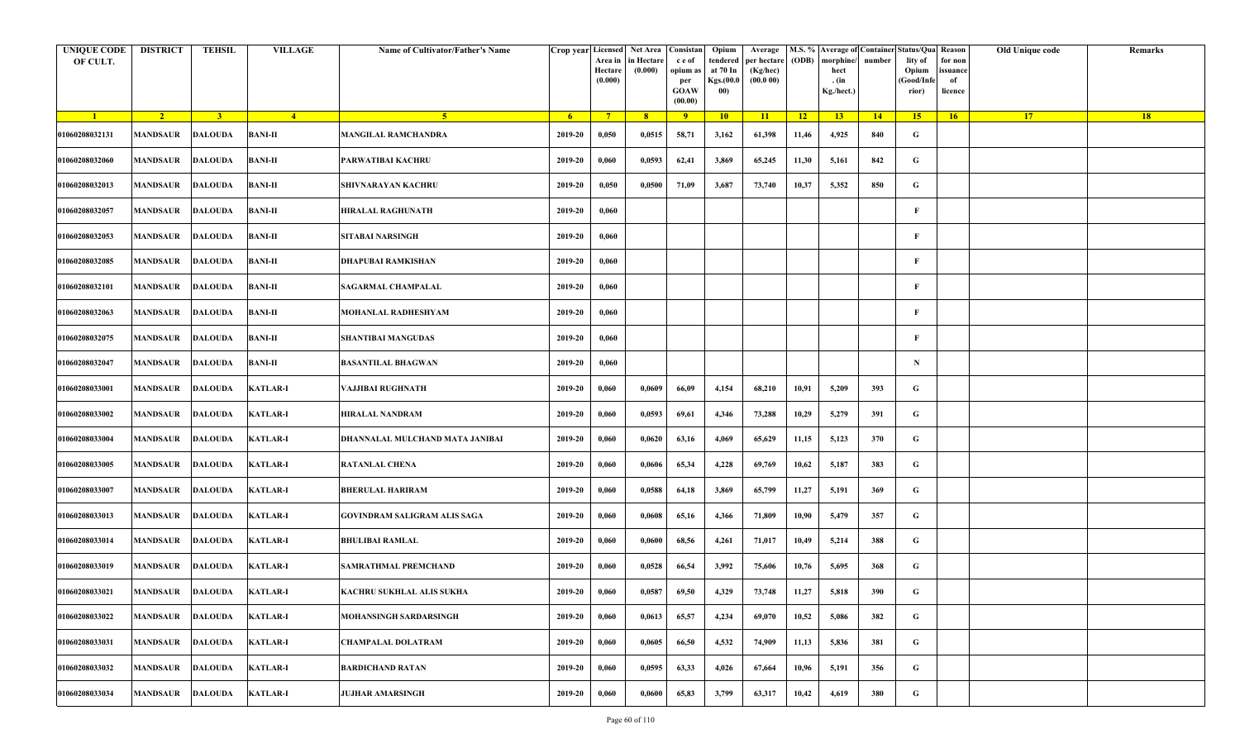| <b>UNIQUE CODE</b><br>OF CULT. | <b>DISTRICT</b>         | <b>TEHSIL</b>  | <b>VILLAGE</b>  | Name of Cultivator/Father's Name | Crop year Licensed | Area in<br>Hectare<br>(0.000) | Net Area   Consistan<br>n Hectare<br>(0.000) | c e of<br>opium as<br>per<br><b>GOAW</b><br>(00.00) | Opium<br>tendered<br>at 70 In<br>Kgs.(00.0<br>00) | Average<br>per hectare<br>(Kg/hec)<br>(00.000) | (ODB) | M.S. % Average of Container Status/Qua Reason<br>morphine/<br>hect<br>. (in<br>Kg./hect.) | number      | lity of<br>Opium<br>(Good/Info<br>rior) | for non<br>ssuance<br>of<br>licence | Old Unique code | Remarks |
|--------------------------------|-------------------------|----------------|-----------------|----------------------------------|--------------------|-------------------------------|----------------------------------------------|-----------------------------------------------------|---------------------------------------------------|------------------------------------------------|-------|-------------------------------------------------------------------------------------------|-------------|-----------------------------------------|-------------------------------------|-----------------|---------|
| $\blacksquare$                 | $\sqrt{2}$              | $\overline{3}$ | $\overline{4}$  | $-5$                             | 6 <sup>1</sup>     | $7^{\circ}$                   | 8 <sup>°</sup>                               | 9                                                   | 10                                                | 11                                             | 12    | 13 <sup>7</sup>                                                                           | $\sqrt{14}$ | 15                                      | 16                                  | 17 <sup>2</sup> | 18      |
| 01060208032131                 | MANDSAUR                | <b>DALOUDA</b> | <b>BANI-II</b>  | <b>MANGILAL RAMCHANDRA</b>       | 2019-20            | 0,050                         | 0,0515                                       | 58,71                                               | 3,162                                             | 61,398                                         | 11,46 | 4,925                                                                                     | 840         | G                                       |                                     |                 |         |
| 01060208032060                 | <b>MANDSAUR</b>         | <b>DALOUDA</b> | <b>BANI-II</b>  | PARWATIBAI KACHRU                | 2019-20            | 0,060                         | 0,0593                                       | 62,41                                               | 3,869                                             | 65,245                                         | 11,30 | 5,161                                                                                     | 842         | G                                       |                                     |                 |         |
| 01060208032013                 | MANDSAUR                | <b>DALOUDA</b> | <b>BANI-II</b>  | <b>SHIVNARAYAN KACHRU</b>        | 2019-20            | 0,050                         | 0,0500                                       | 71,09                                               | 3,687                                             | 73,740                                         | 10,37 | 5,352                                                                                     | 850         | G                                       |                                     |                 |         |
| 01060208032057                 | MANDSAUR                | <b>DALOUDA</b> | <b>BANI-II</b>  | HIRALAL RAGHUNATH                | 2019-20            | 0,060                         |                                              |                                                     |                                                   |                                                |       |                                                                                           |             | F                                       |                                     |                 |         |
| 01060208032053                 | <b>MANDSAUR</b>         | <b>DALOUDA</b> | <b>BANI-II</b>  | SITABAI NARSINGH                 | 2019-20            | 0,060                         |                                              |                                                     |                                                   |                                                |       |                                                                                           |             | F                                       |                                     |                 |         |
| 01060208032085                 | MANDSAUR                | <b>DALOUDA</b> | <b>BANI-II</b>  | DHAPUBAI RAMKISHAN               | 2019-20            | 0,060                         |                                              |                                                     |                                                   |                                                |       |                                                                                           |             | $\mathbf{F}$                            |                                     |                 |         |
| 01060208032101                 | MANDSAUR                | <b>DALOUDA</b> | <b>BANI-II</b>  | <b>SAGARMAL CHAMPALAL</b>        | 2019-20            | 0,060                         |                                              |                                                     |                                                   |                                                |       |                                                                                           |             | F                                       |                                     |                 |         |
| 01060208032063                 | MANDSAUR                | <b>DALOUDA</b> | <b>BANI-II</b>  | MOHANLAL RADHESHYAM              | 2019-20            | 0,060                         |                                              |                                                     |                                                   |                                                |       |                                                                                           |             | F                                       |                                     |                 |         |
| 01060208032075                 | MANDSAUR                | <b>DALOUDA</b> | <b>BANI-II</b>  | SHANTIBAI MANGUDAS               | 2019-20            | 0,060                         |                                              |                                                     |                                                   |                                                |       |                                                                                           |             | F                                       |                                     |                 |         |
| 01060208032047                 | MANDSAUR                | <b>DALOUDA</b> | <b>BANI-II</b>  | <b>BASANTILAL BHAGWAN</b>        | 2019-20            | 0,060                         |                                              |                                                     |                                                   |                                                |       |                                                                                           |             | $\mathbf N$                             |                                     |                 |         |
| 01060208033001                 | <b>MANDSAUR</b>         | <b>DALOUDA</b> | <b>KATLAR-I</b> | VAJJIBAI RUGHNATH                | 2019-20            | 0,060                         | 0,0609                                       | 66,09                                               | 4,154                                             | 68,210                                         | 10,91 | 5,209                                                                                     | 393         | G                                       |                                     |                 |         |
| 01060208033002                 | MANDSAUR                | <b>DALOUDA</b> | <b>KATLAR-I</b> | HIRALAL NANDRAM                  | 2019-20            | 0,060                         | 0,0593                                       | 69,61                                               | 4,346                                             | 73,288                                         | 10,29 | 5,279                                                                                     | 391         | G                                       |                                     |                 |         |
| 01060208033004                 | MANDSAUR                | <b>DALOUDA</b> | <b>KATLAR-I</b> | DHANNALAL MULCHAND MATA JANIBAI  | 2019-20            | 0,060                         | 0,0620                                       | 63,16                                               | 4,069                                             | 65,629                                         | 11,15 | 5,123                                                                                     | 370         | G                                       |                                     |                 |         |
| 01060208033005                 | MANDSAUR                | <b>DALOUDA</b> | <b>KATLAR-I</b> | <b>RATANLAL CHENA</b>            | 2019-20            | 0,060                         | 0,0606                                       | 65,34                                               | 4,228                                             | 69,769                                         | 10,62 | 5,187                                                                                     | 383         | G                                       |                                     |                 |         |
| 01060208033007                 | <b>MANDSAUR</b>         | <b>DALOUDA</b> | <b>KATLAR-I</b> | <b>BHERULAL HARIRAM</b>          | 2019-20            | 0,060                         | 0,0588                                       | 64,18                                               | 3,869                                             | 65,799                                         | 11,27 | 5,191                                                                                     | 369         | G                                       |                                     |                 |         |
| 01060208033013                 | MANDSAUR                | <b>DALOUDA</b> | <b>KATLAR-I</b> | GOVINDRAM SALIGRAM ALIS SAGA     | 2019-20            | 0,060                         | 0,0608                                       | 65,16                                               | 4,366                                             | 71,809                                         | 10,90 | 5,479                                                                                     | 357         | G                                       |                                     |                 |         |
| 01060208033014                 | MANDSAUR                | <b>DALOUDA</b> | <b>KATLAR-I</b> | <b>BHULIBAI RAMLAL</b>           | 2019-20            | 0,060                         | 0,0600                                       | 68,56                                               | 4,261                                             | 71,017                                         | 10,49 | 5,214                                                                                     | 388         | G                                       |                                     |                 |         |
| 01060208033019                 | MANDSAUR                | <b>DALOUDA</b> | <b>KATLAR-I</b> | SAMRATHMAL PREMCHAND             | 2019-20            | 0,060                         | 0,0528                                       | 66,54                                               | 3,992                                             | 75,606                                         | 10,76 | 5,695                                                                                     | 368         | G                                       |                                     |                 |         |
| 01060208033021                 | <b>MANDSAUR DALOUDA</b> |                | <b>KATLAR-I</b> | KACHRU SUKHLAL ALIS SUKHA        | 2019-20            | 0,060                         | 0,0587                                       | 69,50                                               | 4,329                                             | 73,748                                         | 11,27 | 5,818                                                                                     | 390         | G                                       |                                     |                 |         |
| 01060208033022                 | <b>MANDSAUR</b>         | <b>DALOUDA</b> | <b>KATLAR-I</b> | MOHANSINGH SARDARSINGH           | 2019-20            | 0,060                         | 0,0613                                       | 65,57                                               | 4,234                                             | 69,070                                         | 10,52 | 5,086                                                                                     | 382         | $\mathbf G$                             |                                     |                 |         |
| 01060208033031                 | <b>MANDSAUR</b>         | <b>DALOUDA</b> | <b>KATLAR-I</b> | CHAMPALAL DOLATRAM               | 2019-20            | 0,060                         | 0,0605                                       | 66,50                                               | 4,532                                             | 74,909                                         | 11,13 | 5,836                                                                                     | 381         | $\mathbf G$                             |                                     |                 |         |
| 01060208033032                 | <b>MANDSAUR</b>         | <b>DALOUDA</b> | <b>KATLAR-I</b> | <b>BARDICHAND RATAN</b>          | 2019-20            | 0,060                         | 0,0595                                       | 63,33                                               | 4,026                                             | 67,664                                         | 10,96 | 5,191                                                                                     | 356         | $\mathbf G$                             |                                     |                 |         |
| 01060208033034                 | MANDSAUR                | <b>DALOUDA</b> | <b>KATLAR-I</b> | <b>JUJHAR AMARSINGH</b>          | 2019-20            | 0,060                         | 0,0600                                       | 65,83                                               | 3,799                                             | 63,317                                         | 10,42 | 4,619                                                                                     | 380         | G                                       |                                     |                 |         |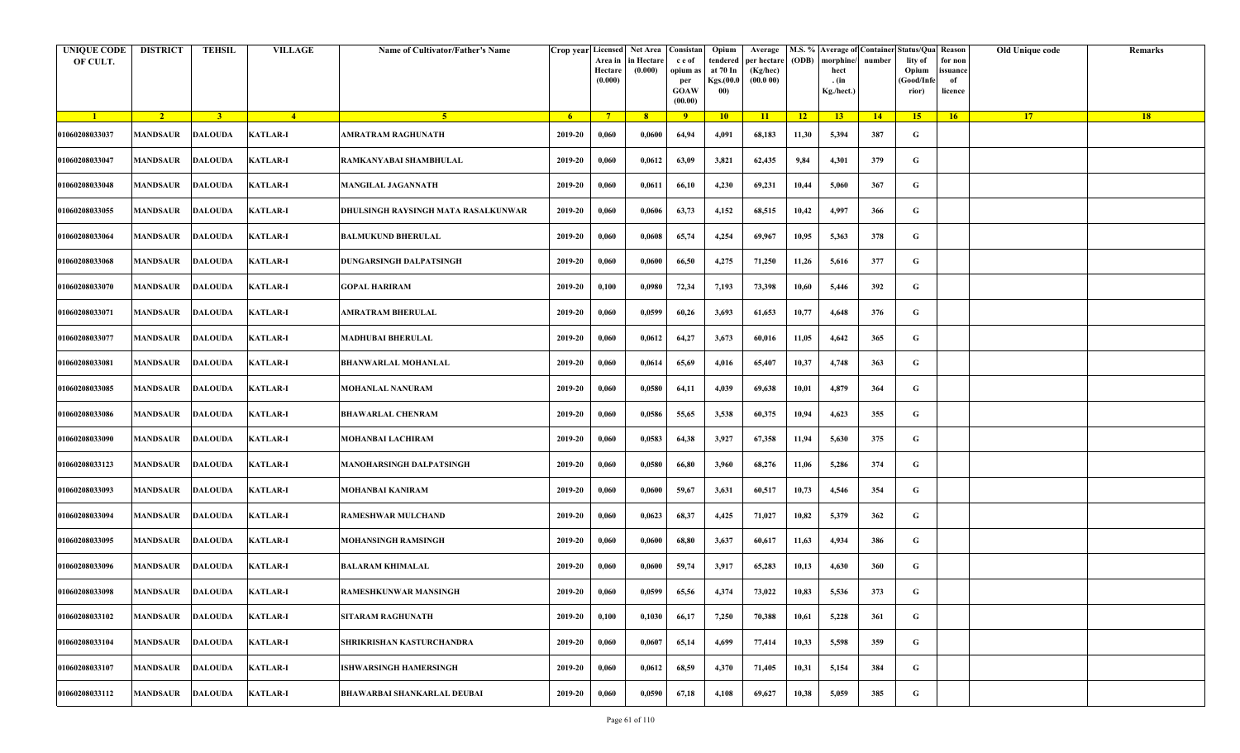| <b>UNIQUE CODE</b><br>OF CULT. | <b>DISTRICT</b>           | <b>TEHSIL</b>  | <b>VILLAGE</b>  | Name of Cultivator/Father's Name    |         | Crop year Licensed Net Area Consistan<br>Area in<br>Hectare<br>(0.000) | in Hectare<br>(0.000) | c e of<br>opium as<br>per<br><b>GOAW</b><br>(00.00) | Opium<br>tendered<br>at 70 In<br>Kgs.(00.0<br>00) | Average<br>per hectare<br>(Kg/hec)<br>(00.000) | (ODB) | M.S. % Average of Container Status/Qua Reason<br>morphine/<br>hect<br>. (in<br>Kg./hect.) | number | lity of<br>Opium<br>(Good/Infe<br>rior) | for non<br>ssuance<br>of<br>licence | Old Unique code | Remarks |
|--------------------------------|---------------------------|----------------|-----------------|-------------------------------------|---------|------------------------------------------------------------------------|-----------------------|-----------------------------------------------------|---------------------------------------------------|------------------------------------------------|-------|-------------------------------------------------------------------------------------------|--------|-----------------------------------------|-------------------------------------|-----------------|---------|
| $\blacksquare$                 | $\sqrt{2}$                | 3 <sup>1</sup> | $\frac{4}{ }$   | 5 <sup>1</sup>                      | $-6$    | $7^{\circ}$                                                            | 8 <sup>°</sup>        | $\overline{9}$                                      | 10                                                | 11                                             | $-12$ | 13                                                                                        | 14     | 15 <sup>2</sup>                         | 16                                  | <b>17</b>       | 18      |
| 01060208033037                 | <b>MANDSAUR</b>           | <b>DALOUDA</b> | <b>KATLAR-I</b> | AMRATRAM RAGHUNATH                  | 2019-20 | 0,060                                                                  | 0,0600                | 64,94                                               | 4,091                                             | 68,183                                         | 11,30 | 5,394                                                                                     | 387    | G                                       |                                     |                 |         |
| 01060208033047                 | MANDSAUR                  | <b>DALOUDA</b> | <b>KATLAR-I</b> | RAMKANYABAI SHAMBHULAL              | 2019-20 | 0,060                                                                  | 0,0612                | 63,09                                               | 3,821                                             | 62,435                                         | 9,84  | 4,301                                                                                     | 379    | G                                       |                                     |                 |         |
| 01060208033048                 | <b>MANDSAUR</b>           | <b>DALOUDA</b> | <b>KATLAR-I</b> | MANGILAL JAGANNATH                  | 2019-20 | 0,060                                                                  | 0,0611                | 66,10                                               | 4,230                                             | 69,231                                         | 10,44 | 5,060                                                                                     | 367    | G                                       |                                     |                 |         |
| 01060208033055                 | MANDSAUR                  | <b>DALOUDA</b> | <b>KATLAR-I</b> | DHULSINGH RAYSINGH MATA RASALKUNWAR | 2019-20 | 0,060                                                                  | 0,0606                | 63,73                                               | 4,152                                             | 68,515                                         | 10,42 | 4,997                                                                                     | 366    | G                                       |                                     |                 |         |
| 01060208033064                 | <b>MANDSAUR</b>           | <b>DALOUDA</b> | <b>KATLAR-I</b> | <b>BALMUKUND BHERULAL</b>           | 2019-20 | 0,060                                                                  | 0,0608                | 65,74                                               | 4,254                                             | 69,967                                         | 10,95 | 5,363                                                                                     | 378    | G                                       |                                     |                 |         |
| 01060208033068                 | MANDSAUR                  | <b>DALOUDA</b> | <b>KATLAR-I</b> | DUNGARSINGH DALPATSINGH             | 2019-20 | 0,060                                                                  | 0,0600                | 66,50                                               | 4,275                                             | 71,250                                         | 11,26 | 5,616                                                                                     | 377    | G                                       |                                     |                 |         |
| 01060208033070                 | MANDSAUR                  | DALOUDA        | <b>KATLAR-I</b> | GOPAL HARIRAM                       | 2019-20 | 0,100                                                                  | 0,0980                | 72,34                                               | 7,193                                             | 73,398                                         | 10,60 | 5,446                                                                                     | 392    | G                                       |                                     |                 |         |
| 01060208033071                 | MANDSAUR                  | <b>DALOUDA</b> | <b>KATLAR-I</b> | <b>AMRATRAM BHERULAL</b>            | 2019-20 | 0,060                                                                  | 0,0599                | 60,26                                               | 3,693                                             | 61,653                                         | 10,77 | 4,648                                                                                     | 376    | G                                       |                                     |                 |         |
| 01060208033077                 | MANDSAUR                  | <b>DALOUDA</b> | <b>KATLAR-I</b> | <b>MADHUBAI BHERULAL</b>            | 2019-20 | 0,060                                                                  | 0,0612                | 64,27                                               | 3,673                                             | 60,016                                         | 11,05 | 4,642                                                                                     | 365    | G                                       |                                     |                 |         |
| 01060208033081                 | <b>MANDSAUR</b>           | <b>DALOUDA</b> | <b>KATLAR-I</b> | <b>BHANWARLAL MOHANLAL</b>          | 2019-20 | 0,060                                                                  | 0,0614                | 65,69                                               | 4,016                                             | 65,407                                         | 10,37 | 4,748                                                                                     | 363    | G                                       |                                     |                 |         |
| 01060208033085                 | MANDSAUR                  | <b>DALOUDA</b> | <b>KATLAR-I</b> | MOHANLAL NANURAM                    | 2019-20 | 0,060                                                                  | 0,0580                | 64,11                                               | 4,039                                             | 69,638                                         | 10,01 | 4,879                                                                                     | 364    | G                                       |                                     |                 |         |
| 01060208033086                 | <b>MANDSAUR</b>           | <b>DALOUDA</b> | <b>KATLAR-I</b> | <b>BHAWARLAL CHENRAM</b>            | 2019-20 | 0,060                                                                  | 0,0586                | 55,65                                               | 3,538                                             | 60,375                                         | 10,94 | 4,623                                                                                     | 355    | G                                       |                                     |                 |         |
| 01060208033090                 | MANDSAUR                  | <b>DALOUDA</b> | <b>KATLAR-I</b> | <b>MOHANBAI LACHIRAM</b>            | 2019-20 | 0,060                                                                  | 0,0583                | 64,38                                               | 3,927                                             | 67,358                                         | 11,94 | 5,630                                                                                     | 375    | G                                       |                                     |                 |         |
| 01060208033123                 | <b>MANDSAUR</b>           | <b>DALOUDA</b> | <b>KATLAR-I</b> | MANOHARSINGH DALPATSINGH            | 2019-20 | 0,060                                                                  | 0,0580                | 66,80                                               | 3,960                                             | 68,276                                         | 11,06 | 5,286                                                                                     | 374    | G                                       |                                     |                 |         |
| 01060208033093                 | MANDSAUR                  | DALOUDA        | <b>KATLAR-I</b> | <b>MOHANBAI KANIRAM</b>             | 2019-20 | 0,060                                                                  | 0,0600                | 59,67                                               | 3,631                                             | 60,517                                         | 10,73 | 4,546                                                                                     | 354    | G                                       |                                     |                 |         |
| 01060208033094                 | MANDSAUR                  | <b>DALOUDA</b> | <b>KATLAR-I</b> | <b>RAMESHWAR MULCHAND</b>           | 2019-20 | 0,060                                                                  | 0,0623                | 68,37                                               | 4,425                                             | 71,027                                         | 10,82 | 5,379                                                                                     | 362    | G                                       |                                     |                 |         |
| 01060208033095                 | MANDSAUR                  | <b>DALOUDA</b> | <b>KATLAR-I</b> | <b>MOHANSINGH RAMSINGH</b>          | 2019-20 | 0,060                                                                  | 0,0600                | 68,80                                               | 3,637                                             | 60,617                                         | 11,63 | 4,934                                                                                     | 386    | G                                       |                                     |                 |         |
| 01060208033096                 | MANDSAUR                  | <b>DALOUDA</b> | <b>KATLAR-I</b> | <b>BALARAM KHIMALAL</b>             | 2019-20 | 0,060                                                                  | 0,0600                | 59,74                                               | 3,917                                             | 65,283                                         | 10,13 | 4,630                                                                                     | 360    | G                                       |                                     |                 |         |
| 01060208033098                 | MANDSAUR DALOUDA KATLAR-I |                |                 | RAMESHKUNWAR MANSINGH               | 2019-20 | 0,060                                                                  | 0,0599                | 65,56                                               | 4,374                                             | 73,022                                         | 10,83 | 5,536                                                                                     | 373    | G                                       |                                     |                 |         |
| 01060208033102                 | <b>MANDSAUR</b>           | <b>DALOUDA</b> | <b>KATLAR-I</b> | <b>SITARAM RAGHUNATH</b>            | 2019-20 | 0,100                                                                  | 0,1030                | 66,17                                               | 7,250                                             | 70,388                                         | 10,61 | 5,228                                                                                     | 361    | $\mathbf G$                             |                                     |                 |         |
| 01060208033104                 | <b>MANDSAUR</b>           | <b>DALOUDA</b> | <b>KATLAR-I</b> | SHRIKRISHAN KASTURCHANDRA           | 2019-20 | 0,060                                                                  | 0,0607                | 65,14                                               | 4,699                                             | 77,414                                         | 10,33 | 5,598                                                                                     | 359    | G                                       |                                     |                 |         |
| 01060208033107                 | MANDSAUR                  | <b>DALOUDA</b> | <b>KATLAR-I</b> | <b>ISHWARSINGH HAMERSINGH</b>       | 2019-20 | 0,060                                                                  | 0,0612                | 68,59                                               | 4,370                                             | 71,405                                         | 10,31 | 5,154                                                                                     | 384    | G                                       |                                     |                 |         |
| 01060208033112                 | MANDSAUR                  | <b>DALOUDA</b> | <b>KATLAR-I</b> | BHAWARBAI SHANKARLAL DEUBAI         | 2019-20 | 0,060                                                                  | 0,0590                | 67,18                                               | 4,108                                             | 69,627                                         | 10,38 | 5,059                                                                                     | 385    | G                                       |                                     |                 |         |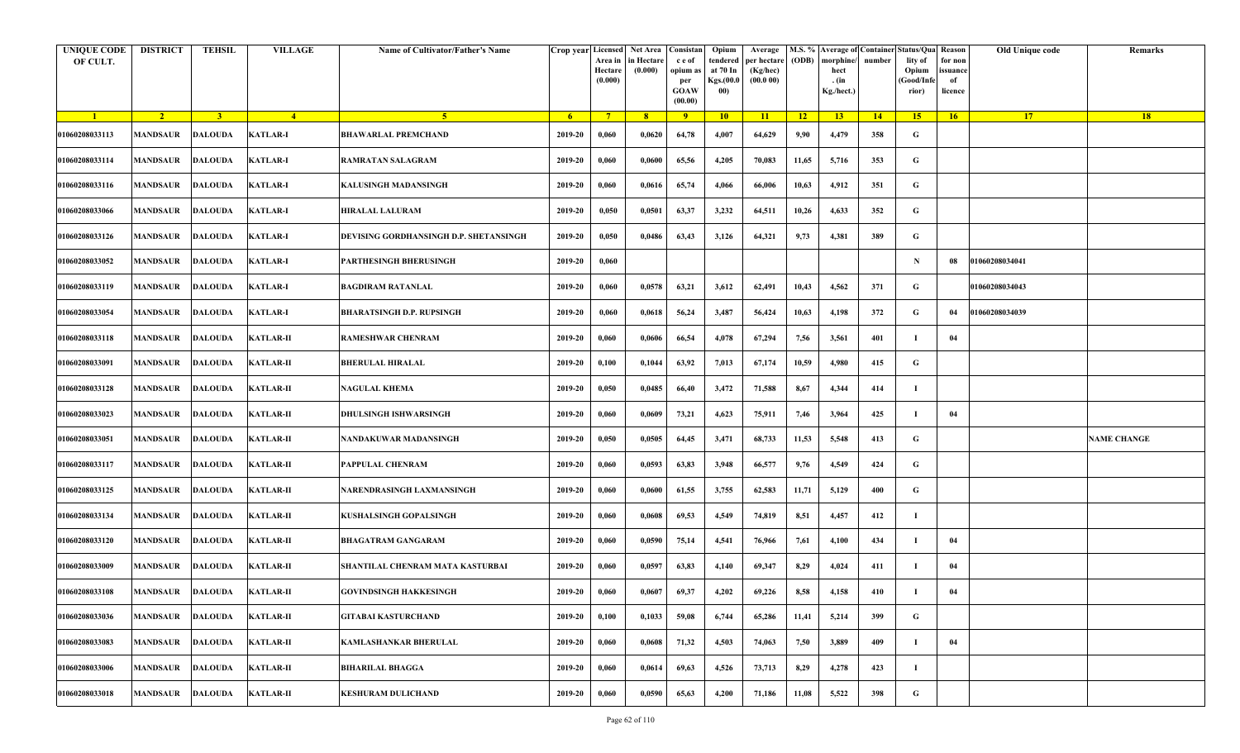| <b>UNIQUE CODE</b><br>OF CULT. | <b>DISTRICT</b>            | <b>TEHSIL</b>  | <b>VILLAGE</b>   | Name of Cultivator/Father's Name       |         | Crop year Licensed<br>Area in<br>Hectare<br>(0.000) | Net Area   Consistan<br>in Hectare<br>(0.000) | c e of<br>opium as<br>per<br><b>GOAW</b><br>(00.00) | Opium<br>tendered<br>at 70 In<br>Kgs.(00.0<br>00) | Average<br>per hectare<br>(Kg/hec)<br>(00.000) | (ODB) | M.S. % Average of Container Status/Qua Reason<br>morphine/<br>hect<br>. (in<br>Kg./hect.) | number | lity of<br>Opium<br>(Good/Infe<br>rior) | for non<br>ssuance<br>of<br>licence | Old Unique code | Remarks            |
|--------------------------------|----------------------------|----------------|------------------|----------------------------------------|---------|-----------------------------------------------------|-----------------------------------------------|-----------------------------------------------------|---------------------------------------------------|------------------------------------------------|-------|-------------------------------------------------------------------------------------------|--------|-----------------------------------------|-------------------------------------|-----------------|--------------------|
| $\blacksquare$                 | $\sqrt{2}$                 | 3 <sup>1</sup> | $\sqrt{4}$       | 5 <sup>1</sup>                         | $-6$    | $7^{\circ}$                                         | 8 <sup>°</sup>                                | $\overline{9}$                                      | 10                                                | $\overline{11}$                                | $-12$ | 13                                                                                        | 14     | 15                                      | 16                                  | <b>17</b>       | 18                 |
| 01060208033113                 | <b>MANDSAUR</b>            | <b>DALOUDA</b> | <b>KATLAR-I</b>  | <b>BHAWARLAL PREMCHAND</b>             | 2019-20 | 0,060                                               | 0,0620                                        | 64,78                                               | 4,007                                             | 64,629                                         | 9,90  | 4,479                                                                                     | 358    | G                                       |                                     |                 |                    |
| 01060208033114                 | MANDSAUR                   | <b>DALOUDA</b> | <b>KATLAR-I</b>  | RAMRATAN SALAGRAM                      | 2019-20 | 0,060                                               | 0,0600                                        | 65,56                                               | 4,205                                             | 70,083                                         | 11,65 | 5,716                                                                                     | 353    | G                                       |                                     |                 |                    |
| 01060208033116                 | <b>MANDSAUR</b>            | <b>DALOUDA</b> | <b>KATLAR-I</b>  | KALUSINGH MADANSINGH                   | 2019-20 | 0,060                                               | 0,0616                                        | 65,74                                               | 4,066                                             | 66,006                                         | 10,63 | 4,912                                                                                     | 351    | G                                       |                                     |                 |                    |
| 01060208033066                 | MANDSAUR                   | <b>DALOUDA</b> | <b>KATLAR-I</b>  | <b>HIRALAL LALURAM</b>                 | 2019-20 | 0,050                                               | 0,0501                                        | 63,37                                               | 3,232                                             | 64,511                                         | 10,26 | 4,633                                                                                     | 352    | G                                       |                                     |                 |                    |
| 01060208033126                 | <b>MANDSAUR</b>            | <b>DALOUDA</b> | <b>KATLAR-I</b>  | DEVISING GORDHANSINGH D.P. SHETANSINGH | 2019-20 | 0,050                                               | 0,0486                                        | 63,43                                               | 3,126                                             | 64,321                                         | 9,73  | 4,381                                                                                     | 389    | G                                       |                                     |                 |                    |
| 01060208033052                 | MANDSAUR                   | <b>DALOUDA</b> | <b>KATLAR-I</b>  | PARTHESINGH BHERUSINGH                 | 2019-20 | 0,060                                               |                                               |                                                     |                                                   |                                                |       |                                                                                           |        | $\mathbf N$                             | 08                                  | 01060208034041  |                    |
| 01060208033119                 | MANDSAUR                   | DALOUDA        | <b>KATLAR-I</b>  | <b>BAGDIRAM RATANLAL</b>               | 2019-20 | 0,060                                               | 0,0578                                        | 63,21                                               | 3,612                                             | 62,491                                         | 10,43 | 4,562                                                                                     | 371    | G                                       |                                     | 01060208034043  |                    |
| 01060208033054                 | MANDSAUR                   | <b>DALOUDA</b> | <b>KATLAR-I</b>  | <b>BHARATSINGH D.P. RUPSINGH</b>       | 2019-20 | 0,060                                               | 0,0618                                        | 56,24                                               | 3,487                                             | 56,424                                         | 10,63 | 4,198                                                                                     | 372    | G                                       | 04                                  | 01060208034039  |                    |
| 01060208033118                 | <b>MANDSAUR</b>            | <b>DALOUDA</b> | <b>KATLAR-II</b> | <b>RAMESHWAR CHENRAM</b>               | 2019-20 | 0,060                                               | 0,0606                                        | 66,54                                               | 4,078                                             | 67,294                                         | 7,56  | 3,561                                                                                     | 401    |                                         | 04                                  |                 |                    |
| 01060208033091                 | <b>MANDSAUR</b>            | <b>DALOUDA</b> | <b>KATLAR-II</b> | <b>BHERULAL HIRALAL</b>                | 2019-20 | 0,100                                               | 0,1044                                        | 63,92                                               | 7,013                                             | 67,174                                         | 10,59 | 4,980                                                                                     | 415    | G                                       |                                     |                 |                    |
| 01060208033128                 | MANDSAUR                   | <b>DALOUDA</b> | <b>KATLAR-II</b> | <b>NAGULAL KHEMA</b>                   | 2019-20 | 0,050                                               | 0,0485                                        | 66,40                                               | 3,472                                             | 71,588                                         | 8,67  | 4,344                                                                                     | 414    |                                         |                                     |                 |                    |
| 01060208033023                 | <b>MANDSAUR</b>            | <b>DALOUDA</b> | <b>KATLAR-II</b> | <b>DHULSINGH ISHWARSINGH</b>           | 2019-20 | 0,060                                               | 0,0609                                        | 73,21                                               | 4,623                                             | 75,911                                         | 7,46  | 3,964                                                                                     | 425    | л                                       | 04                                  |                 |                    |
| 01060208033051                 | MANDSAUR                   | <b>DALOUDA</b> | <b>KATLAR-II</b> | NANDAKUWAR MADANSINGH                  | 2019-20 | 0,050                                               | 0,0505                                        | 64,45                                               | 3,471                                             | 68,733                                         | 11,53 | 5,548                                                                                     | 413    | G                                       |                                     |                 | <b>NAME CHANGE</b> |
| 01060208033117                 | <b>MANDSAUR</b>            | <b>DALOUDA</b> | <b>KATLAR-II</b> | PAPPULAL CHENRAM                       | 2019-20 | 0,060                                               | 0,0593                                        | 63,83                                               | 3,948                                             | 66,577                                         | 9,76  | 4,549                                                                                     | 424    | G                                       |                                     |                 |                    |
| 01060208033125                 | MANDSAUR                   | <b>DALOUDA</b> | <b>KATLAR-II</b> | NARENDRASINGH LAXMANSINGH              | 2019-20 | 0,060                                               | 0,0600                                        | 61,55                                               | 3,755                                             | 62,583                                         | 11,71 | 5,129                                                                                     | 400    | G                                       |                                     |                 |                    |
| 01060208033134                 | MANDSAUR                   | <b>DALOUDA</b> | <b>KATLAR-II</b> | KUSHALSINGH GOPALSINGH                 | 2019-20 | 0,060                                               | 0,0608                                        | 69,53                                               | 4,549                                             | 74,819                                         | 8,51  | 4,457                                                                                     | 412    | -1                                      |                                     |                 |                    |
| 01060208033120                 | <b>MANDSAUR</b>            | <b>DALOUDA</b> | <b>KATLAR-II</b> | <b>BHAGATRAM GANGARAM</b>              | 2019-20 | 0,060                                               | 0,0590                                        | 75,14                                               | 4,541                                             | 76,966                                         | 7,61  | 4,100                                                                                     | 434    | -1                                      | 04                                  |                 |                    |
| 01060208033009                 | MANDSAUR                   | <b>DALOUDA</b> | <b>KATLAR-II</b> | SHANTILAL CHENRAM MATA KASTURBAI       | 2019-20 | 0,060                                               | 0,0597                                        | 63,83                                               | 4,140                                             | 69,347                                         | 8,29  | 4,024                                                                                     | 411    |                                         | 04                                  |                 |                    |
| 01060208033108                 | MANDSAUR DALOUDA KATLAR-II |                |                  | <b>GOVINDSINGH HAKKESINGH</b>          | 2019-20 | 0,060                                               | 0,0607                                        | 69,37                                               | 4,202                                             | 69,226                                         | 8,58  | 4,158                                                                                     | 410    |                                         | 04                                  |                 |                    |
| 01060208033036                 | <b>MANDSAUR</b>            | <b>DALOUDA</b> | <b>KATLAR-II</b> | GITABAI KASTURCHAND                    | 2019-20 | 0,100                                               | 0,1033                                        | 59,08                                               | 6,744                                             | 65,286                                         | 11,41 | 5,214                                                                                     | 399    | $\mathbf G$                             |                                     |                 |                    |
| 01060208033083                 | <b>MANDSAUR</b>            | <b>DALOUDA</b> | <b>KATLAR-II</b> | <b>KAMLASHANKAR BHERULAL</b>           | 2019-20 | 0,060                                               | 0,0608                                        | 71,32                                               | 4,503                                             | 74,063                                         | 7,50  | 3,889                                                                                     | 409    | л                                       | 04                                  |                 |                    |
| 01060208033006                 | MANDSAUR                   | <b>DALOUDA</b> | <b>KATLAR-II</b> | <b>BIHARILAL BHAGGA</b>                | 2019-20 | 0,060                                               | 0,0614                                        | 69,63                                               | 4,526                                             | 73,713                                         | 8,29  | 4,278                                                                                     | 423    | -1                                      |                                     |                 |                    |
| 01060208033018                 | MANDSAUR                   | <b>DALOUDA</b> | <b>KATLAR-II</b> | <b>KESHURAM DULICHAND</b>              | 2019-20 | 0,060                                               | 0,0590                                        | 65,63                                               | 4,200                                             | 71,186                                         | 11,08 | 5,522                                                                                     | 398    | G                                       |                                     |                 |                    |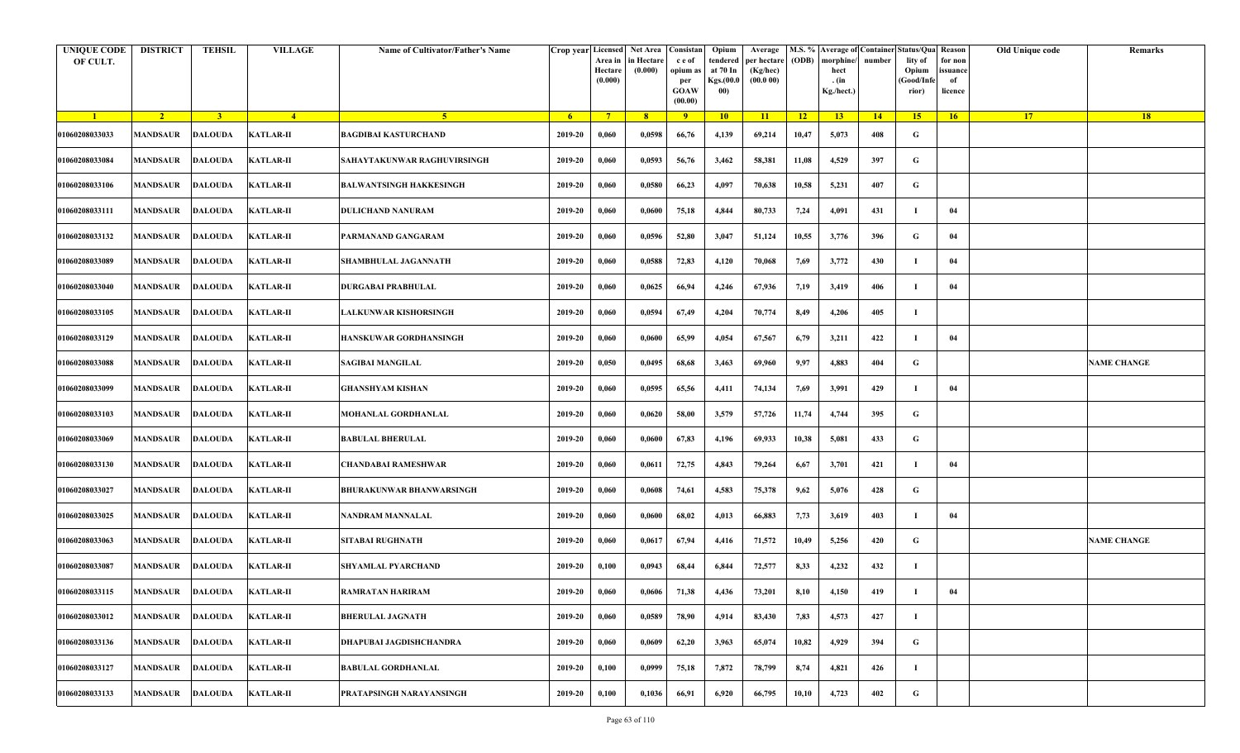| <b>UNIQUE CODE</b><br>OF CULT. | <b>DISTRICT</b>         | <b>TEHSIL</b>  | <b>VILLAGE</b>   | Name of Cultivator/Father's Name |                | Crop year Licensed<br>Area in<br>Hectare<br>(0.000) | Net Area   Consistan  <br>in Hectare<br>(0.000) | c e of<br>opium as<br>per<br><b>GOAW</b><br>(00.00) | Opium<br>tendered<br>at 70 In<br>Kgs.(00.0<br>00) | Average<br>per hectare<br>(Kg/hec)<br>(00.000) | (ODB)           | M.S. % Average of Container Status/Qua Reason<br>morphine/<br>hect<br>. (in<br>Kg./hect.) | number | lity of<br>Opium<br>(Good/Info<br>rior) | for non<br>ssuance<br>of<br>licence | Old Unique code | Remarks            |
|--------------------------------|-------------------------|----------------|------------------|----------------------------------|----------------|-----------------------------------------------------|-------------------------------------------------|-----------------------------------------------------|---------------------------------------------------|------------------------------------------------|-----------------|-------------------------------------------------------------------------------------------|--------|-----------------------------------------|-------------------------------------|-----------------|--------------------|
| $\blacksquare$                 | $\sqrt{2}$              | $\overline{3}$ | $\frac{4}{ }$    | 5 <sup>1</sup>                   | 6 <sup>6</sup> | $7^{\circ}$                                         | 8                                               | $\overline{9}$                                      | 10                                                | 11                                             | $\overline{12}$ | 13                                                                                        | 14     | 15                                      | 16                                  | 17 <sup>2</sup> | 18                 |
| 01060208033033                 | <b>MANDSAUR</b>         | <b>DALOUDA</b> | <b>KATLAR-II</b> | <b>BAGDIBAI KASTURCHAND</b>      | 2019-20        | 0,060                                               | 0,0598                                          | 66,76                                               | 4,139                                             | 69,214                                         | 10,47           | 5,073                                                                                     | 408    | G                                       |                                     |                 |                    |
| 01060208033084                 | <b>MANDSAUR</b>         | <b>DALOUDA</b> | <b>KATLAR-II</b> | SAHAYTAKUNWAR RAGHUVIRSINGH      | 2019-20        | 0,060                                               | 0,0593                                          | 56,76                                               | 3,462                                             | 58,381                                         | 11,08           | 4,529                                                                                     | 397    | G                                       |                                     |                 |                    |
| 01060208033106                 | <b>MANDSAUR</b>         | <b>DALOUDA</b> | <b>KATLAR-II</b> | <b>BALWANTSINGH HAKKESINGH</b>   | 2019-20        | 0,060                                               | 0,0580                                          | 66,23                                               | 4,097                                             | 70,638                                         | 10,58           | 5,231                                                                                     | 407    | G                                       |                                     |                 |                    |
| 01060208033111                 | MANDSAUR                | <b>DALOUDA</b> | <b>KATLAR-II</b> | <b>DULICHAND NANURAM</b>         | 2019-20        | 0,060                                               | 0,0600                                          | 75,18                                               | 4,844                                             | 80,733                                         | 7,24            | 4,091                                                                                     | 431    | - 1                                     | 04                                  |                 |                    |
| 01060208033132                 | <b>MANDSAUR</b>         | <b>DALOUDA</b> | <b>KATLAR-II</b> | PARMANAND GANGARAM               | 2019-20        | 0,060                                               | 0,0596                                          | 52,80                                               | 3,047                                             | 51,124                                         | 10,55           | 3,776                                                                                     | 396    | G                                       | 04                                  |                 |                    |
| 01060208033089                 | MANDSAUR                | <b>DALOUDA</b> | <b>KATLAR-II</b> | SHAMBHULAL JAGANNATH             | 2019-20        | 0,060                                               | 0,0588                                          | 72,83                                               | 4,120                                             | 70,068                                         | 7,69            | 3,772                                                                                     | 430    | -1                                      | 04                                  |                 |                    |
| 01060208033040                 | MANDSAUR                | <b>DALOUDA</b> | <b>KATLAR-II</b> | <b>DURGABAI PRABHULAL</b>        | 2019-20        | 0,060                                               | 0,0625                                          | 66,94                                               | 4,246                                             | 67,936                                         | 7,19            | 3,419                                                                                     | 406    | -1                                      | 04                                  |                 |                    |
| 01060208033105                 | <b>MANDSAUR</b>         | <b>DALOUDA</b> | <b>KATLAR-II</b> | <b>LALKUNWAR KISHORSINGH</b>     | 2019-20        | 0,060                                               | 0,0594                                          | 67,49                                               | 4,204                                             | 70,774                                         | 8,49            | 4,206                                                                                     | 405    | - 1                                     |                                     |                 |                    |
| 01060208033129                 | MANDSAUR                | <b>DALOUDA</b> | <b>KATLAR-II</b> | HANSKUWAR GORDHANSINGH           | 2019-20        | 0,060                                               | 0,0600                                          | 65,99                                               | 4,054                                             | 67,567                                         | 6,79            | 3,211                                                                                     | 422    | - 1                                     | 04                                  |                 |                    |
| 01060208033088                 | <b>MANDSAUR</b>         | <b>DALOUDA</b> | <b>KATLAR-II</b> | <b>SAGIBAI MANGILAL</b>          | 2019-20        | 0,050                                               | 0,0495                                          | 68,68                                               | 3,463                                             | 69,960                                         | 9,97            | 4,883                                                                                     | 404    | G                                       |                                     |                 | <b>NAME CHANGE</b> |
| 01060208033099                 | MANDSAUR                | <b>DALOUDA</b> | <b>KATLAR-II</b> | GHANSHYAM KISHAN                 | 2019-20        | 0,060                                               | 0,0595                                          | 65,56                                               | 4,411                                             | 74,134                                         | 7,69            | 3,991                                                                                     | 429    | -1                                      | 04                                  |                 |                    |
| 01060208033103                 | <b>MANDSAUR</b>         | <b>DALOUDA</b> | <b>KATLAR-II</b> | MOHANLAL GORDHANLAL              | 2019-20        | 0,060                                               | 0,0620                                          | 58,00                                               | 3,579                                             | 57,726                                         | 11,74           | 4,744                                                                                     | 395    | G                                       |                                     |                 |                    |
| 01060208033069                 | MANDSAUR                | <b>DALOUDA</b> | <b>KATLAR-II</b> | <b>BABULAL BHERULAL</b>          | 2019-20        | 0,060                                               | 0,0600                                          | 67,83                                               | 4,196                                             | 69,933                                         | 10,38           | 5,081                                                                                     | 433    | G                                       |                                     |                 |                    |
| 01060208033130                 | <b>MANDSAUR</b>         | <b>DALOUDA</b> | <b>KATLAR-II</b> | CHANDABAI RAMESHWAR              | 2019-20        | 0,060                                               | 0,0611                                          | 72,75                                               | 4,843                                             | 79,264                                         | 6,67            | 3,701                                                                                     | 421    | -1                                      | 04                                  |                 |                    |
| 01060208033027                 | MANDSAUR                | <b>DALOUDA</b> | <b>KATLAR-II</b> | <b>BHURAKUNWAR BHANWARSINGH</b>  | 2019-20        | 0,060                                               | 0,0608                                          | 74,61                                               | 4,583                                             | 75,378                                         | 9,62            | 5,076                                                                                     | 428    | G                                       |                                     |                 |                    |
| 01060208033025                 | <b>MANDSAUR</b>         | <b>DALOUDA</b> | <b>KATLAR-II</b> | NANDRAM MANNALAL                 | 2019-20        | 0,060                                               | 0,0600                                          | 68,02                                               | 4,013                                             | 66,883                                         | 7,73            | 3,619                                                                                     | 403    | - 1                                     | 04                                  |                 |                    |
| 01060208033063                 | MANDSAUR                | <b>DALOUDA</b> | <b>KATLAR-II</b> | <b>SITABAI RUGHNATH</b>          | 2019-20        | 0,060                                               | 0,0617                                          | 67,94                                               | 4,416                                             | 71,572                                         | 10,49           | 5,256                                                                                     | 420    | G                                       |                                     |                 | <b>NAME CHANGE</b> |
| 01060208033087                 | MANDSAUR                | DALOUDA        | <b>KATLAR-II</b> | SHYAMLAL PYARCHAND               | 2019-20        | 0,100                                               | 0,0943                                          | 68,44                                               | 6,844                                             | 72,577                                         | 8,33            | 4,232                                                                                     | 432    |                                         |                                     |                 |                    |
| 01060208033115                 | <b>MANDSAUR DALOUDA</b> |                | <b>KATLAR-II</b> | <b>RAMRATAN HARIRAM</b>          | 2019-20        | 0,060                                               | 0,0606                                          | 71,38                                               | 4,436                                             | 73,201                                         | 8,10            | 4,150                                                                                     | 419    |                                         | 04                                  |                 |                    |
| 01060208033012                 | <b>MANDSAUR</b>         | <b>DALOUDA</b> | <b>KATLAR-II</b> | <b>BHERULAL JAGNATH</b>          | 2019-20        | 0,060                                               | 0,0589                                          | 78,90                                               | 4,914                                             | 83,430                                         | 7,83            | 4,573                                                                                     | 427    | л                                       |                                     |                 |                    |
| 01060208033136                 | <b>MANDSAUR</b>         | <b>DALOUDA</b> | <b>KATLAR-II</b> | DHAPUBAI JAGDISHCHANDRA          | 2019-20        | 0,060                                               | 0,0609                                          | 62,20                                               | 3,963                                             | 65,074                                         | 10,82           | 4,929                                                                                     | 394    | G                                       |                                     |                 |                    |
| 01060208033127                 | <b>MANDSAUR</b>         | <b>DALOUDA</b> | <b>KATLAR-II</b> | <b>BABULAL GORDHANLAL</b>        | 2019-20        | 0,100                                               | 0,0999                                          | 75,18                                               | 7,872                                             | 78,799                                         | 8,74            | 4,821                                                                                     | 426    | -1                                      |                                     |                 |                    |
| 01060208033133                 | MANDSAUR                | <b>DALOUDA</b> | <b>KATLAR-II</b> | PRATAPSINGH NARAYANSINGH         | 2019-20        | 0,100                                               | 0,1036                                          | 66,91                                               | 6,920                                             | 66,795                                         | 10,10           | 4,723                                                                                     | 402    | G                                       |                                     |                 |                    |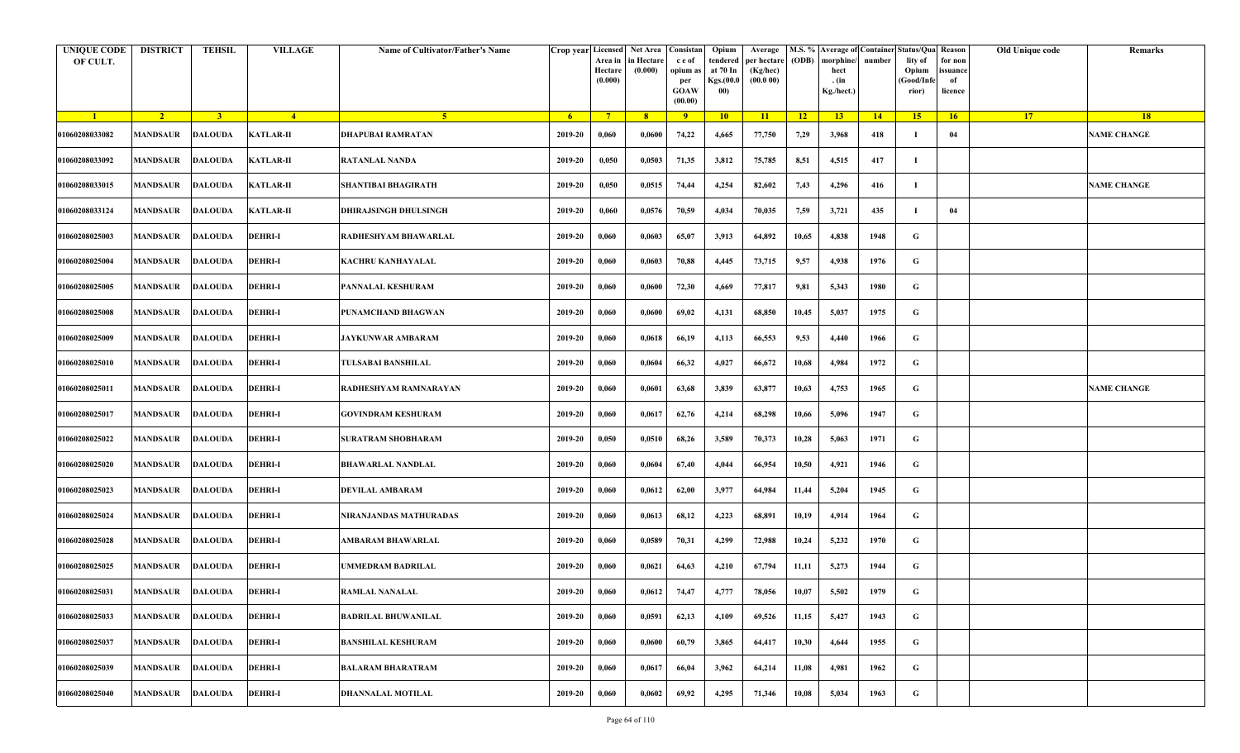| <b>UNIQUE CODE</b><br>OF CULT. | <b>DISTRICT</b>  | <b>TEHSIL</b>  | <b>VILLAGE</b>   | Name of Cultivator/Father's Name |                | Crop year Licensed<br>Area in<br>Hectare<br>(0.000) | Net Area   Consistan  <br>in Hectare<br>(0.000) | c e of<br>opium as<br>per<br><b>GOAW</b><br>(00.00) | Opium<br>tendered<br>at 70 In<br>Kgs.(00.0<br>00) | Average<br>per hectare<br>(Kg/hec)<br>(00.000) | (ODB)           | M.S. % Average of Container Status/Qua Reason<br>morphine/<br>hect<br>. (in<br>Kg./hect.) | number | lity of<br>Opium<br>(Good/Info<br>rior) | for non<br>ssuance<br>of<br>licence | Old Unique code | Remarks            |
|--------------------------------|------------------|----------------|------------------|----------------------------------|----------------|-----------------------------------------------------|-------------------------------------------------|-----------------------------------------------------|---------------------------------------------------|------------------------------------------------|-----------------|-------------------------------------------------------------------------------------------|--------|-----------------------------------------|-------------------------------------|-----------------|--------------------|
| $\blacksquare$                 | $\sqrt{2}$       | $\overline{3}$ | $-4$             | 5 <sup>1</sup>                   | 6 <sup>6</sup> | $7^{\circ}$                                         | 8                                               | $\overline{9}$                                      | 10                                                | 11                                             | $\overline{12}$ | 13                                                                                        | 14     | 15                                      | 16                                  | 17 <sup>2</sup> | 18                 |
| 01060208033082                 | <b>MANDSAUR</b>  | <b>DALOUDA</b> | <b>KATLAR-II</b> | <b>DHAPUBAI RAMRATAN</b>         | 2019-20        | 0,060                                               | 0,0600                                          | 74,22                                               | 4,665                                             | 77,750                                         | 7,29            | 3,968                                                                                     | 418    | -1                                      | 04                                  |                 | <b>NAME CHANGE</b> |
| 01060208033092                 | <b>MANDSAUR</b>  | <b>DALOUDA</b> | <b>KATLAR-II</b> | <b>RATANLAL NANDA</b>            | 2019-20        | 0,050                                               | 0,0503                                          | 71,35                                               | 3,812                                             | 75,785                                         | 8,51            | 4,515                                                                                     | 417    | -1                                      |                                     |                 |                    |
| 01060208033015                 | <b>MANDSAUR</b>  | <b>DALOUDA</b> | <b>KATLAR-II</b> | <b>SHANTIBAI BHAGIRATH</b>       | 2019-20        | 0,050                                               | 0,0515                                          | 74,44                                               | 4,254                                             | 82,602                                         | 7,43            | 4,296                                                                                     | 416    | -1                                      |                                     |                 | <b>NAME CHANGE</b> |
| 01060208033124                 | <b>MANDSAUR</b>  | <b>DALOUDA</b> | <b>KATLAR-II</b> | <b>DHIRAJSINGH DHULSINGH</b>     | 2019-20        | 0,060                                               | 0,0576                                          | 70,59                                               | 4,034                                             | 70,035                                         | 7,59            | 3,721                                                                                     | 435    | -1                                      | 04                                  |                 |                    |
| 01060208025003                 | <b>MANDSAUR</b>  | <b>DALOUDA</b> | <b>DEHRI-I</b>   | RADHESHYAM BHAWARLAL             | 2019-20        | 0,060                                               | 0,0603                                          | 65,07                                               | 3,913                                             | 64,892                                         | 10,65           | 4,838                                                                                     | 1948   | G                                       |                                     |                 |                    |
| 01060208025004                 | MANDSAUR         | <b>DALOUDA</b> | <b>DEHRI-I</b>   | KACHRU KANHAYALAL                | 2019-20        | 0,060                                               | 0,0603                                          | 70,88                                               | 4,445                                             | 73,715                                         | 9,57            | 4,938                                                                                     | 1976   | G                                       |                                     |                 |                    |
| 01060208025005                 | MANDSAUR         | <b>DALOUDA</b> | <b>DEHRI-I</b>   | PANNALAL KESHURAM                | 2019-20        | 0,060                                               | 0,0600                                          | 72,30                                               | 4,669                                             | 77,817                                         | 9,81            | 5,343                                                                                     | 1980   | G                                       |                                     |                 |                    |
| 01060208025008                 | <b>MANDSAUR</b>  | <b>DALOUDA</b> | <b>DEHRI-I</b>   | PUNAMCHAND BHAGWAN               | 2019-20        | 0,060                                               | 0,0600                                          | 69,02                                               | 4,131                                             | 68,850                                         | 10,45           | 5,037                                                                                     | 1975   | G                                       |                                     |                 |                    |
| 01060208025009                 | MANDSAUR         | <b>DALOUDA</b> | <b>DEHRI-I</b>   | JAYKUNWAR AMBARAM                | 2019-20        | 0,060                                               | 0,0618                                          | 66,19                                               | 4,113                                             | 66,553                                         | 9,53            | 4,440                                                                                     | 1966   | G                                       |                                     |                 |                    |
| 01060208025010                 | <b>MANDSAUR</b>  | <b>DALOUDA</b> | <b>DEHRI-I</b>   | TULSABAI BANSHILAL               | 2019-20        | 0,060                                               | 0,0604                                          | 66,32                                               | 4,027                                             | 66,672                                         | 10,68           | 4,984                                                                                     | 1972   | G                                       |                                     |                 |                    |
| 01060208025011                 | MANDSAUR         | <b>DALOUDA</b> | <b>DEHRI-I</b>   | RADHESHYAM RAMNARAYAN            | 2019-20        | 0,060                                               | 0,0601                                          | 63,68                                               | 3,839                                             | 63,877                                         | 10,63           | 4,753                                                                                     | 1965   | G                                       |                                     |                 | <b>NAME CHANGE</b> |
| 01060208025017                 | <b>MANDSAUR</b>  | <b>DALOUDA</b> | <b>DEHRI-I</b>   | <b>GOVINDRAM KESHURAM</b>        | 2019-20        | 0,060                                               | 0,0617                                          | 62,76                                               | 4,214                                             | 68,298                                         | 10,66           | 5,096                                                                                     | 1947   | G                                       |                                     |                 |                    |
| 01060208025022                 | MANDSAUR         | <b>DALOUDA</b> | <b>DEHRI-I</b>   | <b>SURATRAM SHOBHARAM</b>        | 2019-20        | 0,050                                               | 0,0510                                          | 68,26                                               | 3,589                                             | 70,373                                         | 10,28           | 5,063                                                                                     | 1971   | G                                       |                                     |                 |                    |
| 01060208025020                 | <b>MANDSAUR</b>  | <b>DALOUDA</b> | <b>DEHRI-I</b>   | <b>BHAWARLAL NANDLAL</b>         | 2019-20        | 0,060                                               | 0,0604                                          | 67,40                                               | 4,044                                             | 66,954                                         | 10,50           | 4,921                                                                                     | 1946   | G                                       |                                     |                 |                    |
| 01060208025023                 | MANDSAUR         | <b>DALOUDA</b> | <b>DEHRI-I</b>   | <b>DEVILAL AMBARAM</b>           | 2019-20        | 0,060                                               | 0,0612                                          | 62,00                                               | 3,977                                             | 64,984                                         | 11,44           | 5,204                                                                                     | 1945   | G                                       |                                     |                 |                    |
| 01060208025024                 | <b>MANDSAUR</b>  | <b>DALOUDA</b> | <b>DEHRI-I</b>   | NIRANJANDAS MATHURADAS           | 2019-20        | 0,060                                               | 0,0613                                          | 68,12                                               | 4,223                                             | 68,891                                         | 10,19           | 4,914                                                                                     | 1964   | G                                       |                                     |                 |                    |
| 01060208025028                 | MANDSAUR         | <b>DALOUDA</b> | <b>DEHRI-I</b>   | AMBARAM BHAWARLAL                | 2019-20        | 0,060                                               | 0,0589                                          | 70,31                                               | 4,299                                             | 72,988                                         | 10,24           | 5,232                                                                                     | 1970   | G                                       |                                     |                 |                    |
| 01060208025025                 | MANDSAUR         | <b>DALOUDA</b> | <b>DEHRI-I</b>   | UMMEDRAM BADRILAL                | 2019-20        | 0,060                                               | 0,0621                                          | 64,63                                               | 4,210                                             | 67,794                                         | 11,11           | 5,273                                                                                     | 1944   | G                                       |                                     |                 |                    |
| 01060208025031                 | MANDSAUR DALOUDA |                | <b>DEHRI-I</b>   | <b>RAMLAL NANALAL</b>            | 2019-20        | 0,060                                               | 0,0612                                          | 74,47                                               | 4,777                                             | 78,056                                         | 10,07           | 5,502                                                                                     | 1979   | G                                       |                                     |                 |                    |
| 01060208025033                 | <b>MANDSAUR</b>  | <b>DALOUDA</b> | <b>DEHRI-I</b>   | <b>BADRILAL BHUWANILAL</b>       | 2019-20        | 0,060                                               | 0,0591                                          | 62,13                                               | 4,109                                             | 69,526                                         | 11,15           | 5,427                                                                                     | 1943   | $\mathbf G$                             |                                     |                 |                    |
| 01060208025037                 | <b>MANDSAUR</b>  | <b>DALOUDA</b> | <b>DEHRI-I</b>   | <b>BANSHILAL KESHURAM</b>        | 2019-20        | 0,060                                               | 0,0600                                          | 60,79                                               | 3,865                                             | 64,417                                         | 10,30           | 4,644                                                                                     | 1955   | $\mathbf G$                             |                                     |                 |                    |
| 01060208025039                 | <b>MANDSAUR</b>  | <b>DALOUDA</b> | <b>DEHRI-I</b>   | <b>BALARAM BHARATRAM</b>         | 2019-20        | 0,060                                               | 0,0617                                          | 66,04                                               | 3,962                                             | 64,214                                         | 11,08           | 4,981                                                                                     | 1962   | G                                       |                                     |                 |                    |
| 01060208025040                 | MANDSAUR         | <b>DALOUDA</b> | <b>DEHRI-I</b>   | <b>DHANNALAL MOTILAL</b>         | 2019-20        | 0,060                                               | 0,0602                                          | 69,92                                               | 4,295                                             | 71,346                                         | 10,08           | 5,034                                                                                     | 1963   | G                                       |                                     |                 |                    |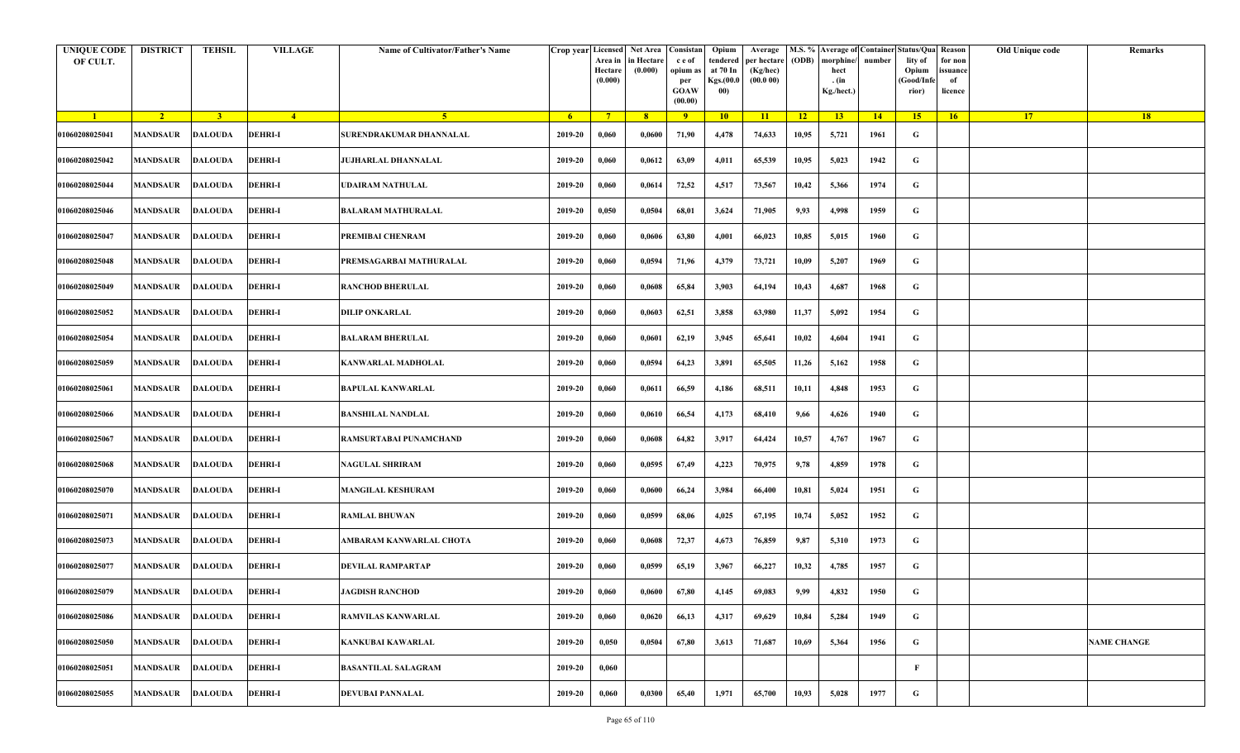| <b>UNIQUE CODE</b><br>OF CULT. | <b>DISTRICT</b>         | <b>TEHSIL</b>  | <b>VILLAGE</b> | Name of Cultivator/Father's Name | Crop year Licensed | Area in<br>Hectare<br>(0.000) | Net Area   Consistan<br>in Hectare<br>(0.000) | c e of<br>opium as<br>per<br><b>GOAW</b><br>(00.00) | Opium<br>tendered<br>at 70 In<br>Kgs.(00.0<br>00) | Average<br>per hectare<br>(Kg/hec)<br>(00.000) | (ODB) | M.S. % Average of Container Status/Qua Reason<br>morphine/<br>hect<br>. (in<br>Kg./hect.) | number | lity of<br>Opium<br>(Good/Infe<br>rior) | for non<br>ssuance<br>of<br>licence | Old Unique code | Remarks            |
|--------------------------------|-------------------------|----------------|----------------|----------------------------------|--------------------|-------------------------------|-----------------------------------------------|-----------------------------------------------------|---------------------------------------------------|------------------------------------------------|-------|-------------------------------------------------------------------------------------------|--------|-----------------------------------------|-------------------------------------|-----------------|--------------------|
| $\blacksquare$                 | $\sqrt{2}$              | $\bullet$      | $\sqrt{4}$     | $\sqrt{5}$                       | - 6                | $7^{\circ}$                   | 8 <sup>°</sup>                                | $\overline{9}$                                      | 10                                                | 11                                             | $-12$ | 13                                                                                        | 14     | 15 <sup>2</sup>                         | 16                                  | <b>17</b>       | <b>18</b>          |
| 01060208025041                 | <b>MANDSAUR</b>         | <b>DALOUDA</b> | <b>DEHRI-I</b> | SURENDRAKUMAR DHANNALAL          | 2019-20            | 0,060                         | 0,0600                                        | 71,90                                               | 4,478                                             | 74,633                                         | 10,95 | 5,721                                                                                     | 1961   | G                                       |                                     |                 |                    |
| 01060208025042                 | MANDSAUR                | <b>DALOUDA</b> | <b>DEHRI-I</b> | JUJHARLAL DHANNALAL              | 2019-20            | 0,060                         | 0,0612                                        | 63,09                                               | 4,011                                             | 65,539                                         | 10,95 | 5,023                                                                                     | 1942   | G                                       |                                     |                 |                    |
| 01060208025044                 | <b>MANDSAUR</b>         | DALOUDA        | <b>DEHRI-I</b> | UDAIRAM NATHULAL                 | 2019-20            | 0,060                         | 0,0614                                        | 72,52                                               | 4,517                                             | 73,567                                         | 10,42 | 5,366                                                                                     | 1974   | G                                       |                                     |                 |                    |
| 01060208025046                 | MANDSAUR                | <b>DALOUDA</b> | <b>DEHRI-I</b> | <b>BALARAM MATHURALAL</b>        | 2019-20            | 0,050                         | 0,0504                                        | 68,01                                               | 3,624                                             | 71,905                                         | 9,93  | 4,998                                                                                     | 1959   | G                                       |                                     |                 |                    |
| 01060208025047                 | MANDSAUR                | <b>DALOUDA</b> | <b>DEHRI-I</b> | PREMIBAI CHENRAM                 | 2019-20            | 0,060                         | 0,0606                                        | 63,80                                               | 4,001                                             | 66,023                                         | 10,85 | 5,015                                                                                     | 1960   | G                                       |                                     |                 |                    |
| 01060208025048                 | <b>MANDSAUR</b>         | <b>DALOUDA</b> | <b>DEHRI-I</b> | PREMSAGARBAI MATHURALAL          | 2019-20            | 0,060                         | 0,0594                                        | 71,96                                               | 4,379                                             | 73,721                                         | 10,09 | 5,207                                                                                     | 1969   | G                                       |                                     |                 |                    |
| 01060208025049                 | MANDSAUR                | <b>DALOUDA</b> | <b>DEHRI-I</b> | <b>RANCHOD BHERULAL</b>          | 2019-20            | 0,060                         | 0,0608                                        | 65,84                                               | 3,903                                             | 64,194                                         | 10,43 | 4,687                                                                                     | 1968   | G                                       |                                     |                 |                    |
| 01060208025052                 | MANDSAUR                | <b>DALOUDA</b> | <b>DEHRI-I</b> | DILIP ONKARLAL                   | 2019-20            | 0,060                         | 0,0603                                        | 62,51                                               | 3,858                                             | 63,980                                         | 11,37 | 5,092                                                                                     | 1954   | G                                       |                                     |                 |                    |
| 01060208025054                 | MANDSAUR                | <b>DALOUDA</b> | <b>DEHRI-I</b> | <b>BALARAM BHERULAL</b>          | 2019-20            | 0,060                         | 0,0601                                        | 62,19                                               | 3,945                                             | 65,641                                         | 10,02 | 4,604                                                                                     | 1941   | G                                       |                                     |                 |                    |
| 01060208025059                 | <b>MANDSAUR</b>         | <b>DALOUDA</b> | <b>DEHRI-I</b> | KANWARLAL MADHOLAL               | 2019-20            | 0,060                         | 0,0594                                        | 64,23                                               | 3,891                                             | 65,505                                         | 11,26 | 5,162                                                                                     | 1958   | G                                       |                                     |                 |                    |
| 01060208025061                 | MANDSAUR                | <b>DALOUDA</b> | <b>DEHRI-I</b> | <b>BAPULAL KANWARLAL</b>         | 2019-20            | 0,060                         | 0,0611                                        | 66,59                                               | 4,186                                             | 68,511                                         | 10,11 | 4,848                                                                                     | 1953   | G                                       |                                     |                 |                    |
| 01060208025066                 | <b>MANDSAUR</b>         | <b>DALOUDA</b> | <b>DEHRI-I</b> | <b>BANSHILAL NANDLAL</b>         | 2019-20            | 0,060                         | 0,0610                                        | 66,54                                               | 4,173                                             | 68,410                                         | 9,66  | 4,626                                                                                     | 1940   | G                                       |                                     |                 |                    |
| 01060208025067                 | MANDSAUR                | <b>DALOUDA</b> | <b>DEHRI-I</b> | RAMSURTABAI PUNAMCHAND           | 2019-20            | 0,060                         | 0,0608                                        | 64,82                                               | 3,917                                             | 64,424                                         | 10,57 | 4,767                                                                                     | 1967   | G                                       |                                     |                 |                    |
| 01060208025068                 | MANDSAUR                | <b>DALOUDA</b> | <b>DEHRI-I</b> | <b>NAGULAL SHRIRAM</b>           | 2019-20            | 0,060                         | 0,0595                                        | 67,49                                               | 4,223                                             | 70,975                                         | 9,78  | 4,859                                                                                     | 1978   | G                                       |                                     |                 |                    |
| 01060208025070                 | <b>MANDSAUR</b>         | <b>DALOUDA</b> | <b>DEHRI-I</b> | <b>MANGILAL KESHURAM</b>         | 2019-20            | 0,060                         | 0,0600                                        | 66,24                                               | 3,984                                             | 66,400                                         | 10,81 | 5,024                                                                                     | 1951   | G                                       |                                     |                 |                    |
| 01060208025071                 | MANDSAUR                | <b>DALOUDA</b> | <b>DEHRI-I</b> | RAMLAL BHUWAN                    | 2019-20            | 0,060                         | 0,0599                                        | 68,06                                               | 4,025                                             | 67,195                                         | 10,74 | 5,052                                                                                     | 1952   | G                                       |                                     |                 |                    |
| 01060208025073                 | MANDSAUR                | <b>DALOUDA</b> | <b>DEHRI-I</b> | AMBARAM KANWARLAL CHOTA          | 2019-20            | 0,060                         | 0,0608                                        | 72,37                                               | 4,673                                             | 76,859                                         | 9,87  | 5,310                                                                                     | 1973   | G                                       |                                     |                 |                    |
| 01060208025077                 | MANDSAUR                | <b>DALOUDA</b> | <b>DEHRI-I</b> | DEVILAL RAMPARTAP                | 2019-20            | 0,060                         | 0,0599                                        | 65,19                                               | 3,967                                             | 66,227                                         | 10,32 | 4,785                                                                                     | 1957   | G                                       |                                     |                 |                    |
| 01060208025079                 | <b>MANDSAUR DALOUDA</b> |                | <b>DEHRI-I</b> | JAGDISH RANCHOD                  | 2019-20            | 0,060                         | 0,0600                                        | 67,80                                               | 4,145                                             | 69,083                                         | 9,99  | 4,832                                                                                     | 1950   | G                                       |                                     |                 |                    |
| 01060208025086                 | <b>MANDSAUR</b>         | <b>DALOUDA</b> | <b>DEHRI-I</b> | <b>RAMVILAS KANWARLAL</b>        | 2019-20            | 0,060                         | 0,0620                                        | 66,13                                               | 4,317                                             | 69,629                                         | 10,84 | 5,284                                                                                     | 1949   | $\mathbf G$                             |                                     |                 |                    |
| 01060208025050                 | <b>MANDSAUR</b>         | <b>DALOUDA</b> | <b>DEHRI-I</b> | <b>KANKUBAI KAWARLAL</b>         | 2019-20            | 0,050                         | 0,0504                                        | 67,80                                               | 3,613                                             | 71,687                                         | 10,69 | 5,364                                                                                     | 1956   | $\mathbf G$                             |                                     |                 | <b>NAME CHANGE</b> |
| 01060208025051                 | <b>MANDSAUR</b>         | <b>DALOUDA</b> | <b>DEHRI-I</b> | <b>BASANTILAL SALAGRAM</b>       | 2019-20            | 0,060                         |                                               |                                                     |                                                   |                                                |       |                                                                                           |        | F                                       |                                     |                 |                    |
| 01060208025055                 | MANDSAUR                | <b>DALOUDA</b> | <b>DEHRI-I</b> | DEVUBAI PANNALAL                 | 2019-20            | 0,060                         | 0,0300                                        | 65,40                                               | 1,971                                             | 65,700                                         | 10,93 | 5,028                                                                                     | 1977   | G                                       |                                     |                 |                    |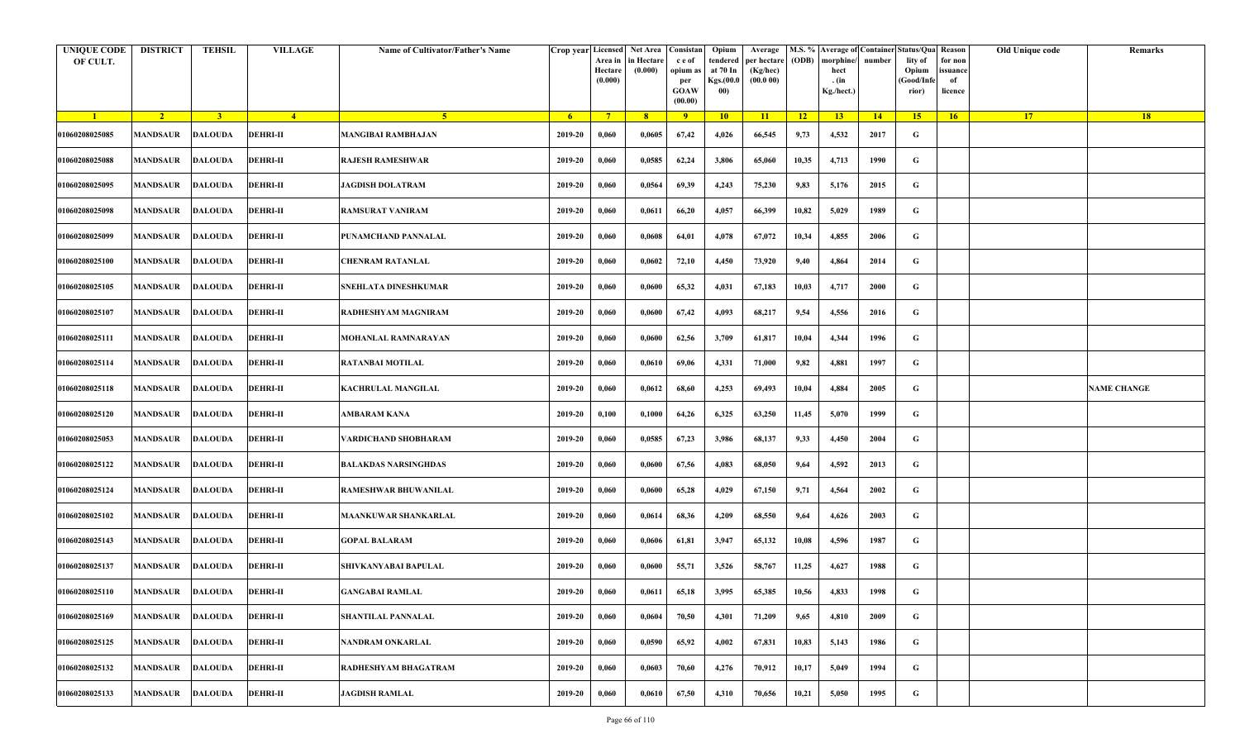| <b>UNIQUE CODE</b><br>OF CULT. | <b>DISTRICT</b>         | <b>TEHSIL</b>  | <b>VILLAGE</b>  | Name of Cultivator/Father's Name | Crop year Licensed | Area in<br>Hectare<br>(0.000) | Net Area   Consistan<br>in Hectare<br>(0.000) | c e of<br>opium as<br>per<br><b>GOAW</b><br>(00.00) | Opium<br>tendered<br>at 70 In<br>Kgs.(00.0<br>00) | Average<br>per hectare<br>(Kg/hec)<br>(00.000) | (ODB) | M.S. % Average of Container Status/Qua Reason<br>morphine/<br>hect<br>. (in<br>Kg./hect.) | number | lity of<br>Opium<br>(Good/Infe<br>rior) | for non<br>ssuance<br>of<br>licence | Old Unique code | Remarks            |
|--------------------------------|-------------------------|----------------|-----------------|----------------------------------|--------------------|-------------------------------|-----------------------------------------------|-----------------------------------------------------|---------------------------------------------------|------------------------------------------------|-------|-------------------------------------------------------------------------------------------|--------|-----------------------------------------|-------------------------------------|-----------------|--------------------|
| $\blacksquare$                 | $\sqrt{2}$              | $\overline{3}$ | $\sqrt{4}$      | $\sqrt{5}$                       | - 6                | $7^{\circ}$                   | 8 <sup>°</sup>                                | $\overline{9}$                                      | 10                                                | 11                                             | $-12$ | 13                                                                                        | $-14$  | 15 <sup>2</sup>                         | 16                                  | <b>17</b>       | <b>18</b>          |
| 01060208025085                 | <b>MANDSAUR</b>         | <b>DALOUDA</b> | <b>DEHRI-II</b> | <b>MANGIBAI RAMBHAJAN</b>        | 2019-20            | 0,060                         | 0,0605                                        | 67,42                                               | 4,026                                             | 66,545                                         | 9,73  | 4,532                                                                                     | 2017   | G                                       |                                     |                 |                    |
| 01060208025088                 | MANDSAUR                | <b>DALOUDA</b> | <b>DEHRI-II</b> | RAJESH RAMESHWAR                 | 2019-20            | 0,060                         | 0,0585                                        | 62,24                                               | 3,806                                             | 65,060                                         | 10,35 | 4,713                                                                                     | 1990   | G                                       |                                     |                 |                    |
| 01060208025095                 | <b>MANDSAUR</b>         | <b>DALOUDA</b> | <b>DEHRI-II</b> | <b>JAGDISH DOLATRAM</b>          | 2019-20            | 0,060                         | 0,0564                                        | 69,39                                               | 4,243                                             | 75,230                                         | 9,83  | 5,176                                                                                     | 2015   | G                                       |                                     |                 |                    |
| 01060208025098                 | MANDSAUR                | <b>DALOUDA</b> | <b>DEHRI-II</b> | RAMSURAT VANIRAM                 | 2019-20            | 0,060                         | 0,0611                                        | 66,20                                               | 4,057                                             | 66,399                                         | 10,82 | 5,029                                                                                     | 1989   | G                                       |                                     |                 |                    |
| 01060208025099                 | MANDSAUR                | <b>DALOUDA</b> | <b>DEHRI-II</b> | PUNAMCHAND PANNALAL              | 2019-20            | 0,060                         | 0,0608                                        | 64,01                                               | 4,078                                             | 67,072                                         | 10,34 | 4,855                                                                                     | 2006   | G                                       |                                     |                 |                    |
| 01060208025100                 | <b>MANDSAUR</b>         | <b>DALOUDA</b> | <b>DEHRI-II</b> | <b>CHENRAM RATANLAL</b>          | 2019-20            | 0,060                         | 0,0602                                        | 72,10                                               | 4,450                                             | 73,920                                         | 9,40  | 4,864                                                                                     | 2014   | G                                       |                                     |                 |                    |
| 01060208025105                 | MANDSAUR                | <b>DALOUDA</b> | <b>DEHRI-II</b> | SNEHLATA DINESHKUMAR             | 2019-20            | 0,060                         | 0,0600                                        | 65,32                                               | 4,031                                             | 67,183                                         | 10,03 | 4,717                                                                                     | 2000   | G                                       |                                     |                 |                    |
| 01060208025107                 | MANDSAUR                | <b>DALOUDA</b> | <b>DEHRI-II</b> | RADHESHYAM MAGNIRAM              | 2019-20            | 0,060                         | 0,0600                                        | 67,42                                               | 4,093                                             | 68,217                                         | 9,54  | 4,556                                                                                     | 2016   | G                                       |                                     |                 |                    |
| 01060208025111                 | MANDSAUR                | <b>DALOUDA</b> | <b>DEHRI-II</b> | MOHANLAL RAMNARAYAN              | 2019-20            | 0,060                         | 0,0600                                        | 62,56                                               | 3,709                                             | 61,817                                         | 10,04 | 4,344                                                                                     | 1996   | G                                       |                                     |                 |                    |
| 01060208025114                 | <b>MANDSAUR</b>         | <b>DALOUDA</b> | <b>DEHRI-II</b> | RATANBAI MOTILAL                 | 2019-20            | 0,060                         | 0,0610                                        | 69,06                                               | 4,331                                             | 71,000                                         | 9,82  | 4,881                                                                                     | 1997   | G                                       |                                     |                 |                    |
| 01060208025118                 | MANDSAUR                | <b>DALOUDA</b> | <b>DEHRI-II</b> | KACHRULAL MANGILAL               | 2019-20            | 0,060                         | 0,0612                                        | 68,60                                               | 4,253                                             | 69,493                                         | 10,04 | 4,884                                                                                     | 2005   | G                                       |                                     |                 | <b>NAME CHANGE</b> |
| 01060208025120                 | <b>MANDSAUR</b>         | <b>DALOUDA</b> | <b>DEHRI-II</b> | AMBARAM KANA                     | 2019-20            | 0,100                         | 0,1000                                        | 64,26                                               | 6,325                                             | 63,250                                         | 11,45 | 5,070                                                                                     | 1999   | G                                       |                                     |                 |                    |
| 01060208025053                 | MANDSAUR                | <b>DALOUDA</b> | <b>DEHRI-II</b> | VARDICHAND SHOBHARAM             | 2019-20            | 0,060                         | 0,0585                                        | 67,23                                               | 3,986                                             | 68,137                                         | 9,33  | 4,450                                                                                     | 2004   | G                                       |                                     |                 |                    |
| 01060208025122                 | MANDSAUR                | <b>DALOUDA</b> | <b>DEHRI-II</b> | BALAKDAS NARSINGHDAS             | 2019-20            | 0,060                         | 0,0600                                        | 67,56                                               | 4,083                                             | 68,050                                         | 9,64  | 4,592                                                                                     | 2013   | G                                       |                                     |                 |                    |
| 01060208025124                 | <b>MANDSAUR</b>         | <b>DALOUDA</b> | <b>DEHRI-II</b> | <b>RAMESHWAR BHUWANILAL</b>      | 2019-20            | 0,060                         | 0,0600                                        | 65,28                                               | 4,029                                             | 67,150                                         | 9,71  | 4,564                                                                                     | 2002   | G                                       |                                     |                 |                    |
| 01060208025102                 | MANDSAUR                | <b>DALOUDA</b> | <b>DEHRI-II</b> | <b>MAANKUWAR SHANKARLAL</b>      | 2019-20            | 0,060                         | 0,0614                                        | 68,36                                               | 4,209                                             | 68,550                                         | 9,64  | 4,626                                                                                     | 2003   | G                                       |                                     |                 |                    |
| 01060208025143                 | MANDSAUR                | <b>DALOUDA</b> | <b>DEHRI-II</b> | <b>GOPAL BALARAM</b>             | 2019-20            | 0,060                         | 0,0606                                        | 61,81                                               | 3,947                                             | 65,132                                         | 10,08 | 4,596                                                                                     | 1987   | G                                       |                                     |                 |                    |
| 01060208025137                 | MANDSAUR                | <b>DALOUDA</b> | <b>DEHRI-II</b> | SHIVKANYABAI BAPULAL             | 2019-20            | 0,060                         | 0,0600                                        | 55,71                                               | 3,526                                             | 58,767                                         | 11,25 | 4,627                                                                                     | 1988   | G                                       |                                     |                 |                    |
| 01060208025110                 | <b>MANDSAUR DALOUDA</b> |                | <b>DEHRI-II</b> | <b>GANGABAI RAMLAL</b>           | 2019-20            | 0,060                         | 0,0611                                        | 65,18                                               | 3,995                                             | 65,385                                         | 10,56 | 4,833                                                                                     | 1998   | G                                       |                                     |                 |                    |
| 01060208025169                 | MANDSAUR                | <b>DALOUDA</b> | <b>DEHRI-II</b> | <b>SHANTILAL PANNALAL</b>        | 2019-20            | 0,060                         | 0,0604                                        | 70,50                                               | 4,301                                             | 71,209                                         | 9,65  | 4,810                                                                                     | 2009   | $\mathbf G$                             |                                     |                 |                    |
| 01060208025125                 | MANDSAUR                | <b>DALOUDA</b> | <b>DEHRI-II</b> | NANDRAM ONKARLAL                 | 2019-20            | 0,060                         | 0,0590                                        | 65,92                                               | 4,002                                             | 67,831                                         | 10,83 | 5,143                                                                                     | 1986   | G                                       |                                     |                 |                    |
| 01060208025132                 | <b>MANDSAUR</b>         | <b>DALOUDA</b> | <b>DEHRI-II</b> | RADHESHYAM BHAGATRAM             | 2019-20            | 0,060                         | 0,0603                                        | 70,60                                               | 4,276                                             | 70,912                                         | 10,17 | 5,049                                                                                     | 1994   | G                                       |                                     |                 |                    |
| 01060208025133                 | MANDSAUR                | <b>DALOUDA</b> | <b>DEHRI-II</b> | <b>JAGDISH RAMLAL</b>            | 2019-20            | 0,060                         | 0,0610                                        | 67,50                                               | 4,310                                             | 70,656                                         | 10,21 | 5,050                                                                                     | 1995   | G                                       |                                     |                 |                    |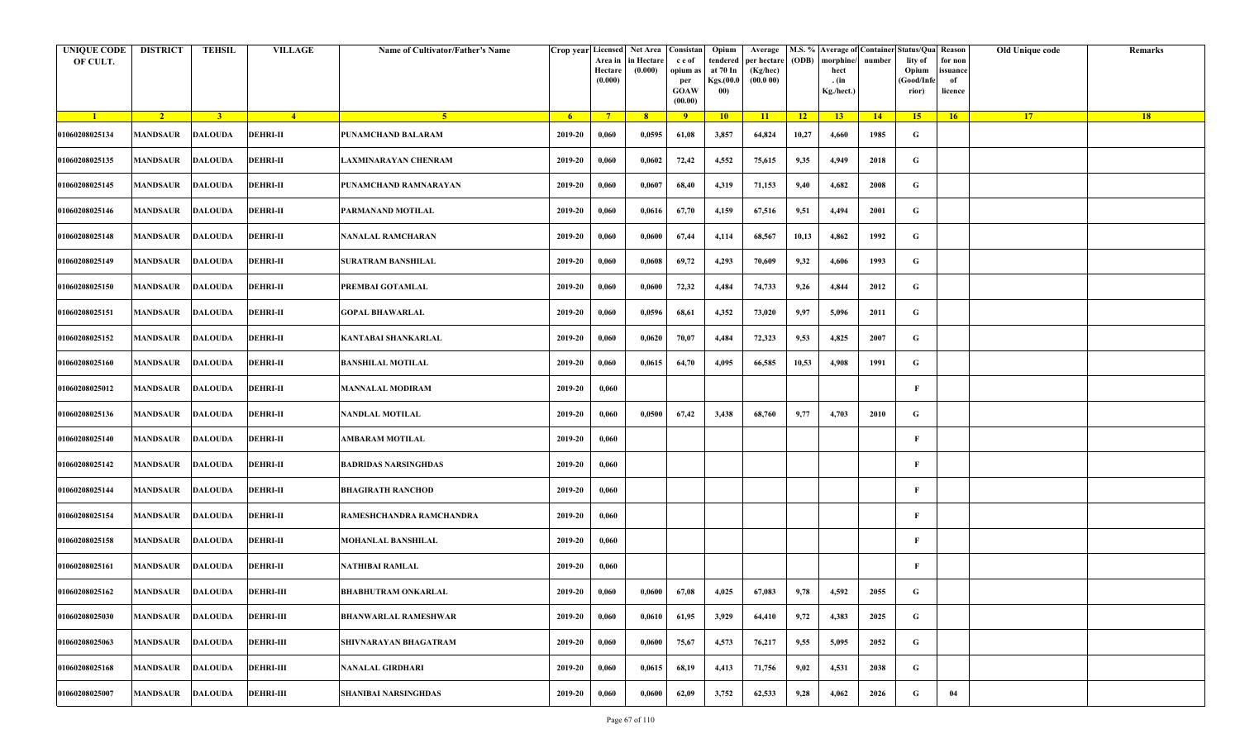| <b>UNIQUE CODE</b><br>OF CULT. | <b>DISTRICT</b>         | TEHSIL         | <b>VILLAGE</b>   | Name of Cultivator/Father's Name | Crop year Licensed | Area in<br>Hectare<br>(0.000) | Net Area   Consistan<br>n Hectare<br>(0.000) | c e of<br>opium as<br>per<br><b>GOAW</b><br>(00.00) | Opium<br>tendered<br>at 70 In<br>Kgs.(00.0<br>00) | Average<br>per hectare<br>(Kg/hec)<br>(00.000) | (ODB) | M.S. % Average of Container Status/Qua Reason<br>morphine/<br>hect<br>. (in<br>Kg./hect.) | number      | lity of<br>Opium<br>(Good/Info<br>rior) | for non<br>ssuance<br>of<br>licence | Old Unique code | Remarks |
|--------------------------------|-------------------------|----------------|------------------|----------------------------------|--------------------|-------------------------------|----------------------------------------------|-----------------------------------------------------|---------------------------------------------------|------------------------------------------------|-------|-------------------------------------------------------------------------------------------|-------------|-----------------------------------------|-------------------------------------|-----------------|---------|
| $\blacksquare$                 | $\sqrt{2}$              | $\overline{3}$ | $-4$             | $-5$                             | 6 <sup>1</sup>     | $\sqrt{7}$                    | 8 <sup>°</sup>                               | 9                                                   | 10                                                | 11                                             | 12    | 13 <sup>7</sup>                                                                           | $\sqrt{14}$ | 15                                      | 16                                  | 17 <sup>2</sup> | 18      |
| 01060208025134                 | MANDSAUR                | <b>DALOUDA</b> | <b>DEHRI-II</b>  | PUNAMCHAND BALARAM               | 2019-20            | 0,060                         | 0,0595                                       | 61,08                                               | 3,857                                             | 64,824                                         | 10,27 | 4,660                                                                                     | 1985        | G                                       |                                     |                 |         |
| 01060208025135                 | <b>MANDSAUR</b>         | <b>DALOUDA</b> | <b>DEHRI-II</b>  | AXMINARAYAN CHENRAM              | 2019-20            | 0,060                         | 0,0602                                       | 72,42                                               | 4,552                                             | 75,615                                         | 9,35  | 4,949                                                                                     | 2018        | G                                       |                                     |                 |         |
| 01060208025145                 | MANDSAUR                | <b>DALOUDA</b> | <b>DEHRI-II</b>  | PUNAMCHAND RAMNARAYAN            | 2019-20            | 0,060                         | 0,0607                                       | 68,40                                               | 4,319                                             | 71,153                                         | 9,40  | 4,682                                                                                     | 2008        | G                                       |                                     |                 |         |
| 01060208025146                 | MANDSAUR                | <b>DALOUDA</b> | <b>DEHRI-II</b>  | PARMANAND MOTILAL                | 2019-20            | 0,060                         | 0,0616                                       | 67,70                                               | 4,159                                             | 67,516                                         | 9,51  | 4,494                                                                                     | 2001        | G                                       |                                     |                 |         |
| 01060208025148                 | <b>MANDSAUR</b>         | <b>DALOUDA</b> | <b>DEHRI-II</b>  | NANALAL RAMCHARAN                | 2019-20            | 0,060                         | 0,0600                                       | 67,44                                               | 4,114                                             | 68,567                                         | 10,13 | 4,862                                                                                     | 1992        | G                                       |                                     |                 |         |
| 01060208025149                 | <b>MANDSAUR</b>         | <b>DALOUDA</b> | <b>DEHRI-II</b>  | <b>SURATRAM BANSHILAL</b>        | 2019-20            | 0,060                         | 0,0608                                       | 69,72                                               | 4,293                                             | 70,609                                         | 9,32  | 4,606                                                                                     | 1993        | G                                       |                                     |                 |         |
| 01060208025150                 | MANDSAUR                | <b>DALOUDA</b> | <b>DEHRI-II</b>  | PREMBAI GOTAMLAL                 | 2019-20            | 0,060                         | 0,0600                                       | 72,32                                               | 4,484                                             | 74,733                                         | 9,26  | 4,844                                                                                     | 2012        | G                                       |                                     |                 |         |
| 01060208025151                 | MANDSAUR                | <b>DALOUDA</b> | <b>DEHRI-II</b>  | <b>GOPAL BHAWARLAL</b>           | 2019-20            | 0,060                         | 0,0596                                       | 68,61                                               | 4,352                                             | 73,020                                         | 9,97  | 5,096                                                                                     | 2011        | G                                       |                                     |                 |         |
| 01060208025152                 | MANDSAUR                | <b>DALOUDA</b> | <b>DEHRI-II</b>  | KANTABAI SHANKARLAL              | 2019-20            | 0,060                         | 0,0620                                       | 70,07                                               | 4,484                                             | 72,323                                         | 9,53  | 4,825                                                                                     | 2007        | G                                       |                                     |                 |         |
| 01060208025160                 | MANDSAUR                | <b>DALOUDA</b> | <b>DEHRI-II</b>  | <b>BANSHILAL MOTILAL</b>         | 2019-20            | 0,060                         | 0,0615                                       | 64,70                                               | 4,095                                             | 66,585                                         | 10,53 | 4,908                                                                                     | 1991        | G                                       |                                     |                 |         |
| 01060208025012                 | <b>MANDSAUR</b>         | <b>DALOUDA</b> | <b>DEHRI-II</b>  | <b>MANNALAL MODIRAM</b>          | 2019-20            | 0,060                         |                                              |                                                     |                                                   |                                                |       |                                                                                           |             | F                                       |                                     |                 |         |
| 01060208025136                 | MANDSAUR                | <b>DALOUDA</b> | <b>DEHRI-II</b>  | NANDLAL MOTILAL                  | 2019-20            | 0,060                         | 0,0500                                       | 67,42                                               | 3,438                                             | 68,760                                         | 9,77  | 4,703                                                                                     | 2010        | G                                       |                                     |                 |         |
| 01060208025140                 | MANDSAUR                | <b>DALOUDA</b> | <b>DEHRI-II</b>  | AMBARAM MOTILAL                  | 2019-20            | 0,060                         |                                              |                                                     |                                                   |                                                |       |                                                                                           |             | F                                       |                                     |                 |         |
| 01060208025142                 | MANDSAUR                | <b>DALOUDA</b> | <b>DEHRI-II</b>  | <b>BADRIDAS NARSINGHDAS</b>      | 2019-20            | 0,060                         |                                              |                                                     |                                                   |                                                |       |                                                                                           |             | F                                       |                                     |                 |         |
| 01060208025144                 | <b>MANDSAUR</b>         | <b>DALOUDA</b> | <b>DEHRI-II</b>  | <b>BHAGIRATH RANCHOD</b>         | 2019-20            | 0,060                         |                                              |                                                     |                                                   |                                                |       |                                                                                           |             | F                                       |                                     |                 |         |
| 01060208025154                 | MANDSAUR                | <b>DALOUDA</b> | <b>DEHRI-II</b>  | RAMESHCHANDRA RAMCHANDRA         | 2019-20            | 0,060                         |                                              |                                                     |                                                   |                                                |       |                                                                                           |             | F                                       |                                     |                 |         |
| 01060208025158                 | MANDSAUR                | <b>DALOUDA</b> | <b>DEHRI-II</b>  | MOHANLAL BANSHILAL               | 2019-20            | 0,060                         |                                              |                                                     |                                                   |                                                |       |                                                                                           |             | F                                       |                                     |                 |         |
| 01060208025161                 | MANDSAUR                | <b>DALOUDA</b> | <b>DEHRI-II</b>  | NATHIBAI RAMLAL                  | 2019-20            | 0,060                         |                                              |                                                     |                                                   |                                                |       |                                                                                           |             | F                                       |                                     |                 |         |
| 01060208025162                 | <b>MANDSAUR DALOUDA</b> |                | <b>DEHRI-III</b> | <b>BHABHUTRAM ONKARLAL</b>       | 2019-20            | 0,060                         | 0,0600                                       | 67,08                                               | 4,025                                             | 67,083                                         | 9,78  | 4,592                                                                                     | 2055        | G                                       |                                     |                 |         |
| 01060208025030                 | <b>MANDSAUR</b>         | <b>DALOUDA</b> | <b>DEHRI-III</b> | <b>BHANWARLAL RAMESHWAR</b>      | 2019-20            | 0,060                         | 0,0610                                       | 61,95                                               | 3,929                                             | 64,410                                         | 9,72  | 4,383                                                                                     | 2025        | $\mathbf G$                             |                                     |                 |         |
| 01060208025063                 | MANDSAUR                | <b>DALOUDA</b> | <b>DEHRI-III</b> | <b>SHIVNARAYAN BHAGATRAM</b>     | 2019-20            | 0,060                         | 0,0600                                       | 75,67                                               | 4,573                                             | 76,217                                         | 9,55  | 5,095                                                                                     | 2052        | $\mathbf G$                             |                                     |                 |         |
| 01060208025168                 | <b>MANDSAUR</b>         | <b>DALOUDA</b> | <b>DEHRI-III</b> | <b>NANALAL GIRDHARI</b>          | 2019-20            | 0,060                         | 0,0615                                       | 68,19                                               | 4,413                                             | 71,756                                         | 9,02  | 4,531                                                                                     | 2038        | $\mathbf G$                             |                                     |                 |         |
| 01060208025007                 | MANDSAUR                | <b>DALOUDA</b> | <b>DEHRI-III</b> | <b>SHANIBAI NARSINGHDAS</b>      | 2019-20            | 0,060                         | 0,0600                                       | 62,09                                               | 3,752                                             | 62,533                                         | 9,28  | 4,062                                                                                     | 2026        | G                                       | 04                                  |                 |         |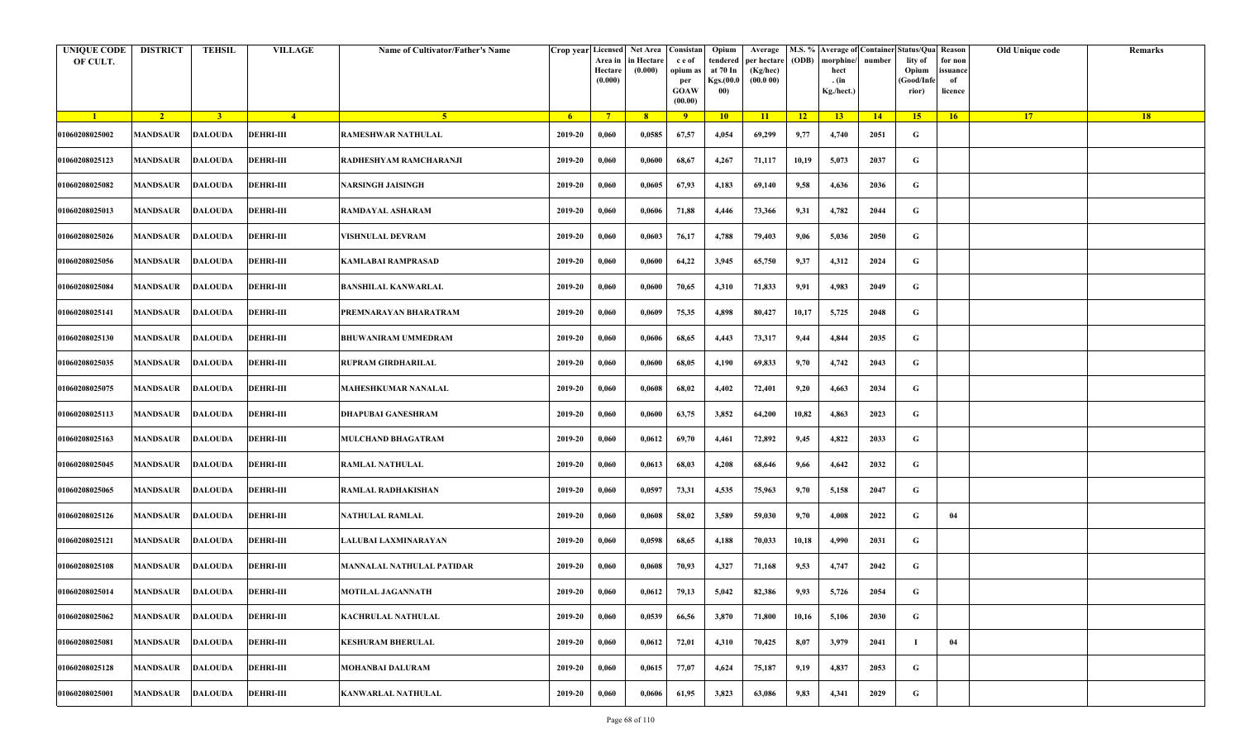| <b>UNIQUE CODE</b><br>OF CULT. | <b>DISTRICT</b>         | <b>TEHSIL</b>  | <b>VILLAGE</b>   | Name of Cultivator/Father's Name |         | Crop year Licensed Net Area Consistan<br>Area in<br>Hectare<br>(0.000) | in Hectare<br>(0.000) | c e of<br>opium as<br>per<br><b>GOAW</b><br>(00.00) | Opium<br>tendered<br>at 70 In<br>Kgs.(00.0<br>00) | Average<br>per hectare<br>(Kg/hec)<br>(00.000) | (ODB) | M.S. % Average of Container Status/Qua Reason<br>morphine/<br>hect<br>. (in<br>Kg./hect.) | number | lity of<br>Opium<br>(Good/Infe<br>rior) | for non<br>ssuance<br>of<br>licence | Old Unique code | Remarks |
|--------------------------------|-------------------------|----------------|------------------|----------------------------------|---------|------------------------------------------------------------------------|-----------------------|-----------------------------------------------------|---------------------------------------------------|------------------------------------------------|-------|-------------------------------------------------------------------------------------------|--------|-----------------------------------------|-------------------------------------|-----------------|---------|
| $\blacksquare$                 | $\sqrt{2}$              | 3 <sup>1</sup> | $\sqrt{4}$       | 5 <sup>1</sup>                   | $-6$    | $7^{\circ}$                                                            | 8 <sup>°</sup>        | $\overline{9}$                                      | 10                                                | 11                                             | $-12$ | 13                                                                                        | 14     | 15                                      | 16                                  | <b>17</b>       | 18      |
| 01060208025002                 | <b>MANDSAUR</b>         | <b>DALOUDA</b> | <b>DEHRI-III</b> | <b>RAMESHWAR NATHULAL</b>        | 2019-20 | 0,060                                                                  | 0,0585                | 67,57                                               | 4,054                                             | 69,299                                         | 9,77  | 4,740                                                                                     | 2051   | G                                       |                                     |                 |         |
| 01060208025123                 | MANDSAUR                | <b>DALOUDA</b> | <b>DEHRI-III</b> | RADHESHYAM RAMCHARANJI           | 2019-20 | 0,060                                                                  | 0,0600                | 68,67                                               | 4,267                                             | 71,117                                         | 10,19 | 5,073                                                                                     | 2037   | G                                       |                                     |                 |         |
| 01060208025082                 | <b>MANDSAUR</b>         | <b>DALOUDA</b> | <b>DEHRI-III</b> | NARSINGH JAISINGH                | 2019-20 | 0,060                                                                  | 0,0605                | 67,93                                               | 4,183                                             | 69,140                                         | 9,58  | 4,636                                                                                     | 2036   | G                                       |                                     |                 |         |
| 01060208025013                 | MANDSAUR                | <b>DALOUDA</b> | <b>DEHRI-III</b> | RAMDAYAL ASHARAM                 | 2019-20 | 0,060                                                                  | 0,0606                | 71,88                                               | 4,446                                             | 73,366                                         | 9,31  | 4,782                                                                                     | 2044   | G                                       |                                     |                 |         |
| 01060208025026                 | <b>MANDSAUR</b>         | <b>DALOUDA</b> | <b>DEHRI-III</b> | <b>VISHNULAL DEVRAM</b>          | 2019-20 | 0,060                                                                  | 0,0603                | 76,17                                               | 4,788                                             | 79,403                                         | 9,06  | 5,036                                                                                     | 2050   | G                                       |                                     |                 |         |
| 01060208025056                 | MANDSAUR                | <b>DALOUDA</b> | <b>DEHRI-III</b> | <b>KAMLABAI RAMPRASAD</b>        | 2019-20 | 0,060                                                                  | 0,0600                | 64,22                                               | 3,945                                             | 65,750                                         | 9,37  | 4,312                                                                                     | 2024   | G                                       |                                     |                 |         |
| 01060208025084                 | MANDSAUR                | <b>DALOUDA</b> | <b>DEHRI-III</b> | <b>BANSHILAL KANWARLAL</b>       | 2019-20 | 0,060                                                                  | 0,0600                | 70,65                                               | 4,310                                             | 71,833                                         | 9,91  | 4,983                                                                                     | 2049   | G                                       |                                     |                 |         |
| 01060208025141                 | MANDSAUR                | <b>DALOUDA</b> | <b>DEHRI-III</b> | PREMNARAYAN BHARATRAM            | 2019-20 | 0,060                                                                  | 0,0609                | 75,35                                               | 4,898                                             | 80,427                                         | 10,17 | 5,725                                                                                     | 2048   | G                                       |                                     |                 |         |
| 01060208025130                 | <b>MANDSAUR</b>         | <b>DALOUDA</b> | <b>DEHRI-III</b> | <b>BHUWANIRAM UMMEDRAM</b>       | 2019-20 | 0,060                                                                  | 0,0606                | 68,65                                               | 4,443                                             | 73,317                                         | 9,44  | 4,844                                                                                     | 2035   | G                                       |                                     |                 |         |
| 01060208025035                 | <b>MANDSAUR</b>         | <b>DALOUDA</b> | <b>DEHRI-III</b> | <b>RUPRAM GIRDHARILAL</b>        | 2019-20 | 0,060                                                                  | 0,0600                | 68,05                                               | 4,190                                             | 69,833                                         | 9,70  | 4,742                                                                                     | 2043   | G                                       |                                     |                 |         |
| 01060208025075                 | MANDSAUR                | <b>DALOUDA</b> | <b>DEHRI-III</b> | <b>MAHESHKUMAR NANALAL</b>       | 2019-20 | 0,060                                                                  | 0,0608                | 68,02                                               | 4,402                                             | 72,401                                         | 9,20  | 4,663                                                                                     | 2034   | G                                       |                                     |                 |         |
| 01060208025113                 | <b>MANDSAUR</b>         | <b>DALOUDA</b> | <b>DEHRI-III</b> | DHAPUBAI GANESHRAM               | 2019-20 | 0,060                                                                  | 0,0600                | 63,75                                               | 3,852                                             | 64,200                                         | 10,82 | 4,863                                                                                     | 2023   | G                                       |                                     |                 |         |
| 01060208025163                 | MANDSAUR                | <b>DALOUDA</b> | <b>DEHRI-III</b> | <b>MULCHAND BHAGATRAM</b>        | 2019-20 | 0,060                                                                  | 0,0612                | 69,70                                               | 4,461                                             | 72,892                                         | 9,45  | 4,822                                                                                     | 2033   | G                                       |                                     |                 |         |
| 01060208025045                 | <b>MANDSAUR</b>         | <b>DALOUDA</b> | <b>DEHRI-III</b> | <b>RAMLAL NATHULAL</b>           | 2019-20 | 0,060                                                                  | 0,0613                | 68,03                                               | 4,208                                             | 68,646                                         | 9,66  | 4,642                                                                                     | 2032   | G                                       |                                     |                 |         |
| 01060208025065                 | MANDSAUR                | <b>DALOUDA</b> | <b>DEHRI-III</b> | <b>RAMLAL RADHAKISHAN</b>        | 2019-20 | 0,060                                                                  | 0,0597                | 73,31                                               | 4,535                                             | 75,963                                         | 9,70  | 5,158                                                                                     | 2047   | G                                       |                                     |                 |         |
| 01060208025126                 | <b>MANDSAUR</b>         | <b>DALOUDA</b> | <b>DEHRI-III</b> | NATHULAL RAMLAL                  | 2019-20 | 0,060                                                                  | 0,0608                | 58,02                                               | 3,589                                             | 59,030                                         | 9,70  | 4,008                                                                                     | 2022   | G                                       | 04                                  |                 |         |
| 01060208025121                 | <b>MANDSAUR</b>         | <b>DALOUDA</b> | <b>DEHRI-III</b> | LALUBAI LAXMINARAYAN             | 2019-20 | 0,060                                                                  | 0,0598                | 68,65                                               | 4,188                                             | 70,033                                         | 10,18 | 4,990                                                                                     | 2031   | G                                       |                                     |                 |         |
| 01060208025108                 | MANDSAUR                | <b>DALOUDA</b> | <b>DEHRI-III</b> | MANNALAL NATHULAL PATIDAR        | 2019-20 | 0,060                                                                  | 0,0608                | 70,93                                               | 4,327                                             | 71,168                                         | 9,53  | 4,747                                                                                     | 2042   | G                                       |                                     |                 |         |
| 01060208025014                 | <b>MANDSAUR DALOUDA</b> |                | <b>DEHRI-III</b> | <b>MOTILAL JAGANNATH</b>         | 2019-20 | 0,060                                                                  | 0,0612                | 79,13                                               | 5,042                                             | 82,386                                         | 9,93  | 5,726                                                                                     | 2054   | G                                       |                                     |                 |         |
| 01060208025062                 | <b>MANDSAUR</b>         | <b>DALOUDA</b> | <b>DEHRI-III</b> | <b>KACHRULAL NATHULAL</b>        | 2019-20 | 0,060                                                                  | 0,0539                | 66,56                                               | 3,870                                             | 71,800                                         | 10,16 | 5,106                                                                                     | 2030   | $\mathbf G$                             |                                     |                 |         |
| 01060208025081                 | <b>MANDSAUR</b>         | <b>DALOUDA</b> | <b>DEHRI-III</b> | <b>KESHURAM BHERULAL</b>         | 2019-20 | 0,060                                                                  | 0,0612                | 72,01                                               | 4,310                                             | 70,425                                         | 8,07  | 3,979                                                                                     | 2041   |                                         | 04                                  |                 |         |
| 01060208025128                 | MANDSAUR                | <b>DALOUDA</b> | <b>DEHRI-III</b> | <b>MOHANBAI DALURAM</b>          | 2019-20 | 0,060                                                                  | 0,0615                | 77,07                                               | 4,624                                             | 75,187                                         | 9,19  | 4,837                                                                                     | 2053   | G                                       |                                     |                 |         |
| 01060208025001                 | <b>MANDSAUR</b>         | <b>DALOUDA</b> | <b>DEHRI-III</b> | <b>KANWARLAL NATHULAL</b>        | 2019-20 | 0,060                                                                  | 0,0606                | 61,95                                               | 3,823                                             | 63,086                                         | 9,83  | 4,341                                                                                     | 2029   | G                                       |                                     |                 |         |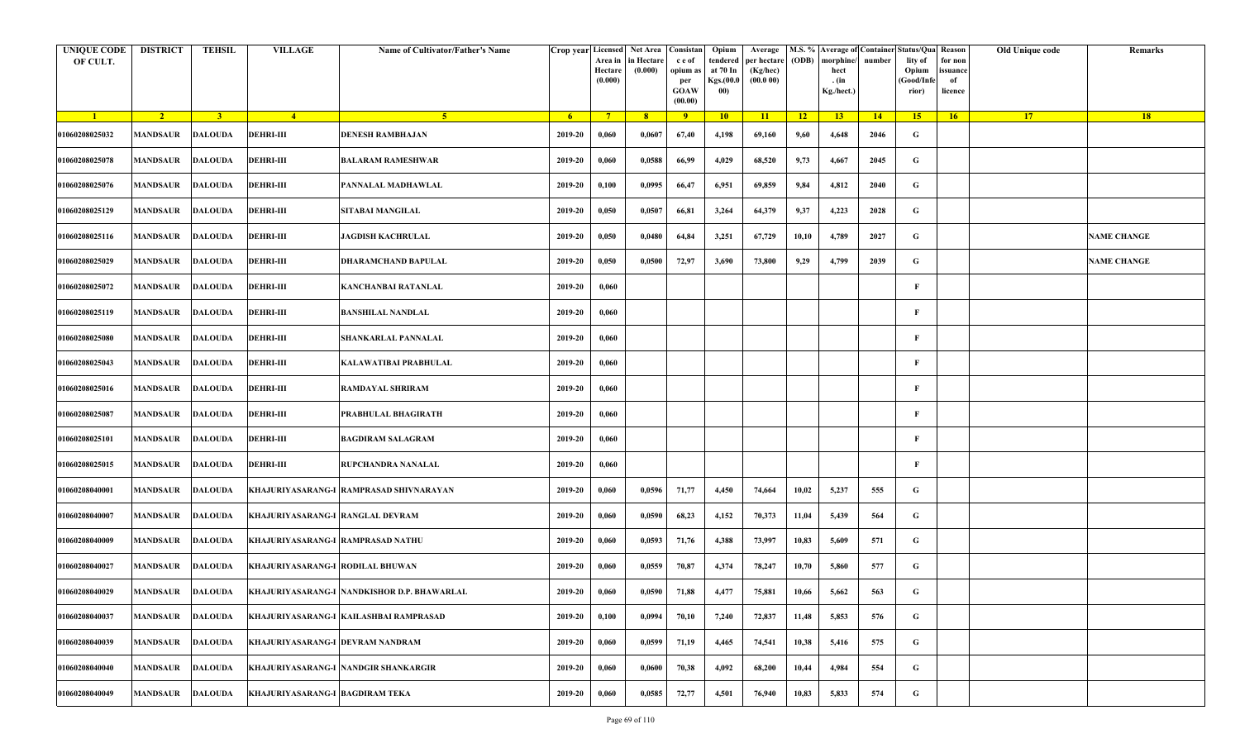| <b>UNIQUE CODE</b><br>OF CULT. | <b>DISTRICT</b>         | TEHSIL         | <b>VILLAGE</b>                    | Name of Cultivator/Father's Name            | Crop year Licensed | Area in<br>Hectare<br>(0.000) | Net Area Consistan<br>in Hectare<br>(0.000) | c e of<br>opium as<br>per<br><b>GOAW</b><br>(00.00) | Opium<br>tendered<br>at 70 In<br>Kgs.(00.0<br>00) | Average<br>per hectare<br>(Kg/hec)<br>(00.000) | (ODB) | M.S. % Average of Container Status/Qua Reason<br>morphine/<br>hect<br>. (in<br>Kg./hect.) | number | lity of<br>Opium<br>(Good/Infe<br>rior) | for non<br>ssuance<br>of<br>licence | Old Unique code | Remarks            |
|--------------------------------|-------------------------|----------------|-----------------------------------|---------------------------------------------|--------------------|-------------------------------|---------------------------------------------|-----------------------------------------------------|---------------------------------------------------|------------------------------------------------|-------|-------------------------------------------------------------------------------------------|--------|-----------------------------------------|-------------------------------------|-----------------|--------------------|
| $\blacksquare$                 | $\sqrt{2}$              | 3 <sup>1</sup> | $\sqrt{4}$                        | -5.                                         | - 6                | $7^{\circ}$                   | 8 <sup>°</sup>                              | $\overline{9}$                                      | 10                                                | 11                                             | $-12$ | 13                                                                                        | 14     | 15                                      | 16                                  | <b>17</b>       | <b>18</b>          |
| 01060208025032                 | <b>MANDSAUR</b>         | <b>DALOUDA</b> | <b>DEHRI-III</b>                  | DENESH RAMBHAJAN                            | 2019-20            | 0,060                         | 0,0607                                      | 67,40                                               | 4,198                                             | 69,160                                         | 9,60  | 4,648                                                                                     | 2046   | G                                       |                                     |                 |                    |
| 01060208025078                 | <b>MANDSAUR</b>         | <b>DALOUDA</b> | <b>DEHRI-III</b>                  | BALARAM RAMESHWAR                           | 2019-20            | 0,060                         | 0,0588                                      | 66,99                                               | 4,029                                             | 68,520                                         | 9,73  | 4,667                                                                                     | 2045   | G                                       |                                     |                 |                    |
| 01060208025076                 | <b>MANDSAUR</b>         | DALOUDA        | <b>DEHRI-III</b>                  | PANNALAL MADHAWLAL                          | 2019-20            | 0,100                         | 0,0995                                      | 66,47                                               | 6,951                                             | 69,859                                         | 9,84  | 4,812                                                                                     | 2040   | G                                       |                                     |                 |                    |
| 01060208025129                 | <b>MANDSAUR</b>         | <b>DALOUDA</b> | <b>DEHRI-III</b>                  | SITABAI MANGILAL                            | 2019-20            | 0,050                         | 0,0507                                      | 66,81                                               | 3,264                                             | 64,379                                         | 9,37  | 4,223                                                                                     | 2028   | G                                       |                                     |                 |                    |
| 01060208025116                 | MANDSAUR                | <b>DALOUDA</b> | <b>DEHRI-III</b>                  | JAGDISH KACHRULAL                           | 2019-20            | 0,050                         | 0,0480                                      | 64,84                                               | 3,251                                             | 67,729                                         | 10,10 | 4,789                                                                                     | 2027   | G                                       |                                     |                 | <b>NAME CHANGE</b> |
| 01060208025029                 | <b>MANDSAUR</b>         | <b>DALOUDA</b> | <b>DEHRI-III</b>                  | DHARAMCHAND BAPULAL                         | 2019-20            | 0,050                         | 0,0500                                      | 72,97                                               | 3,690                                             | 73,800                                         | 9,29  | 4,799                                                                                     | 2039   | G                                       |                                     |                 | <b>NAME CHANGE</b> |
| 01060208025072                 | <b>MANDSAUR</b>         | <b>DALOUDA</b> | <b>DEHRI-III</b>                  | KANCHANBAI RATANLAL                         | 2019-20            | 0,060                         |                                             |                                                     |                                                   |                                                |       |                                                                                           |        | F                                       |                                     |                 |                    |
| 01060208025119                 | MANDSAUR                | <b>DALOUDA</b> | <b>DEHRI-III</b>                  | <b>BANSHILAL NANDLAL</b>                    | 2019-20            | 0,060                         |                                             |                                                     |                                                   |                                                |       |                                                                                           |        | F                                       |                                     |                 |                    |
| 01060208025080                 | MANDSAUR                | <b>DALOUDA</b> | <b>DEHRI-III</b>                  | SHANKARLAL PANNALAL                         | 2019-20            | 0,060                         |                                             |                                                     |                                                   |                                                |       |                                                                                           |        | F                                       |                                     |                 |                    |
| 01060208025043                 | <b>MANDSAUR</b>         | <b>DALOUDA</b> | <b>DEHRI-III</b>                  | KALAWATIBAI PRABHULAL                       | 2019-20            | 0,060                         |                                             |                                                     |                                                   |                                                |       |                                                                                           |        | F                                       |                                     |                 |                    |
| 01060208025016                 | <b>MANDSAUR</b>         | <b>DALOUDA</b> | <b>DEHRI-III</b>                  | RAMDAYAL SHRIRAM                            | 2019-20            | 0,060                         |                                             |                                                     |                                                   |                                                |       |                                                                                           |        | F                                       |                                     |                 |                    |
| 01060208025087                 | <b>MANDSAUR</b>         | <b>DALOUDA</b> | <b>DEHRI-III</b>                  | PRABHULAL BHAGIRATH                         | 2019-20            | 0,060                         |                                             |                                                     |                                                   |                                                |       |                                                                                           |        | F                                       |                                     |                 |                    |
| 01060208025101                 | <b>MANDSAUR</b>         | <b>DALOUDA</b> | <b>DEHRI-III</b>                  | <b>BAGDIRAM SALAGRAM</b>                    | 2019-20            | 0,060                         |                                             |                                                     |                                                   |                                                |       |                                                                                           |        | F                                       |                                     |                 |                    |
| 01060208025015                 | MANDSAUR                | <b>DALOUDA</b> | <b>DEHRI-III</b>                  | RUPCHANDRA NANALAL                          | 2019-20            | 0,060                         |                                             |                                                     |                                                   |                                                |       |                                                                                           |        | $\mathbf{F}$                            |                                     |                 |                    |
| 01060208040001                 | <b>MANDSAUR</b>         | DALOUDA        |                                   | KHAJURIYASARANG-I RAMPRASAD SHIVNARAYAN     | 2019-20            | 0,060                         | 0,0596                                      | 71,77                                               | 4,450                                             | 74,664                                         | 10,02 | 5,237                                                                                     | 555    | G                                       |                                     |                 |                    |
| 01060208040007                 | MANDSAUR                | <b>DALOUDA</b> | KHAJURIYASARANG-I RANGLAL DEVRAM  |                                             | 2019-20            | 0,060                         | 0,0590                                      | 68,23                                               | 4,152                                             | 70,373                                         | 11,04 | 5,439                                                                                     | 564    | G                                       |                                     |                 |                    |
| 01060208040009                 | MANDSAUR                | <b>DALOUDA</b> | KHAJURIYASARANG-I RAMPRASAD NATHU |                                             | 2019-20            | 0,060                         | 0,0593                                      | 71,76                                               | 4,388                                             | 73,997                                         | 10,83 | 5,609                                                                                     | 571    | G                                       |                                     |                 |                    |
| 01060208040027                 | MANDSAUR                | <b>DALOUDA</b> | KHAJURIYASARANG-I RODILAL BHUWAN  |                                             | 2019-20            | 0,060                         | 0,0559                                      | 70,87                                               | 4,374                                             | 78,247                                         | 10,70 | 5,860                                                                                     | 577    | G                                       |                                     |                 |                    |
| 01060208040029                 | <b>MANDSAUR DALOUDA</b> |                |                                   | KHAJURIYASARANG-I NANDKISHOR D.P. BHAWARLAL | 2019-20            | 0,060                         | 0,0590                                      | 71,88                                               | 4,477                                             | 75,881                                         | 10,66 | 5,662                                                                                     | 563    | G                                       |                                     |                 |                    |
| 01060208040037                 | MANDSAUR                | <b>DALOUDA</b> |                                   | KHAJURIYASARANG-I KAILASHBAI RAMPRASAD      | 2019-20            | 0,100                         | 0,0994                                      | 70,10                                               | 7,240                                             | 72,837                                         | 11,48 | 5,853                                                                                     | 576    | $\mathbf G$                             |                                     |                 |                    |
| 01060208040039                 | <b>MANDSAUR</b>         | <b>DALOUDA</b> | KHAJURIYASARANG-I DEVRAM NANDRAM  |                                             | 2019-20            | 0,060                         | 0,0599                                      | 71,19                                               | 4,465                                             | 74,541                                         | 10,38 | 5,416                                                                                     | 575    | G                                       |                                     |                 |                    |
| 01060208040040                 | <b>MANDSAUR</b>         | <b>DALOUDA</b> |                                   | KHAJURIYASARANG-I NANDGIR SHANKARGIR        | 2019-20            | 0,060                         | 0,0600                                      | 70,38                                               | 4,092                                             | 68,200                                         | 10,44 | 4,984                                                                                     | 554    | G                                       |                                     |                 |                    |
| 01060208040049                 | MANDSAUR                | <b>DALOUDA</b> | KHAJURIYASARANG-I BAGDIRAM TEKA   |                                             | 2019-20            | 0,060                         | 0,0585                                      | 72,77                                               | 4,501                                             | 76,940                                         | 10,83 | 5,833                                                                                     | 574    | G                                       |                                     |                 |                    |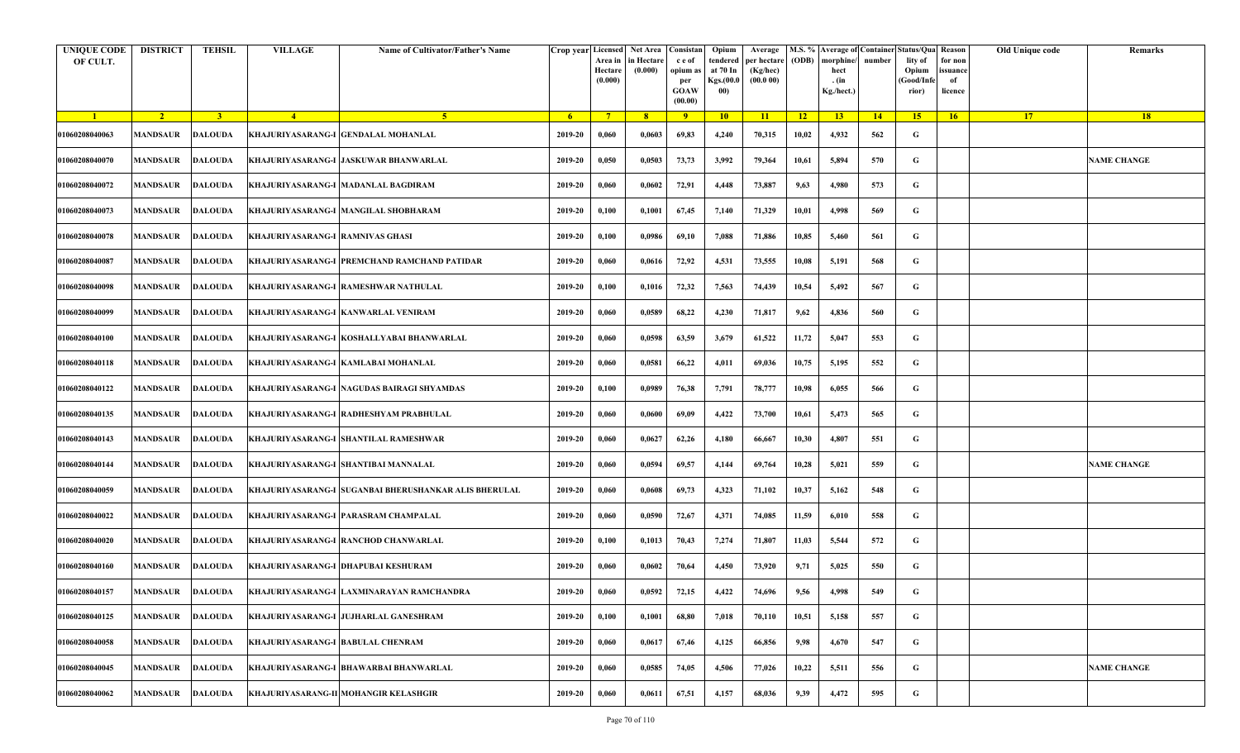| <b>UNIQUE CODE</b><br>OF CULT. | <b>DISTRICT</b>         | <b>TEHSIL</b>  | <b>VILLAGE</b>                    | Name of Cultivator/Father's Name                      | Crop year Licensed | Area in<br>Hectare<br>(0.000) | Net Area   Consistan<br>in Hectare<br>(0.000) | c e of<br>opium as<br>per<br><b>GOAW</b><br>(00.00) | Opium<br>tendered<br>at 70 In<br>Kgs.(00.0<br>00) | Average<br>per hectare<br>(Kg/hec)<br>(00.000) | (ODB) | M.S. % Average of Container Status/Qua Reason<br>morphine/<br>hect<br>. (in<br>Kg./hect.) | number      | lity of<br>Opium<br>(Good/Infe<br>rior) | for non<br>ssuance<br>of<br>licence | Old Unique code | Remarks            |
|--------------------------------|-------------------------|----------------|-----------------------------------|-------------------------------------------------------|--------------------|-------------------------------|-----------------------------------------------|-----------------------------------------------------|---------------------------------------------------|------------------------------------------------|-------|-------------------------------------------------------------------------------------------|-------------|-----------------------------------------|-------------------------------------|-----------------|--------------------|
| $\blacksquare$                 | $\sqrt{2}$              | $\overline{3}$ | $\sqrt{4}$                        | -5.                                                   | - 6                | $7^{\circ}$                   | 8 <sup>°</sup>                                | $\overline{9}$                                      | 10                                                | 11                                             | $-12$ | 13                                                                                        | $\sqrt{14}$ | 15 <sup>2</sup>                         | 16                                  | <b>17</b>       | <b>18</b>          |
| 01060208040063                 | <b>MANDSAUR</b>         | <b>DALOUDA</b> |                                   | KHAJURIYASARANG-I GENDALAL MOHANLAL                   | 2019-20            | 0,060                         | 0,0603                                        | 69,83                                               | 4,240                                             | 70,315                                         | 10,02 | 4,932                                                                                     | 562         | G                                       |                                     |                 |                    |
| 01060208040070                 | MANDSAUR                | <b>DALOUDA</b> |                                   | KHAJURIYASARANG-I  JASKUWAR BHANWARLAL                | 2019-20            | 0,050                         | 0,0503                                        | 73,73                                               | 3,992                                             | 79,364                                         | 10,61 | 5,894                                                                                     | 570         | G                                       |                                     |                 | <b>NAME CHANGE</b> |
| 01060208040072                 | MANDSAUR                | <b>DALOUDA</b> |                                   | KHAJURIYASARANG-I  MADANLAL BAGDIRAM                  | 2019-20            | 0,060                         | 0,0602                                        | 72,91                                               | 4,448                                             | 73,887                                         | 9,63  | 4,980                                                                                     | 573         | G                                       |                                     |                 |                    |
| 01060208040073                 | MANDSAUR                | <b>DALOUDA</b> |                                   | KHAJURIYASARANG-I MANGILAL SHOBHARAM                  | 2019-20            | 0,100                         | 0,1001                                        | 67,45                                               | 7,140                                             | 71,329                                         | 10,01 | 4,998                                                                                     | 569         | G                                       |                                     |                 |                    |
| 01060208040078                 | MANDSAUR                | <b>DALOUDA</b> | KHAJURIYASARANG-I  RAMNIVAS GHASI |                                                       | 2019-20            | 0,100                         | 0,0986                                        | 69,10                                               | 7,088                                             | 71,886                                         | 10,85 | 5,460                                                                                     | 561         | G                                       |                                     |                 |                    |
| 01060208040087                 | <b>MANDSAUR</b>         | <b>DALOUDA</b> |                                   | KHAJURIYASARANG-I PREMCHAND RAMCHAND PATIDAR          | 2019-20            | 0,060                         | 0,0616                                        | 72,92                                               | 4,531                                             | 73,555                                         | 10,08 | 5,191                                                                                     | 568         | G                                       |                                     |                 |                    |
| 01060208040098                 | <b>MANDSAUR</b>         | <b>DALOUDA</b> |                                   | KHAJURIYASARANG-I  RAMESHWAR NATHULAL                 | 2019-20            | 0,100                         | 0,1016                                        | 72,32                                               | 7,563                                             | 74,439                                         | 10,54 | 5,492                                                                                     | 567         | G                                       |                                     |                 |                    |
| 01060208040099                 | <b>MANDSAUR</b>         | <b>DALOUDA</b> |                                   | KHAJURIYASARANG-I KANWARLAL VENIRAM                   | 2019-20            | 0,060                         | 0,0589                                        | 68,22                                               | 4,230                                             | 71,817                                         | 9,62  | 4,836                                                                                     | 560         | G                                       |                                     |                 |                    |
| 01060208040100                 | <b>MANDSAUR</b>         | <b>DALOUDA</b> |                                   | KHAJURIYASARANG-I  KOSHALLYABAI BHANWARLAL            | 2019-20            | 0,060                         | 0,0598                                        | 63,59                                               | 3,679                                             | 61,522                                         | 11,72 | 5,047                                                                                     | 553         | G                                       |                                     |                 |                    |
| 01060208040118                 | MANDSAUR                | <b>DALOUDA</b> |                                   | KHAJURIYASARANG-I KAMLABAI MOHANLAL                   | 2019-20            | 0,060                         | 0,0581                                        | 66,22                                               | 4,011                                             | 69,036                                         | 10,75 | 5,195                                                                                     | 552         | G                                       |                                     |                 |                    |
| 01060208040122                 | MANDSAUR                | <b>DALOUDA</b> |                                   | KHAJURIYASARANG-I  NAGUDAS BAIRAGI SHYAMDAS           | 2019-20            | 0,100                         | 0,0989                                        | 76,38                                               | 7,791                                             | 78,777                                         | 10,98 | 6,055                                                                                     | 566         | G                                       |                                     |                 |                    |
| 01060208040135                 | MANDSAUR                | DALOUDA        |                                   | KHAJURIYASARANG-I  RADHESHYAM PRABHULAL               | 2019-20            | 0,060                         | 0,0600                                        | 69,09                                               | 4,422                                             | 73,700                                         | 10,61 | 5,473                                                                                     | 565         | G                                       |                                     |                 |                    |
| 01060208040143                 | <b>MANDSAUR</b>         | <b>DALOUDA</b> |                                   | KHAJURIYASARANG-I SHANTILAL RAMESHWAR                 | 2019-20            | 0,060                         | 0,0627                                        | 62,26                                               | 4,180                                             | 66,667                                         | 10,30 | 4,807                                                                                     | 551         | G                                       |                                     |                 |                    |
| 01060208040144                 | MANDSAUR                | <b>DALOUDA</b> |                                   | KHAJURIYASARANG-I SHANTIBAI MANNALAL                  | 2019-20            | 0,060                         | 0,0594                                        | 69,57                                               | 4,144                                             | 69,764                                         | 10,28 | 5,021                                                                                     | 559         | G                                       |                                     |                 | <b>NAME CHANGE</b> |
| 01060208040059                 | <b>MANDSAUR</b>         | <b>DALOUDA</b> |                                   | KHAJURIYASARANG-I SUGANBAI BHERUSHANKAR ALIS BHERULAL | 2019-20            | 0,060                         | 0,0608                                        | 69,73                                               | 4,323                                             | 71,102                                         | 10,37 | 5,162                                                                                     | 548         | G                                       |                                     |                 |                    |
| 01060208040022                 | MANDSAUR                | <b>DALOUDA</b> |                                   | KHAJURIYASARANG-I  PARASRAM CHAMPALAL                 | 2019-20            | 0,060                         | 0,0590                                        | 72,67                                               | 4,371                                             | 74,085                                         | 11,59 | 6,010                                                                                     | 558         | G                                       |                                     |                 |                    |
| 01060208040020                 | MANDSAUR                | <b>DALOUDA</b> |                                   | KHAJURIYASARANG-I RANCHOD CHANWARLAL                  | 2019-20            | 0,100                         | 0,1013                                        | 70,43                                               | 7,274                                             | 71,807                                         | 11,03 | 5,544                                                                                     | 572         | G                                       |                                     |                 |                    |
| 01060208040160                 | MANDSAUR                | <b>DALOUDA</b> |                                   | KHAJURIYASARANG-I DHAPUBAI KESHURAM                   | 2019-20            | 0,060                         | 0,0602                                        | 70,64                                               | 4,450                                             | 73,920                                         | 9,71  | 5,025                                                                                     | 550         | G                                       |                                     |                 |                    |
| 01060208040157                 | <b>MANDSAUR DALOUDA</b> |                |                                   | KHAJURIYASARANG-I LAXMINARAYAN RAMCHANDRA             | 2019-20            | 0,060                         | 0,0592                                        | 72,15                                               | 4,422                                             | 74,696                                         | 9,56  | 4,998                                                                                     | 549         | G                                       |                                     |                 |                    |
| 01060208040125                 | MANDSAUR                | <b>DALOUDA</b> |                                   | KHAJURIYASARANG-I  JUJHARLAL GANESHRAM                | 2019-20            | 0,100                         | 0,1001                                        | 68,80                                               | 7,018                                             | 70,110                                         | 10,51 | 5,158                                                                                     | 557         | $\mathbf G$                             |                                     |                 |                    |
| 01060208040058                 | MANDSAUR                | <b>DALOUDA</b> |                                   | KHAJURIYASARANG-I BABULAL CHENRAM                     | 2019-20            | 0,060                         | 0,0617                                        | 67,46                                               | 4,125                                             | 66,856                                         | 9,98  | 4,670                                                                                     | 547         | G                                       |                                     |                 |                    |
| 01060208040045                 | MANDSAUR                | <b>DALOUDA</b> |                                   | KHAJURIYASARANG-I BHAWARBAI BHANWARLAL                | 2019-20            | 0,060                         | 0,0585                                        | 74,05                                               | 4,506                                             | 77,026                                         | 10,22 | 5,511                                                                                     | 556         | G                                       |                                     |                 | <b>NAME CHANGE</b> |
| 01060208040062                 | MANDSAUR                | <b>DALOUDA</b> |                                   | KHAJURIYASARANG-II MOHANGIR KELASHGIR                 | 2019-20            | 0,060                         | 0,0611                                        | 67,51                                               | 4,157                                             | 68,036                                         | 9,39  | 4,472                                                                                     | 595         | G                                       |                                     |                 |                    |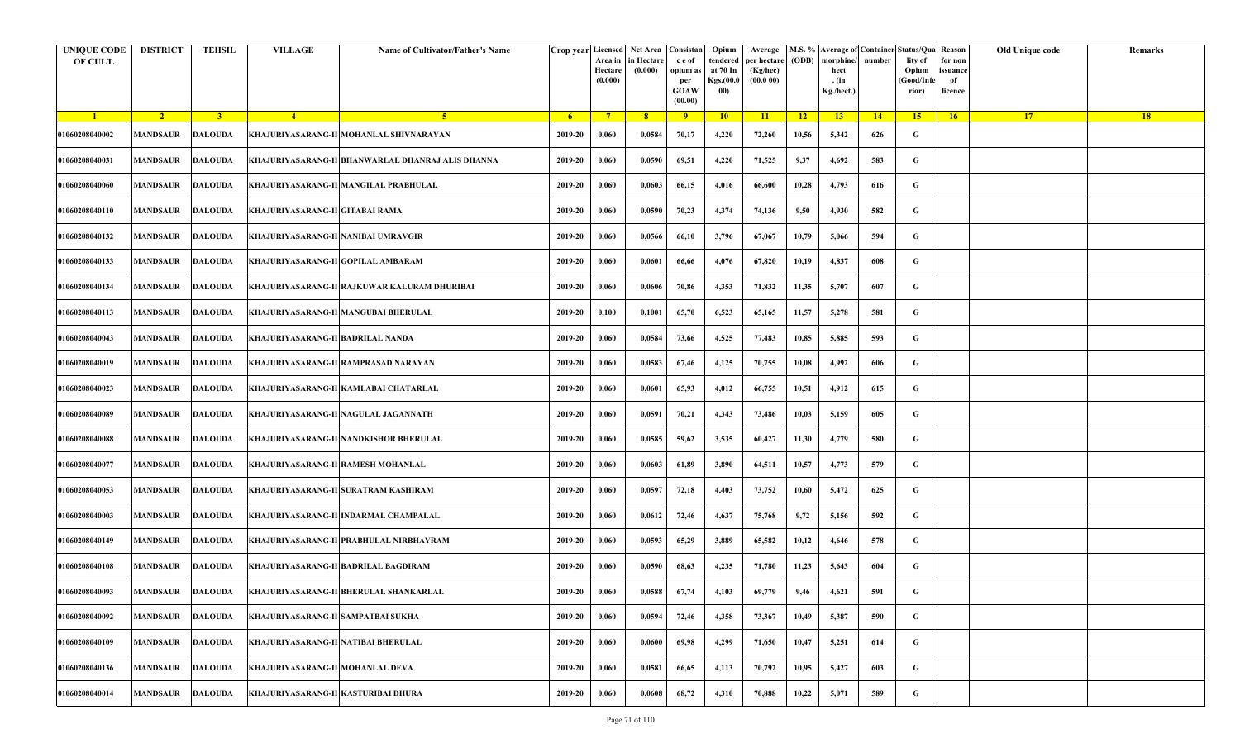| <b>UNIQUE CODE</b><br>OF CULT. | <b>DISTRICT</b> | <b>TEHSIL</b>  | <b>VILLAGE</b>                      | Name of Cultivator/Father's Name                        | Crop year Licensed Net Area Consistan | Area in<br>Hectare<br>(0.000) | in Hectare<br>(0.000) | c e of<br>opium as<br>per<br><b>GOAW</b><br>(00.00) | Opium<br>tendered<br>at 70 In<br>Kgs.(00.0<br>00) | Average<br>per hectare<br>(Kg/hec)<br>(00.000) | (ODB) | M.S. % Average of Container Status/Qua Reason<br>morphine/<br>hect<br>. (in<br>Kg./hect.) | number | lity of<br>Opium<br>(Good/Infe<br>rior) | for non<br>ssuance<br>of<br>licence | Old Unique code | Remarks |
|--------------------------------|-----------------|----------------|-------------------------------------|---------------------------------------------------------|---------------------------------------|-------------------------------|-----------------------|-----------------------------------------------------|---------------------------------------------------|------------------------------------------------|-------|-------------------------------------------------------------------------------------------|--------|-----------------------------------------|-------------------------------------|-----------------|---------|
| $\blacksquare$                 | $\sqrt{2}$      | 3 <sup>1</sup> | $\sqrt{4}$                          | 5 <sup>1</sup>                                          | - 6                                   | $7^{\circ}$                   | 8 <sup>°</sup>        | $\overline{9}$                                      | 10                                                | 11                                             | $-12$ | 13                                                                                        | 14     | 15                                      | 16                                  | <b>17</b>       | 18      |
| 01060208040002                 | <b>MANDSAUR</b> | <b>DALOUDA</b> |                                     | KHAJURIYASARANG-II MOHANLAL SHIVNARAYAN                 | 2019-20                               | 0,060                         | 0,0584                | 70,17                                               | 4,220                                             | 72,260                                         | 10,56 | 5,342                                                                                     | 626    | G                                       |                                     |                 |         |
| 01060208040031                 | MANDSAUR        | <b>DALOUDA</b> |                                     | KHAJURIYASARANG-II BHANWARLAL DHANRAJ ALIS DHANNA       | 2019-20                               | 0,060                         | 0,0590                | 69,51                                               | 4,220                                             | 71,525                                         | 9,37  | 4,692                                                                                     | 583    | G                                       |                                     |                 |         |
| 01060208040060                 | <b>MANDSAUR</b> | <b>DALOUDA</b> |                                     | KHAJURIYASARANG-II MANGILAL PRABHULAL                   | 2019-20                               | 0,060                         | 0,0603                | 66,15                                               | 4,016                                             | 66,600                                         | 10,28 | 4,793                                                                                     | 616    | G                                       |                                     |                 |         |
| 01060208040110                 | MANDSAUR        | <b>DALOUDA</b> | KHAJURIYASARANG-II GITABAI RAMA     |                                                         | 2019-20                               | 0,060                         | 0,0590                | 70,23                                               | 4,374                                             | 74,136                                         | 9,50  | 4,930                                                                                     | 582    | G                                       |                                     |                 |         |
| 01060208040132                 | <b>MANDSAUR</b> | <b>DALOUDA</b> | KHAJURIYASARANG-II NANIBAI UMRAVGIR |                                                         | 2019-20                               | 0,060                         | 0,0566                | 66,10                                               | 3,796                                             | 67,067                                         | 10,79 | 5,066                                                                                     | 594    | G                                       |                                     |                 |         |
| 01060208040133                 | MANDSAUR        | <b>DALOUDA</b> | KHAJURIYASARANG-II GOPILAL AMBARAM  |                                                         | 2019-20                               | 0,060                         | 0,0601                | 66,66                                               | 4,076                                             | 67,820                                         | 10,19 | 4,837                                                                                     | 608    | G                                       |                                     |                 |         |
| 01060208040134                 | MANDSAUR        | <b>DALOUDA</b> |                                     | KHAJURIYASARANG-II RAJKUWAR KALURAM DHURIBAI            | 2019-20                               | 0,060                         | 0,0606                | 70,86                                               | 4,353                                             | 71,832                                         | 11,35 | 5,707                                                                                     | 607    | G                                       |                                     |                 |         |
| 01060208040113                 | <b>MANDSAUR</b> | <b>DALOUDA</b> |                                     | KHAJURIYASARANG-II MANGUBAI BHERULAL                    | 2019-20                               | 0,100                         | 0,1001                | 65,70                                               | 6,523                                             | 65,165                                         | 11,57 | 5,278                                                                                     | 581    | G                                       |                                     |                 |         |
| 01060208040043                 | <b>MANDSAUR</b> | <b>DALOUDA</b> | KHAJURIYASARANG-II BADRILAL NANDA   |                                                         | 2019-20                               | 0,060                         | 0,0584                | 73,66                                               | 4,525                                             | 77,483                                         | 10,85 | 5,885                                                                                     | 593    | G                                       |                                     |                 |         |
| 01060208040019                 | <b>MANDSAUR</b> | <b>DALOUDA</b> |                                     | KHAJURIYASARANG-II RAMPRASAD NARAYAN                    | 2019-20                               | 0,060                         | 0,0583                | 67,46                                               | 4,125                                             | 70,755                                         | 10,08 | 4,992                                                                                     | 606    | G                                       |                                     |                 |         |
| 01060208040023                 | MANDSAUR        | <b>DALOUDA</b> |                                     | KHAJURIYASARANG-II KAMLABAI CHATARLAL                   | 2019-20                               | 0,060                         | 0,0601                | 65,93                                               | 4,012                                             | 66,755                                         | 10,51 | 4,912                                                                                     | 615    | G                                       |                                     |                 |         |
| 01060208040089                 | <b>MANDSAUR</b> | <b>DALOUDA</b> |                                     | KHAJURIYASARANG-II NAGULAL JAGANNATH                    | 2019-20                               | 0,060                         | 0,0591                | 70,21                                               | 4,343                                             | 73,486                                         | 10,03 | 5,159                                                                                     | 605    | G                                       |                                     |                 |         |
| 01060208040088                 | <b>MANDSAUR</b> | <b>DALOUDA</b> |                                     | KHAJURIYASARANG-II NANDKISHOR BHERULAL                  | 2019-20                               | 0,060                         | 0,0585                | 59,62                                               | 3,535                                             | 60,427                                         | 11,30 | 4,779                                                                                     | 580    | G                                       |                                     |                 |         |
| 01060208040077                 | MANDSAUR        | <b>DALOUDA</b> | KHAJURIYASARANG-II RAMESH MOHANLAL  |                                                         | 2019-20                               | 0,060                         | 0,0603                | 61,89                                               | 3,890                                             | 64,511                                         | 10,57 | 4,773                                                                                     | 579    | G                                       |                                     |                 |         |
| 01060208040053                 | MANDSAUR        | DALOUDA        |                                     | KHAJURIYASARANG-II SURATRAM KASHIRAM                    | 2019-20                               | 0,060                         | 0,0597                | 72,18                                               | 4,403                                             | 73,752                                         | 10,60 | 5,472                                                                                     | 625    | G                                       |                                     |                 |         |
| 01060208040003                 | MANDSAUR        | DALOUDA        |                                     | KHAJURIYASARANG-II  INDARMAL CHAMPALAL                  | 2019-20                               | 0,060                         | 0,0612                | 72,46                                               | 4,637                                             | 75,768                                         | 9,72  | 5,156                                                                                     | 592    | G                                       |                                     |                 |         |
| 01060208040149                 | <b>MANDSAUR</b> | <b>DALOUDA</b> |                                     | KHAJURIYASARANG-II PRABHULAL NIRBHAYRAM                 | 2019-20                               | 0,060                         | 0,0593                | 65,29                                               | 3,889                                             | 65,582                                         | 10,12 | 4,646                                                                                     | 578    | G                                       |                                     |                 |         |
| 01060208040108                 | MANDSAUR        | <b>DALOUDA</b> |                                     | KHAJURIYASARANG-II BADRILAL BAGDIRAM                    | 2019-20                               | 0,060                         | 0,0590                | 68,63                                               | 4,235                                             | 71,780                                         | 11,23 | 5,643                                                                                     | 604    | G                                       |                                     |                 |         |
| 01060208040093                 |                 |                |                                     | MANDSAUR DALOUDA KHAJURIYASARANG-II BHERULAL SHANKARLAL | 2019-20                               | 0,060                         | 0,0588                | 67,74                                               | 4,103                                             | 69,779                                         | 9,46  | 4,621                                                                                     | 591    | G                                       |                                     |                 |         |
| 01060208040092                 | <b>MANDSAUR</b> | <b>DALOUDA</b> | KHAJURIYASARANG-II SAMPATBAI SUKHA  |                                                         | 2019-20                               | 0,060                         | 0,0594                | 72,46                                               | 4,358                                             | 73,367                                         | 10,49 | 5,387                                                                                     | 590    | $\mathbf G$                             |                                     |                 |         |
| 01060208040109                 | <b>MANDSAUR</b> | <b>DALOUDA</b> | KHAJURIYASARANG-II NATIBAI BHERULAL |                                                         | 2019-20                               | 0,060                         | 0,0600                | 69,98                                               | 4,299                                             | 71,650                                         | 10,47 | 5,251                                                                                     | 614    | G                                       |                                     |                 |         |
| 01060208040136                 | MANDSAUR        | <b>DALOUDA</b> | KHAJURIYASARANG-II MOHANLAL DEVA    |                                                         | 2019-20                               | 0,060                         | 0,0581                | 66,65                                               | 4,113                                             | 70,792                                         | 10,95 | 5,427                                                                                     | 603    | G                                       |                                     |                 |         |
| 01060208040014                 | MANDSAUR        | <b>DALOUDA</b> | KHAJURIYASARANG-II KASTURIBAI DHURA |                                                         | 2019-20                               | 0,060                         | 0,0608                | 68,72                                               | 4,310                                             | 70,888                                         | 10,22 | 5,071                                                                                     | 589    | G                                       |                                     |                 |         |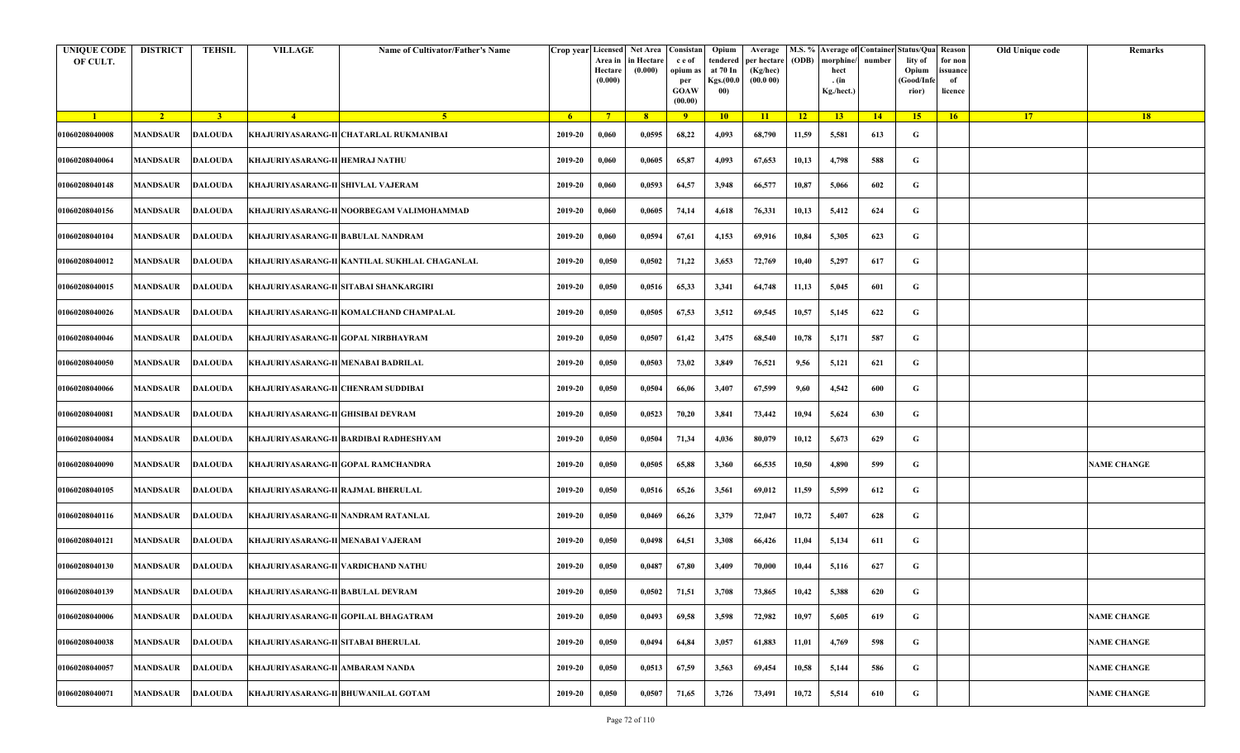| <b>UNIQUE CODE</b><br>OF CULT. | <b>DISTRICT</b> | <b>TEHSIL</b>  | <b>VILLAGE</b>                                     | Name of Cultivator/Father's Name              | Crop year Licensed Net Area Consistan | Area in<br>Hectare<br>(0.000) | in Hectare<br>(0.000) | c e of<br>opium as<br>per<br><b>GOAW</b><br>(00.00) | Opium<br>tendered<br>at 70 In<br>Kgs.(00.0<br>00) | Average<br>per hectare<br>(Kg/hec)<br>(00.000) | (ODB) | M.S. % Average of Container Status/Qua Reason<br>morphine/<br>hect<br>. (in<br>Kg./hect.) | number | lity of<br>Opium<br>(Good/Infe<br>rior) | for non<br>ssuance<br>of<br>licence | Old Unique code | Remarks            |
|--------------------------------|-----------------|----------------|----------------------------------------------------|-----------------------------------------------|---------------------------------------|-------------------------------|-----------------------|-----------------------------------------------------|---------------------------------------------------|------------------------------------------------|-------|-------------------------------------------------------------------------------------------|--------|-----------------------------------------|-------------------------------------|-----------------|--------------------|
| $\blacksquare$                 | $\sqrt{2}$      | 3 <sup>1</sup> | $\sqrt{4}$                                         | 5 <sup>1</sup>                                | - 6 -                                 | $7^{\circ}$                   | 8 <sup>°</sup>        | $\overline{9}$                                      | 10                                                | 11                                             | $-12$ | 13                                                                                        | 14     | 15                                      | 16                                  | <b>17</b>       | 18                 |
| 01060208040008                 | <b>MANDSAUR</b> | <b>DALOUDA</b> |                                                    | KHAJURIYASARANG-II CHATARLAL RUKMANIBAI       | 2019-20                               | 0,060                         | 0,0595                | 68,22                                               | 4,093                                             | 68,790                                         | 11,59 | 5,581                                                                                     | 613    | G                                       |                                     |                 |                    |
| 01060208040064                 | MANDSAUR        | <b>DALOUDA</b> | KHAJURIYASARANG-II HEMRAJ NATHU                    |                                               | 2019-20                               | 0,060                         | 0,0605                | 65,87                                               | 4,093                                             | 67,653                                         | 10,13 | 4,798                                                                                     | 588    | G                                       |                                     |                 |                    |
| 01060208040148                 | <b>MANDSAUR</b> | <b>DALOUDA</b> | KHAJURIYASARANG-II SHIVLAL VAJERAM                 |                                               | 2019-20                               | 0,060                         | 0,0593                | 64,57                                               | 3,948                                             | 66,577                                         | 10,87 | 5,066                                                                                     | 602    | G                                       |                                     |                 |                    |
| 01060208040156                 | MANDSAUR        | <b>DALOUDA</b> |                                                    | KHAJURIYASARANG-II NOORBEGAM VALIMOHAMMAD     | 2019-20                               | 0,060                         | 0,0605                | 74,14                                               | 4,618                                             | 76,331                                         | 10,13 | 5,412                                                                                     | 624    | G                                       |                                     |                 |                    |
| 01060208040104                 | <b>MANDSAUR</b> | <b>DALOUDA</b> | KHAJURIYASARANG-II BABULAL NANDRAM                 |                                               | 2019-20                               | 0,060                         | 0,0594                | 67,61                                               | 4,153                                             | 69,916                                         | 10,84 | 5,305                                                                                     | 623    | G                                       |                                     |                 |                    |
| 01060208040012                 | MANDSAUR        | <b>DALOUDA</b> |                                                    | KHAJURIYASARANG-II KANTILAL SUKHLAL CHAGANLAL | 2019-20                               | 0,050                         | 0,0502                | 71,22                                               | 3,653                                             | 72,769                                         | 10,40 | 5,297                                                                                     | 617    | G                                       |                                     |                 |                    |
| 01060208040015                 | MANDSAUR        | <b>DALOUDA</b> |                                                    | KHAJURIYASARANG-II SITABAI SHANKARGIRI        | 2019-20                               | 0,050                         | 0,0516                | 65,33                                               | 3,341                                             | 64,748                                         | 11,13 | 5,045                                                                                     | 601    | G                                       |                                     |                 |                    |
| 01060208040026                 | <b>MANDSAUR</b> | <b>DALOUDA</b> |                                                    | KHAJURIYASARANG-II KOMALCHAND CHAMPALAL       | 2019-20                               | 0,050                         | 0,0505                | 67,53                                               | 3,512                                             | 69,545                                         | 10,57 | 5,145                                                                                     | 622    | G                                       |                                     |                 |                    |
| 01060208040046                 | <b>MANDSAUR</b> | <b>DALOUDA</b> |                                                    | KHAJURIYASARANG-II GOPAL NIRBHAYRAM           | 2019-20                               | 0,050                         | 0,0507                | 61,42                                               | 3,475                                             | 68,540                                         | 10,78 | 5,171                                                                                     | 587    | G                                       |                                     |                 |                    |
| 01060208040050                 | <b>MANDSAUR</b> | <b>DALOUDA</b> | KHAJURIYASARANG-II MENABAI BADRILAL                |                                               | 2019-20                               | 0,050                         | 0,0503                | 73,02                                               | 3,849                                             | 76,521                                         | 9,56  | 5,121                                                                                     | 621    | G                                       |                                     |                 |                    |
| 01060208040066                 | MANDSAUR        | <b>DALOUDA</b> | KHAJURIYASARANG-II CHENRAM SUDDIBAI                |                                               | 2019-20                               | 0,050                         | 0,0504                | 66,06                                               | 3,407                                             | 67,599                                         | 9,60  | 4,542                                                                                     | 600    | G                                       |                                     |                 |                    |
| 01060208040081                 | <b>MANDSAUR</b> | <b>DALOUDA</b> | KHAJURIYASARANG-II GHISIBAI DEVRAM                 |                                               | 2019-20                               | 0,050                         | 0,0523                | 70,20                                               | 3,841                                             | 73,442                                         | 10,94 | 5,624                                                                                     | 630    | G                                       |                                     |                 |                    |
| 01060208040084                 | <b>MANDSAUR</b> | <b>DALOUDA</b> |                                                    | KHAJURIYASARANG-II BARDIBAI RADHESHYAM        | 2019-20                               | 0,050                         | 0,0504                | 71,34                                               | 4,036                                             | 80,079                                         | 10,12 | 5,673                                                                                     | 629    | G                                       |                                     |                 |                    |
| 01060208040090                 | MANDSAUR        | <b>DALOUDA</b> |                                                    | KHAJURIYASARANG-II GOPAL RAMCHANDRA           | 2019-20                               | 0,050                         | 0,0505                | 65,88                                               | 3,360                                             | 66,535                                         | 10,50 | 4,890                                                                                     | 599    | G                                       |                                     |                 | <b>NAME CHANGE</b> |
| 01060208040105                 | MANDSAUR        | DALOUDA        | KHAJURIYASARANG-II RAJMAL BHERULAL                 |                                               | 2019-20                               | 0,050                         | 0,0516                | 65,26                                               | 3,561                                             | 69,012                                         | 11,59 | 5,599                                                                                     | 612    | G                                       |                                     |                 |                    |
| 01060208040116                 | MANDSAUR        | <b>DALOUDA</b> |                                                    | KHAJURIYASARANG-II NANDRAM RATANLAL           | 2019-20                               | 0,050                         | 0,0469                | 66,26                                               | 3,379                                             | 72,047                                         | 10,72 | 5,407                                                                                     | 628    | G                                       |                                     |                 |                    |
| 01060208040121                 | <b>MANDSAUR</b> | <b>DALOUDA</b> | KHAJURIYASARANG-II MENABAI VAJERAM                 |                                               | 2019-20                               | 0,050                         | 0,0498                | 64,51                                               | 3,308                                             | 66,426                                         | 11,04 | 5,134                                                                                     | 611    | G                                       |                                     |                 |                    |
| 01060208040130                 | MANDSAUR        | <b>DALOUDA</b> |                                                    | KHAJURIYASARANG-II VARDICHAND NATHU           | 2019-20                               | 0,050                         | 0,0487                | 67,80                                               | 3,409                                             | 70,000                                         | 10,44 | 5,116                                                                                     | 627    | G                                       |                                     |                 |                    |
| 01060208040139                 |                 |                | MANDSAUR DALOUDA KHAJURIYASARANG-II BABULAL DEVRAM |                                               | 2019-20                               | 0,050                         | 0,0502                | 71,51                                               | 3,708                                             | 73,865                                         | 10,42 | 5,388                                                                                     | 620    | G                                       |                                     |                 |                    |
| 01060208040006                 | <b>MANDSAUR</b> | <b>DALOUDA</b> |                                                    | KHAJURIYASARANG-II GOPILAL BHAGATRAM          | 2019-20                               | 0,050                         | 0,0493                | 69,58                                               | 3,598                                             | 72,982                                         | 10,97 | 5,605                                                                                     | 619    | $\mathbf G$                             |                                     |                 | <b>NAME CHANGE</b> |
| 01060208040038                 | <b>MANDSAUR</b> | <b>DALOUDA</b> | KHAJURIYASARANG-II SITABAI BHERULAL                |                                               | 2019-20                               | 0,050                         | 0,0494                | 64,84                                               | 3,057                                             | 61,883                                         | 11,01 | 4,769                                                                                     | 598    | G                                       |                                     |                 | <b>NAME CHANGE</b> |
| 01060208040057                 | <b>MANDSAUR</b> | <b>DALOUDA</b> | KHAJURIYASARANG-II AMBARAM NANDA                   |                                               | 2019-20                               | 0,050                         | 0,0513                | 67,59                                               | 3,563                                             | 69,454                                         | 10,58 | 5,144                                                                                     | 586    | G                                       |                                     |                 | <b>NAME CHANGE</b> |
| 01060208040071                 | <b>MANDSAUR</b> | <b>DALOUDA</b> |                                                    | KHAJURIYASARANG-II BHUWANILAL GOTAM           | 2019-20                               | 0,050                         | 0,0507                | 71,65                                               | 3,726                                             | 73,491                                         | 10,72 | 5,514                                                                                     | 610    | G                                       |                                     |                 | <b>NAME CHANGE</b> |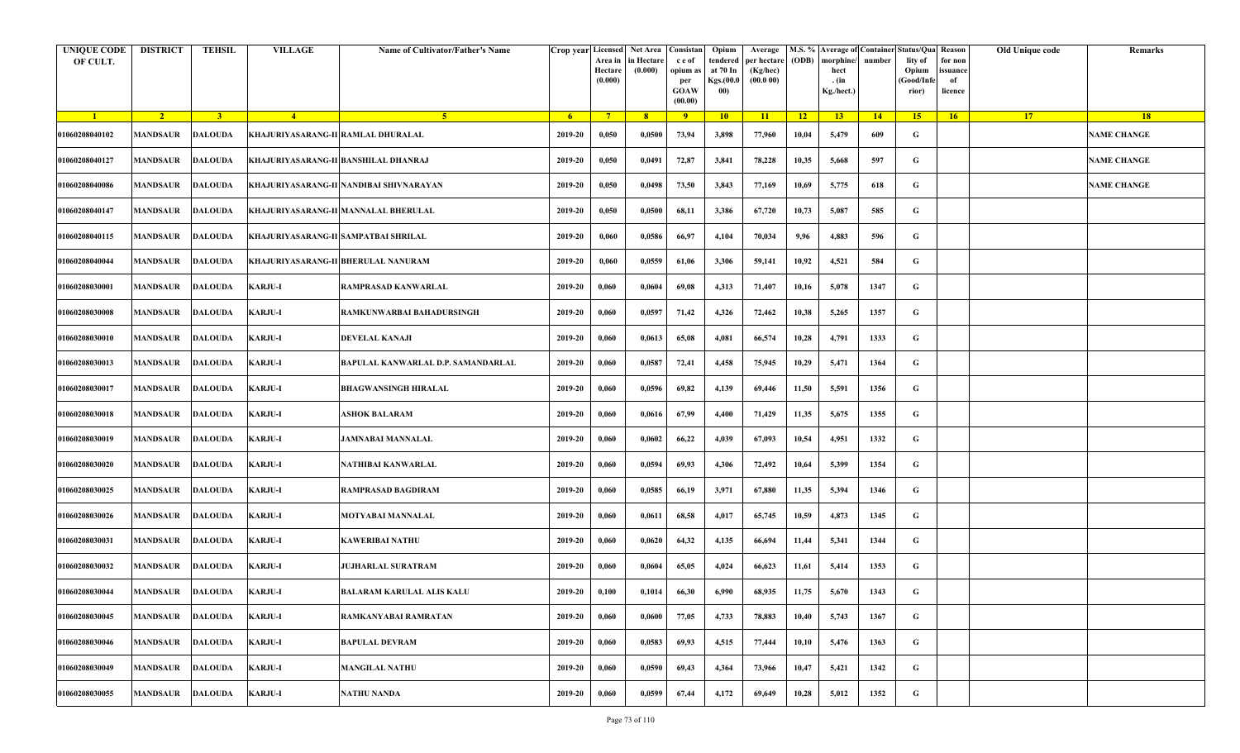| <b>UNIQUE CODE</b><br>OF CULT. | <b>DISTRICT</b>          | <b>TEHSIL</b>  | <b>VILLAGE</b>                     | Name of Cultivator/Father's Name        |         | Crop year Licensed<br>Area in<br>Hectare<br>(0.000) | Net Area   Consistan<br>in Hectare<br>(0.000) | c e of<br>opium as<br>per<br><b>GOAW</b><br>(00.00) | Opium<br>tendered<br>at 70 In<br>Kgs.(00.0<br>00) | Average<br>per hectare<br>(Kg/hec)<br>(00.000) | (ODB) | M.S. % Average of Container Status/Qua Reason<br>morphine/<br>hect<br>. (in<br>Kg./hect.) | number | lity of<br>Opium<br>(Good/Infe<br>rior) | for non<br>ssuance<br>of<br>licence | Old Unique code | Remarks            |
|--------------------------------|--------------------------|----------------|------------------------------------|-----------------------------------------|---------|-----------------------------------------------------|-----------------------------------------------|-----------------------------------------------------|---------------------------------------------------|------------------------------------------------|-------|-------------------------------------------------------------------------------------------|--------|-----------------------------------------|-------------------------------------|-----------------|--------------------|
| $\blacksquare$                 | $\sqrt{2}$               | 3 <sup>1</sup> | $\sqrt{4}$                         | -5.                                     | $-6$    | $7^{\circ}$                                         | 8 <sup>°</sup>                                | $\overline{9}$                                      | 10                                                | 11                                             | $-12$ | 13                                                                                        | 14     | 15                                      | 16                                  | <b>17</b>       | <b>18</b>          |
| 01060208040102                 | <b>MANDSAUR</b>          | <b>DALOUDA</b> | KHAJURIYASARANG-II RAMLAL DHURALAL |                                         | 2019-20 | 0,050                                               | 0,0500                                        | 73,94                                               | 3,898                                             | 77,960                                         | 10,04 | 5,479                                                                                     | 609    | G                                       |                                     |                 | <b>NAME CHANGE</b> |
| 01060208040127                 | <b>MANDSAUR</b>          | <b>DALOUDA</b> |                                    | KHAJURIYASARANG-II BANSHILAL DHANRAJ    | 2019-20 | 0,050                                               | 0,0491                                        | 72,87                                               | 3,841                                             | 78,228                                         | 10,35 | 5,668                                                                                     | 597    | G                                       |                                     |                 | <b>NAME CHANGE</b> |
| 01060208040086                 | <b>MANDSAUR</b>          | <b>DALOUDA</b> |                                    | KHAJURIYASARANG-II NANDIBAI SHIVNARAYAN | 2019-20 | 0,050                                               | 0,0498                                        | 73,50                                               | 3,843                                             | 77,169                                         | 10,69 | 5,775                                                                                     | 618    | G                                       |                                     |                 | <b>NAME CHANGE</b> |
| 01060208040147                 | MANDSAUR                 | <b>DALOUDA</b> |                                    | KHAJURIYASARANG-II MANNALAL BHERULAL    | 2019-20 | 0,050                                               | 0,0500                                        | 68,11                                               | 3,386                                             | 67,720                                         | 10,73 | 5,087                                                                                     | 585    | G                                       |                                     |                 |                    |
| 01060208040115                 | <b>MANDSAUR</b>          | <b>DALOUDA</b> |                                    | KHAJURIYASARANG-II SAMPATBAI SHRILAL    | 2019-20 | 0,060                                               | 0,0586                                        | 66,97                                               | 4,104                                             | 70,034                                         | 9,96  | 4,883                                                                                     | 596    | G                                       |                                     |                 |                    |
| 01060208040044                 | <b>MANDSAUR</b>          | <b>DALOUDA</b> |                                    | KHAJURIYASARANG-II BHERULAL NANURAM     | 2019-20 | 0,060                                               | 0,0559                                        | 61,06                                               | 3,306                                             | 59,141                                         | 10,92 | 4,521                                                                                     | 584    | G                                       |                                     |                 |                    |
| 01060208030001                 | MANDSAUR                 | DALOUDA        | <b>KARJU-I</b>                     | RAMPRASAD KANWARLAL                     | 2019-20 | 0,060                                               | 0,0604                                        | 69,08                                               | 4,313                                             | 71,407                                         | 10,16 | 5,078                                                                                     | 1347   | G                                       |                                     |                 |                    |
| 01060208030008                 | <b>MANDSAUR</b>          | <b>DALOUDA</b> | <b>KARJU-I</b>                     | RAMKUNWARBAI BAHADURSINGH               | 2019-20 | 0,060                                               | 0,0597                                        | 71,42                                               | 4,326                                             | 72,462                                         | 10,38 | 5,265                                                                                     | 1357   | G                                       |                                     |                 |                    |
| 01060208030010                 | <b>MANDSAUR</b>          | <b>DALOUDA</b> | <b>KARJU-I</b>                     | <b>DEVELAL KANAJI</b>                   | 2019-20 | 0,060                                               | 0,0613                                        | 65,08                                               | 4,081                                             | 66,574                                         | 10,28 | 4,791                                                                                     | 1333   | G                                       |                                     |                 |                    |
| 01060208030013                 | <b>MANDSAUR</b>          | <b>DALOUDA</b> | <b>KARJU-I</b>                     | BAPULAL KANWARLAL D.P. SAMANDARLAL      | 2019-20 | 0,060                                               | 0,0587                                        | 72,41                                               | 4,458                                             | 75,945                                         | 10,29 | 5,471                                                                                     | 1364   | G                                       |                                     |                 |                    |
| 01060208030017                 | <b>MANDSAUR</b>          | <b>DALOUDA</b> | <b>KARJU-I</b>                     | <b>BHAGWANSINGH HIRALAL</b>             | 2019-20 | 0,060                                               | 0,0596                                        | 69,82                                               | 4,139                                             | 69,446                                         | 11,50 | 5,591                                                                                     | 1356   | G                                       |                                     |                 |                    |
| 01060208030018                 | <b>MANDSAUR</b>          | <b>DALOUDA</b> | <b>KARJU-I</b>                     | ASHOK BALARAM                           | 2019-20 | 0,060                                               | 0,0616                                        | 67,99                                               | 4,400                                             | 71,429                                         | 11,35 | 5,675                                                                                     | 1355   | G                                       |                                     |                 |                    |
| 01060208030019                 | <b>MANDSAUR</b>          | <b>DALOUDA</b> | <b>KARJU-I</b>                     | <b>JAMNABAI MANNALAL</b>                | 2019-20 | 0,060                                               | 0,0602                                        | 66,22                                               | 4,039                                             | 67,093                                         | 10,54 | 4,951                                                                                     | 1332   | G                                       |                                     |                 |                    |
| 01060208030020                 | <b>MANDSAUR</b>          | <b>DALOUDA</b> | <b>KARJU-I</b>                     | NATHIBAI KANWARLAL                      | 2019-20 | 0,060                                               | 0,0594                                        | 69,93                                               | 4,306                                             | 72,492                                         | 10,64 | 5,399                                                                                     | 1354   | G                                       |                                     |                 |                    |
| 01060208030025                 | <b>MANDSAUR</b>          | DALOUDA        | <b>KARJU-I</b>                     | <b>RAMPRASAD BAGDIRAM</b>               | 2019-20 | 0,060                                               | 0,0585                                        | 66,19                                               | 3,971                                             | 67,880                                         | 11,35 | 5,394                                                                                     | 1346   | G                                       |                                     |                 |                    |
| 01060208030026                 | MANDSAUR                 | <b>DALOUDA</b> | <b>KARJU-I</b>                     | MOTYABAI MANNALAL                       | 2019-20 | 0,060                                               | 0,0611                                        | 68,58                                               | 4,017                                             | 65,745                                         | 10,59 | 4,873                                                                                     | 1345   | G                                       |                                     |                 |                    |
| 01060208030031                 | <b>MANDSAUR</b>          | <b>DALOUDA</b> | <b>KARJU-I</b>                     | <b>KAWERIBAI NATHU</b>                  | 2019-20 | 0,060                                               | 0,0620                                        | 64,32                                               | 4,135                                             | 66,694                                         | 11,44 | 5,341                                                                                     | 1344   | G                                       |                                     |                 |                    |
| 01060208030032                 | MANDSAUR                 | <b>DALOUDA</b> | <b>KARJU-I</b>                     | JUJHARLAL SURATRAM                      | 2019-20 | 0,060                                               | 0,0604                                        | 65,05                                               | 4,024                                             | 66,623                                         | 11,61 | 5,414                                                                                     | 1353   | G                                       |                                     |                 |                    |
| 01060208030044                 | MANDSAUR DALOUDA KARJU-I |                |                                    | <b>BALARAM KARULAL ALIS KALU</b>        | 2019-20 | 0,100                                               | 0,1014                                        | 66,30                                               | 6,990                                             | 68,935                                         | 11,75 | 5,670                                                                                     | 1343   | G                                       |                                     |                 |                    |
| 01060208030045                 | <b>MANDSAUR</b>          | <b>DALOUDA</b> | <b>KARJU-I</b>                     | RAMKANYABAI RAMRATAN                    | 2019-20 | 0,060                                               | 0,0600                                        | 77,05                                               | 4,733                                             | 78,883                                         | 10,40 | 5,743                                                                                     | 1367   | $\mathbf G$                             |                                     |                 |                    |
| 01060208030046                 | <b>MANDSAUR</b>          | <b>DALOUDA</b> | <b>KARJU-I</b>                     | <b>BAPULAL DEVRAM</b>                   | 2019-20 | 0,060                                               | 0,0583                                        | 69,93                                               | 4,515                                             | 77,444                                         | 10,10 | 5,476                                                                                     | 1363   | G                                       |                                     |                 |                    |
| 01060208030049                 | MANDSAUR                 | <b>DALOUDA</b> | <b>KARJU-I</b>                     | <b>MANGILAL NATHU</b>                   | 2019-20 | 0,060                                               | 0,0590                                        | 69,43                                               | 4,364                                             | 73,966                                         | 10,47 | 5,421                                                                                     | 1342   | G                                       |                                     |                 |                    |
| 01060208030055                 | MANDSAUR                 | <b>DALOUDA</b> | <b>KARJU-I</b>                     | <b>NATHU NANDA</b>                      | 2019-20 | 0,060                                               | 0,0599                                        | 67,44                                               | 4,172                                             | 69,649                                         | 10,28 | 5,012                                                                                     | 1352   | G                                       |                                     |                 |                    |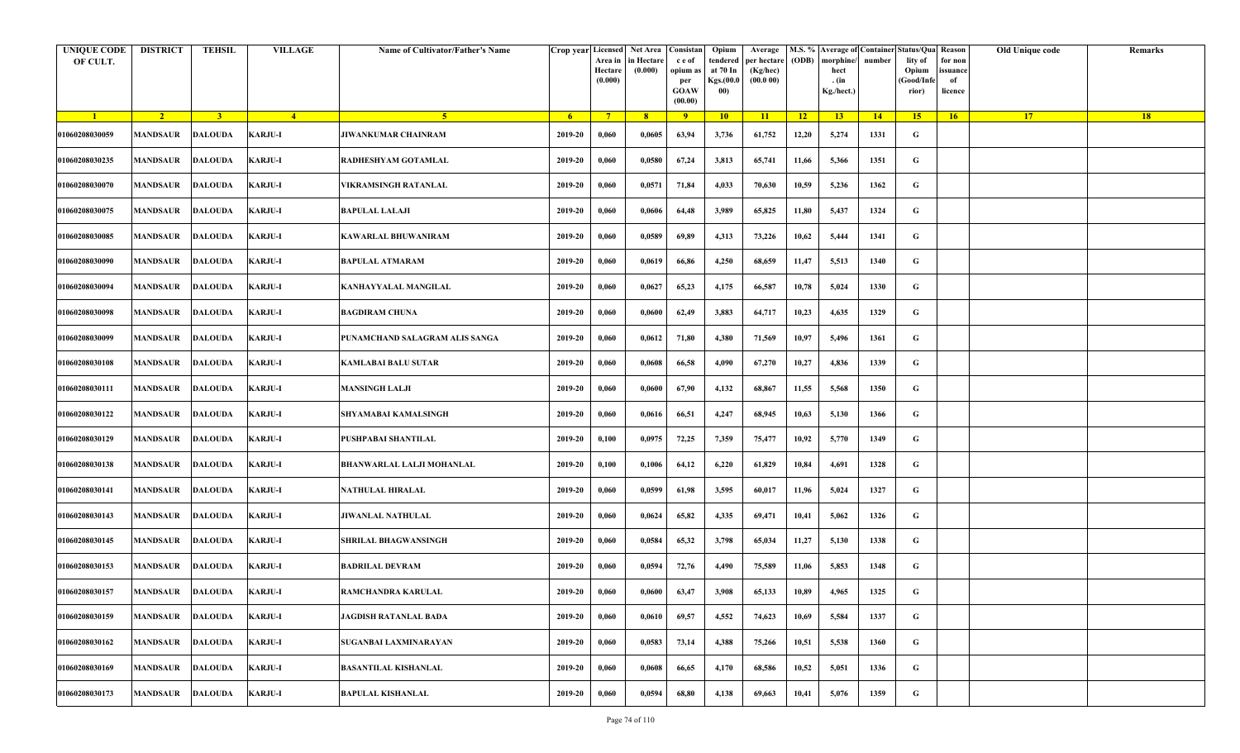| <b>UNIQUE CODE</b><br>OF CULT. | <b>DISTRICT</b>         | <b>TEHSIL</b>  | <b>VILLAGE</b> | Name of Cultivator/Father's Name | Crop year Licensed | Area in<br>Hectare<br>(0.000) | Net Area   Consistan<br>in Hectare<br>(0.000) | c e of<br>opium as<br>per<br><b>GOAW</b><br>(00.00) | Opium<br>tendered<br>at 70 In<br>Kgs.(00.0<br>00) | Average<br>per hectare<br>(Kg/hec)<br>(00.000) | (ODB) | M.S. % Average of Container Status/Qua Reason<br>morphine/<br>hect<br>. (in<br>Kg./hect.) | number | lity of<br>Opium<br>(Good/Infe<br>rior) | for non<br>ssuance<br>of<br>licence | Old Unique code | Remarks   |
|--------------------------------|-------------------------|----------------|----------------|----------------------------------|--------------------|-------------------------------|-----------------------------------------------|-----------------------------------------------------|---------------------------------------------------|------------------------------------------------|-------|-------------------------------------------------------------------------------------------|--------|-----------------------------------------|-------------------------------------|-----------------|-----------|
| $\blacksquare$                 | $\sqrt{2}$              | 3 <sup>1</sup> | $\sqrt{4}$     | $\sqrt{5}$                       | - 6                | $7^{\circ}$                   | 8 <sup>°</sup>                                | $\overline{9}$                                      | 10                                                | 11                                             | $-12$ | 13                                                                                        | 14     | 15                                      | 16                                  | <b>17</b>       | <b>18</b> |
| 01060208030059                 | <b>MANDSAUR</b>         | <b>DALOUDA</b> | <b>KARJU-I</b> | <b>JIWANKUMAR CHAINRAM</b>       | 2019-20            | 0,060                         | 0,0605                                        | 63,94                                               | 3,736                                             | 61,752                                         | 12,20 | 5,274                                                                                     | 1331   | G                                       |                                     |                 |           |
| 01060208030235                 | MANDSAUR                | <b>DALOUDA</b> | <b>KARJU-I</b> | RADHESHYAM GOTAMLAL              | 2019-20            | 0,060                         | 0,0580                                        | 67,24                                               | 3,813                                             | 65,741                                         | 11,66 | 5,366                                                                                     | 1351   | G                                       |                                     |                 |           |
| 01060208030070                 | <b>MANDSAUR</b>         | DALOUDA        | KARJU-I        | VIKRAMSINGH RATANLAL             | 2019-20            | 0,060                         | 0,0571                                        | 71,84                                               | 4,033                                             | 70,630                                         | 10,59 | 5,236                                                                                     | 1362   | G                                       |                                     |                 |           |
| 01060208030075                 | MANDSAUR                | <b>DALOUDA</b> | <b>KARJU-I</b> | <b>BAPULAL LALAJI</b>            | 2019-20            | 0,060                         | 0,0606                                        | 64,48                                               | 3,989                                             | 65,825                                         | 11,80 | 5,437                                                                                     | 1324   | G                                       |                                     |                 |           |
| 01060208030085                 | MANDSAUR                | <b>DALOUDA</b> | <b>KARJU-I</b> | KAWARLAL BHUWANIRAM              | 2019-20            | 0,060                         | 0,0589                                        | 69,89                                               | 4,313                                             | 73,226                                         | 10,62 | 5,444                                                                                     | 1341   | G                                       |                                     |                 |           |
| 01060208030090                 | <b>MANDSAUR</b>         | <b>DALOUDA</b> | <b>KARJU-I</b> | <b>BAPULAL ATMARAM</b>           | 2019-20            | 0,060                         | 0,0619                                        | 66,86                                               | 4,250                                             | 68,659                                         | 11,47 | 5,513                                                                                     | 1340   | G                                       |                                     |                 |           |
| 01060208030094                 | MANDSAUR                | <b>DALOUDA</b> | <b>KARJU-I</b> | KANHAYYALAL MANGILAL             | 2019-20            | 0,060                         | 0,0627                                        | 65,23                                               | 4,175                                             | 66,587                                         | 10,78 | 5,024                                                                                     | 1330   | G                                       |                                     |                 |           |
| 01060208030098                 | MANDSAUR                | <b>DALOUDA</b> | <b>KARJU-I</b> | BAGDIRAM CHUNA                   | 2019-20            | 0,060                         | 0,0600                                        | 62,49                                               | 3,883                                             | 64,717                                         | 10,23 | 4,635                                                                                     | 1329   | G                                       |                                     |                 |           |
| 01060208030099                 | MANDSAUR                | <b>DALOUDA</b> | KARJU-I        | PUNAMCHAND SALAGRAM ALIS SANGA   | 2019-20            | 0,060                         | 0,0612                                        | 71,80                                               | 4,380                                             | 71,569                                         | 10,97 | 5,496                                                                                     | 1361   | G                                       |                                     |                 |           |
| 01060208030108                 | <b>MANDSAUR</b>         | <b>DALOUDA</b> | <b>KARJU-I</b> | <b>KAMLABAI BALU SUTAR</b>       | 2019-20            | 0,060                         | 0,0608                                        | 66,58                                               | 4,090                                             | 67,270                                         | 10,27 | 4,836                                                                                     | 1339   | G                                       |                                     |                 |           |
| 01060208030111                 | MANDSAUR                | <b>DALOUDA</b> | <b>KARJU-I</b> | <b>MANSINGH LALJI</b>            | 2019-20            | 0,060                         | 0,0600                                        | 67,90                                               | 4,132                                             | 68,867                                         | 11,55 | 5,568                                                                                     | 1350   | G                                       |                                     |                 |           |
| 01060208030122                 | <b>MANDSAUR</b>         | <b>DALOUDA</b> | KARJU-I        | SHYAMABAI KAMALSINGH             | 2019-20            | 0,060                         | 0,0616                                        | 66,51                                               | 4,247                                             | 68,945                                         | 10,63 | 5,130                                                                                     | 1366   | G                                       |                                     |                 |           |
| 01060208030129                 | MANDSAUR                | <b>DALOUDA</b> | <b>KARJU-I</b> | PUSHPABAI SHANTILAL              | 2019-20            | 0,100                         | 0,0975                                        | 72,25                                               | 7,359                                             | 75,477                                         | 10,92 | 5,770                                                                                     | 1349   | G                                       |                                     |                 |           |
| 01060208030138                 | MANDSAUR                | <b>DALOUDA</b> | <b>KARJU-I</b> | <b>BHANWARLAL LALJI MOHANLAL</b> | 2019-20            | 0,100                         | 0,1006                                        | 64,12                                               | 6,220                                             | 61,829                                         | 10,84 | 4,691                                                                                     | 1328   | G                                       |                                     |                 |           |
| 01060208030141                 | <b>MANDSAUR</b>         | <b>DALOUDA</b> | <b>KARJU-I</b> | NATHULAL HIRALAL                 | 2019-20            | 0,060                         | 0,0599                                        | 61,98                                               | 3,595                                             | 60,017                                         | 11,96 | 5,024                                                                                     | 1327   | G                                       |                                     |                 |           |
| 01060208030143                 | MANDSAUR                | <b>DALOUDA</b> | <b>KARJU-I</b> | JIWANLAL NATHULAL                | 2019-20            | 0,060                         | 0,0624                                        | 65,82                                               | 4,335                                             | 69,471                                         | 10,41 | 5,062                                                                                     | 1326   | G                                       |                                     |                 |           |
| 01060208030145                 | MANDSAUR                | <b>DALOUDA</b> | <b>KARJU-I</b> | SHRILAL BHAGWANSINGH             | 2019-20            | 0,060                         | 0,0584                                        | 65,32                                               | 3,798                                             | 65,034                                         | 11,27 | 5,130                                                                                     | 1338   | G                                       |                                     |                 |           |
| 01060208030153                 | MANDSAUR                | <b>DALOUDA</b> | <b>KARJU-I</b> | <b>BADRILAL DEVRAM</b>           | 2019-20            | 0,060                         | 0,0594                                        | 72,76                                               | 4,490                                             | 75,589                                         | 11,06 | 5,853                                                                                     | 1348   | G                                       |                                     |                 |           |
| 01060208030157                 | <b>MANDSAUR DALOUDA</b> |                | <b>KARJU-I</b> | RAMCHANDRA KARULAL               | 2019-20            | 0,060                         | 0,0600                                        | 63,47                                               | 3,908                                             | 65,133                                         | 10,89 | 4,965                                                                                     | 1325   | G                                       |                                     |                 |           |
| 01060208030159                 | <b>MANDSAUR</b>         | <b>DALOUDA</b> | KARJU-I        | <b>JAGDISH RATANLAL BADA</b>     | 2019-20            | 0,060                         | 0,0610                                        | 69,57                                               | 4,552                                             | 74,623                                         | 10,69 | 5,584                                                                                     | 1337   | $\mathbf G$                             |                                     |                 |           |
| 01060208030162                 | <b>MANDSAUR</b>         | <b>DALOUDA</b> | KARJU-I        | SUGANBAI LAXMINARAYAN            | 2019-20            | 0,060                         | 0,0583                                        | 73,14                                               | 4,388                                             | 75,266                                         | 10,51 | 5,538                                                                                     | 1360   | $\mathbf G$                             |                                     |                 |           |
| 01060208030169                 | <b>MANDSAUR</b>         | <b>DALOUDA</b> | <b>KARJU-I</b> | <b>BASANTILAL KISHANLAL</b>      | 2019-20            | 0,060                         | 0,0608                                        | 66,65                                               | 4,170                                             | 68,586                                         | 10,52 | 5,051                                                                                     | 1336   | G                                       |                                     |                 |           |
| 01060208030173                 | <b>MANDSAUR</b>         | <b>DALOUDA</b> | <b>KARJU-I</b> | <b>BAPULAL KISHANLAL</b>         | 2019-20            | 0,060                         | 0,0594                                        | 68,80                                               | 4,138                                             | 69,663                                         | 10,41 | 5,076                                                                                     | 1359   | G                                       |                                     |                 |           |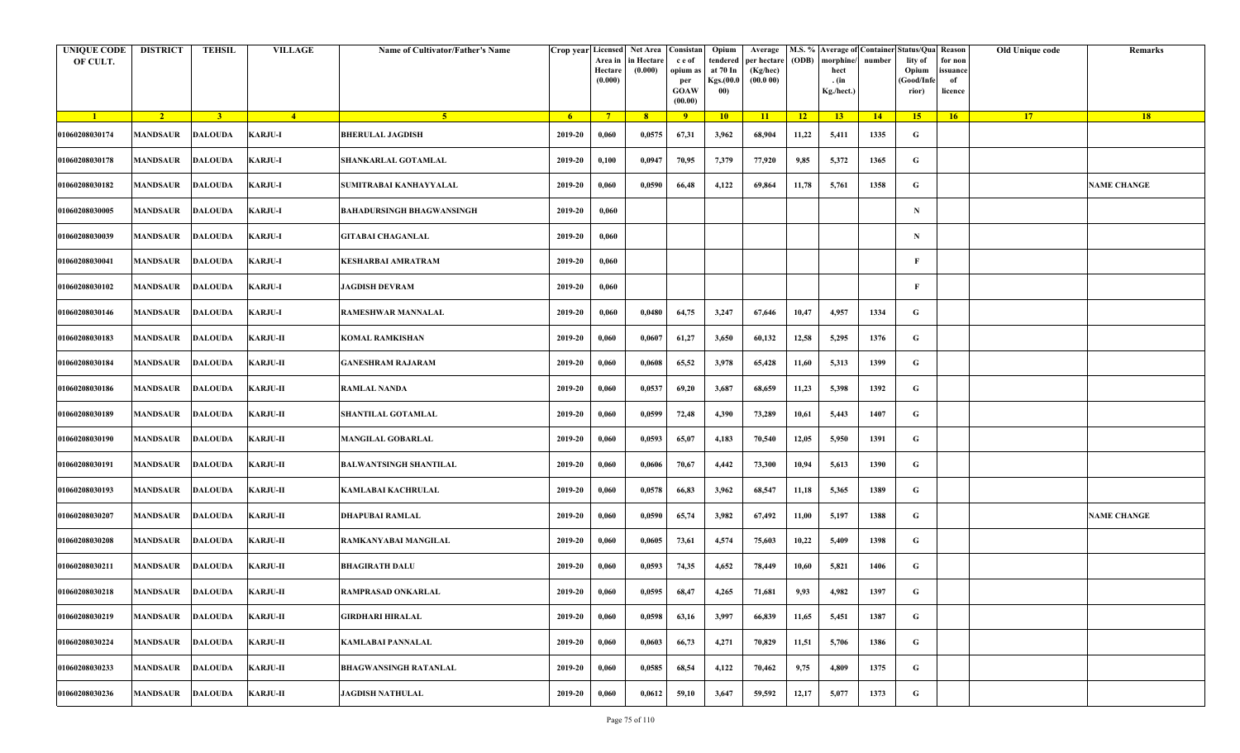| <b>UNIQUE CODE</b><br>OF CULT. | <b>DISTRICT</b>         | TEHSIL         | <b>VILLAGE</b>  | Name of Cultivator/Father's Name | Crop year Licensed | Area in<br>Hectare<br>(0.000) | Net Area   Consistan<br>n Hectare<br>(0.000) | c e of<br>opium as<br>per<br><b>GOAW</b><br>(00.00) | Opium<br>tendered<br>at 70 In<br>Kgs.(00.0<br>00) | Average<br>per hectare<br>(Kg/hec)<br>(00.000) | (ODB) | M.S. % Average of Container Status/Qua Reason<br>morphine/<br>hect<br>. (in<br>Kg./hect.) | number      | lity of<br>Opium<br>(Good/Info<br>rior) | for non<br>ssuance<br>of<br>licence | Old Unique code | Remarks            |
|--------------------------------|-------------------------|----------------|-----------------|----------------------------------|--------------------|-------------------------------|----------------------------------------------|-----------------------------------------------------|---------------------------------------------------|------------------------------------------------|-------|-------------------------------------------------------------------------------------------|-------------|-----------------------------------------|-------------------------------------|-----------------|--------------------|
| $\blacksquare$                 | $\sqrt{2}$              | $\overline{3}$ | $-4$            | 5 <sup>1</sup>                   | 6 <sup>1</sup>     | $7^{\circ}$                   | 8 <sup>°</sup>                               | 9                                                   | 10                                                | 11                                             | 12    | 13 <sup>7</sup>                                                                           | $\sqrt{14}$ | 15                                      | 16                                  | 17 <sup>2</sup> | 18                 |
| 01060208030174                 | MANDSAUR                | <b>DALOUDA</b> | KARJU-I         | <b>BHERULAL JAGDISH</b>          | 2019-20            | 0,060                         | 0,0575                                       | 67,31                                               | 3,962                                             | 68,904                                         | 11,22 | 5,411                                                                                     | 1335        | G                                       |                                     |                 |                    |
| 01060208030178                 | MANDSAUR                | <b>DALOUDA</b> | <b>KARJU-I</b>  | SHANKARLAL GOTAMLAL              | 2019-20            | 0,100                         | 0,0947                                       | 70,95                                               | 7,379                                             | 77,920                                         | 9,85  | 5,372                                                                                     | 1365        | G                                       |                                     |                 |                    |
| 01060208030182                 | MANDSAUR                | <b>DALOUDA</b> | <b>KARJU-I</b>  | SUMITRABAI KANHAYYALAL           | 2019-20            | 0,060                         | 0,0590                                       | 66,48                                               | 4,122                                             | 69,864                                         | 11,78 | 5,761                                                                                     | 1358        | G                                       |                                     |                 | <b>NAME CHANGE</b> |
| 01060208030005                 | MANDSAUR                | <b>DALOUDA</b> | <b>KARJU-I</b>  | <b>BAHADURSINGH BHAGWANSINGH</b> | 2019-20            | 0,060                         |                                              |                                                     |                                                   |                                                |       |                                                                                           |             | $\mathbf N$                             |                                     |                 |                    |
| 01060208030039                 | <b>MANDSAUR</b>         | <b>DALOUDA</b> | <b>KARJU-I</b>  | <b>GITABAI CHAGANLAL</b>         | 2019-20            | 0,060                         |                                              |                                                     |                                                   |                                                |       |                                                                                           |             | N                                       |                                     |                 |                    |
| 01060208030041                 | <b>MANDSAUR</b>         | <b>DALOUDA</b> | <b>KARJU-I</b>  | KESHARBAI AMRATRAM               | 2019-20            | 0,060                         |                                              |                                                     |                                                   |                                                |       |                                                                                           |             | F                                       |                                     |                 |                    |
| 01060208030102                 | MANDSAUR                | <b>DALOUDA</b> | <b>KARJU-I</b>  | JAGDISH DEVRAM                   | 2019-20            | 0,060                         |                                              |                                                     |                                                   |                                                |       |                                                                                           |             | F                                       |                                     |                 |                    |
| 01060208030146                 | MANDSAUR                | <b>DALOUDA</b> | <b>KARJU-I</b>  | RAMESHWAR MANNALAL               | 2019-20            | 0,060                         | 0,0480                                       | 64,75                                               | 3,247                                             | 67,646                                         | 10,47 | 4,957                                                                                     | 1334        | G                                       |                                     |                 |                    |
| 01060208030183                 | MANDSAUR                | <b>DALOUDA</b> | <b>KARJU-II</b> | KOMAL RAMKISHAN                  | 2019-20            | 0,060                         | 0,0607                                       | 61,27                                               | 3,650                                             | 60,132                                         | 12,58 | 5,295                                                                                     | 1376        | G                                       |                                     |                 |                    |
| 01060208030184                 | MANDSAUR                | <b>DALOUDA</b> | <b>KARJU-II</b> | <b>GANESHRAM RAJARAM</b>         | 2019-20            | 0,060                         | 0,0608                                       | 65,52                                               | 3,978                                             | 65,428                                         | 11,60 | 5,313                                                                                     | 1399        | G                                       |                                     |                 |                    |
| 01060208030186                 | MANDSAUR                | <b>DALOUDA</b> | <b>KARJU-II</b> | <b>RAMLAL NANDA</b>              | 2019-20            | 0,060                         | 0,0537                                       | 69,20                                               | 3,687                                             | 68,659                                         | 11,23 | 5,398                                                                                     | 1392        | G                                       |                                     |                 |                    |
| 01060208030189                 | MANDSAUR                | <b>DALOUDA</b> | <b>KARJU-II</b> | SHANTILAL GOTAMLAL               | 2019-20            | 0,060                         | 0,0599                                       | 72,48                                               | 4,390                                             | 73,289                                         | 10,61 | 5,443                                                                                     | 1407        | G                                       |                                     |                 |                    |
| 01060208030190                 | MANDSAUR                | <b>DALOUDA</b> | <b>KARJU-II</b> | <b>MANGILAL GOBARLAL</b>         | 2019-20            | 0,060                         | 0,0593                                       | 65,07                                               | 4,183                                             | 70,540                                         | 12,05 | 5,950                                                                                     | 1391        | G                                       |                                     |                 |                    |
| 01060208030191                 | <b>MANDSAUR</b>         | <b>DALOUDA</b> | <b>KARJU-II</b> | <b>BALWANTSINGH SHANTILAL</b>    | 2019-20            | 0,060                         | 0,0606                                       | 70,67                                               | 4,442                                             | 73,300                                         | 10,94 | 5,613                                                                                     | 1390        | G                                       |                                     |                 |                    |
| 01060208030193                 | <b>MANDSAUR</b>         | <b>DALOUDA</b> | <b>KARJU-II</b> | KAMLABAI KACHRULAL               | 2019-20            | 0,060                         | 0,0578                                       | 66,83                                               | 3,962                                             | 68,547                                         | 11,18 | 5,365                                                                                     | 1389        | G                                       |                                     |                 |                    |
| 01060208030207                 | MANDSAUR                | <b>DALOUDA</b> | <b>KARJU-II</b> | DHAPUBAI RAMLAL                  | 2019-20            | 0,060                         | 0,0590                                       | 65,74                                               | 3,982                                             | 67,492                                         | 11,00 | 5,197                                                                                     | 1388        | G                                       |                                     |                 | <b>NAME CHANGE</b> |
| 01060208030208                 | MANDSAUR                | <b>DALOUDA</b> | <b>KARJU-II</b> | RAMKANYABAI MANGILAL             | 2019-20            | 0,060                         | 0,0605                                       | 73,61                                               | 4,574                                             | 75,603                                         | 10,22 | 5,409                                                                                     | 1398        | G                                       |                                     |                 |                    |
| 01060208030211                 | MANDSAUR                | <b>DALOUDA</b> | <b>KARJU-II</b> | BHAGIRATH DALU                   | 2019-20            | 0,060                         | 0,0593                                       | 74,35                                               | 4,652                                             | 78,449                                         | 10,60 | 5,821                                                                                     | 1406        | G                                       |                                     |                 |                    |
| 01060208030218                 | <b>MANDSAUR DALOUDA</b> |                | <b>KARJU-II</b> | RAMPRASAD ONKARLAL               | 2019-20            | 0,060                         | 0,0595                                       | 68,47                                               | 4,265                                             | 71,681                                         | 9,93  | 4,982                                                                                     | 1397        | G                                       |                                     |                 |                    |
| 01060208030219                 | MANDSAUR                | <b>DALOUDA</b> | <b>KARJU-II</b> | GIRDHARI HIRALAL                 | 2019-20            | 0,060                         | 0,0598                                       | 63,16                                               | 3,997                                             | 66,839                                         | 11,65 | 5,451                                                                                     | 1387        | $\mathbf G$                             |                                     |                 |                    |
| 01060208030224                 | MANDSAUR                | <b>DALOUDA</b> | KARJU-II        | KAMLABAI PANNALAL                | 2019-20            | 0,060                         | 0,0603                                       | 66,73                                               | 4,271                                             | 70,829                                         | 11,51 | 5,706                                                                                     | 1386        | $\mathbf G$                             |                                     |                 |                    |
| 01060208030233                 | <b>MANDSAUR</b>         | <b>DALOUDA</b> | <b>KARJU-II</b> | <b>BHAGWANSINGH RATANLAL</b>     | 2019-20            | 0,060                         | 0,0585                                       | 68,54                                               | 4,122                                             | 70,462                                         | 9,75  | 4,809                                                                                     | 1375        | G                                       |                                     |                 |                    |
| 01060208030236                 | MANDSAUR                | <b>DALOUDA</b> | <b>KARJU-II</b> | <b>JAGDISH NATHULAL</b>          | 2019-20            | 0,060                         | 0,0612                                       | 59,10                                               | 3,647                                             | 59,592                                         | 12,17 | 5,077                                                                                     | 1373        | G                                       |                                     |                 |                    |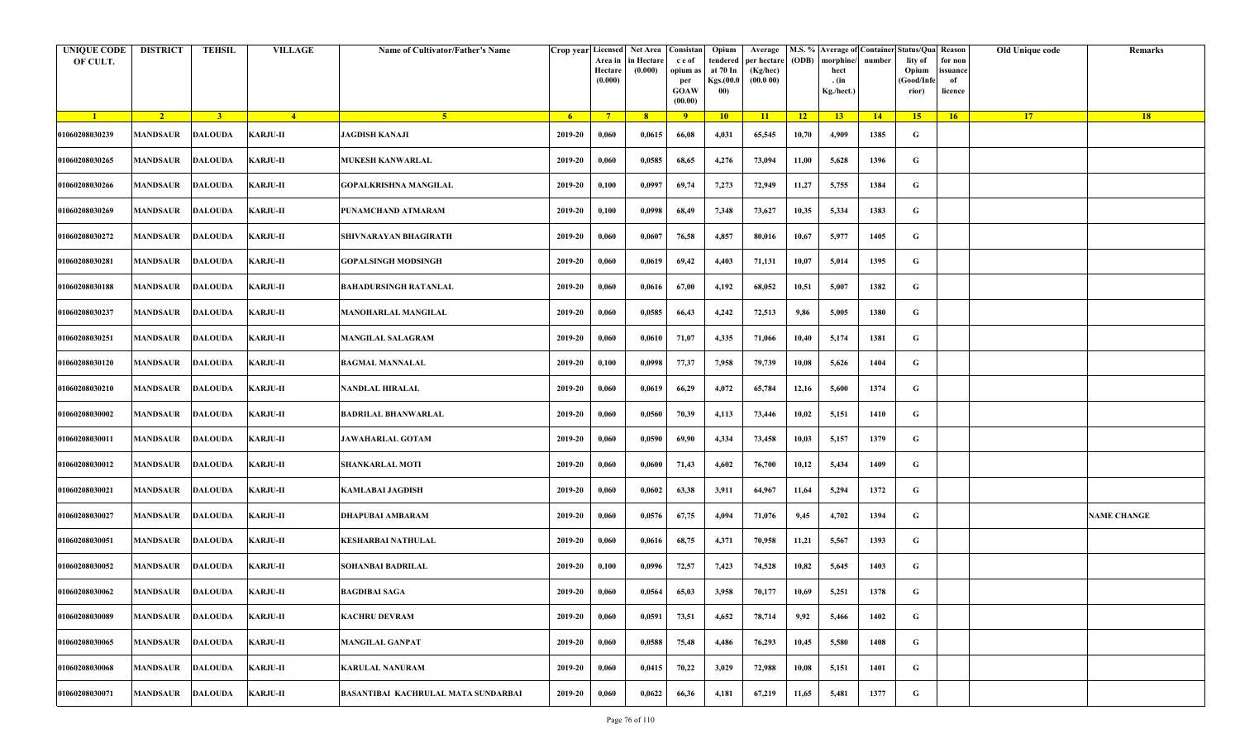| <b>UNIQUE CODE</b><br>OF CULT. | <b>DISTRICT</b>         | TEHSIL         | <b>VILLAGE</b>  | Name of Cultivator/Father's Name           | Crop year Licensed | Area in<br>Hectare<br>(0.000) | Net Area   Consistan<br>n Hectare<br>(0.000) | c e of<br>opium as<br>per<br><b>GOAW</b><br>(00.00) | Opium<br>tendered<br>at 70 In<br>Kgs.(00.0<br>00) | Average<br>per hectare<br>(Kg/hec)<br>(00.000) | (ODB) | M.S. % Average of Container Status/Qua Reason<br>morphine/<br>hect<br>. (in<br>Kg./hect.) | number      | lity of<br>Opium<br>(Good/Info<br>rior) | for non<br>ssuance<br>of<br>licence | Old Unique code | Remarks            |
|--------------------------------|-------------------------|----------------|-----------------|--------------------------------------------|--------------------|-------------------------------|----------------------------------------------|-----------------------------------------------------|---------------------------------------------------|------------------------------------------------|-------|-------------------------------------------------------------------------------------------|-------------|-----------------------------------------|-------------------------------------|-----------------|--------------------|
| $\blacksquare$                 | $\sqrt{2}$              | $\overline{3}$ | $-4$            | 5 <sup>1</sup>                             | 6 <sup>1</sup>     | $7^{\circ}$                   | 8 <sup>°</sup>                               | 9                                                   | 10                                                | 11                                             | 12    | 13 <sup>7</sup>                                                                           | $\sqrt{14}$ | 15                                      | 16                                  | 17 <sup>2</sup> | 18                 |
| 01060208030239                 | MANDSAUR                | <b>DALOUDA</b> | <b>KARJU-II</b> | <b>JAGDISH KANAJI</b>                      | 2019-20            | 0,060                         | 0,0615                                       | 66,08                                               | 4,031                                             | 65,545                                         | 10,70 | 4,909                                                                                     | 1385        | G                                       |                                     |                 |                    |
| 01060208030265                 | MANDSAUR                | <b>DALOUDA</b> | <b>KARJU-II</b> | <b>MUKESH KANWARLAL</b>                    | 2019-20            | 0,060                         | 0,0585                                       | 68,65                                               | 4,276                                             | 73,094                                         | 11,00 | 5,628                                                                                     | 1396        | G                                       |                                     |                 |                    |
| 01060208030266                 | MANDSAUR                | <b>DALOUDA</b> | <b>KARJU-II</b> | GOPALKRISHNA MANGILAL                      | 2019-20            | 0,100                         | 0,0997                                       | 69,74                                               | 7,273                                             | 72,949                                         | 11,27 | 5,755                                                                                     | 1384        | G                                       |                                     |                 |                    |
| 01060208030269                 | MANDSAUR                | <b>DALOUDA</b> | <b>KARJU-II</b> | PUNAMCHAND ATMARAM                         | 2019-20            | 0,100                         | 0,0998                                       | 68,49                                               | 7,348                                             | 73,627                                         | 10,35 | 5,334                                                                                     | 1383        | G                                       |                                     |                 |                    |
| 01060208030272                 | MANDSAUR                | <b>DALOUDA</b> | <b>KARJU-II</b> | SHIVNARAYAN BHAGIRATH                      | 2019-20            | 0,060                         | 0,0607                                       | 76,58                                               | 4,857                                             | 80,016                                         | 10,67 | 5,977                                                                                     | 1405        | G                                       |                                     |                 |                    |
| 01060208030281                 | <b>MANDSAUR</b>         | <b>DALOUDA</b> | <b>KARJU-II</b> | <b>GOPALSINGH MODSINGH</b>                 | 2019-20            | 0,060                         | 0,0619                                       | 69,42                                               | 4,403                                             | 71,131                                         | 10,07 | 5,014                                                                                     | 1395        | G                                       |                                     |                 |                    |
| 01060208030188                 | MANDSAUR                | <b>DALOUDA</b> | <b>KARJU-II</b> | BAHADURSINGH RATANLAL                      | 2019-20            | 0,060                         | 0,0616                                       | 67,00                                               | 4,192                                             | 68,052                                         | 10,51 | 5,007                                                                                     | 1382        | G                                       |                                     |                 |                    |
| 01060208030237                 | MANDSAUR                | <b>DALOUDA</b> | <b>KARJU-II</b> | <b>MANOHARLAL MANGILAL</b>                 | 2019-20            | 0,060                         | 0,0585                                       | 66,43                                               | 4,242                                             | 72,513                                         | 9,86  | 5,005                                                                                     | 1380        | G                                       |                                     |                 |                    |
| 01060208030251                 | MANDSAUR                | <b>DALOUDA</b> | <b>KARJU-II</b> | <b>MANGILAL SALAGRAM</b>                   | 2019-20            | 0,060                         | 0,0610                                       | 71,07                                               | 4,335                                             | 71,066                                         | 10,40 | 5,174                                                                                     | 1381        | G                                       |                                     |                 |                    |
| 01060208030120                 | MANDSAUR                | <b>DALOUDA</b> | <b>KARJU-II</b> | <b>BAGMAL MANNALAL</b>                     | 2019-20            | 0,100                         | 0,0998                                       | 77,37                                               | 7,958                                             | 79,739                                         | 10,08 | 5,626                                                                                     | 1404        | G                                       |                                     |                 |                    |
| 01060208030210                 | MANDSAUR                | <b>DALOUDA</b> | <b>KARJU-II</b> | NANDLAL HIRALAL                            | 2019-20            | 0,060                         | 0,0619                                       | 66,29                                               | 4,072                                             | 65,784                                         | 12,16 | 5,600                                                                                     | 1374        | G                                       |                                     |                 |                    |
| 01060208030002                 | <b>MANDSAUR</b>         | <b>DALOUDA</b> | <b>KARJU-II</b> | BADRILAL BHANWARLAL                        | 2019-20            | 0,060                         | 0,0560                                       | 70,39                                               | 4,113                                             | 73,446                                         | 10,02 | 5,151                                                                                     | 1410        | G                                       |                                     |                 |                    |
| 01060208030011                 | MANDSAUR                | <b>DALOUDA</b> | <b>KARJU-II</b> | <b>JAWAHARLAL GOTAM</b>                    | 2019-20            | 0,060                         | 0,0590                                       | 69,90                                               | 4,334                                             | 73,458                                         | 10,03 | 5,157                                                                                     | 1379        | G                                       |                                     |                 |                    |
| 01060208030012                 | MANDSAUR                | <b>DALOUDA</b> | <b>KARJU-II</b> | <b>SHANKARLAL MOTI</b>                     | 2019-20            | 0,060                         | 0,0600                                       | 71,43                                               | 4,602                                             | 76,700                                         | 10,12 | 5,434                                                                                     | 1409        | G                                       |                                     |                 |                    |
| 01060208030021                 | <b>MANDSAUR</b>         | <b>DALOUDA</b> | <b>KARJU-II</b> | KAMLABAI JAGDISH                           | 2019-20            | 0,060                         | 0,0602                                       | 63,38                                               | 3,911                                             | 64,967                                         | 11,64 | 5,294                                                                                     | 1372        | G                                       |                                     |                 |                    |
| 01060208030027                 | MANDSAUR                | <b>DALOUDA</b> | <b>KARJU-II</b> | DHAPUBAI AMBARAM                           | 2019-20            | 0,060                         | 0,0576                                       | 67,75                                               | 4,094                                             | 71,076                                         | 9,45  | 4,702                                                                                     | 1394        | G                                       |                                     |                 | <b>NAME CHANGE</b> |
| 01060208030051                 | MANDSAUR                | <b>DALOUDA</b> | <b>KARJU-II</b> | KESHARBAI NATHULAL                         | 2019-20            | 0,060                         | 0,0616                                       | 68,75                                               | 4,371                                             | 70,958                                         | 11,21 | 5,567                                                                                     | 1393        | G                                       |                                     |                 |                    |
| 01060208030052                 | MANDSAUR                | <b>DALOUDA</b> | <b>KARJU-II</b> | <b>SOHANBAI BADRILAL</b>                   | 2019-20            | 0,100                         | 0,0996                                       | 72,57                                               | 7,423                                             | 74,528                                         | 10,82 | 5,645                                                                                     | 1403        | G                                       |                                     |                 |                    |
| 01060208030062                 | <b>MANDSAUR DALOUDA</b> |                | <b>KARJU-II</b> | BAGDIBAI SAGA                              | 2019-20            | 0,060                         | 0,0564                                       | 65,03                                               | 3,958                                             | 70,177                                         | 10,69 | 5,251                                                                                     | 1378        | G                                       |                                     |                 |                    |
| 01060208030089                 | MANDSAUR                | <b>DALOUDA</b> | <b>KARJU-II</b> | <b>KACHRU DEVRAM</b>                       | 2019-20            | 0,060                         | 0,0591                                       | 73,51                                               | 4,652                                             | 78,714                                         | 9,92  | 5,466                                                                                     | 1402        | $\mathbf G$                             |                                     |                 |                    |
| 01060208030065                 | MANDSAUR                | <b>DALOUDA</b> | KARJU-II        | <b>MANGILAL GANPAT</b>                     | 2019-20            | 0,060                         | 0,0588                                       | 75,48                                               | 4,486                                             | 76,293                                         | 10,45 | 5,580                                                                                     | 1408        | $\mathbf G$                             |                                     |                 |                    |
| 01060208030068                 | <b>MANDSAUR</b>         | <b>DALOUDA</b> | <b>KARJU-II</b> | <b>KARULAL NANURAM</b>                     | 2019-20            | 0,060                         | 0,0415                                       | 70,22                                               | 3,029                                             | 72,988                                         | 10,08 | 5,151                                                                                     | 1401        | G                                       |                                     |                 |                    |
| 01060208030071                 | <b>MANDSAUR</b>         | <b>DALOUDA</b> | <b>KARJU-II</b> | <b>BASANTIBAI KACHRULAL MATA SUNDARBAI</b> | 2019-20            | 0,060                         | 0,0622                                       | 66,36                                               | 4,181                                             | 67,219                                         | 11,65 | 5,481                                                                                     | 1377        | G                                       |                                     |                 |                    |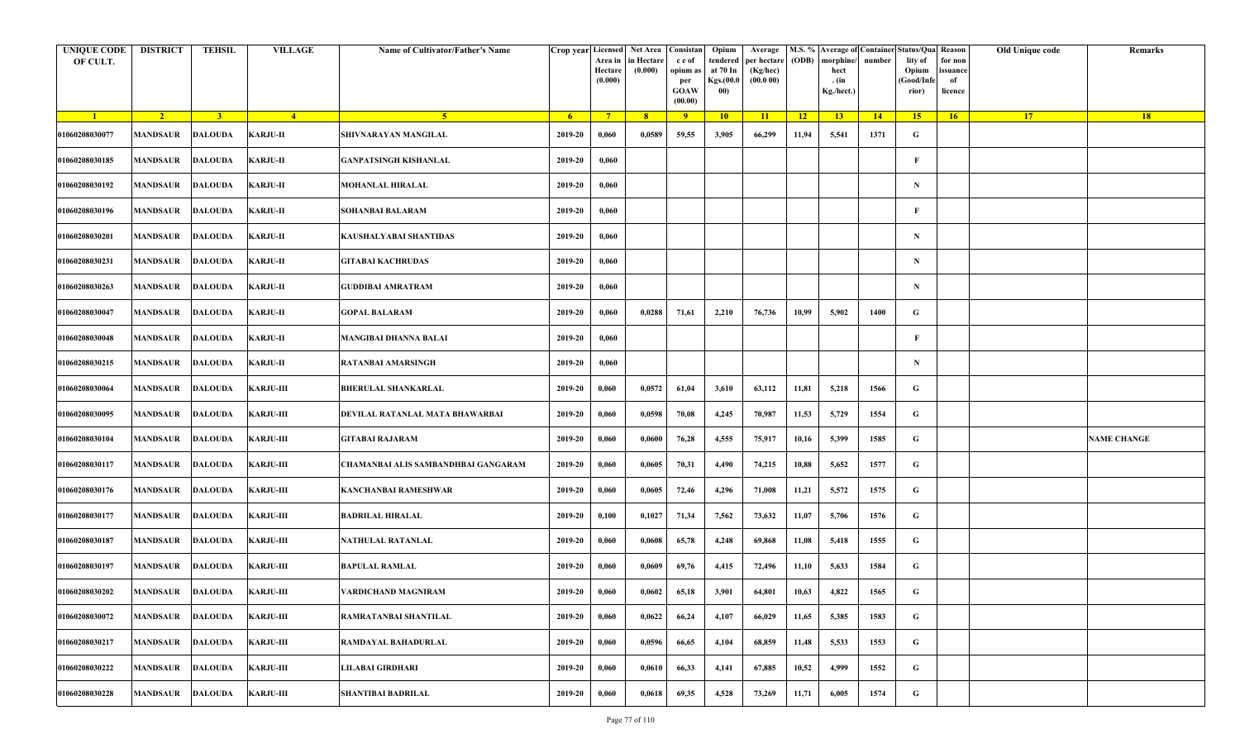| <b>UNIQUE CODE</b><br>OF CULT. | <b>DISTRICT</b>         | <b>TEHSIL</b>  | <b>VILLAGE</b>   | Name of Cultivator/Father's Name    | Crop year Licensed | Area in<br>Hectare<br>(0.000) | Net Area   Consistan<br>n Hectare<br>(0.000) | c e of<br>opium as<br>per<br><b>GOAW</b><br>(00.00) | Opium<br>tendered<br>at 70 In<br>Kgs.(00.0<br>00) | Average<br>per hectare<br>(Kg/hec)<br>(00.000) | (ODB) | M.S. % Average of Container Status/Qua Reason<br>morphine/<br>hect<br>. (in<br>Kg./hect.) | number      | lity of<br>Opium<br>(Good/Info<br>rior) | for non<br>ssuance<br>of<br>licence | Old Unique code | Remarks            |
|--------------------------------|-------------------------|----------------|------------------|-------------------------------------|--------------------|-------------------------------|----------------------------------------------|-----------------------------------------------------|---------------------------------------------------|------------------------------------------------|-------|-------------------------------------------------------------------------------------------|-------------|-----------------------------------------|-------------------------------------|-----------------|--------------------|
| $\blacksquare$                 | $\sqrt{2}$              | $\overline{3}$ | $-4$             | $-5$                                | 6 <sup>1</sup>     | $7^{\circ}$                   | 8                                            | 9                                                   | 10                                                | 11                                             | 12    | 13 <sup>7</sup>                                                                           | $\sqrt{14}$ | 15                                      | 16                                  | 17 <sup>2</sup> | 18                 |
| 01060208030077                 | MANDSAUR                | <b>DALOUDA</b> | <b>KARJU-II</b>  | SHIVNARAYAN MANGILAL                | 2019-20            | 0,060                         | 0,0589                                       | 59,55                                               | 3,905                                             | 66,299                                         | 11,94 | 5,541                                                                                     | 1371        | G                                       |                                     |                 |                    |
| 01060208030185                 | <b>MANDSAUR</b>         | <b>DALOUDA</b> | <b>KARJU-II</b>  | GANPATSINGH KISHANLAL               | 2019-20            | 0,060                         |                                              |                                                     |                                                   |                                                |       |                                                                                           |             | F                                       |                                     |                 |                    |
| 01060208030192                 | MANDSAUR                | <b>DALOUDA</b> | <b>KARJU-II</b>  | <b>MOHANLAL HIRALAL</b>             | 2019-20            | 0,060                         |                                              |                                                     |                                                   |                                                |       |                                                                                           |             | $\mathbf N$                             |                                     |                 |                    |
| 01060208030196                 | MANDSAUR                | <b>DALOUDA</b> | <b>KARJU-II</b>  | SOHANBAI BALARAM                    | 2019-20            | 0,060                         |                                              |                                                     |                                                   |                                                |       |                                                                                           |             | F                                       |                                     |                 |                    |
| 01060208030201                 | <b>MANDSAUR</b>         | <b>DALOUDA</b> | <b>KARJU-II</b>  | KAUSHALYABAI SHANTIDAS              | 2019-20            | 0,060                         |                                              |                                                     |                                                   |                                                |       |                                                                                           |             | N                                       |                                     |                 |                    |
| 01060208030231                 | <b>MANDSAUR</b>         | <b>DALOUDA</b> | <b>KARJU-II</b>  | <b>GITABAI KACHRUDAS</b>            | 2019-20            | 0,060                         |                                              |                                                     |                                                   |                                                |       |                                                                                           |             | $\mathbf N$                             |                                     |                 |                    |
| 01060208030263                 | MANDSAUR                | <b>DALOUDA</b> | <b>KARJU-II</b>  | <b>GUDDIBAI AMRATRAM</b>            | 2019-20            | 0,060                         |                                              |                                                     |                                                   |                                                |       |                                                                                           |             | $\mathbf N$                             |                                     |                 |                    |
| 01060208030047                 | MANDSAUR                | <b>DALOUDA</b> | <b>KARJU-II</b>  | <b>GOPAL BALARAM</b>                | 2019-20            | 0,060                         | 0,0288                                       | 71,61                                               | 2,210                                             | 76,736                                         | 10,99 | 5,902                                                                                     | 1400        | G                                       |                                     |                 |                    |
| 01060208030048                 | MANDSAUR                | <b>DALOUDA</b> | <b>KARJU-II</b>  | MANGIBAI DHANNA BALAI               | 2019-20            | 0,060                         |                                              |                                                     |                                                   |                                                |       |                                                                                           |             | F                                       |                                     |                 |                    |
| 01060208030215                 | MANDSAUR                | <b>DALOUDA</b> | <b>KARJU-II</b>  | <b>RATANBAI AMARSINGH</b>           | 2019-20            | 0,060                         |                                              |                                                     |                                                   |                                                |       |                                                                                           |             | N                                       |                                     |                 |                    |
| 01060208030064                 | <b>MANDSAUR</b>         | <b>DALOUDA</b> | <b>KARJU-III</b> | BHERULAL SHANKARLAL                 | 2019-20            | 0,060                         | 0,0572                                       | 61,04                                               | 3,610                                             | 63,112                                         | 11,81 | 5,218                                                                                     | 1566        | G                                       |                                     |                 |                    |
| 01060208030095                 | MANDSAUR                | <b>DALOUDA</b> | <b>KARJU-III</b> | DEVILAL RATANLAL MATA BHAWARBAI     | 2019-20            | 0,060                         | 0,0598                                       | 70,08                                               | 4,245                                             | 70,987                                         | 11,53 | 5,729                                                                                     | 1554        | G                                       |                                     |                 |                    |
| 01060208030104                 | MANDSAUR                | <b>DALOUDA</b> | <b>KARJU-III</b> | <b>GITABAI RAJARAM</b>              | 2019-20            | 0,060                         | 0,0600                                       | 76,28                                               | 4,555                                             | 75,917                                         | 10,16 | 5,399                                                                                     | 1585        | G                                       |                                     |                 | <b>NAME CHANGE</b> |
| 01060208030117                 | MANDSAUR                | <b>DALOUDA</b> | <b>KARJU-III</b> | CHAMANBAI ALIS SAMBANDHBAI GANGARAM | 2019-20            | 0,060                         | 0,0605                                       | 70,31                                               | 4,490                                             | 74,215                                         | 10,88 | 5,652                                                                                     | 1577        | G                                       |                                     |                 |                    |
| 01060208030176                 | <b>MANDSAUR</b>         | <b>DALOUDA</b> | <b>KARJU-III</b> | KANCHANBAI RAMESHWAR                | 2019-20            | 0,060                         | 0,0605                                       | 72,46                                               | 4,296                                             | 71,008                                         | 11,21 | 5,572                                                                                     | 1575        | G                                       |                                     |                 |                    |
| 01060208030177                 | MANDSAUR                | <b>DALOUDA</b> | <b>KARJU-III</b> | BADRILAL HIRALAL                    | 2019-20            | 0,100                         | 0,1027                                       | 71,34                                               | 7,562                                             | 73,632                                         | 11,07 | 5,706                                                                                     | 1576        | G                                       |                                     |                 |                    |
| 01060208030187                 | MANDSAUR                | <b>DALOUDA</b> | <b>KARJU-III</b> | NATHULAL RATANLAL                   | 2019-20            | 0,060                         | 0,0608                                       | 65,78                                               | 4,248                                             | 69,868                                         | 11,08 | 5,418                                                                                     | 1555        | G                                       |                                     |                 |                    |
| 01060208030197                 | MANDSAUR                | <b>DALOUDA</b> | <b>KARJU-III</b> | BAPULAL RAMLAL                      | 2019-20            | 0,060                         | 0,0609                                       | 69,76                                               | 4,415                                             | 72,496                                         | 11,10 | 5,633                                                                                     | 1584        | G                                       |                                     |                 |                    |
| 01060208030202                 | <b>MANDSAUR DALOUDA</b> |                | KARJU-III        | VARDICHAND MAGNIRAM                 | 2019-20            | 0,060                         | 0,0602                                       | 65,18                                               | 3,901                                             | 64,801                                         | 10,63 | 4,822                                                                                     | 1565        | G                                       |                                     |                 |                    |
| 01060208030072                 | MANDSAUR                | <b>DALOUDA</b> | <b>KARJU-III</b> | RAMRATANBAI SHANTILAL               | 2019-20            | 0,060                         | 0,0622                                       | 66,24                                               | 4,107                                             | 66,029                                         | 11,65 | 5,385                                                                                     | 1583        | $\mathbf G$                             |                                     |                 |                    |
| 01060208030217                 | <b>MANDSAUR</b>         | <b>DALOUDA</b> | <b>KARJU-III</b> | RAMDAYAL BAHADURLAL                 | 2019-20            | 0,060                         | 0,0596                                       | 66,65                                               | 4,104                                             | 68,859                                         | 11,48 | 5,533                                                                                     | 1553        | $\mathbf G$                             |                                     |                 |                    |
| 01060208030222                 | <b>MANDSAUR</b>         | <b>DALOUDA</b> | <b>KARJU-III</b> | LILABAI GIRDHARI                    | 2019-20            | 0,060                         | 0,0610                                       | 66,33                                               | 4,141                                             | 67,885                                         | 10,52 | 4,999                                                                                     | 1552        | $\mathbf G$                             |                                     |                 |                    |
| 01060208030228                 | MANDSAUR                | <b>DALOUDA</b> | <b>KARJU-III</b> | <b>SHANTIBAI BADRILAL</b>           | 2019-20            | 0,060                         | 0,0618                                       | 69,35                                               | 4,528                                             | 73,269                                         | 11,71 | 6,005                                                                                     | 1574        | G                                       |                                     |                 |                    |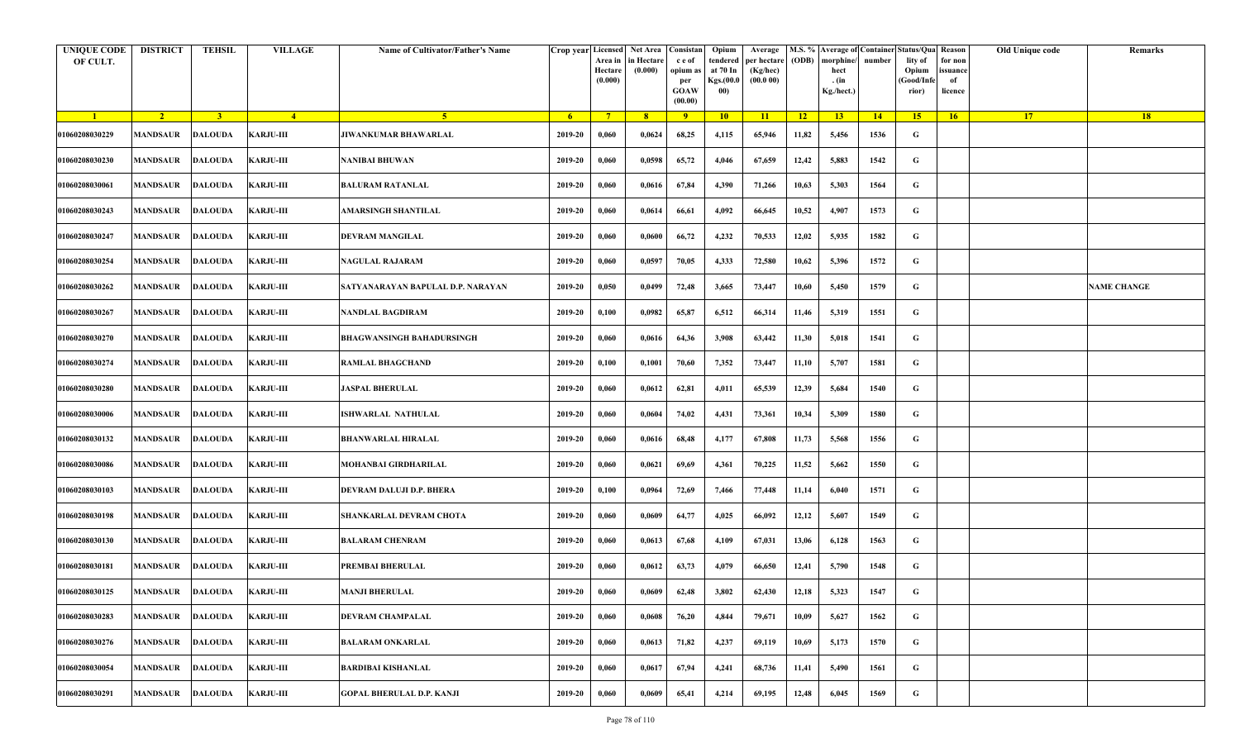| <b>UNIQUE CODE</b><br>OF CULT. | <b>DISTRICT</b>            | <b>TEHSIL</b>  | <b>VILLAGE</b>   | Name of Cultivator/Father's Name  |         | Crop year Licensed Net Area Consistan<br>Area in<br>Hectare<br>(0.000) | in Hectare<br>(0.000) | c e of<br>opium as<br>per<br><b>GOAW</b><br>(00.00) | Opium<br>tendered<br>at 70 In<br>Kgs.(00.0<br>00) | Average<br>per hectare<br>(Kg/hec)<br>(00.000) | (ODB) | M.S. % Average of Container Status/Qua Reason<br>morphine/<br>hect<br>. (in<br>Kg./hect.) | number | lity of<br>Opium<br>(Good/Infe<br>rior) | for non<br>ssuance<br>of<br>licence | Old Unique code | Remarks            |
|--------------------------------|----------------------------|----------------|------------------|-----------------------------------|---------|------------------------------------------------------------------------|-----------------------|-----------------------------------------------------|---------------------------------------------------|------------------------------------------------|-------|-------------------------------------------------------------------------------------------|--------|-----------------------------------------|-------------------------------------|-----------------|--------------------|
| $\blacksquare$                 | $\sqrt{2}$                 | 3 <sup>1</sup> | $-4$             | 5 <sup>1</sup>                    | $-6$    | $7^{\circ}$                                                            | 8 <sup>°</sup>        | $\overline{9}$                                      | 10                                                | 11                                             | $-12$ | 13                                                                                        | 14     | 15                                      | 16                                  | <b>17</b>       | 18                 |
| 01060208030229                 | <b>MANDSAUR</b>            | <b>DALOUDA</b> | <b>KARJU-III</b> | <b>JIWANKUMAR BHAWARLAL</b>       | 2019-20 | 0,060                                                                  | 0,0624                | 68,25                                               | 4,115                                             | 65,946                                         | 11,82 | 5,456                                                                                     | 1536   | G                                       |                                     |                 |                    |
| 01060208030230                 | MANDSAUR                   | <b>DALOUDA</b> | <b>KARJU-III</b> | <b>NANIBAI BHUWAN</b>             | 2019-20 | 0,060                                                                  | 0,0598                | 65,72                                               | 4,046                                             | 67,659                                         | 12,42 | 5,883                                                                                     | 1542   | G                                       |                                     |                 |                    |
| 01060208030061                 | <b>MANDSAUR</b>            | <b>DALOUDA</b> | <b>KARJU-III</b> | <b>BALURAM RATANLAL</b>           | 2019-20 | 0,060                                                                  | 0,0616                | 67,84                                               | 4,390                                             | 71,266                                         | 10,63 | 5,303                                                                                     | 1564   | G                                       |                                     |                 |                    |
| 01060208030243                 | MANDSAUR                   | <b>DALOUDA</b> | <b>KARJU-III</b> | AMARSINGH SHANTILAL               | 2019-20 | 0,060                                                                  | 0,0614                | 66,61                                               | 4,092                                             | 66,645                                         | 10,52 | 4,907                                                                                     | 1573   | G                                       |                                     |                 |                    |
| 01060208030247                 | <b>MANDSAUR</b>            | <b>DALOUDA</b> | <b>KARJU-III</b> | DEVRAM MANGILAL                   | 2019-20 | 0,060                                                                  | 0,0600                | 66,72                                               | 4,232                                             | 70,533                                         | 12,02 | 5,935                                                                                     | 1582   | G                                       |                                     |                 |                    |
| 01060208030254                 | MANDSAUR                   | <b>DALOUDA</b> | <b>KARJU-III</b> | <b>NAGULAL RAJARAM</b>            | 2019-20 | 0,060                                                                  | 0,0597                | 70,05                                               | 4,333                                             | 72,580                                         | 10,62 | 5,396                                                                                     | 1572   | G                                       |                                     |                 |                    |
| 01060208030262                 | MANDSAUR                   | <b>DALOUDA</b> | <b>KARJU-III</b> | SATYANARAYAN BAPULAL D.P. NARAYAN | 2019-20 | 0,050                                                                  | 0,0499                | 72,48                                               | 3,665                                             | 73,447                                         | 10,60 | 5,450                                                                                     | 1579   | G                                       |                                     |                 | <b>NAME CHANGE</b> |
| 01060208030267                 | MANDSAUR                   | <b>DALOUDA</b> | <b>KARJU-III</b> | NANDLAL BAGDIRAM                  | 2019-20 | 0,100                                                                  | 0,0982                | 65,87                                               | 6,512                                             | 66,314                                         | 11,46 | 5,319                                                                                     | 1551   | G                                       |                                     |                 |                    |
| 01060208030270                 | <b>MANDSAUR</b>            | <b>DALOUDA</b> | <b>KARJU-III</b> | <b>BHAGWANSINGH BAHADURSINGH</b>  | 2019-20 | 0,060                                                                  | 0,0616                | 64,36                                               | 3,908                                             | 63,442                                         | 11,30 | 5,018                                                                                     | 1541   | G                                       |                                     |                 |                    |
| 01060208030274                 | <b>MANDSAUR</b>            | <b>DALOUDA</b> | <b>KARJU-III</b> | <b>RAMLAL BHAGCHAND</b>           | 2019-20 | 0,100                                                                  | 0,1001                | 70,60                                               | 7,352                                             | 73,447                                         | 11,10 | 5,707                                                                                     | 1581   | G                                       |                                     |                 |                    |
| 01060208030280                 | MANDSAUR                   | <b>DALOUDA</b> | <b>KARJU-III</b> | <b>JASPAL BHERULAL</b>            | 2019-20 | 0,060                                                                  | 0,0612                | 62,81                                               | 4,011                                             | 65,539                                         | 12,39 | 5,684                                                                                     | 1540   | G                                       |                                     |                 |                    |
| 01060208030006                 | <b>MANDSAUR</b>            | <b>DALOUDA</b> | <b>KARJU-III</b> | <b>ISHWARLAL NATHULAL</b>         | 2019-20 | 0,060                                                                  | 0,0604                | 74,02                                               | 4,431                                             | 73,361                                         | 10,34 | 5,309                                                                                     | 1580   | G                                       |                                     |                 |                    |
| 01060208030132                 | MANDSAUR                   | <b>DALOUDA</b> | <b>KARJU-III</b> | <b>BHANWARLAL HIRALAL</b>         | 2019-20 | 0,060                                                                  | 0,0616                | 68,48                                               | 4,177                                             | 67,808                                         | 11,73 | 5,568                                                                                     | 1556   | G                                       |                                     |                 |                    |
| 01060208030086                 | MANDSAUR                   | <b>DALOUDA</b> | <b>KARJU-III</b> | MOHANBAI GIRDHARILAL              | 2019-20 | 0,060                                                                  | 0,0621                | 69,69                                               | 4,361                                             | 70,225                                         | 11,52 | 5,662                                                                                     | 1550   | G                                       |                                     |                 |                    |
| 01060208030103                 | MANDSAUR                   | DALOUDA        | <b>KARJU-III</b> | DEVRAM DALUJI D.P. BHERA          | 2019-20 | 0,100                                                                  | 0,0964                | 72,69                                               | 7,466                                             | 77,448                                         | 11,14 | 6,040                                                                                     | 1571   | G                                       |                                     |                 |                    |
| 01060208030198                 | <b>MANDSAUR</b>            | <b>DALOUDA</b> | <b>KARJU-III</b> | SHANKARLAL DEVRAM CHOTA           | 2019-20 | 0,060                                                                  | 0,0609                | 64,77                                               | 4,025                                             | 66,092                                         | 12,12 | 5,607                                                                                     | 1549   | G                                       |                                     |                 |                    |
| 01060208030130                 | <b>MANDSAUR</b>            | <b>DALOUDA</b> | <b>KARJU-III</b> | <b>BALARAM CHENRAM</b>            | 2019-20 | 0,060                                                                  | 0,0613                | 67,68                                               | 4,109                                             | 67,031                                         | 13,06 | 6,128                                                                                     | 1563   | G                                       |                                     |                 |                    |
| 01060208030181                 | MANDSAUR                   | <b>DALOUDA</b> | <b>KARJU-III</b> | PREMBAI BHERULAL                  | 2019-20 | 0,060                                                                  | 0,0612                | 63,73                                               | 4,079                                             | 66,650                                         | 12,41 | 5,790                                                                                     | 1548   | G                                       |                                     |                 |                    |
| 01060208030125                 | MANDSAUR DALOUDA KARJU-III |                |                  | <b>MANJI BHERULAL</b>             | 2019-20 | 0,060                                                                  | 0,0609                | 62,48                                               | 3,802                                             | 62,430                                         | 12,18 | 5,323                                                                                     | 1547   | G                                       |                                     |                 |                    |
| 01060208030283                 | <b>MANDSAUR</b>            | <b>DALOUDA</b> | <b>KARJU-III</b> | <b>DEVRAM CHAMPALAL</b>           | 2019-20 | 0,060                                                                  | 0,0608                | 76,20                                               | 4,844                                             | 79,671                                         | 10,09 | 5,627                                                                                     | 1562   | $\mathbf G$                             |                                     |                 |                    |
| 01060208030276                 | <b>MANDSAUR</b>            | <b>DALOUDA</b> | <b>KARJU-III</b> | <b>BALARAM ONKARLAL</b>           | 2019-20 | 0,060                                                                  | 0,0613                | 71,82                                               | 4,237                                             | 69,119                                         | 10,69 | 5,173                                                                                     | 1570   | G                                       |                                     |                 |                    |
| 01060208030054                 | MANDSAUR                   | <b>DALOUDA</b> | <b>KARJU-III</b> | <b>BARDIBAI KISHANLAL</b>         | 2019-20 | 0,060                                                                  | 0,0617                | 67,94                                               | 4,241                                             | 68,736                                         | 11,41 | 5,490                                                                                     | 1561   | G                                       |                                     |                 |                    |
| 01060208030291                 | MANDSAUR                   | <b>DALOUDA</b> | <b>KARJU-III</b> | <b>GOPAL BHERULAL D.P. KANJI</b>  | 2019-20 | 0,060                                                                  | 0,0609                | 65,41                                               | 4,214                                             | 69,195                                         | 12,48 | 6,045                                                                                     | 1569   | G                                       |                                     |                 |                    |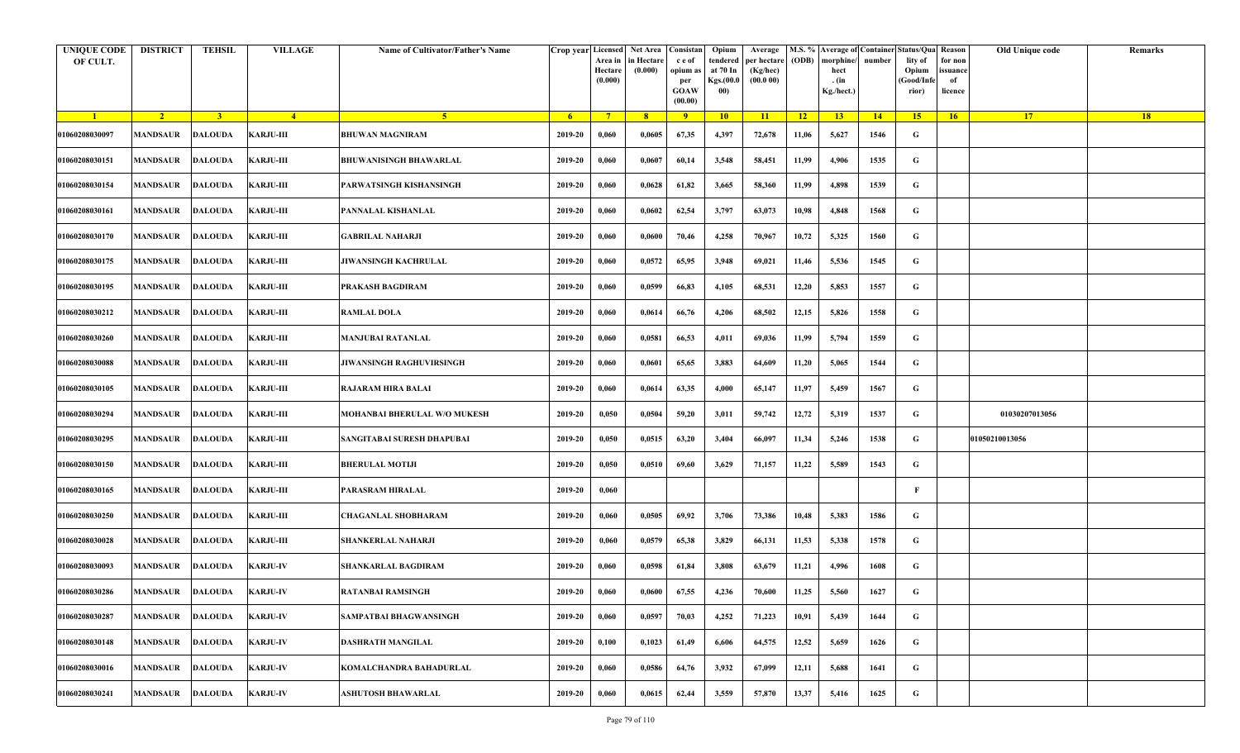| <b>UNIQUE CODE</b><br>OF CULT. | <b>DISTRICT</b>           | <b>TEHSIL</b>  | <b>VILLAGE</b>   | Name of Cultivator/Father's Name |         | Crop year Licensed Net Area Consistan<br>Area in<br>Hectare<br>(0.000) | in Hectare<br>(0.000) | c e of<br>opium as<br>per<br><b>GOAW</b><br>(00.00) | Opium<br>tendered<br>at 70 In<br>Kgs.(00.0<br>00) | Average<br>per hectare<br>(Kg/hec)<br>(00.000) | (ODB) | M.S. % Average of Container Status/Qua Reason<br>morphine/<br>hect<br>. (in<br>Kg./hect.) | number | lity of<br>Opium<br>(Good/Infe<br>rior) | for non<br>ssuance<br>of<br>licence | Old Unique code | Remarks |
|--------------------------------|---------------------------|----------------|------------------|----------------------------------|---------|------------------------------------------------------------------------|-----------------------|-----------------------------------------------------|---------------------------------------------------|------------------------------------------------|-------|-------------------------------------------------------------------------------------------|--------|-----------------------------------------|-------------------------------------|-----------------|---------|
| $\blacksquare$                 | $\sqrt{2}$                | 3 <sup>1</sup> | $\frac{4}{ }$    | $-5$                             | $-6$    | $7^{\circ}$                                                            | 8 <sup>°</sup>        | $\overline{9}$                                      | 10                                                | 11                                             | $-12$ | 13                                                                                        | 14     | 15                                      | 16                                  | <b>17</b>       | 18      |
| 01060208030097                 | <b>MANDSAUR</b>           | <b>DALOUDA</b> | <b>KARJU-III</b> | <b>BHUWAN MAGNIRAM</b>           | 2019-20 | 0,060                                                                  | 0,0605                | 67,35                                               | 4,397                                             | 72,678                                         | 11,06 | 5,627                                                                                     | 1546   | G                                       |                                     |                 |         |
| 01060208030151                 | MANDSAUR                  | <b>DALOUDA</b> | <b>KARJU-III</b> | <b>BHUWANISINGH BHAWARLAL</b>    | 2019-20 | 0,060                                                                  | 0,0607                | 60,14                                               | 3,548                                             | 58,451                                         | 11,99 | 4,906                                                                                     | 1535   | G                                       |                                     |                 |         |
| 01060208030154                 | <b>MANDSAUR</b>           | <b>DALOUDA</b> | <b>KARJU-III</b> | PARWATSINGH KISHANSINGH          | 2019-20 | 0,060                                                                  | 0,0628                | 61,82                                               | 3,665                                             | 58,360                                         | 11,99 | 4,898                                                                                     | 1539   | G                                       |                                     |                 |         |
| 01060208030161                 | MANDSAUR                  | <b>DALOUDA</b> | <b>KARJU-III</b> | PANNALAL KISHANLAL               | 2019-20 | 0,060                                                                  | 0,0602                | 62,54                                               | 3,797                                             | 63,073                                         | 10,98 | 4,848                                                                                     | 1568   | G                                       |                                     |                 |         |
| 01060208030170                 | <b>MANDSAUR</b>           | <b>DALOUDA</b> | <b>KARJU-III</b> | GABRILAL NAHARJI                 | 2019-20 | 0,060                                                                  | 0,0600                | 70,46                                               | 4,258                                             | 70,967                                         | 10,72 | 5,325                                                                                     | 1560   | G                                       |                                     |                 |         |
| 01060208030175                 | MANDSAUR                  | <b>DALOUDA</b> | <b>KARJU-III</b> | JIWANSINGH KACHRULAL             | 2019-20 | 0,060                                                                  | 0,0572                | 65,95                                               | 3,948                                             | 69,021                                         | 11,46 | 5,536                                                                                     | 1545   | G                                       |                                     |                 |         |
| 01060208030195                 | MANDSAUR                  | <b>DALOUDA</b> | <b>KARJU-III</b> | PRAKASH BAGDIRAM                 | 2019-20 | 0,060                                                                  | 0,0599                | 66,83                                               | 4,105                                             | 68,531                                         | 12,20 | 5,853                                                                                     | 1557   | G                                       |                                     |                 |         |
| 01060208030212                 | MANDSAUR                  | <b>DALOUDA</b> | <b>KARJU-III</b> | <b>RAMLAL DOLA</b>               | 2019-20 | 0,060                                                                  | 0,0614                | 66,76                                               | 4,206                                             | 68,502                                         | 12,15 | 5,826                                                                                     | 1558   | G                                       |                                     |                 |         |
| 01060208030260                 | <b>MANDSAUR</b>           | <b>DALOUDA</b> | <b>KARJU-III</b> | <b>MANJUBAI RATANLAL</b>         | 2019-20 | 0,060                                                                  | 0,0581                | 66,53                                               | 4,011                                             | 69,036                                         | 11,99 | 5,794                                                                                     | 1559   | G                                       |                                     |                 |         |
| 01060208030088                 | <b>MANDSAUR</b>           | <b>DALOUDA</b> | <b>KARJU-III</b> | JIWANSINGH RAGHUVIRSINGH         | 2019-20 | 0,060                                                                  | 0,0601                | 65,65                                               | 3,883                                             | 64,609                                         | 11,20 | 5,065                                                                                     | 1544   | G                                       |                                     |                 |         |
| 01060208030105                 | MANDSAUR                  | <b>DALOUDA</b> | <b>KARJU-III</b> | <b>RAJARAM HIRA BALAI</b>        | 2019-20 | 0,060                                                                  | 0,0614                | 63,35                                               | 4,000                                             | 65,147                                         | 11,97 | 5,459                                                                                     | 1567   | G                                       |                                     |                 |         |
| 01060208030294                 | <b>MANDSAUR</b>           | <b>DALOUDA</b> | <b>KARJU-III</b> | MOHANBAI BHERULAL W/O MUKESH     | 2019-20 | 0,050                                                                  | 0,0504                | 59,20                                               | 3,011                                             | 59,742                                         | 12,72 | 5,319                                                                                     | 1537   | G                                       |                                     | 01030207013056  |         |
| 01060208030295                 | MANDSAUR                  | <b>DALOUDA</b> | <b>KARJU-III</b> | SANGITABAI SURESH DHAPUBAI       | 2019-20 | 0,050                                                                  | 0,0515                | 63,20                                               | 3,404                                             | 66,097                                         | 11,34 | 5,246                                                                                     | 1538   | G                                       |                                     | 01050210013056  |         |
| 01060208030150                 | <b>MANDSAUR</b>           | <b>DALOUDA</b> | <b>KARJU-III</b> | <b>BHERULAL MOTIJI</b>           | 2019-20 | 0,050                                                                  | 0,0510                | 69,60                                               | 3,629                                             | 71,157                                         | 11,22 | 5,589                                                                                     | 1543   | G                                       |                                     |                 |         |
| 01060208030165                 | MANDSAUR                  | DALOUDA        | <b>KARJU-III</b> | PARASRAM HIRALAL                 | 2019-20 | 0,060                                                                  |                       |                                                     |                                                   |                                                |       |                                                                                           |        | F                                       |                                     |                 |         |
| 01060208030250                 | <b>MANDSAUR</b>           | <b>DALOUDA</b> | <b>KARJU-III</b> | CHAGANLAL SHOBHARAM              | 2019-20 | 0,060                                                                  | 0,0505                | 69,92                                               | 3,706                                             | 73,386                                         | 10,48 | 5,383                                                                                     | 1586   | G                                       |                                     |                 |         |
| 01060208030028                 | <b>MANDSAUR</b>           | <b>DALOUDA</b> | <b>KARJU-III</b> | <b>SHANKERLAL NAHARJI</b>        | 2019-20 | 0,060                                                                  | 0,0579                | 65,38                                               | 3,829                                             | 66,131                                         | 11,53 | 5,338                                                                                     | 1578   | G                                       |                                     |                 |         |
| 01060208030093                 | MANDSAUR                  | <b>DALOUDA</b> | <b>KARJU-IV</b>  | SHANKARLAL BAGDIRAM              | 2019-20 | 0,060                                                                  | 0,0598                | 61,84                                               | 3,808                                             | 63,679                                         | 11,21 | 4,996                                                                                     | 1608   | G                                       |                                     |                 |         |
| 01060208030286                 | MANDSAUR DALOUDA KARJU-IV |                |                  | <b>RATANBAI RAMSINGH</b>         | 2019-20 | 0,060                                                                  | 0,0600                | 67,55                                               | 4,236                                             | 70,600                                         | 11,25 | 5,560                                                                                     | 1627   | G                                       |                                     |                 |         |
| 01060208030287                 | <b>MANDSAUR</b>           | <b>DALOUDA</b> | <b>KARJU-IV</b>  | SAMPATBAI BHAGWANSINGH           | 2019-20 | 0,060                                                                  | 0,0597                | 70,03                                               | 4,252                                             | 71,223                                         | 10,91 | 5,439                                                                                     | 1644   | $\mathbf G$                             |                                     |                 |         |
| 01060208030148                 | <b>MANDSAUR</b>           | <b>DALOUDA</b> | <b>KARJU-IV</b>  | <b>DASHRATH MANGILAL</b>         | 2019-20 | 0,100                                                                  | 0,1023                | 61,49                                               | 6,606                                             | 64,575                                         | 12,52 | 5,659                                                                                     | 1626   | G                                       |                                     |                 |         |
| 01060208030016                 | MANDSAUR                  | <b>DALOUDA</b> | <b>KARJU-IV</b>  | KOMALCHANDRA BAHADURLAL          | 2019-20 | 0,060                                                                  | 0,0586                | 64,76                                               | 3,932                                             | 67,099                                         | 12,11 | 5,688                                                                                     | 1641   | G                                       |                                     |                 |         |
| 01060208030241                 | MANDSAUR                  | <b>DALOUDA</b> | <b>KARJU-IV</b>  | ASHUTOSH BHAWARLAL               | 2019-20 | 0,060                                                                  | 0,0615                | 62,44                                               | 3,559                                             | 57,870                                         | 13,37 | 5,416                                                                                     | 1625   | G                                       |                                     |                 |         |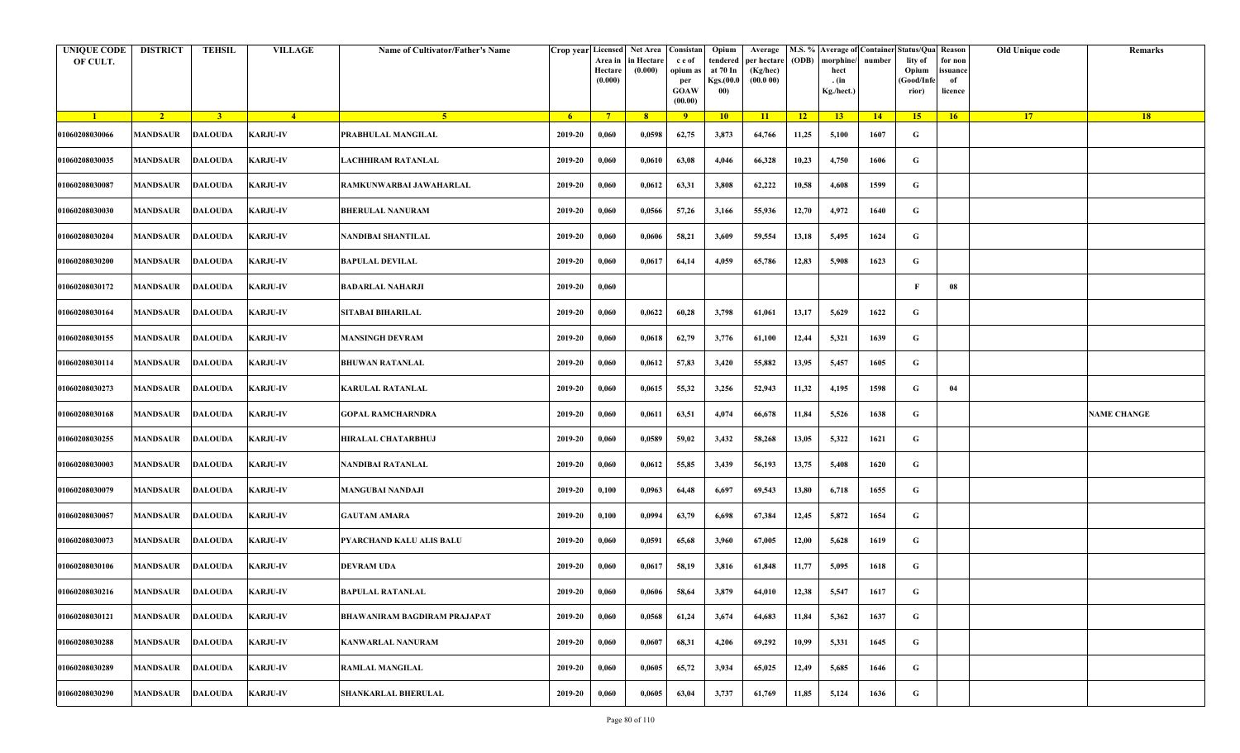| <b>UNIQUE CODE</b><br>OF CULT. | <b>DISTRICT</b>           | <b>TEHSIL</b>  | <b>VILLAGE</b>  | Name of Cultivator/Father's Name    |         | Crop year Licensed Net Area Consistan<br>Area in<br>Hectare<br>(0.000) | in Hectare<br>(0.000) | c e of<br>opium as<br>per<br><b>GOAW</b><br>(00.00) | Opium<br>tendered<br>at 70 In<br>Kgs.(00.0<br>00) | Average<br>per hectare<br>(Kg/hec)<br>(00.000) | (ODB) | M.S. % Average of Container Status/Qua Reason<br>morphine/<br>hect<br>. (in<br>Kg./hect.) | number | lity of<br>Opium<br>(Good/Infe<br>rior) | for non<br>ssuance<br>of<br>licence | Old Unique code | Remarks            |
|--------------------------------|---------------------------|----------------|-----------------|-------------------------------------|---------|------------------------------------------------------------------------|-----------------------|-----------------------------------------------------|---------------------------------------------------|------------------------------------------------|-------|-------------------------------------------------------------------------------------------|--------|-----------------------------------------|-------------------------------------|-----------------|--------------------|
| $\blacksquare$                 | $\sqrt{2}$                | 3 <sup>1</sup> | $-4$            | 5 <sup>1</sup>                      | $-6$    | $7^{\circ}$                                                            | 8 <sup>°</sup>        | $\overline{9}$                                      | 10                                                | 11                                             | $-12$ | 13                                                                                        | 14     | 15                                      | 16                                  | <b>17</b>       | 18                 |
| 01060208030066                 | <b>MANDSAUR</b>           | <b>DALOUDA</b> | <b>KARJU-IV</b> | PRABHULAL MANGILAL                  | 2019-20 | 0,060                                                                  | 0,0598                | 62,75                                               | 3,873                                             | 64,766                                         | 11,25 | 5,100                                                                                     | 1607   | G                                       |                                     |                 |                    |
| 01060208030035                 | MANDSAUR                  | <b>DALOUDA</b> | <b>KARJU-IV</b> | LACHHIRAM RATANLAL                  | 2019-20 | 0,060                                                                  | 0,0610                | 63,08                                               | 4,046                                             | 66,328                                         | 10,23 | 4,750                                                                                     | 1606   | G                                       |                                     |                 |                    |
| 01060208030087                 | <b>MANDSAUR</b>           | <b>DALOUDA</b> | <b>KARJU-IV</b> | RAMKUNWARBAI JAWAHARLAL             | 2019-20 | 0,060                                                                  | 0,0612                | 63,31                                               | 3,808                                             | 62,222                                         | 10,58 | 4,608                                                                                     | 1599   | G                                       |                                     |                 |                    |
| 01060208030030                 | MANDSAUR                  | <b>DALOUDA</b> | <b>KARJU-IV</b> | <b>BHERULAL NANURAM</b>             | 2019-20 | 0,060                                                                  | 0,0566                | 57,26                                               | 3,166                                             | 55,936                                         | 12,70 | 4,972                                                                                     | 1640   | G                                       |                                     |                 |                    |
| 01060208030204                 | <b>MANDSAUR</b>           | <b>DALOUDA</b> | <b>KARJU-IV</b> | NANDIBAI SHANTILAL                  | 2019-20 | 0,060                                                                  | 0,0606                | 58,21                                               | 3,609                                             | 59,554                                         | 13,18 | 5,495                                                                                     | 1624   | G                                       |                                     |                 |                    |
| 01060208030200                 | MANDSAUR                  | <b>DALOUDA</b> | <b>KARJU-IV</b> | <b>BAPULAL DEVILAL</b>              | 2019-20 | 0,060                                                                  | 0,0617                | 64,14                                               | 4,059                                             | 65,786                                         | 12,83 | 5,908                                                                                     | 1623   | G                                       |                                     |                 |                    |
| 01060208030172                 | MANDSAUR                  | <b>DALOUDA</b> | <b>KARJU-IV</b> | <b>BADARLAL NAHARJI</b>             | 2019-20 | 0,060                                                                  |                       |                                                     |                                                   |                                                |       |                                                                                           |        | F                                       | 08                                  |                 |                    |
| 01060208030164                 | MANDSAUR                  | <b>DALOUDA</b> | <b>KARJU-IV</b> | <b>SITABAI BIHARILAL</b>            | 2019-20 | 0,060                                                                  | 0,0622                | 60,28                                               | 3,798                                             | 61,061                                         | 13,17 | 5,629                                                                                     | 1622   | G                                       |                                     |                 |                    |
| 01060208030155                 | <b>MANDSAUR</b>           | <b>DALOUDA</b> | <b>KARJU-IV</b> | <b>MANSINGH DEVRAM</b>              | 2019-20 | 0,060                                                                  | 0,0618                | 62,79                                               | 3,776                                             | 61,100                                         | 12,44 | 5,321                                                                                     | 1639   | G                                       |                                     |                 |                    |
| 01060208030114                 | <b>MANDSAUR</b>           | <b>DALOUDA</b> | <b>KARJU-IV</b> | <b>BHUWAN RATANLAL</b>              | 2019-20 | 0,060                                                                  | 0,0612                | 57,83                                               | 3,420                                             | 55,882                                         | 13,95 | 5,457                                                                                     | 1605   | G                                       |                                     |                 |                    |
| 01060208030273                 | MANDSAUR                  | <b>DALOUDA</b> | <b>KARJU-IV</b> | <b>KARULAL RATANLAL</b>             | 2019-20 | 0,060                                                                  | 0,0615                | 55,32                                               | 3,256                                             | 52,943                                         | 11,32 | 4,195                                                                                     | 1598   | G                                       | 04                                  |                 |                    |
| 01060208030168                 | <b>MANDSAUR</b>           | <b>DALOUDA</b> | <b>KARJU-IV</b> | <b>GOPAL RAMCHARNDRA</b>            | 2019-20 | 0,060                                                                  | 0,0611                | 63,51                                               | 4,074                                             | 66,678                                         | 11,84 | 5,526                                                                                     | 1638   | G                                       |                                     |                 | <b>NAME CHANGE</b> |
| 01060208030255                 | MANDSAUR                  | <b>DALOUDA</b> | <b>KARJU-IV</b> | HIRALAL CHATARBHUJ                  | 2019-20 | 0,060                                                                  | 0,0589                | 59,02                                               | 3,432                                             | 58,268                                         | 13,05 | 5,322                                                                                     | 1621   | G                                       |                                     |                 |                    |
| 01060208030003                 | MANDSAUR                  | <b>DALOUDA</b> | <b>KARJU-IV</b> | NANDIBAI RATANLAL                   | 2019-20 | 0,060                                                                  | 0,0612                | 55,85                                               | 3,439                                             | 56,193                                         | 13,75 | 5,408                                                                                     | 1620   | G                                       |                                     |                 |                    |
| 01060208030079                 | MANDSAUR                  | DALOUDA        | <b>KARJU-IV</b> | <b>MANGUBAI NANDAJI</b>             | 2019-20 | 0,100                                                                  | 0,0963                | 64,48                                               | 6,697                                             | 69,543                                         | 13,80 | 6,718                                                                                     | 1655   | G                                       |                                     |                 |                    |
| 01060208030057                 | MANDSAUR                  | <b>DALOUDA</b> | <b>KARJU-IV</b> | GAUTAM AMARA                        | 2019-20 | 0,100                                                                  | 0,0994                | 63,79                                               | 6,698                                             | 67,384                                         | 12,45 | 5,872                                                                                     | 1654   | G                                       |                                     |                 |                    |
| 01060208030073                 | <b>MANDSAUR</b>           | <b>DALOUDA</b> | <b>KARJU-IV</b> | PYARCHAND KALU ALIS BALU            | 2019-20 | 0,060                                                                  | 0,0591                | 65,68                                               | 3,960                                             | 67,005                                         | 12,00 | 5,628                                                                                     | 1619   | G                                       |                                     |                 |                    |
| 01060208030106                 | MANDSAUR                  | <b>DALOUDA</b> | <b>KARJU-IV</b> | <b>DEVRAM UDA</b>                   | 2019-20 | 0,060                                                                  | 0,0617                | 58,19                                               | 3,816                                             | 61,848                                         | 11,77 | 5,095                                                                                     | 1618   | G                                       |                                     |                 |                    |
| 01060208030216                 | MANDSAUR DALOUDA KARJU-IV |                |                 | <b>BAPULAL RATANLAL</b>             | 2019-20 | 0,060                                                                  | 0,0606                | 58,64                                               | 3,879                                             | 64,010                                         | 12,38 | 5,547                                                                                     | 1617   | G                                       |                                     |                 |                    |
| 01060208030121                 | <b>MANDSAUR</b>           | <b>DALOUDA</b> | <b>KARJU-IV</b> | <b>BHAWANIRAM BAGDIRAM PRAJAPAT</b> | 2019-20 | 0,060                                                                  | 0,0568                | 61,24                                               | 3,674                                             | 64,683                                         | 11,84 | 5,362                                                                                     | 1637   | $\mathbf G$                             |                                     |                 |                    |
| 01060208030288                 | <b>MANDSAUR</b>           | <b>DALOUDA</b> | <b>KARJU-IV</b> | <b>KANWARLAL NANURAM</b>            | 2019-20 | 0,060                                                                  | 0,0607                | 68,31                                               | 4,206                                             | 69,292                                         | 10,99 | 5,331                                                                                     | 1645   | G                                       |                                     |                 |                    |
| 01060208030289                 | MANDSAUR                  | <b>DALOUDA</b> | <b>KARJU-IV</b> | <b>RAMLAL MANGILAL</b>              | 2019-20 | 0,060                                                                  | 0,0605                | 65,72                                               | 3,934                                             | 65,025                                         | 12,49 | 5,685                                                                                     | 1646   | G                                       |                                     |                 |                    |
| 01060208030290                 | MANDSAUR                  | <b>DALOUDA</b> | <b>KARJU-IV</b> | <b>SHANKARLAL BHERULAL</b>          | 2019-20 | 0,060                                                                  | 0,0605                | 63,04                                               | 3,737                                             | 61,769                                         | 11,85 | 5,124                                                                                     | 1636   | G                                       |                                     |                 |                    |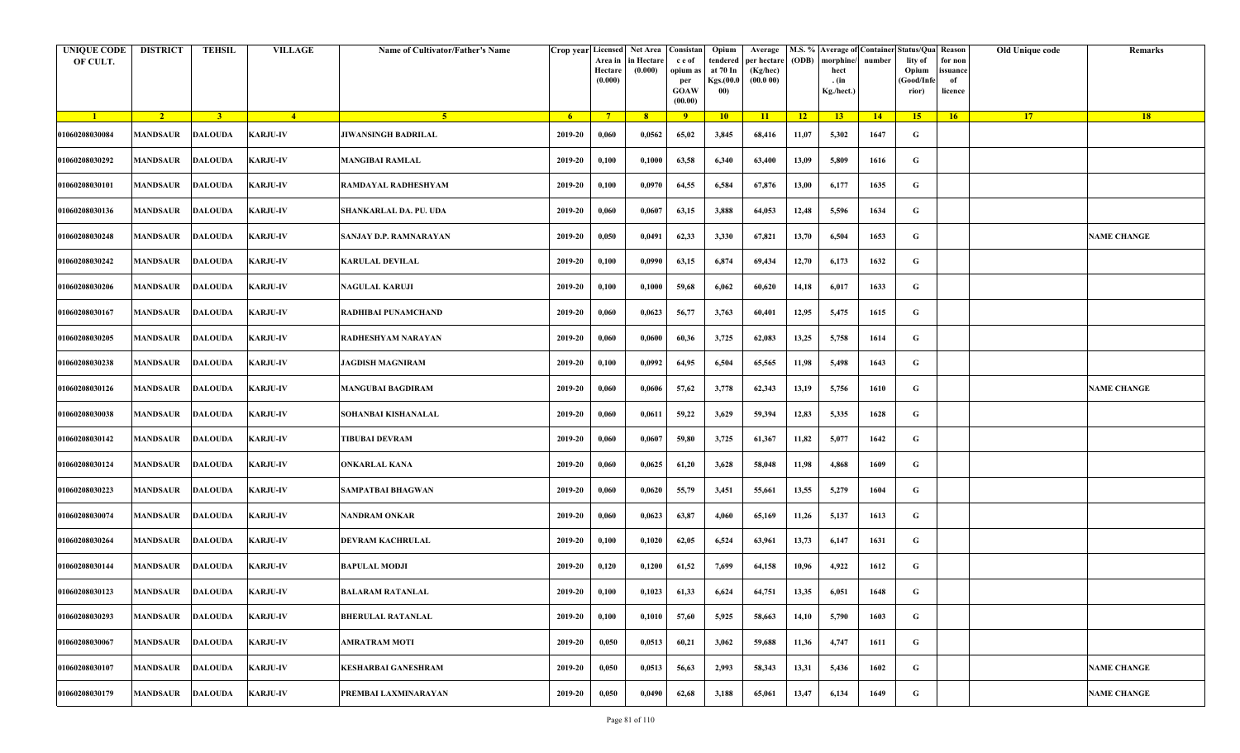| <b>UNIQUE CODE</b><br>OF CULT. | <b>DISTRICT</b>         | <b>TEHSIL</b>  | <b>VILLAGE</b>  | Name of Cultivator/Father's Name | Crop year Licensed | Area in<br>Hectare<br>(0.000) | Net Area Consistan<br>in Hectare<br>(0.000) | c e of<br>opium as<br>per<br><b>GOAW</b><br>(00.00) | Opium<br>tendered<br>at 70 In<br>Kgs.(00.0<br>00) | Average<br>per hectare<br>(Kg/hec)<br>(00.000) | (ODB) | M.S. % Average of Container Status/Qua Reason<br>morphine/<br>hect<br>. (in<br>Kg./hect.) | number | lity of<br>Opium<br>(Good/Infe<br>rior) | for non<br>ssuance<br>of<br>licence | Old Unique code | Remarks            |
|--------------------------------|-------------------------|----------------|-----------------|----------------------------------|--------------------|-------------------------------|---------------------------------------------|-----------------------------------------------------|---------------------------------------------------|------------------------------------------------|-------|-------------------------------------------------------------------------------------------|--------|-----------------------------------------|-------------------------------------|-----------------|--------------------|
| $\blacksquare$                 | $\sqrt{2}$              | 3 <sup>1</sup> | $\sqrt{4}$      | $\sqrt{5}$                       | - 6                | $7^{\circ}$                   | 8 <sup>°</sup>                              | $\overline{9}$                                      | 10                                                | 11                                             | $-12$ | 13                                                                                        | 14     | 15                                      | 16                                  | <b>17</b>       | 18                 |
| 01060208030084                 | <b>MANDSAUR</b>         | <b>DALOUDA</b> | <b>KARJU-IV</b> | <b>JIWANSINGH BADRILAL</b>       | 2019-20            | 0,060                         | 0,0562                                      | 65,02                                               | 3,845                                             | 68,416                                         | 11,07 | 5,302                                                                                     | 1647   | G                                       |                                     |                 |                    |
| 01060208030292                 | MANDSAUR                | <b>DALOUDA</b> | <b>KARJU-IV</b> | <b>MANGIBAI RAMLAL</b>           | 2019-20            | 0,100                         | 0,1000                                      | 63,58                                               | 6,340                                             | 63,400                                         | 13,09 | 5,809                                                                                     | 1616   | G                                       |                                     |                 |                    |
| 01060208030101                 | <b>MANDSAUR</b>         | <b>DALOUDA</b> | <b>KARJU-IV</b> | RAMDAYAL RADHESHYAM              | 2019-20            | 0,100                         | 0,0970                                      | 64,55                                               | 6,584                                             | 67,876                                         | 13,00 | 6,177                                                                                     | 1635   | G                                       |                                     |                 |                    |
| 01060208030136                 | <b>MANDSAUR</b>         | <b>DALOUDA</b> | <b>KARJU-IV</b> | SHANKARLAL DA. PU. UDA           | 2019-20            | 0,060                         | 0,0607                                      | 63,15                                               | 3,888                                             | 64,053                                         | 12,48 | 5,596                                                                                     | 1634   | G                                       |                                     |                 |                    |
| 01060208030248                 | MANDSAUR                | <b>DALOUDA</b> | <b>KARJU-IV</b> | SANJAY D.P. RAMNARAYAN           | 2019-20            | 0,050                         | 0,0491                                      | 62,33                                               | 3,330                                             | 67,821                                         | 13,70 | 6,504                                                                                     | 1653   | G                                       |                                     |                 | <b>NAME CHANGE</b> |
| 01060208030242                 | <b>MANDSAUR</b>         | <b>DALOUDA</b> | <b>KARJU-IV</b> | KARULAL DEVILAL                  | 2019-20            | 0,100                         | 0,0990                                      | 63,15                                               | 6,874                                             | 69,434                                         | 12,70 | 6,173                                                                                     | 1632   | G                                       |                                     |                 |                    |
| 01060208030206                 | MANDSAUR                | <b>DALOUDA</b> | <b>KARJU-IV</b> | NAGULAL KARUJI                   | 2019-20            | 0,100                         | 0,1000                                      | 59,68                                               | 6,062                                             | 60,620                                         | 14,18 | 6,017                                                                                     | 1633   | G                                       |                                     |                 |                    |
| 01060208030167                 | MANDSAUR                | <b>DALOUDA</b> | <b>KARJU-IV</b> | RADHIBAI PUNAMCHAND              | 2019-20            | 0,060                         | 0,0623                                      | 56,77                                               | 3,763                                             | 60,401                                         | 12,95 | 5,475                                                                                     | 1615   | G                                       |                                     |                 |                    |
| 01060208030205                 | MANDSAUR                | <b>DALOUDA</b> | <b>KARJU-IV</b> | RADHESHYAM NARAYAN               | 2019-20            | 0,060                         | 0,0600                                      | 60,36                                               | 3,725                                             | 62,083                                         | 13,25 | 5,758                                                                                     | 1614   | G                                       |                                     |                 |                    |
| 01060208030238                 | <b>MANDSAUR</b>         | <b>DALOUDA</b> | <b>KARJU-IV</b> | <b>JAGDISH MAGNIRAM</b>          | 2019-20            | 0,100                         | 0,0992                                      | 64,95                                               | 6,504                                             | 65,565                                         | 11,98 | 5,498                                                                                     | 1643   | G                                       |                                     |                 |                    |
| 01060208030126                 | <b>MANDSAUR</b>         | <b>DALOUDA</b> | <b>KARJU-IV</b> | <b>MANGUBAI BAGDIRAM</b>         | 2019-20            | 0,060                         | 0,0606                                      | 57,62                                               | 3,778                                             | 62,343                                         | 13,19 | 5,756                                                                                     | 1610   | G                                       |                                     |                 | <b>NAME CHANGE</b> |
| 01060208030038                 | <b>MANDSAUR</b>         | DALOUDA        | <b>KARJU-IV</b> | SOHANBAI KISHANALAL              | 2019-20            | 0,060                         | 0,0611                                      | 59,22                                               | 3,629                                             | 59,394                                         | 12,83 | 5,335                                                                                     | 1628   | G                                       |                                     |                 |                    |
| 01060208030142                 | MANDSAUR                | <b>DALOUDA</b> | <b>KARJU-IV</b> | <b>TIBUBAI DEVRAM</b>            | 2019-20            | 0,060                         | 0,0607                                      | 59,80                                               | 3,725                                             | 61,367                                         | 11,82 | 5,077                                                                                     | 1642   | G                                       |                                     |                 |                    |
| 01060208030124                 | MANDSAUR                | <b>DALOUDA</b> | <b>KARJU-IV</b> | ONKARLAL KANA                    | 2019-20            | 0,060                         | 0,0625                                      | 61,20                                               | 3,628                                             | 58,048                                         | 11,98 | 4,868                                                                                     | 1609   | G                                       |                                     |                 |                    |
| 01060208030223                 | <b>MANDSAUR</b>         | DALOUDA        | <b>KARJU-IV</b> | <b>SAMPATBAI BHAGWAN</b>         | 2019-20            | 0,060                         | 0,0620                                      | 55,79                                               | 3,451                                             | 55,661                                         | 13,55 | 5,279                                                                                     | 1604   | G                                       |                                     |                 |                    |
| 01060208030074                 | MANDSAUR                | <b>DALOUDA</b> | <b>KARJU-IV</b> | NANDRAM ONKAR                    | 2019-20            | 0,060                         | 0,0623                                      | 63,87                                               | 4,060                                             | 65,169                                         | 11,26 | 5,137                                                                                     | 1613   | G                                       |                                     |                 |                    |
| 01060208030264                 | MANDSAUR                | <b>DALOUDA</b> | <b>KARJU-IV</b> | DEVRAM KACHRULAL                 | 2019-20            | 0,100                         | 0,1020                                      | 62,05                                               | 6,524                                             | 63,961                                         | 13,73 | 6,147                                                                                     | 1631   | G                                       |                                     |                 |                    |
| 01060208030144                 | MANDSAUR                | <b>DALOUDA</b> | <b>KARJU-IV</b> | BAPULAL MODJI                    | 2019-20            | 0,120                         | 0,1200                                      | 61,52                                               | 7,699                                             | 64,158                                         | 10,96 | 4,922                                                                                     | 1612   | G                                       |                                     |                 |                    |
| 01060208030123                 | <b>MANDSAUR DALOUDA</b> |                | <b>KARJU-IV</b> | <b>BALARAM RATANLAL</b>          | $2019 - 20$        | 0,100                         | 0,1023                                      | 61,33                                               | 6,624                                             | 64,751                                         | 13,35 | 6,051                                                                                     | 1648   | G                                       |                                     |                 |                    |
| 01060208030293                 | MANDSAUR                | <b>DALOUDA</b> | <b>KARJU-IV</b> | <b>BHERULAL RATANLAL</b>         | 2019-20            | 0,100                         | 0,1010                                      | 57,60                                               | 5,925                                             | 58,663                                         | 14,10 | 5,790                                                                                     | 1603   | $\mathbf G$                             |                                     |                 |                    |
| 01060208030067                 | <b>MANDSAUR</b>         | <b>DALOUDA</b> | <b>KARJU-IV</b> | <b>AMRATRAM MOTI</b>             | 2019-20            | 0,050                         | 0,0513                                      | 60,21                                               | 3,062                                             | 59,688                                         | 11,36 | 4,747                                                                                     | 1611   | G                                       |                                     |                 |                    |
| 01060208030107                 | <b>MANDSAUR</b>         | <b>DALOUDA</b> | <b>KARJU-IV</b> | <b>KESHARBAI GANESHRAM</b>       | 2019-20            | 0,050                         | 0,0513                                      | 56,63                                               | 2,993                                             | 58,343                                         | 13,31 | 5,436                                                                                     | 1602   | G                                       |                                     |                 | <b>NAME CHANGE</b> |
| 01060208030179                 | MANDSAUR                | <b>DALOUDA</b> | <b>KARJU-IV</b> | PREMBAI LAXMINARAYAN             | 2019-20            | 0,050                         | 0,0490                                      | 62,68                                               | 3,188                                             | 65,061                                         | 13,47 | 6,134                                                                                     | 1649   | G                                       |                                     |                 | <b>NAME CHANGE</b> |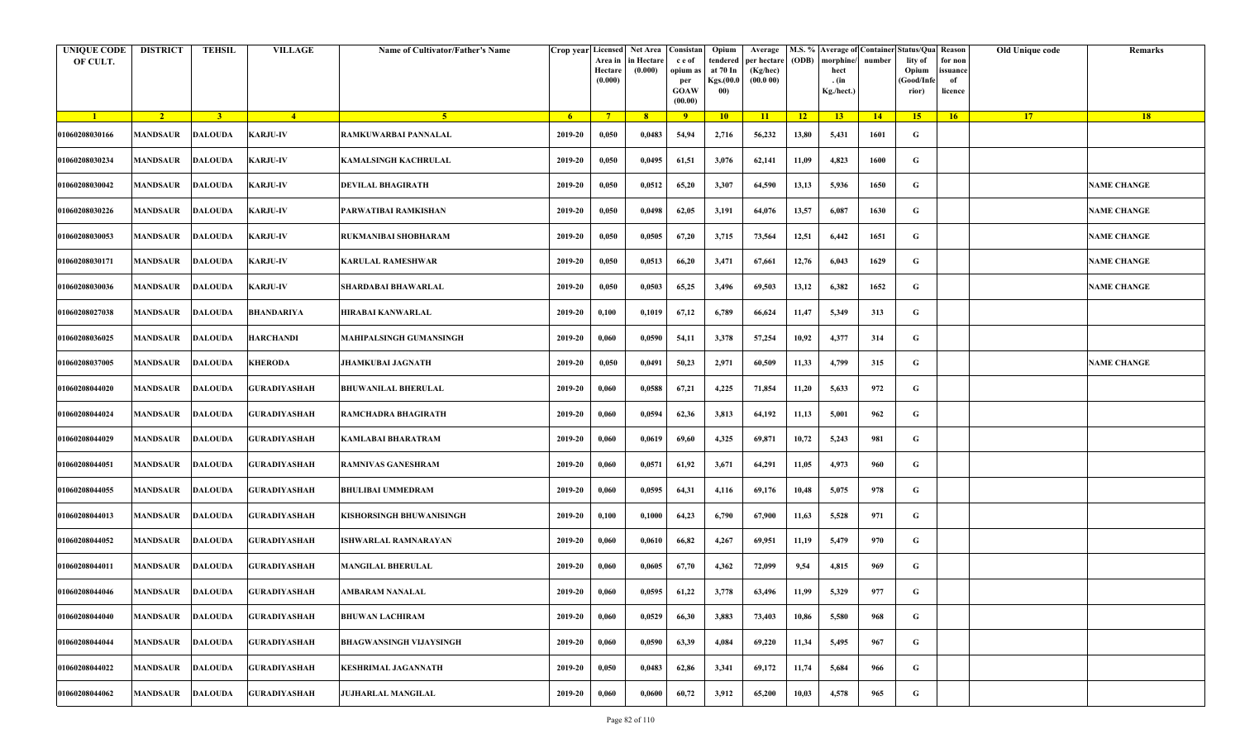| <b>UNIQUE CODE</b><br>OF CULT. | <b>DISTRICT</b> | <b>TEHSIL</b>  | <b>VILLAGE</b>                | Name of Cultivator/Father's Name | Crop year Licensed | Area in<br>Hectare<br>(0.000) | <b>Net Area</b><br>in Hectare<br>(0.000) | Consistan<br>c e of<br>opium a<br>per<br><b>GOAW</b><br>(00.00) | Opium<br>tendered<br>at 70 In<br>Kgs.(00.0<br>00) | Average<br>per hectare<br>(Kg/hec)<br>(00.000) | M.S. %<br>(ODB) | morphine<br>hect<br>. (in<br>Kg./hect.) | number | <b>Average of Container Status/Qua Reason</b><br>lity of<br>Opium<br>Good/Info<br>rior) | for non<br>issuance<br>of<br>licence | Old Unique code | Remarks            |
|--------------------------------|-----------------|----------------|-------------------------------|----------------------------------|--------------------|-------------------------------|------------------------------------------|-----------------------------------------------------------------|---------------------------------------------------|------------------------------------------------|-----------------|-----------------------------------------|--------|-----------------------------------------------------------------------------------------|--------------------------------------|-----------------|--------------------|
| $\blacksquare$                 | $\sqrt{2}$      | $\overline{3}$ | $-4$                          | -5.                              | $6^{\circ}$        | $7^{\circ}$                   | 8 <sup>2</sup>                           | $-9$                                                            | 10                                                | 11                                             | $\overline{12}$ | 13                                      | 14     | 15 <sup>2</sup>                                                                         | 16                                   | 17              | 18                 |
| 01060208030166                 | <b>MANDSAUR</b> | <b>DALOUDA</b> | <b>KARJU-IV</b>               | RAMKUWARBAI PANNALAL             | 2019-20            | 0,050                         | 0,0483                                   | 54,94                                                           | 2,716                                             | 56,232                                         | 13,80           | 5,431                                   | 1601   | G                                                                                       |                                      |                 |                    |
| 01060208030234                 | <b>MANDSAUR</b> | <b>DALOUDA</b> | <b>KARJU-IV</b>               | KAMALSINGH KACHRULAL             | 2019-20            | 0,050                         | 0,0495                                   | 61,51                                                           | 3,076                                             | 62,141                                         | 11,09           | 4,823                                   | 1600   | G                                                                                       |                                      |                 |                    |
| 01060208030042                 | <b>MANDSAUR</b> | <b>DALOUDA</b> | <b>KARJU-IV</b>               | <b>DEVILAL BHAGIRATH</b>         | 2019-20            | 0,050                         | 0,0512                                   | 65,20                                                           | 3,307                                             | 64,590                                         | 13,13           | 5,936                                   | 1650   | G                                                                                       |                                      |                 | <b>NAME CHANGE</b> |
| 01060208030226                 | <b>MANDSAUR</b> | <b>DALOUDA</b> | <b>KARJU-IV</b>               | PARWATIBAI RAMKISHAN             | 2019-20            | 0,050                         | 0,0498                                   | 62,05                                                           | 3,191                                             | 64,076                                         | 13,57           | 6,087                                   | 1630   | G                                                                                       |                                      |                 | <b>NAME CHANGE</b> |
| 01060208030053                 | <b>MANDSAUR</b> | <b>DALOUDA</b> | <b>KARJU-IV</b>               | RUKMANIBAI SHOBHARAM             | 2019-20            | 0,050                         | 0,0505                                   | 67,20                                                           | 3,715                                             | 73,564                                         | 12,51           | 6,442                                   | 1651   | G                                                                                       |                                      |                 | <b>NAME CHANGE</b> |
| 01060208030171                 | MANDSAUR        | <b>DALOUDA</b> | <b>KARJU-IV</b>               | <b>KARULAL RAMESHWAR</b>         | 2019-20            | 0,050                         | 0,0513                                   | 66,20                                                           | 3,471                                             | 67,661                                         | 12,76           | 6,043                                   | 1629   | G                                                                                       |                                      |                 | <b>NAME CHANGE</b> |
| 01060208030036                 | <b>MANDSAUR</b> | <b>DALOUDA</b> | <b>KARJU-IV</b>               | SHARDABAI BHAWARLAL              | 2019-20            | 0,050                         | 0,0503                                   | 65,25                                                           | 3,496                                             | 69,503                                         | 13,12           | 6,382                                   | 1652   | G                                                                                       |                                      |                 | <b>NAME CHANGE</b> |
| 01060208027038                 | <b>MANDSAUR</b> | <b>DALOUDA</b> | <b>BHANDARIYA</b>             | HIRABAI KANWARLAL                | 2019-20            | 0,100                         | 0,1019                                   | 67,12                                                           | 6,789                                             | 66,624                                         | 11,47           | 5,349                                   | 313    | G                                                                                       |                                      |                 |                    |
| 01060208036025                 | MANDSAUR        | DALOUDA        | <b>HARCHANDI</b>              | <b>MAHIPALSINGH GUMANSINGH</b>   | 2019-20            | 0,060                         | 0,0590                                   | 54,11                                                           | 3,378                                             | 57,254                                         | 10,92           | 4,377                                   | 314    | G                                                                                       |                                      |                 |                    |
| 01060208037005                 | <b>MANDSAUR</b> | <b>DALOUDA</b> | <b>KHERODA</b>                | <b>JHAMKUBAI JAGNATH</b>         | 2019-20            | 0,050                         | 0,0491                                   | 50,23                                                           | 2,971                                             | 60,509                                         | 11,33           | 4,799                                   | 315    | G                                                                                       |                                      |                 | <b>NAME CHANGE</b> |
| 01060208044020                 | <b>MANDSAUR</b> | <b>DALOUDA</b> | <b>GURADIYASHAH</b>           | <b>BHUWANILAL BHERULAL</b>       | 2019-20            | 0,060                         | 0,0588                                   | 67,21                                                           | 4,225                                             | 71,854                                         | 11,20           | 5,633                                   | 972    | G                                                                                       |                                      |                 |                    |
| 01060208044024                 | <b>MANDSAUR</b> | <b>DALOUDA</b> | <b>GURADIYASHAH</b>           | RAMCHADRA BHAGIRATH              | 2019-20            | 0,060                         | 0,0594                                   | 62,36                                                           | 3,813                                             | 64,192                                         | 11,13           | 5,001                                   | 962    | G                                                                                       |                                      |                 |                    |
| 01060208044029                 | <b>MANDSAUR</b> | <b>DALOUDA</b> | <b>GURADIYASHAH</b>           | KAMLABAI BHARATRAM               | 2019-20            | 0,060                         | 0,0619                                   | 69,60                                                           | 4,325                                             | 69,871                                         | 10,72           | 5,243                                   | 981    | G                                                                                       |                                      |                 |                    |
| 01060208044051                 | <b>MANDSAUR</b> | <b>DALOUDA</b> | <b>GURADIYASHAH</b>           | <b>RAMNIVAS GANESHRAM</b>        | 2019-20            | 0,060                         | 0,0571                                   | 61,92                                                           | 3,671                                             | 64,291                                         | 11,05           | 4,973                                   | 960    | G                                                                                       |                                      |                 |                    |
| 01060208044055                 | MANDSAUR        | <b>DALOUDA</b> | <b>GURADIYASHAH</b>           | <b>BHULIBAI UMMEDRAM</b>         | 2019-20            | 0,060                         | 0,0595                                   | 64,31                                                           | 4,116                                             | 69,176                                         | 10,48           | 5,075                                   | 978    | G                                                                                       |                                      |                 |                    |
| 01060208044013                 | <b>MANDSAUR</b> | <b>DALOUDA</b> | <b>GURADIYASHAH</b>           | KISHORSINGH BHUWANISINGH         | 2019-20            | 0,100                         | 0,1000                                   | 64,23                                                           | 6,790                                             | 67,900                                         | 11,63           | 5,528                                   | 971    | G                                                                                       |                                      |                 |                    |
| 01060208044052                 | <b>MANDSAUR</b> | <b>DALOUDA</b> | <b>GURADIYASHAH</b>           | <b>ISHWARLAL RAMNARAYAN</b>      | 2019-20            | 0,060                         | 0,0610                                   | 66,82                                                           | 4,267                                             | 69,951                                         | 11,19           | 5,479                                   | 970    | G                                                                                       |                                      |                 |                    |
| 01060208044011                 | MANDSAUR        | DALOUDA        | <b>GURADIYASHAH</b>           | <b>MANGILAL BHERULAL</b>         | 2019-20            | 0,060                         | 0,0605                                   | 67,70                                                           | 4,362                                             | 72,099                                         | 9,54            | 4,815                                   | 969    | G                                                                                       |                                      |                 |                    |
| 01060208044046                 |                 |                | MANDSAUR DALOUDA GURADIYASHAH | AMBARAM NANALAL                  | $2019 - 20$        | 0,060                         | 0,0595                                   | 61,22                                                           | 3,778                                             | 63,496                                         | 11,99           | 5,329                                   | 977    | G                                                                                       |                                      |                 |                    |
| 01060208044040                 | <b>MANDSAUR</b> | <b>DALOUDA</b> | <b>GURADIYASHAH</b>           | <b>BHUWAN LACHIRAM</b>           | 2019-20            | 0,060                         | 0,0529                                   | 66,30                                                           | 3,883                                             | 73,403                                         | 10,86           | 5,580                                   | 968    | G                                                                                       |                                      |                 |                    |
| 01060208044044                 | <b>MANDSAUR</b> | DALOUDA        | <b>GURADIYASHAH</b>           | BHAGWANSINGH VIJAYSINGH          | 2019-20            | 0,060                         | 0,0590                                   | 63,39                                                           | 4,084                                             | 69,220                                         | 11,34           | 5,495                                   | 967    | G                                                                                       |                                      |                 |                    |
| 01060208044022                 | <b>MANDSAUR</b> | <b>DALOUDA</b> | <b>GURADIYASHAH</b>           | <b>KESHRIMAL JAGANNATH</b>       | 2019-20            | 0,050                         | 0,0483                                   | 62,86                                                           | 3,341                                             | 69,172                                         | 11,74           | 5,684                                   | 966    | G                                                                                       |                                      |                 |                    |
| 01060208044062                 | <b>MANDSAUR</b> | <b>DALOUDA</b> | <b>GURADIYASHAH</b>           | JUJHARLAL MANGILAL               | 2019-20            | 0,060                         | 0,0600                                   | 60,72                                                           | 3,912                                             | 65,200                                         | 10,03           | 4,578                                   | 965    | G                                                                                       |                                      |                 |                    |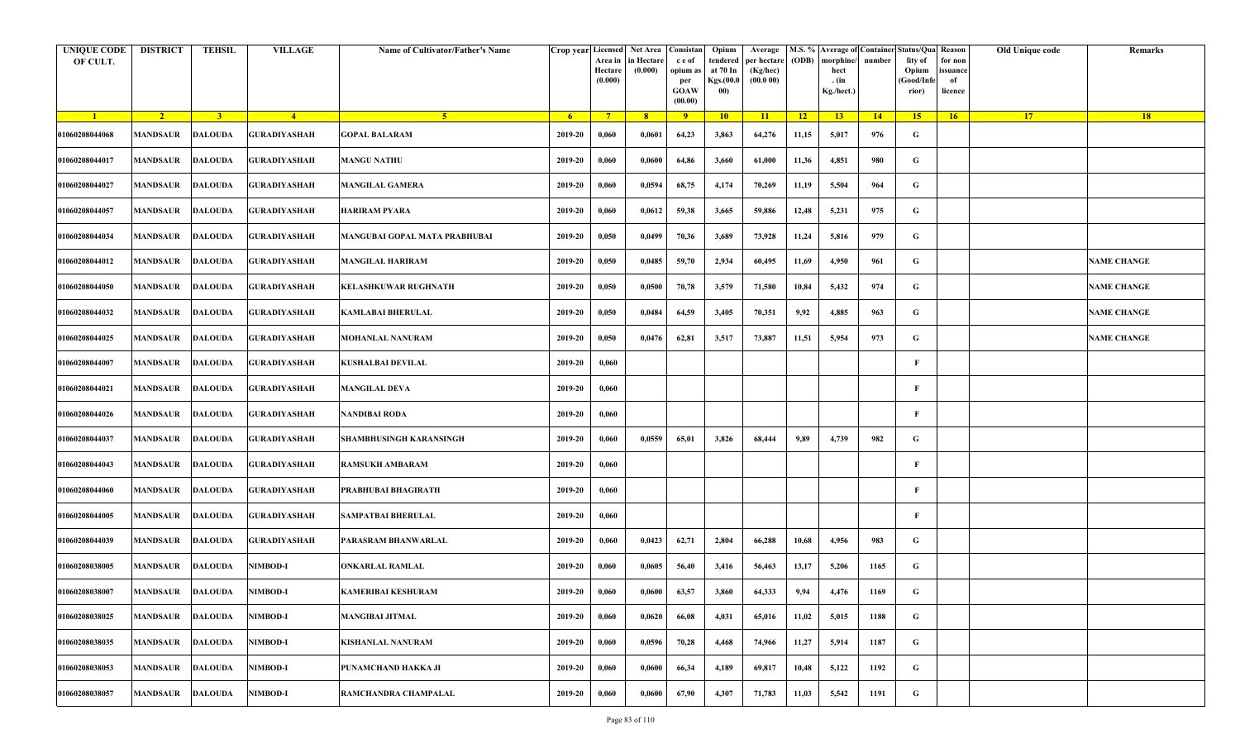| <b>UNIQUE CODE</b><br>OF CULT. | <b>DISTRICT</b>         | <b>TEHSIL</b>  | <b>VILLAGE</b>      | Name of Cultivator/Father's Name |         | Crop year Licensed Net Area Consistan<br>Area in<br>Hectare<br>(0.000) | in Hectare<br>(0.000) | c e of<br>opium as<br>per<br><b>GOAW</b><br>(00.00) | Opium<br>tendered<br>at 70 In<br>Kgs.(00.0<br>00) | Average<br>per hectare<br>(Kg/hec)<br>(00.000) | (ODB) | M.S. % Average of Container Status/Qua Reason<br>morphine/<br>hect<br>. (in<br>Kg./hect.) | number | lity of<br>Opium<br>(Good/Infe<br>rior) | for non<br>ssuance<br>of<br>licence | Old Unique code | Remarks            |
|--------------------------------|-------------------------|----------------|---------------------|----------------------------------|---------|------------------------------------------------------------------------|-----------------------|-----------------------------------------------------|---------------------------------------------------|------------------------------------------------|-------|-------------------------------------------------------------------------------------------|--------|-----------------------------------------|-------------------------------------|-----------------|--------------------|
| $\blacksquare$                 | $\sqrt{2}$              | 3 <sup>1</sup> | $-4$                | 5 <sup>1</sup>                   | - 6 -   | $7^{\circ}$                                                            | 8 <sup>°</sup>        | 9                                                   | 10                                                | 11                                             | $-12$ | 13                                                                                        | 14     | 15                                      | 16                                  | <b>17</b>       | 18                 |
| 01060208044068                 | <b>MANDSAUR</b>         | <b>DALOUDA</b> | <b>GURADIYASHAH</b> | <b>GOPAL BALARAM</b>             | 2019-20 | 0,060                                                                  | 0,0601                | 64,23                                               | 3,863                                             | 64,276                                         | 11,15 | 5,017                                                                                     | 976    | G                                       |                                     |                 |                    |
| 01060208044017                 | MANDSAUR                | <b>DALOUDA</b> | <b>GURADIYASHAH</b> | <b>MANGU NATHU</b>               | 2019-20 | 0,060                                                                  | 0,0600                | 64,86                                               | 3,660                                             | 61,000                                         | 11,36 | 4,851                                                                                     | 980    | G                                       |                                     |                 |                    |
| 01060208044027                 | <b>MANDSAUR</b>         | <b>DALOUDA</b> | <b>GURADIYASHAH</b> | <b>MANGILAL GAMERA</b>           | 2019-20 | 0,060                                                                  | 0,0594                | 68,75                                               | 4,174                                             | 70,269                                         | 11,19 | 5,504                                                                                     | 964    | G                                       |                                     |                 |                    |
| 01060208044057                 | MANDSAUR                | <b>DALOUDA</b> | GURADIYASHAH        | <b>HARIRAM PYARA</b>             | 2019-20 | 0,060                                                                  | 0,0612                | 59,38                                               | 3,665                                             | 59,886                                         | 12,48 | 5,231                                                                                     | 975    | G                                       |                                     |                 |                    |
| 01060208044034                 | <b>MANDSAUR</b>         | <b>DALOUDA</b> | <b>GURADIYASHAH</b> | MANGUBAI GOPAL MATA PRABHUBAI    | 2019-20 | 0,050                                                                  | 0,0499                | 70,36                                               | 3,689                                             | 73,928                                         | 11,24 | 5,816                                                                                     | 979    | G                                       |                                     |                 |                    |
| 01060208044012                 | MANDSAUR                | <b>DALOUDA</b> | <b>GURADIYASHAH</b> | <b>MANGILAL HARIRAM</b>          | 2019-20 | 0,050                                                                  | 0,0485                | 59,70                                               | 2,934                                             | 60,495                                         | 11,69 | 4,950                                                                                     | 961    | G                                       |                                     |                 | <b>NAME CHANGE</b> |
| 01060208044050                 | MANDSAUR                | <b>DALOUDA</b> | <b>GURADIYASHAH</b> | <b>KELASHKUWAR RUGHNATH</b>      | 2019-20 | 0,050                                                                  | 0,0500                | 70,78                                               | 3,579                                             | 71,580                                         | 10,84 | 5,432                                                                                     | 974    | G                                       |                                     |                 | <b>NAME CHANGE</b> |
| 01060208044032                 | MANDSAUR                | <b>DALOUDA</b> | <b>GURADIYASHAH</b> | <b>KAMLABAI BHERULAL</b>         | 2019-20 | 0,050                                                                  | 0,0484                | 64,59                                               | 3,405                                             | 70,351                                         | 9,92  | 4,885                                                                                     | 963    | G                                       |                                     |                 | <b>NAME CHANGE</b> |
| 01060208044025                 | <b>MANDSAUR</b>         | <b>DALOUDA</b> | <b>GURADIYASHAH</b> | <b>MOHANLAL NANURAM</b>          | 2019-20 | 0,050                                                                  | 0,0476                | 62,81                                               | 3,517                                             | 73,887                                         | 11,51 | 5,954                                                                                     | 973    | G                                       |                                     |                 | <b>NAME CHANGE</b> |
| 01060208044007                 | <b>MANDSAUR</b>         | <b>DALOUDA</b> | <b>GURADIYASHAH</b> | <b>KUSHALBAI DEVILAL</b>         | 2019-20 | 0,060                                                                  |                       |                                                     |                                                   |                                                |       |                                                                                           |        | F                                       |                                     |                 |                    |
| 01060208044021                 | MANDSAUR                | <b>DALOUDA</b> | <b>GURADIYASHAH</b> | <b>MANGILAL DEVA</b>             | 2019-20 | 0,060                                                                  |                       |                                                     |                                                   |                                                |       |                                                                                           |        | F                                       |                                     |                 |                    |
| 01060208044026                 | <b>MANDSAUR</b>         | <b>DALOUDA</b> | <b>GURADIYASHAH</b> | NANDIBAI RODA                    | 2019-20 | 0,060                                                                  |                       |                                                     |                                                   |                                                |       |                                                                                           |        | F                                       |                                     |                 |                    |
| 01060208044037                 | MANDSAUR                | <b>DALOUDA</b> | <b>GURADIYASHAH</b> | <b>SHAMBHUSINGH KARANSINGH</b>   | 2019-20 | 0,060                                                                  | 0,0559                | 65,01                                               | 3,826                                             | 68,444                                         | 9,89  | 4,739                                                                                     | 982    | G                                       |                                     |                 |                    |
| 01060208044043                 | <b>MANDSAUR</b>         | <b>DALOUDA</b> | <b>GURADIYASHAH</b> | <b>RAMSUKH AMBARAM</b>           | 2019-20 | 0,060                                                                  |                       |                                                     |                                                   |                                                |       |                                                                                           |        | F                                       |                                     |                 |                    |
| 01060208044060                 | MANDSAUR                | <b>DALOUDA</b> | <b>GURADIYASHAH</b> | PRABHUBAI BHAGIRATH              | 2019-20 | 0,060                                                                  |                       |                                                     |                                                   |                                                |       |                                                                                           |        | F                                       |                                     |                 |                    |
| 01060208044005                 | MANDSAUR                | DALOUDA        | <b>GURADIYASHAH</b> | SAMPATBAI BHERULAL               | 2019-20 | 0,060                                                                  |                       |                                                     |                                                   |                                                |       |                                                                                           |        | F                                       |                                     |                 |                    |
| 01060208044039                 | <b>MANDSAUR</b>         | <b>DALOUDA</b> | <b>GURADIYASHAH</b> | PARASRAM BHANWARLAL              | 2019-20 | 0,060                                                                  | 0,0423                | 62,71                                               | 2,804                                             | 66,288                                         | 10,68 | 4,956                                                                                     | 983    | G                                       |                                     |                 |                    |
| 01060208038005                 | MANDSAUR                | <b>DALOUDA</b> | <b>NIMBOD-I</b>     | <b>ONKARLAL RAMLAL</b>           | 2019-20 | 0,060                                                                  | 0,0605                | 56,40                                               | 3,416                                             | 56,463                                         | 13,17 | 5,206                                                                                     | 1165   | G                                       |                                     |                 |                    |
| 01060208038007                 | <b>MANDSAUR DALOUDA</b> |                | <b>NIMBOD-I</b>     | <b>KAMERIBAI KESHURAM</b>        | 2019-20 | 0,060                                                                  | 0,0600                | 63,57                                               | 3,860                                             | 64,333                                         | 9,94  | 4,476                                                                                     | 1169   | G                                       |                                     |                 |                    |
| 01060208038025                 | <b>MANDSAUR</b>         | <b>DALOUDA</b> | <b>NIMBOD-I</b>     | <b>MANGIBAI JITMAL</b>           | 2019-20 | 0,060                                                                  | 0,0620                | 66,08                                               | 4,031                                             | 65,016                                         | 11,02 | 5,015                                                                                     | 1188   | $\mathbf G$                             |                                     |                 |                    |
| 01060208038035                 | <b>MANDSAUR</b>         | <b>DALOUDA</b> | <b>NIMBOD-I</b>     | <b>KISHANLAL NANURAM</b>         | 2019-20 | 0,060                                                                  | 0,0596                | 70,28                                               | 4,468                                             | 74,966                                         | 11,27 | 5,914                                                                                     | 1187   | G                                       |                                     |                 |                    |
| 01060208038053                 | MANDSAUR                | <b>DALOUDA</b> | <b>NIMBOD-I</b>     | PUNAMCHAND HAKKA JI              | 2019-20 | 0,060                                                                  | 0,0600                | 66,34                                               | 4,189                                             | 69,817                                         | 10,48 | 5,122                                                                                     | 1192   | G                                       |                                     |                 |                    |
| 01060208038057                 | <b>MANDSAUR</b>         | <b>DALOUDA</b> | <b>NIMBOD-I</b>     | RAMCHANDRA CHAMPALAL             | 2019-20 | 0,060                                                                  | 0,0600                | 67,90                                               | 4,307                                             | 71,783                                         | 11,03 | 5,542                                                                                     | 1191   | G                                       |                                     |                 |                    |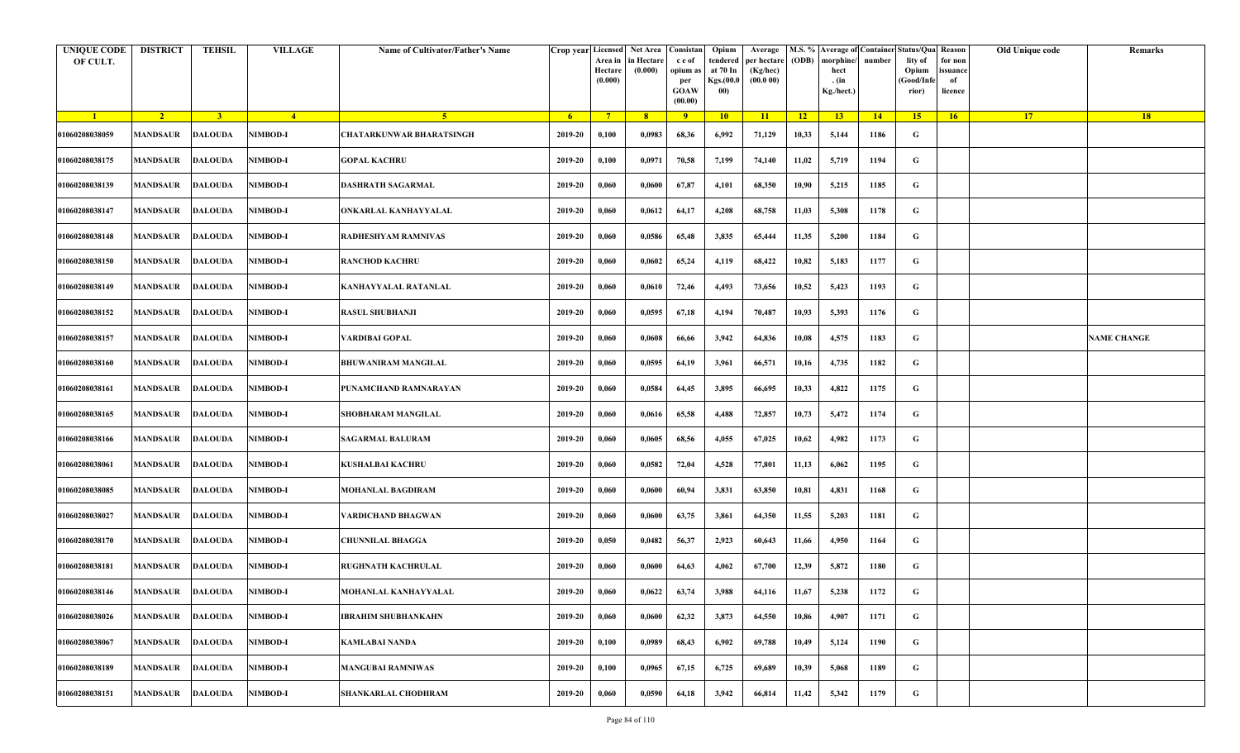| <b>UNIQUE CODE</b><br>OF CULT. | <b>DISTRICT</b>         | <b>TEHSIL</b>  | <b>VILLAGE</b>  | Name of Cultivator/Father's Name |         | Crop year Licensed<br>Area in<br>Hectare<br>(0.000) | Net Area   Consistan<br>in Hectare<br>(0.000) | c e of<br>opium as<br>per<br><b>GOAW</b><br>(00.00) | Opium<br>tendered<br>at 70 In<br>Kgs.(00.0<br>00) | Average<br>per hectare<br>(Kg/hec)<br>(00.000) | (ODB) | M.S. % Average of Container Status/Qua Reason<br>morphine/<br>hect<br>. (in<br>Kg./hect.) | number | lity of<br>Opium<br>(Good/Infe<br>rior) | for non<br>ssuance<br>of<br>licence | Old Unique code | Remarks            |
|--------------------------------|-------------------------|----------------|-----------------|----------------------------------|---------|-----------------------------------------------------|-----------------------------------------------|-----------------------------------------------------|---------------------------------------------------|------------------------------------------------|-------|-------------------------------------------------------------------------------------------|--------|-----------------------------------------|-------------------------------------|-----------------|--------------------|
| $\blacksquare$                 | $\sqrt{2}$              | 3 <sup>1</sup> | $\frac{4}{ }$   | 5 <sup>1</sup>                   | $-6$    | $7^{\circ}$                                         | 8 <sup>°</sup>                                | $\overline{9}$                                      | 10                                                | 11                                             | $-12$ | 13                                                                                        | 14     | 15                                      | 16                                  | <b>17</b>       | 18                 |
| 01060208038059                 | <b>MANDSAUR</b>         | <b>DALOUDA</b> | <b>NIMBOD-I</b> | CHATARKUNWAR BHARATSINGH         | 2019-20 | 0,100                                               | 0,0983                                        | 68,36                                               | 6,992                                             | 71,129                                         | 10,33 | 5,144                                                                                     | 1186   | G                                       |                                     |                 |                    |
| 01060208038175                 | MANDSAUR                | <b>DALOUDA</b> | <b>NIMBOD-I</b> | <b>GOPAL KACHRU</b>              | 2019-20 | 0,100                                               | 0,0971                                        | 70,58                                               | 7,199                                             | 74,140                                         | 11,02 | 5,719                                                                                     | 1194   | G                                       |                                     |                 |                    |
| 01060208038139                 | <b>MANDSAUR</b>         | <b>DALOUDA</b> | <b>NIMBOD-I</b> | DASHRATH SAGARMAL                | 2019-20 | 0,060                                               | 0,0600                                        | 67,87                                               | 4,101                                             | 68,350                                         | 10,90 | 5,215                                                                                     | 1185   | G                                       |                                     |                 |                    |
| 01060208038147                 | MANDSAUR                | <b>DALOUDA</b> | <b>NIMBOD-I</b> | ONKARLAL KANHAYYALAL             | 2019-20 | 0,060                                               | 0,0612                                        | 64,17                                               | 4,208                                             | 68,758                                         | 11,03 | 5,308                                                                                     | 1178   | G                                       |                                     |                 |                    |
| 01060208038148                 | <b>MANDSAUR</b>         | <b>DALOUDA</b> | <b>NIMBOD-I</b> | RADHESHYAM RAMNIVAS              | 2019-20 | 0,060                                               | 0,0586                                        | 65,48                                               | 3,835                                             | 65,444                                         | 11,35 | 5,200                                                                                     | 1184   | G                                       |                                     |                 |                    |
| 01060208038150                 | MANDSAUR                | <b>DALOUDA</b> | <b>NIMBOD-I</b> | <b>RANCHOD KACHRU</b>            | 2019-20 | 0,060                                               | 0,0602                                        | 65,24                                               | 4,119                                             | 68,422                                         | 10,82 | 5,183                                                                                     | 1177   | G                                       |                                     |                 |                    |
| 01060208038149                 | MANDSAUR                | <b>DALOUDA</b> | <b>NIMBOD-I</b> | KANHAYYALAL RATANLAL             | 2019-20 | 0,060                                               | 0,0610                                        | 72,46                                               | 4,493                                             | 73,656                                         | 10,52 | 5,423                                                                                     | 1193   | G                                       |                                     |                 |                    |
| 01060208038152                 | MANDSAUR                | <b>DALOUDA</b> | <b>NIMBOD-I</b> | <b>RASUL SHUBHANJI</b>           | 2019-20 | 0,060                                               | 0,0595                                        | 67,18                                               | 4,194                                             | 70,487                                         | 10,93 | 5,393                                                                                     | 1176   | G                                       |                                     |                 |                    |
| 01060208038157                 | <b>MANDSAUR</b>         | <b>DALOUDA</b> | <b>NIMBOD-I</b> | VARDIBAI GOPAL                   | 2019-20 | 0,060                                               | 0,0608                                        | 66,66                                               | 3,942                                             | 64,836                                         | 10,08 | 4,575                                                                                     | 1183   | G                                       |                                     |                 | <b>NAME CHANGE</b> |
| 01060208038160                 | <b>MANDSAUR</b>         | <b>DALOUDA</b> | <b>NIMBOD-I</b> | <b>BHUWANIRAM MANGILAL</b>       | 2019-20 | 0,060                                               | 0,0595                                        | 64,19                                               | 3,961                                             | 66,571                                         | 10,16 | 4,735                                                                                     | 1182   | G                                       |                                     |                 |                    |
| 01060208038161                 | MANDSAUR                | <b>DALOUDA</b> | <b>NIMBOD-I</b> | PUNAMCHAND RAMNARAYAN            | 2019-20 | 0,060                                               | 0,0584                                        | 64,45                                               | 3,895                                             | 66,695                                         | 10,33 | 4,822                                                                                     | 1175   | G                                       |                                     |                 |                    |
| 01060208038165                 | <b>MANDSAUR</b>         | <b>DALOUDA</b> | <b>NIMBOD-I</b> | SHOBHARAM MANGILAL               | 2019-20 | 0,060                                               | 0,0616                                        | 65,58                                               | 4,488                                             | 72,857                                         | 10,73 | 5,472                                                                                     | 1174   | G                                       |                                     |                 |                    |
| 01060208038166                 | MANDSAUR                | <b>DALOUDA</b> | NIMBOD-I        | <b>SAGARMAL BALURAM</b>          | 2019-20 | 0,060                                               | 0,0605                                        | 68,56                                               | 4,055                                             | 67,025                                         | 10,62 | 4,982                                                                                     | 1173   | G                                       |                                     |                 |                    |
| 01060208038061                 | <b>MANDSAUR</b>         | <b>DALOUDA</b> | <b>NIMBOD-I</b> | KUSHALBAI KACHRU                 | 2019-20 | 0,060                                               | 0,0582                                        | 72,04                                               | 4,528                                             | 77,801                                         | 11,13 | 6,062                                                                                     | 1195   | G                                       |                                     |                 |                    |
| 01060208038085                 | MANDSAUR                | <b>DALOUDA</b> | <b>NIMBOD-I</b> | <b>MOHANLAL BAGDIRAM</b>         | 2019-20 | 0,060                                               | 0,0600                                        | 60,94                                               | 3,831                                             | 63,850                                         | 10,81 | 4,831                                                                                     | 1168   | G                                       |                                     |                 |                    |
| 01060208038027                 | MANDSAUR                | <b>DALOUDA</b> | <b>NIMBOD-I</b> | VARDICHAND BHAGWAN               | 2019-20 | 0,060                                               | 0,0600                                        | 63,75                                               | 3,861                                             | 64,350                                         | 11,55 | 5,203                                                                                     | 1181   | G                                       |                                     |                 |                    |
| 01060208038170                 | <b>MANDSAUR</b>         | <b>DALOUDA</b> | <b>NIMBOD-I</b> | CHUNNILAL BHAGGA                 | 2019-20 | 0,050                                               | 0,0482                                        | 56,37                                               | 2,923                                             | 60,643                                         | 11,66 | 4,950                                                                                     | 1164   | G                                       |                                     |                 |                    |
| 01060208038181                 | MANDSAUR                | <b>DALOUDA</b> | <b>NIMBOD-I</b> | <b>RUGHNATH KACHRULAL</b>        | 2019-20 | 0,060                                               | 0,0600                                        | 64,63                                               | 4,062                                             | 67,700                                         | 12,39 | 5,872                                                                                     | 1180   | G                                       |                                     |                 |                    |
| 01060208038146                 | <b>MANDSAUR DALOUDA</b> |                | <b>NIMBOD-I</b> | MOHANLAL KANHAYYALAL             | 2019-20 | 0,060                                               | 0,0622                                        | 63,74                                               | 3,988                                             | 64,116                                         | 11,67 | 5,238                                                                                     | 1172   | G                                       |                                     |                 |                    |
| 01060208038026                 | <b>MANDSAUR</b>         | <b>DALOUDA</b> | <b>NIMBOD-I</b> | <b>IBRAHIM SHUBHANKAHN</b>       | 2019-20 | 0,060                                               | 0,0600                                        | 62,32                                               | 3,873                                             | 64,550                                         | 10,86 | 4,907                                                                                     | 1171   | $\mathbf G$                             |                                     |                 |                    |
| 01060208038067                 | <b>MANDSAUR</b>         | <b>DALOUDA</b> | <b>NIMBOD-I</b> | <b>KAMLABAI NANDA</b>            | 2019-20 | 0,100                                               | 0,0989                                        | 68,43                                               | 6,902                                             | 69,788                                         | 10,49 | 5,124                                                                                     | 1190   | G                                       |                                     |                 |                    |
| 01060208038189                 | MANDSAUR                | <b>DALOUDA</b> | <b>NIMBOD-I</b> | <b>MANGUBAI RAMNIWAS</b>         | 2019-20 | 0,100                                               | 0,0965                                        | 67,15                                               | 6,725                                             | 69,689                                         | 10,39 | 5,068                                                                                     | 1189   | G                                       |                                     |                 |                    |
| 01060208038151                 | <b>MANDSAUR</b>         | <b>DALOUDA</b> | <b>NIMBOD-I</b> | SHANKARLAL CHODHRAM              | 2019-20 | 0,060                                               | 0,0590                                        | 64,18                                               | 3,942                                             | 66,814                                         | 11,42 | 5,342                                                                                     | 1179   | G                                       |                                     |                 |                    |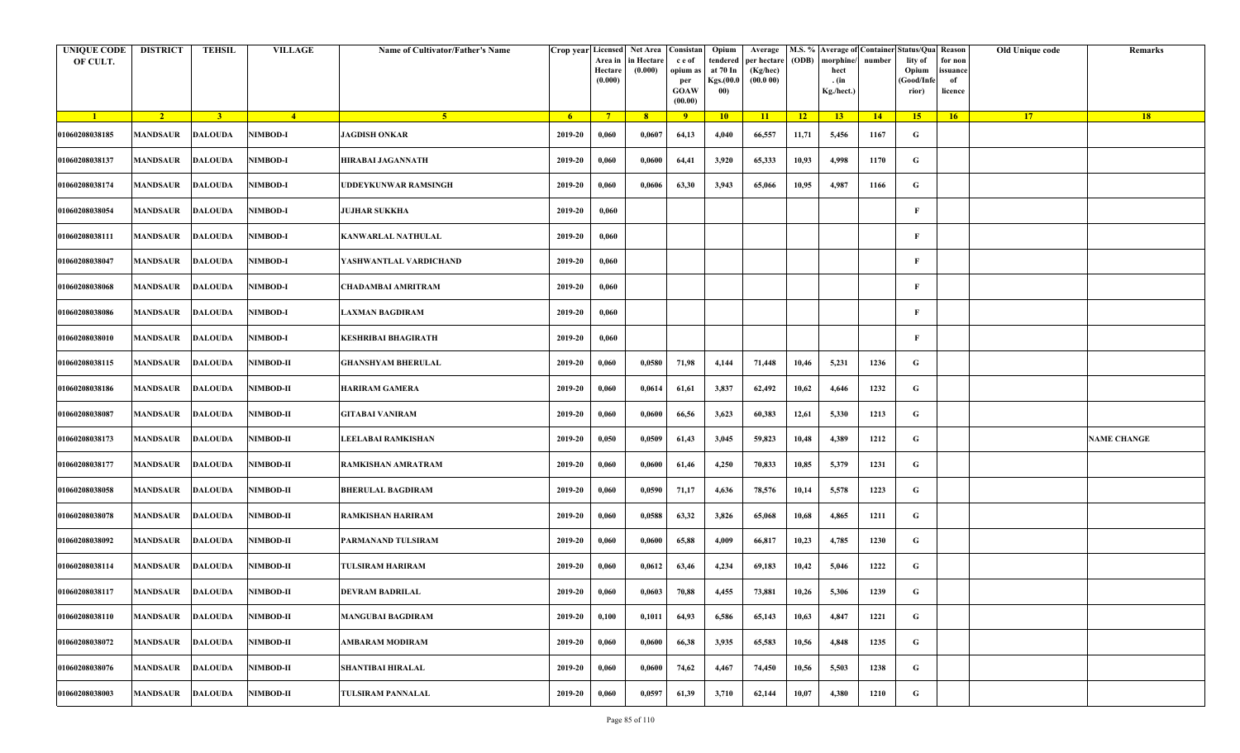| <b>UNIQUE CODE</b><br>OF CULT. | <b>DISTRICT</b>         | TEHSIL         | <b>VILLAGE</b>   | Name of Cultivator/Father's Name | Crop year Licensed | Area in<br>Hectare<br>(0.000) | Net Area Consistan<br>in Hectare<br>(0.000) | c e of<br>opium as<br>per<br><b>GOAW</b><br>(00.00) | Opium<br>tendered<br>at 70 In<br>Kgs.(00.0<br>00) | Average<br>per hectare<br>(Kg/hec)<br>(00.000) | (ODB) | M.S. % Average of Container Status/Qua Reason<br>morphine/<br>hect<br>. (in<br>Kg./hect.) | number | lity of<br>Opium<br>(Good/Infe<br>rior) | for non<br>ssuance<br>of<br>licence | Old Unique code | Remarks            |
|--------------------------------|-------------------------|----------------|------------------|----------------------------------|--------------------|-------------------------------|---------------------------------------------|-----------------------------------------------------|---------------------------------------------------|------------------------------------------------|-------|-------------------------------------------------------------------------------------------|--------|-----------------------------------------|-------------------------------------|-----------------|--------------------|
| $\blacksquare$                 | $\sqrt{2}$              | 3 <sup>1</sup> | $\sqrt{4}$       | -5.                              | - 6                | $7^{\circ}$                   | 8 <sup>°</sup>                              | $\overline{9}$                                      | 10                                                | 11                                             | $-12$ | 13                                                                                        | 14     | 15                                      | 16                                  | <b>17</b>       | <b>18</b>          |
| 01060208038185                 | <b>MANDSAUR</b>         | <b>DALOUDA</b> | <b>NIMBOD-I</b>  | <b>JAGDISH ONKAR</b>             | 2019-20            | 0,060                         | 0,0607                                      | 64,13                                               | 4,040                                             | 66,557                                         | 11,71 | 5,456                                                                                     | 1167   | G                                       |                                     |                 |                    |
| 01060208038137                 | <b>MANDSAUR</b>         | <b>DALOUDA</b> | <b>NIMBOD-I</b>  | HIRABAI JAGANNATH                | 2019-20            | 0,060                         | 0,0600                                      | 64,41                                               | 3,920                                             | 65,333                                         | 10,93 | 4,998                                                                                     | 1170   | G                                       |                                     |                 |                    |
| 01060208038174                 | <b>MANDSAUR</b>         | DALOUDA        | NIMBOD-I         | <b>JDDEYKUNWAR RAMSINGH</b>      | 2019-20            | 0,060                         | 0,0606                                      | 63,30                                               | 3,943                                             | 65,066                                         | 10,95 | 4,987                                                                                     | 1166   | G                                       |                                     |                 |                    |
| 01060208038054                 | <b>MANDSAUR</b>         | <b>DALOUDA</b> | <b>NIMBOD-I</b>  | <b>JUJHAR SUKKHA</b>             | 2019-20            | 0,060                         |                                             |                                                     |                                                   |                                                |       |                                                                                           |        | F                                       |                                     |                 |                    |
| 01060208038111                 | MANDSAUR                | <b>DALOUDA</b> | <b>NIMBOD-I</b>  | KANWARLAL NATHULAL               | 2019-20            | 0,060                         |                                             |                                                     |                                                   |                                                |       |                                                                                           |        | F                                       |                                     |                 |                    |
| 01060208038047                 | <b>MANDSAUR</b>         | <b>DALOUDA</b> | <b>NIMBOD-I</b>  | YASHWANTLAL VARDICHAND           | 2019-20            | 0,060                         |                                             |                                                     |                                                   |                                                |       |                                                                                           |        | F                                       |                                     |                 |                    |
| 01060208038068                 | MANDSAUR                | <b>DALOUDA</b> | <b>NIMBOD-I</b>  | CHADAMBAI AMRITRAM               | 2019-20            | 0,060                         |                                             |                                                     |                                                   |                                                |       |                                                                                           |        | F                                       |                                     |                 |                    |
| 01060208038086                 | MANDSAUR                | <b>DALOUDA</b> | <b>NIMBOD-I</b>  | <b>LAXMAN BAGDIRAM</b>           | 2019-20            | 0,060                         |                                             |                                                     |                                                   |                                                |       |                                                                                           |        | F                                       |                                     |                 |                    |
| 01060208038010                 | MANDSAUR                | <b>DALOUDA</b> | <b>NIMBOD-I</b>  | KESHRIBAI BHAGIRATH              | 2019-20            | 0,060                         |                                             |                                                     |                                                   |                                                |       |                                                                                           |        | F                                       |                                     |                 |                    |
| 01060208038115                 | <b>MANDSAUR</b>         | <b>DALOUDA</b> | NIMBOD-II        | <b>GHANSHYAM BHERULAL</b>        | 2019-20            | 0,060                         | 0,0580                                      | 71,98                                               | 4,144                                             | 71,448                                         | 10,46 | 5,231                                                                                     | 1236   | G                                       |                                     |                 |                    |
| 01060208038186                 | <b>MANDSAUR</b>         | <b>DALOUDA</b> | <b>NIMBOD-II</b> | HARIRAM GAMERA                   | 2019-20            | 0,060                         | 0,0614                                      | 61,61                                               | 3,837                                             | 62,492                                         | 10,62 | 4,646                                                                                     | 1232   | G                                       |                                     |                 |                    |
| 01060208038087                 | <b>MANDSAUR</b>         | <b>DALOUDA</b> | NIMBOD-II        | GITABAI VANIRAM                  | 2019-20            | 0,060                         | 0,0600                                      | 66,56                                               | 3,623                                             | 60,383                                         | 12,61 | 5,330                                                                                     | 1213   | G                                       |                                     |                 |                    |
| 01060208038173                 | MANDSAUR                | <b>DALOUDA</b> | NIMBOD-II        | LEELABAI RAMKISHAN               | 2019-20            | 0,050                         | 0,0509                                      | 61,43                                               | 3,045                                             | 59,823                                         | 10,48 | 4,389                                                                                     | 1212   | G                                       |                                     |                 | <b>NAME CHANGE</b> |
| 01060208038177                 | MANDSAUR                | <b>DALOUDA</b> | NIMBOD-II        | RAMKISHAN AMRATRAM               | 2019-20            | 0,060                         | 0,0600                                      | 61,46                                               | 4,250                                             | 70,833                                         | 10,85 | 5,379                                                                                     | 1231   | G                                       |                                     |                 |                    |
| 01060208038058                 | <b>MANDSAUR</b>         | <b>DALOUDA</b> | <b>NIMBOD-II</b> | <b>BHERULAL BAGDIRAM</b>         | 2019-20            | 0,060                         | 0,0590                                      | 71,17                                               | 4,636                                             | 78,576                                         | 10,14 | 5,578                                                                                     | 1223   | G                                       |                                     |                 |                    |
| 01060208038078                 | MANDSAUR                | <b>DALOUDA</b> | NIMBOD-II        | RAMKISHAN HARIRAM                | 2019-20            | 0,060                         | 0,0588                                      | 63,32                                               | 3,826                                             | 65,068                                         | 10,68 | 4,865                                                                                     | 1211   | G                                       |                                     |                 |                    |
| 01060208038092                 | MANDSAUR                | <b>DALOUDA</b> | NIMBOD-II        | PARMANAND TULSIRAM               | 2019-20            | 0,060                         | 0,0600                                      | 65,88                                               | 4,009                                             | 66,817                                         | 10,23 | 4,785                                                                                     | 1230   | G                                       |                                     |                 |                    |
| 01060208038114                 | MANDSAUR                | <b>DALOUDA</b> | NIMBOD-II        | TULSIRAM HARIRAM                 | 2019-20            | 0,060                         | 0,0612                                      | 63,46                                               | 4,234                                             | 69,183                                         | 10,42 | 5,046                                                                                     | 1222   | G                                       |                                     |                 |                    |
| 01060208038117                 | <b>MANDSAUR DALOUDA</b> |                | <b>NIMBOD-II</b> | DEVRAM BADRILAL                  | 2019-20            | 0,060                         | 0,0603                                      | 70,88                                               | 4,455                                             | 73,881                                         | 10,26 | 5,306                                                                                     | 1239   | G                                       |                                     |                 |                    |
| 01060208038110                 | MANDSAUR                | <b>DALOUDA</b> | NIMBOD-II        | <b>MANGUBAI BAGDIRAM</b>         | 2019-20            | 0,100                         | 0,1011                                      | 64,93                                               | 6,586                                             | 65,143                                         | 10,63 | 4,847                                                                                     | 1221   | $\mathbf G$                             |                                     |                 |                    |
| 01060208038072                 | <b>MANDSAUR</b>         | <b>DALOUDA</b> | <b>NIMBOD-II</b> | <b>AMBARAM MODIRAM</b>           | 2019-20            | 0,060                         | 0,0600                                      | 66,38                                               | 3,935                                             | 65,583                                         | 10,56 | 4,848                                                                                     | 1235   | G                                       |                                     |                 |                    |
| 01060208038076                 | <b>MANDSAUR</b>         | <b>DALOUDA</b> | NIMBOD-II        | <b>SHANTIBAI HIRALAL</b>         | 2019-20            | 0,060                         | 0,0600                                      | 74,62                                               | 4,467                                             | 74,450                                         | 10,56 | 5,503                                                                                     | 1238   | G                                       |                                     |                 |                    |
| 01060208038003                 | MANDSAUR                | <b>DALOUDA</b> | NIMBOD-II        | <b>TULSIRAM PANNALAL</b>         | 2019-20            | 0,060                         | 0,0597                                      | 61,39                                               | 3,710                                             | 62,144                                         | 10,07 | 4,380                                                                                     | 1210   | G                                       |                                     |                 |                    |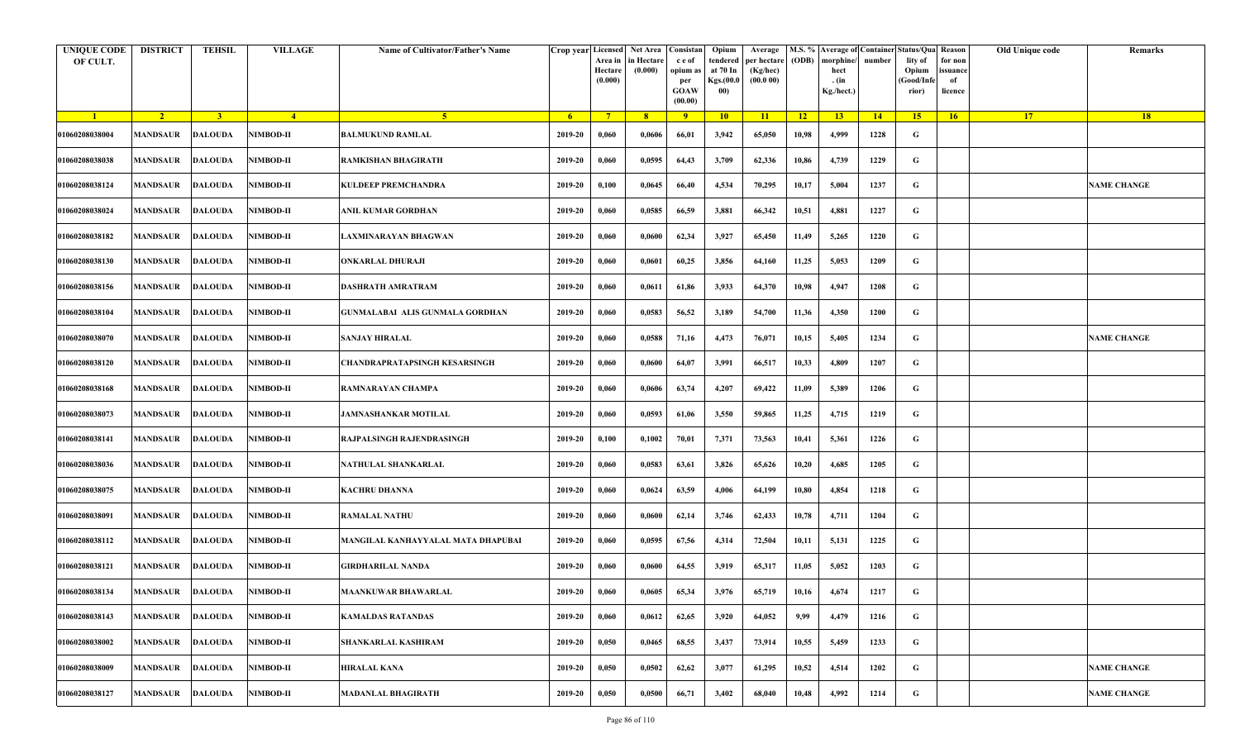| <b>UNIQUE CODE</b><br>OF CULT. | <b>DISTRICT</b>  | <b>TEHSIL</b>  | <b>VILLAGE</b>   | Name of Cultivator/Father's Name       |                | Crop year Licensed<br>Area in<br>Hectare<br>(0.000) | Net Area   Consistan  <br>in Hectare<br>(0.000) | c e of<br>opium as<br>per<br><b>GOAW</b><br>(00.00) | Opium<br>tendered<br>at 70 In<br>Kgs.(00.0<br>00) | Average<br>per hectare<br>(Kg/hec)<br>(00.000) | (ODB) | M.S. % Average of Container Status/Qua Reason<br>morphine/<br>hect<br>. (in<br>Kg./hect.) | number | lity of<br>Opium<br>(Good/Info<br>rior) | for non<br>ssuance<br>of<br>licence | Old Unique code | Remarks            |
|--------------------------------|------------------|----------------|------------------|----------------------------------------|----------------|-----------------------------------------------------|-------------------------------------------------|-----------------------------------------------------|---------------------------------------------------|------------------------------------------------|-------|-------------------------------------------------------------------------------------------|--------|-----------------------------------------|-------------------------------------|-----------------|--------------------|
| $\blacksquare$                 | $\sqrt{2}$       | $\overline{3}$ | $\frac{4}{ }$    | -5 -                                   | 6 <sup>6</sup> | $7^{\circ}$                                         | 8                                               | $\overline{9}$                                      | 10                                                | 11                                             | $-12$ | 13                                                                                        | 14     | 15                                      | 16                                  | 17 <sup>2</sup> | 18                 |
| 01060208038004                 | <b>MANDSAUR</b>  | <b>DALOUDA</b> | NIMBOD-II        | <b>BALMUKUND RAMLAL</b>                | 2019-20        | 0,060                                               | 0,0606                                          | 66,01                                               | 3,942                                             | 65,050                                         | 10,98 | 4,999                                                                                     | 1228   | G                                       |                                     |                 |                    |
| 01060208038038                 | <b>MANDSAUR</b>  | <b>DALOUDA</b> | NIMBOD-II        | RAMKISHAN BHAGIRATH                    | 2019-20        | 0,060                                               | 0,0595                                          | 64,43                                               | 3,709                                             | 62,336                                         | 10,86 | 4,739                                                                                     | 1229   | G                                       |                                     |                 |                    |
| 01060208038124                 | <b>MANDSAUR</b>  | <b>DALOUDA</b> | NIMBOD-II        | <b>KULDEEP PREMCHANDRA</b>             | 2019-20        | 0,100                                               | 0,0645                                          | 66,40                                               | 4,534                                             | 70,295                                         | 10,17 | 5,004                                                                                     | 1237   | G                                       |                                     |                 | <b>NAME CHANGE</b> |
| 01060208038024                 | MANDSAUR         | <b>DALOUDA</b> | NIMBOD-II        | ANIL KUMAR GORDHAN                     | 2019-20        | 0,060                                               | 0,0585                                          | 66,59                                               | 3,881                                             | 66,342                                         | 10,51 | 4,881                                                                                     | 1227   | G                                       |                                     |                 |                    |
| 01060208038182                 | <b>MANDSAUR</b>  | <b>DALOUDA</b> | NIMBOD-II        | LAXMINARAYAN BHAGWAN                   | 2019-20        | 0,060                                               | 0,0600                                          | 62,34                                               | 3,927                                             | 65,450                                         | 11,49 | 5,265                                                                                     | 1220   | G                                       |                                     |                 |                    |
| 01060208038130                 | MANDSAUR         | <b>DALOUDA</b> | NIMBOD-II        | <b>ONKARLAL DHURAJI</b>                | 2019-20        | 0,060                                               | 0,0601                                          | 60,25                                               | 3,856                                             | 64,160                                         | 11,25 | 5,053                                                                                     | 1209   | G                                       |                                     |                 |                    |
| 01060208038156                 | MANDSAUR         | <b>DALOUDA</b> | NIMBOD-II        | DASHRATH AMRATRAM                      | 2019-20        | 0,060                                               | 0,0611                                          | 61,86                                               | 3,933                                             | 64,370                                         | 10,98 | 4,947                                                                                     | 1208   | G                                       |                                     |                 |                    |
| 01060208038104                 | MANDSAUR         | <b>DALOUDA</b> | NIMBOD-II        | <b>GUNMALABAI ALIS GUNMALA GORDHAN</b> | 2019-20        | 0,060                                               | 0,0583                                          | 56,52                                               | 3,189                                             | 54,700                                         | 11,36 | 4,350                                                                                     | 1200   | G                                       |                                     |                 |                    |
| 01060208038070                 | MANDSAUR         | <b>DALOUDA</b> | NIMBOD-II        | SANJAY HIRALAL                         | 2019-20        | 0,060                                               | 0,0588                                          | 71,16                                               | 4,473                                             | 76,071                                         | 10,15 | 5,405                                                                                     | 1234   | G                                       |                                     |                 | <b>NAME CHANGE</b> |
| 01060208038120                 | <b>MANDSAUR</b>  | <b>DALOUDA</b> | NIMBOD-II        | CHANDRAPRATAPSINGH KESARSINGH          | 2019-20        | 0,060                                               | 0,0600                                          | 64,07                                               | 3,991                                             | 66,517                                         | 10,33 | 4,809                                                                                     | 1207   | G                                       |                                     |                 |                    |
| 01060208038168                 | <b>MANDSAUR</b>  | <b>DALOUDA</b> | NIMBOD-II        | RAMNARAYAN CHAMPA                      | 2019-20        | 0,060                                               | 0,0606                                          | 63,74                                               | 4,207                                             | 69,422                                         | 11,09 | 5,389                                                                                     | 1206   | G                                       |                                     |                 |                    |
| 01060208038073                 | <b>MANDSAUR</b>  | <b>DALOUDA</b> | NIMBOD-II        | JAMNASHANKAR MOTILAL                   | 2019-20        | 0,060                                               | 0,0593                                          | 61,06                                               | 3,550                                             | 59,865                                         | 11,25 | 4,715                                                                                     | 1219   | G                                       |                                     |                 |                    |
| 01060208038141                 | MANDSAUR         | <b>DALOUDA</b> | NIMBOD-II        | RAJPALSINGH RAJENDRASINGH              | 2019-20        | 0,100                                               | 0,1002                                          | 70,01                                               | 7,371                                             | 73,563                                         | 10,41 | 5,361                                                                                     | 1226   | G                                       |                                     |                 |                    |
| 01060208038036                 | <b>MANDSAUR</b>  | <b>DALOUDA</b> | NIMBOD-II        | NATHULAL SHANKARLAL                    | 2019-20        | 0,060                                               | 0,0583                                          | 63,61                                               | 3,826                                             | 65,626                                         | 10,20 | 4,685                                                                                     | 1205   | G                                       |                                     |                 |                    |
| 01060208038075                 | MANDSAUR         | <b>DALOUDA</b> | NIMBOD-II        | <b>KACHRU DHANNA</b>                   | 2019-20        | 0,060                                               | 0,0624                                          | 63,59                                               | 4,006                                             | 64,199                                         | 10,80 | 4,854                                                                                     | 1218   | G                                       |                                     |                 |                    |
| 01060208038091                 | <b>MANDSAUR</b>  | <b>DALOUDA</b> | NIMBOD-II        | <b>RAMALAL NATHU</b>                   | 2019-20        | 0,060                                               | 0,0600                                          | 62,14                                               | 3,746                                             | 62,433                                         | 10,78 | 4,711                                                                                     | 1204   | G                                       |                                     |                 |                    |
| 01060208038112                 | MANDSAUR         | <b>DALOUDA</b> | NIMBOD-II        | MANGILAL KANHAYYALAL MATA DHAPUBAI     | 2019-20        | 0,060                                               | 0,0595                                          | 67,56                                               | 4,314                                             | 72,504                                         | 10,11 | 5,131                                                                                     | 1225   | G                                       |                                     |                 |                    |
| 01060208038121                 | MANDSAUR         | <b>DALOUDA</b> | NIMBOD-II        | GIRDHARILAL NANDA                      | 2019-20        | 0,060                                               | 0,0600                                          | 64,55                                               | 3,919                                             | 65,317                                         | 11,05 | 5,052                                                                                     | 1203   | G                                       |                                     |                 |                    |
| 01060208038134                 | MANDSAUR DALOUDA |                | <b>NIMBOD-II</b> | <b>MAANKUWAR BHAWARLAL</b>             | 2019-20        | 0,060                                               | 0,0605                                          | 65,34                                               | 3,976                                             | 65,719                                         | 10,16 | 4,674                                                                                     | 1217   | G                                       |                                     |                 |                    |
| 01060208038143                 | <b>MANDSAUR</b>  | <b>DALOUDA</b> | NIMBOD-II        | <b>KAMALDAS RATANDAS</b>               | 2019-20        | 0,060                                               | 0,0612                                          | 62,65                                               | 3,920                                             | 64,052                                         | 9,99  | 4,479                                                                                     | 1216   | $\mathbf G$                             |                                     |                 |                    |
| 01060208038002                 | <b>MANDSAUR</b>  | <b>DALOUDA</b> | NIMBOD-II        | SHANKARLAL KASHIRAM                    | 2019-20        | 0,050                                               | 0,0465                                          | 68,55                                               | 3,437                                             | 73,914                                         | 10,55 | 5,459                                                                                     | 1233   | G                                       |                                     |                 |                    |
| 01060208038009                 | <b>MANDSAUR</b>  | <b>DALOUDA</b> | NIMBOD-II        | <b>HIRALAL KANA</b>                    | 2019-20        | 0,050                                               | 0,0502                                          | 62,62                                               | 3,077                                             | 61,295                                         | 10,52 | 4,514                                                                                     | 1202   | G                                       |                                     |                 | <b>NAME CHANGE</b> |
| 01060208038127                 | <b>MANDSAUR</b>  | <b>DALOUDA</b> | NIMBOD-II        | <b>MADANLAL BHAGIRATH</b>              | 2019-20        | 0,050                                               | 0,0500                                          | 66,71                                               | 3,402                                             | 68,040                                         | 10,48 | 4,992                                                                                     | 1214   | G                                       |                                     |                 | <b>NAME CHANGE</b> |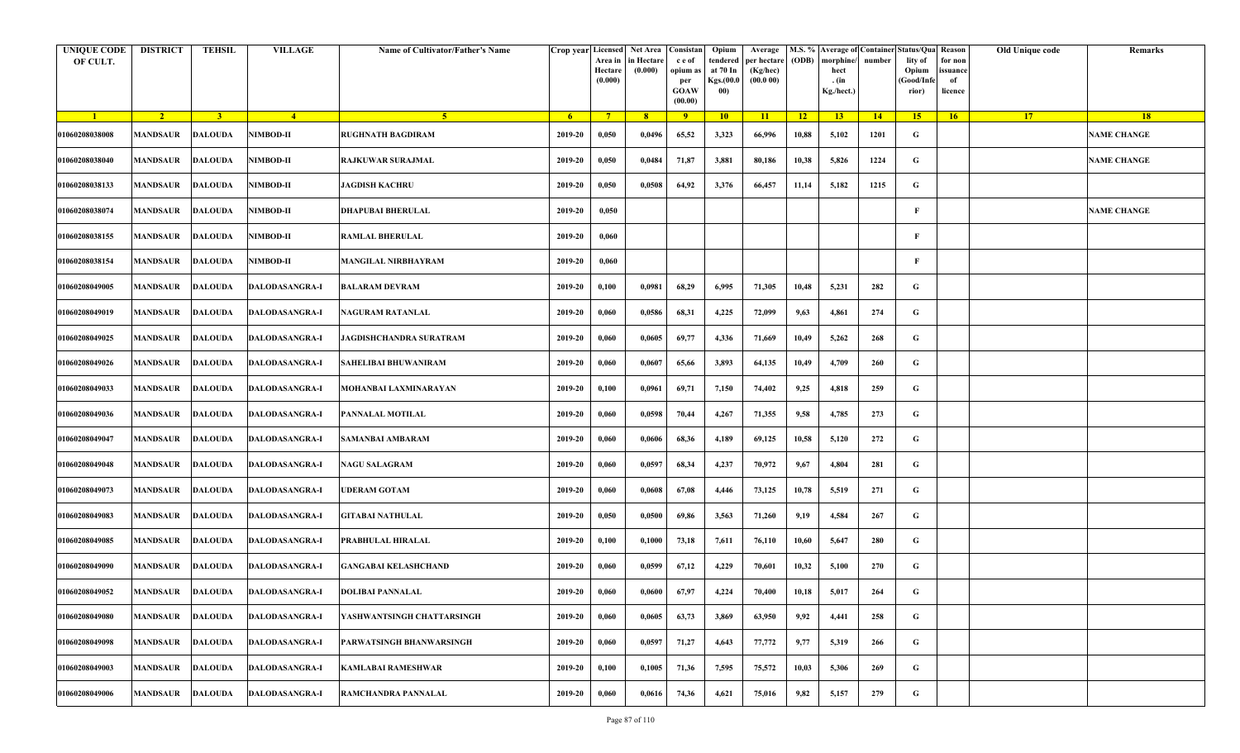| <b>UNIQUE CODE</b><br>OF CULT. | <b>DISTRICT</b>         | <b>TEHSIL</b>  | <b>VILLAGE</b>        | Name of Cultivator/Father's Name | Crop year Licensed | Area in<br>Hectare<br>(0.000) | Net Area   Consistan<br>in Hectare<br>(0.000) | c e of<br>opium as<br>per<br><b>GOAW</b><br>(00.00) | Opium<br>tendered<br>at 70 In<br>Kgs.(00.0<br>00) | Average<br>per hectare<br>(Kg/hec)<br>(00.000) | (ODB) | M.S. % Average of Container Status/Qua Reason<br>morphine/<br>hect<br>. (in<br>Kg./hect.) | number | lity of<br>Opium<br>(Good/Infe<br>rior) | for non<br>issuance<br>of<br>licence | Old Unique code | Remarks            |
|--------------------------------|-------------------------|----------------|-----------------------|----------------------------------|--------------------|-------------------------------|-----------------------------------------------|-----------------------------------------------------|---------------------------------------------------|------------------------------------------------|-------|-------------------------------------------------------------------------------------------|--------|-----------------------------------------|--------------------------------------|-----------------|--------------------|
| $\blacksquare$                 | $\sqrt{2}$              | $\overline{3}$ | $-4$                  | $\sqrt{5}$                       | -6                 | $7^{\circ}$                   | 8 <sup>°</sup>                                | $\overline{9}$                                      | 10                                                | 11                                             | $-12$ | 13                                                                                        | 14     | 15                                      | 16                                   | <b>17</b>       | <b>18</b>          |
| 01060208038008                 | <b>MANDSAUR</b>         | <b>DALOUDA</b> | NIMBOD-II             | <b>RUGHNATH BAGDIRAM</b>         | 2019-20            | 0,050                         | 0,0496                                        | 65,52                                               | 3,323                                             | 66,996                                         | 10,88 | 5,102                                                                                     | 1201   | G                                       |                                      |                 | <b>NAME CHANGE</b> |
| 01060208038040                 | MANDSAUR                | <b>DALOUDA</b> | <b>NIMBOD-II</b>      | RAJKUWAR SURAJMAL                | 2019-20            | 0,050                         | 0,0484                                        | 71,87                                               | 3,881                                             | 80,186                                         | 10,38 | 5,826                                                                                     | 1224   | G                                       |                                      |                 | <b>NAME CHANGE</b> |
| 01060208038133                 | MANDSAUR                | <b>DALOUDA</b> | NIMBOD-II             | <b>JAGDISH KACHRU</b>            | 2019-20            | 0,050                         | 0,0508                                        | 64,92                                               | 3,376                                             | 66,457                                         | 11,14 | 5,182                                                                                     | 1215   | G                                       |                                      |                 |                    |
| 01060208038074                 | MANDSAUR                | <b>DALOUDA</b> | NIMBOD-II             | DHAPUBAI BHERULAL                | 2019-20            | 0,050                         |                                               |                                                     |                                                   |                                                |       |                                                                                           |        | F                                       |                                      |                 | <b>NAME CHANGE</b> |
| 01060208038155                 | MANDSAUR                | <b>DALOUDA</b> | NIMBOD-II             | RAMLAL BHERULAL                  | 2019-20            | 0,060                         |                                               |                                                     |                                                   |                                                |       |                                                                                           |        | F                                       |                                      |                 |                    |
| 01060208038154                 | <b>MANDSAUR</b>         | DALOUDA        | <b>NIMBOD-II</b>      | <b>MANGILAL NIRBHAYRAM</b>       | 2019-20            | 0,060                         |                                               |                                                     |                                                   |                                                |       |                                                                                           |        | F                                       |                                      |                 |                    |
| 01060208049005                 | MANDSAUR                | <b>DALOUDA</b> | DALODASANGRA-I        | BALARAM DEVRAM                   | 2019-20            | 0,100                         | 0,0981                                        | 68,29                                               | 6,995                                             | 71,305                                         | 10,48 | 5,231                                                                                     | 282    | G                                       |                                      |                 |                    |
| 01060208049019                 | MANDSAUR                | <b>DALOUDA</b> | DALODASANGRA-I        | <b>NAGURAM RATANLAL</b>          | 2019-20            | 0,060                         | 0,0586                                        | 68,31                                               | 4,225                                             | 72,099                                         | 9,63  | 4,861                                                                                     | 274    | G                                       |                                      |                 |                    |
| 01060208049025                 | MANDSAUR                | <b>DALOUDA</b> | DALODASANGRA-I        | JAGDISHCHANDRA SURATRAM          | 2019-20            | 0,060                         | 0,0605                                        | 69,77                                               | 4,336                                             | 71,669                                         | 10,49 | 5,262                                                                                     | 268    | G                                       |                                      |                 |                    |
| 01060208049026                 | <b>MANDSAUR</b>         | <b>DALOUDA</b> | DALODASANGRA-I        | <b>SAHELIBAI BHUWANIRAM</b>      | 2019-20            | 0,060                         | 0,0607                                        | 65,66                                               | 3,893                                             | 64,135                                         | 10,49 | 4,709                                                                                     | 260    | G                                       |                                      |                 |                    |
| 01060208049033                 | MANDSAUR                | <b>DALOUDA</b> | DALODASANGRA-I        | MOHANBAI LAXMINARAYAN            | 2019-20            | 0,100                         | 0,0961                                        | 69,71                                               | 7,150                                             | 74,402                                         | 9,25  | 4,818                                                                                     | 259    | G                                       |                                      |                 |                    |
| 01060208049036                 | MANDSAUR                | DALOUDA        | <b>DALODASANGRA-I</b> | PANNALAL MOTILAL                 | 2019-20            | 0,060                         | 0,0598                                        | 70,44                                               | 4,267                                             | 71,355                                         | 9,58  | 4,785                                                                                     | 273    | G                                       |                                      |                 |                    |
| 01060208049047                 | MANDSAUR                | <b>DALOUDA</b> | DALODASANGRA-I        | <b>SAMANBAI AMBARAM</b>          | 2019-20            | 0,060                         | 0,0606                                        | 68,36                                               | 4,189                                             | 69,125                                         | 10,58 | 5,120                                                                                     | 272    | G                                       |                                      |                 |                    |
| 01060208049048                 | MANDSAUR                | <b>DALOUDA</b> | <b>DALODASANGRA-I</b> | <b>NAGU SALAGRAM</b>             | 2019-20            | 0,060                         | 0,0597                                        | 68,34                                               | 4,237                                             | 70,972                                         | 9,67  | 4,804                                                                                     | 281    | G                                       |                                      |                 |                    |
| 01060208049073                 | <b>MANDSAUR</b>         | <b>DALOUDA</b> | <b>DALODASANGRA-I</b> | <b>JDERAM GOTAM</b>              | 2019-20            | 0,060                         | 0,0608                                        | 67,08                                               | 4,446                                             | 73,125                                         | 10,78 | 5,519                                                                                     | 271    | G                                       |                                      |                 |                    |
| 01060208049083                 | MANDSAUR                | <b>DALOUDA</b> | DALODASANGRA-I        | <b>GITABAI NATHULAL</b>          | 2019-20            | 0,050                         | 0,0500                                        | 69,86                                               | 3,563                                             | 71,260                                         | 9,19  | 4,584                                                                                     | 267    | G                                       |                                      |                 |                    |
| 01060208049085                 | MANDSAUR                | <b>DALOUDA</b> | <b>DALODASANGRA-I</b> | PRABHULAL HIRALAL                | 2019-20            | 0,100                         | 0,1000                                        | 73,18                                               | 7,611                                             | 76,110                                         | 10,60 | 5,647                                                                                     | 280    | G                                       |                                      |                 |                    |
| 01060208049090                 | MANDSAUR                | <b>DALOUDA</b> | <b>DALODASANGRA-I</b> | <b>GANGABAI KELASHCHAND</b>      | 2019-20            | 0,060                         | 0,0599                                        | 67,12                                               | 4,229                                             | 70,601                                         | 10,32 | 5,100                                                                                     | 270    | G                                       |                                      |                 |                    |
| 01060208049052                 | <b>MANDSAUR DALOUDA</b> |                | <b>DALODASANGRA-I</b> | <b>DOLIBAI PANNALAL</b>          | 2019-20            | 0,060                         | 0,0600                                        | 67,97                                               | 4,224                                             | 70,400                                         | 10,18 | 5,017                                                                                     | 264    | G                                       |                                      |                 |                    |
| 01060208049080                 | MANDSAUR                | <b>DALOUDA</b> | DALODASANGRA-I        | YASHWANTSINGH CHATTARSINGH       | 2019-20            | 0,060                         | 0,0605                                        | 63,73                                               | 3,869                                             | 63,950                                         | 9,92  | 4,441                                                                                     | 258    | $\mathbf G$                             |                                      |                 |                    |
| 01060208049098                 | <b>MANDSAUR</b>         | <b>DALOUDA</b> | DALODASANGRA-I        | PARWATSINGH BHANWARSINGH         | 2019-20            | 0,060                         | 0,0597                                        | 71,27                                               | 4,643                                             | 77,772                                         | 9,77  | 5,319                                                                                     | 266    | G                                       |                                      |                 |                    |
| 01060208049003                 | MANDSAUR                | <b>DALOUDA</b> | DALODASANGRA-I        | KAMLABAI RAMESHWAR               | 2019-20            | 0,100                         | 0,1005                                        | 71,36                                               | 7,595                                             | 75,572                                         | 10,03 | 5,306                                                                                     | 269    | G                                       |                                      |                 |                    |
| 01060208049006                 | MANDSAUR                | <b>DALOUDA</b> | DALODASANGRA-I        | RAMCHANDRA PANNALAL              | 2019-20            | 0,060                         | 0,0616                                        | 74,36                                               | 4,621                                             | 75,016                                         | 9,82  | 5,157                                                                                     | 279    | G                                       |                                      |                 |                    |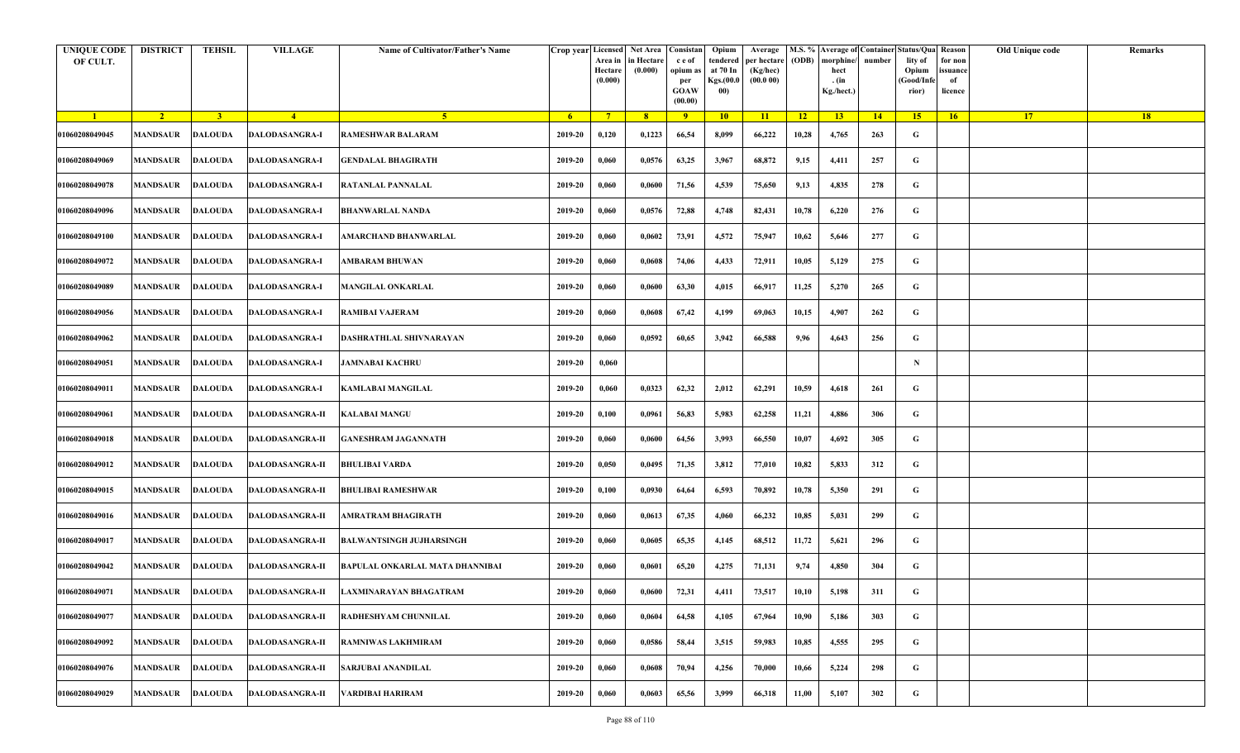| <b>UNIQUE CODE</b><br>OF CULT. | <b>DISTRICT</b>         | <b>TEHSIL</b>           | <b>VILLAGE</b>         | Name of Cultivator/Father's Name | Crop year Licensed | Area in<br>Hectare<br>(0.000) | Net Area   Consistan<br>in Hectare<br>(0.000) | c e of<br>opium as<br>per<br><b>GOAW</b><br>(00.00) | Opium<br>tendered<br>at 70 In<br>Kgs.(00.0<br>00) | Average<br>per hectare<br>(Kg/hec)<br>(00.000) | (ODB) | M.S. % Average of Container Status/Qua Reason<br>morphine/<br>hect<br>. (in<br>Kg./hect.) | number | lity of<br>Opium<br>(Good/Infe<br>rior) | for non<br>issuance<br>of<br>licence | Old Unique code | Remarks |
|--------------------------------|-------------------------|-------------------------|------------------------|----------------------------------|--------------------|-------------------------------|-----------------------------------------------|-----------------------------------------------------|---------------------------------------------------|------------------------------------------------|-------|-------------------------------------------------------------------------------------------|--------|-----------------------------------------|--------------------------------------|-----------------|---------|
| $\blacksquare$                 | $\sqrt{2}$              | $\overline{\mathbf{3}}$ | $\sqrt{4}$             | -5.                              | - 6                | $7^{\circ}$                   | 8 <sup>°</sup>                                | $\overline{9}$                                      | 10                                                | 11                                             | $-12$ | 13                                                                                        | 14     | 15                                      | 16                                   | <b>17</b>       | 18      |
| 01060208049045                 | <b>MANDSAUR</b>         | <b>DALOUDA</b>          | <b>DALODASANGRA-I</b>  | RAMESHWAR BALARAM                | 2019-20            | 0,120                         | 0,1223                                        | 66,54                                               | 8,099                                             | 66,222                                         | 10,28 | 4,765                                                                                     | 263    | G                                       |                                      |                 |         |
| 01060208049069                 | MANDSAUR                | <b>DALOUDA</b>          | <b>DALODASANGRA-I</b>  | <b>GENDALAL BHAGIRATH</b>        | 2019-20            | 0,060                         | 0,0576                                        | 63,25                                               | 3,967                                             | 68,872                                         | 9,15  | 4,411                                                                                     | 257    | G                                       |                                      |                 |         |
| 01060208049078                 | MANDSAUR                | <b>DALOUDA</b>          | <b>DALODASANGRA-I</b>  | RATANLAL PANNALAL                | 2019-20            | 0,060                         | 0,0600                                        | 71,56                                               | 4,539                                             | 75,650                                         | 9,13  | 4,835                                                                                     | 278    | G                                       |                                      |                 |         |
| 01060208049096                 | MANDSAUR                | <b>DALOUDA</b>          | DALODASANGRA-I         | <b>BHANWARLAL NANDA</b>          | 2019-20            | 0,060                         | 0,0576                                        | 72,88                                               | 4,748                                             | 82,431                                         | 10,78 | 6,220                                                                                     | 276    | G                                       |                                      |                 |         |
| 01060208049100                 | MANDSAUR                | <b>DALOUDA</b>          | DALODASANGRA-I         | AMARCHAND BHANWARLAL             | 2019-20            | 0,060                         | 0,0602                                        | 73,91                                               | 4,572                                             | 75,947                                         | 10,62 | 5,646                                                                                     | 277    | G                                       |                                      |                 |         |
| 01060208049072                 | <b>MANDSAUR</b>         | <b>DALOUDA</b>          | <b>DALODASANGRA-I</b>  | <b>AMBARAM BHUWAN</b>            | 2019-20            | 0,060                         | 0,0608                                        | 74,06                                               | 4,433                                             | 72,911                                         | 10,05 | 5,129                                                                                     | 275    | G                                       |                                      |                 |         |
| 01060208049089                 | MANDSAUR                | <b>DALOUDA</b>          | DALODASANGRA-I         | <b>MANGILAL ONKARLAL</b>         | 2019-20            | 0,060                         | 0,0600                                        | 63,30                                               | 4,015                                             | 66,917                                         | 11,25 | 5,270                                                                                     | 265    | G                                       |                                      |                 |         |
| 01060208049056                 | MANDSAUR                | <b>DALOUDA</b>          | DALODASANGRA-I         | <b>RAMIBAI VAJERAM</b>           | 2019-20            | 0,060                         | 0,0608                                        | 67,42                                               | 4,199                                             | 69,063                                         | 10,15 | 4,907                                                                                     | 262    | G                                       |                                      |                 |         |
| 01060208049062                 | MANDSAUR                | <b>DALOUDA</b>          | DALODASANGRA-I         | DASHRATHLAL SHIVNARAYAN          | 2019-20            | 0,060                         | 0,0592                                        | 60,65                                               | 3,942                                             | 66,588                                         | 9,96  | 4,643                                                                                     | 256    | G                                       |                                      |                 |         |
| 01060208049051                 | <b>MANDSAUR</b>         | <b>DALOUDA</b>          | DALODASANGRA-I         | <b>JAMNABAI KACHRU</b>           | 2019-20            | 0,060                         |                                               |                                                     |                                                   |                                                |       |                                                                                           |        | $\mathbf N$                             |                                      |                 |         |
| 01060208049011                 | MANDSAUR                | <b>DALOUDA</b>          | DALODASANGRA-I         | KAMLABAI MANGILAL                | 2019-20            | 0,060                         | 0,0323                                        | 62,32                                               | 2,012                                             | 62,291                                         | 10,59 | 4,618                                                                                     | 261    | G                                       |                                      |                 |         |
| 01060208049061                 | MANDSAUR                | <b>DALOUDA</b>          | DALODASANGRA-II        | KALABAI MANGU                    | 2019-20            | 0,100                         | 0,0961                                        | 56,83                                               | 5,983                                             | 62,258                                         | 11,21 | 4,886                                                                                     | 306    | G                                       |                                      |                 |         |
| 01060208049018                 | MANDSAUR                | <b>DALOUDA</b>          | <b>DALODASANGRA-II</b> | <b>GANESHRAM JAGANNATH</b>       | 2019-20            | 0,060                         | 0,0600                                        | 64,56                                               | 3,993                                             | 66,550                                         | 10,07 | 4,692                                                                                     | 305    | G                                       |                                      |                 |         |
| 01060208049012                 | MANDSAUR                | <b>DALOUDA</b>          | <b>DALODASANGRA-II</b> | BHULIBAI VARDA                   | 2019-20            | 0,050                         | 0,0495                                        | 71,35                                               | 3,812                                             | 77,010                                         | 10,82 | 5,833                                                                                     | 312    | G                                       |                                      |                 |         |
| 01060208049015                 | <b>MANDSAUR</b>         | <b>DALOUDA</b>          | <b>DALODASANGRA-II</b> | BHULIBAI RAMESHWAR               | 2019-20            | 0,100                         | 0,0930                                        | 64,64                                               | 6,593                                             | 70,892                                         | 10,78 | 5,350                                                                                     | 291    | G                                       |                                      |                 |         |
| 01060208049016                 | MANDSAUR                | <b>DALOUDA</b>          | DALODASANGRA-II        | AMRATRAM BHAGIRATH               | 2019-20            | 0,060                         | 0,0613                                        | 67,35                                               | 4,060                                             | 66,232                                         | 10,85 | 5,031                                                                                     | 299    | G                                       |                                      |                 |         |
| 01060208049017                 | MANDSAUR                | <b>DALOUDA</b>          | DALODASANGRA-II        | <b>BALWANTSINGH JUJHARSINGH</b>  | 2019-20            | 0,060                         | 0,0605                                        | 65,35                                               | 4,145                                             | 68,512                                         | 11,72 | 5,621                                                                                     | 296    | G                                       |                                      |                 |         |
| 01060208049042                 | MANDSAUR                | <b>DALOUDA</b>          | DALODASANGRA-II        | BAPULAL ONKARLAL MATA DHANNIBAI  | 2019-20            | 0,060                         | 0,0601                                        | 65,20                                               | 4,275                                             | 71,131                                         | 9,74  | 4,850                                                                                     | 304    | G                                       |                                      |                 |         |
| 01060208049071                 | <b>MANDSAUR DALOUDA</b> |                         | <b>DALODASANGRA-II</b> | LAXMINARAYAN BHAGATRAM           | 2019-20            | 0,060                         | 0,0600                                        | 72,31                                               | 4,411                                             | 73,517                                         | 10,10 | 5,198                                                                                     | 311    | G                                       |                                      |                 |         |
| 01060208049077                 | MANDSAUR                | <b>DALOUDA</b>          | <b>DALODASANGRA-II</b> | RADHESHYAM CHUNNILAL             | 2019-20            | 0,060                         | 0,0604                                        | 64,58                                               | 4,105                                             | 67,964                                         | 10,90 | 5,186                                                                                     | 303    | $\mathbf G$                             |                                      |                 |         |
| 01060208049092                 | MANDSAUR                | <b>DALOUDA</b>          | <b>DALODASANGRA-II</b> | RAMNIWAS LAKHMIRAM               | 2019-20            | 0,060                         | 0,0586                                        | 58,44                                               | 3,515                                             | 59,983                                         | 10,85 | 4,555                                                                                     | 295    | G                                       |                                      |                 |         |
| 01060208049076                 | MANDSAUR                | <b>DALOUDA</b>          | <b>DALODASANGRA-II</b> | <b>SARJUBAI ANANDILAL</b>        | 2019-20            | 0,060                         | 0,0608                                        | 70,94                                               | 4,256                                             | 70,000                                         | 10,66 | 5,224                                                                                     | 298    | G                                       |                                      |                 |         |
| 01060208049029                 | MANDSAUR                | <b>DALOUDA</b>          | DALODASANGRA-II        | VARDIBAI HARIRAM                 | 2019-20            | 0,060                         | 0,0603                                        | 65,56                                               | 3,999                                             | 66,318                                         | 11,00 | 5,107                                                                                     | 302    | G                                       |                                      |                 |         |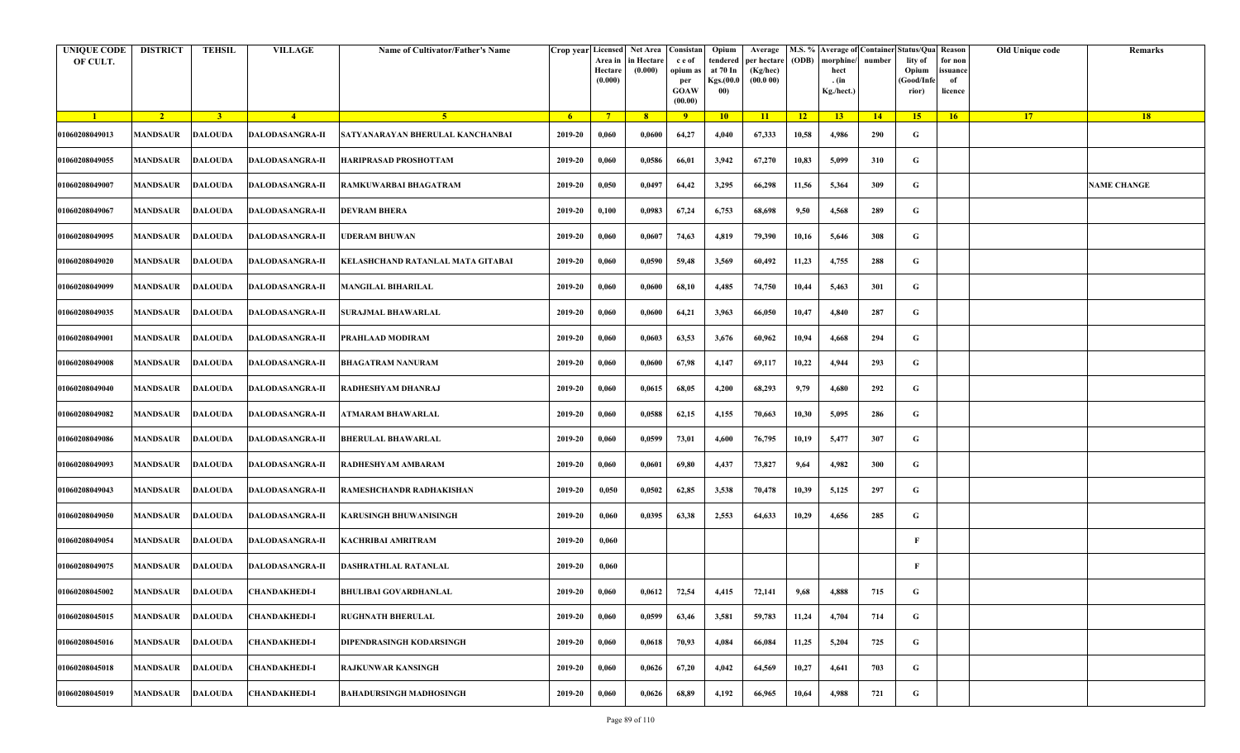| <b>UNIQUE CODE</b><br>OF CULT. | <b>DISTRICT</b> | <b>TEHSIL</b>  | <b>VILLAGE</b>                 | Name of Cultivator/Father's Name  | Crop year Licensed | Area in<br>Hectare<br>(0.000) | Net Area   Consistan<br>in Hectare<br>(0.000) | c e of<br>opium as<br>per<br><b>GOAW</b><br>(00.00) | Opium<br>tendered<br>at 70 In<br>Kgs.(00.0<br>00) | Average<br>per hectare<br>(Kg/hec)<br>(00.000) | (ODB) | M.S. % Average of Container Status/Qua Reason<br>morphine/<br>hect<br>. (in<br>Kg./hect.) | number | lity of<br>Opium<br>(Good/Infe<br>rior) | for non<br>ssuance<br>of<br>licence | Old Unique code | Remarks            |
|--------------------------------|-----------------|----------------|--------------------------------|-----------------------------------|--------------------|-------------------------------|-----------------------------------------------|-----------------------------------------------------|---------------------------------------------------|------------------------------------------------|-------|-------------------------------------------------------------------------------------------|--------|-----------------------------------------|-------------------------------------|-----------------|--------------------|
| $\blacksquare$                 | $\sqrt{2}$      | 3 <sup>1</sup> | $\sqrt{4}$                     | 5 <sup>1</sup>                    | - 6 -              | $7^{\circ}$                   | 8 <sup>°</sup>                                | $\overline{9}$                                      | 10                                                | 11                                             | $-12$ | 13                                                                                        | 14     | 15                                      | 16                                  | <b>17</b>       | 18                 |
| 01060208049013                 | <b>MANDSAUR</b> | <b>DALOUDA</b> | <b>DALODASANGRA-II</b>         | SATYANARAYAN BHERULAL KANCHANBAI  | 2019-20            | 0,060                         | 0,0600                                        | 64,27                                               | 4,040                                             | 67,333                                         | 10,58 | 4,986                                                                                     | 290    | G                                       |                                     |                 |                    |
| 01060208049055                 | MANDSAUR        | <b>DALOUDA</b> | <b>DALODASANGRA-II</b>         | HARIPRASAD PROSHOTTAM             | 2019-20            | 0,060                         | 0,0586                                        | 66,01                                               | 3,942                                             | 67,270                                         | 10,83 | 5,099                                                                                     | 310    | G                                       |                                     |                 |                    |
| 01060208049007                 | <b>MANDSAUR</b> | <b>DALOUDA</b> | <b>DALODASANGRA-II</b>         | RAMKUWARBAI BHAGATRAM             | 2019-20            | 0,050                         | 0,0497                                        | 64,42                                               | 3,295                                             | 66,298                                         | 11,56 | 5,364                                                                                     | 309    | G                                       |                                     |                 | <b>NAME CHANGE</b> |
| 01060208049067                 | MANDSAUR        | <b>DALOUDA</b> | <b>DALODASANGRA-II</b>         | <b>DEVRAM BHERA</b>               | 2019-20            | 0,100                         | 0,0983                                        | 67,24                                               | 6,753                                             | 68,698                                         | 9,50  | 4,568                                                                                     | 289    | G                                       |                                     |                 |                    |
| 01060208049095                 | <b>MANDSAUR</b> | <b>DALOUDA</b> | <b>DALODASANGRA-II</b>         | <b>JDERAM BHUWAN</b>              | 2019-20            | 0,060                         | 0,0607                                        | 74,63                                               | 4,819                                             | 79,390                                         | 10,16 | 5,646                                                                                     | 308    | G                                       |                                     |                 |                    |
| 01060208049020                 | MANDSAUR        | <b>DALOUDA</b> | <b>DALODASANGRA-II</b>         | KELASHCHAND RATANLAL MATA GITABAI | 2019-20            | 0,060                         | 0,0590                                        | 59,48                                               | 3,569                                             | 60,492                                         | 11,23 | 4,755                                                                                     | 288    | G                                       |                                     |                 |                    |
| 01060208049099                 | MANDSAUR        | <b>DALOUDA</b> | <b>DALODASANGRA-II</b>         | <b>MANGILAL BIHARILAL</b>         | 2019-20            | 0,060                         | 0,0600                                        | 68,10                                               | 4,485                                             | 74,750                                         | 10,44 | 5,463                                                                                     | 301    | G                                       |                                     |                 |                    |
| 01060208049035                 | MANDSAUR        | <b>DALOUDA</b> | <b>DALODASANGRA-II</b>         | <b>SURAJMAL BHAWARLAL</b>         | 2019-20            | 0,060                         | 0,0600                                        | 64,21                                               | 3,963                                             | 66,050                                         | 10,47 | 4,840                                                                                     | 287    | G                                       |                                     |                 |                    |
| 01060208049001                 | MANDSAUR        | <b>DALOUDA</b> | <b>DALODASANGRA-II</b>         | PRAHLAAD MODIRAM                  | 2019-20            | 0,060                         | 0,0603                                        | 63,53                                               | 3,676                                             | 60,962                                         | 10,94 | 4,668                                                                                     | 294    | G                                       |                                     |                 |                    |
| 01060208049008                 | <b>MANDSAUR</b> | <b>DALOUDA</b> | <b>DALODASANGRA-II</b>         | <b>BHAGATRAM NANURAM</b>          | 2019-20            | 0,060                         | 0,0600                                        | 67,98                                               | 4,147                                             | 69,117                                         | 10,22 | 4,944                                                                                     | 293    | G                                       |                                     |                 |                    |
| 01060208049040                 | MANDSAUR        | <b>DALOUDA</b> | <b>DALODASANGRA-II</b>         | RADHESHYAM DHANRAJ                | 2019-20            | 0,060                         | 0,0615                                        | 68,05                                               | 4,200                                             | 68,293                                         | 9,79  | 4,680                                                                                     | 292    | G                                       |                                     |                 |                    |
| 01060208049082                 | <b>MANDSAUR</b> | <b>DALOUDA</b> | <b>DALODASANGRA-II</b>         | ATMARAM BHAWARLAL                 | 2019-20            | 0,060                         | 0,0588                                        | 62,15                                               | 4,155                                             | 70,663                                         | 10,30 | 5,095                                                                                     | 286    | G                                       |                                     |                 |                    |
| 01060208049086                 | MANDSAUR        | <b>DALOUDA</b> | <b>DALODASANGRA-II</b>         | <b>BHERULAL BHAWARLAL</b>         | 2019-20            | 0,060                         | 0,0599                                        | 73,01                                               | 4,600                                             | 76,795                                         | 10,19 | 5,477                                                                                     | 307    | G                                       |                                     |                 |                    |
| 01060208049093                 | <b>MANDSAUR</b> | <b>DALOUDA</b> | <b>DALODASANGRA-II</b>         | RADHESHYAM AMBARAM                | 2019-20            | 0,060                         | 0,0601                                        | 69,80                                               | 4,437                                             | 73,827                                         | 9,64  | 4,982                                                                                     | 300    | G                                       |                                     |                 |                    |
| 01060208049043                 | MANDSAUR        | DALOUDA        | <b>DALODASANGRA-II</b>         | RAMESHCHANDR RADHAKISHAN          | 2019-20            | 0,050                         | 0,0502                                        | 62,85                                               | 3,538                                             | 70,478                                         | 10,39 | 5,125                                                                                     | 297    | G                                       |                                     |                 |                    |
| 01060208049050                 | MANDSAUR        | DALOUDA        | <b>DALODASANGRA-II</b>         | KARUSINGH BHUWANISINGH            | 2019-20            | 0,060                         | 0,0395                                        | 63,38                                               | 2,553                                             | 64,633                                         | 10,29 | 4,656                                                                                     | 285    | G                                       |                                     |                 |                    |
| 01060208049054                 | <b>MANDSAUR</b> | <b>DALOUDA</b> | <b>DALODASANGRA-II</b>         | KACHRIBAI AMRITRAM                | 2019-20            | 0,060                         |                                               |                                                     |                                                   |                                                |       |                                                                                           |        | F                                       |                                     |                 |                    |
| 01060208049075                 | MANDSAUR        | <b>DALOUDA</b> | <b>DALODASANGRA-II</b>         | <b>DASHRATHLAL RATANLAL</b>       | 2019-20            | 0,060                         |                                               |                                                     |                                                   |                                                |       |                                                                                           |        | F                                       |                                     |                 |                    |
| 01060208045002                 |                 |                | MANDSAUR DALOUDA CHANDAKHEDI-I | <b>BHULIBAI GOVARDHANLAL</b>      | 2019-20            | 0,060                         | 0,0612                                        | 72,54                                               | 4,415                                             | 72,141                                         | 9,68  | 4,888                                                                                     | 715    | G                                       |                                     |                 |                    |
| 01060208045015                 | <b>MANDSAUR</b> | <b>DALOUDA</b> | CHANDAKHEDI-I                  | <b>RUGHNATH BHERULAL</b>          | 2019-20            | 0,060                         | 0,0599                                        | 63,46                                               | 3,581                                             | 59,783                                         | 11,24 | 4,704                                                                                     | 714    | $\mathbf G$                             |                                     |                 |                    |
| 01060208045016                 | <b>MANDSAUR</b> | <b>DALOUDA</b> | <b>CHANDAKHEDI-I</b>           | DIPENDRASINGH KODARSINGH          | 2019-20            | 0,060                         | 0,0618                                        | 70,93                                               | 4,084                                             | 66,084                                         | 11,25 | 5,204                                                                                     | 725    | G                                       |                                     |                 |                    |
| 01060208045018                 | MANDSAUR        | <b>DALOUDA</b> | <b>CHANDAKHEDI-I</b>           | <b>RAJKUNWAR KANSINGH</b>         | 2019-20            | 0,060                         | 0,0626                                        | 67,20                                               | 4,042                                             | 64,569                                         | 10,27 | 4,641                                                                                     | 703    | G                                       |                                     |                 |                    |
| 01060208045019                 | MANDSAUR        | <b>DALOUDA</b> | <b>CHANDAKHEDI-I</b>           | <b>BAHADURSINGH MADHOSINGH</b>    | 2019-20            | 0,060                         | 0,0626                                        | 68,89                                               | 4,192                                             | 66,965                                         | 10,64 | 4,988                                                                                     | 721    | G                                       |                                     |                 |                    |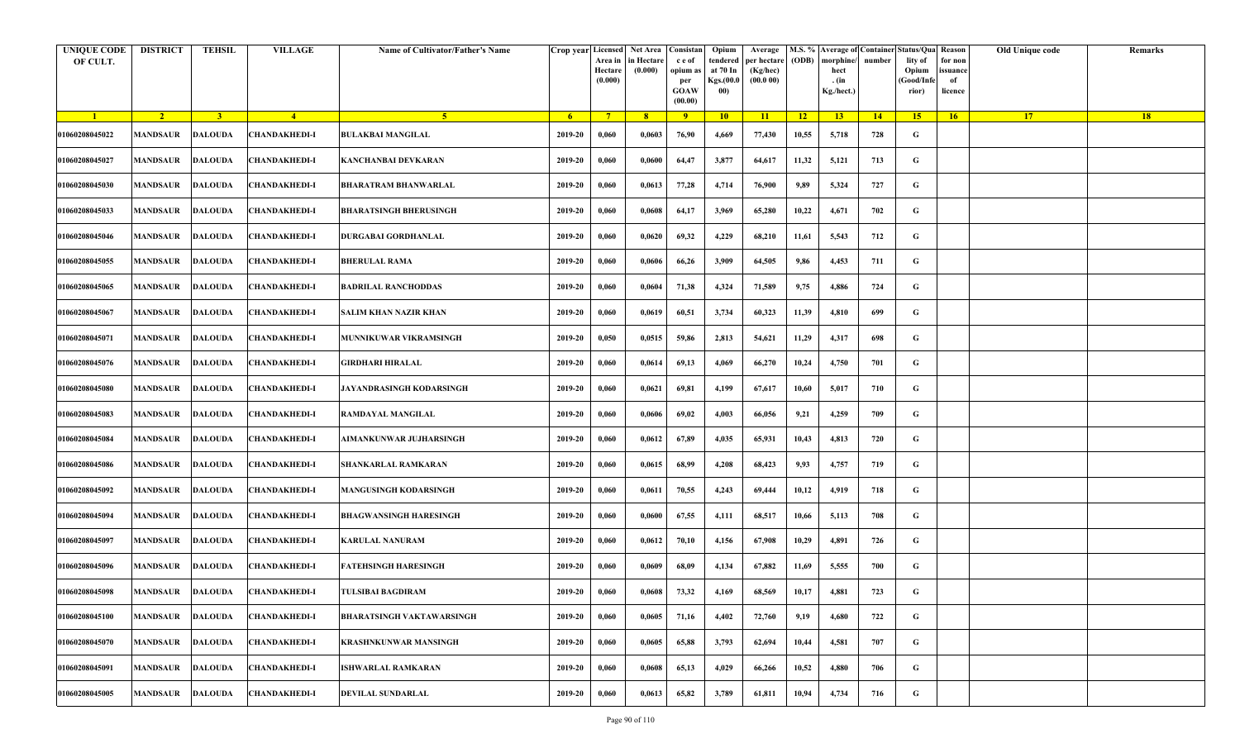| <b>UNIQUE CODE</b><br>OF CULT. | <b>DISTRICT</b> | <b>TEHSIL</b>  | <b>VILLAGE</b>                 | Name of Cultivator/Father's Name |         | Area in<br>Hectare<br>(0.000) | Crop year Licensed Net Area Consistan<br>in Hectare<br>(0.000) | c e of<br>opium as<br>per<br><b>GOAW</b><br>(00.00) | Opium<br>tendered<br>at 70 In<br>Kgs.(00.0<br>00) | Average<br>per hectare<br>(Kg/hec)<br>(00.000) | (ODB) | M.S. % Average of Container Status/Qua Reason<br>morphine/<br>hect<br>. (in<br>Kg./hect.) | number | lity of<br>Opium<br>(Good/Infe<br>rior) | for non<br>ssuance<br>of<br>licence | Old Unique code | Remarks |
|--------------------------------|-----------------|----------------|--------------------------------|----------------------------------|---------|-------------------------------|----------------------------------------------------------------|-----------------------------------------------------|---------------------------------------------------|------------------------------------------------|-------|-------------------------------------------------------------------------------------------|--------|-----------------------------------------|-------------------------------------|-----------------|---------|
| $\blacksquare$                 | $\sqrt{2}$      | 3 <sup>1</sup> | $\sqrt{4}$                     | 5 <sup>1</sup>                   | - 6     | $7^{\circ}$                   | 8 <sup>°</sup>                                                 | $\overline{9}$                                      | 10                                                | 11                                             | $-12$ | 13                                                                                        | 14     | 15                                      | 16                                  | <b>17</b>       | 18      |
| 01060208045022                 | <b>MANDSAUR</b> | <b>DALOUDA</b> | <b>CHANDAKHEDI-I</b>           | <b>BULAKBAI MANGILAL</b>         | 2019-20 | 0,060                         | 0,0603                                                         | 76,90                                               | 4,669                                             | 77,430                                         | 10,55 | 5,718                                                                                     | 728    | G                                       |                                     |                 |         |
| 01060208045027                 | MANDSAUR        | <b>DALOUDA</b> | <b>CHANDAKHEDI-I</b>           | KANCHANBAI DEVKARAN              | 2019-20 | 0,060                         | 0,0600                                                         | 64,47                                               | 3,877                                             | 64,617                                         | 11,32 | 5,121                                                                                     | 713    | G                                       |                                     |                 |         |
| 01060208045030                 | <b>MANDSAUR</b> | <b>DALOUDA</b> | <b>CHANDAKHEDI-I</b>           | <b>BHARATRAM BHANWARLAL</b>      | 2019-20 | 0,060                         | 0,0613                                                         | 77,28                                               | 4,714                                             | 76,900                                         | 9,89  | 5,324                                                                                     | 727    | G                                       |                                     |                 |         |
| 01060208045033                 | MANDSAUR        | <b>DALOUDA</b> | <b>CHANDAKHEDI-I</b>           | <b>BHARATSINGH BHERUSINGH</b>    | 2019-20 | 0,060                         | 0,0608                                                         | 64,17                                               | 3,969                                             | 65,280                                         | 10,22 | 4,671                                                                                     | 702    | G                                       |                                     |                 |         |
| 01060208045046                 | <b>MANDSAUR</b> | <b>DALOUDA</b> | <b>CHANDAKHEDI-I</b>           | DURGABAI GORDHANLAL              | 2019-20 | 0,060                         | 0,0620                                                         | 69,32                                               | 4,229                                             | 68,210                                         | 11,61 | 5,543                                                                                     | 712    | G                                       |                                     |                 |         |
| 01060208045055                 | MANDSAUR        | <b>DALOUDA</b> | <b>CHANDAKHEDI-I</b>           | <b>BHERULAL RAMA</b>             | 2019-20 | 0,060                         | 0,0606                                                         | 66,26                                               | 3,909                                             | 64,505                                         | 9,86  | 4,453                                                                                     | 711    | G                                       |                                     |                 |         |
| 01060208045065                 | MANDSAUR        | <b>DALOUDA</b> | <b>CHANDAKHEDI-I</b>           | <b>BADRILAL RANCHODDAS</b>       | 2019-20 | 0,060                         | 0,0604                                                         | 71,38                                               | 4,324                                             | 71,589                                         | 9,75  | 4,886                                                                                     | 724    | G                                       |                                     |                 |         |
| 01060208045067                 | MANDSAUR        | <b>DALOUDA</b> | <b>CHANDAKHEDI-I</b>           | <b>SALIM KHAN NAZIR KHAN</b>     | 2019-20 | 0,060                         | 0,0619                                                         | 60,51                                               | 3,734                                             | 60,323                                         | 11,39 | 4,810                                                                                     | 699    | G                                       |                                     |                 |         |
| 01060208045071                 | MANDSAUR        | <b>DALOUDA</b> | <b>CHANDAKHEDI-I</b>           | <b>MUNNIKUWAR VIKRAMSINGH</b>    | 2019-20 | 0,050                         | 0,0515                                                         | 59,86                                               | 2,813                                             | 54,621                                         | 11,29 | 4,317                                                                                     | 698    | G                                       |                                     |                 |         |
| 01060208045076                 | <b>MANDSAUR</b> | <b>DALOUDA</b> | <b>CHANDAKHEDI-I</b>           | GIRDHARI HIRALAL                 | 2019-20 | 0,060                         | 0,0614                                                         | 69,13                                               | 4,069                                             | 66,270                                         | 10,24 | 4,750                                                                                     | 701    | G                                       |                                     |                 |         |
| 01060208045080                 | MANDSAUR        | <b>DALOUDA</b> | <b>CHANDAKHEDI-I</b>           | JAYANDRASINGH KODARSINGH         | 2019-20 | 0,060                         | 0,0621                                                         | 69,81                                               | 4,199                                             | 67,617                                         | 10,60 | 5,017                                                                                     | 710    | G                                       |                                     |                 |         |
| 01060208045083                 | <b>MANDSAUR</b> | <b>DALOUDA</b> | <b>CHANDAKHEDI-I</b>           | RAMDAYAL MANGILAL                | 2019-20 | 0,060                         | 0,0606                                                         | 69,02                                               | 4,003                                             | 66,056                                         | 9,21  | 4,259                                                                                     | 709    | G                                       |                                     |                 |         |
| 01060208045084                 | MANDSAUR        | <b>DALOUDA</b> | <b>CHANDAKHEDI-I</b>           | AIMANKUNWAR JUJHARSINGH          | 2019-20 | 0,060                         | 0,0612                                                         | 67,89                                               | 4,035                                             | 65,931                                         | 10,43 | 4,813                                                                                     | 720    | G                                       |                                     |                 |         |
| 01060208045086                 | <b>MANDSAUR</b> | <b>DALOUDA</b> | <b>CHANDAKHEDI-I</b>           | SHANKARLAL RAMKARAN              | 2019-20 | 0,060                         | 0,0615                                                         | 68,99                                               | 4,208                                             | 68,423                                         | 9,93  | 4,757                                                                                     | 719    | G                                       |                                     |                 |         |
| 01060208045092                 | MANDSAUR        | <b>DALOUDA</b> | <b>CHANDAKHEDI-I</b>           | <b>MANGUSINGH KODARSINGH</b>     | 2019-20 | 0,060                         | 0,0611                                                         | 70,55                                               | 4,243                                             | 69,444                                         | 10,12 | 4,919                                                                                     | 718    | G                                       |                                     |                 |         |
| 01060208045094                 | MANDSAUR        | <b>DALOUDA</b> | <b>CHANDAKHEDI-I</b>           | <b>BHAGWANSINGH HARESINGH</b>    | 2019-20 | 0,060                         | 0,0600                                                         | 67,55                                               | 4,111                                             | 68,517                                         | 10,66 | 5,113                                                                                     | 708    | G                                       |                                     |                 |         |
| 01060208045097                 | MANDSAUR        | <b>DALOUDA</b> | <b>CHANDAKHEDI-I</b>           | <b>KARULAL NANURAM</b>           | 2019-20 | 0,060                         | 0,0612                                                         | 70,10                                               | 4,156                                             | 67,908                                         | 10,29 | 4,891                                                                                     | 726    | G                                       |                                     |                 |         |
| 01060208045096                 | MANDSAUR        | <b>DALOUDA</b> | <b>CHANDAKHEDI-I</b>           | FATEHSINGH HARESINGH             | 2019-20 | 0,060                         | 0,0609                                                         | 68,09                                               | 4,134                                             | 67,882                                         | 11,69 | 5,555                                                                                     | 700    | G                                       |                                     |                 |         |
| 01060208045098                 |                 |                | MANDSAUR DALOUDA CHANDAKHEDI-I | <b>TULSIBAI BAGDIRAM</b>         | 2019-20 | 0,060                         | 0,0608                                                         | 73,32                                               | 4,169                                             | 68,569                                         | 10,17 | 4,881                                                                                     | 723    | G                                       |                                     |                 |         |
| 01060208045100                 | <b>MANDSAUR</b> | <b>DALOUDA</b> | <b>CHANDAKHEDI-I</b>           | <b>BHARATSINGH VAKTAWARSINGH</b> | 2019-20 | 0,060                         | 0,0605                                                         | 71,16                                               | 4,402                                             | 72,760                                         | 9,19  | 4,680                                                                                     | 722    | $\mathbf G$                             |                                     |                 |         |
| 01060208045070                 | <b>MANDSAUR</b> | <b>DALOUDA</b> | <b>CHANDAKHEDI-I</b>           | <b>KRASHNKUNWAR MANSINGH</b>     | 2019-20 | 0,060                         | 0,0605                                                         | 65,88                                               | 3,793                                             | 62,694                                         | 10,44 | 4,581                                                                                     | 707    | G                                       |                                     |                 |         |
| 01060208045091                 | MANDSAUR        | <b>DALOUDA</b> | <b>CHANDAKHEDI-I</b>           | <b>ISHWARLAL RAMKARAN</b>        | 2019-20 | 0,060                         | 0,0608                                                         | 65,13                                               | 4,029                                             | 66,266                                         | 10,52 | 4,880                                                                                     | 706    | G                                       |                                     |                 |         |
| 01060208045005                 | MANDSAUR        | <b>DALOUDA</b> | <b>CHANDAKHEDI-I</b>           | DEVILAL SUNDARLAL                | 2019-20 | 0,060                         | 0,0613                                                         | 65,82                                               | 3,789                                             | 61,811                                         | 10,94 | 4,734                                                                                     | 716    | G                                       |                                     |                 |         |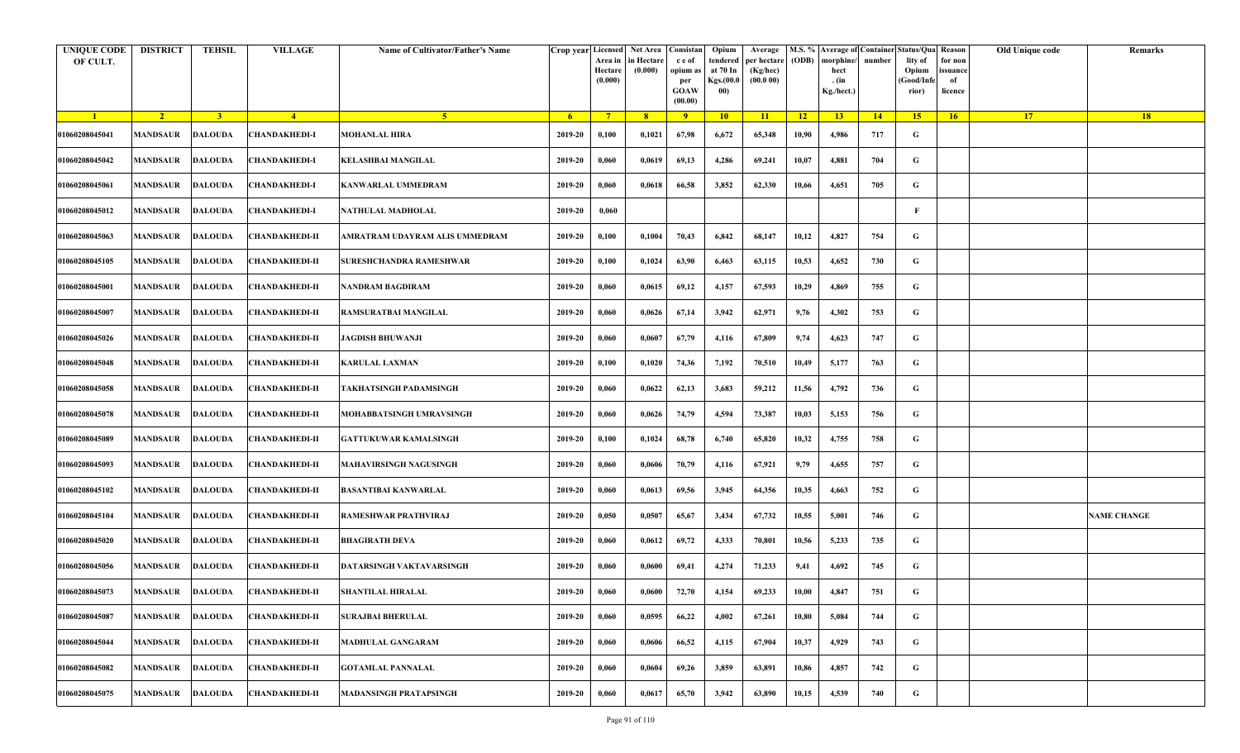| <b>UNIQUE CODE</b><br>OF CULT. | <b>DISTRICT</b>         | <b>TEHSIL</b>           | <b>VILLAGE</b>        | Name of Cultivator/Father's Name | Crop year Licensed | Area in<br>Hectare<br>(0.000) | Net Area   Consistan<br>in Hectare<br>(0.000) | c e of<br>opium as<br>per<br><b>GOAW</b><br>(00.00) | Opium<br>tendered<br>at 70 In<br>Kgs.(00.0<br>00) | Average<br>per hectare<br>(Kg/hec)<br>(00.000) | (ODB) | M.S. % Average of Container Status/Qua Reason<br>morphine/<br>hect<br>. (in<br>Kg./hect.) | number      | lity of<br>Opium<br>(Good/Infe<br>rior) | for non<br>ssuance<br>of<br>licence | Old Unique code | Remarks            |
|--------------------------------|-------------------------|-------------------------|-----------------------|----------------------------------|--------------------|-------------------------------|-----------------------------------------------|-----------------------------------------------------|---------------------------------------------------|------------------------------------------------|-------|-------------------------------------------------------------------------------------------|-------------|-----------------------------------------|-------------------------------------|-----------------|--------------------|
| $\blacksquare$                 | $\sqrt{2}$              | $\overline{\mathbf{3}}$ | $\sqrt{4}$            | -5.                              | -6                 | $7^{\circ}$                   | 8 <sup>°</sup>                                | $\overline{9}$                                      | 10                                                | 11                                             | $-12$ | 13                                                                                        | $\sqrt{14}$ | 15                                      | 16                                  | <b>17</b>       | <b>18</b>          |
| 01060208045041                 | <b>MANDSAUR</b>         | <b>DALOUDA</b>          | <b>CHANDAKHEDI-I</b>  | <b>MOHANLAL HIRA</b>             | 2019-20            | 0,100                         | 0,1021                                        | 67,98                                               | 6,672                                             | 65,348                                         | 10,90 | 4,986                                                                                     | 717         | G                                       |                                     |                 |                    |
| 01060208045042                 | MANDSAUR                | <b>DALOUDA</b>          | <b>CHANDAKHEDI-I</b>  | KELASHBAI MANGILAL               | 2019-20            | 0,060                         | 0,0619                                        | 69,13                                               | 4,286                                             | 69,241                                         | 10,07 | 4,881                                                                                     | 704         | G                                       |                                     |                 |                    |
| 01060208045061                 | MANDSAUR                | DALOUDA                 | <b>CHANDAKHEDI-I</b>  | KANWARLAL UMMEDRAM               | 2019-20            | 0,060                         | 0,0618                                        | 66,58                                               | 3,852                                             | 62,330                                         | 10,66 | 4,651                                                                                     | 705         | G                                       |                                     |                 |                    |
| 01060208045012                 | MANDSAUR                | <b>DALOUDA</b>          | <b>CHANDAKHEDI-I</b>  | NATHULAL MADHOLAL                | 2019-20            | 0,060                         |                                               |                                                     |                                                   |                                                |       |                                                                                           |             | F                                       |                                     |                 |                    |
| 01060208045063                 | MANDSAUR                | <b>DALOUDA</b>          | <b>CHANDAKHEDI-II</b> | AMRATRAM UDAYRAM ALIS UMMEDRAM   | 2019-20            | 0,100                         | 0,1004                                        | 70,43                                               | 6,842                                             | 68,147                                         | 10,12 | 4,827                                                                                     | 754         | G                                       |                                     |                 |                    |
| 01060208045105                 | <b>MANDSAUR</b>         | <b>DALOUDA</b>          | <b>CHANDAKHEDI-II</b> | <b>SURESHCHANDRA RAMESHWAR</b>   | 2019-20            | 0,100                         | 0,1024                                        | 63,90                                               | 6,463                                             | 63,115                                         | 10,53 | 4,652                                                                                     | 730         | G                                       |                                     |                 |                    |
| 01060208045001                 | MANDSAUR                | <b>DALOUDA</b>          | <b>CHANDAKHEDI-II</b> | NANDRAM BAGDIRAM                 | 2019-20            | 0,060                         | 0,0615                                        | 69,12                                               | 4,157                                             | 67,593                                         | 10,29 | 4,869                                                                                     | 755         | G                                       |                                     |                 |                    |
| 01060208045007                 | MANDSAUR                | <b>DALOUDA</b>          | <b>CHANDAKHEDI-II</b> | RAMSURATBAI MANGILAL             | 2019-20            | 0,060                         | 0,0626                                        | 67,14                                               | 3,942                                             | 62,971                                         | 9,76  | 4,302                                                                                     | 753         | G                                       |                                     |                 |                    |
| 01060208045026                 | <b>MANDSAUR</b>         | <b>DALOUDA</b>          | <b>CHANDAKHEDI-II</b> | <b>JAGDISH BHUWANJI</b>          | 2019-20            | 0,060                         | 0,0607                                        | 67,79                                               | 4,116                                             | 67,809                                         | 9,74  | 4,623                                                                                     | 747         | G                                       |                                     |                 |                    |
| 01060208045048                 | <b>MANDSAUR</b>         | <b>DALOUDA</b>          | <b>CHANDAKHEDI-II</b> | <b>KARULAL LAXMAN</b>            | 2019-20            | 0,100                         | 0,1020                                        | 74,36                                               | 7,192                                             | 70,510                                         | 10,49 | 5,177                                                                                     | 763         | G                                       |                                     |                 |                    |
| 01060208045058                 | MANDSAUR                | <b>DALOUDA</b>          | <b>CHANDAKHEDI-II</b> | TAKHATSINGH PADAMSINGH           | 2019-20            | 0,060                         | 0,0622                                        | 62,13                                               | 3,683                                             | 59,212                                         | 11,56 | 4,792                                                                                     | 736         | G                                       |                                     |                 |                    |
| 01060208045078                 | MANDSAUR                | DALOUDA                 | <b>CHANDAKHEDI-II</b> | MOHABBATSINGH UMRAVSINGH         | 2019-20            | 0,060                         | 0,0626                                        | 74,79                                               | 4,594                                             | 73,387                                         | 10,03 | 5,153                                                                                     | 756         | G                                       |                                     |                 |                    |
| 01060208045089                 | MANDSAUR                | <b>DALOUDA</b>          | <b>CHANDAKHEDI-II</b> | <b>GATTUKUWAR KAMALSINGH</b>     | 2019-20            | 0,100                         | 0,1024                                        | 68,78                                               | 6,740                                             | 65,820                                         | 10,32 | 4,755                                                                                     | 758         | G                                       |                                     |                 |                    |
| 01060208045093                 | MANDSAUR                | <b>DALOUDA</b>          | <b>CHANDAKHEDI-II</b> | <b>MAHAVIRSINGH NAGUSINGH</b>    | 2019-20            | 0,060                         | 0,0606                                        | 70,79                                               | 4,116                                             | 67,921                                         | 9,79  | 4,655                                                                                     | 757         | G                                       |                                     |                 |                    |
| 01060208045102                 | <b>MANDSAUR</b>         | DALOUDA                 | <b>CHANDAKHEDI-II</b> | <b>BASANTIBAI KANWARLAL</b>      | 2019-20            | 0,060                         | 0,0613                                        | 69,56                                               | 3,945                                             | 64,356                                         | 10,35 | 4,663                                                                                     | 752         | G                                       |                                     |                 |                    |
| 01060208045104                 | MANDSAUR                | <b>DALOUDA</b>          | <b>CHANDAKHEDI-II</b> | RAMESHWAR PRATHVIRAJ             | 2019-20            | 0,050                         | 0,0507                                        | 65,67                                               | 3,434                                             | 67,732                                         | 10,55 | 5,001                                                                                     | 746         | G                                       |                                     |                 | <b>NAME CHANGE</b> |
| 01060208045020                 | MANDSAUR                | <b>DALOUDA</b>          | <b>CHANDAKHEDI-II</b> | <b>BHAGIRATH DEVA</b>            | 2019-20            | 0,060                         | 0,0612                                        | 69,72                                               | 4,333                                             | 70,801                                         | 10,56 | 5,233                                                                                     | 735         | G                                       |                                     |                 |                    |
| 01060208045056                 | MANDSAUR                | <b>DALOUDA</b>          | <b>CHANDAKHEDI-II</b> | DATARSINGH VAKTAVARSINGH         | 2019-20            | 0,060                         | 0,0600                                        | 69,41                                               | 4,274                                             | 71,233                                         | 9,41  | 4,692                                                                                     | 745         | G                                       |                                     |                 |                    |
| 01060208045073                 | <b>MANDSAUR DALOUDA</b> |                         | <b>CHANDAKHEDI-II</b> | <b>SHANTILAL HIRALAL</b>         | 2019-20            | 0,060                         | 0,0600                                        | 72,70                                               | 4,154                                             | 69,233                                         | 10.00 | 4,847                                                                                     | 751         | G                                       |                                     |                 |                    |
| 01060208045087                 | MANDSAUR                | <b>DALOUDA</b>          | <b>CHANDAKHEDI-II</b> | <b>SURAJBAI BHERULAL</b>         | 2019-20            | 0,060                         | 0,0595                                        | 66,22                                               | 4,002                                             | 67,261                                         | 10,80 | 5,084                                                                                     | 744         | $\mathbf G$                             |                                     |                 |                    |
| 01060208045044                 | <b>MANDSAUR</b>         | <b>DALOUDA</b>          | <b>CHANDAKHEDI-II</b> | <b>MADHULAL GANGARAM</b>         | 2019-20            | 0,060                         | 0,0606                                        | 66,52                                               | 4,115                                             | 67,904                                         | 10,37 | 4,929                                                                                     | 743         | G                                       |                                     |                 |                    |
| 01060208045082                 | MANDSAUR                | <b>DALOUDA</b>          | <b>CHANDAKHEDI-II</b> | <b>GOTAMLAL PANNALAL</b>         | 2019-20            | 0,060                         | 0,0604                                        | 69,26                                               | 3,859                                             | 63,891                                         | 10,86 | 4,857                                                                                     | 742         | G                                       |                                     |                 |                    |
| 01060208045075                 | MANDSAUR                | <b>DALOUDA</b>          | <b>CHANDAKHEDI-II</b> | <b>MADANSINGH PRATAPSINGH</b>    | 2019-20            | 0,060                         | 0,0617                                        | 65,70                                               | 3,942                                             | 63,890                                         | 10,15 | 4,539                                                                                     | 740         | G                                       |                                     |                 |                    |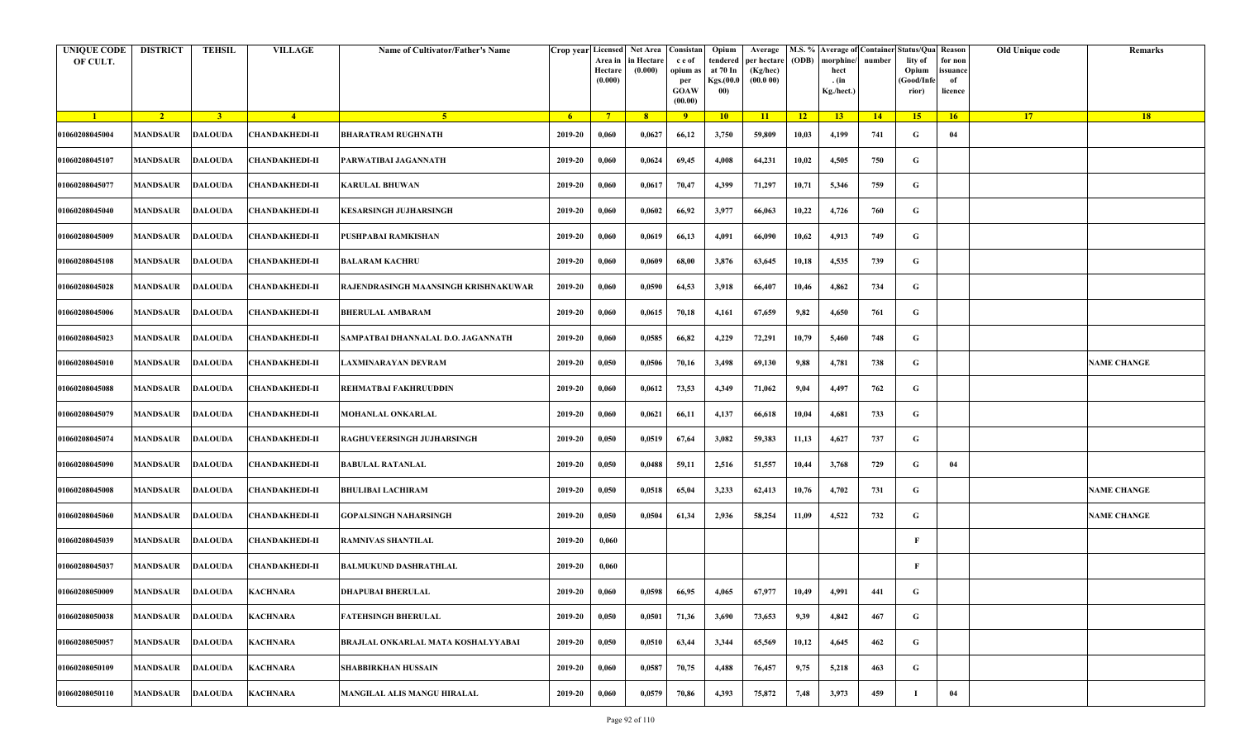| <b>UNIQUE CODE</b><br>OF CULT. | <b>DISTRICT</b> | <b>TEHSIL</b>  | <b>VILLAGE</b>            | Name of Cultivator/Father's Name     | Crop year Licensed | Area in<br>Hectare<br>(0.000) | Net Area   Consistan<br>in Hectare<br>(0.000) | c e of<br>opium as<br>per<br><b>GOAW</b><br>(00.00) | Opium<br>tendered<br>at 70 In<br>Kgs.(00.0<br>00) | Average<br>per hectare<br>(Kg/hec)<br>(00.000) | (ODB) | M.S. % Average of Container Status/Qua Reason<br>morphine/<br>hect<br>. (in<br>Kg./hect.) | number | lity of<br>Opium<br>(Good/Infe<br>rior) | for non<br>ssuance<br>of<br>licence | Old Unique code | Remarks            |
|--------------------------------|-----------------|----------------|---------------------------|--------------------------------------|--------------------|-------------------------------|-----------------------------------------------|-----------------------------------------------------|---------------------------------------------------|------------------------------------------------|-------|-------------------------------------------------------------------------------------------|--------|-----------------------------------------|-------------------------------------|-----------------|--------------------|
| $\blacksquare$                 | $\sqrt{2}$      | 3 <sup>1</sup> | $-4$                      | 5 <sup>1</sup>                       | - 6                | $7^{\circ}$                   | 8 <sup>°</sup>                                | $\overline{9}$                                      | 10                                                | $\overline{11}$                                | $-12$ | 13                                                                                        | 14     | 15                                      | 16                                  | <b>17</b>       | <b>18</b>          |
| 01060208045004                 | <b>MANDSAUR</b> | <b>DALOUDA</b> | <b>CHANDAKHEDI-II</b>     | <b>BHARATRAM RUGHNATH</b>            | 2019-20            | 0,060                         | 0,0627                                        | 66,12                                               | 3,750                                             | 59,809                                         | 10,03 | 4,199                                                                                     | 741    | G                                       | 04                                  |                 |                    |
| 01060208045107                 | MANDSAUR        | <b>DALOUDA</b> | <b>CHANDAKHEDI-II</b>     | PARWATIBAI JAGANNATH                 | 2019-20            | 0,060                         | 0,0624                                        | 69,45                                               | 4,008                                             | 64,231                                         | 10,02 | 4,505                                                                                     | 750    | G                                       |                                     |                 |                    |
| 01060208045077                 | <b>MANDSAUR</b> | <b>DALOUDA</b> | <b>CHANDAKHEDI-II</b>     | <b>KARULAL BHUWAN</b>                | 2019-20            | 0,060                         | 0,0617                                        | 70,47                                               | 4,399                                             | 71,297                                         | 10,71 | 5,346                                                                                     | 759    | G                                       |                                     |                 |                    |
| 01060208045040                 | MANDSAUR        | <b>DALOUDA</b> | <b>CHANDAKHEDI-II</b>     | <b>KESARSINGH JUJHARSINGH</b>        | 2019-20            | 0,060                         | 0,0602                                        | 66,92                                               | 3,977                                             | 66,063                                         | 10,22 | 4,726                                                                                     | 760    | G                                       |                                     |                 |                    |
| 01060208045009                 | <b>MANDSAUR</b> | <b>DALOUDA</b> | <b>CHANDAKHEDI-II</b>     | PUSHPABAI RAMKISHAN                  | 2019-20            | 0,060                         | 0,0619                                        | 66,13                                               | 4,091                                             | 66,090                                         | 10,62 | 4,913                                                                                     | 749    | G                                       |                                     |                 |                    |
| 01060208045108                 | MANDSAUR        | <b>DALOUDA</b> | <b>CHANDAKHEDI-II</b>     | <b>BALARAM KACHRU</b>                | 2019-20            | 0,060                         | 0,0609                                        | 68,00                                               | 3,876                                             | 63,645                                         | 10,18 | 4,535                                                                                     | 739    | G                                       |                                     |                 |                    |
| 01060208045028                 | MANDSAUR        | <b>DALOUDA</b> | <b>CHANDAKHEDI-II</b>     | RAJENDRASINGH MAANSINGH KRISHNAKUWAR | 2019-20            | 0,060                         | 0,0590                                        | 64,53                                               | 3,918                                             | 66,407                                         | 10,46 | 4,862                                                                                     | 734    | G                                       |                                     |                 |                    |
| 01060208045006                 | MANDSAUR        | <b>DALOUDA</b> | <b>CHANDAKHEDI-II</b>     | <b>BHERULAL AMBARAM</b>              | 2019-20            | 0,060                         | 0,0615                                        | 70,18                                               | 4,161                                             | 67,659                                         | 9,82  | 4,650                                                                                     | 761    | G                                       |                                     |                 |                    |
| 01060208045023                 | MANDSAUR        | <b>DALOUDA</b> | <b>CHANDAKHEDI-II</b>     | SAMPATBAI DHANNALAL D.O. JAGANNATH   | 2019-20            | 0,060                         | 0,0585                                        | 66,82                                               | 4,229                                             | 72,291                                         | 10,79 | 5,460                                                                                     | 748    | G                                       |                                     |                 |                    |
| 01060208045010                 | <b>MANDSAUR</b> | <b>DALOUDA</b> | <b>CHANDAKHEDI-II</b>     | LAXMINARAYAN DEVRAM                  | 2019-20            | 0,050                         | 0,0506                                        | 70,16                                               | 3,498                                             | 69,130                                         | 9,88  | 4,781                                                                                     | 738    | G                                       |                                     |                 | <b>NAME CHANGE</b> |
| 01060208045088                 | MANDSAUR        | <b>DALOUDA</b> | <b>CHANDAKHEDI-II</b>     | <b>REHMATBAI FAKHRUUDDIN</b>         | 2019-20            | 0,060                         | 0,0612                                        | 73,53                                               | 4,349                                             | 71,062                                         | 9,04  | 4,497                                                                                     | 762    | G                                       |                                     |                 |                    |
| 01060208045079                 | <b>MANDSAUR</b> | <b>DALOUDA</b> | <b>CHANDAKHEDI-II</b>     | MOHANLAL ONKARLAL                    | 2019-20            | 0,060                         | 0,0621                                        | 66,11                                               | 4,137                                             | 66,618                                         | 10,04 | 4,681                                                                                     | 733    | G                                       |                                     |                 |                    |
| 01060208045074                 | MANDSAUR        | <b>DALOUDA</b> | <b>CHANDAKHEDI-II</b>     | RAGHUVEERSINGH JUJHARSINGH           | 2019-20            | 0,050                         | 0,0519                                        | 67,64                                               | 3,082                                             | 59,383                                         | 11,13 | 4,627                                                                                     | 737    | G                                       |                                     |                 |                    |
| 01060208045090                 | <b>MANDSAUR</b> | <b>DALOUDA</b> | <b>CHANDAKHEDI-II</b>     | <b>BABULAL RATANLAL</b>              | 2019-20            | 0,050                         | 0,0488                                        | 59,11                                               | 2,516                                             | 51,557                                         | 10,44 | 3,768                                                                                     | 729    | G                                       | 04                                  |                 |                    |
| 01060208045008                 | MANDSAUR        | <b>DALOUDA</b> | <b>CHANDAKHEDI-II</b>     | <b>BHULIBAI LACHIRAM</b>             | 2019-20            | 0,050                         | 0,0518                                        | 65,04                                               | 3,233                                             | 62,413                                         | 10,76 | 4,702                                                                                     | 731    | G                                       |                                     |                 | <b>NAME CHANGE</b> |
| 01060208045060                 | MANDSAUR        | <b>DALOUDA</b> | <b>CHANDAKHEDI-II</b>     | GOPALSINGH NAHARSINGH                | 2019-20            | 0,050                         | 0,0504                                        | 61,34                                               | 2,936                                             | 58,254                                         | 11,09 | 4,522                                                                                     | 732    | G                                       |                                     |                 | <b>NAME CHANGE</b> |
| 01060208045039                 | <b>MANDSAUR</b> | <b>DALOUDA</b> | <b>CHANDAKHEDI-II</b>     | <b>RAMNIVAS SHANTILAL</b>            | 2019-20            | 0,060                         |                                               |                                                     |                                                   |                                                |       |                                                                                           |        | F                                       |                                     |                 |                    |
| 01060208045037                 | MANDSAUR        | <b>DALOUDA</b> | <b>CHANDAKHEDI-II</b>     | <b>BALMUKUND DASHRATHLAL</b>         | 2019-20            | 0,060                         |                                               |                                                     |                                                   |                                                |       |                                                                                           |        | F                                       |                                     |                 |                    |
| 01060208050009                 |                 |                | MANDSAUR DALOUDA KACHNARA | <b>DHAPUBAI BHERULAL</b>             | 2019-20            | 0,060                         | 0,0598                                        | 66,95                                               | 4,065                                             | 67,977                                         | 10,49 | 4,991                                                                                     | 441    | G                                       |                                     |                 |                    |
| 01060208050038                 | <b>MANDSAUR</b> | <b>DALOUDA</b> | <b>KACHNARA</b>           | FATEHSINGH BHERULAL                  | 2019-20            | 0,050                         | 0,0501                                        | 71,36                                               | 3,690                                             | 73,653                                         | 9,39  | 4,842                                                                                     | 467    | $\mathbf G$                             |                                     |                 |                    |
| 01060208050057                 | <b>MANDSAUR</b> | <b>DALOUDA</b> | <b>KACHNARA</b>           | BRAJLAL ONKARLAL MATA KOSHALYYABAI   | 2019-20            | 0,050                         | 0,0510                                        | 63,44                                               | 3,344                                             | 65,569                                         | 10,12 | 4,645                                                                                     | 462    | G                                       |                                     |                 |                    |
| 01060208050109                 | MANDSAUR        | <b>DALOUDA</b> | <b>KACHNARA</b>           | <b>SHABBIRKHAN HUSSAIN</b>           | 2019-20            | 0,060                         | 0,0587                                        | 70,75                                               | 4,488                                             | 76,457                                         | 9,75  | 5,218                                                                                     | 463    | G                                       |                                     |                 |                    |
| 01060208050110                 | <b>MANDSAUR</b> | <b>DALOUDA</b> | KACHNARA                  | MANGILAL ALIS MANGU HIRALAL          | 2019-20            | 0,060                         | 0,0579                                        | 70,86                                               | 4,393                                             | 75,872                                         | 7,48  | 3,973                                                                                     | 459    |                                         | 04                                  |                 |                    |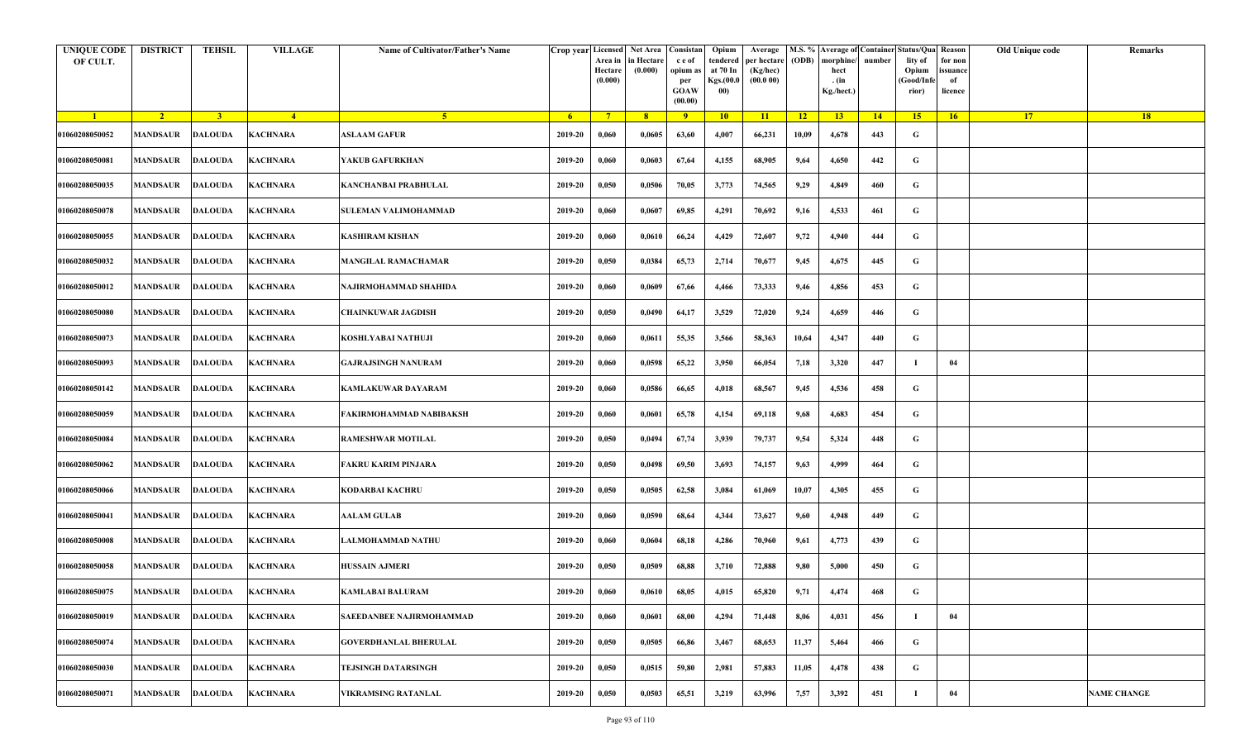| <b>UNIQUE CODE</b><br>OF CULT. | <b>DISTRICT</b> | <b>TEHSIL</b>  | <b>VILLAGE</b>            | Name of Cultivator/Father's Name |                | Crop year Licensed<br>Area in<br>Hectare<br>(0.000) | Net Area   Consistan  <br>in Hectare<br>(0.000) | c e of<br>opium as<br>per<br><b>GOAW</b><br>(00.00) | Opium<br>tendered<br>at 70 In<br>Kgs.(00.0<br>00) | Average<br>per hectare<br>(Kg/hec)<br>(00.000) | (ODB)           | M.S. % Average of Container Status/Qua Reason<br>morphine/<br>hect<br>. (in<br>Kg./hect.) | number | lity of<br>Opium<br>(Good/Info<br>rior) | for non<br>ssuance<br>of<br>licence | Old Unique code | Remarks            |
|--------------------------------|-----------------|----------------|---------------------------|----------------------------------|----------------|-----------------------------------------------------|-------------------------------------------------|-----------------------------------------------------|---------------------------------------------------|------------------------------------------------|-----------------|-------------------------------------------------------------------------------------------|--------|-----------------------------------------|-------------------------------------|-----------------|--------------------|
| $\blacksquare$                 | $\sqrt{2}$      | 3 <sup>1</sup> | $-4$                      | 5 <sup>1</sup>                   | 6 <sup>6</sup> | $7^{\circ}$                                         | 8                                               | $\overline{9}$                                      | 10                                                | 11                                             | $\overline{12}$ | 13                                                                                        | 14     | 15                                      | 16                                  | 17 <sup>2</sup> | 18                 |
| 01060208050052                 | <b>MANDSAUR</b> | DALOUDA        | <b>KACHNARA</b>           | <b>ASLAAM GAFUR</b>              | 2019-20        | 0,060                                               | 0,0605                                          | 63,60                                               | 4,007                                             | 66,231                                         | 10,09           | 4,678                                                                                     | 443    | G                                       |                                     |                 |                    |
| 01060208050081                 | <b>MANDSAUR</b> | <b>DALOUDA</b> | <b>KACHNARA</b>           | YAKUB GAFURKHAN                  | 2019-20        | 0,060                                               | 0,0603                                          | 67,64                                               | 4,155                                             | 68,905                                         | 9,64            | 4,650                                                                                     | 442    | G                                       |                                     |                 |                    |
| 01060208050035                 | <b>MANDSAUR</b> | <b>DALOUDA</b> | <b>KACHNARA</b>           | <b>KANCHANBAI PRABHULAL</b>      | 2019-20        | 0,050                                               | 0,0506                                          | 70,05                                               | 3,773                                             | 74,565                                         | 9,29            | 4,849                                                                                     | 460    | G                                       |                                     |                 |                    |
| 01060208050078                 | MANDSAUR        | <b>DALOUDA</b> | <b>KACHNARA</b>           | SULEMAN VALIMOHAMMAD             | 2019-20        | 0,060                                               | 0,0607                                          | 69,85                                               | 4,291                                             | 70,692                                         | 9,16            | 4,533                                                                                     | 461    | G                                       |                                     |                 |                    |
| 01060208050055                 | <b>MANDSAUR</b> | <b>DALOUDA</b> | <b>KACHNARA</b>           | <b>KASHIRAM KISHAN</b>           | 2019-20        | 0,060                                               | 0,0610                                          | 66,24                                               | 4,429                                             | 72,607                                         | 9,72            | 4,940                                                                                     | 444    | G                                       |                                     |                 |                    |
| 01060208050032                 | MANDSAUR        | <b>DALOUDA</b> | <b>KACHNARA</b>           | <b>MANGILAL RAMACHAMAR</b>       | 2019-20        | 0,050                                               | 0,0384                                          | 65,73                                               | 2,714                                             | 70,677                                         | 9,45            | 4,675                                                                                     | 445    | G                                       |                                     |                 |                    |
| 01060208050012                 | MANDSAUR        | <b>DALOUDA</b> | <b>KACHNARA</b>           | NAJIRMOHAMMAD SHAHIDA            | 2019-20        | 0,060                                               | 0,0609                                          | 67,66                                               | 4,466                                             | 73,333                                         | 9,46            | 4,856                                                                                     | 453    | G                                       |                                     |                 |                    |
| 01060208050080                 | <b>MANDSAUR</b> | <b>DALOUDA</b> | <b>KACHNARA</b>           | <b>CHAINKUWAR JAGDISH</b>        | 2019-20        | 0,050                                               | 0,0490                                          | 64,17                                               | 3,529                                             | 72,020                                         | 9,24            | 4,659                                                                                     | 446    | G                                       |                                     |                 |                    |
| 01060208050073                 | MANDSAUR        | <b>DALOUDA</b> | <b>KACHNARA</b>           | KOSHLYABAI NATHUJI               | 2019-20        | 0,060                                               | 0,0611                                          | 55,35                                               | 3,566                                             | 58,363                                         | 10,64           | 4,347                                                                                     | 440    | G                                       |                                     |                 |                    |
| 01060208050093                 | <b>MANDSAUR</b> | <b>DALOUDA</b> | <b>KACHNARA</b>           | <b>GAJRAJSINGH NANURAM</b>       | 2019-20        | 0,060                                               | 0,0598                                          | 65,22                                               | 3,950                                             | 66,054                                         | 7,18            | 3,320                                                                                     | 447    | -1                                      | 04                                  |                 |                    |
| 01060208050142                 | <b>MANDSAUR</b> | <b>DALOUDA</b> | <b>KACHNARA</b>           | <b>KAMLAKUWAR DAYARAM</b>        | 2019-20        | 0,060                                               | 0,0586                                          | 66,65                                               | 4,018                                             | 68,567                                         | 9,45            | 4,536                                                                                     | 458    | G                                       |                                     |                 |                    |
| 01060208050059                 | <b>MANDSAUR</b> | <b>DALOUDA</b> | <b>KACHNARA</b>           | FAKIRMOHAMMAD NABIBAKSH          | 2019-20        | 0,060                                               | 0,0601                                          | 65,78                                               | 4,154                                             | 69,118                                         | 9,68            | 4,683                                                                                     | 454    | G                                       |                                     |                 |                    |
| 01060208050084                 | MANDSAUR        | <b>DALOUDA</b> | <b>KACHNARA</b>           | <b>RAMESHWAR MOTILAL</b>         | 2019-20        | 0,050                                               | 0,0494                                          | 67,74                                               | 3,939                                             | 79,737                                         | 9,54            | 5,324                                                                                     | 448    | G                                       |                                     |                 |                    |
| 01060208050062                 | <b>MANDSAUR</b> | <b>DALOUDA</b> | <b>KACHNARA</b>           | FAKRU KARIM PINJARA              | 2019-20        | 0,050                                               | 0,0498                                          | 69,50                                               | 3,693                                             | 74,157                                         | 9,63            | 4,999                                                                                     | 464    | G                                       |                                     |                 |                    |
| 01060208050066                 | MANDSAUR        | <b>DALOUDA</b> | <b>KACHNARA</b>           | <b>KODARBAI KACHRU</b>           | 2019-20        | 0,050                                               | 0,0505                                          | 62,58                                               | 3,084                                             | 61,069                                         | 10,07           | 4,305                                                                                     | 455    | G                                       |                                     |                 |                    |
| 01060208050041                 | <b>MANDSAUR</b> | <b>DALOUDA</b> | <b>KACHNARA</b>           | <b>AALAM GULAB</b>               | 2019-20        | 0,060                                               | 0,0590                                          | 68,64                                               | 4,344                                             | 73,627                                         | 9,60            | 4,948                                                                                     | 449    | G                                       |                                     |                 |                    |
| 01060208050008                 | MANDSAUR        | <b>DALOUDA</b> | <b>KACHNARA</b>           | LALMOHAMMAD NATHU                | 2019-20        | 0,060                                               | 0,0604                                          | 68,18                                               | 4,286                                             | 70,960                                         | 9,61            | 4,773                                                                                     | 439    | G                                       |                                     |                 |                    |
| 01060208050058                 | MANDSAUR        | DALOUDA        | KACHNARA                  | <b>HUSSAIN AJMERI</b>            | 2019-20        | 0,050                                               | 0,0509                                          | 68,88                                               | 3,710                                             | 72,888                                         | 9,80            | 5,000                                                                                     | 450    | G                                       |                                     |                 |                    |
| 01060208050075                 |                 |                | MANDSAUR DALOUDA KACHNARA | <b>KAMLABAI BALURAM</b>          | 2019-20        | 0,060                                               | 0,0610                                          | 68,05                                               | 4,015                                             | 65,820                                         | 9,71            | 4,474                                                                                     | 468    | G                                       |                                     |                 |                    |
| 01060208050019                 | <b>MANDSAUR</b> | <b>DALOUDA</b> | <b>KACHNARA</b>           | <b>SAEEDANBEE NAJIRMOHAMMAD</b>  | 2019-20        | 0,060                                               | 0,0601                                          | 68,00                                               | 4,294                                             | 71,448                                         | 8,06            | 4,031                                                                                     | 456    |                                         | 04                                  |                 |                    |
| 01060208050074                 | <b>MANDSAUR</b> | <b>DALOUDA</b> | <b>KACHNARA</b>           | <b>GOVERDHANLAL BHERULAL</b>     | 2019-20        | 0,050                                               | 0,0505                                          | 66,86                                               | 3,467                                             | 68,653                                         | 11,37           | 5,464                                                                                     | 466    | G                                       |                                     |                 |                    |
| 01060208050030                 | <b>MANDSAUR</b> | <b>DALOUDA</b> | <b>KACHNARA</b>           | <b>TEJSINGH DATARSINGH</b>       | 2019-20        | 0,050                                               | 0,0515                                          | 59,80                                               | 2,981                                             | 57,883                                         | 11,05           | 4,478                                                                                     | 438    | G                                       |                                     |                 |                    |
| 01060208050071                 | <b>MANDSAUR</b> | <b>DALOUDA</b> | <b>KACHNARA</b>           | <b>VIKRAMSING RATANLAL</b>       | 2019-20        | 0,050                                               | 0,0503                                          | 65,51                                               | 3,219                                             | 63,996                                         | 7,57            | 3,392                                                                                     | 451    |                                         | 04                                  |                 | <b>NAME CHANGE</b> |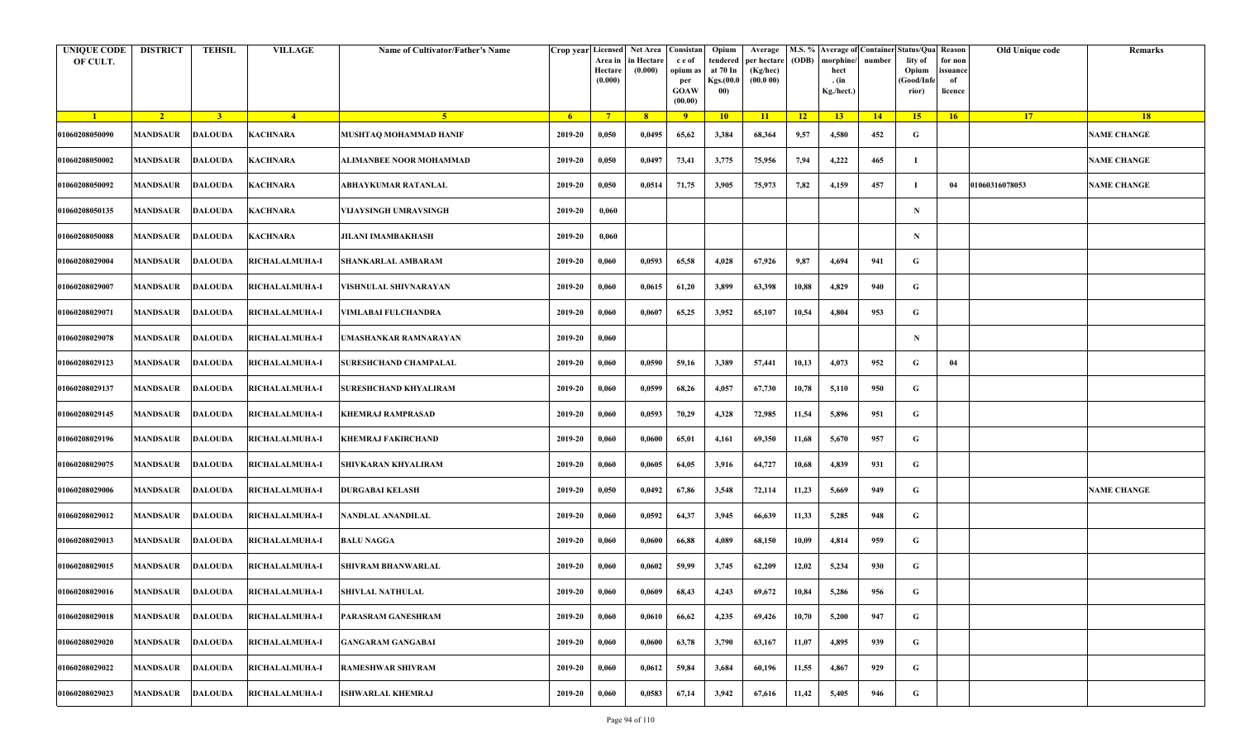| <b>UNIQUE CODE</b><br>OF CULT. | <b>DISTRICT</b>         | TEHSIL         | <b>VILLAGE</b>        | Name of Cultivator/Father's Name | <b>Crop year Licensed</b> | Area in<br>Hectare<br>(0.000) | Net Area   Consistan<br>n Hectare<br>(0.000) | c e of<br>opium as<br>per<br><b>GOAW</b><br>(00.00) | Opium<br>tendered<br>at 70 In<br>Kgs.(00.0<br>00) | Average<br>per hectare<br>(Kg/hec)<br>(00.000) | (ODB) | M.S. % Average of Container Status/Qua Reason<br>morphine/<br>hect<br>. (in<br>Kg./hect.) | number | lity of<br>Opium<br>(Good/Info<br>rior) | Old Unique code<br>for non<br>ssuance<br>of<br>licence | Remarks            |
|--------------------------------|-------------------------|----------------|-----------------------|----------------------------------|---------------------------|-------------------------------|----------------------------------------------|-----------------------------------------------------|---------------------------------------------------|------------------------------------------------|-------|-------------------------------------------------------------------------------------------|--------|-----------------------------------------|--------------------------------------------------------|--------------------|
| $\blacksquare$                 | $\sqrt{2}$              | $\overline{3}$ | $\frac{4}{ }$         | $-5$                             | 6 <sup>1</sup>            | $7^{\circ}$                   | 8 <sup>°</sup>                               | 9                                                   | 10                                                | 11                                             | 12    | 13 <sup>7</sup>                                                                           | 14     | 15                                      | 17 <sup>2</sup><br>16                                  | 18                 |
| 01060208050090                 | <b>MANDSAUR</b>         | <b>DALOUDA</b> | KACHNARA              | MUSHTAQ MOHAMMAD HANIF           | 2019-20                   | 0,050                         | 0,0495                                       | 65,62                                               | 3,384                                             | 68,364                                         | 9,57  | 4,580                                                                                     | 452    | G                                       |                                                        | <b>NAME CHANGE</b> |
| 01060208050002                 | MANDSAUR                | <b>DALOUDA</b> | KACHNARA              | ALIMANBEE NOOR MOHAMMAD          | 2019-20                   | 0,050                         | 0,0497                                       | 73,41                                               | 3,775                                             | 75,956                                         | 7,94  | 4,222                                                                                     | 465    | -1                                      |                                                        | <b>NAME CHANGE</b> |
| 01060208050092                 | <b>MANDSAUR</b>         | <b>DALOUDA</b> | KACHNARA              | ABHAYKUMAR RATANLAL              | 2019-20                   | 0,050                         | 0,0514                                       | 71,75                                               | 3,905                                             | 75,973                                         | 7,82  | 4,159                                                                                     | 457    | - 1                                     | 01060316078053<br>04                                   | <b>NAME CHANGE</b> |
| 01060208050135                 | MANDSAUR                | <b>DALOUDA</b> | KACHNARA              | VIJAYSINGH UMRAVSINGH            | 2019-20                   | 0,060                         |                                              |                                                     |                                                   |                                                |       |                                                                                           |        | $\mathbf N$                             |                                                        |                    |
| 01060208050088                 | MANDSAUR                | <b>DALOUDA</b> | KACHNARA              | <b>JILANI IMAMBAKHASH</b>        | 2019-20                   | 0,060                         |                                              |                                                     |                                                   |                                                |       |                                                                                           |        | $\mathbf N$                             |                                                        |                    |
| 01060208029004                 | <b>MANDSAUR</b>         | <b>DALOUDA</b> | RICHALALMUHA-I        | <b>SHANKARLAL AMBARAM</b>        | 2019-20                   | 0,060                         | 0,0593                                       | 65,58                                               | 4,028                                             | 67,926                                         | 9,87  | 4,694                                                                                     | 941    | G                                       |                                                        |                    |
| 01060208029007                 | MANDSAUR                | <b>DALOUDA</b> | RICHALALMUHA-I        | VISHNULAL SHIVNARAYAN            | 2019-20                   | 0,060                         | 0,0615                                       | 61,20                                               | 3,899                                             | 63,398                                         | 10,88 | 4,829                                                                                     | 940    | G                                       |                                                        |                    |
| 01060208029071                 | <b>MANDSAUR</b>         | <b>DALOUDA</b> | RICHALALMUHA-I        | VIMLABAI FULCHANDRA              | 2019-20                   | 0,060                         | 0,0607                                       | 65,25                                               | 3,952                                             | 65,107                                         | 10,54 | 4,804                                                                                     | 953    | G                                       |                                                        |                    |
| 01060208029078                 | MANDSAUR                | <b>DALOUDA</b> | <b>RICHALALMUHA-I</b> | JMASHANKAR RAMNARAYAN            | 2019-20                   | 0,060                         |                                              |                                                     |                                                   |                                                |       |                                                                                           |        | N                                       |                                                        |                    |
| 01060208029123                 | MANDSAUR                | <b>DALOUDA</b> | RICHALALMUHA-I        | <b>SURESHCHAND CHAMPALAL</b>     | 2019-20                   | 0,060                         | 0,0590                                       | 59,16                                               | 3,389                                             | 57,441                                         | 10,13 | 4,073                                                                                     | 952    | G                                       | 04                                                     |                    |
| 01060208029137                 | MANDSAUR                | <b>DALOUDA</b> | RICHALALMUHA-I        | SURESHCHAND KHYALIRAM            | 2019-20                   | 0,060                         | 0,0599                                       | 68,26                                               | 4,057                                             | 67,730                                         | 10,78 | 5,110                                                                                     | 950    | G                                       |                                                        |                    |
| 01060208029145                 | <b>MANDSAUR</b>         | <b>DALOUDA</b> | RICHALALMUHA-I        | KHEMRAJ RAMPRASAD                | 2019-20                   | 0,060                         | 0,0593                                       | 70,29                                               | 4,328                                             | 72,985                                         | 11,54 | 5,896                                                                                     | 951    | G                                       |                                                        |                    |
| 01060208029196                 | MANDSAUR                | <b>DALOUDA</b> | RICHALALMUHA-I        | KHEMRAJ FAKIRCHAND               | 2019-20                   | 0,060                         | 0,0600                                       | 65,01                                               | 4,161                                             | 69,350                                         | 11,68 | 5,670                                                                                     | 957    | G                                       |                                                        |                    |
| 01060208029075                 | MANDSAUR                | <b>DALOUDA</b> | RICHALALMUHA-I        | SHIVKARAN KHYALIRAM              | 2019-20                   | 0,060                         | 0,0605                                       | 64,05                                               | 3,916                                             | 64,727                                         | 10,68 | 4,839                                                                                     | 931    | G                                       |                                                        |                    |
| 01060208029006                 | MANDSAUR                | <b>DALOUDA</b> | RICHALALMUHA-I        | DURGABAI KELASH                  | 2019-20                   | 0,050                         | 0,0492                                       | 67,86                                               | 3,548                                             | 72,114                                         | 11,23 | 5,669                                                                                     | 949    | G                                       |                                                        | <b>NAME CHANGE</b> |
| 01060208029012                 | MANDSAUR                | <b>DALOUDA</b> | RICHALALMUHA-I        | NANDLAL ANANDILAL                | 2019-20                   | 0,060                         | 0,0592                                       | 64,37                                               | 3,945                                             | 66,639                                         | 11,33 | 5,285                                                                                     | 948    | G                                       |                                                        |                    |
| 01060208029013                 | MANDSAUR                | <b>DALOUDA</b> | RICHALALMUHA-I        | <b>BALU NAGGA</b>                | 2019-20                   | 0,060                         | 0,0600                                       | 66,88                                               | 4,089                                             | 68,150                                         | 10,09 | 4,814                                                                                     | 959    | G                                       |                                                        |                    |
| 01060208029015                 | MANDSAUR                | DALOUDA        | <b>RICHALALMUHA-I</b> | <b>SHIVRAM BHANWARLAL</b>        | 2019-20                   | 0,060                         | 0,0602                                       | 59,99                                               | 3,745                                             | 62,209                                         | 12,02 | 5,234                                                                                     | 930    | G                                       |                                                        |                    |
| 01060208029016                 | <b>MANDSAUR DALOUDA</b> |                | <b>RICHALALMUHA-I</b> | <b>SHIVLAL NATHULAL</b>          | 2019-20                   | 0,060                         | 0,0609                                       | 68,43                                               | 4,243                                             | 69,672                                         | 10,84 | 5,286                                                                                     | 956    | G                                       |                                                        |                    |
| 01060208029018                 | MANDSAUR                | <b>DALOUDA</b> | RICHALALMUHA-I        | PARASRAM GANESHRAM               | 2019-20                   | 0,060                         | 0,0610                                       | 66,62                                               | 4,235                                             | 69,426                                         | 10,70 | 5,200                                                                                     | 947    | $\mathbf G$                             |                                                        |                    |
| 01060208029020                 | MANDSAUR                | <b>DALOUDA</b> | RICHALALMUHA-I        | <b>GANGARAM GANGABAI</b>         | 2019-20                   | 0,060                         | 0,0600                                       | 63,78                                               | 3,790                                             | 63,167                                         | 11,07 | 4,895                                                                                     | 939    | G                                       |                                                        |                    |
| 01060208029022                 | MANDSAUR                | <b>DALOUDA</b> | RICHALALMUHA-I        | <b>RAMESHWAR SHIVRAM</b>         | 2019-20                   | 0,060                         | 0,0612                                       | 59,84                                               | 3,684                                             | 60,196                                         | 11,55 | 4,867                                                                                     | 929    | G                                       |                                                        |                    |
| 01060208029023                 | MANDSAUR                | <b>DALOUDA</b> | RICHALALMUHA-I        | ISHWARLAL KHEMRAJ                | 2019-20                   | 0,060                         | 0,0583                                       | 67,14                                               | 3,942                                             | 67,616                                         | 11,42 | 5,405                                                                                     | 946    | G                                       |                                                        |                    |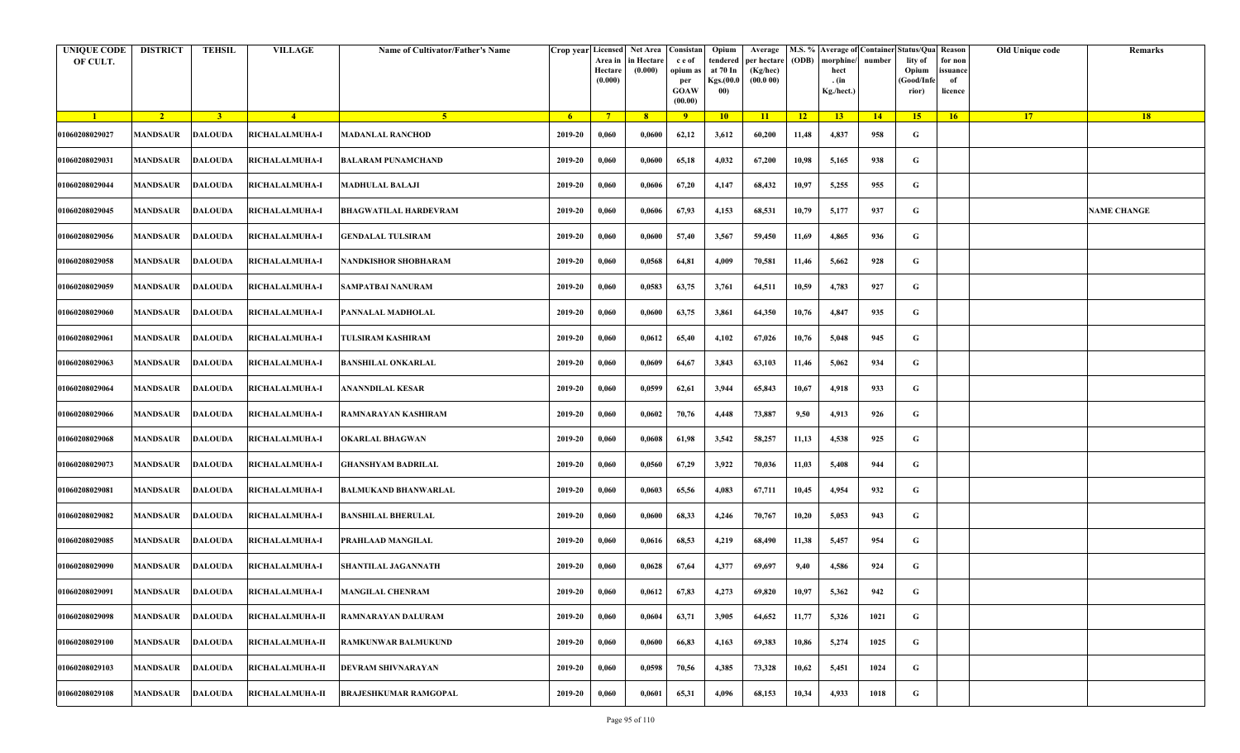| <b>UNIQUE CODE</b><br>OF CULT. | <b>DISTRICT</b>         | <b>TEHSIL</b>  | <b>VILLAGE</b>         | Name of Cultivator/Father's Name | Crop year Licensed | Area in<br>Hectare<br>(0.000) | Net Area   Consistan<br>in Hectare<br>(0.000) | c e of<br>opium as<br>per<br><b>GOAW</b><br>(00.00) | Opium<br>tendered<br>at 70 In<br>Kgs.(00.0<br>00) | Average<br>per hectare<br>(Kg/hec)<br>(00.000) | (ODB) | M.S. % Average of Container Status/Qua Reason<br>morphine/<br>hect<br>. (in<br>Kg./hect.) | number | lity of<br>Opium<br>(Good/Infe<br>rior) | for non<br>issuance<br>of<br>licence | Old Unique code | Remarks            |
|--------------------------------|-------------------------|----------------|------------------------|----------------------------------|--------------------|-------------------------------|-----------------------------------------------|-----------------------------------------------------|---------------------------------------------------|------------------------------------------------|-------|-------------------------------------------------------------------------------------------|--------|-----------------------------------------|--------------------------------------|-----------------|--------------------|
| $\blacksquare$                 | $\sqrt{2}$              | $\overline{3}$ | $\sqrt{4}$             | -5.                              | -6                 | $7^{\circ}$                   | 8 <sup>°</sup>                                | $\overline{9}$                                      | 10                                                | 11                                             | $-12$ | 13                                                                                        | 14     | 15                                      | 16                                   | <b>17</b>       | 18                 |
| 01060208029027                 | <b>MANDSAUR</b>         | <b>DALOUDA</b> | RICHALALMUHA-I         | <b>MADANLAL RANCHOD</b>          | 2019-20            | 0,060                         | 0,0600                                        | 62,12                                               | 3,612                                             | 60,200                                         | 11,48 | 4,837                                                                                     | 958    | G                                       |                                      |                 |                    |
| 01060208029031                 | MANDSAUR                | <b>DALOUDA</b> | RICHALALMUHA-I         | <b>BALARAM PUNAMCHAND</b>        | 2019-20            | 0,060                         | 0,0600                                        | 65,18                                               | 4,032                                             | 67,200                                         | 10,98 | 5,165                                                                                     | 938    | G                                       |                                      |                 |                    |
| 01060208029044                 | MANDSAUR                | <b>DALOUDA</b> | RICHALALMUHA-I         | <b>MADHULAL BALAJI</b>           | 2019-20            | 0,060                         | 0,0606                                        | 67,20                                               | 4,147                                             | 68,432                                         | 10,97 | 5,255                                                                                     | 955    | G                                       |                                      |                 |                    |
| 01060208029045                 | MANDSAUR                | <b>DALOUDA</b> | RICHALALMUHA-I         | <b>BHAGWATILAL HARDEVRAM</b>     | 2019-20            | 0,060                         | 0,0606                                        | 67,93                                               | 4,153                                             | 68,531                                         | 10,79 | 5,177                                                                                     | 937    | G                                       |                                      |                 | <b>NAME CHANGE</b> |
| 01060208029056                 | MANDSAUR                | <b>DALOUDA</b> | RICHALALMUHA-I         | <b>GENDALAL TULSIRAM</b>         | 2019-20            | 0,060                         | 0,0600                                        | 57,40                                               | 3,567                                             | 59,450                                         | 11,69 | 4,865                                                                                     | 936    | G                                       |                                      |                 |                    |
| 01060208029058                 | <b>MANDSAUR</b>         | <b>DALOUDA</b> | RICHALALMUHA-I         | NANDKISHOR SHOBHARAM             | 2019-20            | 0,060                         | 0,0568                                        | 64,81                                               | 4,009                                             | 70,581                                         | 11,46 | 5,662                                                                                     | 928    | G                                       |                                      |                 |                    |
| 01060208029059                 | MANDSAUR                | <b>DALOUDA</b> | <b>RICHALALMUHA-I</b>  | <b>SAMPATBAI NANURAM</b>         | 2019-20            | 0,060                         | 0,0583                                        | 63,75                                               | 3,761                                             | 64,511                                         | 10,59 | 4,783                                                                                     | 927    | G                                       |                                      |                 |                    |
| 01060208029060                 | MANDSAUR                | <b>DALOUDA</b> | RICHALALMUHA-I         | PANNALAL MADHOLAL                | 2019-20            | 0,060                         | 0,0600                                        | 63,75                                               | 3,861                                             | 64,350                                         | 10,76 | 4,847                                                                                     | 935    | G                                       |                                      |                 |                    |
| 01060208029061                 | <b>MANDSAUR</b>         | <b>DALOUDA</b> | <b>RICHALALMUHA-I</b>  | TULSIRAM KASHIRAM                | 2019-20            | 0,060                         | 0,0612                                        | 65,40                                               | 4,102                                             | 67,026                                         | 10,76 | 5,048                                                                                     | 945    | G                                       |                                      |                 |                    |
| 01060208029063                 | <b>MANDSAUR</b>         | <b>DALOUDA</b> | RICHALALMUHA-I         | <b>BANSHILAL ONKARLAL</b>        | 2019-20            | 0,060                         | 0,0609                                        | 64,67                                               | 3,843                                             | 63,103                                         | 11,46 | 5,062                                                                                     | 934    | G                                       |                                      |                 |                    |
| 01060208029064                 | MANDSAUR                | <b>DALOUDA</b> | RICHALALMUHA-I         | <b>ANANNDILAL KESAR</b>          | 2019-20            | 0,060                         | 0,0599                                        | 62,61                                               | 3,944                                             | 65,843                                         | 10,67 | 4,918                                                                                     | 933    | G                                       |                                      |                 |                    |
| 01060208029066                 | MANDSAUR                | <b>DALOUDA</b> | RICHALALMUHA-I         | RAMNARAYAN KASHIRAM              | 2019-20            | 0,060                         | 0,0602                                        | 70,76                                               | 4,448                                             | 73,887                                         | 9,50  | 4,913                                                                                     | 926    | G                                       |                                      |                 |                    |
| 01060208029068                 | MANDSAUR                | <b>DALOUDA</b> | RICHALALMUHA-I         | <b>OKARLAL BHAGWAN</b>           | 2019-20            | 0,060                         | 0,0608                                        | 61,98                                               | 3,542                                             | 58,257                                         | 11,13 | 4,538                                                                                     | 925    | G                                       |                                      |                 |                    |
| 01060208029073                 | MANDSAUR                | <b>DALOUDA</b> | RICHALALMUHA-I         | GHANSHYAM BADRILAL               | 2019-20            | 0,060                         | 0,0560                                        | 67,29                                               | 3,922                                             | 70,036                                         | 11,03 | 5,408                                                                                     | 944    | G                                       |                                      |                 |                    |
| 01060208029081                 | <b>MANDSAUR</b>         | DALOUDA        | RICHALALMUHA-I         | <b>BALMUKAND BHANWARLAL</b>      | 2019-20            | 0,060                         | 0,0603                                        | 65,56                                               | 4,083                                             | 67,711                                         | 10,45 | 4,954                                                                                     | 932    | G                                       |                                      |                 |                    |
| 01060208029082                 | MANDSAUR                | <b>DALOUDA</b> | <b>RICHALALMUHA-I</b>  | BANSHILAL BHERULAL               | 2019-20            | 0,060                         | 0,0600                                        | 68,33                                               | 4,246                                             | 70,767                                         | 10,20 | 5,053                                                                                     | 943    | G                                       |                                      |                 |                    |
| 01060208029085                 | MANDSAUR                | <b>DALOUDA</b> | RICHALALMUHA-I         | PRAHLAAD MANGILAL                | 2019-20            | 0,060                         | 0,0616                                        | 68,53                                               | 4,219                                             | 68,490                                         | 11,38 | 5,457                                                                                     | 954    | G                                       |                                      |                 |                    |
| 01060208029090                 | MANDSAUR                | <b>DALOUDA</b> | RICHALALMUHA-I         | <b>SHANTILAL JAGANNATH</b>       | 2019-20            | 0,060                         | 0,0628                                        | 67,64                                               | 4,377                                             | 69,697                                         | 9,40  | 4,586                                                                                     | 924    | G                                       |                                      |                 |                    |
| 01060208029091                 | <b>MANDSAUR DALOUDA</b> |                | <b>RICHALALMUHA-I</b>  | <b>MANGILAL CHENRAM</b>          | 2019-20            | 0,060                         | 0,0612                                        | 67,83                                               | 4,273                                             | 69,820                                         | 10,97 | 5,362                                                                                     | 942    | G                                       |                                      |                 |                    |
| 01060208029098                 | <b>MANDSAUR</b>         | <b>DALOUDA</b> | RICHALALMUHA-II        | RAMNARAYAN DALURAM               | 2019-20            | 0,060                         | 0,0604                                        | 63,71                                               | 3,905                                             | 64,652                                         | 11,77 | 5,326                                                                                     | 1021   | $\mathbf G$                             |                                      |                 |                    |
| 01060208029100                 | MANDSAUR                | <b>DALOUDA</b> | RICHALALMUHA-II        | RAMKUNWAR BALMUKUND              | 2019-20            | 0,060                         | 0,0600                                        | 66,83                                               | 4,163                                             | 69,383                                         | 10,86 | 5,274                                                                                     | 1025   | G                                       |                                      |                 |                    |
| 01060208029103                 | MANDSAUR                | <b>DALOUDA</b> | <b>RICHALALMUHA-II</b> | DEVRAM SHIVNARAYAN               | 2019-20            | 0,060                         | 0,0598                                        | 70,56                                               | 4,385                                             | 73,328                                         | 10,62 | 5,451                                                                                     | 1024   | G                                       |                                      |                 |                    |
| 01060208029108                 | MANDSAUR                | <b>DALOUDA</b> | RICHALALMUHA-II        | BRAJESHKUMAR RAMGOPAL            | 2019-20            | 0,060                         | 0,0601                                        | 65,31                                               | 4,096                                             | 68,153                                         | 10,34 | 4,933                                                                                     | 1018   | G                                       |                                      |                 |                    |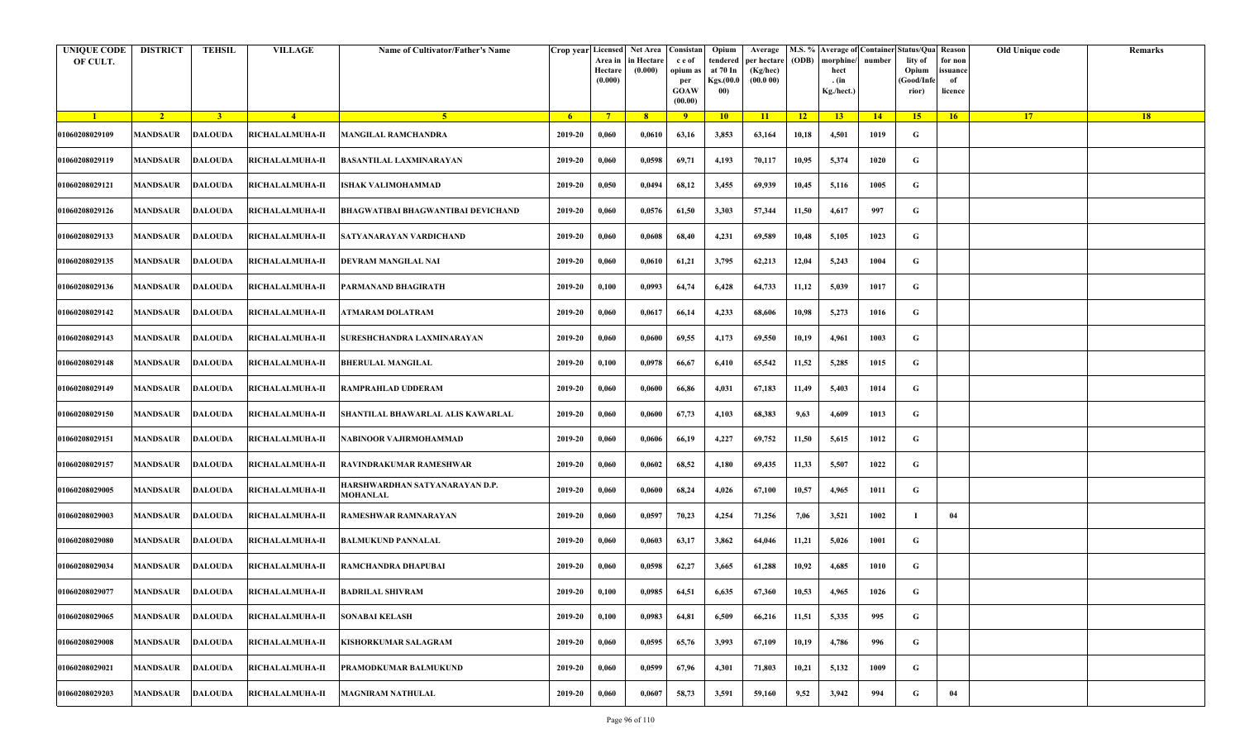| <b>UNIQUE CODE</b><br>OF CULT. | <b>DISTRICT</b> | <b>TEHSIL</b>  | <b>VILLAGE</b>                                    | Name of Cultivator/Father's Name                  |         | Crop year Licensed<br>Area in<br>Hectare<br>(0.000) | Net Area   Consistan<br>in Hectare<br>(0.000) | c e of<br>opium as<br>per<br><b>GOAW</b><br>(00.00) | Opium<br>tendered<br>at 70 In<br>Kgs.(00.0<br>00) | Average<br>per hectare<br>(Kg/hec)<br>(00.000) | (ODB) | M.S. % Average of Container Status/Qua Reason<br>morphine/<br>hect<br>. (in<br>Kg./hect.) | number | lity of<br>Opium<br>(Good/Infe<br>rior) | for non<br>ssuance<br>of<br>licence | Old Unique code | Remarks |
|--------------------------------|-----------------|----------------|---------------------------------------------------|---------------------------------------------------|---------|-----------------------------------------------------|-----------------------------------------------|-----------------------------------------------------|---------------------------------------------------|------------------------------------------------|-------|-------------------------------------------------------------------------------------------|--------|-----------------------------------------|-------------------------------------|-----------------|---------|
| $\blacksquare$                 | $\sqrt{2}$      | 3 <sup>1</sup> | $\sqrt{4}$                                        | -5.                                               | - 6     | $7^{\circ}$                                         | 8 <sup>°</sup>                                | $\overline{9}$                                      | 10                                                | 11                                             | $-12$ | 13                                                                                        | 14     | 15 <sup>2</sup>                         | 16                                  | <b>17</b>       | 18      |
| 01060208029109                 | <b>MANDSAUR</b> | <b>DALOUDA</b> | RICHALALMUHA-II                                   | <b>MANGILAL RAMCHANDRA</b>                        | 2019-20 | 0,060                                               | 0,0610                                        | 63,16                                               | 3,853                                             | 63,164                                         | 10,18 | 4,501                                                                                     | 1019   | G                                       |                                     |                 |         |
| 01060208029119                 | MANDSAUR        | <b>DALOUDA</b> | RICHALALMUHA-II                                   | <b>BASANTILAL LAXMINARAYAN</b>                    | 2019-20 | 0,060                                               | 0,0598                                        | 69,71                                               | 4,193                                             | 70,117                                         | 10,95 | 5,374                                                                                     | 1020   | G                                       |                                     |                 |         |
| 01060208029121                 | <b>MANDSAUR</b> | <b>DALOUDA</b> | RICHALALMUHA-II                                   | ISHAK VALIMOHAMMAD                                | 2019-20 | 0,050                                               | 0,0494                                        | 68,12                                               | 3,455                                             | 69,939                                         | 10,45 | 5,116                                                                                     | 1005   | G                                       |                                     |                 |         |
| 01060208029126                 | MANDSAUR        | <b>DALOUDA</b> | <b>RICHALALMUHA-II</b>                            | BHAGWATIBAI BHAGWANTIBAI DEVICHAND                | 2019-20 | 0,060                                               | 0,0576                                        | 61,50                                               | 3,303                                             | 57,344                                         | 11,50 | 4,617                                                                                     | 997    | G                                       |                                     |                 |         |
| 01060208029133                 | <b>MANDSAUR</b> | <b>DALOUDA</b> | <b>RICHALALMUHA-II</b>                            | SATYANARAYAN VARDICHAND                           | 2019-20 | 0,060                                               | 0,0608                                        | 68,40                                               | 4,231                                             | 69,589                                         | 10,48 | 5,105                                                                                     | 1023   | G                                       |                                     |                 |         |
| 01060208029135                 | MANDSAUR        | <b>DALOUDA</b> | <b>RICHALALMUHA-II</b>                            | DEVRAM MANGILAL NAI                               | 2019-20 | 0,060                                               | 0,0610                                        | 61,21                                               | 3,795                                             | 62,213                                         | 12,04 | 5,243                                                                                     | 1004   | G                                       |                                     |                 |         |
| 01060208029136                 | MANDSAUR        | <b>DALOUDA</b> | <b>RICHALALMUHA-II</b>                            | PARMANAND BHAGIRATH                               | 2019-20 | 0,100                                               | 0,0993                                        | 64,74                                               | 6,428                                             | 64,733                                         | 11,12 | 5,039                                                                                     | 1017   | G                                       |                                     |                 |         |
| 01060208029142                 | <b>MANDSAUR</b> | <b>DALOUDA</b> | RICHALALMUHA-II                                   | <b>ATMARAM DOLATRAM</b>                           | 2019-20 | 0,060                                               | 0,0617                                        | 66,14                                               | 4,233                                             | 68,606                                         | 10,98 | 5,273                                                                                     | 1016   | G                                       |                                     |                 |         |
| 01060208029143                 | <b>MANDSAUR</b> | <b>DALOUDA</b> | RICHALALMUHA-II                                   | SURESHCHANDRA LAXMINARAYAN                        | 2019-20 | 0,060                                               | 0,0600                                        | 69,55                                               | 4,173                                             | 69,550                                         | 10,19 | 4,961                                                                                     | 1003   | G                                       |                                     |                 |         |
| 01060208029148                 | <b>MANDSAUR</b> | <b>DALOUDA</b> | RICHALALMUHA-II                                   | <b>BHERULAL MANGILAL</b>                          | 2019-20 | 0,100                                               | 0,0978                                        | 66,67                                               | 6,410                                             | 65,542                                         | 11,52 | 5,285                                                                                     | 1015   | G                                       |                                     |                 |         |
| 01060208029149                 | MANDSAUR        | <b>DALOUDA</b> | RICHALALMUHA-II                                   | <b>RAMPRAHLAD UDDERAM</b>                         | 2019-20 | 0,060                                               | 0,0600                                        | 66,86                                               | 4,031                                             | 67,183                                         | 11,49 | 5,403                                                                                     | 1014   | G                                       |                                     |                 |         |
| 01060208029150                 | <b>MANDSAUR</b> | <b>DALOUDA</b> | RICHALALMUHA-II                                   | SHANTILAL BHAWARLAL ALIS KAWARLAL                 | 2019-20 | 0,060                                               | 0,0600                                        | 67,73                                               | 4,103                                             | 68,383                                         | 9,63  | 4,609                                                                                     | 1013   | G                                       |                                     |                 |         |
| 01060208029151                 | <b>MANDSAUR</b> | <b>DALOUDA</b> | RICHALALMUHA-II                                   | NABINOOR VAJIRMOHAMMAD                            | 2019-20 | 0,060                                               | 0,0606                                        | 66,19                                               | 4,227                                             | 69,752                                         | 11,50 | 5,615                                                                                     | 1012   | G                                       |                                     |                 |         |
| 01060208029157                 | <b>MANDSAUR</b> | <b>DALOUDA</b> | <b>RICHALALMUHA-II</b>                            | RAVINDRAKUMAR RAMESHWAR                           | 2019-20 | 0,060                                               | 0,0602                                        | 68,52                                               | 4,180                                             | 69,435                                         | 11,33 | 5,507                                                                                     | 1022   | G                                       |                                     |                 |         |
| 01060208029005                 | MANDSAUR        | <b>DALOUDA</b> | RICHALALMUHA-II                                   | HARSHWARDHAN SATYANARAYAN D.P.<br><b>MOHANLAL</b> | 2019-20 | 0,060                                               | 0,0600                                        | 68,24                                               | 4,026                                             | 67,100                                         | 10,57 | 4,965                                                                                     | 1011   | G                                       |                                     |                 |         |
| 01060208029003                 | <b>MANDSAUR</b> | DALOUDA        | RICHALALMUHA-II                                   | RAMESHWAR RAMNARAYAN                              | 2019-20 | 0,060                                               | 0,0597                                        | 70,23                                               | 4,254                                             | 71,256                                         | 7,06  | 3,521                                                                                     | 1002   |                                         | 04                                  |                 |         |
| 01060208029080                 | <b>MANDSAUR</b> | <b>DALOUDA</b> | RICHALALMUHA-II                                   | <b>BALMUKUND PANNALAL</b>                         | 2019-20 | 0,060                                               | 0,0603                                        | 63,17                                               | 3,862                                             | 64,046                                         | 11,21 | 5,026                                                                                     | 1001   | G                                       |                                     |                 |         |
| 01060208029034                 | MANDSAUR        | <b>DALOUDA</b> | <b>RICHALALMUHA-II</b>                            | RAMCHANDRA DHAPUBAI                               | 2019-20 | 0,060                                               | 0,0598                                        | 62,27                                               | 3,665                                             | 61,288                                         | 10,92 | 4,685                                                                                     | 1010   | G                                       |                                     |                 |         |
| 01060208029077                 |                 |                | MANDSAUR DALOUDA RICHALALMUHA-II BADRILAL SHIVRAM |                                                   | 2019-20 | 0,100                                               | 0,0985                                        | 64,51                                               | 6,635                                             | 67,360                                         | 10,53 | 4,965                                                                                     | 1026   | G                                       |                                     |                 |         |
| 01060208029065                 | <b>MANDSAUR</b> | <b>DALOUDA</b> | <b>RICHALALMUHA-II</b>                            | <b>SONABAI KELASH</b>                             | 2019-20 | 0,100                                               | 0,0983                                        | 64,81                                               | 6,509                                             | 66,216                                         | 11,51 | 5,335                                                                                     | 995    | $\mathbf G$                             |                                     |                 |         |
| 01060208029008                 | <b>MANDSAUR</b> | <b>DALOUDA</b> | RICHALALMUHA-II                                   | <b>KISHORKUMAR SALAGRAM</b>                       | 2019-20 | 0,060                                               | 0,0595                                        | 65,76                                               | 3,993                                             | 67,109                                         | 10,19 | 4,786                                                                                     | 996    | G                                       |                                     |                 |         |
| 01060208029021                 | MANDSAUR        | <b>DALOUDA</b> | RICHALALMUHA-II                                   | PRAMODKUMAR BALMUKUND                             | 2019-20 | 0,060                                               | 0,0599                                        | 67,96                                               | 4,301                                             | 71,803                                         | 10,21 | 5,132                                                                                     | 1009   | G                                       |                                     |                 |         |
| 01060208029203                 | MANDSAUR        | <b>DALOUDA</b> | <b>RICHALALMUHA-II</b>                            | <b>MAGNIRAM NATHULAL</b>                          | 2019-20 | 0,060                                               | 0,0607                                        | 58,73                                               | 3,591                                             | 59,160                                         | 9,52  | 3,942                                                                                     | 994    | G                                       | 04                                  |                 |         |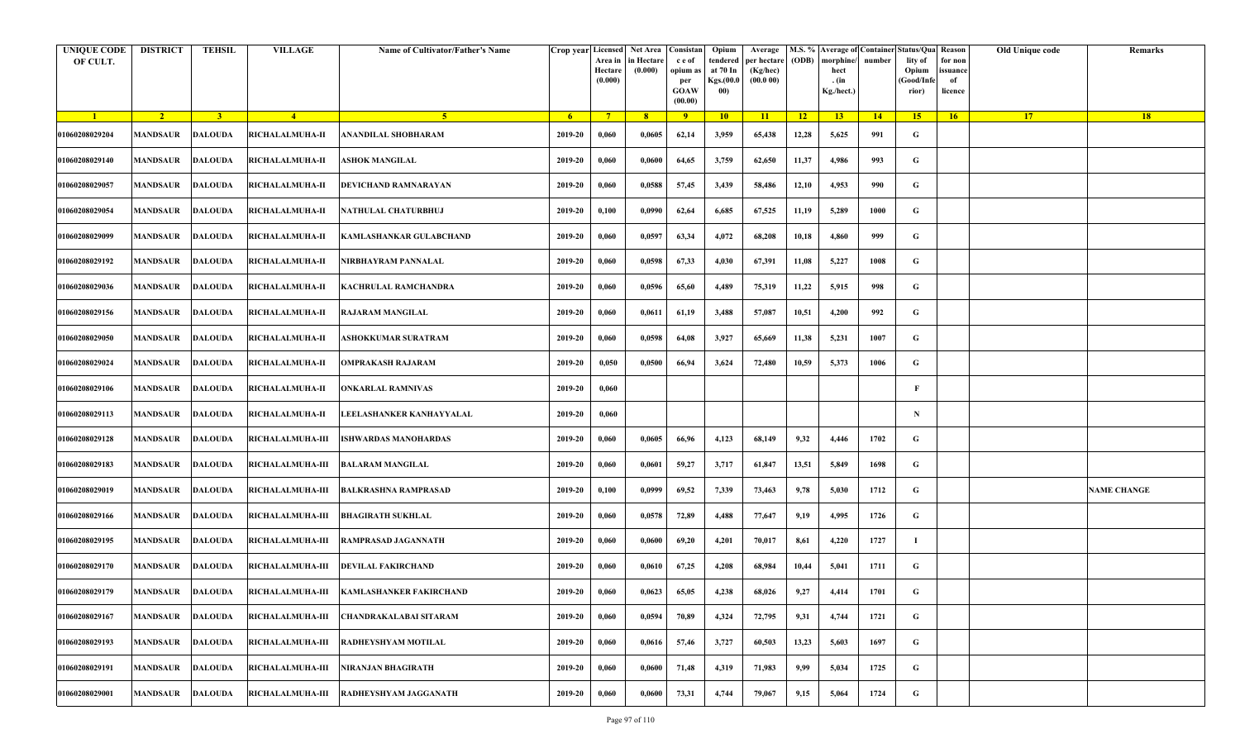| <b>UNIQUE CODE</b><br>OF CULT. | <b>DISTRICT</b> | <b>TEHSIL</b>  | <b>VILLAGE</b>          | Name of Cultivator/Father's Name                          |         | Crop year Licensed Net Area Consistan<br>Area in<br>Hectare<br>(0.000) | in Hectare<br>(0.000) | c e of<br>opium as<br>per<br><b>GOAW</b><br>(00.00) | Opium<br>tendered<br>at 70 In<br>Kgs.(00.0<br>00) | Average<br>per hectare<br>(Kg/hec)<br>(00.000) | (ODB) | M.S. % Average of Container Status/Qua Reason<br>morphine/<br>hect<br>. (in<br>Kg./hect.) | number | lity of<br>Opium<br>(Good/Infe<br>rior) | for non<br>ssuance<br>of<br>licence | Old Unique code | Remarks            |
|--------------------------------|-----------------|----------------|-------------------------|-----------------------------------------------------------|---------|------------------------------------------------------------------------|-----------------------|-----------------------------------------------------|---------------------------------------------------|------------------------------------------------|-------|-------------------------------------------------------------------------------------------|--------|-----------------------------------------|-------------------------------------|-----------------|--------------------|
| $\blacksquare$                 | $\sqrt{2}$      | 3 <sup>1</sup> | $\sqrt{4}$              | 5 <sup>1</sup>                                            | $-6$    | $7^{\circ}$                                                            | 8 <sup>°</sup>        | $\overline{9}$                                      | 10                                                | 11                                             | $-12$ | 13                                                                                        | 14     | 15                                      | 16                                  | <b>17</b>       | 18                 |
| 01060208029204                 | <b>MANDSAUR</b> | <b>DALOUDA</b> | RICHALALMUHA-II         | ANANDILAL SHOBHARAM                                       | 2019-20 | 0,060                                                                  | 0,0605                | 62,14                                               | 3,959                                             | 65,438                                         | 12,28 | 5,625                                                                                     | 991    | G                                       |                                     |                 |                    |
| 01060208029140                 | MANDSAUR        | <b>DALOUDA</b> | <b>RICHALALMUHA-II</b>  | ASHOK MANGILAL                                            | 2019-20 | 0,060                                                                  | 0,0600                | 64,65                                               | 3,759                                             | 62,650                                         | 11,37 | 4,986                                                                                     | 993    | G                                       |                                     |                 |                    |
| 01060208029057                 | <b>MANDSAUR</b> | <b>DALOUDA</b> | RICHALALMUHA-II         | DEVICHAND RAMNARAYAN                                      | 2019-20 | 0,060                                                                  | 0,0588                | 57,45                                               | 3,439                                             | 58,486                                         | 12,10 | 4,953                                                                                     | 990    | G                                       |                                     |                 |                    |
| 01060208029054                 | MANDSAUR        | <b>DALOUDA</b> | <b>RICHALALMUHA-II</b>  | NATHULAL CHATURBHUJ                                       | 2019-20 | 0,100                                                                  | 0,0990                | 62,64                                               | 6,685                                             | 67,525                                         | 11,19 | 5,289                                                                                     | 1000   | G                                       |                                     |                 |                    |
| 01060208029099                 | <b>MANDSAUR</b> | <b>DALOUDA</b> | <b>RICHALALMUHA-II</b>  | KAMLASHANKAR GULABCHAND                                   | 2019-20 | 0,060                                                                  | 0,0597                | 63,34                                               | 4,072                                             | 68,208                                         | 10,18 | 4,860                                                                                     | 999    | G                                       |                                     |                 |                    |
| 01060208029192                 | MANDSAUR        | <b>DALOUDA</b> | <b>RICHALALMUHA-II</b>  | NIRBHAYRAM PANNALAL                                       | 2019-20 | 0,060                                                                  | 0,0598                | 67,33                                               | 4,030                                             | 67,391                                         | 11,08 | 5,227                                                                                     | 1008   | G                                       |                                     |                 |                    |
| 01060208029036                 | MANDSAUR        | <b>DALOUDA</b> | <b>RICHALALMUHA-II</b>  | KACHRULAL RAMCHANDRA                                      | 2019-20 | 0,060                                                                  | 0,0596                | 65,60                                               | 4,489                                             | 75,319                                         | 11,22 | 5,915                                                                                     | 998    | G                                       |                                     |                 |                    |
| 01060208029156                 | MANDSAUR        | <b>DALOUDA</b> | <b>RICHALALMUHA-II</b>  | <b>RAJARAM MANGILAL</b>                                   | 2019-20 | 0,060                                                                  | 0,0611                | 61,19                                               | 3,488                                             | 57,087                                         | 10,51 | 4,200                                                                                     | 992    | G                                       |                                     |                 |                    |
| 01060208029050                 | <b>MANDSAUR</b> | <b>DALOUDA</b> | <b>RICHALALMUHA-II</b>  | ASHOKKUMAR SURATRAM                                       | 2019-20 | 0,060                                                                  | 0,0598                | 64,08                                               | 3,927                                             | 65,669                                         | 11,38 | 5,231                                                                                     | 1007   | G                                       |                                     |                 |                    |
| 01060208029024                 | <b>MANDSAUR</b> | <b>DALOUDA</b> | RICHALALMUHA-II         | <b>OMPRAKASH RAJARAM</b>                                  | 2019-20 | 0,050                                                                  | 0,0500                | 66,94                                               | 3,624                                             | 72,480                                         | 10,59 | 5,373                                                                                     | 1006   | G                                       |                                     |                 |                    |
| 01060208029106                 | MANDSAUR        | <b>DALOUDA</b> | RICHALALMUHA-II         | <b>ONKARLAL RAMNIVAS</b>                                  | 2019-20 | 0,060                                                                  |                       |                                                     |                                                   |                                                |       |                                                                                           |        | F                                       |                                     |                 |                    |
| 01060208029113                 | <b>MANDSAUR</b> | <b>DALOUDA</b> | RICHALALMUHA-II         | LEELASHANKER KANHAYYALAL                                  | 2019-20 | 0,060                                                                  |                       |                                                     |                                                   |                                                |       |                                                                                           |        | N                                       |                                     |                 |                    |
| 01060208029128                 | MANDSAUR        | <b>DALOUDA</b> | <b>RICHALALMUHA-III</b> | <b>ISHWARDAS MANOHARDAS</b>                               | 2019-20 | 0,060                                                                  | 0,0605                | 66,96                                               | 4,123                                             | 68,149                                         | 9,32  | 4,446                                                                                     | 1702   | G                                       |                                     |                 |                    |
| 01060208029183                 | <b>MANDSAUR</b> | <b>DALOUDA</b> | <b>RICHALALMUHA-III</b> | <b>BALARAM MANGILAL</b>                                   | 2019-20 | 0,060                                                                  | 0,0601                | 59,27                                               | 3,717                                             | 61,847                                         | 13,51 | 5,849                                                                                     | 1698   | G                                       |                                     |                 |                    |
| 01060208029019                 | MANDSAUR        | DALOUDA        | <b>RICHALALMUHA-III</b> | <b>BALKRASHNA RAMPRASAD</b>                               | 2019-20 | 0,100                                                                  | 0,0999                | 69,52                                               | 7,339                                             | 73,463                                         | 9,78  | 5,030                                                                                     | 1712   | G                                       |                                     |                 | <b>NAME CHANGE</b> |
| 01060208029166                 | MANDSAUR        | DALOUDA        | <b>RICHALALMUHA-III</b> | <b>BHAGIRATH SUKHLAL</b>                                  | 2019-20 | 0,060                                                                  | 0,0578                | 72,89                                               | 4,488                                             | 77,647                                         | 9,19  | 4,995                                                                                     | 1726   | G                                       |                                     |                 |                    |
| 01060208029195                 | MANDSAUR        | <b>DALOUDA</b> | <b>RICHALALMUHA-III</b> | <b>RAMPRASAD JAGANNATH</b>                                | 2019-20 | 0,060                                                                  | 0,0600                | 69,20                                               | 4,201                                             | 70,017                                         | 8,61  | 4,220                                                                                     | 1727   | -1                                      |                                     |                 |                    |
| 01060208029170                 | MANDSAUR        | <b>DALOUDA</b> | <b>RICHALALMUHA-III</b> | <b>DEVILAL FAKIRCHAND</b>                                 | 2019-20 | 0,060                                                                  | 0,0610                | 67,25                                               | 4,208                                             | 68,984                                         | 10,44 | 5,041                                                                                     | 1711   | G                                       |                                     |                 |                    |
| 01060208029179                 |                 |                |                         | MANDSAUR DALOUDA RICHALALMUHA-III KAMLASHANKER FAKIRCHAND | 2019-20 | 0,060                                                                  | 0,0623                | 65,05                                               | 4,238                                             | 68,026                                         | 9,27  | 4,414                                                                                     | 1701   | G                                       |                                     |                 |                    |
| 01060208029167                 | <b>MANDSAUR</b> | <b>DALOUDA</b> | RICHALALMUHA-III        | CHANDRAKALABAI SITARAM                                    | 2019-20 | 0,060                                                                  | 0,0594                | 70,89                                               | 4,324                                             | 72,795                                         | 9,31  | 4,744                                                                                     | 1721   | $\mathbf G$                             |                                     |                 |                    |
| 01060208029193                 | <b>MANDSAUR</b> | <b>DALOUDA</b> | RICHALALMUHA-III        | RADHEYSHYAM MOTILAL                                       | 2019-20 | 0,060                                                                  | 0,0616                | 57,46                                               | 3,727                                             | 60,503                                         | 13,23 | 5,603                                                                                     | 1697   | G                                       |                                     |                 |                    |
| 01060208029191                 | MANDSAUR        | <b>DALOUDA</b> | <b>RICHALALMUHA-III</b> | <b>NIRANJAN BHAGIRATH</b>                                 | 2019-20 | 0,060                                                                  | 0,0600                | 71,48                                               | 4,319                                             | 71,983                                         | 9,99  | 5,034                                                                                     | 1725   | G                                       |                                     |                 |                    |
| 01060208029001                 | <b>MANDSAUR</b> | <b>DALOUDA</b> | <b>RICHALALMUHA-III</b> | <b>RADHEYSHYAM JAGGANATH</b>                              | 2019-20 | 0,060                                                                  | 0,0600                | 73,31                                               | 4,744                                             | 79,067                                         | 9,15  | 5,064                                                                                     | 1724   | G                                       |                                     |                 |                    |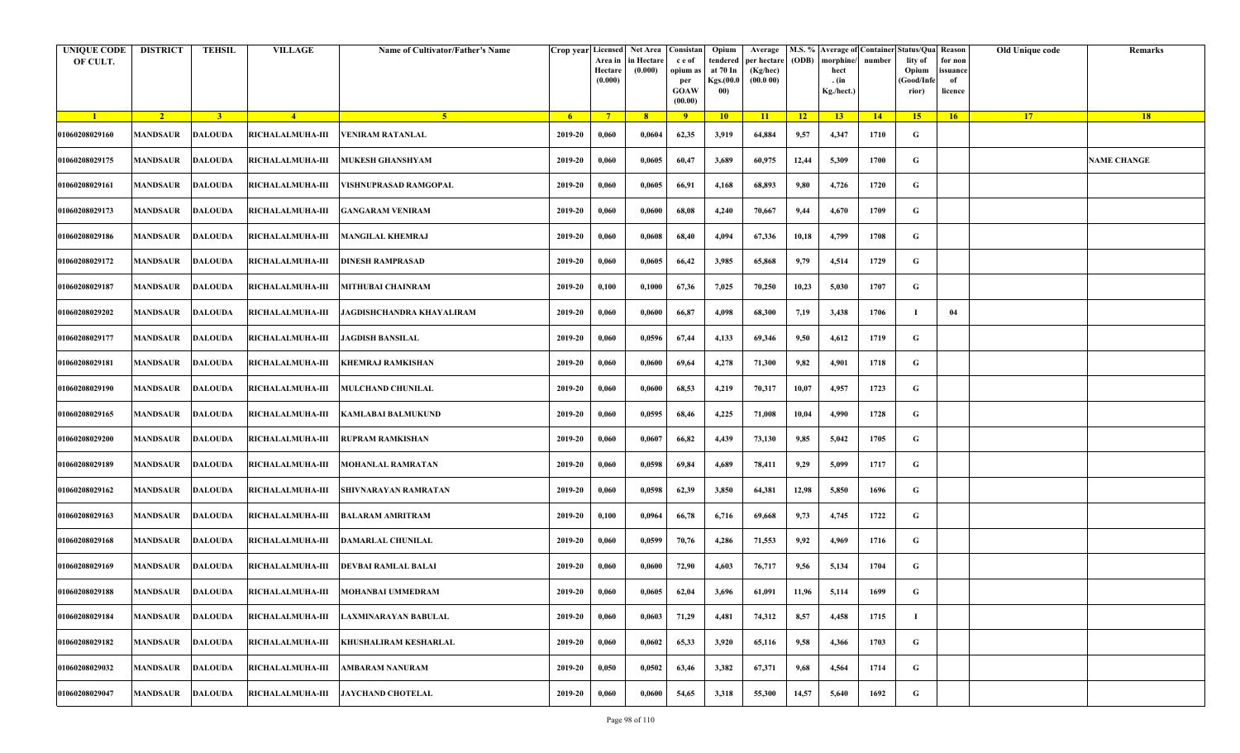| <b>UNIQUE CODE</b><br>OF CULT. | <b>DISTRICT</b>         | <b>TEHSIL</b>  | <b>VILLAGE</b>          | Name of Cultivator/Father's Name     | Crop year Licensed | Area in<br>Hectare<br>(0.000) | Net Area   Consistan<br>in Hectare<br>(0.000) | c e of<br>opium as<br>per<br><b>GOAW</b><br>(00.00) | Opium<br>tendered<br>at 70 In<br>Kgs.(00.0<br>00) | Average<br>per hectare<br>(Kg/hec)<br>(00.000) | (ODB) | M.S. % Average of Container Status/Qua Reason<br>morphine/<br>hect<br>. (in<br>Kg./hect.) | number | lity of<br>Opium<br>(Good/Infe<br>rior) | for non<br>ssuance<br>of<br>licence | Old Unique code | Remarks            |
|--------------------------------|-------------------------|----------------|-------------------------|--------------------------------------|--------------------|-------------------------------|-----------------------------------------------|-----------------------------------------------------|---------------------------------------------------|------------------------------------------------|-------|-------------------------------------------------------------------------------------------|--------|-----------------------------------------|-------------------------------------|-----------------|--------------------|
| $\blacksquare$                 | $\sqrt{2}$              | $\overline{3}$ | $\sqrt{4}$              | -5.                                  | -6                 | $7^{\circ}$                   | 8 <sup>°</sup>                                | $\overline{9}$                                      | 10                                                | 11                                             | $-12$ | 13                                                                                        | 14     | 15                                      | 16                                  | <b>17</b>       | <b>18</b>          |
| 01060208029160                 | <b>MANDSAUR</b>         | <b>DALOUDA</b> | <b>RICHALALMUHA-III</b> | <b>VENIRAM RATANLAL</b>              | 2019-20            | 0,060                         | 0,0604                                        | 62,35                                               | 3,919                                             | 64,884                                         | 9,57  | 4,347                                                                                     | 1710   | G                                       |                                     |                 |                    |
| 01060208029175                 | MANDSAUR                | <b>DALOUDA</b> | <b>RICHALALMUHA-III</b> | MUKESH GHANSHYAM                     | 2019-20            | 0,060                         | 0,0605                                        | 60,47                                               | 3,689                                             | 60,975                                         | 12,44 | 5,309                                                                                     | 1700   | G                                       |                                     |                 | <b>NAME CHANGE</b> |
| 01060208029161                 | MANDSAUR                | <b>DALOUDA</b> | <b>RICHALALMUHA-III</b> | VISHNUPRASAD RAMGOPAL                | 2019-20            | 0,060                         | 0,0605                                        | 66,91                                               | 4,168                                             | 68,893                                         | 9,80  | 4,726                                                                                     | 1720   | G                                       |                                     |                 |                    |
| 01060208029173                 | MANDSAUR                | <b>DALOUDA</b> | <b>RICHALALMUHA-III</b> | <b>GANGARAM VENIRAM</b>              | 2019-20            | 0,060                         | 0,0600                                        | 68,08                                               | 4,240                                             | 70,667                                         | 9,44  | 4,670                                                                                     | 1709   | G                                       |                                     |                 |                    |
| 01060208029186                 | MANDSAUR                | <b>DALOUDA</b> | <b>RICHALALMUHA-III</b> | <b>MANGILAL KHEMRAJ</b>              | 2019-20            | 0,060                         | 0,0608                                        | 68,40                                               | 4,094                                             | 67,336                                         | 10,18 | 4,799                                                                                     | 1708   | G                                       |                                     |                 |                    |
| 01060208029172                 | <b>MANDSAUR</b>         | <b>DALOUDA</b> | <b>RICHALALMUHA-III</b> | DINESH RAMPRASAD                     | 2019-20            | 0,060                         | 0,0605                                        | 66,42                                               | 3,985                                             | 65,868                                         | 9,79  | 4,514                                                                                     | 1729   | G                                       |                                     |                 |                    |
| 01060208029187                 | <b>MANDSAUR</b>         | <b>DALOUDA</b> | <b>RICHALALMUHA-III</b> | <b>MITHUBAI CHAINRAM</b>             | 2019-20            | 0,100                         | 0,1000                                        | 67,36                                               | 7,025                                             | 70,250                                         | 10,23 | 5,030                                                                                     | 1707   | G                                       |                                     |                 |                    |
| 01060208029202                 | MANDSAUR                | <b>DALOUDA</b> | RICHALALMUHA-III        | JAGDISHCHANDRA KHAYALIRAM            | 2019-20            | 0,060                         | 0,0600                                        | 66,87                                               | 4,098                                             | 68,300                                         | 7,19  | 3,438                                                                                     | 1706   | - 1                                     | 04                                  |                 |                    |
| 01060208029177                 | <b>MANDSAUR</b>         | <b>DALOUDA</b> | <b>RICHALALMUHA-III</b> | <b>JAGDISH BANSILAL</b>              | 2019-20            | 0,060                         | 0,0596                                        | 67,44                                               | 4,133                                             | 69,346                                         | 9,50  | 4,612                                                                                     | 1719   | G                                       |                                     |                 |                    |
| 01060208029181                 | <b>MANDSAUR</b>         | <b>DALOUDA</b> | <b>RICHALALMUHA-III</b> | KHEMRAJ RAMKISHAN                    | 2019-20            | 0,060                         | 0,0600                                        | 69,64                                               | 4,278                                             | 71,300                                         | 9,82  | 4,901                                                                                     | 1718   | G                                       |                                     |                 |                    |
| 01060208029190                 | MANDSAUR                | <b>DALOUDA</b> | <b>RICHALALMUHA-III</b> | <b>MULCHAND CHUNILAL</b>             | 2019-20            | 0,060                         | 0,0600                                        | 68,53                                               | 4,219                                             | 70,317                                         | 10,07 | 4,957                                                                                     | 1723   | G                                       |                                     |                 |                    |
| 01060208029165                 | MANDSAUR                | <b>DALOUDA</b> | <b>RICHALALMUHA-III</b> | KAMLABAI BALMUKUND                   | 2019-20            | 0,060                         | 0,0595                                        | 68,46                                               | 4,225                                             | 71,008                                         | 10,04 | 4,990                                                                                     | 1728   | G                                       |                                     |                 |                    |
| 01060208029200                 | MANDSAUR                | <b>DALOUDA</b> | <b>RICHALALMUHA-III</b> | RUPRAM RAMKISHAN                     | 2019-20            | 0,060                         | 0,0607                                        | 66,82                                               | 4,439                                             | 73,130                                         | 9,85  | 5,042                                                                                     | 1705   | G                                       |                                     |                 |                    |
| 01060208029189                 | MANDSAUR                | <b>DALOUDA</b> | <b>RICHALALMUHA-III</b> | MOHANLAL RAMRATAN                    | 2019-20            | 0,060                         | 0,0598                                        | 69,84                                               | 4,689                                             | 78,411                                         | 9,29  | 5,099                                                                                     | 1717   | G                                       |                                     |                 |                    |
| 01060208029162                 | <b>MANDSAUR</b>         | DALOUDA        | <b>RICHALALMUHA-III</b> | SHIVNARAYAN RAMRATAN                 | 2019-20            | 0,060                         | 0,0598                                        | 62,39                                               | 3,850                                             | 64,381                                         | 12,98 | 5,850                                                                                     | 1696   | G                                       |                                     |                 |                    |
| 01060208029163                 | <b>MANDSAUR</b>         | <b>DALOUDA</b> | <b>RICHALALMUHA-III</b> | BALARAM AMRITRAM                     | 2019-20            | 0,100                         | 0,0964                                        | 66,78                                               | 6,716                                             | 69,668                                         | 9,73  | 4,745                                                                                     | 1722   | G                                       |                                     |                 |                    |
| 01060208029168                 | MANDSAUR                | <b>DALOUDA</b> | <b>RICHALALMUHA-III</b> | DAMARLAL CHUNILAL                    | 2019-20            | 0,060                         | 0,0599                                        | 70,76                                               | 4,286                                             | 71,553                                         | 9,92  | 4,969                                                                                     | 1716   | G                                       |                                     |                 |                    |
| 01060208029169                 | MANDSAUR                | <b>DALOUDA</b> | RICHALALMUHA-III        | <b>DEVBAI RAMLAL BALAI</b>           | 2019-20            | 0,060                         | 0,0600                                        | 72,90                                               | 4,603                                             | 76,717                                         | 9,56  | 5,134                                                                                     | 1704   | G                                       |                                     |                 |                    |
| 01060208029188                 | <b>MANDSAUR DALOUDA</b> |                |                         | RICHALALMUHA-III   MOHANBAI UMMEDRAM | 2019-20            | 0,060                         | 0,0605                                        | 62,04                                               | 3,696                                             | 61,091                                         | 11,96 | 5,114                                                                                     | 1699   | G                                       |                                     |                 |                    |
| 01060208029184                 | MANDSAUR                | <b>DALOUDA</b> | <b>RICHALALMUHA-III</b> | AXMINARAYAN BABULAL                  | 2019-20            | 0,060                         | 0,0603                                        | 71,29                                               | 4,481                                             | 74,312                                         | 8,57  | 4,458                                                                                     | 1715   | - 1                                     |                                     |                 |                    |
| 01060208029182                 | <b>MANDSAUR</b>         | <b>DALOUDA</b> | <b>RICHALALMUHA-III</b> | KHUSHALIRAM KESHARLAL                | 2019-20            | 0,060                         | 0,0602                                        | 65,33                                               | 3,920                                             | 65,116                                         | 9,58  | 4,366                                                                                     | 1703   | G                                       |                                     |                 |                    |
| 01060208029032                 | MANDSAUR                | <b>DALOUDA</b> | RICHALALMUHA-III        | <b>AMBARAM NANURAM</b>               | 2019-20            | 0,050                         | 0,0502                                        | 63,46                                               | 3,382                                             | 67,371                                         | 9,68  | 4,564                                                                                     | 1714   | G                                       |                                     |                 |                    |
| 01060208029047                 | MANDSAUR                | <b>DALOUDA</b> | <b>RICHALALMUHA-III</b> | <b>JAYCHAND CHOTELAL</b>             | 2019-20            | 0,060                         | 0,0600                                        | 54,65                                               | 3,318                                             | 55,300                                         | 14,57 | 5,640                                                                                     | 1692   | G                                       |                                     |                 |                    |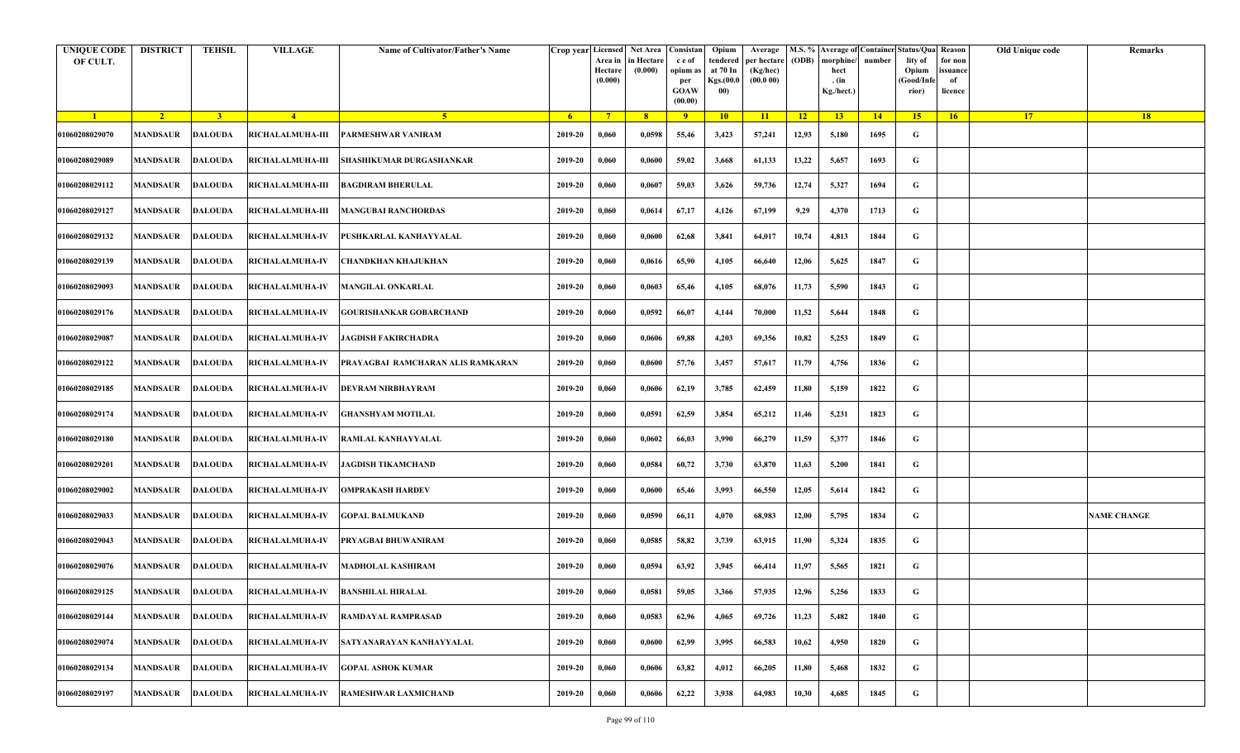| <b>UNIQUE CODE</b><br>OF CULT. | <b>DISTRICT</b> | <b>TEHSIL</b>  | <b>VILLAGE</b>                                     | Name of Cultivator/Father's Name  |         | Area in<br>Hectare<br>(0.000) | Crop year Licensed Net Area Consistan<br>in Hectare<br>(0.000) | c e of<br>opium as<br>per<br><b>GOAW</b><br>(00.00) | Opium<br>tendered<br>at 70 In<br>Kgs.(00.0<br>00) | Average<br>per hectare<br>(Kg/hec)<br>(00.000) | (ODB) | M.S. % Average of Container Status/Qua Reason<br>morphine/<br>hect<br>. (in<br>Kg./hect.) | number | lity of<br>Opium<br>(Good/Infe<br>rior) | for non<br>ssuance<br>of<br>licence | Old Unique code | Remarks            |
|--------------------------------|-----------------|----------------|----------------------------------------------------|-----------------------------------|---------|-------------------------------|----------------------------------------------------------------|-----------------------------------------------------|---------------------------------------------------|------------------------------------------------|-------|-------------------------------------------------------------------------------------------|--------|-----------------------------------------|-------------------------------------|-----------------|--------------------|
| $\blacksquare$                 | $\sqrt{2}$      | 3 <sup>1</sup> | $\sqrt{4}$                                         | 5 <sup>1</sup>                    | - 6 -   | $7^{\circ}$                   | 8 <sup>°</sup>                                                 | $\overline{9}$                                      | 10                                                | 11                                             | $-12$ | 13                                                                                        | 14     | 15                                      | 16                                  | <b>17</b>       | 18                 |
| 01060208029070                 | <b>MANDSAUR</b> | <b>DALOUDA</b> | <b>RICHALALMUHA-III</b>                            | PARMESHWAR VANIRAM                | 2019-20 | 0,060                         | 0,0598                                                         | 55,46                                               | 3,423                                             | 57,241                                         | 12,93 | 5,180                                                                                     | 1695   | G                                       |                                     |                 |                    |
| 01060208029089                 | MANDSAUR        | <b>DALOUDA</b> | <b>RICHALALMUHA-III</b>                            | SHASHIKUMAR DURGASHANKAR          | 2019-20 | 0,060                         | 0,0600                                                         | 59,02                                               | 3,668                                             | 61,133                                         | 13,22 | 5,657                                                                                     | 1693   | G                                       |                                     |                 |                    |
| 01060208029112                 | <b>MANDSAUR</b> | <b>DALOUDA</b> | <b>RICHALALMUHA-III</b>                            | <b>BAGDIRAM BHERULAL</b>          | 2019-20 | 0,060                         | 0,0607                                                         | 59,03                                               | 3,626                                             | 59,736                                         | 12,74 | 5,327                                                                                     | 1694   | G                                       |                                     |                 |                    |
| 01060208029127                 | MANDSAUR        | <b>DALOUDA</b> | <b>RICHALALMUHA-III</b>                            | <b>MANGUBAI RANCHORDAS</b>        | 2019-20 | 0,060                         | 0,0614                                                         | 67,17                                               | 4,126                                             | 67,199                                         | 9,29  | 4,370                                                                                     | 1713   | G                                       |                                     |                 |                    |
| 01060208029132                 | <b>MANDSAUR</b> | <b>DALOUDA</b> | <b>RICHALALMUHA-IV</b>                             | PUSHKARLAL KANHAYYALAL            | 2019-20 | 0,060                         | 0,0600                                                         | 62,68                                               | 3,841                                             | 64,017                                         | 10,74 | 4,813                                                                                     | 1844   | G                                       |                                     |                 |                    |
| 01060208029139                 | MANDSAUR        | <b>DALOUDA</b> | <b>RICHALALMUHA-IV</b>                             | CHANDKHAN KHAJUKHAN               | 2019-20 | 0,060                         | 0,0616                                                         | 65,90                                               | 4,105                                             | 66,640                                         | 12,06 | 5,625                                                                                     | 1847   | G                                       |                                     |                 |                    |
| 01060208029093                 | MANDSAUR        | <b>DALOUDA</b> | <b>RICHALALMUHA-IV</b>                             | <b>MANGILAL ONKARLAL</b>          | 2019-20 | 0,060                         | 0,0603                                                         | 65,46                                               | 4,105                                             | 68,076                                         | 11,73 | 5,590                                                                                     | 1843   | G                                       |                                     |                 |                    |
| 01060208029176                 | MANDSAUR        | <b>DALOUDA</b> | <b>RICHALALMUHA-IV</b>                             | GOURISHANKAR GOBARCHAND           | 2019-20 | 0,060                         | 0,0592                                                         | 66,07                                               | 4,144                                             | 70,000                                         | 11,52 | 5,644                                                                                     | 1848   | G                                       |                                     |                 |                    |
| 01060208029087                 | <b>MANDSAUR</b> | <b>DALOUDA</b> | <b>RICHALALMUHA-IV</b>                             | JAGDISH FAKIRCHADRA               | 2019-20 | 0,060                         | 0,0606                                                         | 69,88                                               | 4,203                                             | 69,356                                         | 10,82 | 5,253                                                                                     | 1849   | G                                       |                                     |                 |                    |
| 01060208029122                 | <b>MANDSAUR</b> | <b>DALOUDA</b> | <b>RICHALALMUHA-IV</b>                             | PRAYAGBAI RAMCHARAN ALIS RAMKARAN | 2019-20 | 0,060                         | 0,0600                                                         | 57,76                                               | 3,457                                             | 57,617                                         | 11,79 | 4,756                                                                                     | 1836   | G                                       |                                     |                 |                    |
| 01060208029185                 | MANDSAUR        | <b>DALOUDA</b> | <b>RICHALALMUHA-IV</b>                             | DEVRAM NIRBHAYRAM                 | 2019-20 | 0,060                         | 0,0606                                                         | 62,19                                               | 3,785                                             | 62,459                                         | 11,80 | 5,159                                                                                     | 1822   | G                                       |                                     |                 |                    |
| 01060208029174                 | <b>MANDSAUR</b> | <b>DALOUDA</b> | <b>RICHALALMUHA-IV</b>                             | <b>GHANSHYAM MOTILAL</b>          | 2019-20 | 0,060                         | 0,0591                                                         | 62,59                                               | 3,854                                             | 65,212                                         | 11,46 | 5,231                                                                                     | 1823   | G                                       |                                     |                 |                    |
| 01060208029180                 | MANDSAUR        | <b>DALOUDA</b> | <b>RICHALALMUHA-IV</b>                             | <b>RAMLAL KANHAYYALAL</b>         | 2019-20 | 0,060                         | 0,0602                                                         | 66,03                                               | 3,990                                             | 66,279                                         | 11,59 | 5,377                                                                                     | 1846   | G                                       |                                     |                 |                    |
| 01060208029201                 | <b>MANDSAUR</b> | <b>DALOUDA</b> | <b>RICHALALMUHA-IV</b>                             | JAGDISH TIKAMCHAND                | 2019-20 | 0,060                         | 0,0584                                                         | 60,72                                               | 3,730                                             | 63,870                                         | 11,63 | 5,200                                                                                     | 1841   | G                                       |                                     |                 |                    |
| 01060208029002                 | MANDSAUR        | DALOUDA        | <b>RICHALALMUHA-IV</b>                             | <b>OMPRAKASH HARDEV</b>           | 2019-20 | 0,060                         | 0,0600                                                         | 65,46                                               | 3,993                                             | 66,550                                         | 12,05 | 5,614                                                                                     | 1842   | G                                       |                                     |                 |                    |
| 01060208029033                 | <b>MANDSAUR</b> | DALOUDA        | <b>RICHALALMUHA-IV</b>                             | <b>GOPAL BALMUKAND</b>            | 2019-20 | 0,060                         | 0,0590                                                         | 66,11                                               | 4,070                                             | 68,983                                         | 12,00 | 5,795                                                                                     | 1834   | G                                       |                                     |                 | <b>NAME CHANGE</b> |
| 01060208029043                 | <b>MANDSAUR</b> | <b>DALOUDA</b> | <b>RICHALALMUHA-IV</b>                             | PRYAGBAI BHUWANIRAM               | 2019-20 | 0,060                         | 0,0585                                                         | 58,82                                               | 3,739                                             | 63,915                                         | 11,90 | 5,324                                                                                     | 1835   | G                                       |                                     |                 |                    |
| 01060208029076                 | MANDSAUR        | <b>DALOUDA</b> | <b>RICHALALMUHA-IV</b>                             | <b>MADHOLAL KASHIRAM</b>          | 2019-20 | 0,060                         | 0,0594                                                         | 63,92                                               | 3,945                                             | 66,414                                         | 11,97 | 5,565                                                                                     | 1821   | G                                       |                                     |                 |                    |
| 01060208029125                 |                 |                | MANDSAUR DALOUDA RICHALALMUHA-IV BANSHILAL HIRALAL |                                   | 2019-20 | 0,060                         | 0,0581                                                         | 59,05                                               | 3,366                                             | 57,935                                         | 12,96 | 5,256                                                                                     | 1833   | G                                       |                                     |                 |                    |
| 01060208029144                 | <b>MANDSAUR</b> | <b>DALOUDA</b> | <b>RICHALALMUHA-IV</b>                             | <b>RAMDAYAL RAMPRASAD</b>         | 2019-20 | 0,060                         | 0,0583                                                         | 62,96                                               | 4,065                                             | 69,726                                         | 11,23 | 5,482                                                                                     | 1840   | $\mathbf G$                             |                                     |                 |                    |
| 01060208029074                 | <b>MANDSAUR</b> | <b>DALOUDA</b> | <b>RICHALALMUHA-IV</b>                             | SATYANARAYAN KANHAYYALAL          | 2019-20 | 0,060                         | 0,0600                                                         | 62,99                                               | 3,995                                             | 66,583                                         | 10,62 | 4,950                                                                                     | 1820   | G                                       |                                     |                 |                    |
| 01060208029134                 | MANDSAUR        | <b>DALOUDA</b> | <b>RICHALALMUHA-IV</b>                             | <b>GOPAL ASHOK KUMAR</b>          | 2019-20 | 0,060                         | 0,0606                                                         | 63,82                                               | 4,012                                             | 66,205                                         | 11,80 | 5,468                                                                                     | 1832   | G                                       |                                     |                 |                    |
| 01060208029197                 | MANDSAUR        | <b>DALOUDA</b> | <b>RICHALALMUHA-IV</b>                             | RAMESHWAR LAXMICHAND              | 2019-20 | 0,060                         | 0,0606                                                         | 62,22                                               | 3,938                                             | 64,983                                         | 10,30 | 4,685                                                                                     | 1845   | G                                       |                                     |                 |                    |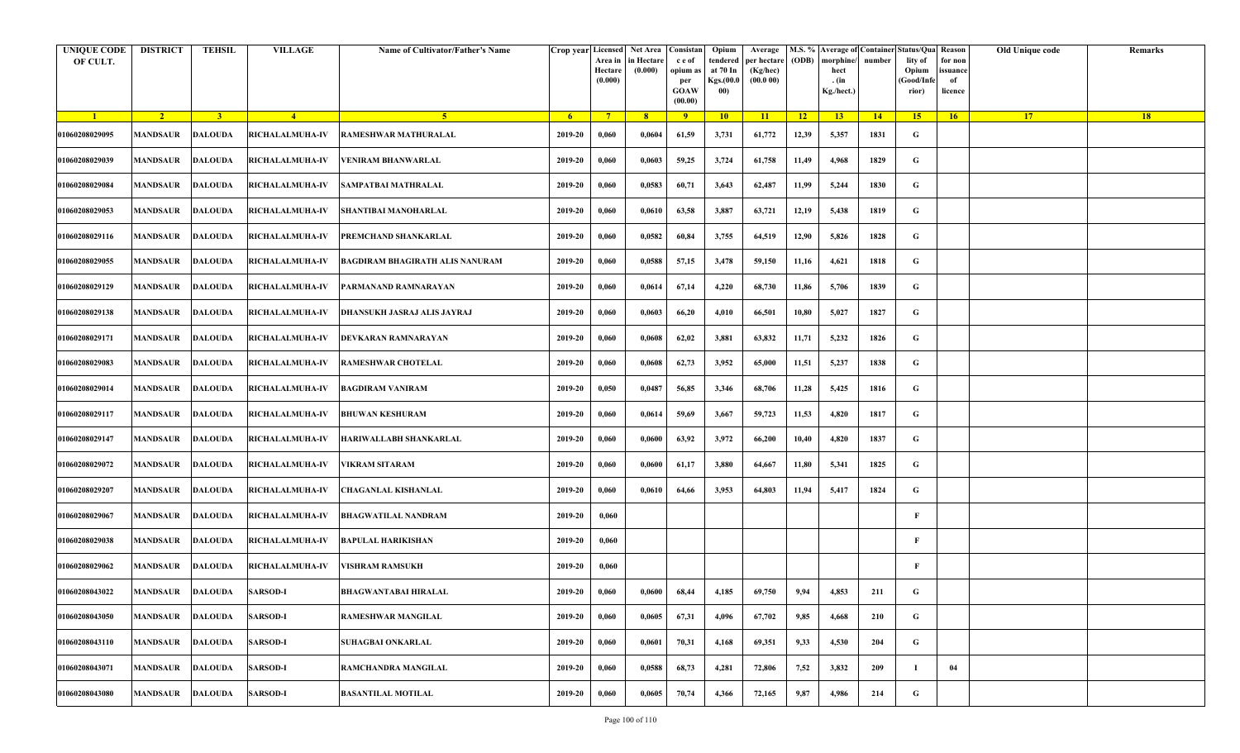| <b>UNIQUE CODE</b><br>OF CULT. | <b>DISTRICT</b>         | TEHSIL         | <b>VILLAGE</b>         | Name of Cultivator/Father's Name | Crop year Licensed | Area in<br>Hectare<br>(0.000) | Net Area   Consistan<br>in Hectare<br>(0.000) | c e of<br>opium as<br>per<br><b>GOAW</b><br>(00.00) | Opium<br>tendered<br>at 70 In<br>Kgs.(00.0<br>00) | Average<br>per hectare<br>(Kg/hec)<br>(00.000) | (ODB) | M.S. % Average of Container Status/Qua Reason<br>morphine/<br>hect<br>. (in<br>Kg./hect.) | number | lity of<br>Opium<br>(Good/Infe<br>rior) | for non<br>issuance<br>of<br>licence | Old Unique code | Remarks |
|--------------------------------|-------------------------|----------------|------------------------|----------------------------------|--------------------|-------------------------------|-----------------------------------------------|-----------------------------------------------------|---------------------------------------------------|------------------------------------------------|-------|-------------------------------------------------------------------------------------------|--------|-----------------------------------------|--------------------------------------|-----------------|---------|
| $\blacksquare$                 | $\sqrt{2}$              | $\overline{3}$ | $\sqrt{4}$             | -5.                              | - 6                | $7^{\circ}$                   | 8 <sup>°</sup>                                | $\overline{9}$                                      | 10                                                | 11                                             | $-12$ | 13                                                                                        | $-14$  | 15                                      | 16                                   | <b>17</b>       | 18      |
| 01060208029095                 | <b>MANDSAUR</b>         | <b>DALOUDA</b> | RICHALALMUHA-IV        | RAMESHWAR MATHURALAL             | 2019-20            | 0,060                         | 0,0604                                        | 61,59                                               | 3,731                                             | 61,772                                         | 12,39 | 5,357                                                                                     | 1831   | G                                       |                                      |                 |         |
| 01060208029039                 | MANDSAUR                | <b>DALOUDA</b> | <b>RICHALALMUHA-IV</b> | VENIRAM BHANWARLAL               | 2019-20            | 0,060                         | 0,0603                                        | 59,25                                               | 3,724                                             | 61,758                                         | 11,49 | 4,968                                                                                     | 1829   | G                                       |                                      |                 |         |
| 01060208029084                 | MANDSAUR                | <b>DALOUDA</b> | <b>RICHALALMUHA-IV</b> | SAMPATBAI MATHRALAL              | 2019-20            | 0,060                         | 0,0583                                        | 60,71                                               | 3,643                                             | 62,487                                         | 11,99 | 5,244                                                                                     | 1830   | G                                       |                                      |                 |         |
| 01060208029053                 | MANDSAUR                | <b>DALOUDA</b> | <b>RICHALALMUHA-IV</b> | <b>SHANTIBAI MANOHARLAL</b>      | 2019-20            | 0,060                         | 0,0610                                        | 63,58                                               | 3,887                                             | 63,721                                         | 12,19 | 5,438                                                                                     | 1819   | G                                       |                                      |                 |         |
| 01060208029116                 | MANDSAUR                | <b>DALOUDA</b> | RICHALALMUHA-IV        | PREMCHAND SHANKARLAL             | 2019-20            | 0,060                         | 0,0582                                        | 60,84                                               | 3,755                                             | 64,519                                         | 12,90 | 5,826                                                                                     | 1828   | G                                       |                                      |                 |         |
| 01060208029055                 | <b>MANDSAUR</b>         | <b>DALOUDA</b> | <b>RICHALALMUHA-IV</b> | BAGDIRAM BHAGIRATH ALIS NANURAM  | 2019-20            | 0,060                         | 0,0588                                        | 57,15                                               | 3,478                                             | 59,150                                         | 11,16 | 4,621                                                                                     | 1818   | G                                       |                                      |                 |         |
| 01060208029129                 | MANDSAUR                | DALOUDA        | <b>RICHALALMUHA-IV</b> | PARMANAND RAMNARAYAN             | 2019-20            | 0,060                         | 0,0614                                        | 67,14                                               | 4,220                                             | 68,730                                         | 11,86 | 5,706                                                                                     | 1839   | G                                       |                                      |                 |         |
| 01060208029138                 | MANDSAUR                | <b>DALOUDA</b> | RICHALALMUHA-IV        | DHANSUKH JASRAJ ALIS JAYRAJ      | 2019-20            | 0,060                         | 0,0603                                        | 66,20                                               | 4,010                                             | 66,501                                         | 10,80 | 5,027                                                                                     | 1827   | G                                       |                                      |                 |         |
| 01060208029171                 | MANDSAUR                | <b>DALOUDA</b> | <b>RICHALALMUHA-IV</b> | DEVKARAN RAMNARAYAN              | 2019-20            | 0,060                         | 0,0608                                        | 62,02                                               | 3,881                                             | 63,832                                         | 11,71 | 5,232                                                                                     | 1826   | G                                       |                                      |                 |         |
| 01060208029083                 | <b>MANDSAUR</b>         | <b>DALOUDA</b> | <b>RICHALALMUHA-IV</b> | RAMESHWAR CHOTELAL               | 2019-20            | 0,060                         | 0,0608                                        | 62,73                                               | 3,952                                             | 65,000                                         | 11,51 | 5,237                                                                                     | 1838   | G                                       |                                      |                 |         |
| 01060208029014                 | MANDSAUR                | <b>DALOUDA</b> | <b>RICHALALMUHA-IV</b> | <b>BAGDIRAM VANIRAM</b>          | 2019-20            | 0,050                         | 0,0487                                        | 56,85                                               | 3,346                                             | 68,706                                         | 11,28 | 5,425                                                                                     | 1816   | G                                       |                                      |                 |         |
| 01060208029117                 | MANDSAUR                | <b>DALOUDA</b> | RICHALALMUHA-IV        | BHUWAN KESHURAM                  | 2019-20            | 0,060                         | 0,0614                                        | 59,69                                               | 3,667                                             | 59,723                                         | 11,53 | 4,820                                                                                     | 1817   | G                                       |                                      |                 |         |
| 01060208029147                 | MANDSAUR                | <b>DALOUDA</b> | <b>RICHALALMUHA-IV</b> | HARIWALLABH SHANKARLAL           | 2019-20            | 0,060                         | 0,0600                                        | 63,92                                               | 3,972                                             | 66,200                                         | 10,40 | 4,820                                                                                     | 1837   | G                                       |                                      |                 |         |
| 01060208029072                 | MANDSAUR                | <b>DALOUDA</b> | <b>RICHALALMUHA-IV</b> | VIKRAM SITARAM                   | 2019-20            | 0,060                         | 0,0600                                        | 61,17                                               | 3,880                                             | 64,667                                         | 11,80 | 5,341                                                                                     | 1825   | G                                       |                                      |                 |         |
| 01060208029207                 | <b>MANDSAUR</b>         | <b>DALOUDA</b> | <b>RICHALALMUHA-IV</b> | CHAGANLAL KISHANLAL              | 2019-20            | 0,060                         | 0,0610                                        | 64,66                                               | 3,953                                             | 64,803                                         | 11,94 | 5,417                                                                                     | 1824   | G                                       |                                      |                 |         |
| 01060208029067                 | MANDSAUR                | <b>DALOUDA</b> | <b>RICHALALMUHA-IV</b> | BHAGWATILAL NANDRAM              | 2019-20            | 0,060                         |                                               |                                                     |                                                   |                                                |       |                                                                                           |        | F                                       |                                      |                 |         |
| 01060208029038                 | MANDSAUR                | <b>DALOUDA</b> | <b>RICHALALMUHA-IV</b> | <b>BAPULAL HARIKISHAN</b>        | 2019-20            | 0,060                         |                                               |                                                     |                                                   |                                                |       |                                                                                           |        | F                                       |                                      |                 |         |
| 01060208029062                 | MANDSAUR                | <b>DALOUDA</b> | <b>RICHALALMUHA-IV</b> | VISHRAM RAMSUKH                  | 2019-20            | 0,060                         |                                               |                                                     |                                                   |                                                |       |                                                                                           |        | F                                       |                                      |                 |         |
| 01060208043022                 | <b>MANDSAUR DALOUDA</b> |                | <b>SARSOD-I</b>        | BHAGWANTABAI HIRALAL             | $2019 - 20$        | 0,060                         | 0,0600                                        | 68,44                                               | 4,185                                             | 69,750                                         | 9,94  | 4,853                                                                                     | 211    | G                                       |                                      |                 |         |
| 01060208043050                 | MANDSAUR                | <b>DALOUDA</b> | <b>SARSOD-I</b>        | <b>RAMESHWAR MANGILAL</b>        | 2019-20            | 0,060                         | 0,0605                                        | 67,31                                               | 4,096                                             | 67,702                                         | 9,85  | 4,668                                                                                     | 210    | $\mathbf G$                             |                                      |                 |         |
| 01060208043110                 | <b>MANDSAUR</b>         | <b>DALOUDA</b> | <b>SARSOD-I</b>        | <b>SUHAGBAI ONKARLAL</b>         | 2019-20            | 0,060                         | 0,0601                                        | 70,31                                               | 4,168                                             | 69,351                                         | 9,33  | 4,530                                                                                     | 204    | G                                       |                                      |                 |         |
| 01060208043071                 | <b>MANDSAUR</b>         | <b>DALOUDA</b> | <b>SARSOD-I</b>        | RAMCHANDRA MANGILAL              | 2019-20            | 0,060                         | 0,0588                                        | 68,73                                               | 4,281                                             | 72,806                                         | 7,52  | 3,832                                                                                     | 209    | -1                                      | 04                                   |                 |         |
| 01060208043080                 | MANDSAUR                | <b>DALOUDA</b> | <b>SARSOD-I</b>        | <b>BASANTILAL MOTILAL</b>        | 2019-20            | 0,060                         | 0,0605                                        | 70,74                                               | 4,366                                             | 72,165                                         | 9,87  | 4,986                                                                                     | 214    | G                                       |                                      |                 |         |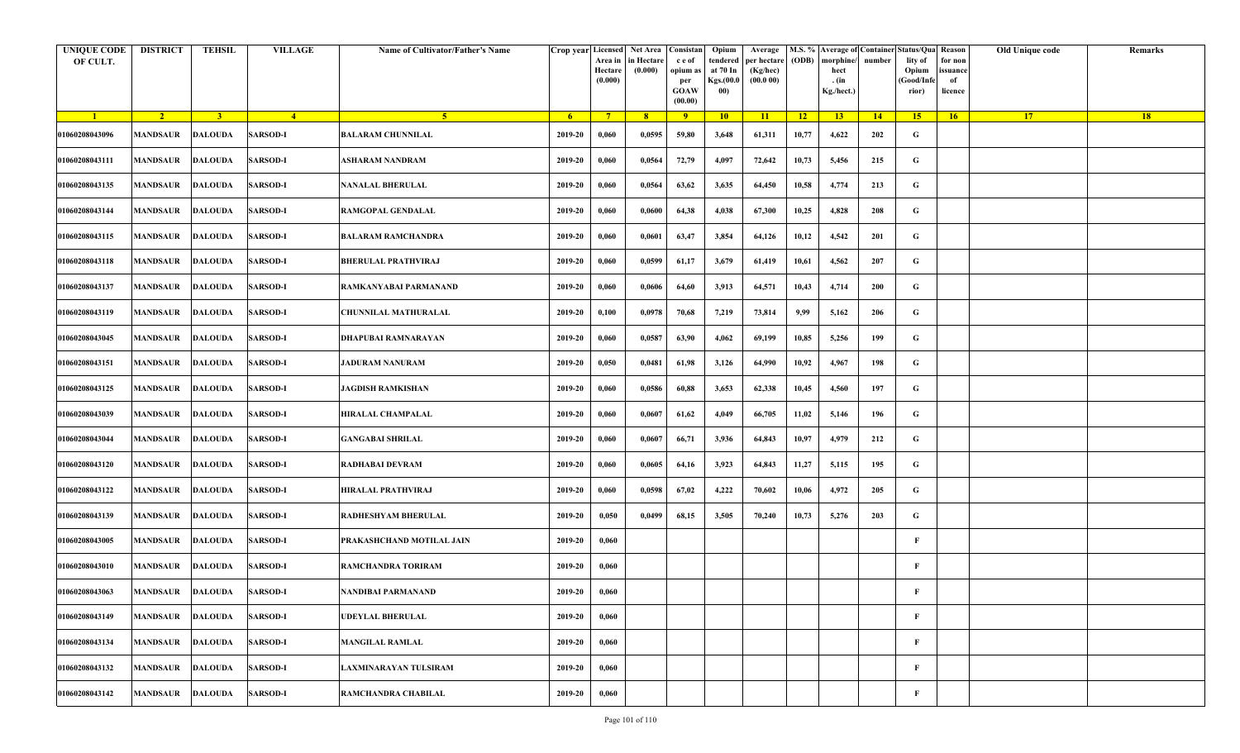| <b>UNIQUE CODE</b><br>OF CULT. | <b>DISTRICT</b>         | TEHSIL         | <b>VILLAGE</b>  | Name of Cultivator/Father's Name | Crop year Licensed | Area in<br>Hectare<br>(0.000) | Net Area   Consistan<br>n Hectare<br>(0.000) | c e of<br>opium as<br>per<br><b>GOAW</b><br>(00.00) | Opium<br>tendered<br>at 70 In<br>Kgs.(00.0<br>00) | Average<br>per hectare<br>(Kg/hec)<br>(00.000) | (ODB) | M.S. % Average of Container Status/Qua Reason<br>morphine/<br>hect<br>. (in<br>Kg./hect.) | number      | lity of<br>Opium<br>(Good/Info<br>rior) | for non<br>ssuance<br>of<br>licence | Old Unique code | Remarks |
|--------------------------------|-------------------------|----------------|-----------------|----------------------------------|--------------------|-------------------------------|----------------------------------------------|-----------------------------------------------------|---------------------------------------------------|------------------------------------------------|-------|-------------------------------------------------------------------------------------------|-------------|-----------------------------------------|-------------------------------------|-----------------|---------|
| $\blacksquare$                 | $\sqrt{2}$              | 3 <sup>1</sup> | $-4$            | $-5$                             | 6 <sup>1</sup>     | $7^{\circ}$                   | 8 <sup>°</sup>                               | 9                                                   | 10                                                | 11                                             | $-12$ | 13 <sup>7</sup>                                                                           | $\sqrt{14}$ | 15                                      | 16                                  | 17 <sup>2</sup> | 18      |
| 01060208043096                 | MANDSAUR                | <b>DALOUDA</b> | <b>SARSOD-I</b> | <b>BALARAM CHUNNILAL</b>         | 2019-20            | 0,060                         | 0,0595                                       | 59,80                                               | 3,648                                             | 61,311                                         | 10,77 | 4,622                                                                                     | 202         | G                                       |                                     |                 |         |
| 01060208043111                 | MANDSAUR                | <b>DALOUDA</b> | <b>SARSOD-I</b> | ASHARAM NANDRAM                  | 2019-20            | 0,060                         | 0,0564                                       | 72,79                                               | 4,097                                             | 72,642                                         | 10,73 | 5,456                                                                                     | 215         | G                                       |                                     |                 |         |
| 01060208043135                 | MANDSAUR                | <b>DALOUDA</b> | <b>SARSOD-I</b> | <b>NANALAL BHERULAL</b>          | 2019-20            | 0,060                         | 0,0564                                       | 63,62                                               | 3,635                                             | 64,450                                         | 10,58 | 4,774                                                                                     | 213         | G                                       |                                     |                 |         |
| 01060208043144                 | MANDSAUR                | <b>DALOUDA</b> | <b>SARSOD-I</b> | RAMGOPAL GENDALAL                | 2019-20            | 0,060                         | 0,0600                                       | 64,38                                               | 4,038                                             | 67,300                                         | 10,25 | 4,828                                                                                     | 208         | G                                       |                                     |                 |         |
| 01060208043115                 | MANDSAUR                | <b>DALOUDA</b> | <b>SARSOD-I</b> | <b>BALARAM RAMCHANDRA</b>        | 2019-20            | 0,060                         | 0,0601                                       | 63,47                                               | 3,854                                             | 64,126                                         | 10,12 | 4,542                                                                                     | 201         | G                                       |                                     |                 |         |
| 01060208043118                 | <b>MANDSAUR</b>         | <b>DALOUDA</b> | <b>SARSOD-I</b> | <b>BHERULAL PRATHVIRAJ</b>       | 2019-20            | 0,060                         | 0,0599                                       | 61,17                                               | 3,679                                             | 61,419                                         | 10,61 | 4,562                                                                                     | 207         | G                                       |                                     |                 |         |
| 01060208043137                 | MANDSAUR                | <b>DALOUDA</b> | <b>SARSOD-I</b> | RAMKANYABAI PARMANAND            | 2019-20            | 0,060                         | 0,0606                                       | 64,60                                               | 3,913                                             | 64,571                                         | 10,43 | 4,714                                                                                     | 200         | G                                       |                                     |                 |         |
| 01060208043119                 | MANDSAUR                | <b>DALOUDA</b> | <b>SARSOD-I</b> | CHUNNILAL MATHURALAL             | 2019-20            | 0,100                         | 0,0978                                       | 70,68                                               | 7,219                                             | 73,814                                         | 9,99  | 5,162                                                                                     | 206         | G                                       |                                     |                 |         |
| 01060208043045                 | MANDSAUR                | <b>DALOUDA</b> | <b>SARSOD-I</b> | DHAPUBAI RAMNARAYAN              | 2019-20            | 0,060                         | 0,0587                                       | 63,90                                               | 4,062                                             | 69,199                                         | 10,85 | 5,256                                                                                     | 199         | G                                       |                                     |                 |         |
| 01060208043151                 | MANDSAUR                | <b>DALOUDA</b> | <b>SARSOD-I</b> | <b>JADURAM NANURAM</b>           | 2019-20            | 0,050                         | 0,0481                                       | 61,98                                               | 3,126                                             | 64,990                                         | 10,92 | 4,967                                                                                     | 198         | G                                       |                                     |                 |         |
| 01060208043125                 | MANDSAUR                | DALOUDA        | <b>SARSOD-I</b> | <b>JAGDISH RAMKISHAN</b>         | 2019-20            | 0,060                         | 0,0586                                       | 60,88                                               | 3,653                                             | 62,338                                         | 10,45 | 4,560                                                                                     | 197         | G                                       |                                     |                 |         |
| 01060208043039                 | MANDSAUR                | <b>DALOUDA</b> | <b>SARSOD-I</b> | HIRALAL CHAMPALAL                | 2019-20            | 0,060                         | 0,0607                                       | 61,62                                               | 4,049                                             | 66,705                                         | 11,02 | 5,146                                                                                     | 196         | G                                       |                                     |                 |         |
| 01060208043044                 | MANDSAUR                | <b>DALOUDA</b> | <b>SARSOD-I</b> | GANGABAI SHRILAL                 | 2019-20            | 0,060                         | 0,0607                                       | 66,71                                               | 3,936                                             | 64,843                                         | 10,97 | 4,979                                                                                     | 212         | G                                       |                                     |                 |         |
| 01060208043120                 | MANDSAUR                | <b>DALOUDA</b> | <b>SARSOD-I</b> | RADHABAI DEVRAM                  | 2019-20            | 0,060                         | 0,0605                                       | 64,16                                               | 3,923                                             | 64,843                                         | 11,27 | 5,115                                                                                     | 195         | G                                       |                                     |                 |         |
| 01060208043122                 | <b>MANDSAUR</b>         | DALOUDA        | <b>SARSOD-I</b> | HIRALAL PRATHVIRAJ               | 2019-20            | 0,060                         | 0,0598                                       | 67,02                                               | 4,222                                             | 70,602                                         | 10,06 | 4,972                                                                                     | 205         | G                                       |                                     |                 |         |
| 01060208043139                 | MANDSAUR                | <b>DALOUDA</b> | <b>SARSOD-I</b> | RADHESHYAM BHERULAL              | 2019-20            | 0,050                         | 0,0499                                       | 68,15                                               | 3,505                                             | 70,240                                         | 10,73 | 5,276                                                                                     | 203         | G                                       |                                     |                 |         |
| 01060208043005                 | MANDSAUR                | DALOUDA        | <b>SARSOD-I</b> | PRAKASHCHAND MOTILAL JAIN        | 2019-20            | 0,060                         |                                              |                                                     |                                                   |                                                |       |                                                                                           |             | F                                       |                                     |                 |         |
| 01060208043010                 | MANDSAUR                | DALOUDA        | <b>SARSOD-I</b> | RAMCHANDRA TORIRAM               | 2019-20            | 0,060                         |                                              |                                                     |                                                   |                                                |       |                                                                                           |             | F                                       |                                     |                 |         |
| 01060208043063                 | <b>MANDSAUR DALOUDA</b> |                | <b>SARSOD-I</b> | NANDIBAI PARMANAND               | 2019-20            | 0,060                         |                                              |                                                     |                                                   |                                                |       |                                                                                           |             | F                                       |                                     |                 |         |
| 01060208043149                 | MANDSAUR                | <b>DALOUDA</b> | <b>SARSOD-I</b> | <b>JDEYLAL BHERULAL</b>          | 2019-20            | 0,060                         |                                              |                                                     |                                                   |                                                |       |                                                                                           |             | F                                       |                                     |                 |         |
| 01060208043134                 | <b>MANDSAUR</b>         | <b>DALOUDA</b> | <b>SARSOD-I</b> | <b>MANGILAL RAMLAL</b>           | 2019-20            | 0,060                         |                                              |                                                     |                                                   |                                                |       |                                                                                           |             | F                                       |                                     |                 |         |
| 01060208043132                 | <b>MANDSAUR</b>         | <b>DALOUDA</b> | <b>SARSOD-I</b> | LAXMINARAYAN TULSIRAM            | 2019-20            | 0,060                         |                                              |                                                     |                                                   |                                                |       |                                                                                           |             | $\mathbf{F}$                            |                                     |                 |         |
| 01060208043142                 | MANDSAUR                | <b>DALOUDA</b> | <b>SARSOD-I</b> | RAMCHANDRA CHABILAL              | 2019-20            | 0,060                         |                                              |                                                     |                                                   |                                                |       |                                                                                           |             | F                                       |                                     |                 |         |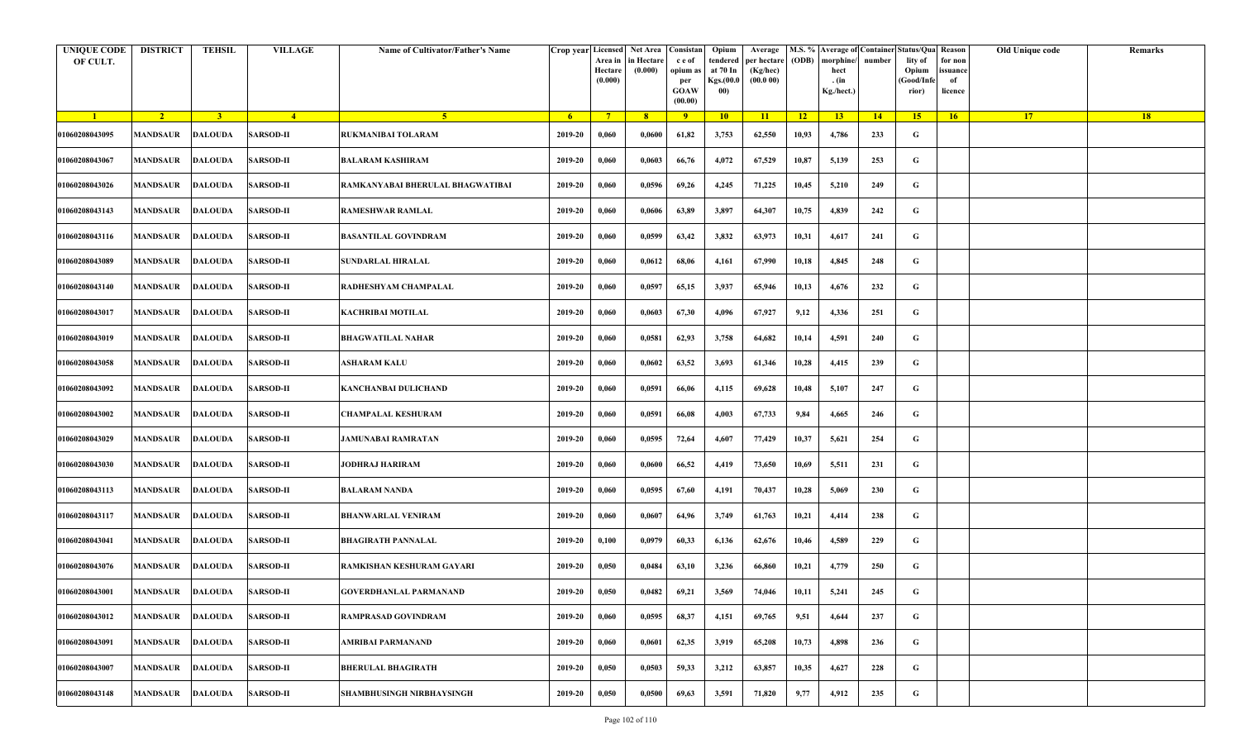| <b>UNIQUE CODE</b><br>OF CULT. | <b>DISTRICT</b>         | <b>TEHSIL</b>  | <b>VILLAGE</b>   | Name of Cultivator/Father's Name |                | Crop year Licensed<br>Area in<br>Hectare<br>(0.000) | Net Area   Consistan  <br>in Hectare<br>(0.000) | c e of<br>opium as<br>per<br><b>GOAW</b><br>(00.00) | Opium<br>tendered<br>at 70 In<br>Kgs.(00.0<br>00) | Average<br>per hectare<br>(Kg/hec)<br>(00.000) | (ODB)           | M.S. % Average of Container Status/Qua Reason<br>morphine/<br>hect<br>. (in<br>Kg./hect.) | number | lity of<br>Opium<br>(Good/Info<br>rior) | for non<br>ssuance<br>of<br>licence | Old Unique code | Remarks |
|--------------------------------|-------------------------|----------------|------------------|----------------------------------|----------------|-----------------------------------------------------|-------------------------------------------------|-----------------------------------------------------|---------------------------------------------------|------------------------------------------------|-----------------|-------------------------------------------------------------------------------------------|--------|-----------------------------------------|-------------------------------------|-----------------|---------|
| $\blacksquare$                 | $\sqrt{2}$              | 3 <sup>1</sup> | $\overline{4}$   | 5 <sup>1</sup>                   | 6 <sup>6</sup> | $7^{\circ}$                                         | 8                                               | $\overline{9}$                                      | 10                                                | 11                                             | $\overline{12}$ | 13                                                                                        | 14     | 15                                      | 16                                  | 17 <sup>2</sup> | 18      |
| 01060208043095                 | <b>MANDSAUR</b>         | <b>DALOUDA</b> | <b>SARSOD-II</b> | RUKMANIBAI TOLARAM               | 2019-20        | 0,060                                               | 0,0600                                          | 61,82                                               | 3,753                                             | 62,550                                         | 10,93           | 4,786                                                                                     | 233    | G                                       |                                     |                 |         |
| 01060208043067                 | <b>MANDSAUR</b>         | <b>DALOUDA</b> | <b>SARSOD-II</b> | <b>BALARAM KASHIRAM</b>          | 2019-20        | 0,060                                               | 0,0603                                          | 66,76                                               | 4,072                                             | 67,529                                         | 10,87           | 5,139                                                                                     | 253    | G                                       |                                     |                 |         |
| 01060208043026                 | <b>MANDSAUR</b>         | <b>DALOUDA</b> | <b>SARSOD-II</b> | RAMKANYABAI BHERULAL BHAGWATIBAI | 2019-20        | 0,060                                               | 0,0596                                          | 69,26                                               | 4,245                                             | 71,225                                         | 10,45           | 5,210                                                                                     | 249    | G                                       |                                     |                 |         |
| 01060208043143                 | <b>MANDSAUR</b>         | <b>DALOUDA</b> | <b>SARSOD-II</b> | <b>RAMESHWAR RAMLAL</b>          | 2019-20        | 0,060                                               | 0,0606                                          | 63,89                                               | 3,897                                             | 64,307                                         | 10,75           | 4,839                                                                                     | 242    | G                                       |                                     |                 |         |
| 01060208043116                 | <b>MANDSAUR</b>         | <b>DALOUDA</b> | <b>SARSOD-II</b> | <b>BASANTILAL GOVINDRAM</b>      | 2019-20        | 0,060                                               | 0,0599                                          | 63,42                                               | 3,832                                             | 63,973                                         | 10,31           | 4,617                                                                                     | 241    | G                                       |                                     |                 |         |
| 01060208043089                 | MANDSAUR                | <b>DALOUDA</b> | <b>SARSOD-II</b> | <b>SUNDARLAL HIRALAL</b>         | 2019-20        | 0,060                                               | 0,0612                                          | 68,06                                               | 4,161                                             | 67,990                                         | 10,18           | 4,845                                                                                     | 248    | G                                       |                                     |                 |         |
| 01060208043140                 | MANDSAUR                | <b>DALOUDA</b> | <b>SARSOD-II</b> | RADHESHYAM CHAMPALAL             | 2019-20        | 0,060                                               | 0,0597                                          | 65,15                                               | 3,937                                             | 65,946                                         | 10,13           | 4,676                                                                                     | 232    | G                                       |                                     |                 |         |
| 01060208043017                 | MANDSAUR                | <b>DALOUDA</b> | <b>SARSOD-II</b> | KACHRIBAI MOTILAL                | 2019-20        | 0,060                                               | 0,0603                                          | 67,30                                               | 4,096                                             | 67,927                                         | 9,12            | 4,336                                                                                     | 251    | G                                       |                                     |                 |         |
| 01060208043019                 | MANDSAUR                | <b>DALOUDA</b> | <b>SARSOD-II</b> | <b>BHAGWATILAL NAHAR</b>         | 2019-20        | 0,060                                               | 0,0581                                          | 62,93                                               | 3,758                                             | 64,682                                         | 10,14           | 4,591                                                                                     | 240    | G                                       |                                     |                 |         |
| 01060208043058                 | <b>MANDSAUR</b>         | <b>DALOUDA</b> | <b>SARSOD-II</b> | ASHARAM KALU                     | 2019-20        | 0,060                                               | 0,0602                                          | 63,52                                               | 3,693                                             | 61,346                                         | 10,28           | 4,415                                                                                     | 239    | G                                       |                                     |                 |         |
| 01060208043092                 | MANDSAUR                | <b>DALOUDA</b> | <b>SARSOD-II</b> | KANCHANBAI DULICHAND             | 2019-20        | 0,060                                               | 0,0591                                          | 66,06                                               | 4,115                                             | 69,628                                         | 10,48           | 5,107                                                                                     | 247    | G                                       |                                     |                 |         |
| 01060208043002                 | <b>MANDSAUR</b>         | <b>DALOUDA</b> | <b>SARSOD-II</b> | <b>CHAMPALAL KESHURAM</b>        | 2019-20        | 0,060                                               | 0,0591                                          | 66,08                                               | 4,003                                             | 67,733                                         | 9,84            | 4,665                                                                                     | 246    | G                                       |                                     |                 |         |
| 01060208043029                 | MANDSAUR                | <b>DALOUDA</b> | <b>SARSOD-II</b> | JAMUNABAI RAMRATAN               | 2019-20        | 0,060                                               | 0,0595                                          | 72,64                                               | 4,607                                             | 77,429                                         | 10,37           | 5,621                                                                                     | 254    | G                                       |                                     |                 |         |
| 01060208043030                 | <b>MANDSAUR</b>         | <b>DALOUDA</b> | <b>SARSOD-II</b> | <b>JODHRAJ HARIRAM</b>           | 2019-20        | 0,060                                               | 0,0600                                          | 66,52                                               | 4,419                                             | 73,650                                         | 10,69           | 5,511                                                                                     | 231    | G                                       |                                     |                 |         |
| 01060208043113                 | MANDSAUR                | <b>DALOUDA</b> | <b>SARSOD-II</b> | <b>BALARAM NANDA</b>             | 2019-20        | 0,060                                               | 0,0595                                          | 67,60                                               | 4,191                                             | 70,437                                         | 10,28           | 5,069                                                                                     | 230    | G                                       |                                     |                 |         |
| 01060208043117                 | <b>MANDSAUR</b>         | <b>DALOUDA</b> | <b>SARSOD-II</b> | <b>BHANWARLAL VENIRAM</b>        | 2019-20        | 0,060                                               | 0,0607                                          | 64,96                                               | 3,749                                             | 61,763                                         | 10,21           | 4,414                                                                                     | 238    | G                                       |                                     |                 |         |
| 01060208043041                 | MANDSAUR                | <b>DALOUDA</b> | <b>SARSOD-II</b> | <b>BHAGIRATH PANNALAL</b>        | 2019-20        | 0,100                                               | 0,0979                                          | 60,33                                               | 6,136                                             | 62,676                                         | 10,46           | 4,589                                                                                     | 229    | G                                       |                                     |                 |         |
| 01060208043076                 | MANDSAUR                | DALOUDA        | <b>SARSOD-II</b> | RAMKISHAN KESHURAM GAYARI        | 2019-20        | 0,050                                               | 0,0484                                          | 63,10                                               | 3,236                                             | 66,860                                         | 10,21           | 4,779                                                                                     | 250    | G                                       |                                     |                 |         |
| 01060208043001                 | <b>MANDSAUR DALOUDA</b> |                | <b>SARSOD-II</b> | <b>GOVERDHANLAL PARMANAND</b>    | 2019-20        | 0,050                                               | 0,0482                                          | 69,21                                               | 3,569                                             | 74,046                                         | 10,11           | 5,241                                                                                     | 245    | G                                       |                                     |                 |         |
| 01060208043012                 | MANDSAUR                | <b>DALOUDA</b> | <b>SARSOD-II</b> | RAMPRASAD GOVINDRAM              | 2019-20        | 0,060                                               | 0,0595                                          | 68,37                                               | 4,151                                             | 69,765                                         | 9,51            | 4,644                                                                                     | 237    | $\mathbf G$                             |                                     |                 |         |
| 01060208043091                 | <b>MANDSAUR</b>         | <b>DALOUDA</b> | <b>SARSOD-II</b> | AMRIBAI PARMANAND                | 2019-20        | 0,060                                               | 0,0601                                          | 62,35                                               | 3,919                                             | 65,208                                         | 10,73           | 4,898                                                                                     | 236    | G                                       |                                     |                 |         |
| 01060208043007                 | <b>MANDSAUR</b>         | <b>DALOUDA</b> | <b>SARSOD-II</b> | <b>BHERULAL BHAGIRATH</b>        | 2019-20        | 0,050                                               | 0,0503                                          | 59,33                                               | 3,212                                             | 63,857                                         | 10,35           | 4,627                                                                                     | 228    | G                                       |                                     |                 |         |
| 01060208043148                 | MANDSAUR                | <b>DALOUDA</b> | <b>SARSOD-II</b> | SHAMBHUSINGH NIRBHAYSINGH        | 2019-20        | 0,050                                               | 0,0500                                          | 69,63                                               | 3,591                                             | 71,820                                         | 9,77            | 4,912                                                                                     | 235    | G                                       |                                     |                 |         |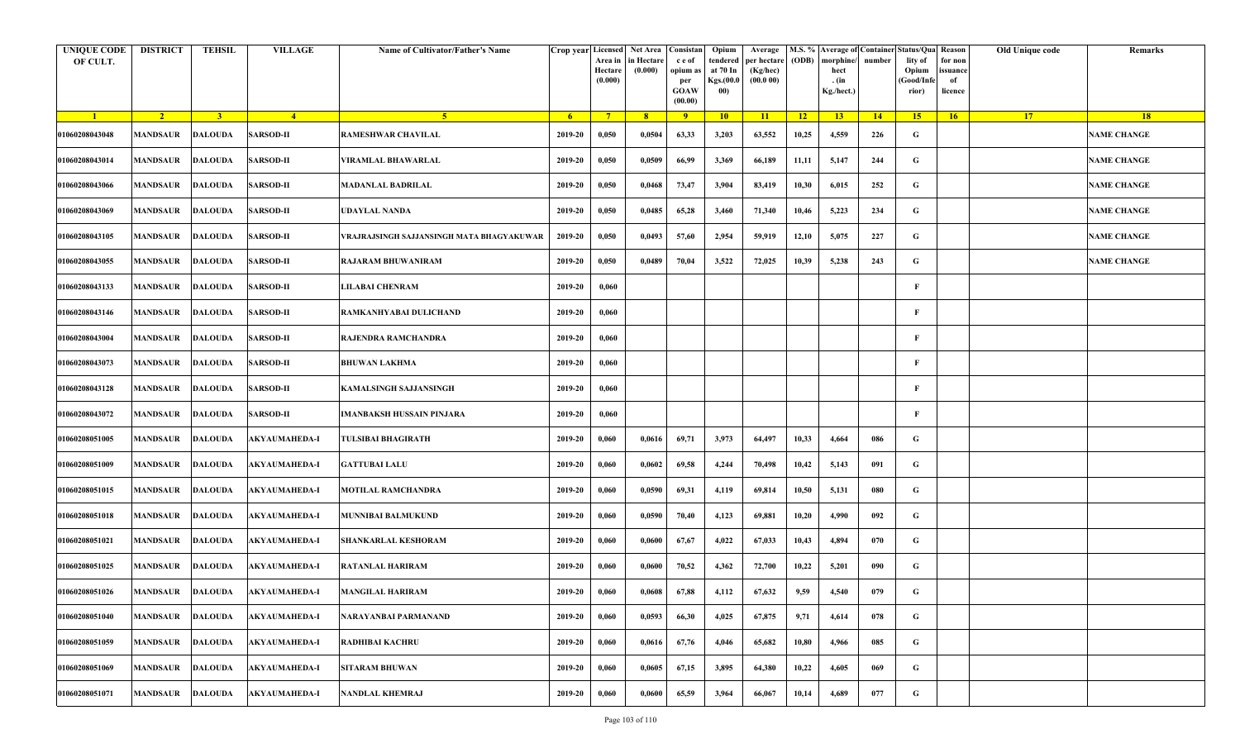| <b>UNIQUE CODE</b><br>OF CULT. | <b>DISTRICT</b>         | <b>TEHSIL</b>  | <b>VILLAGE</b>       | Name of Cultivator/Father's Name          | Crop year Licensed | Area in<br>Hectare<br>(0.000) | Net Area Consistan<br>in Hectare<br>(0.000) | c e of<br>opium as<br>per<br><b>GOAW</b><br>(00.00) | Opium<br>tendered<br>at 70 In<br>Kgs.(00.0<br>00) | Average<br>per hectare<br>(Kg/hec)<br>(00.000) | (ODB) | M.S. % Average of Container Status/Qua Reason<br>morphine/<br>hect<br>. (in<br>Kg./hect.) | number      | lity of<br>Opium<br>(Good/Infe<br>rior) | for non<br>ssuance<br>of<br>licence | Old Unique code | Remarks            |
|--------------------------------|-------------------------|----------------|----------------------|-------------------------------------------|--------------------|-------------------------------|---------------------------------------------|-----------------------------------------------------|---------------------------------------------------|------------------------------------------------|-------|-------------------------------------------------------------------------------------------|-------------|-----------------------------------------|-------------------------------------|-----------------|--------------------|
| $\blacksquare$                 | $\sqrt{2}$              | 3 <sup>1</sup> | $\sqrt{4}$           | $\sqrt{5}$                                | - 6                | $7^{\circ}$                   | 8 <sup>°</sup>                              | $\overline{9}$                                      | 10                                                | 11                                             | $-12$ | 13                                                                                        | $\sqrt{14}$ | 15                                      | 16                                  | <b>17</b>       | <b>18</b>          |
| 01060208043048                 | <b>MANDSAUR</b>         | <b>DALOUDA</b> | <b>SARSOD-II</b>     | <b>RAMESHWAR CHAVILAL</b>                 | 2019-20            | 0,050                         | 0,0504                                      | 63,33                                               | 3,203                                             | 63,552                                         | 10,25 | 4,559                                                                                     | 226         | G                                       |                                     |                 | <b>NAME CHANGE</b> |
| 01060208043014                 | MANDSAUR                | <b>DALOUDA</b> | <b>SARSOD-II</b>     | VIRAMLAL BHAWARLAL                        | 2019-20            | 0,050                         | 0,0509                                      | 66,99                                               | 3,369                                             | 66,189                                         | 11,11 | 5,147                                                                                     | 244         | G                                       |                                     |                 | <b>NAME CHANGE</b> |
| 01060208043066                 | MANDSAUR                | <b>DALOUDA</b> | <b>SARSOD-II</b>     | <b>MADANLAL BADRILAL</b>                  | 2019-20            | 0,050                         | 0,0468                                      | 73,47                                               | 3,904                                             | 83,419                                         | 10,30 | 6,015                                                                                     | 252         | G                                       |                                     |                 | <b>NAME CHANGE</b> |
| 01060208043069                 | MANDSAUR                | <b>DALOUDA</b> | <b>SARSOD-II</b>     | UDAYLAL NANDA                             | 2019-20            | 0,050                         | 0,0485                                      | 65,28                                               | 3,460                                             | 71,340                                         | 10,46 | 5,223                                                                                     | 234         | G                                       |                                     |                 | <b>NAME CHANGE</b> |
| 01060208043105                 | MANDSAUR                | <b>DALOUDA</b> | <b>SARSOD-II</b>     | VRAJRAJSINGH SAJJANSINGH MATA BHAGYAKUWAR | 2019-20            | 0,050                         | 0,0493                                      | 57,60                                               | 2,954                                             | 59,919                                         | 12,10 | 5,075                                                                                     | 227         | G                                       |                                     |                 | <b>NAME CHANGE</b> |
| 01060208043055                 | <b>MANDSAUR</b>         | DALOUDA        | <b>SARSOD-II</b>     | <b>RAJARAM BHUWANIRAM</b>                 | 2019-20            | 0,050                         | 0,0489                                      | 70,04                                               | 3,522                                             | 72,025                                         | 10,39 | 5,238                                                                                     | 243         | G                                       |                                     |                 | <b>NAME CHANGE</b> |
| 01060208043133                 | MANDSAUR                | <b>DALOUDA</b> | <b>SARSOD-II</b>     | <b>JILABAI CHENRAM</b>                    | 2019-20            | 0,060                         |                                             |                                                     |                                                   |                                                |       |                                                                                           |             | F                                       |                                     |                 |                    |
| 01060208043146                 | MANDSAUR                | <b>DALOUDA</b> | <b>SARSOD-II</b>     | RAMKANHYABAI DULICHAND                    | 2019-20            | 0,060                         |                                             |                                                     |                                                   |                                                |       |                                                                                           |             | F                                       |                                     |                 |                    |
| 01060208043004                 | MANDSAUR                | <b>DALOUDA</b> | <b>SARSOD-II</b>     | RAJENDRA RAMCHANDRA                       | 2019-20            | 0,060                         |                                             |                                                     |                                                   |                                                |       |                                                                                           |             | F                                       |                                     |                 |                    |
| 01060208043073                 | <b>MANDSAUR</b>         | <b>DALOUDA</b> | <b>SARSOD-II</b>     | <b>BHUWAN LAKHMA</b>                      | 2019-20            | 0,060                         |                                             |                                                     |                                                   |                                                |       |                                                                                           |             | F                                       |                                     |                 |                    |
| 01060208043128                 | <b>MANDSAUR</b>         | <b>DALOUDA</b> | <b>SARSOD-II</b>     | KAMALSINGH SAJJANSINGH                    | 2019-20            | 0,060                         |                                             |                                                     |                                                   |                                                |       |                                                                                           |             | F                                       |                                     |                 |                    |
| 01060208043072                 | MANDSAUR                | <b>DALOUDA</b> | <b>SARSOD-II</b>     | IMANBAKSH HUSSAIN PINJARA                 | 2019-20            | 0,060                         |                                             |                                                     |                                                   |                                                |       |                                                                                           |             | F                                       |                                     |                 |                    |
| 01060208051005                 | MANDSAUR                | <b>DALOUDA</b> | <b>AKYAUMAHEDA-I</b> | <b>TULSIBAI BHAGIRATH</b>                 | 2019-20            | 0,060                         | 0,0616                                      | 69,71                                               | 3,973                                             | 64,497                                         | 10,33 | 4,664                                                                                     | 086         | G                                       |                                     |                 |                    |
| 01060208051009                 | MANDSAUR                | <b>DALOUDA</b> | <b>AKYAUMAHEDA-I</b> | <b>GATTUBAI LALU</b>                      | 2019-20            | 0,060                         | 0,0602                                      | 69,58                                               | 4,244                                             | 70,498                                         | 10,42 | 5,143                                                                                     | 091         | G                                       |                                     |                 |                    |
| 01060208051015                 | <b>MANDSAUR</b>         | DALOUDA        | <b>AKYAUMAHEDA-I</b> | <b>MOTILAL RAMCHANDRA</b>                 | 2019-20            | 0,060                         | 0,0590                                      | 69,31                                               | 4,119                                             | 69,814                                         | 10,50 | 5,131                                                                                     | 080         | G                                       |                                     |                 |                    |
| 01060208051018                 | MANDSAUR                | <b>DALOUDA</b> | <b>AKYAUMAHEDA-I</b> | MUNNIBAI BALMUKUND                        | 2019-20            | 0,060                         | 0,0590                                      | 70,40                                               | 4,123                                             | 69,881                                         | 10,20 | 4,990                                                                                     | 092         | G                                       |                                     |                 |                    |
| 01060208051021                 | MANDSAUR                | <b>DALOUDA</b> | <b>AKYAUMAHEDA-I</b> | <b>SHANKARLAL KESHORAM</b>                | 2019-20            | 0,060                         | 0,0600                                      | 67,67                                               | 4,022                                             | 67,033                                         | 10,43 | 4,894                                                                                     | 070         | G                                       |                                     |                 |                    |
| 01060208051025                 | MANDSAUR                | <b>DALOUDA</b> | <b>AKYAUMAHEDA-I</b> | RATANLAL HARIRAM                          | 2019-20            | 0,060                         | 0,0600                                      | 70,52                                               | 4,362                                             | 72,700                                         | 10,22 | 5,201                                                                                     | 090         | G                                       |                                     |                 |                    |
| 01060208051026                 | <b>MANDSAUR DALOUDA</b> |                | <b>AKYAUMAHEDA-I</b> | <b>MANGILAL HARIRAM</b>                   | 2019-20            | 0,060                         | 0,0608                                      | 67,88                                               | 4,112                                             | 67,632                                         | 9,59  | 4,540                                                                                     | 079         | G                                       |                                     |                 |                    |
| 01060208051040                 | MANDSAUR                | <b>DALOUDA</b> | <b>AKYAUMAHEDA-I</b> | NARAYANBAI PARMANAND                      | 2019-20            | 0,060                         | 0,0593                                      | 66,30                                               | 4,025                                             | 67,875                                         | 9,71  | 4,614                                                                                     | 078         | $\mathbf G$                             |                                     |                 |                    |
| 01060208051059                 | <b>MANDSAUR</b>         | <b>DALOUDA</b> | AKYAUMAHEDA-I        | <b>RADHIBAI KACHRU</b>                    | 2019-20            | 0,060                         | 0,0616                                      | 67,76                                               | 4,046                                             | 65,682                                         | 10,80 | 4,966                                                                                     | 085         | G                                       |                                     |                 |                    |
| 01060208051069                 | <b>MANDSAUR</b>         | <b>DALOUDA</b> | <b>AKYAUMAHEDA-I</b> | <b>SITARAM BHUWAN</b>                     | 2019-20            | 0,060                         | 0,0605                                      | 67,15                                               | 3,895                                             | 64,380                                         | 10,22 | 4,605                                                                                     | 069         | G                                       |                                     |                 |                    |
| 01060208051071                 | MANDSAUR                | <b>DALOUDA</b> | <b>AKYAUMAHEDA-I</b> | <b>NANDLAL KHEMRAJ</b>                    | 2019-20            | 0,060                         | 0,0600                                      | 65,59                                               | 3,964                                             | 66,067                                         | 10,14 | 4,689                                                                                     | 077         | G                                       |                                     |                 |                    |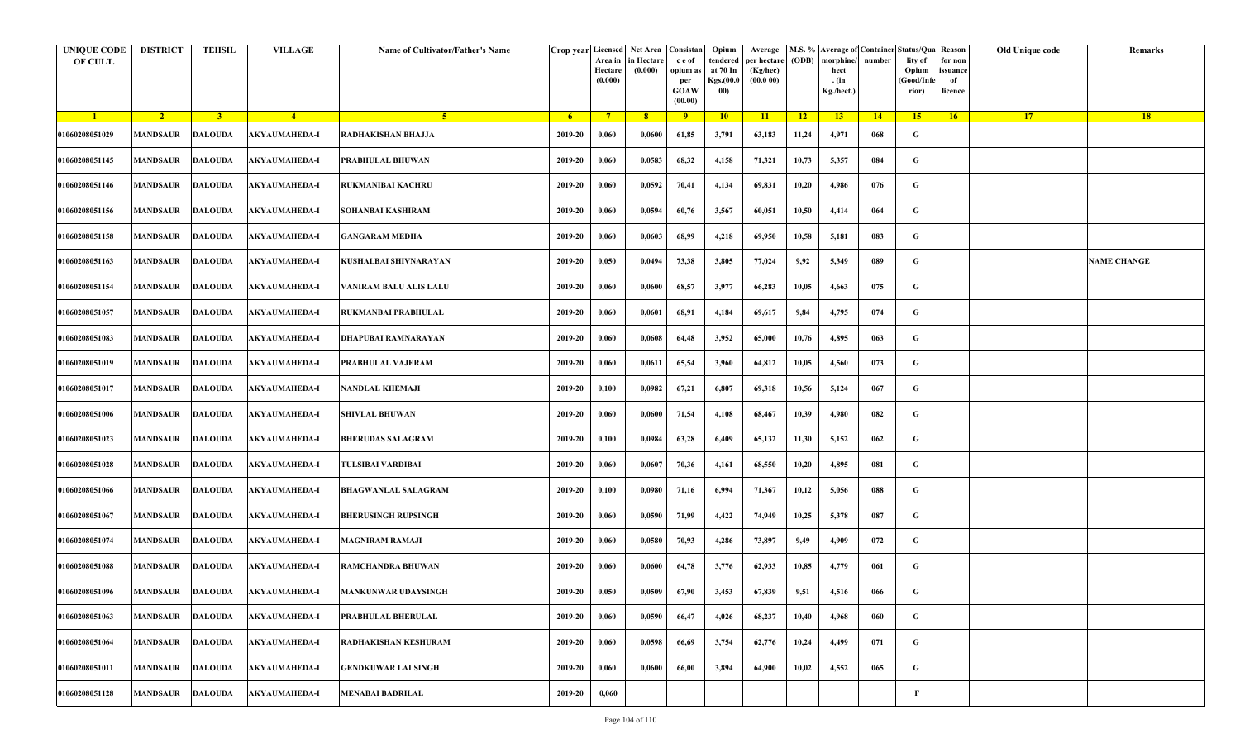| <b>UNIQUE CODE</b><br>OF CULT. | <b>DISTRICT</b> | <b>TEHSIL</b>           | <b>VILLAGE</b>       | Name of Cultivator/Father's Name | Crop year Licensed | Area in<br>Hectare<br>(0.000) | Net Area   Consistan<br>in Hectare<br>(0.000) | c e of<br>opium as<br>per<br><b>GOAW</b><br>(00.00) | Opium<br>tendered<br>at 70 In<br>Kgs.(00.0<br>00) | Average<br>per hectare<br>(Kg/hec)<br>(00.000) | (ODB) | M.S. % Average of Container Status/Qua Reason<br>morphine/<br>hect<br>. (in<br>Kg./hect.) | number | lity of<br>Opium<br>(Good/Infe<br>rior) | for non<br>issuance<br>of<br>licence | Old Unique code | Remarks            |
|--------------------------------|-----------------|-------------------------|----------------------|----------------------------------|--------------------|-------------------------------|-----------------------------------------------|-----------------------------------------------------|---------------------------------------------------|------------------------------------------------|-------|-------------------------------------------------------------------------------------------|--------|-----------------------------------------|--------------------------------------|-----------------|--------------------|
| $\blacksquare$                 | $\sqrt{2}$      | $\overline{\mathbf{3}}$ | $\sqrt{4}$           | -5.                              | -6                 | $7^{\circ}$                   | 8 <sup>°</sup>                                | $\overline{9}$                                      | 10                                                | 11                                             | $-12$ | 13                                                                                        | 14     | 15                                      | 16                                   | <b>17</b>       | 18                 |
| 01060208051029                 | <b>MANDSAUR</b> | <b>DALOUDA</b>          | <b>AKYAUMAHEDA-I</b> | RADHAKISHAN BHAJJA               | 2019-20            | 0,060                         | 0,0600                                        | 61,85                                               | 3,791                                             | 63,183                                         | 11,24 | 4,971                                                                                     | 068    | G                                       |                                      |                 |                    |
| 01060208051145                 | MANDSAUR        | <b>DALOUDA</b>          | <b>AKYAUMAHEDA-I</b> | PRABHULAL BHUWAN                 | 2019-20            | 0,060                         | 0,0583                                        | 68,32                                               | 4,158                                             | 71,321                                         | 10,73 | 5,357                                                                                     | 084    | G                                       |                                      |                 |                    |
| 01060208051146                 | <b>MANDSAUR</b> | DALOUDA                 | <b>AKYAUMAHEDA-I</b> | RUKMANIBAI KACHRU                | 2019-20            | 0,060                         | 0,0592                                        | 70,41                                               | 4,134                                             | 69,831                                         | 10,20 | 4,986                                                                                     | 076    | G                                       |                                      |                 |                    |
| 01060208051156                 | MANDSAUR        | <b>DALOUDA</b>          | <b>AKYAUMAHEDA-I</b> | SOHANBAI KASHIRAM                | 2019-20            | 0,060                         | 0,0594                                        | 60,76                                               | 3,567                                             | 60,051                                         | 10,50 | 4,414                                                                                     | 064    | G                                       |                                      |                 |                    |
| 01060208051158                 | MANDSAUR        | <b>DALOUDA</b>          | <b>AKYAUMAHEDA-I</b> | <b>GANGARAM MEDHA</b>            | 2019-20            | 0,060                         | 0,0603                                        | 68,99                                               | 4,218                                             | 69,950                                         | 10,58 | 5,181                                                                                     | 083    | G                                       |                                      |                 |                    |
| 01060208051163                 | <b>MANDSAUR</b> | DALOUDA                 | <b>AKYAUMAHEDA-I</b> | KUSHALBAI SHIVNARAYAN            | 2019-20            | 0,050                         | 0,0494                                        | 73,38                                               | 3,805                                             | 77,024                                         | 9,92  | 5,349                                                                                     | 089    | G                                       |                                      |                 | <b>NAME CHANGE</b> |
| 01060208051154                 | MANDSAUR        | DALOUDA                 | <b>AKYAUMAHEDA-I</b> | VANIRAM BALU ALIS LALU           | 2019-20            | 0,060                         | 0,0600                                        | 68,57                                               | 3,977                                             | 66,283                                         | 10,05 | 4,663                                                                                     | 075    | G                                       |                                      |                 |                    |
| 01060208051057                 | MANDSAUR        | <b>DALOUDA</b>          | <b>AKYAUMAHEDA-I</b> | RUKMANBAI PRABHULAL              | 2019-20            | 0,060                         | 0,0601                                        | 68,91                                               | 4,184                                             | 69,617                                         | 9,84  | 4,795                                                                                     | 074    | G                                       |                                      |                 |                    |
| 01060208051083                 | <b>MANDSAUR</b> | <b>DALOUDA</b>          | AKYAUMAHEDA-I        | DHAPUBAI RAMNARAYAN              | 2019-20            | 0,060                         | 0,0608                                        | 64,48                                               | 3,952                                             | 65,000                                         | 10,76 | 4,895                                                                                     | 063    | G                                       |                                      |                 |                    |
| 01060208051019                 | <b>MANDSAUR</b> | <b>DALOUDA</b>          | <b>AKYAUMAHEDA-I</b> | PRABHULAL VAJERAM                | 2019-20            | 0,060                         | 0,0611                                        | 65,54                                               | 3,960                                             | 64,812                                         | 10,05 | 4,560                                                                                     | 073    | G                                       |                                      |                 |                    |
| 01060208051017                 | <b>MANDSAUR</b> | <b>DALOUDA</b>          | <b>AKYAUMAHEDA-I</b> | NANDLAL KHEMAJI                  | 2019-20            | 0,100                         | 0,0982                                        | 67,21                                               | 6,807                                             | 69,318                                         | 10,56 | 5,124                                                                                     | 067    | G                                       |                                      |                 |                    |
| 01060208051006                 | MANDSAUR        | DALOUDA                 | <b>AKYAUMAHEDA-I</b> | <b>SHIVLAL BHUWAN</b>            | 2019-20            | 0,060                         | 0,0600                                        | 71,54                                               | 4,108                                             | 68,467                                         | 10,39 | 4,980                                                                                     | 082    | G                                       |                                      |                 |                    |
| 01060208051023                 | MANDSAUR        | <b>DALOUDA</b>          | <b>AKYAUMAHEDA-I</b> | <b>BHERUDAS SALAGRAM</b>         | 2019-20            | 0,100                         | 0,0984                                        | 63,28                                               | 6,409                                             | 65,132                                         | 11,30 | 5,152                                                                                     | 062    | G                                       |                                      |                 |                    |
| 01060208051028                 | MANDSAUR        | <b>DALOUDA</b>          | <b>AKYAUMAHEDA-I</b> | TULSIBAI VARDIBAI                | 2019-20            | 0,060                         | 0,0607                                        | 70,36                                               | 4,161                                             | 68,550                                         | 10,20 | 4,895                                                                                     | 081    | G                                       |                                      |                 |                    |
| 01060208051066                 | <b>MANDSAUR</b> | <b>DALOUDA</b>          | <b>AKYAUMAHEDA-I</b> | <b>BHAGWANLAL SALAGRAM</b>       | 2019-20            | 0,100                         | 0,0980                                        | 71,16                                               | 6,994                                             | 71,367                                         | 10,12 | 5,056                                                                                     | 088    | G                                       |                                      |                 |                    |
| 01060208051067                 | MANDSAUR        | <b>DALOUDA</b>          | AKYAUMAHEDA-I        | <b>BHERUSINGH RUPSINGH</b>       | 2019-20            | 0,060                         | 0,0590                                        | 71,99                                               | 4,422                                             | 74,949                                         | 10,25 | 5,378                                                                                     | 087    | G                                       |                                      |                 |                    |
| 01060208051074                 | MANDSAUR        | <b>DALOUDA</b>          | <b>AKYAUMAHEDA-I</b> | <b>MAGNIRAM RAMAJI</b>           | 2019-20            | 0,060                         | 0,0580                                        | 70,93                                               | 4,286                                             | 73,897                                         | 9,49  | 4,909                                                                                     | 072    | G                                       |                                      |                 |                    |
| 01060208051088                 | MANDSAUR        | <b>DALOUDA</b>          | <b>AKYAUMAHEDA-I</b> | RAMCHANDRA BHUWAN                | 2019-20            | 0,060                         | 0,0600                                        | 64,78                                               | 3,776                                             | 62,933                                         | 10,85 | 4,779                                                                                     | 061    | G                                       |                                      |                 |                    |
| 01060208051096                 |                 | <b>MANDSAUR DALOUDA</b> | <b>AKYAUMAHEDA-I</b> | <b>MANKUNWAR UDAYSINGH</b>       | 2019-20            | 0,050                         | 0,0509                                        | 67,90                                               | 3,453                                             | 67,839                                         | 9,51  | 4,516                                                                                     | 066    | G                                       |                                      |                 |                    |
| 01060208051063                 | MANDSAUR        | <b>DALOUDA</b>          | <b>AKYAUMAHEDA-I</b> | PRABHULAL BHERULAL               | 2019-20            | 0,060                         | 0,0590                                        | 66,47                                               | 4,026                                             | 68,237                                         | 10,40 | 4,968                                                                                     | 060    | $\mathbf G$                             |                                      |                 |                    |
| 01060208051064                 | <b>MANDSAUR</b> | <b>DALOUDA</b>          | <b>AKYAUMAHEDA-I</b> | RADHAKISHAN KESHURAM             | 2019-20            | 0,060                         | 0,0598                                        | 66,69                                               | 3,754                                             | 62,776                                         | 10,24 | 4,499                                                                                     | 071    | G                                       |                                      |                 |                    |
| 01060208051011                 | <b>MANDSAUR</b> | <b>DALOUDA</b>          | <b>AKYAUMAHEDA-I</b> | <b>GENDKUWAR LALSINGH</b>        | 2019-20            | 0,060                         | 0,0600                                        | 66,00                                               | 3,894                                             | 64,900                                         | 10,02 | 4,552                                                                                     | 065    | G                                       |                                      |                 |                    |
| 01060208051128                 | MANDSAUR        | <b>DALOUDA</b>          | <b>AKYAUMAHEDA-I</b> | <b>MENABAI BADRILAL</b>          | 2019-20            | 0,060                         |                                               |                                                     |                                                   |                                                |       |                                                                                           |        | F                                       |                                      |                 |                    |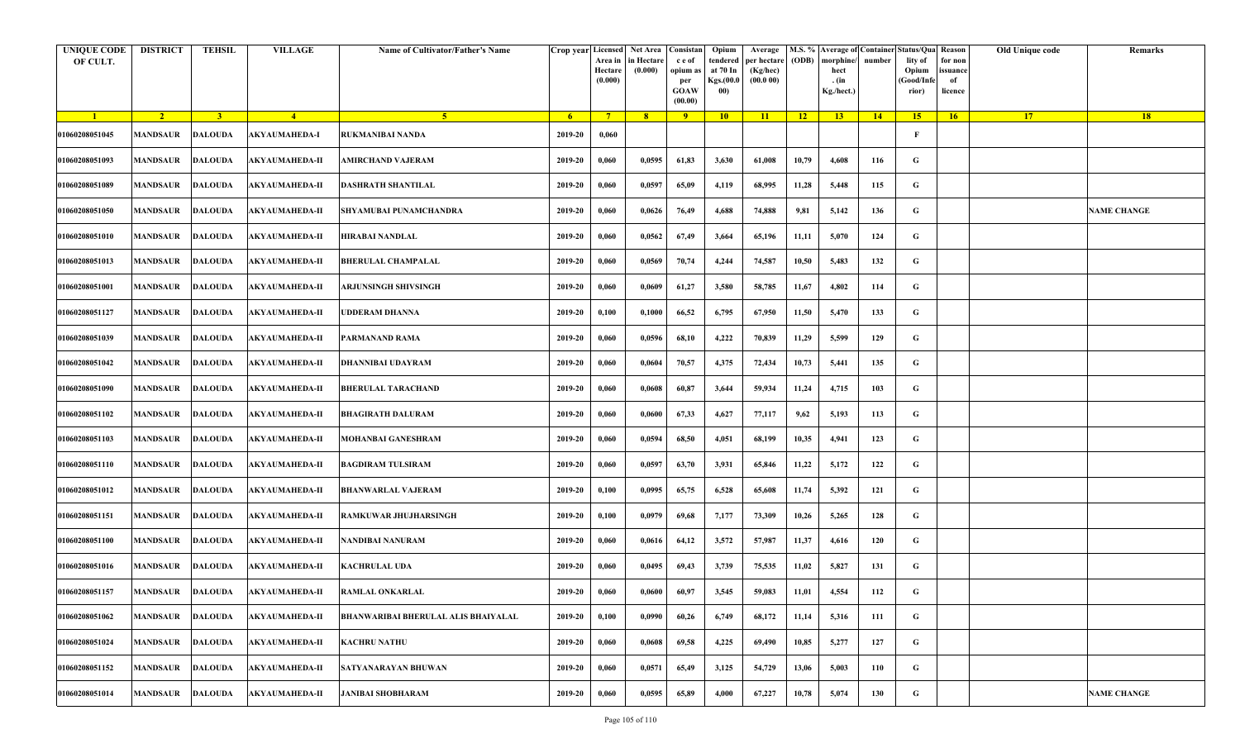| <b>UNIQUE CODE</b><br>OF CULT. | <b>DISTRICT</b> | <b>TEHSIL</b>  | <b>VILLAGE</b>                  | Name of Cultivator/Father's Name           | Crop year Licensed Net Area | Area in<br>Hectare<br>(0.000) | in Hectare<br>(0.000) | Consistan<br>c e of<br>opium a<br>per<br><b>GOAW</b><br>(00.00) | Opium<br>tendered<br>at 70 In<br>Kgs.(00.0<br>00) | Average<br>per hectare<br>(Kg/hec)<br>(00.000) | (ODB) | morphine/<br>hect<br>. (in<br>Kg./hect.) | number | M.S. % Average of Container Status/Qua<br>lity of<br>Opium<br>Good/Infe<br>rior) | Reason<br>for non<br>issuance<br>of<br>licence | Old Unique code | Remarks            |
|--------------------------------|-----------------|----------------|---------------------------------|--------------------------------------------|-----------------------------|-------------------------------|-----------------------|-----------------------------------------------------------------|---------------------------------------------------|------------------------------------------------|-------|------------------------------------------|--------|----------------------------------------------------------------------------------|------------------------------------------------|-----------------|--------------------|
| $\blacksquare$                 | $\sqrt{2}$      | 3 <sup>1</sup> | $-4$                            | -5.                                        | 6 <sup>1</sup>              | $7^{\circ}$                   | 8 <sup>°</sup>        | $-9$                                                            | 10                                                | 11                                             | $-12$ | 13                                       | $-14$  | 15 <sup>2</sup>                                                                  | 16                                             | 17              | <b>18</b>          |
| 01060208051045                 | <b>MANDSAUR</b> | <b>DALOUDA</b> | <b>AKYAUMAHEDA-I</b>            | RUKMANIBAI NANDA                           | 2019-20                     | 0,060                         |                       |                                                                 |                                                   |                                                |       |                                          |        | F                                                                                |                                                |                 |                    |
| 01060208051093                 | <b>MANDSAUR</b> | <b>DALOUDA</b> | <b>AKYAUMAHEDA-II</b>           | AMIRCHAND VAJERAM                          | 2019-20                     | 0,060                         | 0,0595                | 61,83                                                           | 3,630                                             | 61,008                                         | 10,79 | 4,608                                    | 116    | G                                                                                |                                                |                 |                    |
| 01060208051089                 | MANDSAUR        | <b>DALOUDA</b> | <b>AKYAUMAHEDA-II</b>           | <b>DASHRATH SHANTILAL</b>                  | 2019-20                     | 0,060                         | 0,0597                | 65,09                                                           | 4,119                                             | 68,995                                         | 11,28 | 5,448                                    | 115    | G                                                                                |                                                |                 |                    |
| 01060208051050                 | MANDSAUR        | <b>DALOUDA</b> | <b>AKYAUMAHEDA-II</b>           | SHYAMUBAI PUNAMCHANDRA                     | 2019-20                     | 0,060                         | 0,0626                | 76,49                                                           | 4,688                                             | 74,888                                         | 9,81  | 5,142                                    | 136    | G                                                                                |                                                |                 | <b>NAME CHANGE</b> |
| 01060208051010                 | MANDSAUR        | <b>DALOUDA</b> | AKYAUMAHEDA-II                  | HIRABAI NANDLAL                            | 2019-20                     | 0,060                         | 0,0562                | 67,49                                                           | 3,664                                             | 65,196                                         | 11,11 | 5,070                                    | 124    | G                                                                                |                                                |                 |                    |
| 01060208051013                 | <b>MANDSAUR</b> | <b>DALOUDA</b> | <b>AKYAUMAHEDA-II</b>           | <b>BHERULAL CHAMPALAL</b>                  | 2019-20                     | 0,060                         | 0,0569                | 70,74                                                           | 4,244                                             | 74,587                                         | 10,50 | 5,483                                    | 132    | G                                                                                |                                                |                 |                    |
| 01060208051001                 | MANDSAUR        | DALOUDA        | AKYAUMAHEDA-II                  | ARJUNSINGH SHIVSINGH                       | 2019-20                     | 0,060                         | 0,0609                | 61,27                                                           | 3,580                                             | 58,785                                         | 11,67 | 4,802                                    | 114    | G                                                                                |                                                |                 |                    |
| 01060208051127                 | <b>MANDSAUR</b> | <b>DALOUDA</b> | <b>AKYAUMAHEDA-II</b>           | UDDERAM DHANNA                             | 2019-20                     | 0,100                         | 0,1000                | 66,52                                                           | 6,795                                             | 67,950                                         | 11,50 | 5,470                                    | 133    | G                                                                                |                                                |                 |                    |
| 01060208051039                 | MANDSAUR        | <b>DALOUDA</b> | AKYAUMAHEDA-II                  | PARMANAND RAMA                             | 2019-20                     | 0,060                         | 0,0596                | 68,10                                                           | 4,222                                             | 70,839                                         | 11,29 | 5,599                                    | 129    | G                                                                                |                                                |                 |                    |
| 01060208051042                 | <b>MANDSAUR</b> | <b>DALOUDA</b> | <b>AKYAUMAHEDA-II</b>           | <b>DHANNIBAI UDAYRAM</b>                   | 2019-20                     | 0,060                         | 0,0604                | 70,57                                                           | 4,375                                             | 72,434                                         | 10,73 | 5,441                                    | 135    | G                                                                                |                                                |                 |                    |
| 01060208051090                 | MANDSAUR        | <b>DALOUDA</b> | <b>AKYAUMAHEDA-II</b>           | <b>BHERULAL TARACHAND</b>                  | 2019-20                     | 0,060                         | 0,0608                | 60,87                                                           | 3,644                                             | 59,934                                         | 11,24 | 4,715                                    | 103    | G                                                                                |                                                |                 |                    |
| 01060208051102                 | MANDSAUR        | <b>DALOUDA</b> | <b>AKYAUMAHEDA-II</b>           | <b>BHAGIRATH DALURAM</b>                   | 2019-20                     | 0,060                         | 0,0600                | 67,33                                                           | 4,627                                             | 77,117                                         | 9,62  | 5,193                                    | 113    | G                                                                                |                                                |                 |                    |
| 01060208051103                 | <b>MANDSAUR</b> | <b>DALOUDA</b> | <b>AKYAUMAHEDA-II</b>           | MOHANBAI GANESHRAM                         | 2019-20                     | 0,060                         | 0,0594                | 68,50                                                           | 4,051                                             | 68,199                                         | 10,35 | 4,941                                    | 123    | G                                                                                |                                                |                 |                    |
| 01060208051110                 | MANDSAUR        | <b>DALOUDA</b> | <b>AKYAUMAHEDA-II</b>           | <b>BAGDIRAM TULSIRAM</b>                   | 2019-20                     | 0,060                         | 0,0597                | 63,70                                                           | 3,931                                             | 65,846                                         | 11,22 | 5,172                                    | 122    | G                                                                                |                                                |                 |                    |
| 01060208051012                 | MANDSAUR        | <b>DALOUDA</b> | <b>AKYAUMAHEDA-II</b>           | <b>BHANWARLAL VAJERAM</b>                  | 2019-20                     | 0,100                         | 0,0995                | 65,75                                                           | 6,528                                             | 65,608                                         | 11,74 | 5,392                                    | 121    | G                                                                                |                                                |                 |                    |
| 01060208051151                 | MANDSAUR        | <b>DALOUDA</b> | AKYAUMAHEDA-II                  | RAMKUWAR JHUJHARSINGH                      | 2019-20                     | 0,100                         | 0,0979                | 69,68                                                           | 7,177                                             | 73,309                                         | 10,26 | 5,265                                    | 128    | G                                                                                |                                                |                 |                    |
| 01060208051100                 | <b>MANDSAUR</b> | <b>DALOUDA</b> | <b>AKYAUMAHEDA-II</b>           | <b>NANDIBAI NANURAM</b>                    | 2019-20                     | 0,060                         | 0,0616                | 64,12                                                           | 3,572                                             | 57,987                                         | 11,37 | 4,616                                    | 120    | G                                                                                |                                                |                 |                    |
| 01060208051016                 | MANDSAUR        | DALOUDA        | AKYAUMAHEDA-II                  | <b>KACHRULAL UDA</b>                       | 2019-20                     | 0,060                         | 0,0495                | 69,43                                                           | 3,739                                             | 75,535                                         | 11,02 | 5,827                                    | 131    | G                                                                                |                                                |                 |                    |
| 01060208051157                 |                 |                | MANDSAUR DALOUDA AKYAUMAHEDA-II | <b>RAMLAL ONKARLAL</b>                     | 2019-20                     | 0,060                         | 0,0600                | 60,97                                                           | 3,545                                             | 59,083                                         | 11,01 | 4,554                                    | 112    | G                                                                                |                                                |                 |                    |
| 01060208051062                 | <b>MANDSAUR</b> | <b>DALOUDA</b> | <b>AKYAUMAHEDA-II</b>           | <b>BHANWARIBAI BHERULAL ALIS BHAIYALAL</b> | 2019-20                     | 0,100                         | 0,0990                | 60,26                                                           | 6,749                                             | 68,172                                         | 11,14 | 5,316                                    | 111    | $\mathbf G$                                                                      |                                                |                 |                    |
| 01060208051024                 | <b>MANDSAUR</b> | DALOUDA        | <b>AKYAUMAHEDA-II</b>           | <b>KACHRU NATHU</b>                        | 2019-20                     | 0,060                         | 0,0608                | 69,58                                                           | 4,225                                             | 69,490                                         | 10,85 | 5,277                                    | 127    | G                                                                                |                                                |                 |                    |
| 01060208051152                 | <b>MANDSAUR</b> | <b>DALOUDA</b> | <b>AKYAUMAHEDA-II</b>           | SATYANARAYAN BHUWAN                        | 2019-20                     | 0,060                         | 0,0571                | 65,49                                                           | 3,125                                             | 54,729                                         | 13,06 | 5,003                                    | 110    | G                                                                                |                                                |                 |                    |
| 01060208051014                 | <b>MANDSAUR</b> | <b>DALOUDA</b> | <b>AKYAUMAHEDA-II</b>           | <b>JANIBAI SHOBHARAM</b>                   | 2019-20                     | 0,060                         | 0,0595                | 65,89                                                           | 4,000                                             | 67,227                                         | 10,78 | 5,074                                    | 130    | G                                                                                |                                                |                 | <b>NAME CHANGE</b> |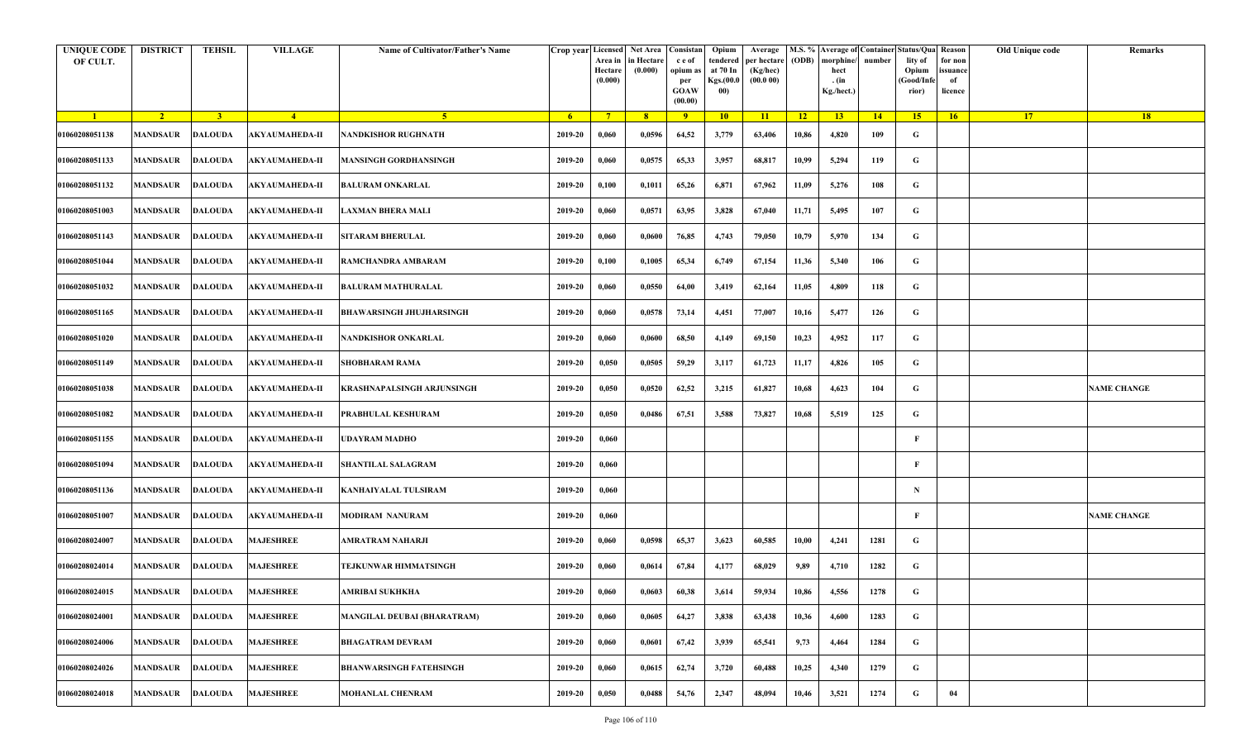| <b>UNIQUE CODE</b><br>OF CULT. | <b>DISTRICT</b>         | <b>TEHSIL</b>  | <b>VILLAGE</b>        | Name of Cultivator/Father's Name   |         | Crop year Licensed Net Area Consistan<br>Area in<br>Hectare<br>(0.000) | in Hectare<br>(0.000) | c e of<br>opium as<br>per<br><b>GOAW</b><br>(00.00) | Opium<br>tendered<br>at 70 In<br>Kgs.(00.0<br>00) | Average<br>per hectare<br>(Kg/hec)<br>(00.000) | (ODB) | M.S. % Average of Container Status/Qua Reason<br>morphine/<br>hect<br>. (in<br>Kg./hect.) | number | lity of<br>Opium<br>(Good/Infe<br>rior) | for non<br>ssuance<br>of<br>licence | Old Unique code | Remarks            |
|--------------------------------|-------------------------|----------------|-----------------------|------------------------------------|---------|------------------------------------------------------------------------|-----------------------|-----------------------------------------------------|---------------------------------------------------|------------------------------------------------|-------|-------------------------------------------------------------------------------------------|--------|-----------------------------------------|-------------------------------------|-----------------|--------------------|
| $\blacksquare$                 | $\sqrt{2}$              | 3 <sup>1</sup> | $-4$                  | 5 <sup>1</sup>                     | $-6$    | $7^{\circ}$                                                            | 8 <sup>°</sup>        | $\overline{9}$                                      | 10                                                | 11                                             | $-12$ | 13                                                                                        | 14     | 15                                      | 16                                  | <b>17</b>       | 18                 |
| 01060208051138                 | <b>MANDSAUR</b>         | <b>DALOUDA</b> | <b>AKYAUMAHEDA-II</b> | <b>NANDKISHOR RUGHNATH</b>         | 2019-20 | 0,060                                                                  | 0,0596                | 64,52                                               | 3,779                                             | 63,406                                         | 10,86 | 4,820                                                                                     | 109    | G                                       |                                     |                 |                    |
| 01060208051133                 | MANDSAUR                | <b>DALOUDA</b> | <b>AKYAUMAHEDA-II</b> | <b>MANSINGH GORDHANSINGH</b>       | 2019-20 | 0,060                                                                  | 0,0575                | 65,33                                               | 3,957                                             | 68,817                                         | 10,99 | 5,294                                                                                     | 119    | G                                       |                                     |                 |                    |
| 01060208051132                 | <b>MANDSAUR</b>         | <b>DALOUDA</b> | <b>AKYAUMAHEDA-II</b> | <b>BALURAM ONKARLAL</b>            | 2019-20 | 0,100                                                                  | 0,1011                | 65,26                                               | 6,871                                             | 67,962                                         | 11,09 | 5,276                                                                                     | 108    | G                                       |                                     |                 |                    |
| 01060208051003                 | MANDSAUR                | <b>DALOUDA</b> | <b>AKYAUMAHEDA-II</b> | <b>LAXMAN BHERA MALI</b>           | 2019-20 | 0,060                                                                  | 0,0571                | 63,95                                               | 3,828                                             | 67,040                                         | 11,71 | 5,495                                                                                     | 107    | G                                       |                                     |                 |                    |
| 01060208051143                 | <b>MANDSAUR</b>         | <b>DALOUDA</b> | <b>AKYAUMAHEDA-II</b> | <b>SITARAM BHERULAL</b>            | 2019-20 | 0,060                                                                  | 0,0600                | 76,85                                               | 4,743                                             | 79,050                                         | 10,79 | 5,970                                                                                     | 134    | G                                       |                                     |                 |                    |
| 01060208051044                 | MANDSAUR                | <b>DALOUDA</b> | <b>AKYAUMAHEDA-II</b> | RAMCHANDRA AMBARAM                 | 2019-20 | 0,100                                                                  | 0,1005                | 65,34                                               | 6,749                                             | 67,154                                         | 11,36 | 5,340                                                                                     | 106    | G                                       |                                     |                 |                    |
| 01060208051032                 | MANDSAUR                | <b>DALOUDA</b> | <b>AKYAUMAHEDA-II</b> | <b>BALURAM MATHURALAL</b>          | 2019-20 | 0,060                                                                  | 0,0550                | 64,00                                               | 3,419                                             | 62,164                                         | 11,05 | 4,809                                                                                     | 118    | G                                       |                                     |                 |                    |
| 01060208051165                 | MANDSAUR                | <b>DALOUDA</b> | <b>AKYAUMAHEDA-II</b> | <b>BHAWARSINGH JHUJHARSINGH</b>    | 2019-20 | 0,060                                                                  | 0,0578                | 73,14                                               | 4,451                                             | 77,007                                         | 10,16 | 5,477                                                                                     | 126    | G                                       |                                     |                 |                    |
| 01060208051020                 | <b>MANDSAUR</b>         | <b>DALOUDA</b> | AKYAUMAHEDA-II        | NANDKISHOR ONKARLAL                | 2019-20 | 0,060                                                                  | 0,0600                | 68,50                                               | 4,149                                             | 69,150                                         | 10,23 | 4,952                                                                                     | 117    | G                                       |                                     |                 |                    |
| 01060208051149                 | <b>MANDSAUR</b>         | <b>DALOUDA</b> | <b>AKYAUMAHEDA-II</b> | <b>SHOBHARAM RAMA</b>              | 2019-20 | 0,050                                                                  | 0,0505                | 59,29                                               | 3,117                                             | 61,723                                         | 11,17 | 4,826                                                                                     | 105    | G                                       |                                     |                 |                    |
| 01060208051038                 | MANDSAUR                | <b>DALOUDA</b> | AKYAUMAHEDA-II        | KRASHNAPALSINGH ARJUNSINGH         | 2019-20 | 0,050                                                                  | 0,0520                | 62,52                                               | 3,215                                             | 61,827                                         | 10,68 | 4,623                                                                                     | 104    | G                                       |                                     |                 | <b>NAME CHANGE</b> |
| 01060208051082                 | <b>MANDSAUR</b>         | <b>DALOUDA</b> | <b>AKYAUMAHEDA-II</b> | PRABHULAL KESHURAM                 | 2019-20 | 0,050                                                                  | 0,0486                | 67,51                                               | 3,588                                             | 73,827                                         | 10,68 | 5,519                                                                                     | 125    | G                                       |                                     |                 |                    |
| 01060208051155                 | MANDSAUR                | <b>DALOUDA</b> | <b>AKYAUMAHEDA-II</b> | UDAYRAM MADHO                      | 2019-20 | 0,060                                                                  |                       |                                                     |                                                   |                                                |       |                                                                                           |        | F                                       |                                     |                 |                    |
| 01060208051094                 | <b>MANDSAUR</b>         | <b>DALOUDA</b> | <b>AKYAUMAHEDA-II</b> | <b>SHANTILAL SALAGRAM</b>          | 2019-20 | 0,060                                                                  |                       |                                                     |                                                   |                                                |       |                                                                                           |        | F                                       |                                     |                 |                    |
| 01060208051136                 | MANDSAUR                | <b>DALOUDA</b> | <b>AKYAUMAHEDA-II</b> | KANHAIYALAL TULSIRAM               | 2019-20 | 0,060                                                                  |                       |                                                     |                                                   |                                                |       |                                                                                           |        | $\mathbf N$                             |                                     |                 |                    |
| 01060208051007                 | MANDSAUR                | <b>DALOUDA</b> | <b>AKYAUMAHEDA-II</b> | <b>MODIRAM NANURAM</b>             | 2019-20 | 0,060                                                                  |                       |                                                     |                                                   |                                                |       |                                                                                           |        | F                                       |                                     |                 | <b>NAME CHANGE</b> |
| 01060208024007                 | <b>MANDSAUR</b>         | <b>DALOUDA</b> | <b>MAJESHREE</b>      | AMRATRAM NAHARJI                   | 2019-20 | 0,060                                                                  | 0,0598                | 65,37                                               | 3,623                                             | 60,585                                         | 10,00 | 4,241                                                                                     | 1281   | G                                       |                                     |                 |                    |
| 01060208024014                 | MANDSAUR                | <b>DALOUDA</b> | <b>MAJESHREE</b>      | TEJKUNWAR HIMMATSINGH              | 2019-20 | 0,060                                                                  | 0,0614                | 67,84                                               | 4,177                                             | 68,029                                         | 9,89  | 4,710                                                                                     | 1282   | G                                       |                                     |                 |                    |
| 01060208024015                 | <b>MANDSAUR DALOUDA</b> |                | <b>MAJESHREE</b>      | AMRIBAI SUKHKHA                    | 2019-20 | 0,060                                                                  | 0,0603                | 60,38                                               | 3,614                                             | 59,934                                         | 10,86 | 4,556                                                                                     | 1278   | G                                       |                                     |                 |                    |
| 01060208024001                 | <b>MANDSAUR</b>         | <b>DALOUDA</b> | <b>MAJESHREE</b>      | <b>MANGILAL DEUBAI (BHARATRAM)</b> | 2019-20 | 0,060                                                                  | 0,0605                | 64,27                                               | 3,838                                             | 63,438                                         | 10,36 | 4,600                                                                                     | 1283   | $\mathbf G$                             |                                     |                 |                    |
| 01060208024006                 | <b>MANDSAUR</b>         | <b>DALOUDA</b> | <b>MAJESHREE</b>      | <b>BHAGATRAM DEVRAM</b>            | 2019-20 | 0,060                                                                  | 0,0601                | 67,42                                               | 3,939                                             | 65,541                                         | 9,73  | 4,464                                                                                     | 1284   | G                                       |                                     |                 |                    |
| 01060208024026                 | MANDSAUR                | <b>DALOUDA</b> | <b>MAJESHREE</b>      | <b>BHANWARSINGH FATEHSINGH</b>     | 2019-20 | 0,060                                                                  | 0,0615                | 62,74                                               | 3,720                                             | 60,488                                         | 10,25 | 4,340                                                                                     | 1279   | G                                       |                                     |                 |                    |
| 01060208024018                 | <b>MANDSAUR</b>         | <b>DALOUDA</b> | <b>MAJESHREE</b>      | <b>MOHANLAL CHENRAM</b>            | 2019-20 | 0,050                                                                  | 0,0488                | 54,76                                               | 2,347                                             | 48,094                                         | 10,46 | 3,521                                                                                     | 1274   | G                                       | 04                                  |                 |                    |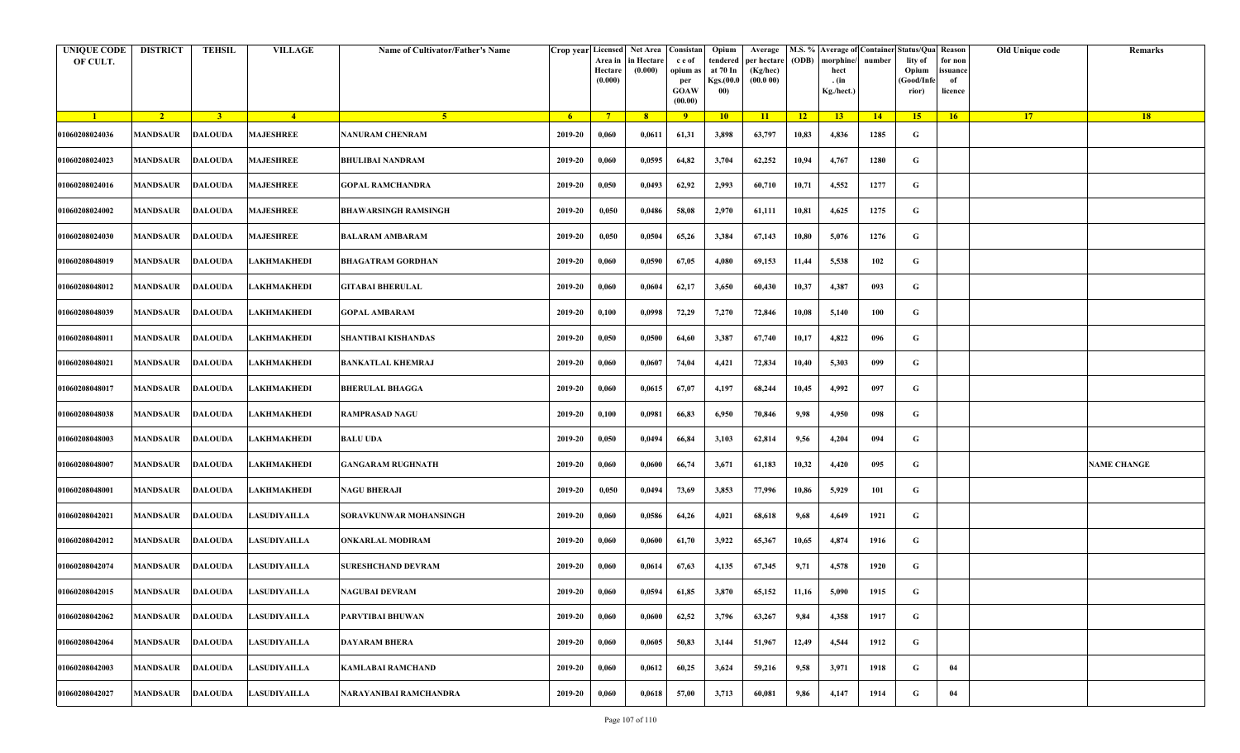| <b>UNIQUE CODE</b><br>OF CULT. | <b>DISTRICT</b> | <b>TEHSIL</b>  | <b>VILLAGE</b>                | Name of Cultivator/Father's Name |                | Crop year Licensed<br>Area in<br>Hectare<br>(0.000) | Net Area   Consistan  <br>in Hectare<br>(0.000) | c e of<br>opium as<br>per<br><b>GOAW</b><br>(00.00) | Opium<br>tendered<br>at 70 In<br>Kgs.(00.0<br>00) | Average<br>per hectare<br>(Kg/hec)<br>(00.000) | (ODB)           | M.S. % Average of Container Status/Qua Reason<br>morphine/<br>hect<br>. (in<br>Kg./hect.) | number | lity of<br>Opium<br>(Good/Infe<br>rior) | for non<br>ssuance<br>of<br>licence | Old Unique code | Remarks            |
|--------------------------------|-----------------|----------------|-------------------------------|----------------------------------|----------------|-----------------------------------------------------|-------------------------------------------------|-----------------------------------------------------|---------------------------------------------------|------------------------------------------------|-----------------|-------------------------------------------------------------------------------------------|--------|-----------------------------------------|-------------------------------------|-----------------|--------------------|
| $\blacksquare$                 | $\sqrt{2}$      | 3 <sup>1</sup> | $-4$                          | 5 <sup>1</sup>                   | 6 <sup>6</sup> | $7^{\circ}$                                         | 8                                               | $\overline{9}$                                      | 10                                                | 11                                             | $\overline{12}$ | 13                                                                                        | 14     | 15                                      | 16                                  | 17 <sup>2</sup> | 18                 |
| 01060208024036                 | <b>MANDSAUR</b> | <b>DALOUDA</b> | <b>MAJESHREE</b>              | <b>NANURAM CHENRAM</b>           | 2019-20        | 0,060                                               | 0,0611                                          | 61,31                                               | 3,898                                             | 63,797                                         | 10,83           | 4,836                                                                                     | 1285   | G                                       |                                     |                 |                    |
| 01060208024023                 | <b>MANDSAUR</b> | <b>DALOUDA</b> | <b>MAJESHREE</b>              | <b>BHULIBAI NANDRAM</b>          | 2019-20        | 0,060                                               | 0,0595                                          | 64,82                                               | 3,704                                             | 62,252                                         | 10,94           | 4,767                                                                                     | 1280   | G                                       |                                     |                 |                    |
| 01060208024016                 | <b>MANDSAUR</b> | <b>DALOUDA</b> | <b>MAJESHREE</b>              | <b>GOPAL RAMCHANDRA</b>          | 2019-20        | 0,050                                               | 0,0493                                          | 62,92                                               | 2,993                                             | 60,710                                         | 10,71           | 4,552                                                                                     | 1277   | G                                       |                                     |                 |                    |
| 01060208024002                 | MANDSAUR        | <b>DALOUDA</b> | <b>MAJESHREE</b>              | <b>BHAWARSINGH RAMSINGH</b>      | 2019-20        | 0,050                                               | 0,0486                                          | 58,08                                               | 2,970                                             | 61,111                                         | 10,81           | 4,625                                                                                     | 1275   | G                                       |                                     |                 |                    |
| 01060208024030                 | <b>MANDSAUR</b> | <b>DALOUDA</b> | <b>MAJESHREE</b>              | <b>BALARAM AMBARAM</b>           | 2019-20        | 0,050                                               | 0,0504                                          | 65,26                                               | 3,384                                             | 67,143                                         | 10,80           | 5,076                                                                                     | 1276   | G                                       |                                     |                 |                    |
| 01060208048019                 | MANDSAUR        | <b>DALOUDA</b> | LAKHMAKHEDI                   | <b>BHAGATRAM GORDHAN</b>         | 2019-20        | 0,060                                               | 0,0590                                          | 67,05                                               | 4,080                                             | 69,153                                         | 11,44           | 5,538                                                                                     | 102    | G                                       |                                     |                 |                    |
| 01060208048012                 | MANDSAUR        | <b>DALOUDA</b> | LAKHMAKHEDI                   | <b>GITABAI BHERULAL</b>          | 2019-20        | 0,060                                               | 0,0604                                          | 62,17                                               | 3,650                                             | 60,430                                         | 10,37           | 4,387                                                                                     | 093    | G                                       |                                     |                 |                    |
| 01060208048039                 | <b>MANDSAUR</b> | <b>DALOUDA</b> | LAKHMAKHEDI                   | <b>GOPAL AMBARAM</b>             | 2019-20        | 0,100                                               | 0,0998                                          | 72,29                                               | 7,270                                             | 72,846                                         | 10,08           | 5,140                                                                                     | 100    | G                                       |                                     |                 |                    |
| 01060208048011                 | MANDSAUR        | <b>DALOUDA</b> | LAKHMAKHEDI                   | SHANTIBAI KISHANDAS              | 2019-20        | 0,050                                               | 0,0500                                          | 64,60                                               | 3,387                                             | 67,740                                         | 10,17           | 4,822                                                                                     | 096    | G                                       |                                     |                 |                    |
| 01060208048021                 | <b>MANDSAUR</b> | <b>DALOUDA</b> | LAKHMAKHEDI                   | <b>BANKATLAL KHEMRAJ</b>         | 2019-20        | 0,060                                               | 0,0607                                          | 74,04                                               | 4,421                                             | 72,834                                         | 10,40           | 5,303                                                                                     | 099    | G                                       |                                     |                 |                    |
| 01060208048017                 | MANDSAUR        | <b>DALOUDA</b> | LAKHMAKHEDI                   | <b>BHERULAL BHAGGA</b>           | 2019-20        | 0,060                                               | 0,0615                                          | 67,07                                               | 4,197                                             | 68,244                                         | 10,45           | 4,992                                                                                     | 097    | G                                       |                                     |                 |                    |
| 01060208048038                 | <b>MANDSAUR</b> | <b>DALOUDA</b> | LAKHMAKHEDI                   | <b>RAMPRASAD NAGU</b>            | 2019-20        | 0,100                                               | 0,0981                                          | 66,83                                               | 6,950                                             | 70,846                                         | 9,98            | 4,950                                                                                     | 098    | G                                       |                                     |                 |                    |
| 01060208048003                 | MANDSAUR        | <b>DALOUDA</b> | LAKHMAKHEDI                   | <b>BALU UDA</b>                  | 2019-20        | 0,050                                               | 0,0494                                          | 66,84                                               | 3,103                                             | 62,814                                         | 9,56            | 4,204                                                                                     | 094    | G                                       |                                     |                 |                    |
| 01060208048007                 | <b>MANDSAUR</b> | <b>DALOUDA</b> | LAKHMAKHEDI                   | GANGARAM RUGHNATH                | 2019-20        | 0,060                                               | 0,0600                                          | 66,74                                               | 3,671                                             | 61,183                                         | 10,32           | 4,420                                                                                     | 095    | G                                       |                                     |                 | <b>NAME CHANGE</b> |
| 01060208048001                 | MANDSAUR        | <b>DALOUDA</b> | LAKHMAKHEDI                   | <b>NAGU BHERAJI</b>              | 2019-20        | 0,050                                               | 0,0494                                          | 73,69                                               | 3,853                                             | 77,996                                         | 10,86           | 5,929                                                                                     | 101    | G                                       |                                     |                 |                    |
| 01060208042021                 | MANDSAUR        | <b>DALOUDA</b> | LASUDIYAILLA                  | SORAVKUNWAR MOHANSINGH           | 2019-20        | 0,060                                               | 0,0586                                          | 64,26                                               | 4,021                                             | 68,618                                         | 9,68            | 4,649                                                                                     | 1921   | G                                       |                                     |                 |                    |
| 01060208042012                 | MANDSAUR        | <b>DALOUDA</b> | <b>LASUDIYAILLA</b>           | <b>ONKARLAL MODIRAM</b>          | 2019-20        | 0,060                                               | 0,0600                                          | 61,70                                               | 3,922                                             | 65,367                                         | 10,65           | 4,874                                                                                     | 1916   | G                                       |                                     |                 |                    |
| 01060208042074                 | MANDSAUR        | DALOUDA        | <b>LASUDIYAILLA</b>           | <b>SURESHCHAND DEVRAM</b>        | 2019-20        | 0,060                                               | 0,0614                                          | 67,63                                               | 4,135                                             | 67,345                                         | 9,71            | 4,578                                                                                     | 1920   | G                                       |                                     |                 |                    |
| 01060208042015                 |                 |                | MANDSAUR DALOUDA LASUDIYAILLA | <b>NAGUBAI DEVRAM</b>            | 2019-20        | 0,060                                               | 0,0594                                          | 61,85                                               | 3,870                                             | 65,152                                         | 11,16           | 5,090                                                                                     | 1915   | G                                       |                                     |                 |                    |
| 01060208042062                 | <b>MANDSAUR</b> | <b>DALOUDA</b> | LASUDIYAILLA                  | PARVTIBAI BHUWAN                 | 2019-20        | 0,060                                               | 0,0600                                          | 62,52                                               | 3,796                                             | 63,267                                         | 9,84            | 4.358                                                                                     | 1917   | $\mathbf G$                             |                                     |                 |                    |
| 01060208042064                 | <b>MANDSAUR</b> | <b>DALOUDA</b> | LASUDIYAILLA                  | <b>DAYARAM BHERA</b>             | 2019-20        | 0,060                                               | 0,0605                                          | 50,83                                               | 3,144                                             | 51,967                                         | 12,49           | 4,544                                                                                     | 1912   | G                                       |                                     |                 |                    |
| 01060208042003                 | <b>MANDSAUR</b> | <b>DALOUDA</b> | <b>LASUDIYAILLA</b>           | <b>KAMLABAI RAMCHAND</b>         | 2019-20        | 0,060                                               | 0,0612                                          | 60,25                                               | 3,624                                             | 59,216                                         | 9,58            | 3,971                                                                                     | 1918   | G                                       | 04                                  |                 |                    |
| 01060208042027                 | <b>MANDSAUR</b> | <b>DALOUDA</b> | LASUDIYAILLA                  | NARAYANIBAI RAMCHANDRA           | 2019-20        | 0,060                                               | 0,0618                                          | 57,00                                               | 3,713                                             | 60,081                                         | 9,86            | 4,147                                                                                     | 1914   | G                                       | 04                                  |                 |                    |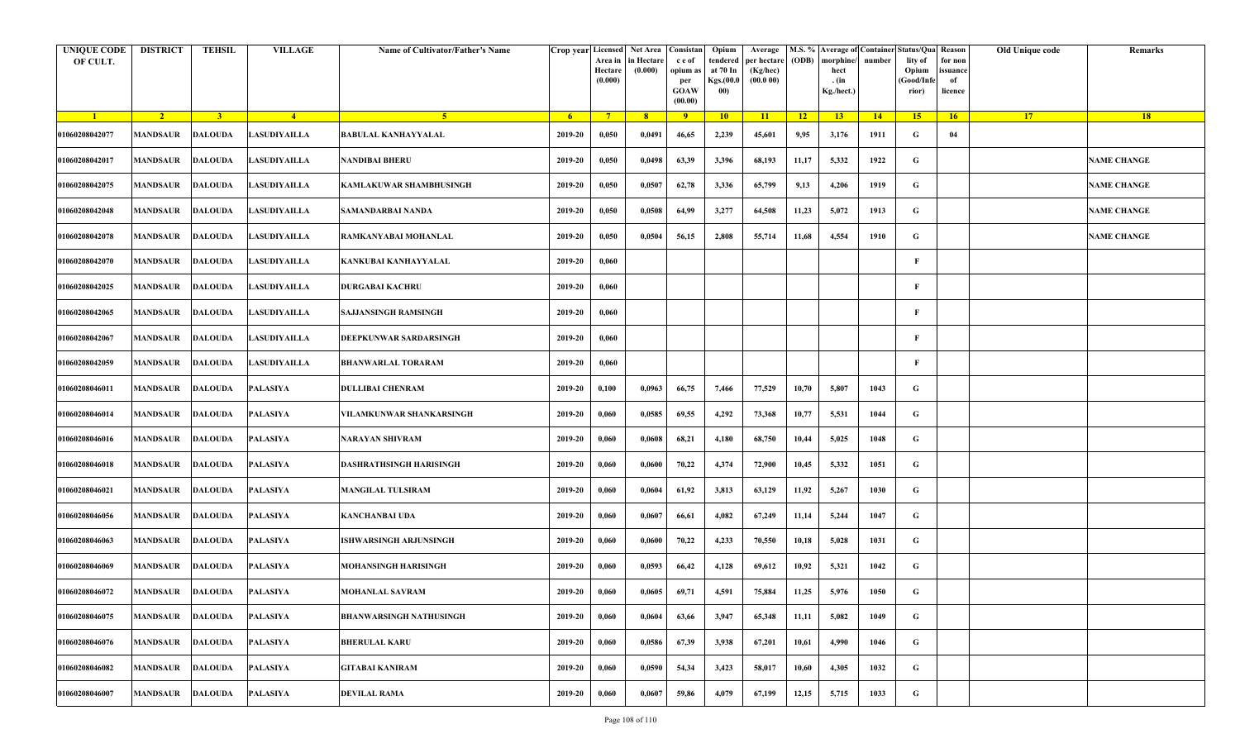| <b>UNIQUE CODE</b><br>OF CULT. | <b>DISTRICT</b>           | <b>TEHSIL</b>  | <b>VILLAGE</b>      | Name of Cultivator/Father's Name | Crop year Licensed | Area in<br>Hectare<br>(0.000) | Net Area<br>in Hectare<br>(0.000) | Consistan<br>c e of<br>opium a<br>per<br><b>GOAW</b><br>(00.00) | Opium<br>tendered<br>at 70 In<br>Kgs.(00.0<br>00) | Average<br>per hectare<br>(Kg/hec)<br>(00.000) | (ODB)           | morphine<br>hect<br>. (in<br>Kg./hect.) | number | M.S. % Average of Container Status/Qua Reason<br>lity of<br>Opium<br>Good/Infe<br>rior) | for non<br>issuance<br>of<br>licence | Old Unique code | Remarks            |
|--------------------------------|---------------------------|----------------|---------------------|----------------------------------|--------------------|-------------------------------|-----------------------------------|-----------------------------------------------------------------|---------------------------------------------------|------------------------------------------------|-----------------|-----------------------------------------|--------|-----------------------------------------------------------------------------------------|--------------------------------------|-----------------|--------------------|
| $\blacksquare$                 | $\sqrt{2}$                | 3 <sup>1</sup> | $-4$                | -5.                              | $6^{\circ}$        | $-7$                          | 8 <sup>°</sup>                    | 9                                                               | 10                                                | $\overline{11}$                                | $\overline{12}$ | 13                                      | 14     | 15 <sup>2</sup>                                                                         | 16                                   | 17              | <b>18</b>          |
| 01060208042077                 | <b>MANDSAUR</b>           | <b>DALOUDA</b> | LASUDIYAILLA        | <b>BABULAL KANHAYYALAL</b>       | 2019-20            | 0,050                         | 0,0491                            | 46,65                                                           | 2,239                                             | 45,601                                         | 9,95            | 3,176                                   | 1911   | G                                                                                       | 04                                   |                 |                    |
| 01060208042017                 | MANDSAUR                  | <b>DALOUDA</b> | LASUDIYAILLA        | NANDIBAI BHERU                   | 2019-20            | 0,050                         | 0,0498                            | 63,39                                                           | 3,396                                             | 68,193                                         | 11,17           | 5,332                                   | 1922   | G                                                                                       |                                      |                 | <b>NAME CHANGE</b> |
| 01060208042075                 | <b>MANDSAUR</b>           | DALOUDA        | <b>LASUDIYAILLA</b> | KAMLAKUWAR SHAMBHUSINGH          | 2019-20            | 0,050                         | 0,0507                            | 62,78                                                           | 3,336                                             | 65,799                                         | 9,13            | 4,206                                   | 1919   | G                                                                                       |                                      |                 | <b>NAME CHANGE</b> |
| 01060208042048                 | MANDSAUR                  | <b>DALOUDA</b> | LASUDIYAILLA        | SAMANDARBAI NANDA                | 2019-20            | 0,050                         | 0,0508                            | 64,99                                                           | 3,277                                             | 64,508                                         | 11,23           | 5,072                                   | 1913   | G                                                                                       |                                      |                 | <b>NAME CHANGE</b> |
| 01060208042078                 | <b>MANDSAUR</b>           | <b>DALOUDA</b> | LASUDIYAILLA        | RAMKANYABAI MOHANLAL             | 2019-20            | 0,050                         | 0,0504                            | 56,15                                                           | 2,808                                             | 55,714                                         | 11,68           | 4,554                                   | 1910   | G                                                                                       |                                      |                 | <b>NAME CHANGE</b> |
| 01060208042070                 | MANDSAUR                  | <b>DALOUDA</b> | LASUDIYAILLA        | KANKUBAI KANHAYYALAL             | 2019-20            | 0,060                         |                                   |                                                                 |                                                   |                                                |                 |                                         |        | F                                                                                       |                                      |                 |                    |
| 01060208042025                 | MANDSAUR                  | DALOUDA        | LASUDIYAILLA        | <b>DURGABAI KACHRU</b>           | 2019-20            | 0,060                         |                                   |                                                                 |                                                   |                                                |                 |                                         |        | F                                                                                       |                                      |                 |                    |
| 01060208042065                 | <b>MANDSAUR</b>           | <b>DALOUDA</b> | LASUDIYAILLA        | SAJJANSINGH RAMSINGH             | 2019-20            | 0,060                         |                                   |                                                                 |                                                   |                                                |                 |                                         |        | F                                                                                       |                                      |                 |                    |
| 01060208042067                 | <b>MANDSAUR</b>           | <b>DALOUDA</b> | LASUDIYAILLA        | DEEPKUNWAR SARDARSINGH           | 2019-20            | 0,060                         |                                   |                                                                 |                                                   |                                                |                 |                                         |        | F                                                                                       |                                      |                 |                    |
| 01060208042059                 | <b>MANDSAUR</b>           | <b>DALOUDA</b> | LASUDIYAILLA        | <b>BHANWARLAL TORARAM</b>        | 2019-20            | 0,060                         |                                   |                                                                 |                                                   |                                                |                 |                                         |        | F                                                                                       |                                      |                 |                    |
| 01060208046011                 | MANDSAUR                  | <b>DALOUDA</b> | PALASIYA            | <b>DULLIBAI CHENRAM</b>          | 2019-20            | 0,100                         | 0,0963                            | 66,75                                                           | 7,466                                             | 77,529                                         | 10,70           | 5,807                                   | 1043   | G                                                                                       |                                      |                 |                    |
| 01060208046014                 | <b>MANDSAUR</b>           | <b>DALOUDA</b> | PALASIYA            | VILAMKUNWAR SHANKARSINGH         | 2019-20            | 0,060                         | 0,0585                            | 69,55                                                           | 4,292                                             | 73,368                                         | 10,77           | 5,531                                   | 1044   | G                                                                                       |                                      |                 |                    |
| 01060208046016                 | MANDSAUR                  | <b>DALOUDA</b> | <b>PALASIYA</b>     | NARAYAN SHIVRAM                  | 2019-20            | 0,060                         | 0,0608                            | 68,21                                                           | 4,180                                             | 68,750                                         | 10,44           | 5,025                                   | 1048   | G                                                                                       |                                      |                 |                    |
| 01060208046018                 | <b>MANDSAUR</b>           | <b>DALOUDA</b> | PALASIYA            | DASHRATHSINGH HARISINGH          | 2019-20            | 0,060                         | 0,0600                            | 70,22                                                           | 4,374                                             | 72,900                                         | 10,45           | 5,332                                   | 1051   | G                                                                                       |                                      |                 |                    |
| 01060208046021                 | MANDSAUR                  | DALOUDA        | PALASIYA            | <b>MANGILAL TULSIRAM</b>         | 2019-20            | 0,060                         | 0,0604                            | 61,92                                                           | 3,813                                             | 63,129                                         | 11,92           | 5,267                                   | 1030   | G                                                                                       |                                      |                 |                    |
| 01060208046056                 | <b>MANDSAUR</b>           | <b>DALOUDA</b> | PALASIYA            | KANCHANBAI UDA                   | 2019-20            | 0,060                         | 0,0607                            | 66,61                                                           | 4,082                                             | 67,249                                         | 11,14           | 5,244                                   | 1047   | G                                                                                       |                                      |                 |                    |
| 01060208046063                 | <b>MANDSAUR</b>           | <b>DALOUDA</b> | PALASIYA            | ISHWARSINGH ARJUNSINGH           | 2019-20            | 0,060                         | 0,0600                            | 70,22                                                           | 4,233                                             | 70,550                                         | 10,18           | 5,028                                   | 1031   | G                                                                                       |                                      |                 |                    |
| 01060208046069                 | MANDSAUR                  | <b>DALOUDA</b> | PALASIYA            | MOHANSINGH HARISINGH             | 2019-20            | 0,060                         | 0,0593                            | 66,42                                                           | 4,128                                             | 69,612                                         | 10,92           | 5,321                                   | 1042   | G                                                                                       |                                      |                 |                    |
| 01060208046072                 | MANDSAUR DALOUDA PALASIYA |                |                     | <b>MOHANLAL SAVRAM</b>           | $2019 - 20$        | 0,060                         | 0,0605                            | 69,71                                                           | 4,591                                             | 75,884                                         | 11,25           | 5,976                                   | 1050   | G                                                                                       |                                      |                 |                    |
| 01060208046075                 | <b>MANDSAUR</b>           | <b>DALOUDA</b> | <b>PALASIYA</b>     | BHANWARSINGH NATHUSINGH          | 2019-20            | 0,060                         | 0,0604                            | 63,66                                                           | 3,947                                             | 65,348                                         | 11,11           | 5,082                                   | 1049   | $\mathbf G$                                                                             |                                      |                 |                    |
| 01060208046076                 | <b>MANDSAUR</b>           | <b>DALOUDA</b> | <b>PALASIYA</b>     | <b>BHERULAL KARU</b>             | 2019-20            | 0,060                         | 0,0586                            | 67,39                                                           | 3,938                                             | 67,201                                         | 10,61           | 4,990                                   | 1046   | G                                                                                       |                                      |                 |                    |
| 01060208046082                 | <b>MANDSAUR</b>           | <b>DALOUDA</b> | <b>PALASIYA</b>     | <b>GITABAI KANIRAM</b>           | 2019-20            | 0,060                         | 0,0590                            | 54,34                                                           | 3,423                                             | 58,017                                         | 10,60           | 4,305                                   | 1032   | G                                                                                       |                                      |                 |                    |
| 01060208046007                 | <b>MANDSAUR</b>           | <b>DALOUDA</b> | PALASIYA            | <b>DEVILAL RAMA</b>              | 2019-20            | 0,060                         | 0,0607                            | 59,86                                                           | 4,079                                             | 67,199                                         | 12,15           | 5,715                                   | 1033   | G                                                                                       |                                      |                 |                    |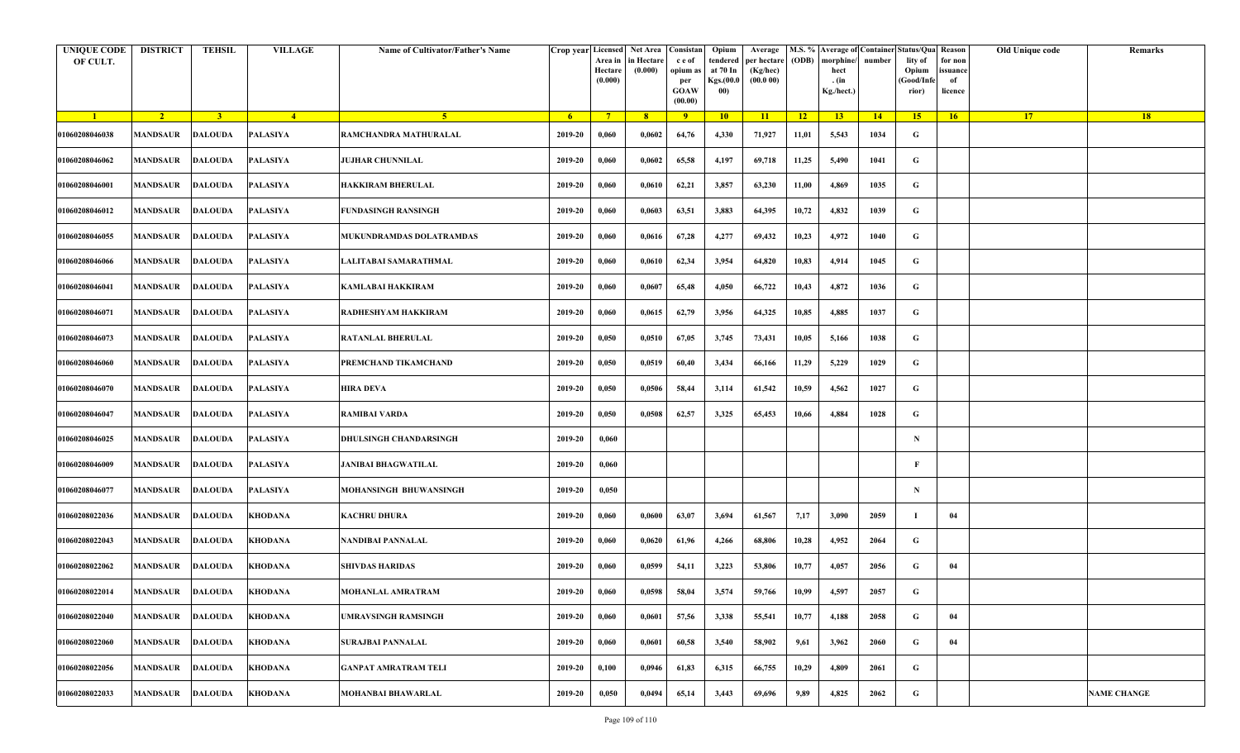| <b>UNIQUE CODE</b><br>OF CULT. | <b>DISTRICT</b>         | <b>TEHSIL</b>  | <b>VILLAGE</b> | Name of Cultivator/Father's Name | Crop year Licensed | Area in<br>Hectare<br>(0.000) | Net Area Consistan<br>in Hectare<br>(0.000) | c e of<br>opium as<br>per<br><b>GOAW</b><br>(00.00) | Opium<br>tendered<br>at 70 In<br>Kgs.(00.0<br>00) | Average<br>per hectare<br>(Kg/hec)<br>(00.000) | (ODB) | M.S. % Average of Container Status/Qua Reason<br>morphine/<br>hect<br>. (in<br>Kg./hect.) | number | lity of<br>Opium<br>(Good/Infe<br>rior) | for non<br>ssuance<br>of<br>licence | Old Unique code | Remarks            |
|--------------------------------|-------------------------|----------------|----------------|----------------------------------|--------------------|-------------------------------|---------------------------------------------|-----------------------------------------------------|---------------------------------------------------|------------------------------------------------|-------|-------------------------------------------------------------------------------------------|--------|-----------------------------------------|-------------------------------------|-----------------|--------------------|
| $\blacksquare$                 | $\sqrt{2}$              | 3 <sup>1</sup> | $-4$           | $\sqrt{5}$                       | - 6                | $7^{\circ}$                   | 8 <sup>°</sup>                              | $\overline{9}$                                      | 10                                                | 11                                             | $-12$ | 13                                                                                        | $-14$  | 15 <sup>2</sup>                         | 16                                  | <b>17</b>       | <b>18</b>          |
| 01060208046038                 | <b>MANDSAUR</b>         | <b>DALOUDA</b> | PALASIYA       | RAMCHANDRA MATHURALAL            | 2019-20            | 0,060                         | 0,0602                                      | 64,76                                               | 4,330                                             | 71,927                                         | 11,01 | 5,543                                                                                     | 1034   | G                                       |                                     |                 |                    |
| 01060208046062                 | MANDSAUR                | <b>DALOUDA</b> | PALASIYA       | <b>JUJHAR CHUNNILAL</b>          | 2019-20            | 0,060                         | 0,0602                                      | 65,58                                               | 4,197                                             | 69,718                                         | 11,25 | 5,490                                                                                     | 1041   | G                                       |                                     |                 |                    |
| 01060208046001                 | MANDSAUR                | <b>DALOUDA</b> | PALASIYA       | HAKKIRAM BHERULAL                | 2019-20            | 0,060                         | 0,0610                                      | 62,21                                               | 3,857                                             | 63,230                                         | 11,00 | 4,869                                                                                     | 1035   | G                                       |                                     |                 |                    |
| 01060208046012                 | MANDSAUR                | <b>DALOUDA</b> | PALASIYA       | FUNDASINGH RANSINGH              | 2019-20            | 0,060                         | 0,0603                                      | 63,51                                               | 3,883                                             | 64,395                                         | 10,72 | 4,832                                                                                     | 1039   | G                                       |                                     |                 |                    |
| 01060208046055                 | MANDSAUR                | <b>DALOUDA</b> | PALASIYA       | MUKUNDRAMDAS DOLATRAMDAS         | 2019-20            | 0,060                         | 0,0616                                      | 67,28                                               | 4,277                                             | 69,432                                         | 10,23 | 4,972                                                                                     | 1040   | G                                       |                                     |                 |                    |
| 01060208046066                 | <b>MANDSAUR</b>         | <b>DALOUDA</b> | PALASIYA       | LALITABAI SAMARATHMAL            | 2019-20            | 0,060                         | 0,0610                                      | 62,34                                               | 3,954                                             | 64,820                                         | 10,83 | 4,914                                                                                     | 1045   | G                                       |                                     |                 |                    |
| 01060208046041                 | MANDSAUR                | <b>DALOUDA</b> | PALASIYA       | KAMLABAI HAKKIRAM                | 2019-20            | 0,060                         | 0,0607                                      | 65,48                                               | 4,050                                             | 66,722                                         | 10,43 | 4,872                                                                                     | 1036   | G                                       |                                     |                 |                    |
| 01060208046071                 | MANDSAUR                | <b>DALOUDA</b> | PALASIYA       | RADHESHYAM HAKKIRAM              | 2019-20            | 0,060                         | 0,0615                                      | 62,79                                               | 3,956                                             | 64,325                                         | 10,85 | 4,885                                                                                     | 1037   | G                                       |                                     |                 |                    |
| 01060208046073                 | MANDSAUR                | <b>DALOUDA</b> | PALASIYA       | RATANLAL BHERULAL                | 2019-20            | 0,050                         | 0,0510                                      | 67,05                                               | 3,745                                             | 73,431                                         | 10,05 | 5,166                                                                                     | 1038   | G                                       |                                     |                 |                    |
| 01060208046060                 | <b>MANDSAUR</b>         | <b>DALOUDA</b> | PALASIYA       | PREMCHAND TIKAMCHAND             | 2019-20            | 0,050                         | 0,0519                                      | 60,40                                               | 3,434                                             | 66,166                                         | 11,29 | 5,229                                                                                     | 1029   | G                                       |                                     |                 |                    |
| 01060208046070                 | MANDSAUR                | <b>DALOUDA</b> | PALASIYA       | HIRA DEVA                        | 2019-20            | 0,050                         | 0,0506                                      | 58,44                                               | 3,114                                             | 61,542                                         | 10,59 | 4,562                                                                                     | 1027   | G                                       |                                     |                 |                    |
| 01060208046047                 | MANDSAUR                | <b>DALOUDA</b> | PALASIYA       | RAMIBAI VARDA                    | 2019-20            | 0,050                         | 0,0508                                      | 62,57                                               | 3,325                                             | 65,453                                         | 10,66 | 4,884                                                                                     | 1028   | G                                       |                                     |                 |                    |
| 01060208046025                 | MANDSAUR                | <b>DALOUDA</b> | PALASIYA       | DHULSINGH CHANDARSINGH           | 2019-20            | 0,060                         |                                             |                                                     |                                                   |                                                |       |                                                                                           |        | $\mathbf N$                             |                                     |                 |                    |
| 01060208046009                 | MANDSAUR                | <b>DALOUDA</b> | PALASIYA       | <b>JANIBAI BHAGWATILAL</b>       | 2019-20            | 0,060                         |                                             |                                                     |                                                   |                                                |       |                                                                                           |        | F                                       |                                     |                 |                    |
| 01060208046077                 | <b>MANDSAUR</b>         | <b>DALOUDA</b> | PALASIYA       | MOHANSINGH BHUWANSINGH           | 2019-20            | 0,050                         |                                             |                                                     |                                                   |                                                |       |                                                                                           |        | $\mathbf N$                             |                                     |                 |                    |
| 01060208022036                 | MANDSAUR                | <b>DALOUDA</b> | <b>KHODANA</b> | KACHRU DHURA                     | 2019-20            | 0,060                         | 0,0600                                      | 63,07                                               | 3,694                                             | 61,567                                         | 7,17  | 3,090                                                                                     | 2059   |                                         | 04                                  |                 |                    |
| 01060208022043                 | MANDSAUR                | <b>DALOUDA</b> | <b>KHODANA</b> | NANDIBAI PANNALAL                | 2019-20            | 0,060                         | 0,0620                                      | 61,96                                               | 4,266                                             | 68,806                                         | 10,28 | 4,952                                                                                     | 2064   | G                                       |                                     |                 |                    |
| 01060208022062                 | MANDSAUR                | <b>DALOUDA</b> | KHODANA        | <b>SHIVDAS HARIDAS</b>           | 2019-20            | 0,060                         | 0,0599                                      | 54,11                                               | 3,223                                             | 53,806                                         | 10,77 | 4,057                                                                                     | 2056   | G                                       | 04                                  |                 |                    |
| 01060208022014                 | <b>MANDSAUR DALOUDA</b> |                | <b>KHODANA</b> | MOHANLAL AMRATRAM                | 2019-20            | 0,060                         | 0,0598                                      | 58,04                                               | 3,574                                             | 59,766                                         | 10,99 | 4,597                                                                                     | 2057   | G                                       |                                     |                 |                    |
| 01060208022040                 | MANDSAUR                | <b>DALOUDA</b> | KHODANA        | JMRAVSINGH RAMSINGH              | 2019-20            | 0,060                         | 0,0601                                      | 57,56                                               | 3,338                                             | 55,541                                         | 10,77 | 4,188                                                                                     | 2058   | $\mathbf G$                             | 04                                  |                 |                    |
| 01060208022060                 | <b>MANDSAUR</b>         | <b>DALOUDA</b> | KHODANA        | <b>SURAJBAI PANNALAL</b>         | 2019-20            | 0,060                         | 0,0601                                      | 60,58                                               | 3,540                                             | 58,902                                         | 9,61  | 3,962                                                                                     | 2060   | G                                       | 04                                  |                 |                    |
| 01060208022056                 | <b>MANDSAUR</b>         | <b>DALOUDA</b> | <b>KHODANA</b> | <b>GANPAT AMRATRAM TELI</b>      | 2019-20            | 0,100                         | 0,0946                                      | 61,83                                               | 6,315                                             | 66,755                                         | 10,29 | 4,809                                                                                     | 2061   | G                                       |                                     |                 |                    |
| 01060208022033                 | MANDSAUR                | <b>DALOUDA</b> | KHODANA        | <b>MOHANBAI BHAWARLAL</b>        | 2019-20            | 0,050                         | 0,0494                                      | 65,14                                               | 3,443                                             | 69,696                                         | 9,89  | 4,825                                                                                     | 2062   | G                                       |                                     |                 | <b>NAME CHANGE</b> |